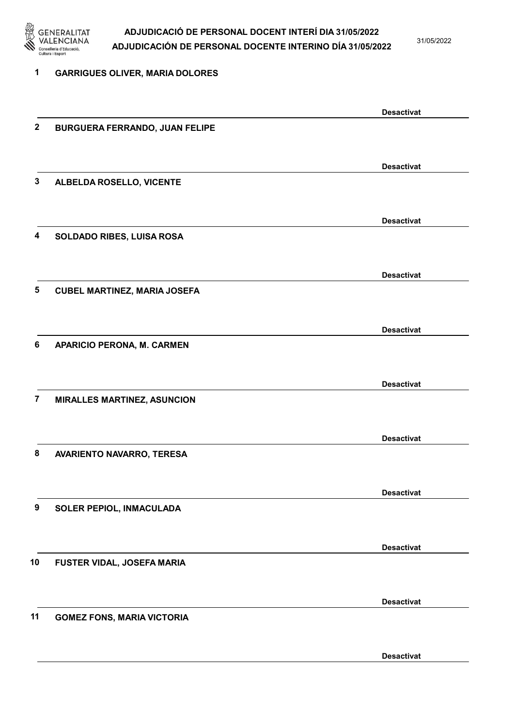

31/05/2022

Desactivat

| 1              | <b>GARRIGUES OLIVER, MARIA DOLORES</b> |                   |
|----------------|----------------------------------------|-------------------|
|                |                                        | <b>Desactivat</b> |
| $\mathbf 2$    | <b>BURGUERA FERRANDO, JUAN FELIPE</b>  |                   |
|                |                                        | <b>Desactivat</b> |
| 3              | ALBELDA ROSELLO, VICENTE               |                   |
|                |                                        | <b>Desactivat</b> |
| 4              | SOLDADO RIBES, LUISA ROSA              |                   |
|                |                                        | <b>Desactivat</b> |
| 5              | <b>CUBEL MARTINEZ, MARIA JOSEFA</b>    |                   |
| 6              |                                        | <b>Desactivat</b> |
|                | APARICIO PERONA, M. CARMEN             |                   |
|                |                                        | <b>Desactivat</b> |
| $\overline{7}$ | <b>MIRALLES MARTINEZ, ASUNCION</b>     |                   |
|                |                                        | <b>Desactivat</b> |
| 8              | AVARIENTO NAVARRO, TERESA              |                   |
|                |                                        | <b>Desactivat</b> |
| 9              | SOLER PEPIOL, INMACULADA               |                   |
|                |                                        | <b>Desactivat</b> |
| 10             | FUSTER VIDAL, JOSEFA MARIA             |                   |
|                |                                        | <b>Desactivat</b> |
| 11             | <b>GOMEZ FONS, MARIA VICTORIA</b>      |                   |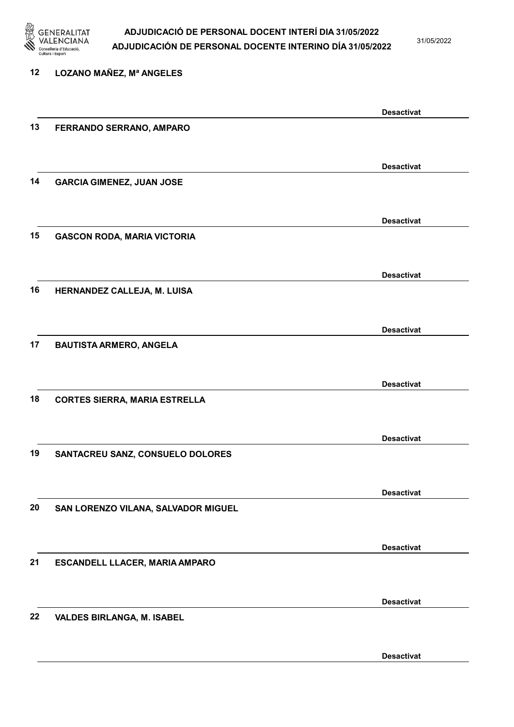

31/05/2022

Desactivat

| 12 | <b>LOZANO MAÑEZ, Mª ANGELES</b>      |                   |
|----|--------------------------------------|-------------------|
|    |                                      | <b>Desactivat</b> |
| 13 | FERRANDO SERRANO, AMPARO             |                   |
|    |                                      | <b>Desactivat</b> |
| 14 | <b>GARCIA GIMENEZ, JUAN JOSE</b>     |                   |
|    |                                      | <b>Desactivat</b> |
| 15 | <b>GASCON RODA, MARIA VICTORIA</b>   |                   |
|    |                                      | <b>Desactivat</b> |
| 16 | HERNANDEZ CALLEJA, M. LUISA          |                   |
|    |                                      | <b>Desactivat</b> |
| 17 | <b>BAUTISTA ARMERO, ANGELA</b>       |                   |
|    |                                      | <b>Desactivat</b> |
| 18 | <b>CORTES SIERRA, MARIA ESTRELLA</b> |                   |
|    |                                      | <b>Desactivat</b> |
| 19 | SANTACREU SANZ, CONSUELO DOLORES     |                   |
|    |                                      | <b>Desactivat</b> |
| 20 | SAN LORENZO VILANA, SALVADOR MIGUEL  |                   |
|    |                                      | <b>Desactivat</b> |
| 21 | ESCANDELL LLACER, MARIA AMPARO       |                   |
|    |                                      | <b>Desactivat</b> |
| 22 | <b>VALDES BIRLANGA, M. ISABEL</b>    |                   |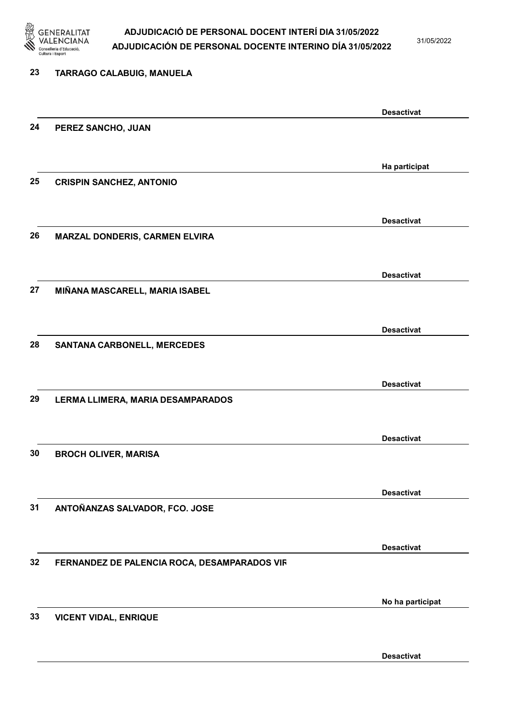

31/05/2022

| 23 | TARRAGO CALABUIG, MANUELA                    |                   |
|----|----------------------------------------------|-------------------|
|    |                                              | <b>Desactivat</b> |
| 24 | PEREZ SANCHO, JUAN                           |                   |
|    |                                              | Ha participat     |
| 25 | <b>CRISPIN SANCHEZ, ANTONIO</b>              |                   |
|    |                                              | <b>Desactivat</b> |
| 26 | MARZAL DONDERIS, CARMEN ELVIRA               |                   |
|    |                                              | <b>Desactivat</b> |
| 27 | MIÑANA MASCARELL, MARIA ISABEL               |                   |
|    |                                              | <b>Desactivat</b> |
| 28 | SANTANA CARBONELL, MERCEDES                  |                   |
|    |                                              | <b>Desactivat</b> |
| 29 | LERMA LLIMERA, MARIA DESAMPARADOS            |                   |
|    |                                              | <b>Desactivat</b> |
| 30 | <b>BROCH OLIVER, MARISA</b>                  |                   |
| 31 |                                              | <b>Desactivat</b> |
|    | ANTOÑANZAS SALVADOR, FCO. JOSE               |                   |
| 32 | FERNANDEZ DE PALENCIA ROCA, DESAMPARADOS VIR | <b>Desactivat</b> |
|    |                                              |                   |
| 33 | <b>VICENT VIDAL, ENRIQUE</b>                 | No ha participat  |
|    |                                              |                   |
|    |                                              | <b>Desactivat</b> |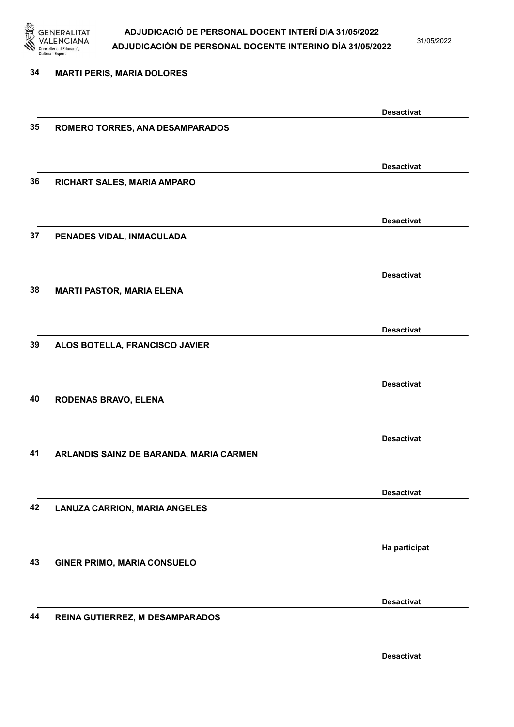

31/05/2022

Desactivat

# 34 MARTI PERIS, MARIA DOLORES Desactivat 35 ROMERO TORRES, ANA DESAMPARADOS Desactivat 36 RICHART SALES, MARIA AMPARO Desactivat 37 PENADES VIDAL, INMACULADA Desactivat 38 MARTI PASTOR, MARIA ELENA Desactivat 39 ALOS BOTELLA, FRANCISCO JAVIER Desactivat 40 RODENAS BRAVO, ELENA Desactivat 41 ARLANDIS SAINZ DE BARANDA, MARIA CARMEN Desactivat 42 LANUZA CARRION, MARIA ANGELES Ha participat 43 GINER PRIMO, MARIA CONSUELO Desactivat 44 REINA GUTIERREZ, M DESAMPARADOS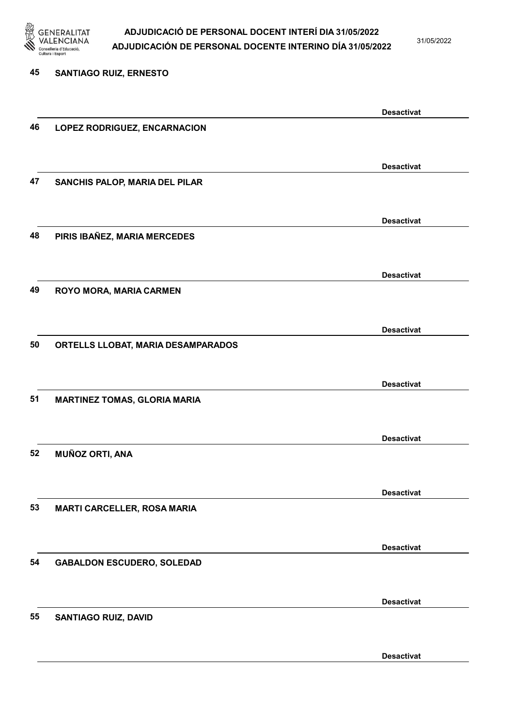

31/05/2022

Desactivat

# 45 SANTIAGO RUIZ, ERNESTO Desactivat 46 LOPEZ RODRIGUEZ, ENCARNACION Desactivat 47 SANCHIS PALOP, MARIA DEL PILAR Desactivat 48 PIRIS IBAÑEZ, MARIA MERCEDES Desactivat 49 ROYO MORA, MARIA CARMEN Desactivat 50 ORTELLS LLOBAT, MARIA DESAMPARADOS Desactivat 51 MARTINEZ TOMAS, GLORIA MARIA Desactivat 52 MUÑOZ ORTI, ANA Desactivat 53 MARTI CARCELLER, ROSA MARIA Desactivat 54 GABALDON ESCUDERO, SOLEDAD Desactivat 55 SANTIAGO RUIZ, DAVID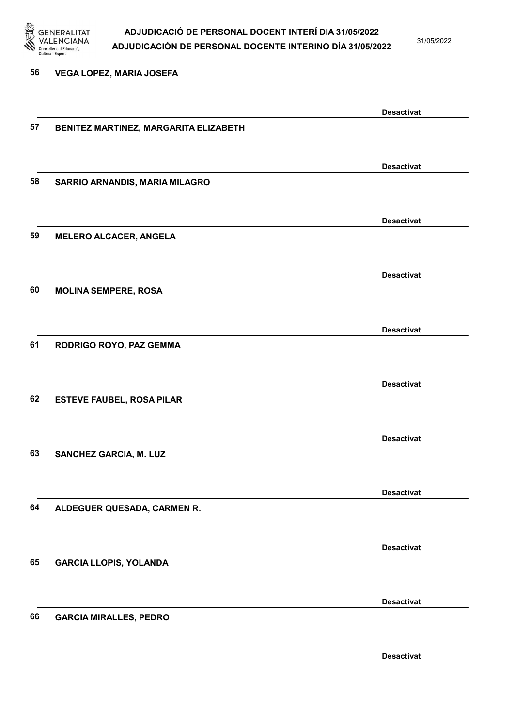

31/05/2022

#### 56 VEGA LOPEZ, MARIA JOSEFA

|    |                                       | <b>Desactivat</b> |
|----|---------------------------------------|-------------------|
| 57 | BENITEZ MARTINEZ, MARGARITA ELIZABETH |                   |
|    |                                       |                   |
|    |                                       | <b>Desactivat</b> |
| 58 | SARRIO ARNANDIS, MARIA MILAGRO        |                   |
|    |                                       |                   |
|    |                                       |                   |
|    |                                       | <b>Desactivat</b> |
| 59 | <b>MELERO ALCACER, ANGELA</b>         |                   |
|    |                                       |                   |
|    |                                       | <b>Desactivat</b> |
| 60 | <b>MOLINA SEMPERE, ROSA</b>           |                   |
|    |                                       |                   |
|    |                                       | <b>Desactivat</b> |
| 61 | RODRIGO ROYO, PAZ GEMMA               |                   |
|    |                                       |                   |
|    |                                       |                   |
| 62 | <b>ESTEVE FAUBEL, ROSA PILAR</b>      | <b>Desactivat</b> |
|    |                                       |                   |
|    |                                       |                   |
|    |                                       | <b>Desactivat</b> |
| 63 | <b>SANCHEZ GARCIA, M. LUZ</b>         |                   |
|    |                                       |                   |
|    |                                       | <b>Desactivat</b> |
| 64 | ALDEGUER QUESADA, CARMEN R.           |                   |
|    |                                       |                   |
|    |                                       | <b>Desactivat</b> |
| 65 | <b>GARCIA LLOPIS, YOLANDA</b>         |                   |
|    |                                       |                   |
|    |                                       |                   |
|    |                                       | <b>Desactivat</b> |
| 66 | <b>GARCIA MIRALLES, PEDRO</b>         |                   |
|    |                                       |                   |
|    |                                       | <b>Desactivat</b> |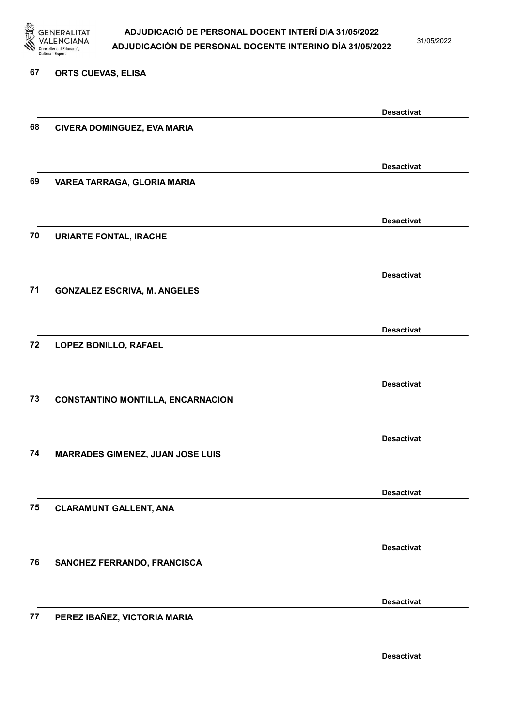

31/05/2022

#### 67 ORTS CUEVAS, ELISA

|    |                                          | <b>Desactivat</b> |
|----|------------------------------------------|-------------------|
| 68 | CIVERA DOMINGUEZ, EVA MARIA              |                   |
|    |                                          |                   |
|    |                                          |                   |
|    |                                          | <b>Desactivat</b> |
| 69 | VAREA TARRAGA, GLORIA MARIA              |                   |
|    |                                          |                   |
|    |                                          | <b>Desactivat</b> |
| 70 | <b>URIARTE FONTAL, IRACHE</b>            |                   |
|    |                                          |                   |
|    |                                          |                   |
|    |                                          | <b>Desactivat</b> |
| 71 | <b>GONZALEZ ESCRIVA, M. ANGELES</b>      |                   |
|    |                                          |                   |
|    |                                          |                   |
|    |                                          | <b>Desactivat</b> |
| 72 | LOPEZ BONILLO, RAFAEL                    |                   |
|    |                                          |                   |
|    |                                          | <b>Desactivat</b> |
| 73 | <b>CONSTANTINO MONTILLA, ENCARNACION</b> |                   |
|    |                                          |                   |
|    |                                          |                   |
|    |                                          | <b>Desactivat</b> |
| 74 | <b>MARRADES GIMENEZ, JUAN JOSE LUIS</b>  |                   |
|    |                                          |                   |
|    |                                          | <b>Desactivat</b> |
| 75 |                                          |                   |
|    | <b>CLARAMUNT GALLENT, ANA</b>            |                   |
|    |                                          |                   |
|    |                                          | <b>Desactivat</b> |
| 76 | SANCHEZ FERRANDO, FRANCISCA              |                   |
|    |                                          |                   |
|    |                                          |                   |
|    |                                          | <b>Desactivat</b> |
| 77 | PEREZ IBAÑEZ, VICTORIA MARIA             |                   |
|    |                                          |                   |
|    |                                          |                   |
|    |                                          | <b>Desactivat</b> |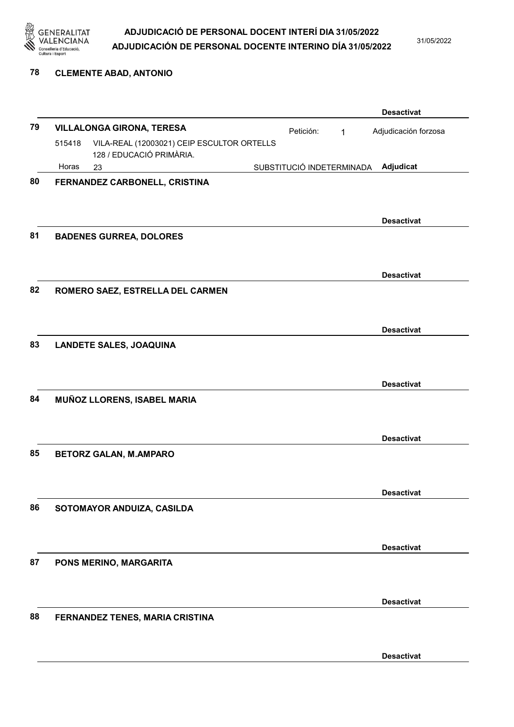

31/05/2022

#### 78 CLEMENTE ABAD, ANTONIO

|    |        |                                            |                           |              | <b>Desactivat</b>    |
|----|--------|--------------------------------------------|---------------------------|--------------|----------------------|
| 79 |        | <b>VILLALONGA GIRONA, TERESA</b>           | Petición:                 | $\mathbf{1}$ | Adjudicación forzosa |
|    | 515418 | VILA-REAL (12003021) CEIP ESCULTOR ORTELLS |                           |              |                      |
|    | Horas  | 128 / EDUCACIÓ PRIMÀRIA.<br>23             | SUBSTITUCIÓ INDETERMINADA |              | Adjudicat            |
| 80 |        | FERNANDEZ CARBONELL, CRISTINA              |                           |              |                      |
|    |        |                                            |                           |              |                      |
|    |        |                                            |                           |              |                      |
|    |        |                                            |                           |              | <b>Desactivat</b>    |
| 81 |        | <b>BADENES GURREA, DOLORES</b>             |                           |              |                      |
|    |        |                                            |                           |              |                      |
|    |        |                                            |                           |              | <b>Desactivat</b>    |
| 82 |        | ROMERO SAEZ, ESTRELLA DEL CARMEN           |                           |              |                      |
|    |        |                                            |                           |              |                      |
|    |        |                                            |                           |              | <b>Desactivat</b>    |
| 83 |        | <b>LANDETE SALES, JOAQUINA</b>             |                           |              |                      |
|    |        |                                            |                           |              |                      |
|    |        |                                            |                           |              |                      |
|    |        |                                            |                           |              | <b>Desactivat</b>    |
| 84 |        | MUÑOZ LLORENS, ISABEL MARIA                |                           |              |                      |
|    |        |                                            |                           |              |                      |
|    |        |                                            |                           |              | <b>Desactivat</b>    |
| 85 |        | <b>BETORZ GALAN, M.AMPARO</b>              |                           |              |                      |
|    |        |                                            |                           |              |                      |
|    |        |                                            |                           |              | <b>Desactivat</b>    |
| 86 |        | SOTOMAYOR ANDUIZA, CASILDA                 |                           |              |                      |
|    |        |                                            |                           |              |                      |
|    |        |                                            |                           |              |                      |
|    |        |                                            |                           |              | <b>Desactivat</b>    |
| 87 |        | PONS MERINO, MARGARITA                     |                           |              |                      |
|    |        |                                            |                           |              |                      |
|    |        |                                            |                           |              | <b>Desactivat</b>    |
| 88 |        | FERNANDEZ TENES, MARIA CRISTINA            |                           |              |                      |
|    |        |                                            |                           |              |                      |
|    |        |                                            |                           |              | <b>Desactivat</b>    |
|    |        |                                            |                           |              |                      |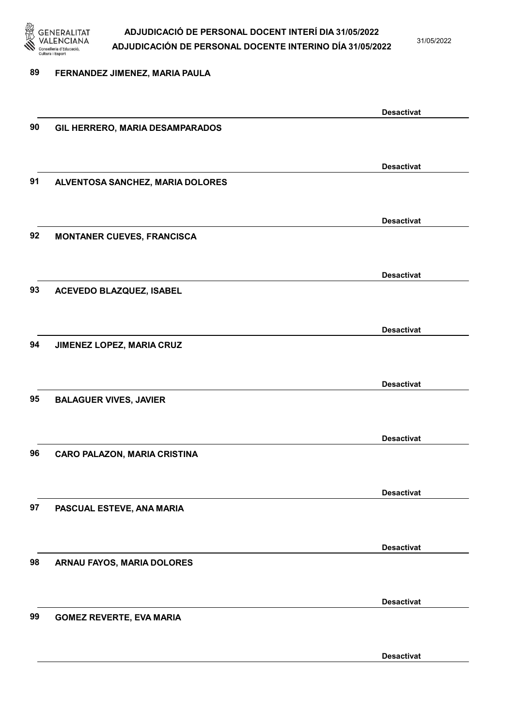

31/05/2022

#### 89 FERNANDEZ JIMENEZ, MARIA PAULA

Desactivat 90 GIL HERRERO, MARIA DESAMPARADOS Desactivat 91 ALVENTOSA SANCHEZ, MARIA DOLORES Desactivat 92 MONTANER CUEVES, FRANCISCA Desactivat 93 ACEVEDO BLAZQUEZ, ISABEL Desactivat 94 JIMENEZ LOPEZ, MARIA CRUZ Desactivat 95 BALAGUER VIVES, JAVIER Desactivat 96 CARO PALAZON, MARIA CRISTINA Desactivat 97 PASCUAL ESTEVE, ANA MARIA Desactivat 98 ARNAU FAYOS, MARIA DOLORES Desactivat 99 GOMEZ REVERTE, EVA MARIA Desactivat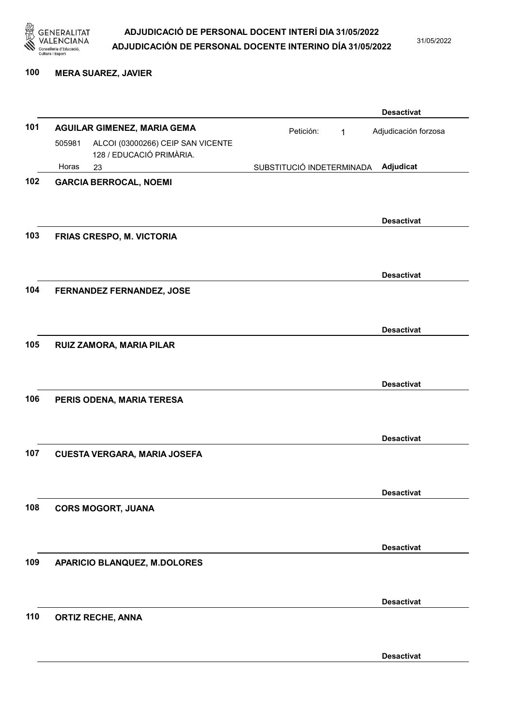

31/05/2022

#### 100 MERA SUAREZ, JAVIER

|     |        |                                                               |                           | <b>Desactivat</b>    |
|-----|--------|---------------------------------------------------------------|---------------------------|----------------------|
| 101 |        | <b>AGUILAR GIMENEZ, MARIA GEMA</b>                            | Petición:<br>1            | Adjudicación forzosa |
|     | 505981 | ALCOI (03000266) CEIP SAN VICENTE<br>128 / EDUCACIÓ PRIMÀRIA. |                           |                      |
|     | Horas  | 23                                                            | SUBSTITUCIÓ INDETERMINADA | Adjudicat            |
| 102 |        | <b>GARCIA BERROCAL, NOEMI</b>                                 |                           |                      |
|     |        |                                                               |                           |                      |
|     |        |                                                               |                           | <b>Desactivat</b>    |
| 103 |        | FRIAS CRESPO, M. VICTORIA                                     |                           |                      |
|     |        |                                                               |                           |                      |
|     |        |                                                               |                           | <b>Desactivat</b>    |
| 104 |        | FERNANDEZ FERNANDEZ, JOSE                                     |                           |                      |
|     |        |                                                               |                           |                      |
|     |        |                                                               |                           | <b>Desactivat</b>    |
| 105 |        | RUIZ ZAMORA, MARIA PILAR                                      |                           |                      |
|     |        |                                                               |                           |                      |
|     |        |                                                               |                           | <b>Desactivat</b>    |
| 106 |        | PERIS ODENA, MARIA TERESA                                     |                           |                      |
|     |        |                                                               |                           |                      |
|     |        |                                                               |                           |                      |
| 107 |        | <b>CUESTA VERGARA, MARIA JOSEFA</b>                           |                           | <b>Desactivat</b>    |
|     |        |                                                               |                           |                      |
|     |        |                                                               |                           |                      |
| 108 |        | <b>CORS MOGORT, JUANA</b>                                     |                           | <b>Desactivat</b>    |
|     |        |                                                               |                           |                      |
|     |        |                                                               |                           |                      |
| 109 |        |                                                               |                           | <b>Desactivat</b>    |
|     |        | <b>APARICIO BLANQUEZ, M.DOLORES</b>                           |                           |                      |
|     |        |                                                               |                           |                      |
|     |        |                                                               |                           | <b>Desactivat</b>    |
| 110 |        | <b>ORTIZ RECHE, ANNA</b>                                      |                           |                      |
|     |        |                                                               |                           |                      |
|     |        |                                                               |                           | <b>Desactivat</b>    |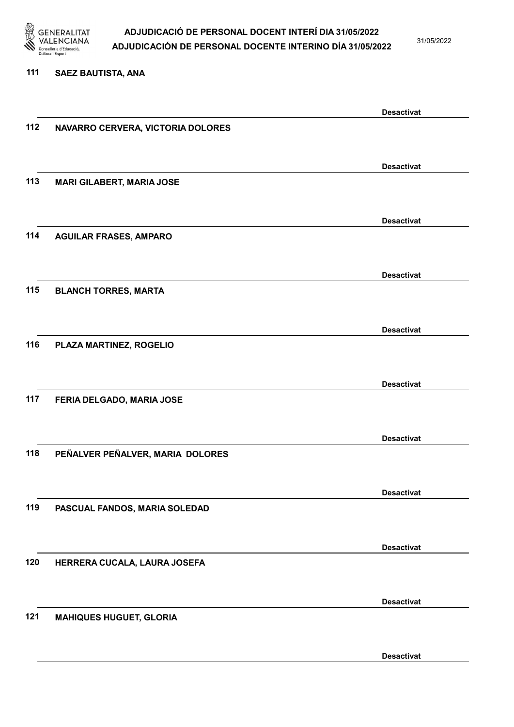

31/05/2022

#### 111 SAEZ BAUTISTA, ANA

|     |                                   | <b>Desactivat</b> |
|-----|-----------------------------------|-------------------|
| 112 | NAVARRO CERVERA, VICTORIA DOLORES |                   |
|     |                                   |                   |
|     |                                   |                   |
|     |                                   | <b>Desactivat</b> |
| 113 | <b>MARI GILABERT, MARIA JOSE</b>  |                   |
|     |                                   |                   |
|     |                                   |                   |
|     |                                   | <b>Desactivat</b> |
| 114 | <b>AGUILAR FRASES, AMPARO</b>     |                   |
|     |                                   |                   |
|     |                                   |                   |
|     |                                   | <b>Desactivat</b> |
| 115 |                                   |                   |
|     | <b>BLANCH TORRES, MARTA</b>       |                   |
|     |                                   |                   |
|     |                                   | <b>Desactivat</b> |
|     |                                   |                   |
| 116 | PLAZA MARTINEZ, ROGELIO           |                   |
|     |                                   |                   |
|     |                                   | <b>Desactivat</b> |
|     |                                   |                   |
| 117 | FERIA DELGADO, MARIA JOSE         |                   |
|     |                                   |                   |
|     |                                   | <b>Desactivat</b> |
|     |                                   |                   |
| 118 | PEÑALVER PEÑALVER, MARIA DOLORES  |                   |
|     |                                   |                   |
|     |                                   | <b>Desactivat</b> |
|     |                                   |                   |
| 119 | PASCUAL FANDOS, MARIA SOLEDAD     |                   |
|     |                                   |                   |
|     |                                   |                   |
|     |                                   | <b>Desactivat</b> |
| 120 | HERRERA CUCALA, LAURA JOSEFA      |                   |
|     |                                   |                   |
|     |                                   |                   |
|     |                                   | <b>Desactivat</b> |
| 121 | <b>MAHIQUES HUGUET, GLORIA</b>    |                   |
|     |                                   |                   |
|     |                                   |                   |
|     |                                   | <b>Desactivat</b> |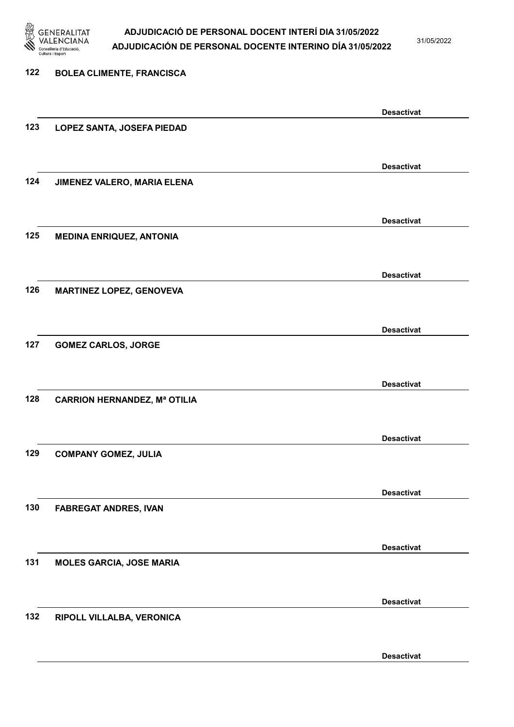

31/05/2022

| 122 | <b>BOLEA CLIMENTE, FRANCISCA</b>    |                   |
|-----|-------------------------------------|-------------------|
|     |                                     | <b>Desactivat</b> |
| 123 | LOPEZ SANTA, JOSEFA PIEDAD          |                   |
|     |                                     | <b>Desactivat</b> |
| 124 | JIMENEZ VALERO, MARIA ELENA         |                   |
|     |                                     | <b>Desactivat</b> |
| 125 | <b>MEDINA ENRIQUEZ, ANTONIA</b>     |                   |
|     |                                     | <b>Desactivat</b> |
| 126 | <b>MARTINEZ LOPEZ, GENOVEVA</b>     |                   |
|     |                                     | <b>Desactivat</b> |
| 127 | <b>GOMEZ CARLOS, JORGE</b>          |                   |
|     |                                     | <b>Desactivat</b> |
| 128 | <b>CARRION HERNANDEZ, Mª OTILIA</b> |                   |
|     |                                     | <b>Desactivat</b> |
| 129 | <b>COMPANY GOMEZ, JULIA</b>         |                   |
|     |                                     | <b>Desactivat</b> |
| 130 | <b>FABREGAT ANDRES, IVAN</b>        |                   |
|     |                                     | <b>Desactivat</b> |
| 131 | <b>MOLES GARCIA, JOSE MARIA</b>     |                   |
|     |                                     | <b>Desactivat</b> |
| 132 | RIPOLL VILLALBA, VERONICA           |                   |
|     |                                     | <b>Desactivat</b> |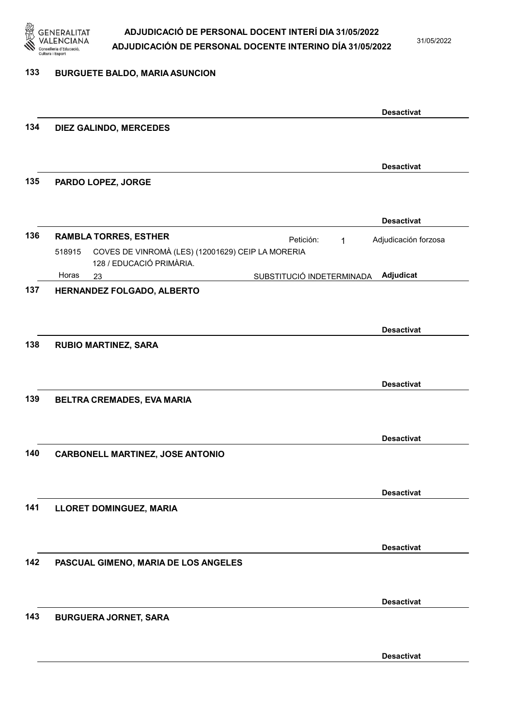

31/05/2022

#### 133 BURGUETE BALDO, MARIA ASUNCION

|     |                                                                                         |                           | <b>Desactivat</b>    |
|-----|-----------------------------------------------------------------------------------------|---------------------------|----------------------|
| 134 | DIEZ GALINDO, MERCEDES                                                                  |                           |                      |
|     |                                                                                         |                           |                      |
|     |                                                                                         |                           | <b>Desactivat</b>    |
| 135 | PARDO LOPEZ, JORGE                                                                      |                           |                      |
|     |                                                                                         |                           |                      |
|     |                                                                                         |                           | <b>Desactivat</b>    |
| 136 | <b>RAMBLA TORRES, ESTHER</b>                                                            | Petición:<br>$\mathbf{1}$ | Adjudicación forzosa |
|     | COVES DE VINROMÀ (LES) (12001629) CEIP LA MORERIA<br>518915<br>128 / EDUCACIÓ PRIMÀRIA. |                           |                      |
|     | Horas<br>23                                                                             | SUBSTITUCIÓ INDETERMINADA | Adjudicat            |
| 137 | HERNANDEZ FOLGADO, ALBERTO                                                              |                           |                      |
|     |                                                                                         |                           |                      |
|     |                                                                                         |                           | <b>Desactivat</b>    |
| 138 | <b>RUBIO MARTINEZ, SARA</b>                                                             |                           |                      |
|     |                                                                                         |                           |                      |
|     |                                                                                         |                           | <b>Desactivat</b>    |
| 139 | BELTRA CREMADES, EVA MARIA                                                              |                           |                      |
|     |                                                                                         |                           |                      |
|     |                                                                                         |                           |                      |
| 140 |                                                                                         |                           | <b>Desactivat</b>    |
|     | <b>CARBONELL MARTINEZ, JOSE ANTONIO</b>                                                 |                           |                      |
|     |                                                                                         |                           |                      |
|     |                                                                                         |                           | <b>Desactivat</b>    |
| 141 | <b>LLORET DOMINGUEZ, MARIA</b>                                                          |                           |                      |
|     |                                                                                         |                           |                      |
|     |                                                                                         |                           | <b>Desactivat</b>    |
| 142 | PASCUAL GIMENO, MARIA DE LOS ANGELES                                                    |                           |                      |
|     |                                                                                         |                           |                      |
|     |                                                                                         |                           | <b>Desactivat</b>    |
| 143 | <b>BURGUERA JORNET, SARA</b>                                                            |                           |                      |
|     |                                                                                         |                           |                      |
|     |                                                                                         |                           |                      |
|     |                                                                                         |                           | <b>Desactivat</b>    |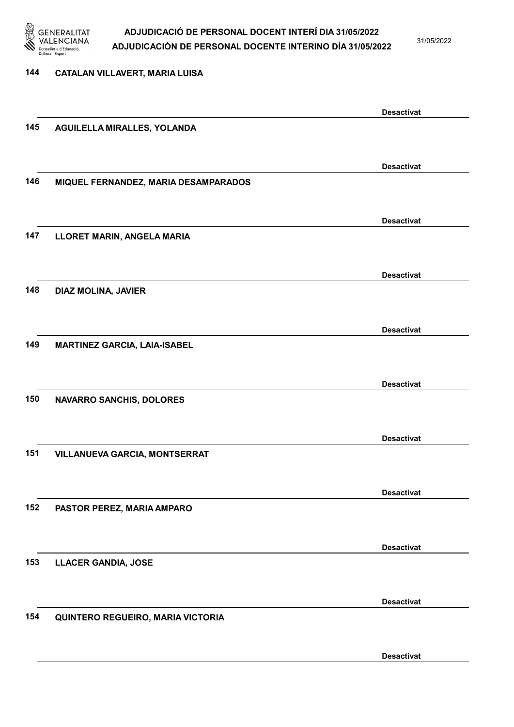

31/05/2022

#### 144 CATALAN VILLAVERT, MARIA LUISA

|     |                                      | <b>Desactivat</b> |
|-----|--------------------------------------|-------------------|
| 145 | AGUILELLA MIRALLES, YOLANDA          |                   |
|     |                                      |                   |
|     |                                      | <b>Desactivat</b> |
| 146 | MIQUEL FERNANDEZ, MARIA DESAMPARADOS |                   |
|     |                                      |                   |
|     |                                      | <b>Desactivat</b> |
| 147 | LLORET MARIN, ANGELA MARIA           |                   |
|     |                                      |                   |
|     |                                      | <b>Desactivat</b> |
| 148 | DIAZ MOLINA, JAVIER                  |                   |
|     |                                      |                   |
|     |                                      | <b>Desactivat</b> |
| 149 | <b>MARTINEZ GARCIA, LAIA-ISABEL</b>  |                   |
|     |                                      |                   |
|     |                                      | <b>Desactivat</b> |
| 150 | <b>NAVARRO SANCHIS, DOLORES</b>      |                   |
|     |                                      |                   |
|     |                                      |                   |
| 151 | VILLANUEVA GARCIA, MONTSERRAT        | <b>Desactivat</b> |
|     |                                      |                   |
|     |                                      |                   |
| 152 |                                      | <b>Desactivat</b> |
|     | PASTOR PEREZ, MARIA AMPARO           |                   |
|     |                                      |                   |
|     |                                      | <b>Desactivat</b> |
| 153 | <b>LLACER GANDIA, JOSE</b>           |                   |
|     |                                      |                   |
|     |                                      | <b>Desactivat</b> |
| 154 | QUINTERO REGUEIRO, MARIA VICTORIA    |                   |
|     |                                      |                   |
|     |                                      | <b>Desactivat</b> |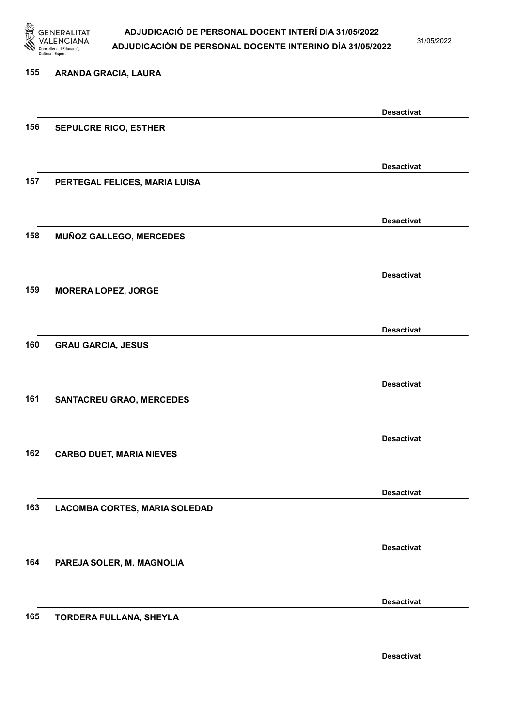

31/05/2022

Desactivat

# 155 ARANDA GRACIA, LAURA Desactivat 156 SEPULCRE RICO, ESTHER Desactivat 157 PERTEGAL FELICES, MARIA LUISA Desactivat 158 MUÑOZ GALLEGO, MERCEDES Desactivat 159 MORERA LOPEZ, JORGE Desactivat 160 GRAU GARCIA, JESUS Desactivat 161 SANTACREU GRAO, MERCEDES Desactivat 162 CARBO DUET, MARIA NIEVES Desactivat 163 LACOMBA CORTES, MARIA SOLEDAD Desactivat 164 PAREJA SOLER, M. MAGNOLIA Desactivat 165 TORDERA FULLANA, SHEYLA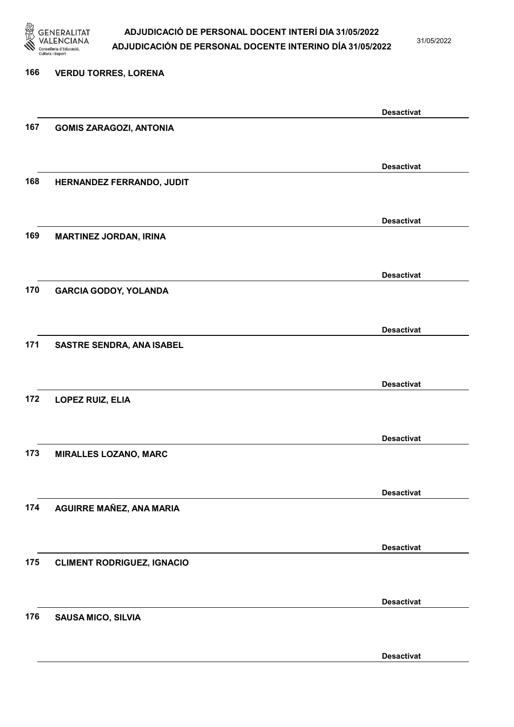

31/05/2022

## 166 VERDU TORRES, LORENA Desactivat 167 GOMIS ZARAGOZI, ANTONIA Desactivat 168 HERNANDEZ FERRANDO, JUDIT Desactivat 169 MARTINEZ JORDAN, IRINA Desactivat 170 GARCIA GODOY, YOLANDA Desactivat 171 SASTRE SENDRA, ANA ISABEL Desactivat 172 LOPEZ RUIZ, ELIA Desactivat 173 MIRALLES LOZANO, MARC Desactivat 174 AGUIRRE MAÑEZ, ANA MARIA Desactivat 175 CLIMENT RODRIGUEZ, IGNACIO Desactivat 176 SAUSA MICO, SILVIA Desactivat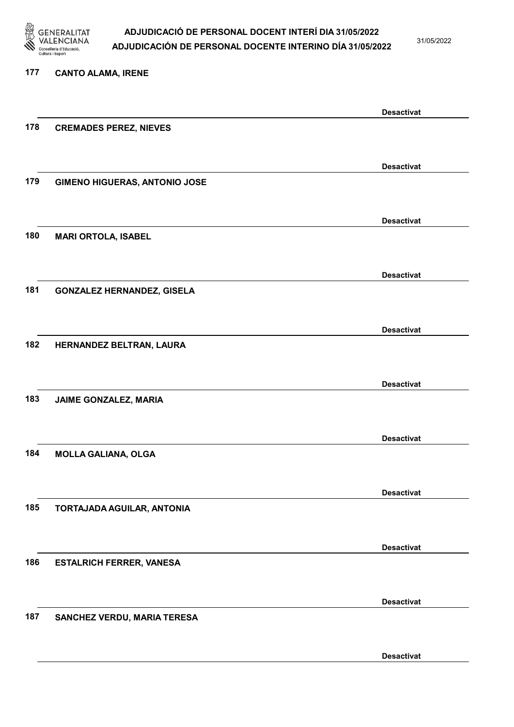

31/05/2022

### 177 CANTO ALAMA, IRENE

|     |                                      | <b>Desactivat</b> |
|-----|--------------------------------------|-------------------|
| 178 | <b>CREMADES PEREZ, NIEVES</b>        |                   |
|     |                                      |                   |
|     |                                      |                   |
|     |                                      | <b>Desactivat</b> |
| 179 | <b>GIMENO HIGUERAS, ANTONIO JOSE</b> |                   |
|     |                                      |                   |
|     |                                      | <b>Desactivat</b> |
| 180 | <b>MARI ORTOLA, ISABEL</b>           |                   |
|     |                                      |                   |
|     |                                      |                   |
|     |                                      | <b>Desactivat</b> |
| 181 | <b>GONZALEZ HERNANDEZ, GISELA</b>    |                   |
|     |                                      |                   |
|     |                                      | <b>Desactivat</b> |
| 182 | HERNANDEZ BELTRAN, LAURA             |                   |
|     |                                      |                   |
|     |                                      |                   |
|     |                                      | <b>Desactivat</b> |
| 183 | JAIME GONZALEZ, MARIA                |                   |
|     |                                      |                   |
|     |                                      | <b>Desactivat</b> |
| 184 | <b>MOLLA GALIANA, OLGA</b>           |                   |
|     |                                      |                   |
|     |                                      |                   |
|     |                                      | <b>Desactivat</b> |
| 185 | TORTAJADA AGUILAR, ANTONIA           |                   |
|     |                                      |                   |
|     |                                      | <b>Desactivat</b> |
| 186 | <b>ESTALRICH FERRER, VANESA</b>      |                   |
|     |                                      |                   |
|     |                                      |                   |
|     |                                      | <b>Desactivat</b> |
| 187 | SANCHEZ VERDU, MARIA TERESA          |                   |
|     |                                      |                   |
|     |                                      | <b>Desactivat</b> |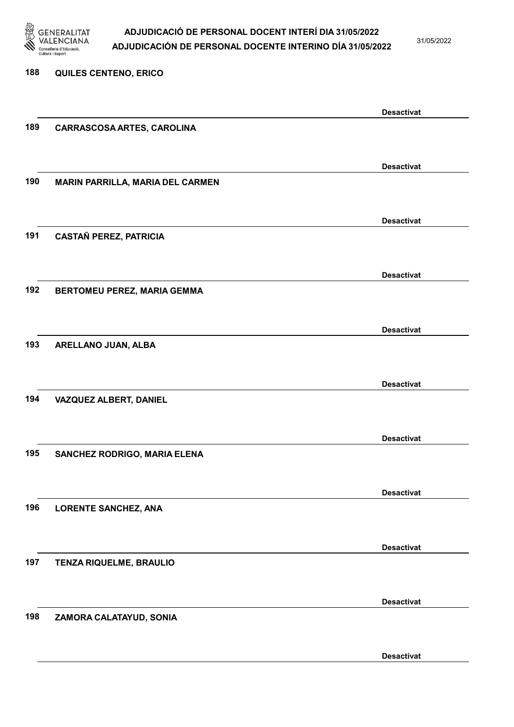

31/05/2022

Desactivat

# 188 QUILES CENTENO, ERICO Desactivat 189 CARRASCOSA ARTES, CAROLINA Desactivat 190 MARIN PARRILLA, MARIA DEL CARMEN Desactivat 191 CASTAÑ PEREZ, PATRICIA Desactivat 192 BERTOMEU PEREZ, MARIA GEMMA Desactivat 193 ARELLANO JUAN, ALBA Desactivat 194 VAZQUEZ ALBERT, DANIEL Desactivat 195 SANCHEZ RODRIGO, MARIA ELENA Desactivat 196 LORENTE SANCHEZ, ANA Desactivat 197 TENZA RIQUELME, BRAULIO Desactivat 198 ZAMORA CALATAYUD, SONIA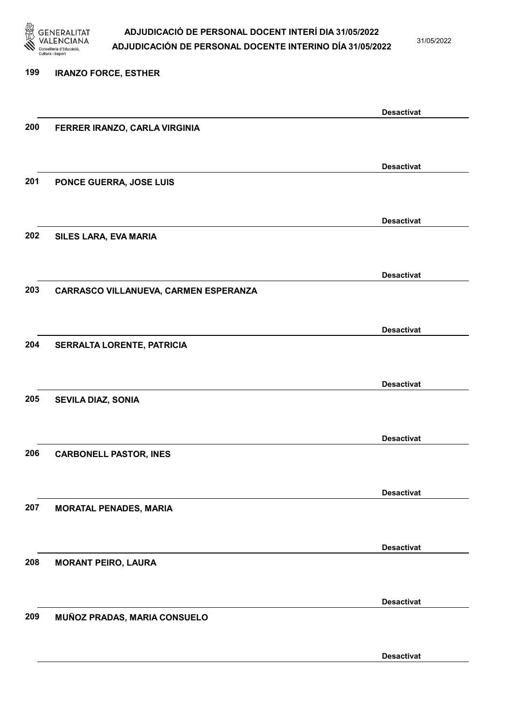

31/05/2022

Desactivat

# 199 IRANZO FORCE, ESTHER Desactivat 200 FERRER IRANZO, CARLA VIRGINIA Desactivat 201 PONCE GUERRA, JOSE LUIS Desactivat 202 SILES LARA, EVA MARIA Desactivat 203 CARRASCO VILLANUEVA, CARMEN ESPERANZA Desactivat 204 SERRALTA LORENTE, PATRICIA Desactivat 205 SEVILA DIAZ, SONIA Desactivat 206 CARBONELL PASTOR, INES Desactivat 207 MORATAL PENADES, MARIA Desactivat 208 MORANT PEIRO, LAURA Desactivat 209 MUÑOZ PRADAS, MARIA CONSUELO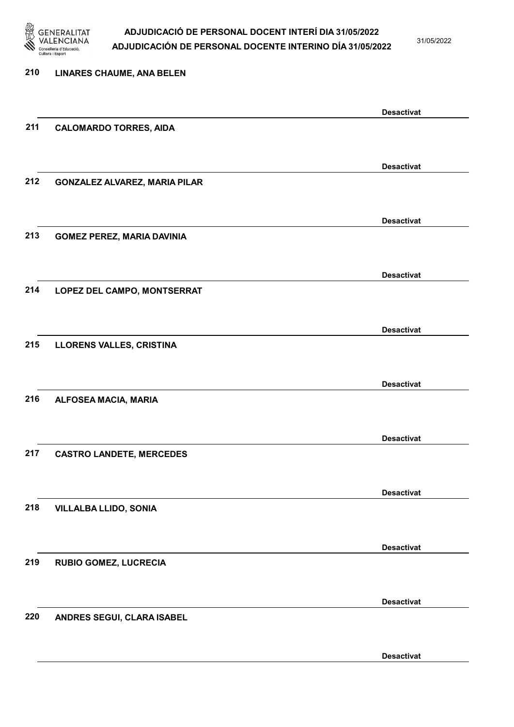

31/05/2022

| 210 | <b>LINARES CHAUME, ANA BELEN</b>     |                   |
|-----|--------------------------------------|-------------------|
|     |                                      | <b>Desactivat</b> |
| 211 | <b>CALOMARDO TORRES, AIDA</b>        |                   |
|     |                                      | <b>Desactivat</b> |
| 212 | <b>GONZALEZ ALVAREZ, MARIA PILAR</b> |                   |
|     |                                      | <b>Desactivat</b> |
| 213 | <b>GOMEZ PEREZ, MARIA DAVINIA</b>    |                   |
|     |                                      | <b>Desactivat</b> |
| 214 | LOPEZ DEL CAMPO, MONTSERRAT          |                   |
|     |                                      | <b>Desactivat</b> |
| 215 | LLORENS VALLES, CRISTINA             |                   |
| 216 |                                      | <b>Desactivat</b> |
|     | ALFOSEA MACIA, MARIA                 |                   |
| 217 | <b>CASTRO LANDETE, MERCEDES</b>      | <b>Desactivat</b> |
|     |                                      |                   |
| 218 | <b>VILLALBA LLIDO, SONIA</b>         | <b>Desactivat</b> |
|     |                                      |                   |
| 219 | <b>RUBIO GOMEZ, LUCRECIA</b>         | <b>Desactivat</b> |
|     |                                      |                   |
| 220 | ANDRES SEGUI, CLARA ISABEL           | <b>Desactivat</b> |
|     |                                      |                   |
|     |                                      | <b>Desactivat</b> |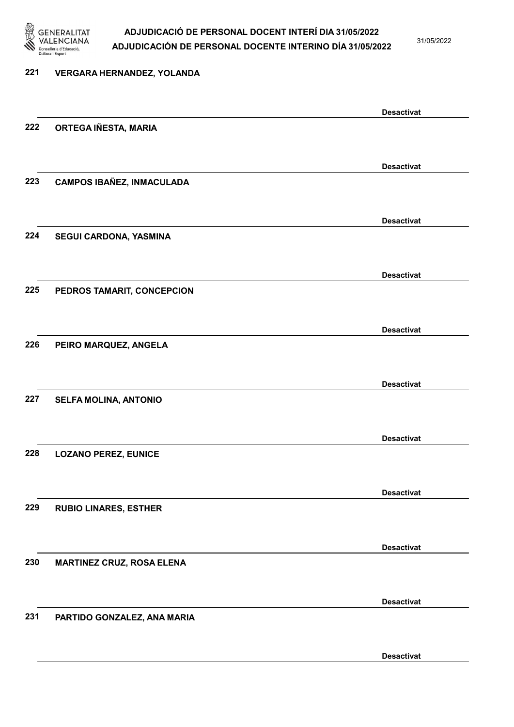

31/05/2022

Desactivat

# 221 VERGARA HERNANDEZ, YOLANDA Desactivat 222 ORTEGA IÑESTA, MARIA Desactivat 223 CAMPOS IBAÑEZ, INMACULADA Desactivat 224 SEGUI CARDONA, YASMINA Desactivat 225 PEDROS TAMARIT, CONCEPCION Desactivat 226 PEIRO MARQUEZ, ANGELA Desactivat 227 SELFA MOLINA, ANTONIO Desactivat 228 LOZANO PEREZ, EUNICE Desactivat 229 RUBIO LINARES, ESTHER Desactivat 230 MARTINEZ CRUZ, ROSA ELENA Desactivat 231 PARTIDO GONZALEZ, ANA MARIA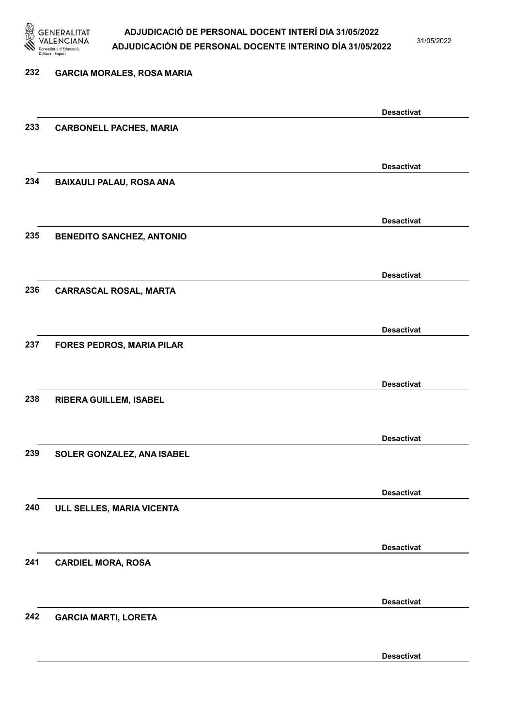

31/05/2022

Desactivat

# 232 GARCIA MORALES, ROSA MARIA Desactivat 233 CARBONELL PACHES, MARIA Desactivat 234 BAIXAULI PALAU, ROSA ANA Desactivat 235 BENEDITO SANCHEZ, ANTONIO Desactivat 236 CARRASCAL ROSAL, MARTA Desactivat 237 FORES PEDROS, MARIA PILAR Desactivat 238 RIBERA GUILLEM, ISABEL Desactivat 239 SOLER GONZALEZ, ANA ISABEL Desactivat 240 ULL SELLES, MARIA VICENTA Desactivat 241 CARDIEL MORA, ROSA Desactivat 242 GARCIA MARTI, LORETA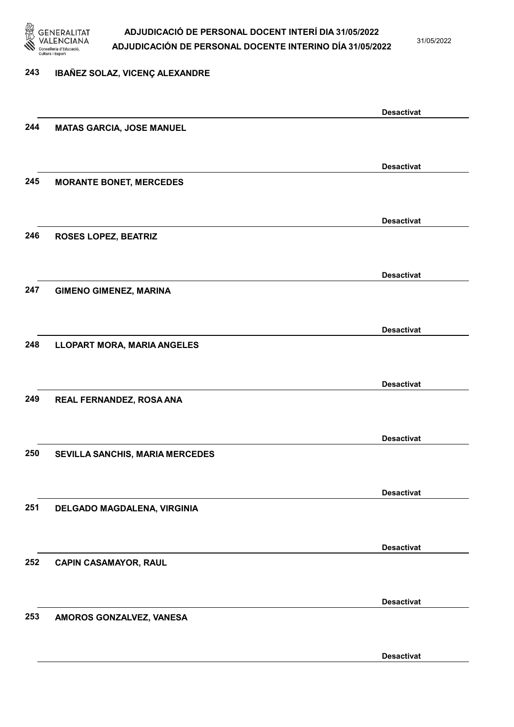

31/05/2022

## 243 IBAÑEZ SOLAZ, VICENÇ ALEXANDRE

|     |                                    | <b>Desactivat</b> |
|-----|------------------------------------|-------------------|
| 244 | <b>MATAS GARCIA, JOSE MANUEL</b>   |                   |
|     |                                    |                   |
|     |                                    | <b>Desactivat</b> |
| 245 | <b>MORANTE BONET, MERCEDES</b>     |                   |
|     |                                    |                   |
|     |                                    |                   |
|     |                                    | <b>Desactivat</b> |
| 246 | <b>ROSES LOPEZ, BEATRIZ</b>        |                   |
|     |                                    |                   |
|     |                                    | <b>Desactivat</b> |
| 247 | <b>GIMENO GIMENEZ, MARINA</b>      |                   |
|     |                                    |                   |
|     |                                    | <b>Desactivat</b> |
| 248 | <b>LLOPART MORA, MARIA ANGELES</b> |                   |
|     |                                    |                   |
|     |                                    |                   |
| 249 |                                    | <b>Desactivat</b> |
|     | REAL FERNANDEZ, ROSA ANA           |                   |
|     |                                    |                   |
|     |                                    | <b>Desactivat</b> |
| 250 | SEVILLA SANCHIS, MARIA MERCEDES    |                   |
|     |                                    |                   |
|     |                                    | <b>Desactivat</b> |
| 251 | DELGADO MAGDALENA, VIRGINIA        |                   |
|     |                                    |                   |
|     |                                    | <b>Desactivat</b> |
| 252 | <b>CAPIN CASAMAYOR, RAUL</b>       |                   |
|     |                                    |                   |
|     |                                    |                   |
|     |                                    | <b>Desactivat</b> |
| 253 | AMOROS GONZALVEZ, VANESA           |                   |
|     |                                    |                   |
|     |                                    | <b>Desactivat</b> |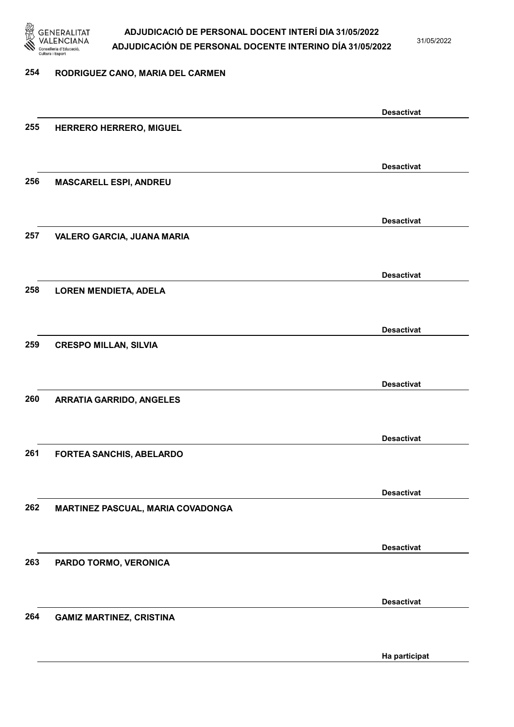

31/05/2022

#### 254 RODRIGUEZ CANO, MARIA DEL CARMEN

|     |                                   | <b>Desactivat</b> |
|-----|-----------------------------------|-------------------|
| 255 | HERRERO HERRERO, MIGUEL           |                   |
|     |                                   |                   |
|     |                                   | <b>Desactivat</b> |
| 256 | <b>MASCARELL ESPI, ANDREU</b>     |                   |
|     |                                   |                   |
|     |                                   | <b>Desactivat</b> |
| 257 | VALERO GARCIA, JUANA MARIA        |                   |
|     |                                   |                   |
|     |                                   | <b>Desactivat</b> |
| 258 | <b>LOREN MENDIETA, ADELA</b>      |                   |
|     |                                   |                   |
|     |                                   |                   |
| 259 | <b>CRESPO MILLAN, SILVIA</b>      | <b>Desactivat</b> |
|     |                                   |                   |
|     |                                   |                   |
|     |                                   | <b>Desactivat</b> |
| 260 | <b>ARRATIA GARRIDO, ANGELES</b>   |                   |
|     |                                   |                   |
|     |                                   | <b>Desactivat</b> |
| 261 | FORTEA SANCHIS, ABELARDO          |                   |
|     |                                   |                   |
|     |                                   | <b>Desactivat</b> |
| 262 | MARTINEZ PASCUAL, MARIA COVADONGA |                   |
|     |                                   |                   |
|     |                                   | <b>Desactivat</b> |
| 263 | PARDO TORMO, VERONICA             |                   |
|     |                                   |                   |
|     |                                   | <b>Desactivat</b> |
| 264 | <b>GAMIZ MARTINEZ, CRISTINA</b>   |                   |
|     |                                   |                   |
|     |                                   | Ha participat     |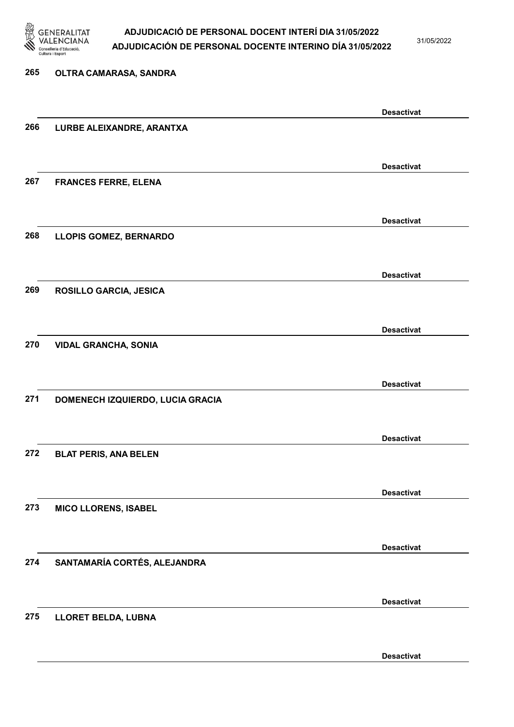

31/05/2022

## 265 OLTRA CAMARASA, SANDRA Desactivat 266 LURBE ALEIXANDRE, ARANTXA Desactivat 267 FRANCES FERRE, ELENA Desactivat 268 LLOPIS GOMEZ, BERNARDO Desactivat 269 ROSILLO GARCIA, JESICA Desactivat 270 VIDAL GRANCHA, SONIA Desactivat 271 DOMENECH IZQUIERDO, LUCIA GRACIA Desactivat 272 BLAT PERIS, ANA BELEN Desactivat 273 MICO LLORENS, ISABEL Desactivat 274 SANTAMARÍA CORTÉS, ALEJANDRA Desactivat 275 LLORET BELDA, LUBNA Desactivat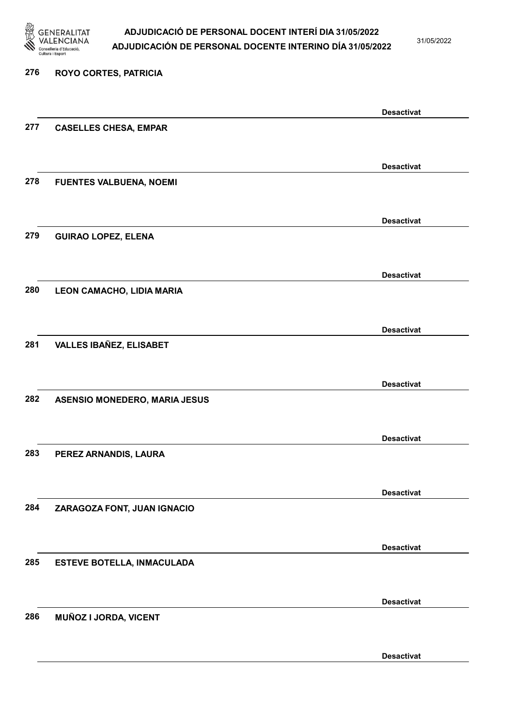

31/05/2022

Desactivat

# 276 ROYO CORTES, PATRICIA Desactivat 277 CASELLES CHESA, EMPAR Desactivat 278 FUENTES VALBUENA, NOEMI Desactivat 279 GUIRAO LOPEZ, ELENA Desactivat 280 LEON CAMACHO, LIDIA MARIA Desactivat 281 VALLES IBAÑEZ, ELISABET Desactivat 282 ASENSIO MONEDERO, MARIA JESUS Desactivat 283 PEREZ ARNANDIS, LAURA Desactivat 284 ZARAGOZA FONT, JUAN IGNACIO Desactivat 285 ESTEVE BOTELLA, INMACULADA Desactivat 286 MUÑOZ I JORDA, VICENT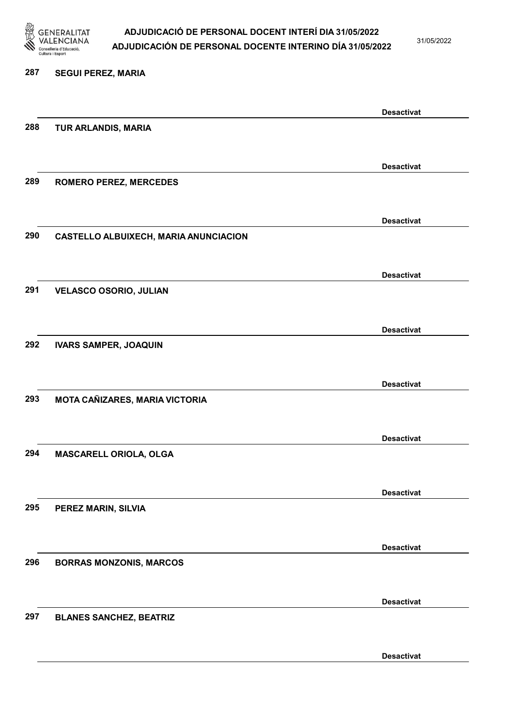

31/05/2022

#### 287 SEGUI PEREZ, MARIA

|     |                                              | <b>Desactivat</b> |
|-----|----------------------------------------------|-------------------|
| 288 | TUR ARLANDIS, MARIA                          |                   |
|     |                                              |                   |
|     |                                              | <b>Desactivat</b> |
| 289 | <b>ROMERO PEREZ, MERCEDES</b>                |                   |
|     |                                              |                   |
|     |                                              |                   |
|     |                                              | <b>Desactivat</b> |
| 290 | <b>CASTELLO ALBUIXECH, MARIA ANUNCIACION</b> |                   |
|     |                                              |                   |
|     |                                              | <b>Desactivat</b> |
| 291 | <b>VELASCO OSORIO, JULIAN</b>                |                   |
|     |                                              |                   |
|     |                                              | <b>Desactivat</b> |
| 292 | <b>IVARS SAMPER, JOAQUIN</b>                 |                   |
|     |                                              |                   |
|     |                                              |                   |
|     |                                              | <b>Desactivat</b> |
| 293 | MOTA CAÑIZARES, MARIA VICTORIA               |                   |
|     |                                              |                   |
|     |                                              | <b>Desactivat</b> |
| 294 | MASCARELL ORIOLA, OLGA                       |                   |
|     |                                              |                   |
|     |                                              | <b>Desactivat</b> |
| 295 | PEREZ MARIN, SILVIA                          |                   |
|     |                                              |                   |
|     |                                              |                   |
|     |                                              | <b>Desactivat</b> |
| 296 | <b>BORRAS MONZONIS, MARCOS</b>               |                   |
|     |                                              |                   |
|     |                                              | <b>Desactivat</b> |
| 297 | <b>BLANES SANCHEZ, BEATRIZ</b>               |                   |
|     |                                              |                   |
|     |                                              | <b>Desactivat</b> |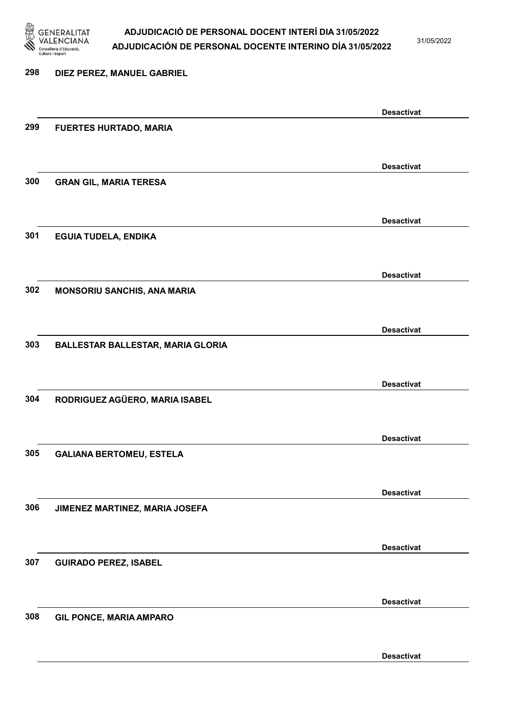

31/05/2022

Desactivat

# 298 DIEZ PEREZ, MANUEL GABRIEL Desactivat 299 FUERTES HURTADO, MARIA Desactivat 300 GRAN GIL, MARIA TERESA Desactivat 301 EGUIA TUDELA, ENDIKA Desactivat 302 MONSORIU SANCHIS, ANA MARIA Desactivat 303 BALLESTAR BALLESTAR, MARIA GLORIA Desactivat 304 RODRIGUEZ AGÜERO, MARIA ISABEL Desactivat 305 GALIANA BERTOMEU, ESTELA Desactivat 306 JIMENEZ MARTINEZ, MARIA JOSEFA Desactivat 307 GUIRADO PEREZ, ISABEL Desactivat 308 GIL PONCE, MARIA AMPARO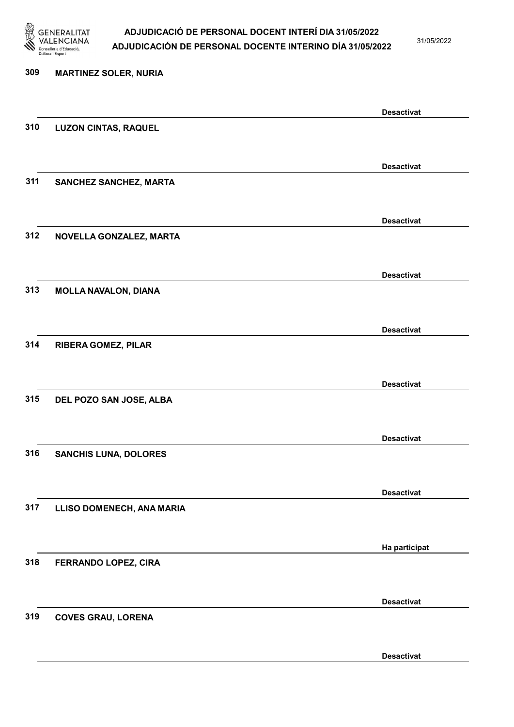

31/05/2022

Desactivat

# 309 MARTINEZ SOLER, NURIA Desactivat 310 LUZON CINTAS, RAQUEL Desactivat 311 SANCHEZ SANCHEZ, MARTA Desactivat 312 NOVELLA GONZALEZ, MARTA Desactivat 313 MOLLA NAVALON, DIANA Desactivat 314 RIBERA GOMEZ, PILAR Desactivat 315 DEL POZO SAN JOSE, ALBA Desactivat 316 SANCHIS LUNA, DOLORES Desactivat 317 LLISO DOMENECH, ANA MARIA Ha participat 318 FERRANDO LOPEZ, CIRA Desactivat 319 COVES GRAU, LORENA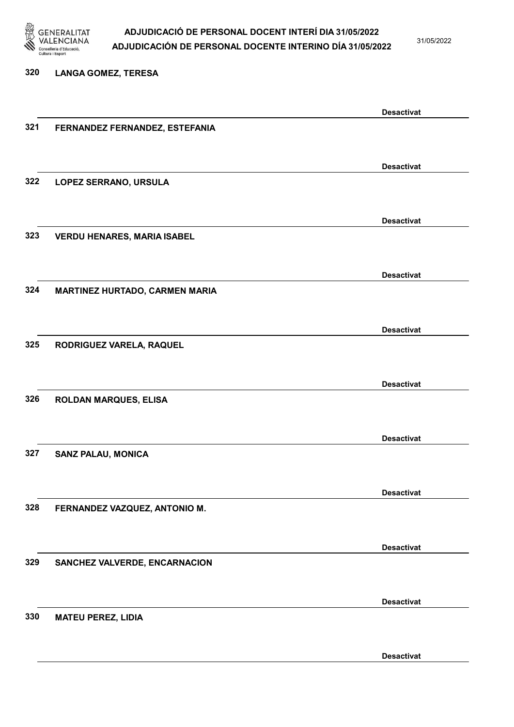

31/05/2022

#### 320 LANGA GOMEZ, TERESA

|     |                                    | <b>Desactivat</b> |
|-----|------------------------------------|-------------------|
| 321 | FERNANDEZ FERNANDEZ, ESTEFANIA     |                   |
|     |                                    |                   |
|     |                                    |                   |
|     |                                    | <b>Desactivat</b> |
| 322 | LOPEZ SERRANO, URSULA              |                   |
|     |                                    |                   |
|     |                                    |                   |
|     |                                    | <b>Desactivat</b> |
| 323 | <b>VERDU HENARES, MARIA ISABEL</b> |                   |
|     |                                    |                   |
|     |                                    | <b>Desactivat</b> |
| 324 |                                    |                   |
|     | MARTINEZ HURTADO, CARMEN MARIA     |                   |
|     |                                    |                   |
|     |                                    | <b>Desactivat</b> |
| 325 | RODRIGUEZ VARELA, RAQUEL           |                   |
|     |                                    |                   |
|     |                                    |                   |
|     |                                    | <b>Desactivat</b> |
| 326 | <b>ROLDAN MARQUES, ELISA</b>       |                   |
|     |                                    |                   |
|     |                                    |                   |
|     |                                    | <b>Desactivat</b> |
| 327 | <b>SANZ PALAU, MONICA</b>          |                   |
|     |                                    |                   |
|     |                                    | <b>Desactivat</b> |
| 328 | FERNANDEZ VAZQUEZ, ANTONIO M.      |                   |
|     |                                    |                   |
|     |                                    |                   |
|     |                                    | <b>Desactivat</b> |
| 329 | SANCHEZ VALVERDE, ENCARNACION      |                   |
|     |                                    |                   |
|     |                                    |                   |
|     |                                    | <b>Desactivat</b> |
| 330 | <b>MATEU PEREZ, LIDIA</b>          |                   |
|     |                                    |                   |
|     |                                    |                   |
|     |                                    | <b>Desactivat</b> |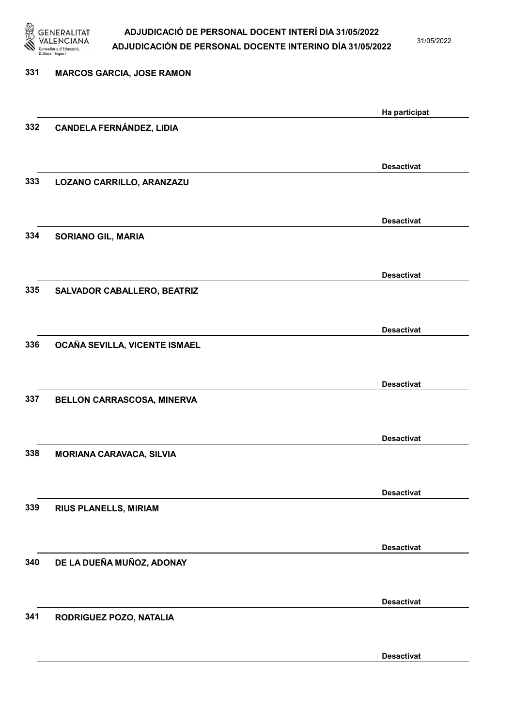

31/05/2022

| 331 | <b>MARCOS GARCIA, JOSE RAMON</b> |                   |
|-----|----------------------------------|-------------------|
|     |                                  | Ha participat     |
| 332 | <b>CANDELA FERNÁNDEZ, LIDIA</b>  |                   |
|     |                                  | <b>Desactivat</b> |
| 333 | LOZANO CARRILLO, ARANZAZU        |                   |
|     |                                  | <b>Desactivat</b> |
| 334 | <b>SORIANO GIL, MARIA</b>        |                   |
|     |                                  | <b>Desactivat</b> |
| 335 | SALVADOR CABALLERO, BEATRIZ      |                   |
| 336 | OCAÑA SEVILLA, VICENTE ISMAEL    | <b>Desactivat</b> |
|     |                                  |                   |
| 337 | BELLON CARRASCOSA, MINERVA       | <b>Desactivat</b> |
|     |                                  |                   |
| 338 | <b>MORIANA CARAVACA, SILVIA</b>  | <b>Desactivat</b> |
|     |                                  |                   |
| 339 | RIUS PLANELLS, MIRIAM            | <b>Desactivat</b> |
|     |                                  |                   |
| 340 | DE LA DUEÑA MUÑOZ, ADONAY        | <b>Desactivat</b> |
|     |                                  | <b>Desactivat</b> |
| 341 | RODRIGUEZ POZO, NATALIA          |                   |
|     |                                  | <b>Desactivat</b> |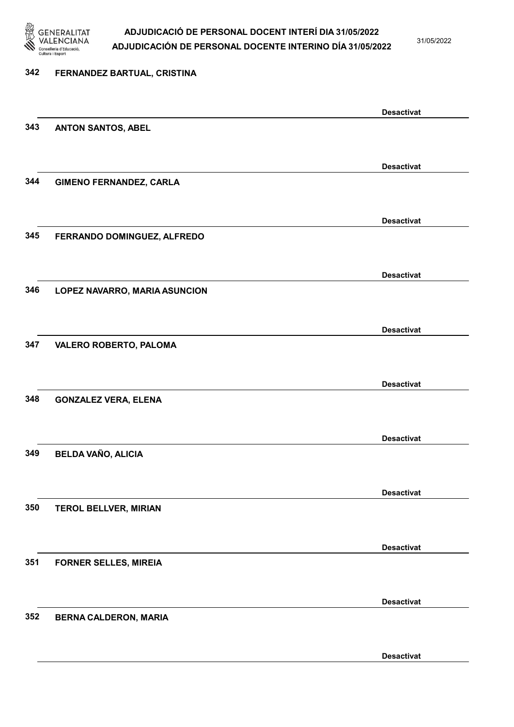

31/05/2022

## 342 FERNANDEZ BARTUAL, CRISTINA Desactivat 343 ANTON SANTOS, ABEL Desactivat 344 GIMENO FERNANDEZ, CARLA Desactivat 345 FERRANDO DOMINGUEZ, ALFREDO Desactivat 346 LOPEZ NAVARRO, MARIA ASUNCION Desactivat 347 VALERO ROBERTO, PALOMA Desactivat 348 GONZALEZ VERA, ELENA Desactivat 349 BELDA VAÑO, ALICIA Desactivat 350 TEROL BELLVER, MIRIAN Desactivat 351 FORNER SELLES, MIREIA Desactivat 352 BERNA CALDERON, MARIA Desactivat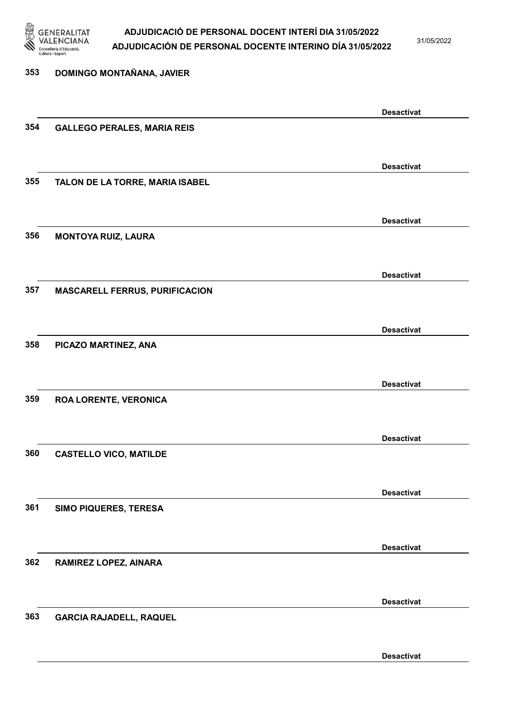

31/05/2022

## 353 DOMINGO MONTAÑANA, JAVIER Desactivat 354 GALLEGO PERALES, MARIA REIS Desactivat 355 TALON DE LA TORRE, MARIA ISABEL Desactivat 356 MONTOYA RUIZ, LAURA Desactivat 357 MASCARELL FERRUS, PURIFICACION Desactivat 358 PICAZO MARTINEZ, ANA Desactivat 359 ROA LORENTE, VERONICA Desactivat 360 CASTELLO VICO, MATILDE Desactivat 361 SIMO PIQUERES, TERESA Desactivat 362 RAMIREZ LOPEZ, AINARA Desactivat 363 GARCIA RAJADELL, RAQUEL Desactivat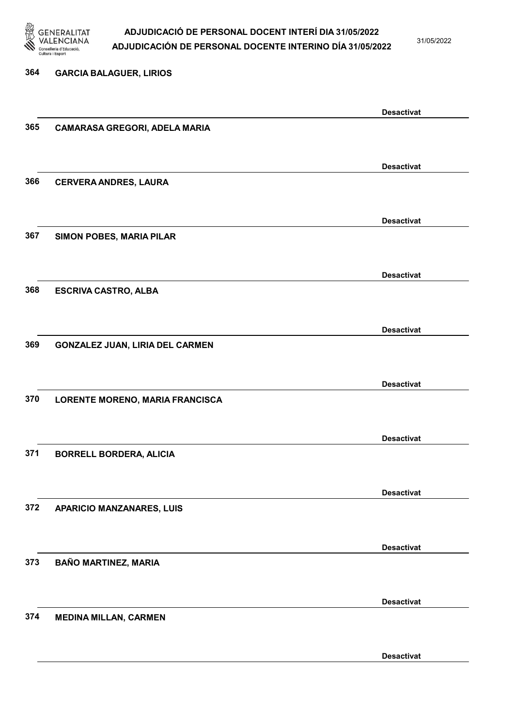

31/05/2022

Desactivat

# 364 GARCIA BALAGUER, LIRIOS Desactivat 365 CAMARASA GREGORI, ADELA MARIA Desactivat 366 CERVERA ANDRES, LAURA Desactivat 367 SIMON POBES, MARIA PILAR Desactivat 368 ESCRIVA CASTRO, ALBA Desactivat 369 GONZALEZ JUAN, LIRIA DEL CARMEN Desactivat 370 LORENTE MORENO, MARIA FRANCISCA Desactivat 371 BORRELL BORDERA, ALICIA Desactivat 372 APARICIO MANZANARES, LUIS Desactivat 373 BAÑO MARTINEZ, MARIA Desactivat 374 MEDINA MILLAN, CARMEN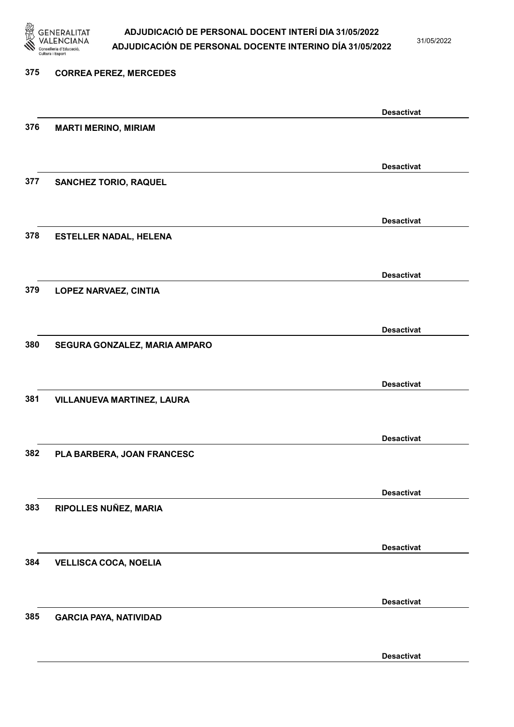

31/05/2022

Desactivat

# 375 CORREA PEREZ, MERCEDES Desactivat 376 MARTI MERINO, MIRIAM Desactivat 377 SANCHEZ TORIO, RAQUEL Desactivat 378 ESTELLER NADAL, HELENA Desactivat 379 LOPEZ NARVAEZ, CINTIA Desactivat 380 SEGURA GONZALEZ, MARIA AMPARO Desactivat 381 VILLANUEVA MARTINEZ, LAURA Desactivat 382 PLA BARBERA, JOAN FRANCESC Desactivat 383 RIPOLLES NUÑEZ, MARIA Desactivat 384 VELLISCA COCA, NOELIA Desactivat 385 GARCIA PAYA, NATIVIDAD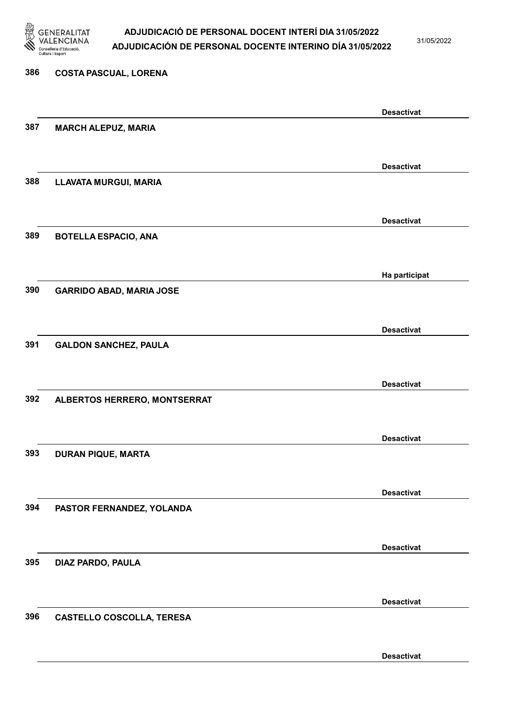

31/05/2022

Desactivat

# 386 COSTA PASCUAL, LORENA Desactivat 387 MARCH ALEPUZ, MARIA Desactivat 388 LLAVATA MURGUI, MARIA Desactivat 389 BOTELLA ESPACIO, ANA Ha participat 390 GARRIDO ABAD, MARIA JOSE Desactivat 391 GALDON SANCHEZ, PAULA Desactivat 392 ALBERTOS HERRERO, MONTSERRAT Desactivat 393 DURAN PIQUE, MARTA Desactivat 394 PASTOR FERNANDEZ, YOLANDA Desactivat 395 DIAZ PARDO, PAULA Desactivat 396 CASTELLO COSCOLLA, TERESA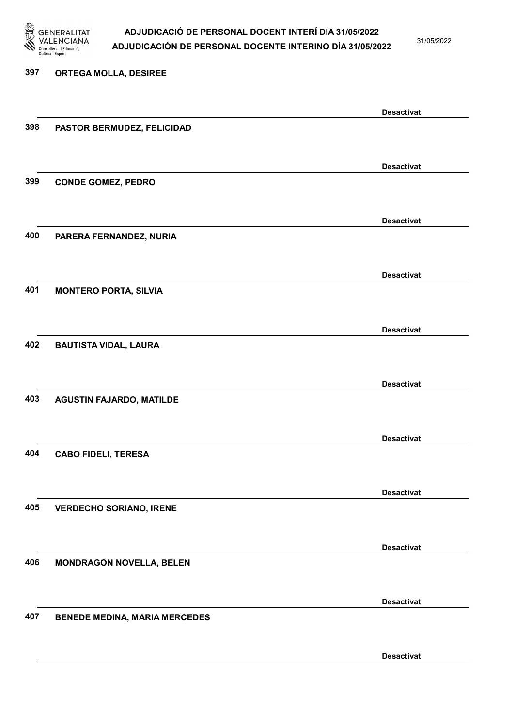

397 ORTEGA MOLLA, DESIREE

### ADJUDICACIÓ DE PERSONAL DOCENT INTERÍ DIA 31/05/2022 ADJUDICACIÓN DE PERSONAL DOCENTE INTERINO DÍA 31/05/2022

31/05/2022

# Desactivat 398 PASTOR BERMUDEZ, FELICIDAD Desactivat 399 CONDE GOMEZ, PEDRO Desactivat 400 PARERA FERNANDEZ, NURIA Desactivat 401 MONTERO PORTA, SILVIA Desactivat 402 BAUTISTA VIDAL, LAURA Desactivat 403 AGUSTIN FAJARDO, MATILDE Desactivat 404 CABO FIDELI, TERESA Desactivat 405 VERDECHO SORIANO, IRENE Desactivat 406 MONDRAGON NOVELLA, BELEN Desactivat 407 BENEDE MEDINA, MARIA MERCEDES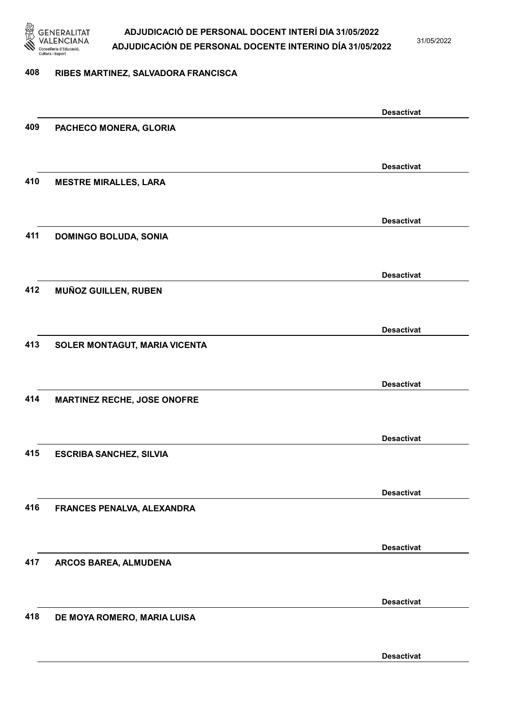

31/05/2022

#### 408 RIBES MARTINEZ, SALVADORA FRANCISCA

|     |                                    | <b>Desactivat</b> |
|-----|------------------------------------|-------------------|
| 409 | PACHECO MONERA, GLORIA             |                   |
|     |                                    |                   |
|     |                                    | <b>Desactivat</b> |
| 410 | <b>MESTRE MIRALLES, LARA</b>       |                   |
|     |                                    |                   |
|     |                                    |                   |
|     |                                    | <b>Desactivat</b> |
| 411 | <b>DOMINGO BOLUDA, SONIA</b>       |                   |
|     |                                    |                   |
|     |                                    | <b>Desactivat</b> |
| 412 | MUÑOZ GUILLEN, RUBEN               |                   |
|     |                                    |                   |
|     |                                    |                   |
|     |                                    | <b>Desactivat</b> |
| 413 | SOLER MONTAGUT, MARIA VICENTA      |                   |
|     |                                    |                   |
|     |                                    | <b>Desactivat</b> |
| 414 | <b>MARTINEZ RECHE, JOSE ONOFRE</b> |                   |
|     |                                    |                   |
|     |                                    | <b>Desactivat</b> |
| 415 | <b>ESCRIBA SANCHEZ, SILVIA</b>     |                   |
|     |                                    |                   |
|     |                                    |                   |
|     |                                    | <b>Desactivat</b> |
| 416 | FRANCES PENALVA, ALEXANDRA         |                   |
|     |                                    |                   |
|     |                                    | <b>Desactivat</b> |
| 417 | ARCOS BAREA, ALMUDENA              |                   |
|     |                                    |                   |
|     |                                    |                   |
|     |                                    | <b>Desactivat</b> |
| 418 | DE MOYA ROMERO, MARIA LUISA        |                   |
|     |                                    |                   |
|     |                                    | <b>Desactivat</b> |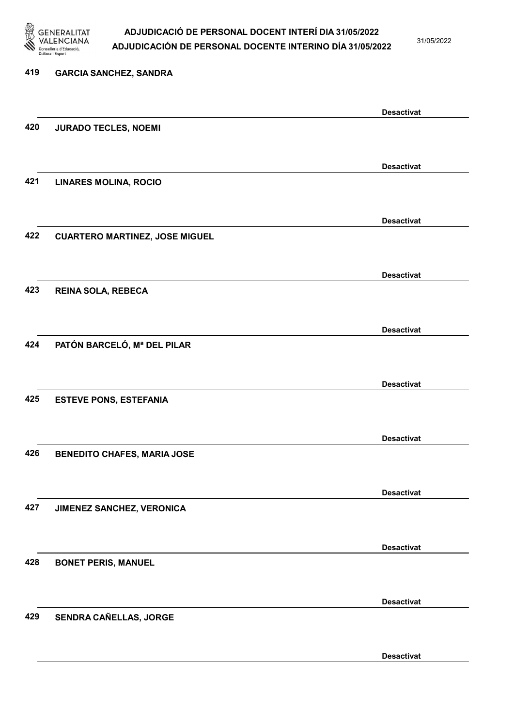

31/05/2022

| 419 | <b>GARCIA SANCHEZ, SANDRA</b>         |                   |
|-----|---------------------------------------|-------------------|
|     |                                       |                   |
|     |                                       | <b>Desactivat</b> |
| 420 | <b>JURADO TECLES, NOEMI</b>           |                   |
|     |                                       |                   |
|     |                                       | <b>Desactivat</b> |
| 421 | <b>LINARES MOLINA, ROCIO</b>          |                   |
|     |                                       |                   |
|     |                                       |                   |
| 422 |                                       | <b>Desactivat</b> |
|     | <b>CUARTERO MARTINEZ, JOSE MIGUEL</b> |                   |
|     |                                       |                   |
|     |                                       | <b>Desactivat</b> |
| 423 | <b>REINA SOLA, REBECA</b>             |                   |
|     |                                       |                   |
|     |                                       | <b>Desactivat</b> |
| 424 | PATÓN BARCELÓ, Mª DEL PILAR           |                   |
|     |                                       |                   |
|     |                                       |                   |
| 425 |                                       | <b>Desactivat</b> |
|     | <b>ESTEVE PONS, ESTEFANIA</b>         |                   |
|     |                                       |                   |
|     |                                       | <b>Desactivat</b> |
| 426 | <b>BENEDITO CHAFES, MARIA JOSE</b>    |                   |
|     |                                       |                   |
|     |                                       | <b>Desactivat</b> |
| 427 | JIMENEZ SANCHEZ, VERONICA             |                   |
|     |                                       |                   |
|     |                                       |                   |
| 428 |                                       | <b>Desactivat</b> |
|     | <b>BONET PERIS, MANUEL</b>            |                   |
|     |                                       |                   |
|     |                                       | <b>Desactivat</b> |
| 429 | SENDRA CAÑELLAS, JORGE                |                   |
|     |                                       |                   |
|     |                                       |                   |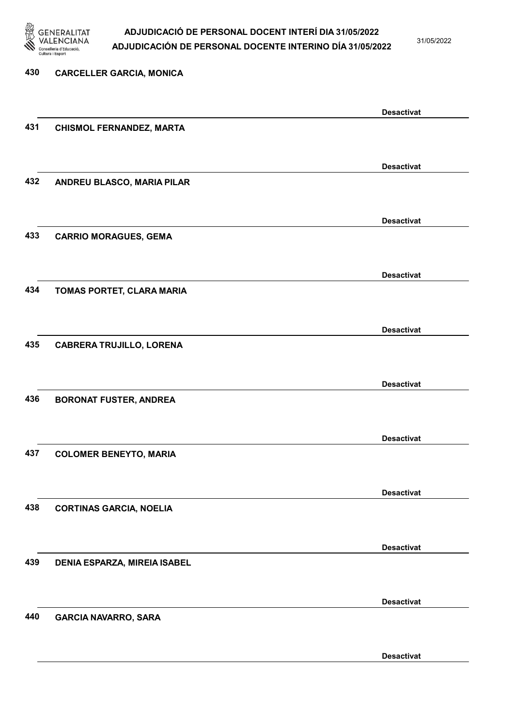

31/05/2022

| 430 | <b>CARCELLER GARCIA, MONICA</b>     |                   |
|-----|-------------------------------------|-------------------|
|     |                                     |                   |
|     |                                     | <b>Desactivat</b> |
| 431 | <b>CHISMOL FERNANDEZ, MARTA</b>     |                   |
|     |                                     |                   |
|     |                                     | <b>Desactivat</b> |
| 432 | ANDREU BLASCO, MARIA PILAR          |                   |
|     |                                     |                   |
|     |                                     | <b>Desactivat</b> |
| 433 | <b>CARRIO MORAGUES, GEMA</b>        |                   |
|     |                                     |                   |
|     |                                     | <b>Desactivat</b> |
| 434 | TOMAS PORTET, CLARA MARIA           |                   |
|     |                                     |                   |
|     |                                     | <b>Desactivat</b> |
| 435 | <b>CABRERA TRUJILLO, LORENA</b>     |                   |
|     |                                     |                   |
|     |                                     | <b>Desactivat</b> |
| 436 | <b>BORONAT FUSTER, ANDREA</b>       |                   |
|     |                                     |                   |
|     |                                     | <b>Desactivat</b> |
| 437 | <b>COLOMER BENEYTO, MARIA</b>       |                   |
|     |                                     |                   |
|     |                                     | <b>Desactivat</b> |
| 438 | <b>CORTINAS GARCIA, NOELIA</b>      |                   |
|     |                                     |                   |
|     |                                     | <b>Desactivat</b> |
| 439 | <b>DENIA ESPARZA, MIREIA ISABEL</b> |                   |
|     |                                     |                   |
|     |                                     | <b>Desactivat</b> |
| 440 | <b>GARCIA NAVARRO, SARA</b>         |                   |
|     |                                     |                   |
|     |                                     |                   |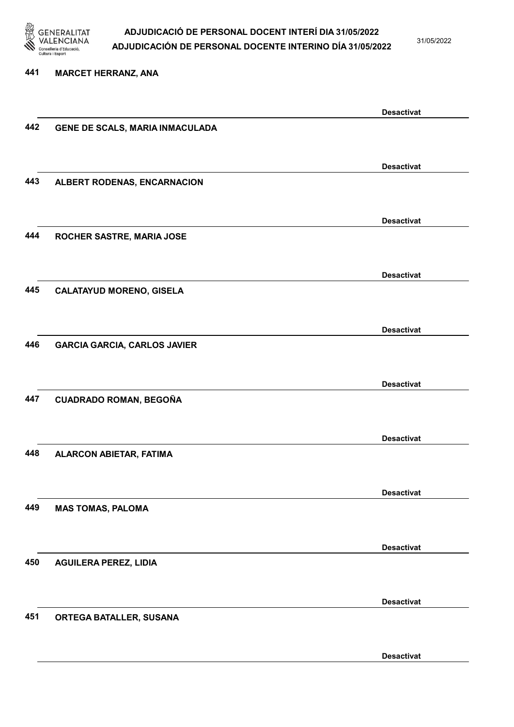

31/05/2022

#### 441 MARCET HERRANZ, ANA

|     |                                     | <b>Desactivat</b> |
|-----|-------------------------------------|-------------------|
| 442 | GENE DE SCALS, MARIA INMACULADA     |                   |
|     |                                     |                   |
|     |                                     |                   |
|     |                                     | <b>Desactivat</b> |
| 443 | ALBERT RODENAS, ENCARNACION         |                   |
|     |                                     |                   |
|     |                                     |                   |
|     |                                     | <b>Desactivat</b> |
| 444 | ROCHER SASTRE, MARIA JOSE           |                   |
|     |                                     |                   |
|     |                                     |                   |
|     |                                     | <b>Desactivat</b> |
| 445 | <b>CALATAYUD MORENO, GISELA</b>     |                   |
|     |                                     |                   |
|     |                                     |                   |
|     |                                     | <b>Desactivat</b> |
| 446 | <b>GARCIA GARCIA, CARLOS JAVIER</b> |                   |
|     |                                     |                   |
|     |                                     |                   |
|     |                                     | <b>Desactivat</b> |
| 447 | <b>CUADRADO ROMAN, BEGOÑA</b>       |                   |
|     |                                     |                   |
|     |                                     |                   |
|     |                                     | <b>Desactivat</b> |
| 448 | <b>ALARCON ABIETAR, FATIMA</b>      |                   |
|     |                                     |                   |
|     |                                     |                   |
|     |                                     | <b>Desactivat</b> |
| 449 | <b>MAS TOMAS, PALOMA</b>            |                   |
|     |                                     |                   |
|     |                                     |                   |
|     |                                     | <b>Desactivat</b> |
| 450 | <b>AGUILERA PEREZ, LIDIA</b>        |                   |
|     |                                     |                   |
|     |                                     |                   |
|     |                                     | <b>Desactivat</b> |
| 451 | ORTEGA BATALLER, SUSANA             |                   |
|     |                                     |                   |
|     |                                     |                   |
|     |                                     | <b>Desactivat</b> |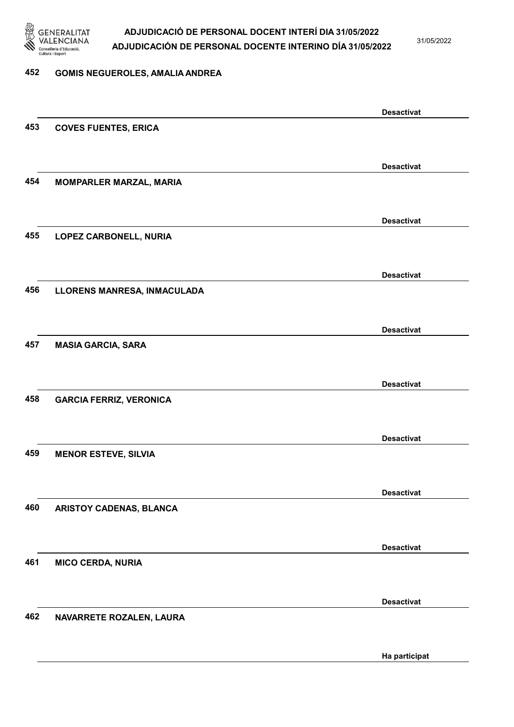

31/05/2022

#### 452 GOMIS NEGUEROLES, AMALIA ANDREA

|     |                                | <b>Desactivat</b> |
|-----|--------------------------------|-------------------|
| 453 | <b>COVES FUENTES, ERICA</b>    |                   |
|     |                                |                   |
|     |                                | <b>Desactivat</b> |
| 454 | <b>MOMPARLER MARZAL, MARIA</b> |                   |
|     |                                |                   |
|     |                                | <b>Desactivat</b> |
| 455 | LOPEZ CARBONELL, NURIA         |                   |
|     |                                |                   |
|     |                                |                   |
|     |                                | <b>Desactivat</b> |
| 456 | LLORENS MANRESA, INMACULADA    |                   |
|     |                                |                   |
|     |                                | <b>Desactivat</b> |
| 457 | <b>MASIA GARCIA, SARA</b>      |                   |
|     |                                |                   |
|     |                                | <b>Desactivat</b> |
| 458 | <b>GARCIA FERRIZ, VERONICA</b> |                   |
|     |                                |                   |
|     |                                | <b>Desactivat</b> |
| 459 | <b>MENOR ESTEVE, SILVIA</b>    |                   |
|     |                                |                   |
|     |                                | <b>Desactivat</b> |
| 460 | ARISTOY CADENAS, BLANCA        |                   |
|     |                                |                   |
|     |                                |                   |
| 461 | <b>MICO CERDA, NURIA</b>       | <b>Desactivat</b> |
|     |                                |                   |
|     |                                |                   |
|     |                                | <b>Desactivat</b> |
| 462 | NAVARRETE ROZALEN, LAURA       |                   |
|     |                                |                   |
|     |                                | Ha participat     |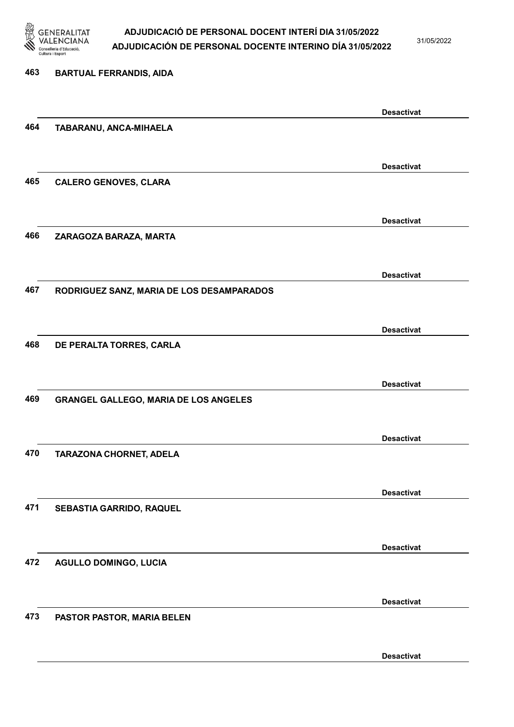

31/05/2022

| 463 | <b>BARTUAL FERRANDIS, AIDA</b>               |                   |
|-----|----------------------------------------------|-------------------|
|     |                                              | <b>Desactivat</b> |
| 464 | TABARANU, ANCA-MIHAELA                       |                   |
|     |                                              | <b>Desactivat</b> |
| 465 | <b>CALERO GENOVES, CLARA</b>                 |                   |
|     |                                              | <b>Desactivat</b> |
| 466 | ZARAGOZA BARAZA, MARTA                       |                   |
|     |                                              | <b>Desactivat</b> |
| 467 | RODRIGUEZ SANZ, MARIA DE LOS DESAMPARADOS    |                   |
|     |                                              | <b>Desactivat</b> |
| 468 | DE PERALTA TORRES, CARLA                     |                   |
|     |                                              | <b>Desactivat</b> |
| 469 | <b>GRANGEL GALLEGO, MARIA DE LOS ANGELES</b> |                   |
|     |                                              | <b>Desactivat</b> |
| 470 | TARAZONA CHORNET, ADELA                      |                   |
|     |                                              | <b>Desactivat</b> |
| 471 | SEBASTIA GARRIDO, RAQUEL                     |                   |
|     |                                              | <b>Desactivat</b> |
| 472 | <b>AGULLO DOMINGO, LUCIA</b>                 |                   |
|     |                                              | <b>Desactivat</b> |
| 473 | PASTOR PASTOR, MARIA BELEN                   |                   |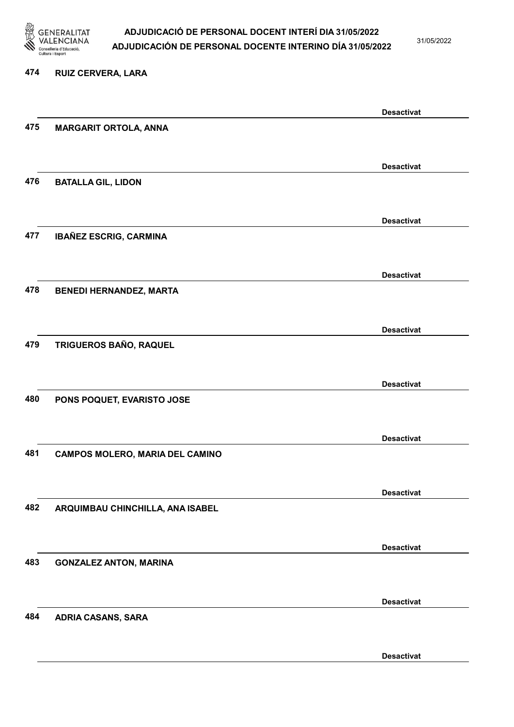

31/05/2022

#### 474 RUIZ CERVERA, LARA

|     |                                        | <b>Desactivat</b> |
|-----|----------------------------------------|-------------------|
| 475 | <b>MARGARIT ORTOLA, ANNA</b>           |                   |
|     |                                        |                   |
|     |                                        | <b>Desactivat</b> |
| 476 | <b>BATALLA GIL, LIDON</b>              |                   |
|     |                                        |                   |
|     |                                        | <b>Desactivat</b> |
| 477 | <b>IBAÑEZ ESCRIG, CARMINA</b>          |                   |
|     |                                        |                   |
|     |                                        | <b>Desactivat</b> |
| 478 | <b>BENEDI HERNANDEZ, MARTA</b>         |                   |
|     |                                        |                   |
|     |                                        |                   |
| 479 | TRIGUEROS BAÑO, RAQUEL                 | <b>Desactivat</b> |
|     |                                        |                   |
|     |                                        |                   |
|     |                                        | <b>Desactivat</b> |
| 480 | PONS POQUET, EVARISTO JOSE             |                   |
|     |                                        |                   |
|     |                                        | <b>Desactivat</b> |
| 481 | <b>CAMPOS MOLERO, MARIA DEL CAMINO</b> |                   |
|     |                                        |                   |
|     |                                        | <b>Desactivat</b> |
| 482 | ARQUIMBAU CHINCHILLA, ANA ISABEL       |                   |
|     |                                        |                   |
|     |                                        | <b>Desactivat</b> |
| 483 | <b>GONZALEZ ANTON, MARINA</b>          |                   |
|     |                                        |                   |
|     |                                        | <b>Desactivat</b> |
| 484 | <b>ADRIA CASANS, SARA</b>              |                   |
|     |                                        |                   |
|     |                                        | <b>Desactivat</b> |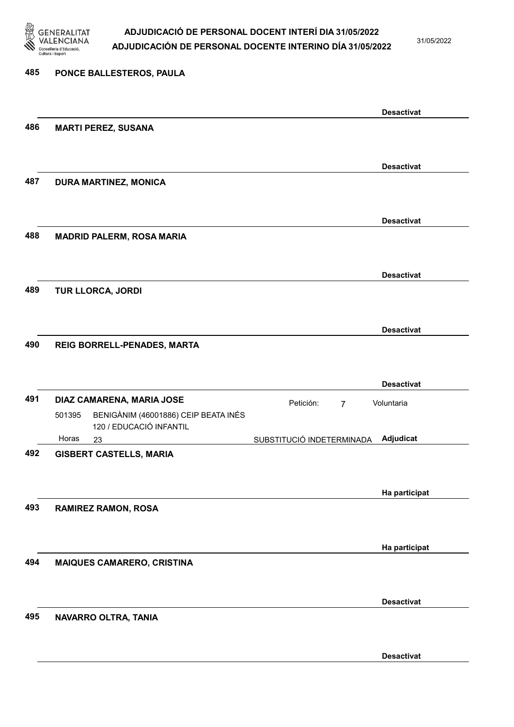

485 PONCE BALLESTEROS, PAULA

#### ADJUDICACIÓ DE PERSONAL DOCENT INTERÍ DIA 31/05/2022 ADJUDICACIÓN DE PERSONAL DOCENTE INTERINO DÍA 31/05/2022

31/05/2022

### Desactivat 486 MARTI PEREZ, SUSANA Desactivat 487 DURA MARTINEZ, MONICA Desactivat 488 MADRID PALERM, ROSA MARIA Desactivat 489 TUR LLORCA, JORDI Desactivat 490 REIG BORRELL-PENADES, MARTA Desactivat 491 DIAZ CAMARENA, MARIA JOSE Petición: 7 23 SUBSTITUCIÓ INDETERMINADA BENIGÀNIM (46001886) CEIP BEATA INÉS 120 / EDUCACIÓ INFANTIL Adjudicat Voluntaria 501395 Horas 492 GISBERT CASTELLS, MARIA Ha participat 493 RAMIREZ RAMON, ROSA Ha participat 494 MAIQUES CAMARERO, CRISTINA

#### 495 NAVARRO OLTRA, TANIA

Desactivat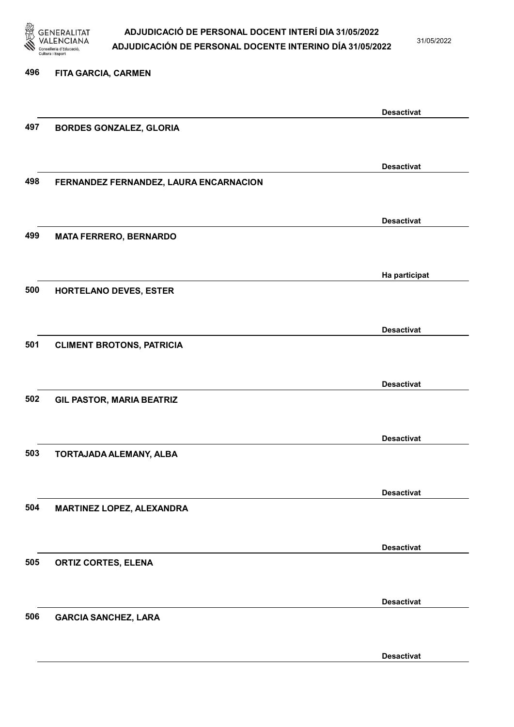

31/05/2022

# 496 FITA GARCIA, CARMEN Desactivat 497 BORDES GONZALEZ, GLORIA Desactivat 498 FERNANDEZ FERNANDEZ, LAURA ENCARNACION Desactivat 499 MATA FERRERO, BERNARDO Ha participat 500 HORTELANO DEVES, ESTER Desactivat 501 CLIMENT BROTONS, PATRICIA Desactivat 502 GIL PASTOR, MARIA BEATRIZ Desactivat 503 TORTAJADA ALEMANY, ALBA Desactivat 504 MARTINEZ LOPEZ, ALEXANDRA Desactivat 505 ORTIZ CORTES, ELENA Desactivat 506 GARCIA SANCHEZ, LARA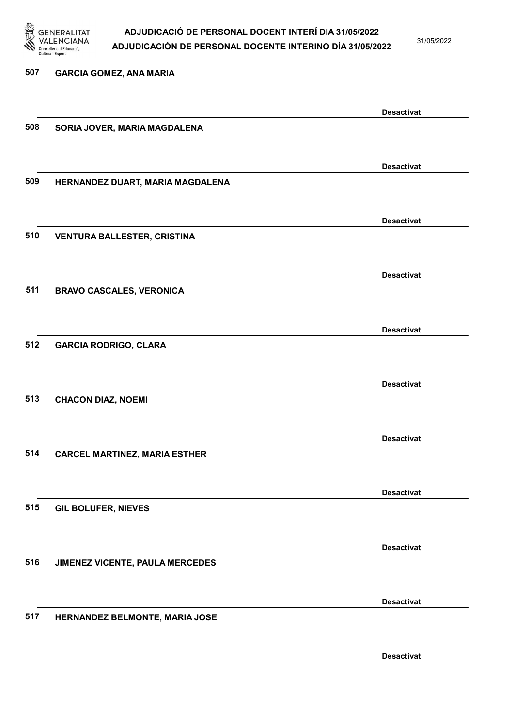

31/05/2022

| 507 | <b>GARCIA GOMEZ, ANA MARIA</b>       |                   |
|-----|--------------------------------------|-------------------|
|     |                                      | <b>Desactivat</b> |
| 508 | SORIA JOVER, MARIA MAGDALENA         |                   |
|     |                                      | <b>Desactivat</b> |
| 509 | HERNANDEZ DUART, MARIA MAGDALENA     |                   |
|     |                                      | <b>Desactivat</b> |
| 510 | <b>VENTURA BALLESTER, CRISTINA</b>   |                   |
|     |                                      | <b>Desactivat</b> |
| 511 | <b>BRAVO CASCALES, VERONICA</b>      |                   |
|     |                                      | <b>Desactivat</b> |
| 512 | <b>GARCIA RODRIGO, CLARA</b>         |                   |
|     |                                      | <b>Desactivat</b> |
| 513 | <b>CHACON DIAZ, NOEMI</b>            |                   |
|     |                                      | <b>Desactivat</b> |
| 514 | <b>CARCEL MARTINEZ, MARIA ESTHER</b> |                   |
|     |                                      | <b>Desactivat</b> |
| 515 | <b>GIL BOLUFER, NIEVES</b>           |                   |
|     |                                      | <b>Desactivat</b> |
| 516 | JIMENEZ VICENTE, PAULA MERCEDES      |                   |
|     |                                      | <b>Desactivat</b> |
| 517 | HERNANDEZ BELMONTE, MARIA JOSE       |                   |
|     |                                      | <b>Desactivat</b> |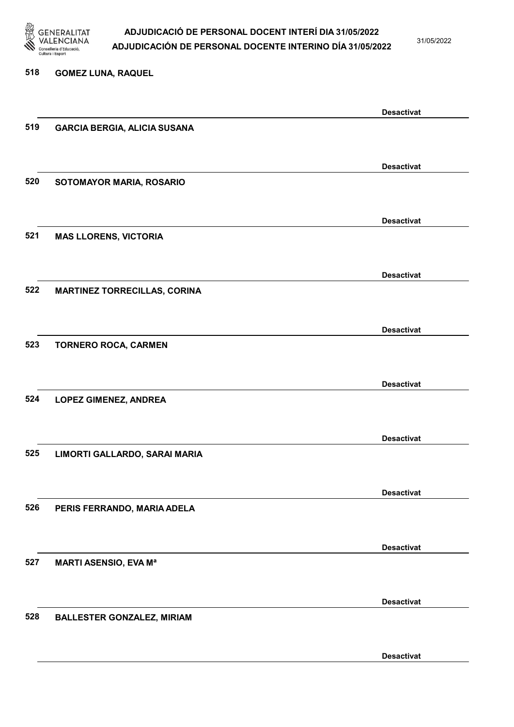

31/05/2022

#### 518 GOMEZ LUNA, RAQUEL

|     |                                     | <b>Desactivat</b> |
|-----|-------------------------------------|-------------------|
| 519 | <b>GARCIA BERGIA, ALICIA SUSANA</b> |                   |
|     |                                     |                   |
|     |                                     |                   |
|     |                                     | <b>Desactivat</b> |
| 520 | SOTOMAYOR MARIA, ROSARIO            |                   |
|     |                                     |                   |
|     |                                     |                   |
|     |                                     | <b>Desactivat</b> |
| 521 | <b>MAS LLORENS, VICTORIA</b>        |                   |
|     |                                     |                   |
|     |                                     |                   |
|     |                                     | <b>Desactivat</b> |
| 522 | <b>MARTINEZ TORRECILLAS, CORINA</b> |                   |
|     |                                     |                   |
|     |                                     |                   |
|     |                                     | <b>Desactivat</b> |
| 523 | <b>TORNERO ROCA, CARMEN</b>         |                   |
|     |                                     |                   |
|     |                                     |                   |
|     |                                     | <b>Desactivat</b> |
| 524 | <b>LOPEZ GIMENEZ, ANDREA</b>        |                   |
|     |                                     |                   |
|     |                                     |                   |
|     |                                     | <b>Desactivat</b> |
| 525 | LIMORTI GALLARDO, SARAI MARIA       |                   |
|     |                                     |                   |
|     |                                     |                   |
|     |                                     | <b>Desactivat</b> |
| 526 | PERIS FERRANDO, MARIA ADELA         |                   |
|     |                                     |                   |
|     |                                     |                   |
|     |                                     | <b>Desactivat</b> |
| 527 | <b>MARTI ASENSIO, EVA Ma</b>        |                   |
|     |                                     |                   |
|     |                                     |                   |
|     |                                     | <b>Desactivat</b> |
| 528 | <b>BALLESTER GONZALEZ, MIRIAM</b>   |                   |
|     |                                     |                   |
|     |                                     |                   |
|     |                                     | <b>Desactivat</b> |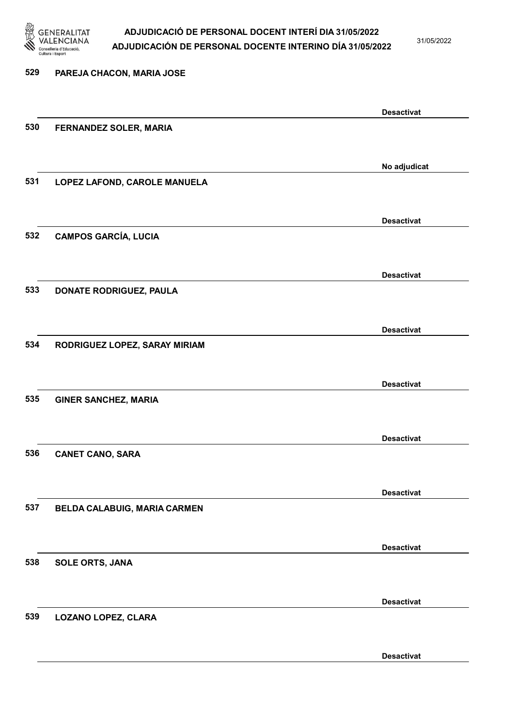

31/05/2022

| 529 | PAREJA CHACON, MARIA JOSE      |                   |
|-----|--------------------------------|-------------------|
|     |                                | <b>Desactivat</b> |
| 530 | FERNANDEZ SOLER, MARIA         |                   |
|     |                                | No adjudicat      |
| 531 | LOPEZ LAFOND, CAROLE MANUELA   |                   |
|     |                                | <b>Desactivat</b> |
| 532 | <b>CAMPOS GARCÍA, LUCIA</b>    |                   |
| 533 | <b>DONATE RODRIGUEZ, PAULA</b> | <b>Desactivat</b> |
|     |                                |                   |
| 534 | RODRIGUEZ LOPEZ, SARAY MIRIAM  | <b>Desactivat</b> |
|     |                                |                   |
| 535 | <b>GINER SANCHEZ, MARIA</b>    | <b>Desactivat</b> |
|     |                                |                   |
| 536 | <b>CANET CANO, SARA</b>        | <b>Desactivat</b> |
|     |                                | <b>Desactivat</b> |
| 537 | BELDA CALABUIG, MARIA CARMEN   |                   |
|     |                                | <b>Desactivat</b> |
| 538 | <b>SOLE ORTS, JANA</b>         |                   |
|     |                                | <b>Desactivat</b> |
| 539 | LOZANO LOPEZ, CLARA            |                   |
|     |                                | <b>Desactivat</b> |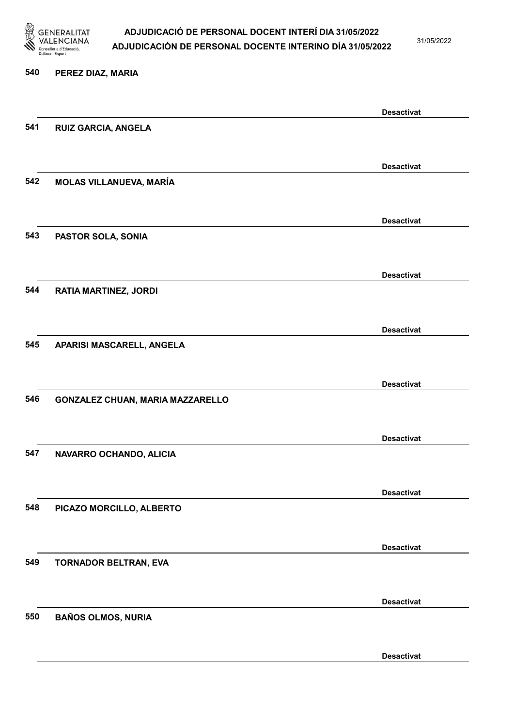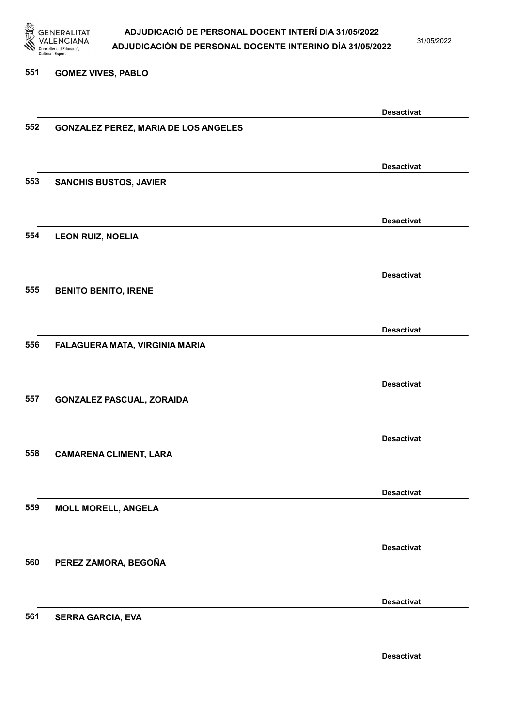

31/05/2022

#### 551 GOMEZ VIVES, PABLO

|     |                                             | <b>Desactivat</b> |
|-----|---------------------------------------------|-------------------|
| 552 | <b>GONZALEZ PEREZ, MARIA DE LOS ANGELES</b> |                   |
|     |                                             |                   |
|     |                                             |                   |
|     |                                             | <b>Desactivat</b> |
| 553 | <b>SANCHIS BUSTOS, JAVIER</b>               |                   |
|     |                                             |                   |
|     |                                             | <b>Desactivat</b> |
| 554 | <b>LEON RUIZ, NOELIA</b>                    |                   |
|     |                                             |                   |
|     |                                             |                   |
|     |                                             | <b>Desactivat</b> |
| 555 | <b>BENITO BENITO, IRENE</b>                 |                   |
|     |                                             |                   |
|     |                                             |                   |
|     |                                             | <b>Desactivat</b> |
| 556 | FALAGUERA MATA, VIRGINIA MARIA              |                   |
|     |                                             |                   |
|     |                                             | <b>Desactivat</b> |
| 557 | <b>GONZALEZ PASCUAL, ZORAIDA</b>            |                   |
|     |                                             |                   |
|     |                                             |                   |
|     |                                             | <b>Desactivat</b> |
| 558 | <b>CAMARENA CLIMENT, LARA</b>               |                   |
|     |                                             |                   |
|     |                                             |                   |
|     |                                             | <b>Desactivat</b> |
| 559 | <b>MOLL MORELL, ANGELA</b>                  |                   |
|     |                                             |                   |
|     |                                             | <b>Desactivat</b> |
| 560 | PEREZ ZAMORA, BEGOÑA                        |                   |
|     |                                             |                   |
|     |                                             |                   |
|     |                                             | <b>Desactivat</b> |
| 561 | <b>SERRA GARCIA, EVA</b>                    |                   |
|     |                                             |                   |
|     |                                             |                   |
|     |                                             | <b>Desactivat</b> |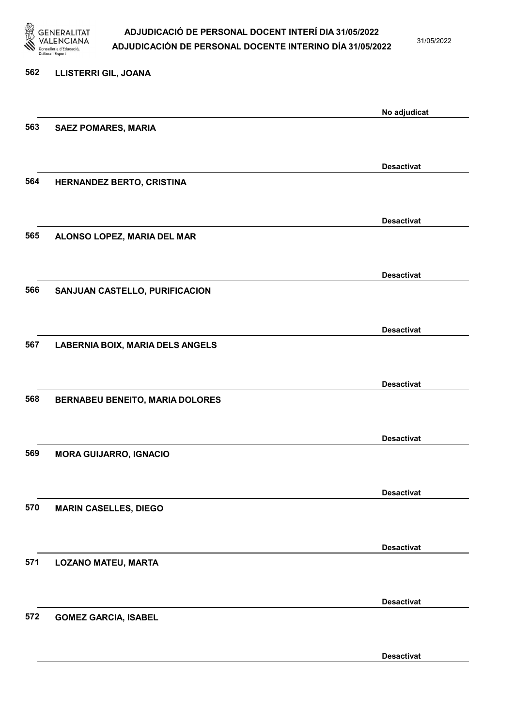

31/05/2022

| <b>LLISTERRI GIL, JOANA</b>             |                   |
|-----------------------------------------|-------------------|
|                                         | No adjudicat      |
| <b>SAEZ POMARES, MARIA</b>              |                   |
|                                         | <b>Desactivat</b> |
| HERNANDEZ BERTO, CRISTINA               |                   |
|                                         | <b>Desactivat</b> |
| ALONSO LOPEZ, MARIA DEL MAR             |                   |
|                                         | <b>Desactivat</b> |
| SANJUAN CASTELLO, PURIFICACION          |                   |
|                                         | <b>Desactivat</b> |
| <b>LABERNIA BOIX, MARIA DELS ANGELS</b> |                   |
|                                         | <b>Desactivat</b> |
| <b>BERNABEU BENEITO, MARIA DOLORES</b>  |                   |
|                                         | <b>Desactivat</b> |
| <b>MORA GUIJARRO, IGNACIO</b>           |                   |
|                                         | <b>Desactivat</b> |
| <b>MARIN CASELLES, DIEGO</b>            |                   |
|                                         | <b>Desactivat</b> |
| <b>LOZANO MATEU, MARTA</b>              |                   |
|                                         | <b>Desactivat</b> |
| <b>GOMEZ GARCIA, ISABEL</b>             |                   |
|                                         | <b>Desactivat</b> |
|                                         |                   |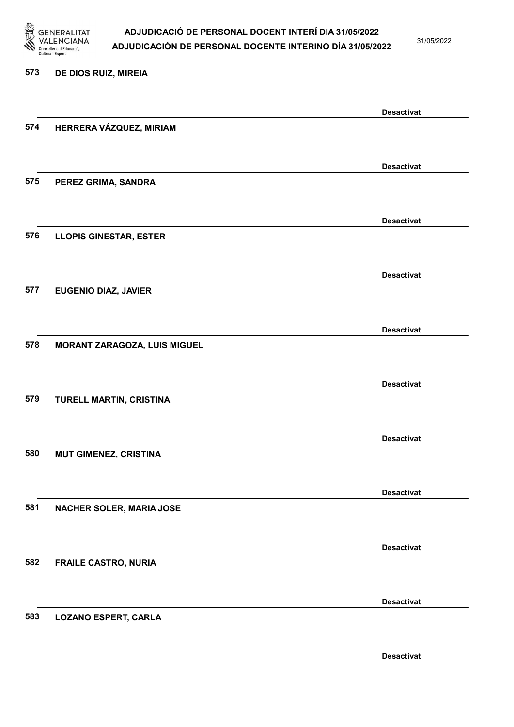

31/05/2022

#### 573 DE DIOS RUIZ, MIREIA

|     |                               | <b>Desactivat</b> |
|-----|-------------------------------|-------------------|
| 574 | HERRERA VÁZQUEZ, MIRIAM       |                   |
|     |                               |                   |
|     |                               | <b>Desactivat</b> |
| 575 | PEREZ GRIMA, SANDRA           |                   |
|     |                               |                   |
|     |                               | <b>Desactivat</b> |
| 576 | <b>LLOPIS GINESTAR, ESTER</b> |                   |
|     |                               |                   |
|     |                               | <b>Desactivat</b> |
| 577 | <b>EUGENIO DIAZ, JAVIER</b>   |                   |
|     |                               |                   |
|     |                               | <b>Desactivat</b> |
| 578 | MORANT ZARAGOZA, LUIS MIGUEL  |                   |
|     |                               |                   |
|     |                               | <b>Desactivat</b> |
| 579 | TURELL MARTIN, CRISTINA       |                   |
|     |                               |                   |
|     |                               | <b>Desactivat</b> |
| 580 | <b>MUT GIMENEZ, CRISTINA</b>  |                   |
|     |                               |                   |
|     |                               | <b>Desactivat</b> |
| 581 | NACHER SOLER, MARIA JOSE      |                   |
|     |                               |                   |
|     |                               | <b>Desactivat</b> |
| 582 | <b>FRAILE CASTRO, NURIA</b>   |                   |
|     |                               |                   |
|     |                               | <b>Desactivat</b> |
| 583 | <b>LOZANO ESPERT, CARLA</b>   |                   |
|     |                               |                   |
|     |                               | <b>Desactivat</b> |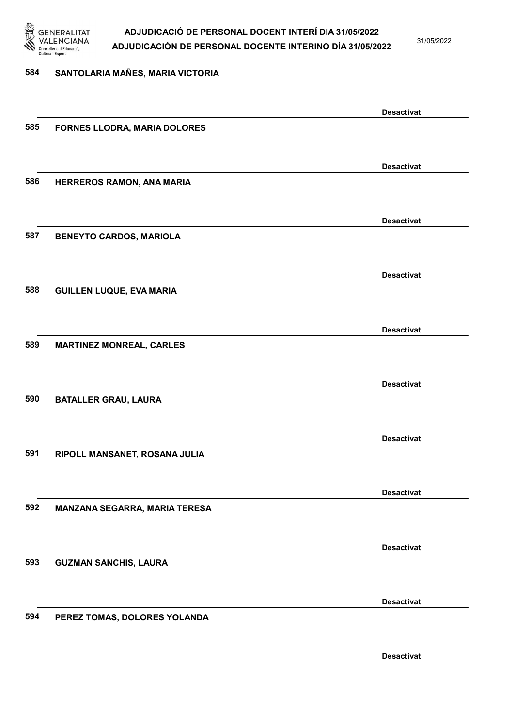

31/05/2022

#### 584 SANTOLARIA MAÑES, MARIA VICTORIA

|     |                                 | <b>Desactivat</b> |
|-----|---------------------------------|-------------------|
| 585 | FORNES LLODRA, MARIA DOLORES    |                   |
|     |                                 |                   |
|     |                                 |                   |
|     |                                 | <b>Desactivat</b> |
| 586 | HERREROS RAMON, ANA MARIA       |                   |
|     |                                 |                   |
|     |                                 |                   |
|     |                                 | <b>Desactivat</b> |
| 587 | <b>BENEYTO CARDOS, MARIOLA</b>  |                   |
|     |                                 |                   |
|     |                                 | <b>Desactivat</b> |
| 588 |                                 |                   |
|     | <b>GUILLEN LUQUE, EVA MARIA</b> |                   |
|     |                                 |                   |
|     |                                 | <b>Desactivat</b> |
| 589 | <b>MARTINEZ MONREAL, CARLES</b> |                   |
|     |                                 |                   |
|     |                                 |                   |
|     |                                 | <b>Desactivat</b> |
| 590 | <b>BATALLER GRAU, LAURA</b>     |                   |
|     |                                 |                   |
|     |                                 |                   |
|     |                                 | <b>Desactivat</b> |
| 591 | RIPOLL MANSANET, ROSANA JULIA   |                   |
|     |                                 |                   |
|     |                                 | <b>Desactivat</b> |
| 592 | MANZANA SEGARRA, MARIA TERESA   |                   |
|     |                                 |                   |
|     |                                 |                   |
|     |                                 | <b>Desactivat</b> |
| 593 | <b>GUZMAN SANCHIS, LAURA</b>    |                   |
|     |                                 |                   |
|     |                                 |                   |
|     |                                 | <b>Desactivat</b> |
| 594 | PEREZ TOMAS, DOLORES YOLANDA    |                   |
|     |                                 |                   |
|     |                                 |                   |
|     |                                 | <b>Desactivat</b> |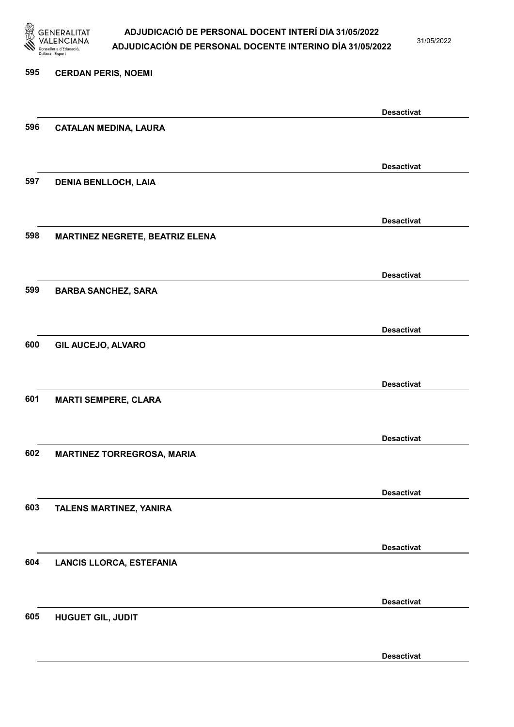

31/05/2022

Desactivat

# 595 CERDAN PERIS, NOEMI Desactivat 596 CATALAN MEDINA, LAURA Desactivat 597 DENIA BENLLOCH, LAIA Desactivat 598 MARTINEZ NEGRETE, BEATRIZ ELENA Desactivat 599 BARBA SANCHEZ, SARA Desactivat 600 GIL AUCEJO, ALVARO Desactivat 601 MARTI SEMPERE, CLARA Desactivat 602 MARTINEZ TORREGROSA, MARIA Desactivat 603 TALENS MARTINEZ, YANIRA Desactivat 604 LANCIS LLORCA, ESTEFANIA Desactivat 605 HUGUET GIL, JUDIT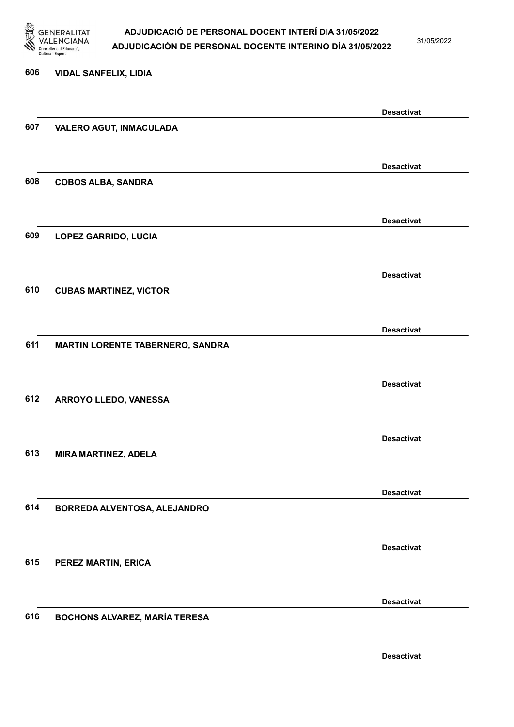

31/05/2022

Desactivat

# 606 VIDAL SANFELIX, LIDIA Desactivat 607 VALERO AGUT, INMACULADA Desactivat 608 COBOS ALBA, SANDRA Desactivat 609 LOPEZ GARRIDO, LUCIA Desactivat 610 CUBAS MARTINEZ, VICTOR Desactivat 611 MARTIN LORENTE TABERNERO, SANDRA Desactivat 612 ARROYO LLEDO, VANESSA Desactivat 613 MIRA MARTINEZ, ADELA Desactivat 614 BORREDA ALVENTOSA, ALEJANDRO Desactivat 615 PEREZ MARTIN, ERICA Desactivat 616 BOCHONS ALVAREZ, MARÍA TERESA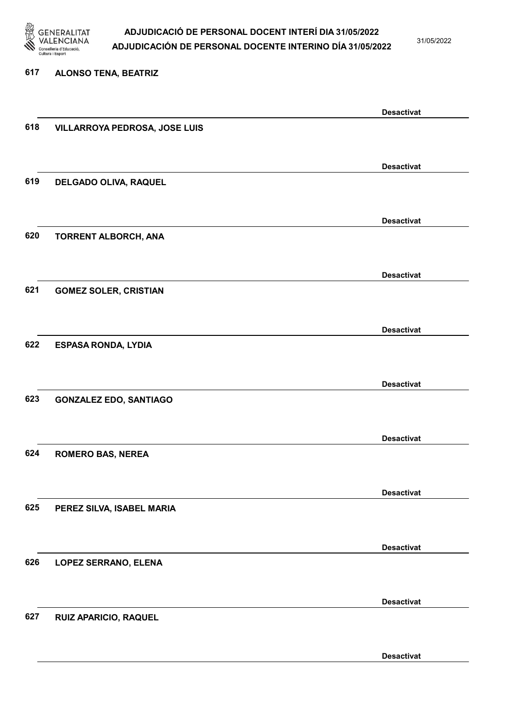

31/05/2022

#### 617 ALONSO TENA, BEATRIZ

|     |                               | <b>Desactivat</b> |
|-----|-------------------------------|-------------------|
| 618 | VILLARROYA PEDROSA, JOSE LUIS |                   |
|     |                               |                   |
|     |                               |                   |
|     |                               | <b>Desactivat</b> |
| 619 | DELGADO OLIVA, RAQUEL         |                   |
|     |                               |                   |
|     |                               | <b>Desactivat</b> |
| 620 |                               |                   |
|     | TORRENT ALBORCH, ANA          |                   |
|     |                               |                   |
|     |                               | <b>Desactivat</b> |
| 621 | <b>GOMEZ SOLER, CRISTIAN</b>  |                   |
|     |                               |                   |
|     |                               |                   |
|     |                               | <b>Desactivat</b> |
| 622 | <b>ESPASA RONDA, LYDIA</b>    |                   |
|     |                               |                   |
|     |                               | <b>Desactivat</b> |
| 623 |                               |                   |
|     | <b>GONZALEZ EDO, SANTIAGO</b> |                   |
|     |                               |                   |
|     |                               | <b>Desactivat</b> |
| 624 | <b>ROMERO BAS, NEREA</b>      |                   |
|     |                               |                   |
|     |                               |                   |
|     |                               | <b>Desactivat</b> |
| 625 | PEREZ SILVA, ISABEL MARIA     |                   |
|     |                               |                   |
|     |                               |                   |
|     |                               | <b>Desactivat</b> |
| 626 | <b>LOPEZ SERRANO, ELENA</b>   |                   |
|     |                               |                   |
|     |                               | <b>Desactivat</b> |
| 627 | RUIZ APARICIO, RAQUEL         |                   |
|     |                               |                   |
|     |                               |                   |
|     |                               | <b>Desactivat</b> |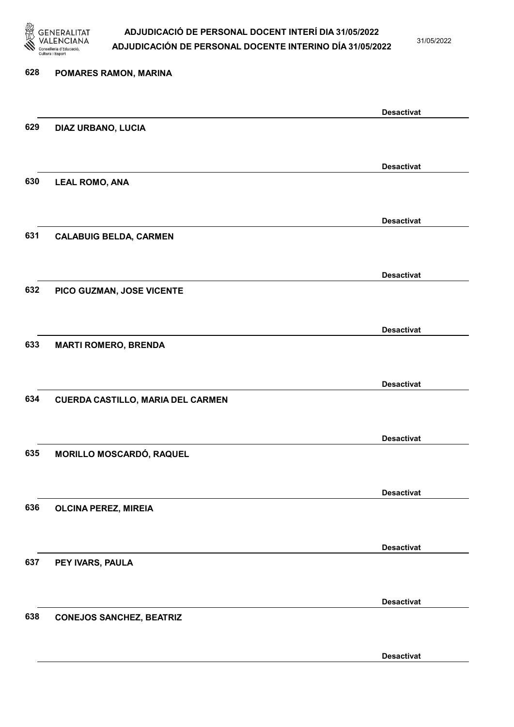

31/05/2022

Desactivat

# 628 POMARES RAMON, MARINA Desactivat 629 DIAZ URBANO, LUCIA Desactivat 630 LEAL ROMO, ANA Desactivat 631 CALABUIG BELDA, CARMEN Desactivat 632 PICO GUZMAN, JOSE VICENTE Desactivat 633 MARTI ROMERO, BRENDA Desactivat 634 CUERDA CASTILLO, MARIA DEL CARMEN Desactivat 635 MORILLO MOSCARDÓ, RAQUEL Desactivat 636 OLCINA PEREZ, MIREIA Desactivat 637 PEY IVARS, PAULA Desactivat 638 CONEJOS SANCHEZ, BEATRIZ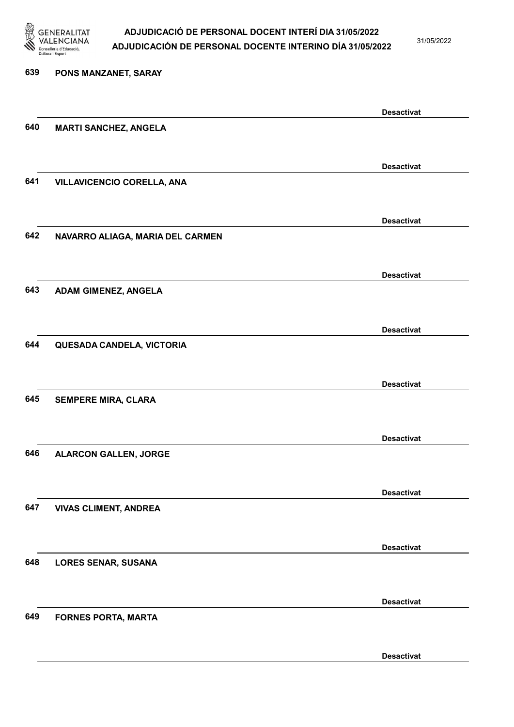

31/05/2022

Desactivat

# 639 PONS MANZANET, SARAY Desactivat 640 MARTI SANCHEZ, ANGELA Desactivat 641 VILLAVICENCIO CORELLA, ANA Desactivat 642 NAVARRO ALIAGA, MARIA DEL CARMEN Desactivat 643 ADAM GIMENEZ, ANGELA Desactivat 644 QUESADA CANDELA, VICTORIA Desactivat 645 SEMPERE MIRA, CLARA Desactivat 646 ALARCON GALLEN, JORGE Desactivat 647 VIVAS CLIMENT, ANDREA Desactivat 648 LORES SENAR, SUSANA Desactivat 649 FORNES PORTA, MARTA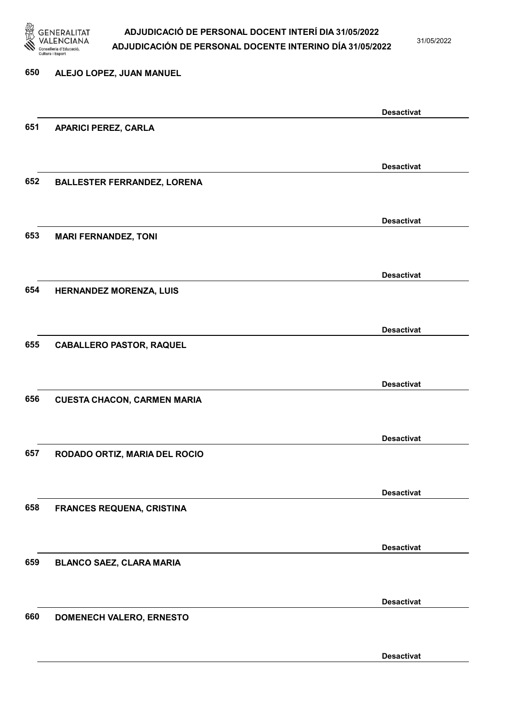

31/05/2022

Desactivat

# 650 ALEJO LOPEZ, JUAN MANUEL Desactivat 651 APARICI PEREZ, CARLA Desactivat 652 BALLESTER FERRANDEZ, LORENA Desactivat 653 MARI FERNANDEZ, TONI Desactivat 654 HERNANDEZ MORENZA, LUIS Desactivat 655 CABALLERO PASTOR, RAQUEL Desactivat 656 CUESTA CHACON, CARMEN MARIA Desactivat 657 RODADO ORTIZ, MARIA DEL ROCIO Desactivat 658 FRANCES REQUENA, CRISTINA Desactivat 659 BLANCO SAEZ, CLARA MARIA Desactivat 660 DOMENECH VALERO, ERNESTO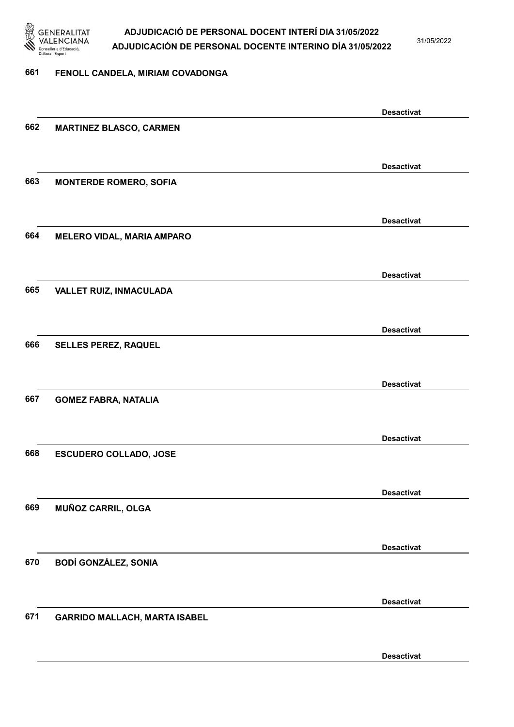

31/05/2022

#### 661 FENOLL CANDELA, MIRIAM COVADONGA

|     |                                      | <b>Desactivat</b> |
|-----|--------------------------------------|-------------------|
| 662 | <b>MARTINEZ BLASCO, CARMEN</b>       |                   |
|     |                                      |                   |
|     |                                      | <b>Desactivat</b> |
| 663 |                                      |                   |
|     | <b>MONTERDE ROMERO, SOFIA</b>        |                   |
|     |                                      |                   |
|     |                                      | <b>Desactivat</b> |
| 664 | <b>MELERO VIDAL, MARIA AMPARO</b>    |                   |
|     |                                      |                   |
|     |                                      | <b>Desactivat</b> |
| 665 | VALLET RUIZ, INMACULADA              |                   |
|     |                                      |                   |
|     |                                      |                   |
|     |                                      | <b>Desactivat</b> |
| 666 | SELLES PEREZ, RAQUEL                 |                   |
|     |                                      |                   |
|     |                                      | <b>Desactivat</b> |
| 667 | <b>GOMEZ FABRA, NATALIA</b>          |                   |
|     |                                      |                   |
|     |                                      | <b>Desactivat</b> |
| 668 |                                      |                   |
|     | <b>ESCUDERO COLLADO, JOSE</b>        |                   |
|     |                                      |                   |
|     |                                      | <b>Desactivat</b> |
| 669 | MUÑOZ CARRIL, OLGA                   |                   |
|     |                                      |                   |
|     |                                      | <b>Desactivat</b> |
| 670 | <b>BODÍ GONZÁLEZ, SONIA</b>          |                   |
|     |                                      |                   |
|     |                                      |                   |
|     |                                      | <b>Desactivat</b> |
| 671 | <b>GARRIDO MALLACH, MARTA ISABEL</b> |                   |
|     |                                      |                   |
|     |                                      | <b>Desactivat</b> |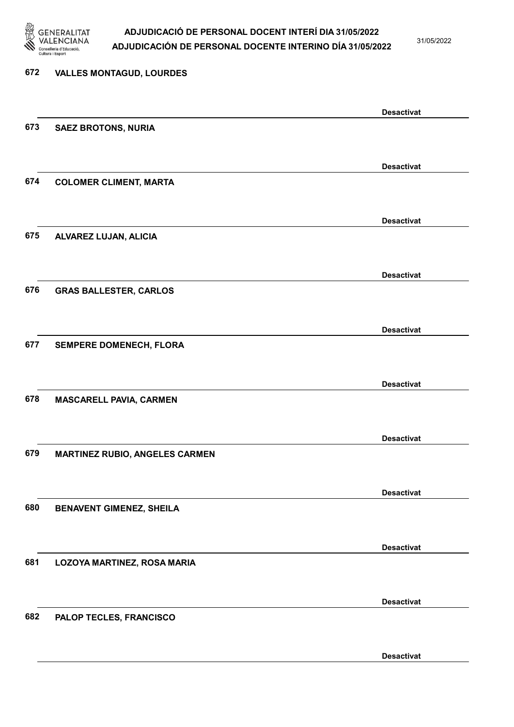

31/05/2022

# 672 VALLES MONTAGUD, LOURDES Desactivat 673 SAEZ BROTONS, NURIA Desactivat 674 COLOMER CLIMENT, MARTA Desactivat 675 ALVAREZ LUJAN, ALICIA Desactivat 676 GRAS BALLESTER, CARLOS Desactivat 677 SEMPERE DOMENECH, FLORA Desactivat 678 MASCARELL PAVIA, CARMEN Desactivat 679 MARTINEZ RUBIO, ANGELES CARMEN Desactivat 680 BENAVENT GIMENEZ, SHEILA Desactivat 681 LOZOYA MARTINEZ, ROSA MARIA Desactivat 682 PALOP TECLES, FRANCISCO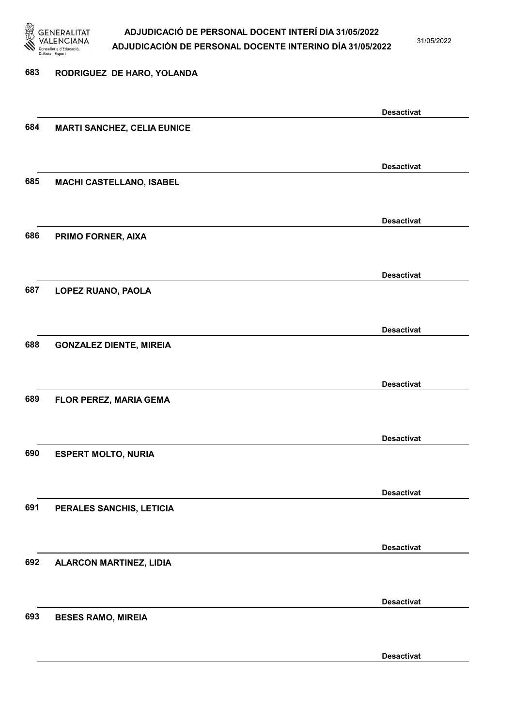

31/05/2022

# 683 RODRIGUEZ DE HARO, YOLANDA Desactivat 684 MARTI SANCHEZ, CELIA EUNICE Desactivat 685 MACHI CASTELLANO, ISABEL Desactivat 686 PRIMO FORNER, AIXA Desactivat 687 LOPEZ RUANO, PAOLA Desactivat 688 GONZALEZ DIENTE, MIREIA Desactivat 689 FLOR PEREZ, MARIA GEMA Desactivat 690 ESPERT MOLTO, NURIA Desactivat 691 PERALES SANCHIS, LETICIA Desactivat 692 ALARCON MARTINEZ, LIDIA Desactivat 693 BESES RAMO, MIREIA Desactivat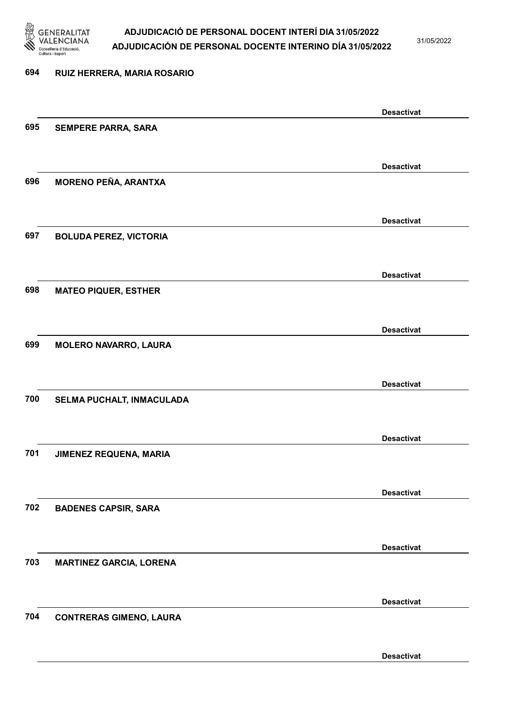

31/05/2022

Desactivat

# 694 RUIZ HERRERA, MARIA ROSARIO Desactivat 695 SEMPERE PARRA, SARA Desactivat 696 MORENO PEÑA, ARANTXA Desactivat 697 BOLUDA PEREZ, VICTORIA Desactivat 698 MATEO PIQUER, ESTHER Desactivat 699 MOLERO NAVARRO, LAURA Desactivat 700 SELMA PUCHALT, INMACULADA Desactivat 701 JIMENEZ REQUENA, MARIA Desactivat 702 BADENES CAPSIR, SARA Desactivat 703 MARTINEZ GARCIA, LORENA Desactivat 704 CONTRERAS GIMENO, LAURA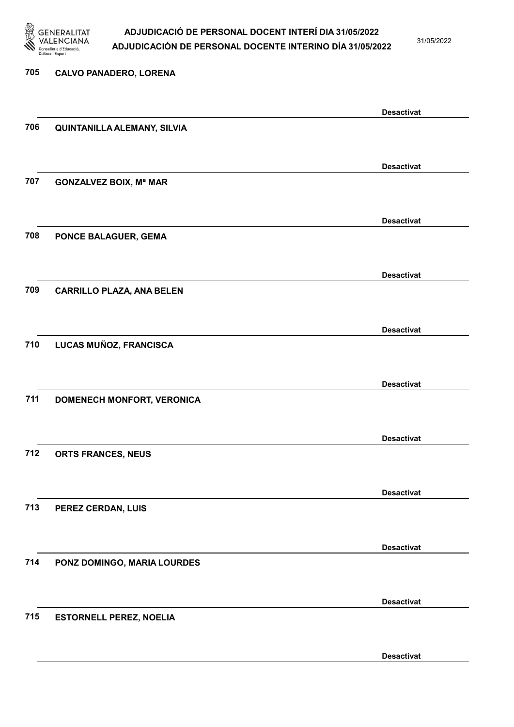

31/05/2022

# 705 CALVO PANADERO, LORENA Desactivat 706 QUINTANILLA ALEMANY, SILVIA Desactivat 707 GONZALVEZ BOIX, Mª MAR Desactivat 708 PONCE BALAGUER, GEMA Desactivat 709 CARRILLO PLAZA, ANA BELEN Desactivat 710 LUCAS MUÑOZ, FRANCISCA Desactivat 711 DOMENECH MONFORT, VERONICA Desactivat 712 ORTS FRANCES, NEUS Desactivat 713 PEREZ CERDAN, LUIS Desactivat 714 PONZ DOMINGO, MARIA LOURDES Desactivat 715 ESTORNELL PEREZ, NOELIA Desactivat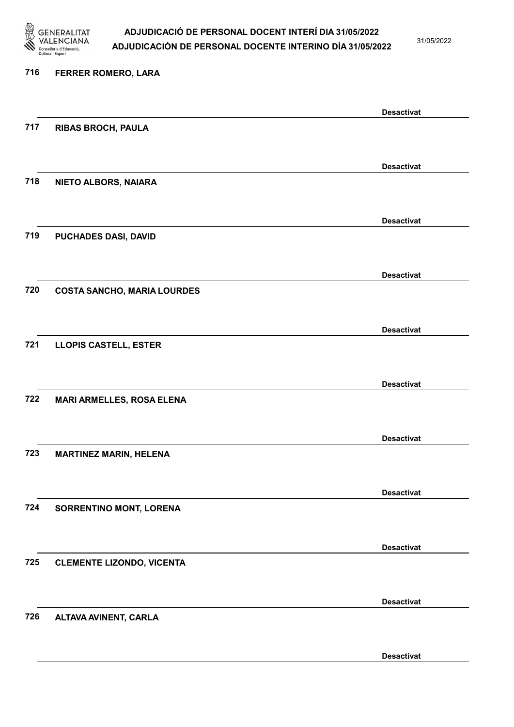

31/05/2022

#### 716 FERRER ROMERO, LARA

|     |                                    | <b>Desactivat</b> |
|-----|------------------------------------|-------------------|
| 717 | <b>RIBAS BROCH, PAULA</b>          |                   |
|     |                                    |                   |
|     |                                    | <b>Desactivat</b> |
| 718 | NIETO ALBORS, NAIARA               |                   |
|     |                                    |                   |
|     |                                    | <b>Desactivat</b> |
| 719 | PUCHADES DASI, DAVID               |                   |
|     |                                    |                   |
|     |                                    |                   |
|     |                                    | <b>Desactivat</b> |
| 720 | <b>COSTA SANCHO, MARIA LOURDES</b> |                   |
|     |                                    |                   |
|     |                                    | <b>Desactivat</b> |
| 721 | <b>LLOPIS CASTELL, ESTER</b>       |                   |
|     |                                    |                   |
|     |                                    | <b>Desactivat</b> |
| 722 | <b>MARI ARMELLES, ROSA ELENA</b>   |                   |
|     |                                    |                   |
|     |                                    | <b>Desactivat</b> |
| 723 | <b>MARTINEZ MARIN, HELENA</b>      |                   |
|     |                                    |                   |
|     |                                    |                   |
|     |                                    | <b>Desactivat</b> |
| 724 | SORRENTINO MONT, LORENA            |                   |
|     |                                    |                   |
|     |                                    | <b>Desactivat</b> |
| 725 | <b>CLEMENTE LIZONDO, VICENTA</b>   |                   |
|     |                                    |                   |
|     |                                    | <b>Desactivat</b> |
| 726 | ALTAVA AVINENT, CARLA              |                   |
|     |                                    |                   |
|     |                                    | <b>Desactivat</b> |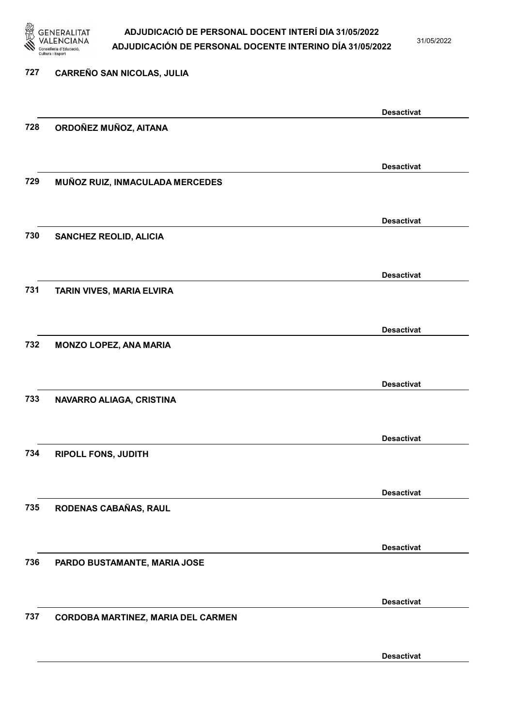

31/05/2022

# 727 CARREÑO SAN NICOLAS, JULIA Desactivat 728 ORDOÑEZ MUÑOZ, AITANA Desactivat 729 MUÑOZ RUIZ, INMACULADA MERCEDES Desactivat 730 SANCHEZ REOLID, ALICIA Desactivat 731 TARIN VIVES, MARIA ELVIRA Desactivat 732 MONZO LOPEZ, ANA MARIA Desactivat 733 NAVARRO ALIAGA, CRISTINA Desactivat 734 RIPOLL FONS, JUDITH Desactivat 735 RODENAS CABAÑAS, RAUL Desactivat 736 PARDO BUSTAMANTE, MARIA JOSE Desactivat 737 CORDOBA MARTINEZ, MARIA DEL CARMEN Desactivat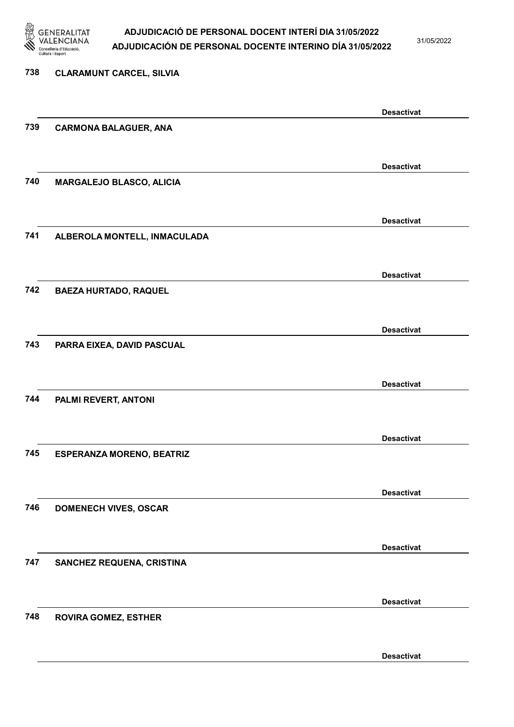

31/05/2022

Desactivat

# 738 CLARAMUNT CARCEL, SILVIA Desactivat 739 CARMONA BALAGUER, ANA Desactivat 740 MARGALEJO BLASCO, ALICIA Desactivat 741 ALBEROLA MONTELL, INMACULADA Desactivat 742 BAEZA HURTADO, RAQUEL Desactivat 743 PARRA EIXEA, DAVID PASCUAL Desactivat 744 PALMI REVERT, ANTONI Desactivat 745 ESPERANZA MORENO, BEATRIZ Desactivat 746 DOMENECH VIVES, OSCAR Desactivat 747 SANCHEZ REQUENA, CRISTINA Desactivat 748 ROVIRA GOMEZ, ESTHER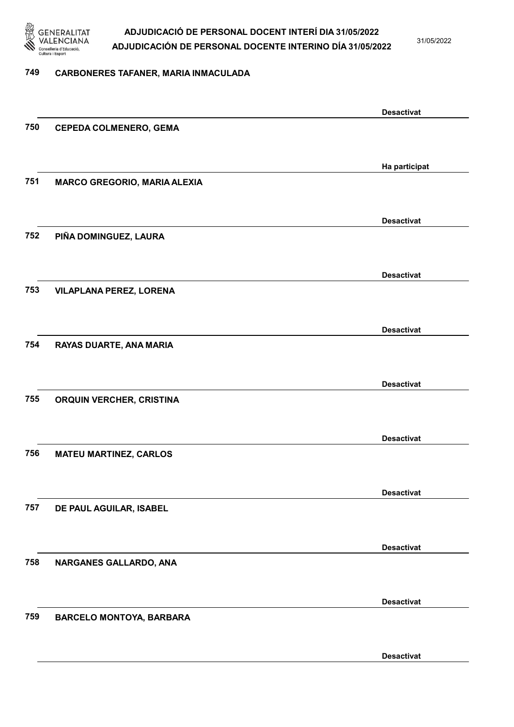

31/05/2022

#### 749 CARBONERES TAFANER, MARIA INMACULADA

|     |                                     | <b>Desactivat</b> |
|-----|-------------------------------------|-------------------|
| 750 | <b>CEPEDA COLMENERO, GEMA</b>       |                   |
|     |                                     |                   |
|     |                                     |                   |
| 751 | <b>MARCO GREGORIO, MARIA ALEXIA</b> | Ha participat     |
|     |                                     |                   |
|     |                                     |                   |
|     |                                     | <b>Desactivat</b> |
| 752 | PIÑA DOMINGUEZ, LAURA               |                   |
|     |                                     |                   |
|     |                                     | <b>Desactivat</b> |
| 753 | <b>VILAPLANA PEREZ, LORENA</b>      |                   |
|     |                                     |                   |
|     |                                     |                   |
|     |                                     | <b>Desactivat</b> |
| 754 | RAYAS DUARTE, ANA MARIA             |                   |
|     |                                     |                   |
|     |                                     | <b>Desactivat</b> |
| 755 | ORQUIN VERCHER, CRISTINA            |                   |
|     |                                     |                   |
|     |                                     |                   |
| 756 |                                     | <b>Desactivat</b> |
|     | <b>MATEU MARTINEZ, CARLOS</b>       |                   |
|     |                                     |                   |
|     |                                     | <b>Desactivat</b> |
| 757 | DE PAUL AGUILAR, ISABEL             |                   |
|     |                                     |                   |
|     |                                     | <b>Desactivat</b> |
| 758 | NARGANES GALLARDO, ANA              |                   |
|     |                                     |                   |
|     |                                     |                   |
|     |                                     | <b>Desactivat</b> |
| 759 | <b>BARCELO MONTOYA, BARBARA</b>     |                   |
|     |                                     |                   |
|     |                                     | <b>Desactivat</b> |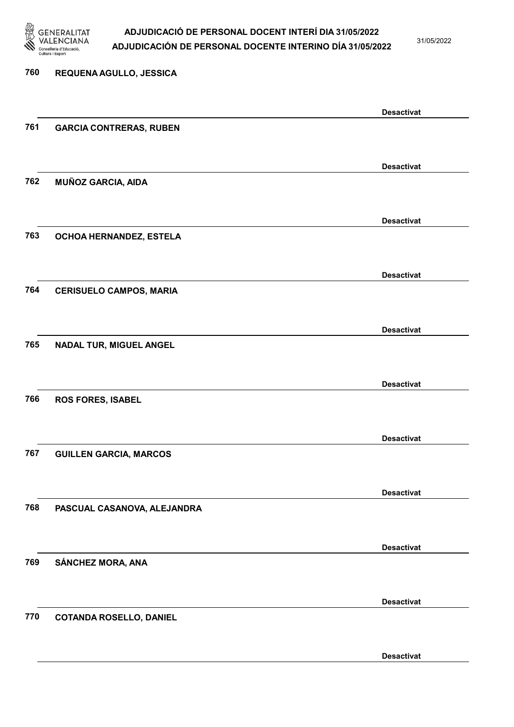

31/05/2022

Desactivat

# 760 REQUENA AGULLO, JESSICA Desactivat 761 GARCIA CONTRERAS, RUBEN Desactivat 762 MUÑOZ GARCIA, AIDA Desactivat 763 OCHOA HERNANDEZ, ESTELA Desactivat 764 CERISUELO CAMPOS, MARIA Desactivat 765 NADAL TUR, MIGUEL ANGEL Desactivat 766 ROS FORES, ISABEL Desactivat 767 GUILLEN GARCIA, MARCOS Desactivat 768 PASCUAL CASANOVA, ALEJANDRA Desactivat 769 SÁNCHEZ MORA, ANA Desactivat 770 COTANDA ROSELLO, DANIEL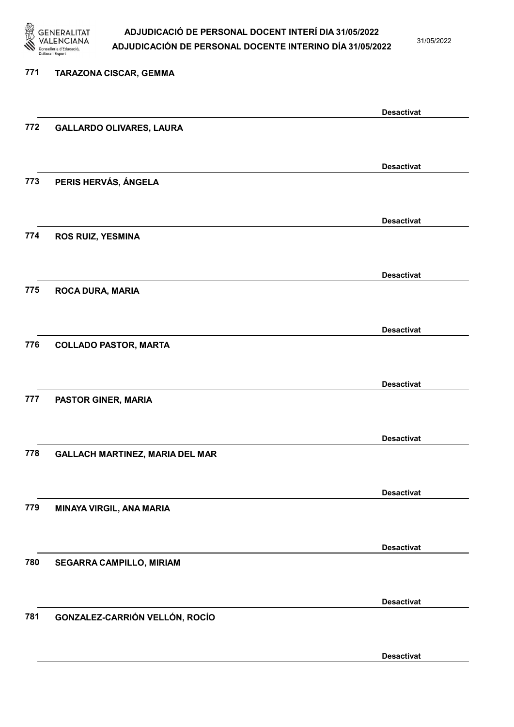

31/05/2022

# 771 TARAZONA CISCAR, GEMMA Desactivat 772 GALLARDO OLIVARES, LAURA Desactivat 773 PERIS HERVÁS, ÁNGELA Desactivat 774 ROS RUIZ, YESMINA Desactivat 775 ROCA DURA, MARIA Desactivat 776 COLLADO PASTOR, MARTA Desactivat 777 PASTOR GINER, MARIA Desactivat 778 GALLACH MARTINEZ, MARIA DEL MAR Desactivat 779 MINAYA VIRGIL, ANA MARIA Desactivat 780 SEGARRA CAMPILLO, MIRIAM Desactivat 781 GONZALEZ-CARRIÓN VELLÓN, ROCÍO Desactivat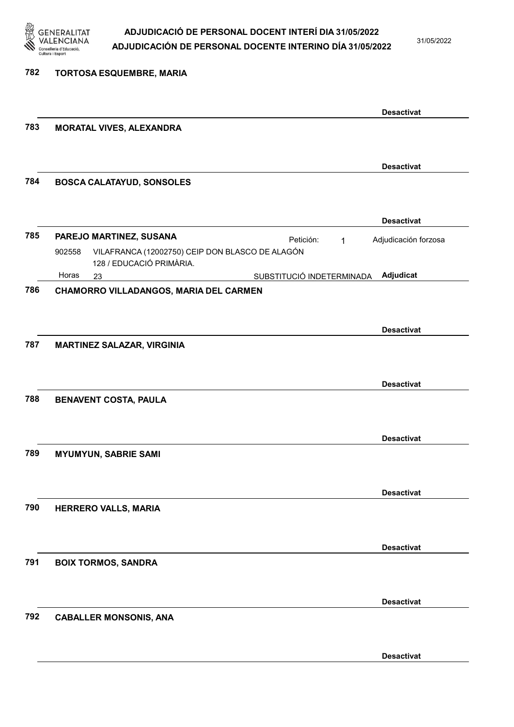

31/05/2022

| 782 | <b>TORTOSA ESQUEMBRE, MARIA</b>                                                       |                      |
|-----|---------------------------------------------------------------------------------------|----------------------|
|     |                                                                                       |                      |
|     |                                                                                       | <b>Desactivat</b>    |
| 783 | MORATAL VIVES, ALEXANDRA                                                              |                      |
|     |                                                                                       |                      |
|     |                                                                                       | <b>Desactivat</b>    |
| 784 | <b>BOSCA CALATAYUD, SONSOLES</b>                                                      |                      |
|     |                                                                                       |                      |
|     |                                                                                       | <b>Desactivat</b>    |
| 785 | PAREJO MARTINEZ, SUSANA<br>Petición:<br>$\mathbf{1}$                                  | Adjudicación forzosa |
|     | VILAFRANCA (12002750) CEIP DON BLASCO DE ALAGÓN<br>902558<br>128 / EDUCACIÓ PRIMÀRIA. |                      |
|     | Horas<br>SUBSTITUCIÓ INDETERMINADA<br>23                                              | Adjudicat            |
| 786 | CHAMORRO VILLADANGOS, MARIA DEL CARMEN                                                |                      |
|     |                                                                                       |                      |
|     |                                                                                       | <b>Desactivat</b>    |
| 787 | <b>MARTINEZ SALAZAR, VIRGINIA</b>                                                     |                      |
|     |                                                                                       |                      |
|     |                                                                                       | <b>Desactivat</b>    |
| 788 | <b>BENAVENT COSTA, PAULA</b>                                                          |                      |
|     |                                                                                       |                      |
|     |                                                                                       | <b>Desactivat</b>    |
| 789 | <b>MYUMYUN, SABRIE SAMI</b>                                                           |                      |
|     |                                                                                       |                      |
|     |                                                                                       | <b>Desactivat</b>    |
| 790 | HERRERO VALLS, MARIA                                                                  |                      |
|     |                                                                                       |                      |
|     |                                                                                       | <b>Desactivat</b>    |
| 791 | <b>BOIX TORMOS, SANDRA</b>                                                            |                      |
|     |                                                                                       |                      |
|     |                                                                                       | <b>Desactivat</b>    |
| 792 | <b>CABALLER MONSONIS, ANA</b>                                                         |                      |
|     |                                                                                       |                      |
|     |                                                                                       |                      |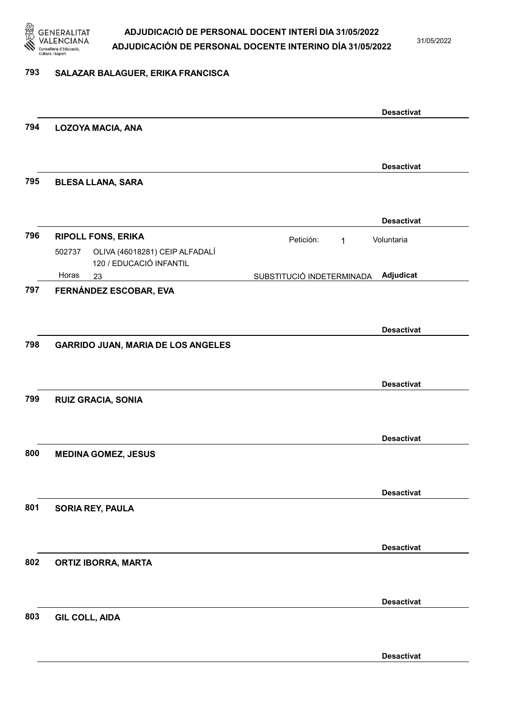

31/05/2022

#### 793 SALAZAR BALAGUER, ERIKA FRANCISCA

|     |                                                                     | <b>Desactivat</b>                      |
|-----|---------------------------------------------------------------------|----------------------------------------|
| 794 | <b>LOZOYA MACIA, ANA</b>                                            |                                        |
|     |                                                                     | <b>Desactivat</b>                      |
| 795 | <b>BLESA LLANA, SARA</b>                                            |                                        |
|     |                                                                     | <b>Desactivat</b>                      |
| 796 | <b>RIPOLL FONS, ERIKA</b>                                           | Petición:<br>Voluntaria<br>$\mathbf 1$ |
|     | OLIVA (46018281) CEIP ALFADALÍ<br>502737<br>120 / EDUCACIÓ INFANTIL |                                        |
|     | Horas<br>23                                                         | Adjudicat<br>SUBSTITUCIÓ INDETERMINADA |
| 797 | FERNÁNDEZ ESCOBAR, EVA                                              |                                        |
|     |                                                                     | <b>Desactivat</b>                      |
| 798 | <b>GARRIDO JUAN, MARIA DE LOS ANGELES</b>                           |                                        |
|     |                                                                     |                                        |
|     |                                                                     | <b>Desactivat</b>                      |
| 799 | <b>RUIZ GRACIA, SONIA</b>                                           |                                        |
|     |                                                                     |                                        |
|     |                                                                     | <b>Desactivat</b>                      |
| 800 | <b>MEDINA GOMEZ, JESUS</b>                                          |                                        |
|     |                                                                     |                                        |
| 801 | SORIA REY, PAULA                                                    | <b>Desactivat</b>                      |
|     |                                                                     |                                        |
|     |                                                                     | <b>Desactivat</b>                      |
| 802 | <b>ORTIZ IBORRA, MARTA</b>                                          |                                        |
|     |                                                                     |                                        |
|     |                                                                     | <b>Desactivat</b>                      |
| 803 | <b>GIL COLL, AIDA</b>                                               |                                        |
|     |                                                                     |                                        |
|     |                                                                     | <b>Desactivat</b>                      |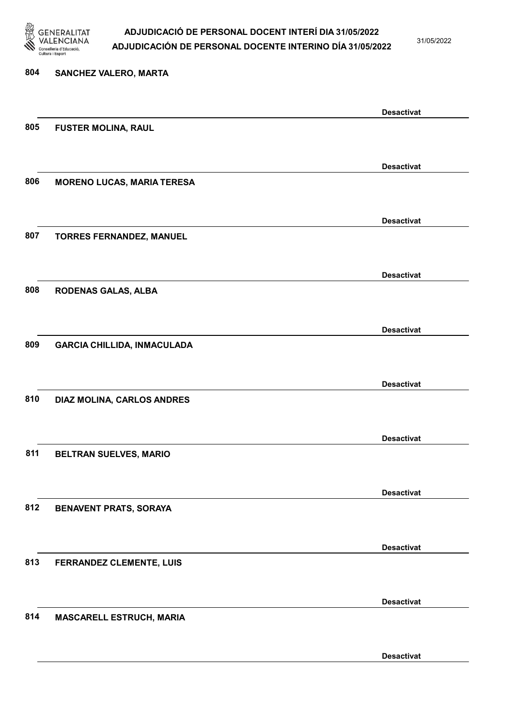

31/05/2022

Desactivat

# 804 SANCHEZ VALERO, MARTA Desactivat 805 FUSTER MOLINA, RAUL Desactivat 806 MORENO LUCAS, MARIA TERESA Desactivat 807 TORRES FERNANDEZ, MANUEL Desactivat 808 RODENAS GALAS, ALBA Desactivat 809 GARCIA CHILLIDA, INMACULADA Desactivat 810 DIAZ MOLINA, CARLOS ANDRES Desactivat 811 BELTRAN SUELVES, MARIO Desactivat 812 BENAVENT PRATS, SORAYA Desactivat 813 FERRANDEZ CLEMENTE, LUIS Desactivat 814 MASCARELL ESTRUCH, MARIA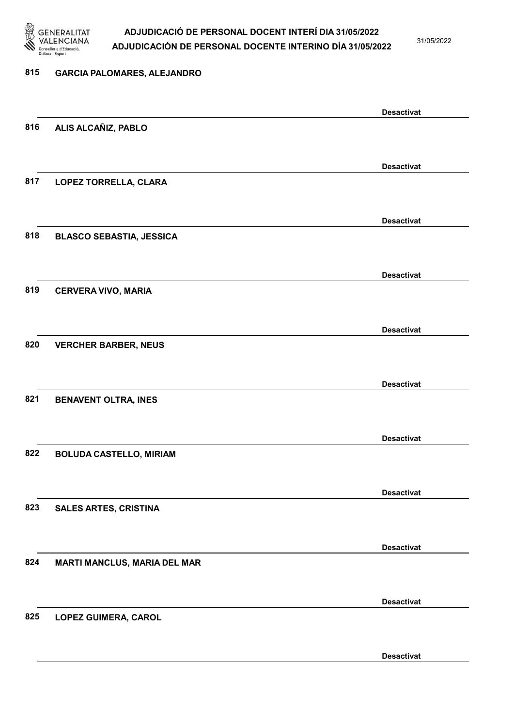

31/05/2022

#### 815 GARCIA PALOMARES, ALEJANDRO

|     |                                     | <b>Desactivat</b> |
|-----|-------------------------------------|-------------------|
| 816 | ALIS ALCAÑIZ, PABLO                 |                   |
|     |                                     |                   |
|     |                                     |                   |
|     |                                     | <b>Desactivat</b> |
| 817 | LOPEZ TORRELLA, CLARA               |                   |
|     |                                     |                   |
|     |                                     |                   |
|     |                                     | <b>Desactivat</b> |
| 818 | <b>BLASCO SEBASTIA, JESSICA</b>     |                   |
|     |                                     |                   |
|     |                                     |                   |
|     |                                     | <b>Desactivat</b> |
| 819 | <b>CERVERA VIVO, MARIA</b>          |                   |
|     |                                     |                   |
|     |                                     |                   |
|     |                                     | <b>Desactivat</b> |
| 820 | <b>VERCHER BARBER, NEUS</b>         |                   |
|     |                                     |                   |
|     |                                     |                   |
|     |                                     | <b>Desactivat</b> |
| 821 | <b>BENAVENT OLTRA, INES</b>         |                   |
|     |                                     |                   |
|     |                                     |                   |
|     |                                     | <b>Desactivat</b> |
| 822 | <b>BOLUDA CASTELLO, MIRIAM</b>      |                   |
|     |                                     |                   |
|     |                                     |                   |
|     |                                     | <b>Desactivat</b> |
| 823 | <b>SALES ARTES, CRISTINA</b>        |                   |
|     |                                     |                   |
|     |                                     |                   |
|     |                                     | <b>Desactivat</b> |
| 824 | <b>MARTI MANCLUS, MARIA DEL MAR</b> |                   |
|     |                                     |                   |
|     |                                     |                   |
|     |                                     | <b>Desactivat</b> |
| 825 | <b>LOPEZ GUIMERA, CAROL</b>         |                   |
|     |                                     |                   |
|     |                                     |                   |
|     |                                     | <b>Desactivat</b> |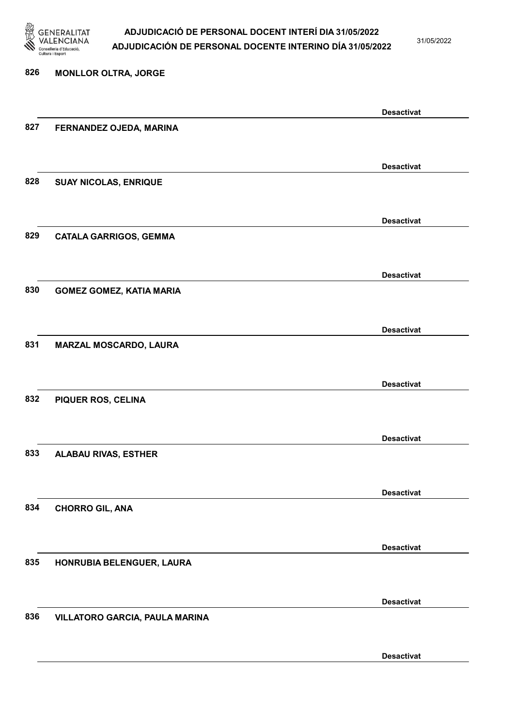

31/05/2022

#### 826 MONLLOR OLTRA, JORGE

| <b>Desactivat</b><br>827<br>FERNANDEZ OJEDA, MARINA<br><b>Desactivat</b><br>828<br><b>SUAY NICOLAS, ENRIQUE</b><br><b>Desactivat</b><br>829<br><b>CATALA GARRIGOS, GEMMA</b><br><b>Desactivat</b><br>830<br><b>GOMEZ GOMEZ, KATIA MARIA</b><br><b>Desactivat</b><br>831<br>MARZAL MOSCARDO, LAURA<br><b>Desactivat</b><br>832<br>PIQUER ROS, CELINA<br><b>Desactivat</b><br>833<br><b>ALABAU RIVAS, ESTHER</b><br><b>Desactivat</b><br>834<br><b>CHORRO GIL, ANA</b><br><b>Desactivat</b><br>835<br>HONRUBIA BELENGUER, LAURA<br><b>Desactivat</b><br>836<br>VILLATORO GARCIA, PAULA MARINA |  |                   |
|---------------------------------------------------------------------------------------------------------------------------------------------------------------------------------------------------------------------------------------------------------------------------------------------------------------------------------------------------------------------------------------------------------------------------------------------------------------------------------------------------------------------------------------------------------------------------------------------|--|-------------------|
|                                                                                                                                                                                                                                                                                                                                                                                                                                                                                                                                                                                             |  |                   |
|                                                                                                                                                                                                                                                                                                                                                                                                                                                                                                                                                                                             |  |                   |
|                                                                                                                                                                                                                                                                                                                                                                                                                                                                                                                                                                                             |  |                   |
|                                                                                                                                                                                                                                                                                                                                                                                                                                                                                                                                                                                             |  |                   |
|                                                                                                                                                                                                                                                                                                                                                                                                                                                                                                                                                                                             |  |                   |
|                                                                                                                                                                                                                                                                                                                                                                                                                                                                                                                                                                                             |  |                   |
|                                                                                                                                                                                                                                                                                                                                                                                                                                                                                                                                                                                             |  |                   |
|                                                                                                                                                                                                                                                                                                                                                                                                                                                                                                                                                                                             |  |                   |
|                                                                                                                                                                                                                                                                                                                                                                                                                                                                                                                                                                                             |  |                   |
|                                                                                                                                                                                                                                                                                                                                                                                                                                                                                                                                                                                             |  |                   |
|                                                                                                                                                                                                                                                                                                                                                                                                                                                                                                                                                                                             |  |                   |
|                                                                                                                                                                                                                                                                                                                                                                                                                                                                                                                                                                                             |  |                   |
|                                                                                                                                                                                                                                                                                                                                                                                                                                                                                                                                                                                             |  |                   |
|                                                                                                                                                                                                                                                                                                                                                                                                                                                                                                                                                                                             |  |                   |
|                                                                                                                                                                                                                                                                                                                                                                                                                                                                                                                                                                                             |  |                   |
|                                                                                                                                                                                                                                                                                                                                                                                                                                                                                                                                                                                             |  |                   |
|                                                                                                                                                                                                                                                                                                                                                                                                                                                                                                                                                                                             |  |                   |
|                                                                                                                                                                                                                                                                                                                                                                                                                                                                                                                                                                                             |  |                   |
|                                                                                                                                                                                                                                                                                                                                                                                                                                                                                                                                                                                             |  |                   |
|                                                                                                                                                                                                                                                                                                                                                                                                                                                                                                                                                                                             |  |                   |
|                                                                                                                                                                                                                                                                                                                                                                                                                                                                                                                                                                                             |  |                   |
|                                                                                                                                                                                                                                                                                                                                                                                                                                                                                                                                                                                             |  |                   |
|                                                                                                                                                                                                                                                                                                                                                                                                                                                                                                                                                                                             |  |                   |
|                                                                                                                                                                                                                                                                                                                                                                                                                                                                                                                                                                                             |  |                   |
|                                                                                                                                                                                                                                                                                                                                                                                                                                                                                                                                                                                             |  |                   |
|                                                                                                                                                                                                                                                                                                                                                                                                                                                                                                                                                                                             |  |                   |
|                                                                                                                                                                                                                                                                                                                                                                                                                                                                                                                                                                                             |  |                   |
|                                                                                                                                                                                                                                                                                                                                                                                                                                                                                                                                                                                             |  |                   |
|                                                                                                                                                                                                                                                                                                                                                                                                                                                                                                                                                                                             |  |                   |
|                                                                                                                                                                                                                                                                                                                                                                                                                                                                                                                                                                                             |  |                   |
|                                                                                                                                                                                                                                                                                                                                                                                                                                                                                                                                                                                             |  |                   |
|                                                                                                                                                                                                                                                                                                                                                                                                                                                                                                                                                                                             |  |                   |
|                                                                                                                                                                                                                                                                                                                                                                                                                                                                                                                                                                                             |  |                   |
|                                                                                                                                                                                                                                                                                                                                                                                                                                                                                                                                                                                             |  |                   |
|                                                                                                                                                                                                                                                                                                                                                                                                                                                                                                                                                                                             |  | <b>Desactivat</b> |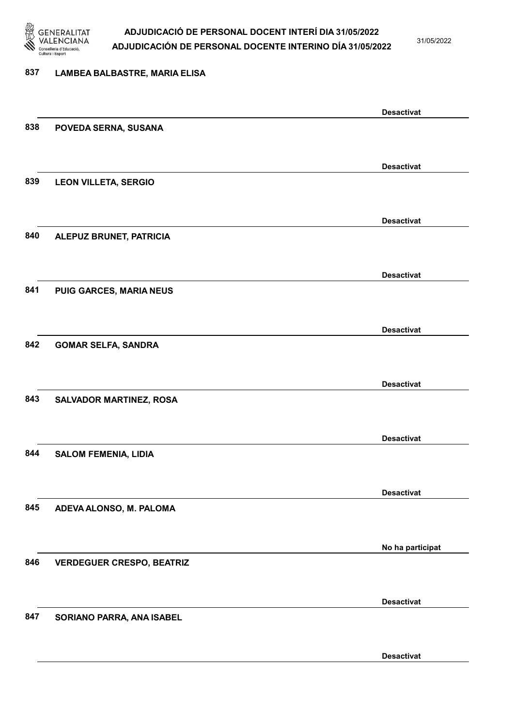

31/05/2022

#### 837 LAMBEA BALBASTRE, MARIA ELISA

|     |                                  | <b>Desactivat</b> |
|-----|----------------------------------|-------------------|
| 838 | POVEDA SERNA, SUSANA             |                   |
|     |                                  |                   |
|     |                                  |                   |
|     |                                  | <b>Desactivat</b> |
| 839 | <b>LEON VILLETA, SERGIO</b>      |                   |
|     |                                  |                   |
|     |                                  |                   |
|     |                                  | <b>Desactivat</b> |
| 840 |                                  |                   |
|     | ALEPUZ BRUNET, PATRICIA          |                   |
|     |                                  |                   |
|     |                                  |                   |
|     |                                  | <b>Desactivat</b> |
| 841 | PUIG GARCES, MARIA NEUS          |                   |
|     |                                  |                   |
|     |                                  |                   |
|     |                                  | <b>Desactivat</b> |
| 842 | <b>GOMAR SELFA, SANDRA</b>       |                   |
|     |                                  |                   |
|     |                                  |                   |
|     |                                  | <b>Desactivat</b> |
| 843 | <b>SALVADOR MARTINEZ, ROSA</b>   |                   |
|     |                                  |                   |
|     |                                  |                   |
|     |                                  | <b>Desactivat</b> |
| 844 | <b>SALOM FEMENIA, LIDIA</b>      |                   |
|     |                                  |                   |
|     |                                  |                   |
|     |                                  | <b>Desactivat</b> |
|     |                                  |                   |
| 845 | ADEVA ALONSO, M. PALOMA          |                   |
|     |                                  |                   |
|     |                                  |                   |
|     |                                  | No ha participat  |
| 846 | <b>VERDEGUER CRESPO, BEATRIZ</b> |                   |
|     |                                  |                   |
|     |                                  |                   |
|     |                                  | <b>Desactivat</b> |
| 847 | SORIANO PARRA, ANA ISABEL        |                   |
|     |                                  |                   |
|     |                                  |                   |
|     |                                  | <b>Desactivat</b> |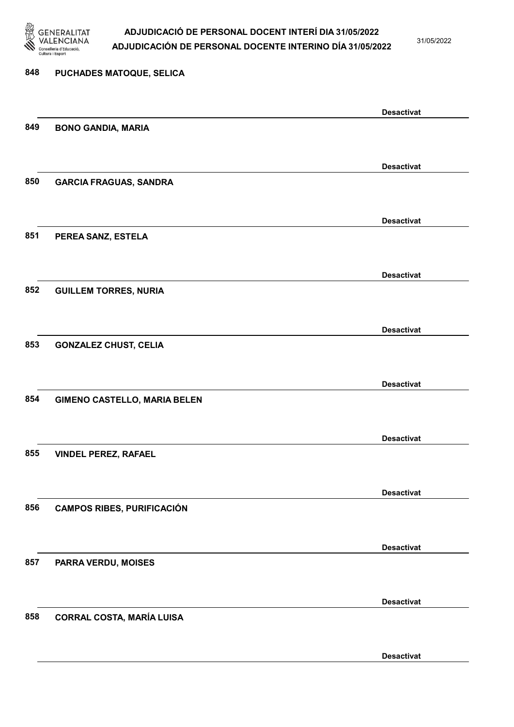

31/05/2022

# 848 PUCHADES MATOQUE, SELICA Desactivat 849 BONO GANDIA, MARIA Desactivat 850 GARCIA FRAGUAS, SANDRA Desactivat 851 PEREA SANZ, ESTELA Desactivat 852 GUILLEM TORRES, NURIA Desactivat 853 GONZALEZ CHUST, CELIA Desactivat 854 GIMENO CASTELLO, MARIA BELEN Desactivat 855 VINDEL PEREZ, RAFAEL Desactivat 856 CAMPOS RIBES, PURIFICACIÓN Desactivat 857 PARRA VERDU, MOISES Desactivat 858 CORRAL COSTA, MARÍA LUISA

Desactivat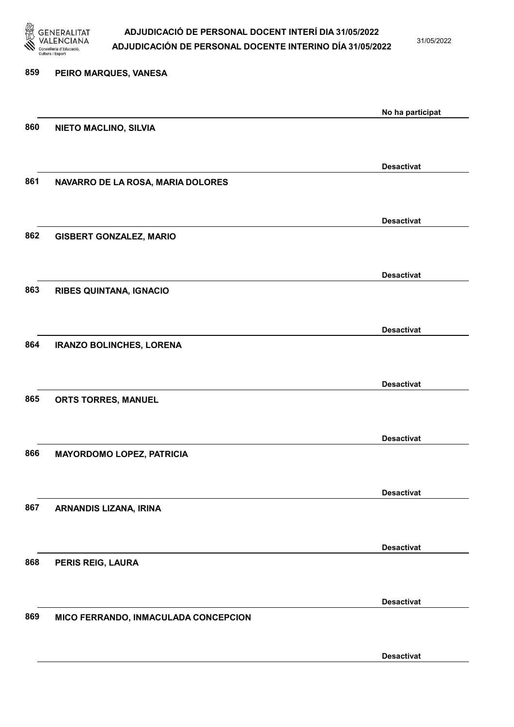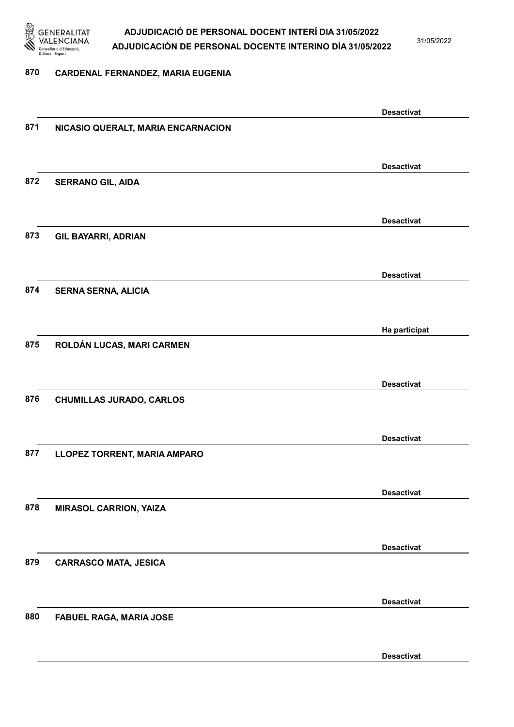

31/05/2022

#### 870 CARDENAL FERNANDEZ, MARIA EUGENIA

|     |                                    | <b>Desactivat</b> |
|-----|------------------------------------|-------------------|
| 871 | NICASIO QUERALT, MARIA ENCARNACION |                   |
|     |                                    |                   |
|     |                                    |                   |
| 872 |                                    | <b>Desactivat</b> |
|     | <b>SERRANO GIL, AIDA</b>           |                   |
|     |                                    |                   |
|     |                                    | <b>Desactivat</b> |
| 873 | <b>GIL BAYARRI, ADRIAN</b>         |                   |
|     |                                    |                   |
|     |                                    | <b>Desactivat</b> |
| 874 | <b>SERNA SERNA, ALICIA</b>         |                   |
|     |                                    |                   |
|     |                                    |                   |
|     |                                    | Ha participat     |
| 875 | ROLDÁN LUCAS, MARI CARMEN          |                   |
|     |                                    |                   |
|     |                                    | <b>Desactivat</b> |
| 876 | <b>CHUMILLAS JURADO, CARLOS</b>    |                   |
|     |                                    |                   |
|     |                                    |                   |
|     |                                    | <b>Desactivat</b> |
| 877 | LLOPEZ TORRENT, MARIA AMPARO       |                   |
|     |                                    |                   |
|     |                                    | <b>Desactivat</b> |
| 878 | <b>MIRASOL CARRION, YAIZA</b>      |                   |
|     |                                    |                   |
|     |                                    |                   |
| 879 |                                    | <b>Desactivat</b> |
|     | <b>CARRASCO MATA, JESICA</b>       |                   |
|     |                                    |                   |
|     |                                    | <b>Desactivat</b> |
| 880 | FABUEL RAGA, MARIA JOSE            |                   |
|     |                                    |                   |
|     |                                    | <b>Desactivat</b> |
|     |                                    |                   |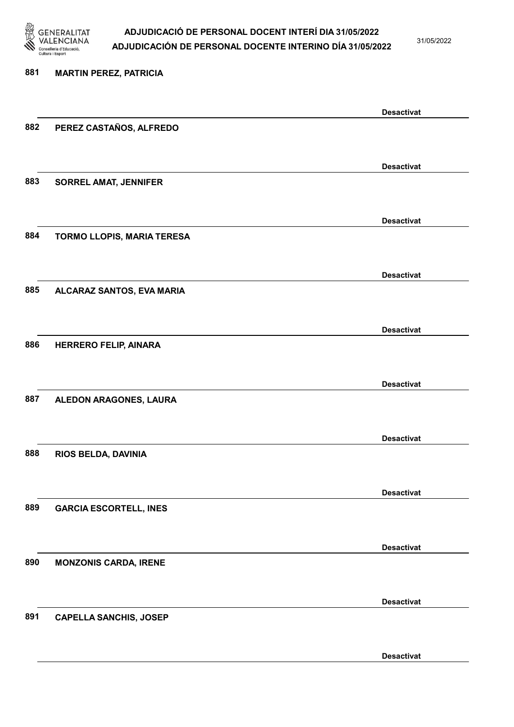

31/05/2022

Desactivat

# 881 MARTIN PEREZ, PATRICIA Desactivat 882 PEREZ CASTAÑOS, ALFREDO Desactivat 883 SORREL AMAT, JENNIFER Desactivat 884 TORMO LLOPIS, MARIA TERESA Desactivat 885 ALCARAZ SANTOS, EVA MARIA Desactivat 886 HERRERO FELIP, AINARA Desactivat 887 ALEDON ARAGONES, LAURA Desactivat 888 RIOS BELDA, DAVINIA Desactivat 889 GARCIA ESCORTELL, INES Desactivat 890 MONZONIS CARDA, IRENE Desactivat 891 CAPELLA SANCHIS, JOSEP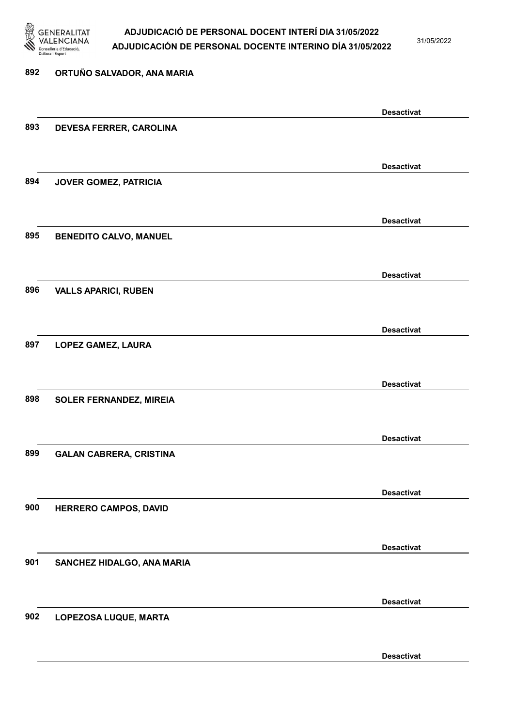

31/05/2022

#### 892 ORTUÑO SALVADOR, ANA MARIA

|     |                                | <b>Desactivat</b> |
|-----|--------------------------------|-------------------|
| 893 | DEVESA FERRER, CAROLINA        |                   |
|     |                                |                   |
|     |                                | <b>Desactivat</b> |
| 894 | JOVER GOMEZ, PATRICIA          |                   |
|     |                                |                   |
|     |                                | <b>Desactivat</b> |
| 895 | <b>BENEDITO CALVO, MANUEL</b>  |                   |
|     |                                |                   |
|     |                                |                   |
|     |                                | <b>Desactivat</b> |
| 896 | <b>VALLS APARICI, RUBEN</b>    |                   |
|     |                                |                   |
|     |                                | <b>Desactivat</b> |
| 897 | LOPEZ GAMEZ, LAURA             |                   |
|     |                                |                   |
|     |                                | <b>Desactivat</b> |
| 898 | <b>SOLER FERNANDEZ, MIREIA</b> |                   |
|     |                                |                   |
|     |                                | <b>Desactivat</b> |
| 899 | <b>GALAN CABRERA, CRISTINA</b> |                   |
|     |                                |                   |
|     |                                | <b>Desactivat</b> |
| 900 | HERRERO CAMPOS, DAVID          |                   |
|     |                                |                   |
|     |                                |                   |
| 901 |                                | <b>Desactivat</b> |
|     | SANCHEZ HIDALGO, ANA MARIA     |                   |
|     |                                |                   |
|     |                                | <b>Desactivat</b> |
| 902 | LOPEZOSA LUQUE, MARTA          |                   |
|     |                                |                   |
|     |                                | <b>Desactivat</b> |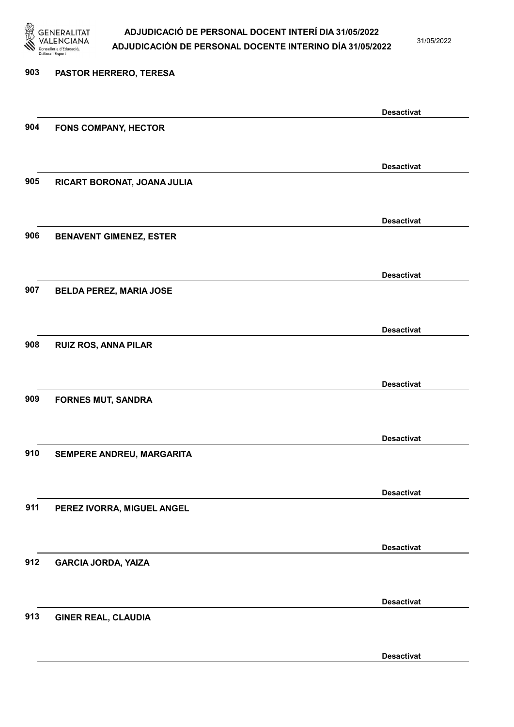

31/05/2022

Desactivat

# 903 PASTOR HERRERO, TERESA Desactivat 904 FONS COMPANY, HECTOR Desactivat 905 RICART BORONAT, JOANA JULIA Desactivat 906 BENAVENT GIMENEZ, ESTER Desactivat 907 BELDA PEREZ, MARIA JOSE Desactivat 908 RUIZ ROS, ANNA PILAR Desactivat 909 FORNES MUT, SANDRA Desactivat 910 SEMPERE ANDREU, MARGARITA Desactivat 911 PEREZ IVORRA, MIGUEL ANGEL Desactivat 912 GARCIA JORDA, YAIZA Desactivat 913 GINER REAL, CLAUDIA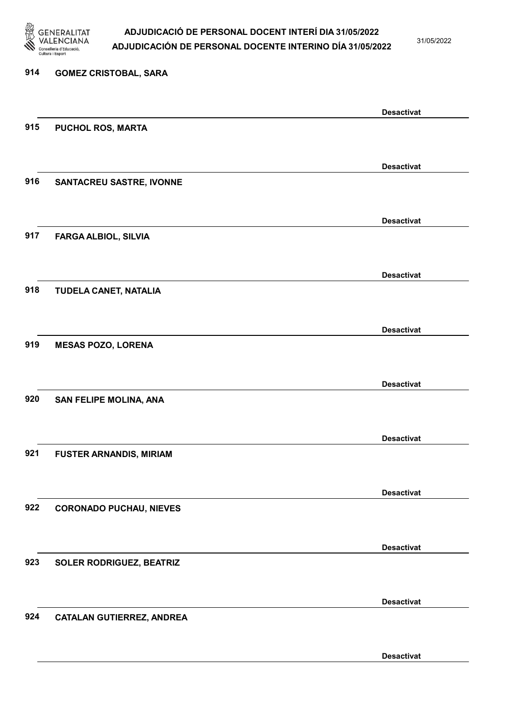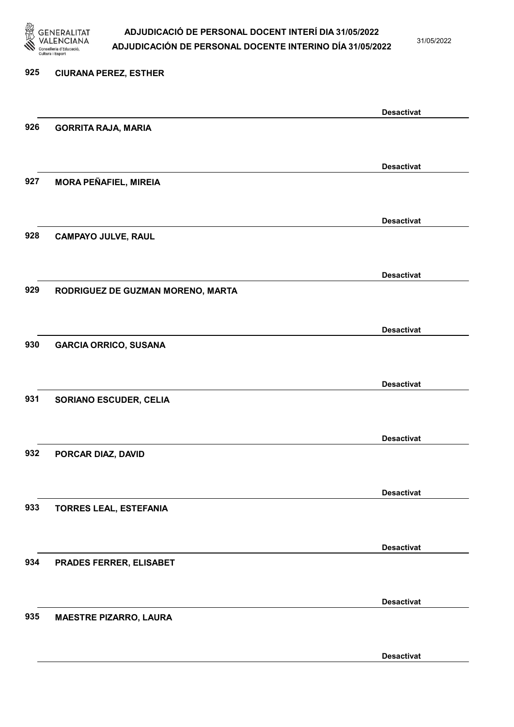

31/05/2022

Desactivat

# 925 CIURANA PEREZ, ESTHER Desactivat 926 GORRITA RAJA, MARIA Desactivat 927 MORA PEÑAFIEL, MIREIA Desactivat 928 CAMPAYO JULVE, RAUL Desactivat 929 RODRIGUEZ DE GUZMAN MORENO, MARTA Desactivat 930 GARCIA ORRICO, SUSANA Desactivat 931 SORIANO ESCUDER, CELIA Desactivat 932 PORCAR DIAZ, DAVID Desactivat 933 TORRES LEAL, ESTEFANIA Desactivat 934 PRADES FERRER, ELISABET Desactivat 935 MAESTRE PIZARRO, LAURA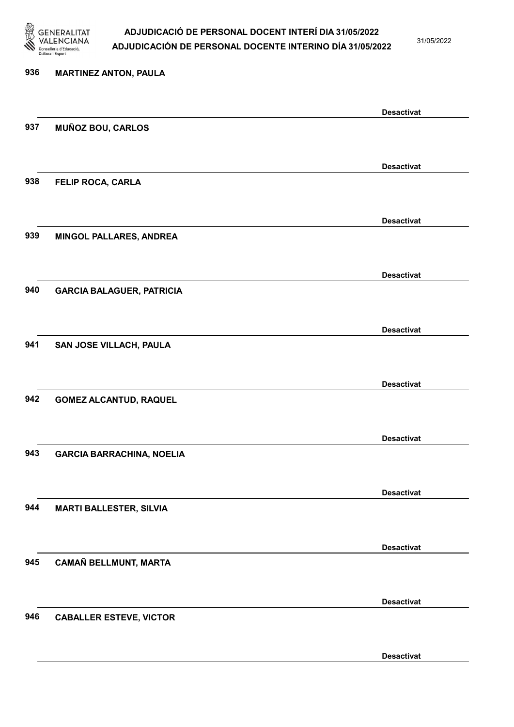

31/05/2022

Desactivat

# 936 MARTINEZ ANTON, PAULA Desactivat 937 MUÑOZ BOU, CARLOS Desactivat 938 FELIP ROCA, CARLA Desactivat 939 MINGOL PALLARES, ANDREA Desactivat 940 GARCIA BALAGUER, PATRICIA Desactivat 941 SAN JOSE VILLACH, PAULA Desactivat 942 GOMEZ ALCANTUD, RAQUEL Desactivat 943 GARCIA BARRACHINA, NOELIA Desactivat 944 MARTI BALLESTER, SILVIA Desactivat 945 CAMAÑ BELLMUNT, MARTA Desactivat 946 CABALLER ESTEVE, VICTOR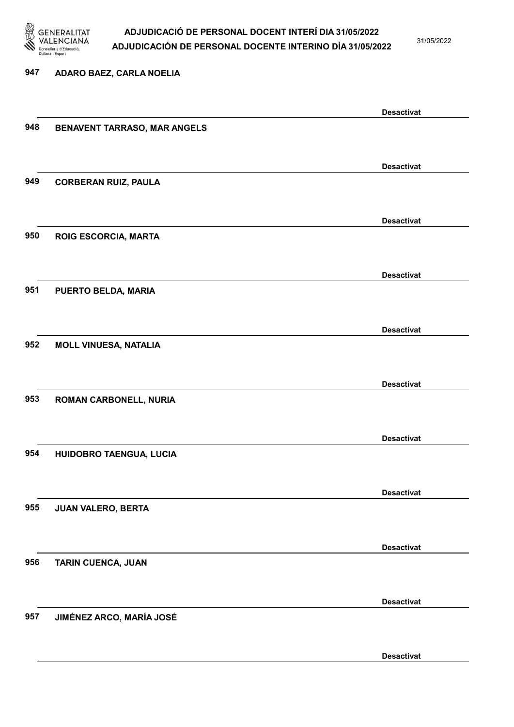

31/05/2022

#### 947 ADARO BAEZ, CARLA NOELIA

|     |                                     | <b>Desactivat</b> |
|-----|-------------------------------------|-------------------|
| 948 | <b>BENAVENT TARRASO, MAR ANGELS</b> |                   |
|     |                                     |                   |
|     |                                     |                   |
|     |                                     | <b>Desactivat</b> |
| 949 | <b>CORBERAN RUIZ, PAULA</b>         |                   |
|     |                                     |                   |
|     |                                     |                   |
|     |                                     | <b>Desactivat</b> |
| 950 | <b>ROIG ESCORCIA, MARTA</b>         |                   |
|     |                                     |                   |
|     |                                     |                   |
|     |                                     | <b>Desactivat</b> |
| 951 | PUERTO BELDA, MARIA                 |                   |
|     |                                     |                   |
|     |                                     |                   |
|     |                                     | <b>Desactivat</b> |
| 952 | <b>MOLL VINUESA, NATALIA</b>        |                   |
|     |                                     |                   |
|     |                                     |                   |
|     |                                     | <b>Desactivat</b> |
| 953 | ROMAN CARBONELL, NURIA              |                   |
|     |                                     |                   |
|     |                                     |                   |
|     |                                     | <b>Desactivat</b> |
| 954 | HUIDOBRO TAENGUA, LUCIA             |                   |
|     |                                     |                   |
|     |                                     |                   |
|     |                                     | <b>Desactivat</b> |
| 955 | <b>JUAN VALERO, BERTA</b>           |                   |
|     |                                     |                   |
|     |                                     |                   |
|     |                                     | <b>Desactivat</b> |
| 956 | TARIN CUENCA, JUAN                  |                   |
|     |                                     |                   |
|     |                                     |                   |
|     |                                     | <b>Desactivat</b> |
| 957 | <b>JIMÉNEZ ARCO, MARÍA JOSÉ</b>     |                   |
|     |                                     |                   |
|     |                                     |                   |
|     |                                     | <b>Desactivat</b> |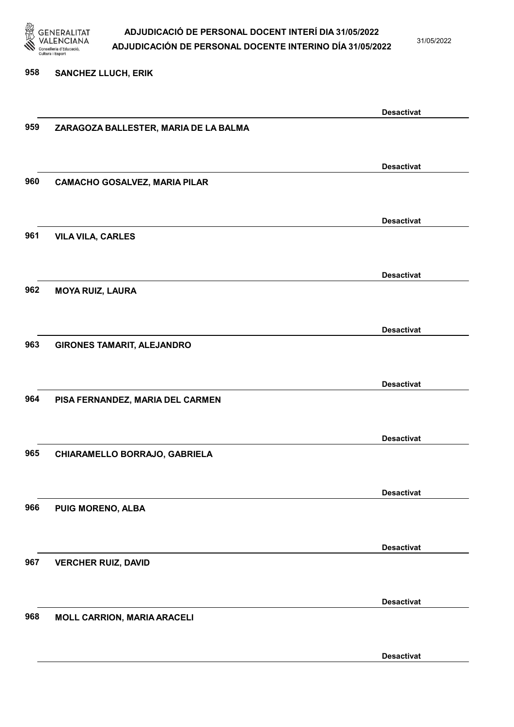

31/05/2022

#### 958 SANCHEZ LLUCH, ERIK

|     |                                       | <b>Desactivat</b> |
|-----|---------------------------------------|-------------------|
| 959 | ZARAGOZA BALLESTER, MARIA DE LA BALMA |                   |
|     |                                       |                   |
|     |                                       |                   |
|     |                                       | <b>Desactivat</b> |
| 960 | <b>CAMACHO GOSALVEZ, MARIA PILAR</b>  |                   |
|     |                                       |                   |
|     |                                       | <b>Desactivat</b> |
| 961 | <b>VILA VILA, CARLES</b>              |                   |
|     |                                       |                   |
|     |                                       | <b>Desactivat</b> |
| 962 |                                       |                   |
|     | <b>MOYA RUIZ, LAURA</b>               |                   |
|     |                                       |                   |
|     |                                       | <b>Desactivat</b> |
| 963 | <b>GIRONES TAMARIT, ALEJANDRO</b>     |                   |
|     |                                       |                   |
|     |                                       | <b>Desactivat</b> |
| 964 | PISA FERNANDEZ, MARIA DEL CARMEN      |                   |
|     |                                       |                   |
|     |                                       |                   |
|     |                                       | <b>Desactivat</b> |
| 965 | CHIARAMELLO BORRAJO, GABRIELA         |                   |
|     |                                       |                   |
|     |                                       | <b>Desactivat</b> |
| 966 | PUIG MORENO, ALBA                     |                   |
|     |                                       |                   |
|     |                                       |                   |
|     |                                       | <b>Desactivat</b> |
| 967 | <b>VERCHER RUIZ, DAVID</b>            |                   |
|     |                                       |                   |
|     |                                       | <b>Desactivat</b> |
| 968 | <b>MOLL CARRION, MARIA ARACELI</b>    |                   |
|     |                                       |                   |
|     |                                       |                   |
|     |                                       | <b>Desactivat</b> |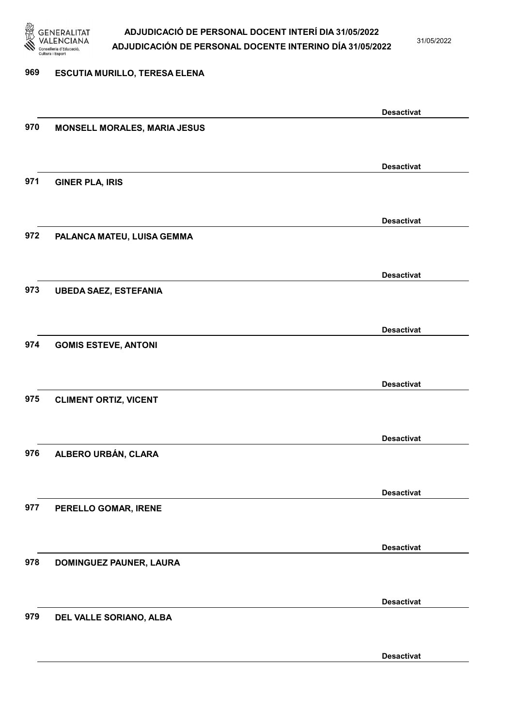

31/05/2022

#### 969 ESCUTIA MURILLO, TERESA ELENA

|     |                                     | <b>Desactivat</b> |
|-----|-------------------------------------|-------------------|
| 970 | <b>MONSELL MORALES, MARIA JESUS</b> |                   |
|     |                                     |                   |
|     |                                     | <b>Desactivat</b> |
| 971 | <b>GINER PLA, IRIS</b>              |                   |
|     |                                     |                   |
|     |                                     |                   |
|     |                                     | <b>Desactivat</b> |
| 972 | PALANCA MATEU, LUISA GEMMA          |                   |
|     |                                     |                   |
|     |                                     | <b>Desactivat</b> |
| 973 | <b>UBEDA SAEZ, ESTEFANIA</b>        |                   |
|     |                                     |                   |
|     |                                     | <b>Desactivat</b> |
| 974 | <b>GOMIS ESTEVE, ANTONI</b>         |                   |
|     |                                     |                   |
|     |                                     |                   |
|     |                                     | <b>Desactivat</b> |
| 975 | <b>CLIMENT ORTIZ, VICENT</b>        |                   |
|     |                                     |                   |
|     |                                     | <b>Desactivat</b> |
| 976 | ALBERO URBÁN, CLARA                 |                   |
|     |                                     |                   |
|     |                                     | <b>Desactivat</b> |
| 977 | PERELLO GOMAR, IRENE                |                   |
|     |                                     |                   |
|     |                                     |                   |
|     |                                     | <b>Desactivat</b> |
| 978 | <b>DOMINGUEZ PAUNER, LAURA</b>      |                   |
|     |                                     |                   |
|     |                                     | <b>Desactivat</b> |
| 979 | DEL VALLE SORIANO, ALBA             |                   |
|     |                                     |                   |
|     |                                     | <b>Desactivat</b> |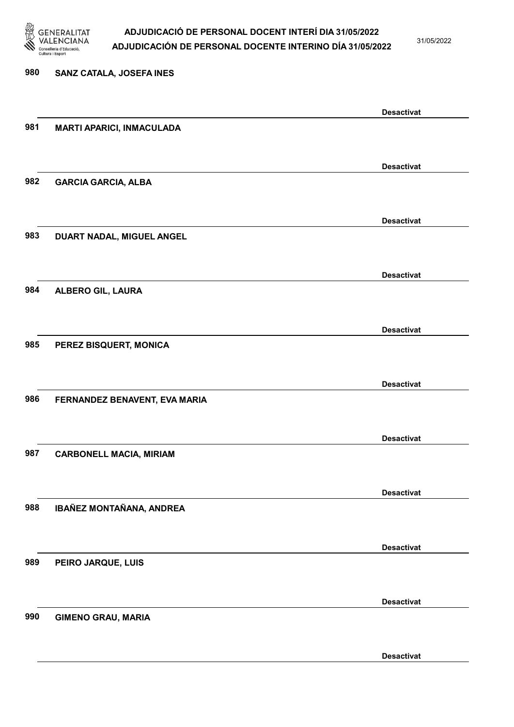

31/05/2022

Desactivat

# 980 SANZ CATALA, JOSEFA INES Desactivat 981 MARTI APARICI, INMACULADA Desactivat 982 GARCIA GARCIA, ALBA Desactivat 983 DUART NADAL, MIGUEL ANGEL Desactivat 984 ALBERO GIL, LAURA Desactivat 985 PEREZ BISQUERT, MONICA Desactivat 986 FERNANDEZ BENAVENT, EVA MARIA Desactivat 987 CARBONELL MACIA, MIRIAM Desactivat 988 IBAÑEZ MONTAÑANA, ANDREA Desactivat 989 PEIRO JARQUE, LUIS Desactivat 990 GIMENO GRAU, MARIA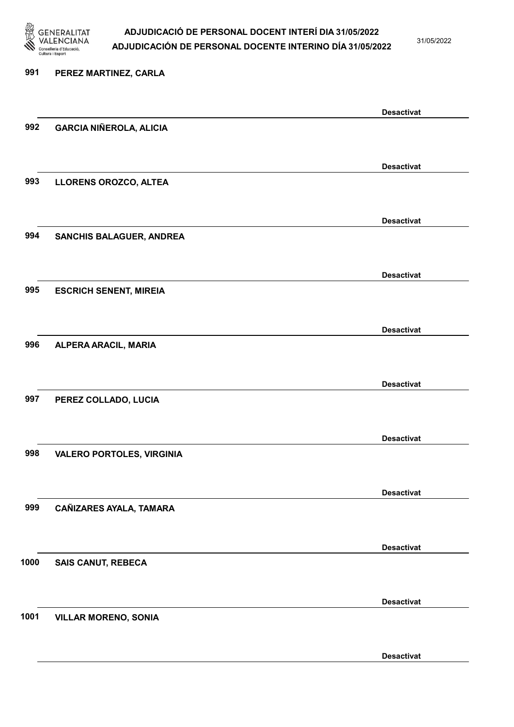

991 PEREZ MARTINEZ, CARLA

#### ADJUDICACIÓ DE PERSONAL DOCENT INTERÍ DIA 31/05/2022 ADJUDICACIÓN DE PERSONAL DOCENTE INTERINO DÍA 31/05/2022

31/05/2022

Desactivat

Desactivat

Desactivat

Desactivat

Desactivat

Desactivat

Desactivat

Desactivat

Desactivat

Desactivat

# 992 GARCIA NIÑEROLA, ALICIA 993 LLORENS OROZCO, ALTEA 994 SANCHIS BALAGUER, ANDREA 995 ESCRICH SENENT, MIREIA 996 ALPERA ARACIL, MARIA

997 PEREZ COLLADO, LUCIA

998 VALERO PORTOLES, VIRGINIA

999 CAÑIZARES AYALA, TAMARA

1000 SAIS CANUT, REBECA

1001 VILLAR MORENO, SONIA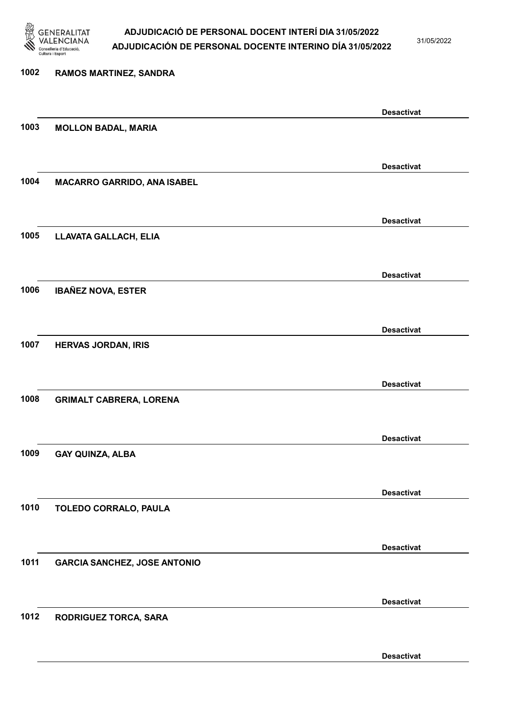

31/05/2022

Desactivat

# 1002 RAMOS MARTINEZ, SANDRA Desactivat 1003 MOLLON BADAL, MARIA Desactivat 1004 MACARRO GARRIDO, ANA ISABEL Desactivat 1005 LLAVATA GALLACH, ELIA Desactivat 1006 IBAÑEZ NOVA, ESTER Desactivat 1007 HERVAS JORDAN, IRIS Desactivat 1008 GRIMALT CABRERA, LORENA Desactivat 1009 GAY QUINZA, ALBA Desactivat 1010 TOLEDO CORRALO, PAULA Desactivat 1011 GARCIA SANCHEZ, JOSE ANTONIO Desactivat 1012 RODRIGUEZ TORCA, SARA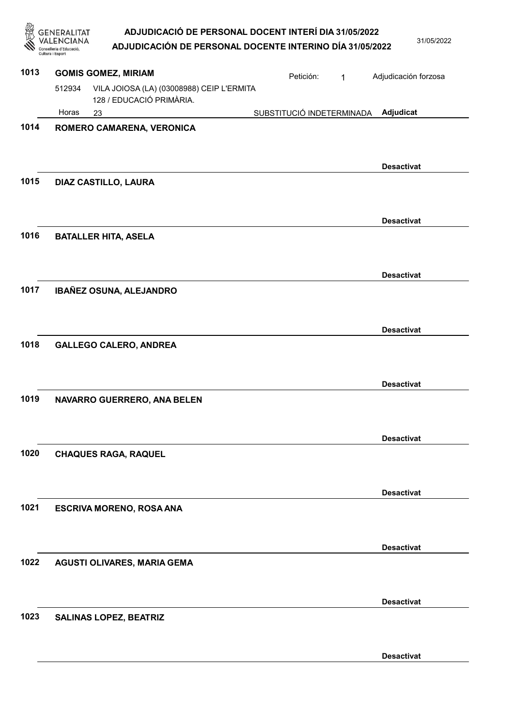| <b>GENERALITAT</b>                    | ADJUDICACIÓ DE PERSONAL DOCENT INTERÍ DIA 31/05/2022     |            |
|---------------------------------------|----------------------------------------------------------|------------|
| VALENCIANA<br>Conselleria d'Educació, | ADJUDICACIÓN DE PERSONAL DOCENTE INTERINO DÍA 31/05/2022 | 31/05/2022 |
| Cultura i Esport                      |                                                          |            |

| 1013 |        | <b>GOMIS GOMEZ, MIRIAM</b>                                            | Petición:                 | $\mathbf{1}$ | Adjudicación forzosa |
|------|--------|-----------------------------------------------------------------------|---------------------------|--------------|----------------------|
|      | 512934 | VILA JOIOSA (LA) (03008988) CEIP L'ERMITA<br>128 / EDUCACIÓ PRIMÀRIA. |                           |              |                      |
|      | Horas  | 23                                                                    | SUBSTITUCIÓ INDETERMINADA |              | Adjudicat            |
| 1014 |        | ROMERO CAMARENA, VERONICA                                             |                           |              | <b>Desactivat</b>    |
| 1015 |        | DIAZ CASTILLO, LAURA                                                  |                           |              |                      |
|      |        |                                                                       |                           |              | <b>Desactivat</b>    |
| 1016 |        | <b>BATALLER HITA, ASELA</b>                                           |                           |              |                      |
|      |        |                                                                       |                           |              | <b>Desactivat</b>    |
| 1017 |        | IBAÑEZ OSUNA, ALEJANDRO                                               |                           |              |                      |
|      |        |                                                                       |                           |              | <b>Desactivat</b>    |
| 1018 |        | <b>GALLEGO CALERO, ANDREA</b>                                         |                           |              |                      |
|      |        |                                                                       |                           |              | <b>Desactivat</b>    |
| 1019 |        | NAVARRO GUERRERO, ANA BELEN                                           |                           |              |                      |
|      |        |                                                                       |                           |              | <b>Desactivat</b>    |
| 1020 |        | <b>CHAQUES RAGA, RAQUEL</b>                                           |                           |              |                      |
|      |        |                                                                       |                           |              | <b>Desactivat</b>    |
| 1021 |        | <b>ESCRIVA MORENO, ROSA ANA</b>                                       |                           |              |                      |
|      |        |                                                                       |                           |              | <b>Desactivat</b>    |
| 1022 |        | AGUSTI OLIVARES, MARIA GEMA                                           |                           |              |                      |
|      |        |                                                                       |                           |              | <b>Desactivat</b>    |
| 1023 |        | <b>SALINAS LOPEZ, BEATRIZ</b>                                         |                           |              |                      |

Desactivat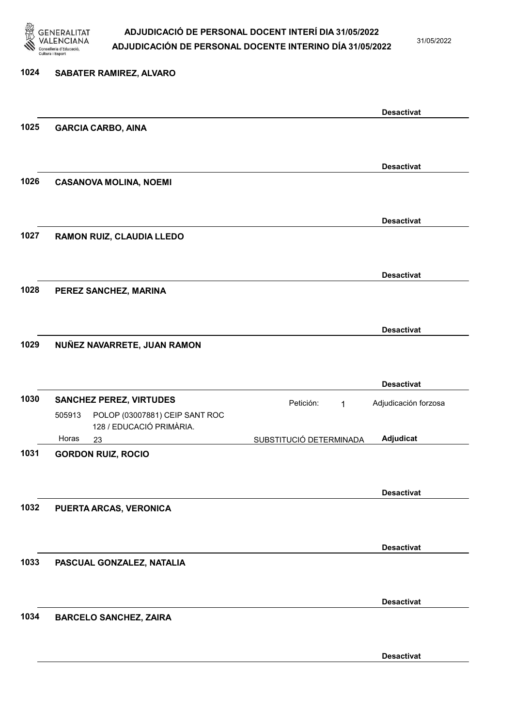

31/05/2022

### 1024 SABATER RAMIREZ, ALVARO

|      |                                                                      | <b>Desactivat</b>                                 |  |
|------|----------------------------------------------------------------------|---------------------------------------------------|--|
| 1025 | <b>GARCIA CARBO, AINA</b>                                            |                                                   |  |
|      |                                                                      |                                                   |  |
|      |                                                                      | <b>Desactivat</b>                                 |  |
| 1026 | <b>CASANOVA MOLINA, NOEMI</b>                                        |                                                   |  |
|      |                                                                      |                                                   |  |
|      |                                                                      | <b>Desactivat</b>                                 |  |
| 1027 | RAMON RUIZ, CLAUDIA LLEDO                                            |                                                   |  |
|      |                                                                      |                                                   |  |
|      |                                                                      | <b>Desactivat</b>                                 |  |
| 1028 | PEREZ SANCHEZ, MARINA                                                |                                                   |  |
|      |                                                                      |                                                   |  |
|      |                                                                      | <b>Desactivat</b>                                 |  |
| 1029 | NUÑEZ NAVARRETE, JUAN RAMON                                          |                                                   |  |
|      |                                                                      |                                                   |  |
|      |                                                                      | <b>Desactivat</b>                                 |  |
| 1030 | <b>SANCHEZ PEREZ, VIRTUDES</b>                                       | Petición:<br>Adjudicación forzosa<br>$\mathbf{1}$ |  |
|      | POLOP (03007881) CEIP SANT ROC<br>505913<br>128 / EDUCACIÓ PRIMÀRIA. |                                                   |  |
|      | Horas<br>23                                                          | Adjudicat<br>SUBSTITUCIÓ DETERMINADA              |  |
| 1031 | <b>GORDON RUIZ, ROCIO</b>                                            |                                                   |  |
|      |                                                                      |                                                   |  |
|      |                                                                      | <b>Desactivat</b>                                 |  |
| 1032 | PUERTA ARCAS, VERONICA                                               |                                                   |  |
|      |                                                                      |                                                   |  |
|      |                                                                      | <b>Desactivat</b>                                 |  |
| 1033 | PASCUAL GONZALEZ, NATALIA                                            |                                                   |  |
|      |                                                                      |                                                   |  |
|      |                                                                      | <b>Desactivat</b>                                 |  |
| 1034 | <b>BARCELO SANCHEZ, ZAIRA</b>                                        |                                                   |  |
|      |                                                                      |                                                   |  |
|      |                                                                      | <b>Desactivat</b>                                 |  |
|      |                                                                      |                                                   |  |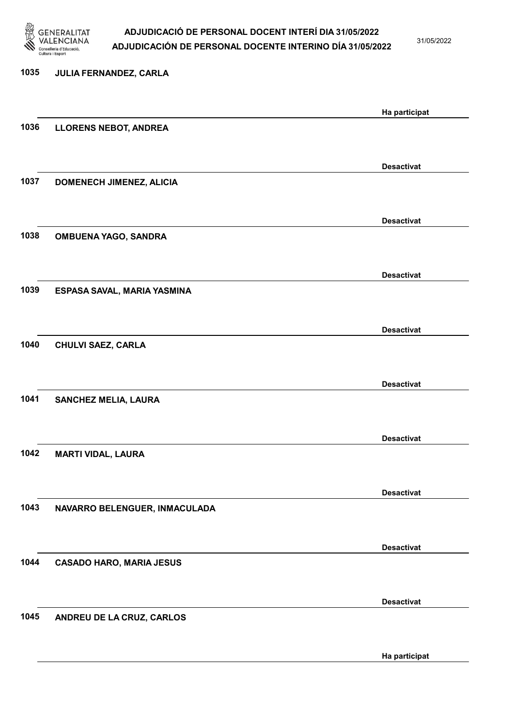

31/05/2022

Ha participat

# 1035 JULIA FERNANDEZ, CARLA Ha participat 1036 LLORENS NEBOT, ANDREA Desactivat 1037 DOMENECH JIMENEZ, ALICIA Desactivat 1038 OMBUENA YAGO, SANDRA Desactivat 1039 ESPASA SAVAL, MARIA YASMINA Desactivat 1040 CHULVI SAEZ, CARLA Desactivat 1041 SANCHEZ MELIA, LAURA Desactivat 1042 MARTI VIDAL, LAURA Desactivat 1043 NAVARRO BELENGUER, INMACULADA Desactivat 1044 CASADO HARO, MARIA JESUS Desactivat 1045 ANDREU DE LA CRUZ, CARLOS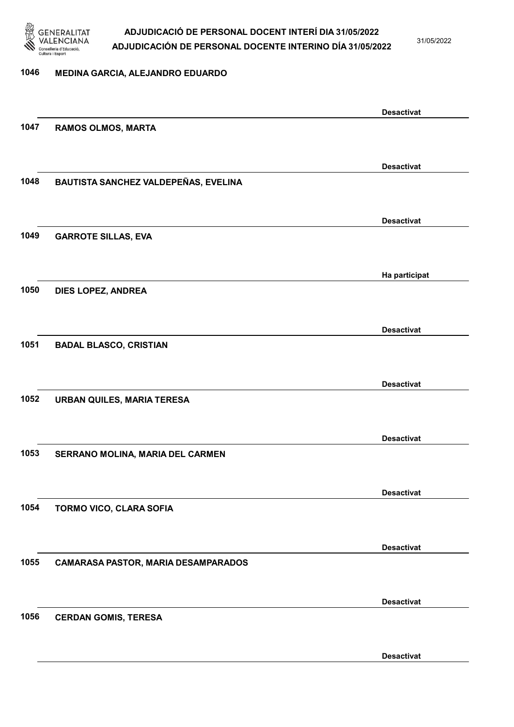

31/05/2022

#### 1046 MEDINA GARCIA, ALEJANDRO EDUARDO

|      |                                            | <b>Desactivat</b> |
|------|--------------------------------------------|-------------------|
| 1047 | <b>RAMOS OLMOS, MARTA</b>                  |                   |
|      |                                            |                   |
|      |                                            | <b>Desactivat</b> |
| 1048 | BAUTISTA SANCHEZ VALDEPEÑAS, EVELINA       |                   |
|      |                                            |                   |
|      |                                            | <b>Desactivat</b> |
| 1049 | <b>GARROTE SILLAS, EVA</b>                 |                   |
|      |                                            |                   |
|      |                                            |                   |
| 1050 |                                            | Ha participat     |
|      | DIES LOPEZ, ANDREA                         |                   |
|      |                                            |                   |
|      |                                            | <b>Desactivat</b> |
| 1051 | <b>BADAL BLASCO, CRISTIAN</b>              |                   |
|      |                                            |                   |
|      |                                            | <b>Desactivat</b> |
| 1052 | <b>URBAN QUILES, MARIA TERESA</b>          |                   |
|      |                                            |                   |
|      |                                            | <b>Desactivat</b> |
| 1053 | SERRANO MOLINA, MARIA DEL CARMEN           |                   |
|      |                                            |                   |
|      |                                            | <b>Desactivat</b> |
| 1054 | TORMO VICO, CLARA SOFIA                    |                   |
|      |                                            |                   |
|      |                                            | <b>Desactivat</b> |
| 1055 | <b>CAMARASA PASTOR, MARIA DESAMPARADOS</b> |                   |
|      |                                            |                   |
|      |                                            | <b>Desactivat</b> |
| 1056 | <b>CERDAN GOMIS, TERESA</b>                |                   |
|      |                                            |                   |
|      |                                            |                   |
|      |                                            | <b>Desactivat</b> |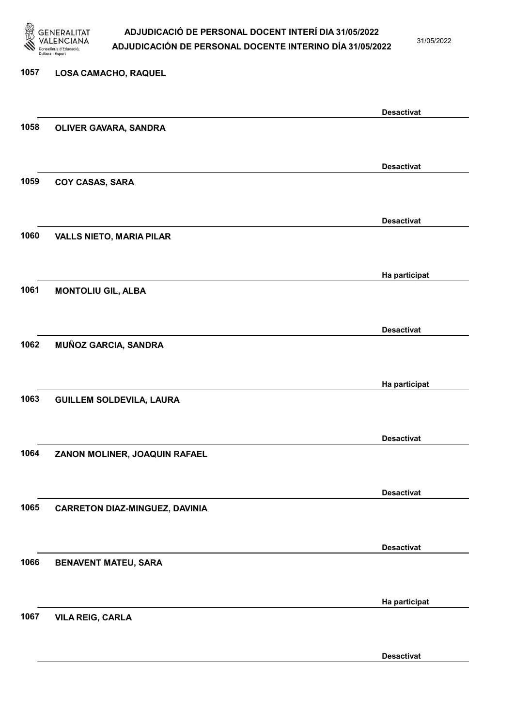

31/05/2022

#### 1057 LOSA CAMACHO, RAQUEL

|      |                                       | <b>Desactivat</b> |
|------|---------------------------------------|-------------------|
| 1058 | OLIVER GAVARA, SANDRA                 |                   |
|      |                                       |                   |
|      |                                       | <b>Desactivat</b> |
| 1059 | <b>COY CASAS, SARA</b>                |                   |
|      |                                       |                   |
|      |                                       | <b>Desactivat</b> |
| 1060 | <b>VALLS NIETO, MARIA PILAR</b>       |                   |
|      |                                       |                   |
|      |                                       | Ha participat     |
| 1061 | <b>MONTOLIU GIL, ALBA</b>             |                   |
|      |                                       |                   |
|      |                                       | <b>Desactivat</b> |
| 1062 | MUÑOZ GARCIA, SANDRA                  |                   |
|      |                                       |                   |
|      |                                       | Ha participat     |
| 1063 | <b>GUILLEM SOLDEVILA, LAURA</b>       |                   |
|      |                                       |                   |
|      |                                       | <b>Desactivat</b> |
| 1064 | ZANON MOLINER, JOAQUIN RAFAEL         |                   |
|      |                                       |                   |
|      |                                       | <b>Desactivat</b> |
| 1065 | <b>CARRETON DIAZ-MINGUEZ, DAVINIA</b> |                   |
|      |                                       |                   |
|      |                                       | <b>Desactivat</b> |
| 1066 | <b>BENAVENT MATEU, SARA</b>           |                   |
|      |                                       |                   |
|      |                                       | Ha participat     |
| 1067 | <b>VILA REIG, CARLA</b>               |                   |
|      |                                       |                   |
|      |                                       | <b>Desactivat</b> |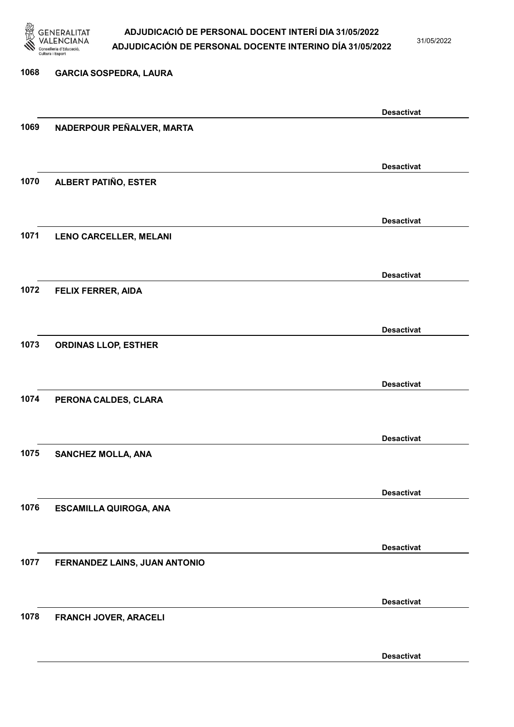

31/05/2022

### 1068 GARCIA SOSPEDRA, LAURA Desactivat 1069 NADERPOUR PEÑALVER, MARTA Desactivat 1070 ALBERT PATIÑO, ESTER Desactivat 1071 LENO CARCELLER, MELANI Desactivat 1072 FELIX FERRER, AIDA Desactivat 1073 ORDINAS LLOP, ESTHER Desactivat 1074 PERONA CALDES, CLARA Desactivat 1075 SANCHEZ MOLLA, ANA Desactivat 1076 ESCAMILLA QUIROGA, ANA Desactivat 1077 FERNANDEZ LAINS, JUAN ANTONIO Desactivat 1078 FRANCH JOVER, ARACELI Desactivat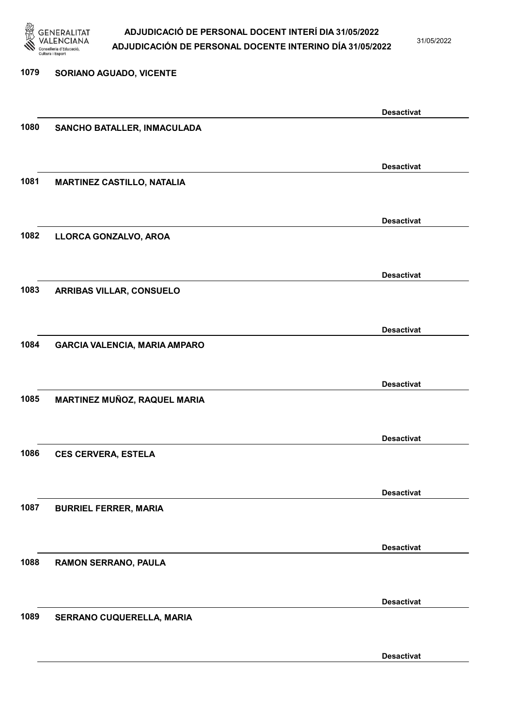

31/05/2022

### 1079 SORIANO AGUADO, VICENTE Desactivat 1080 SANCHO BATALLER, INMACULADA Desactivat 1081 MARTINEZ CASTILLO, NATALIA Desactivat 1082 LLORCA GONZALVO, AROA Desactivat 1083 ARRIBAS VILLAR, CONSUELO Desactivat 1084 GARCIA VALENCIA, MARIA AMPARO Desactivat 1085 MARTINEZ MUÑOZ, RAQUEL MARIA Desactivat 1086 CES CERVERA, ESTELA Desactivat 1087 BURRIEL FERRER, MARIA Desactivat 1088 RAMON SERRANO, PAULA Desactivat 1089 SERRANO CUQUERELLA, MARIA Desactivat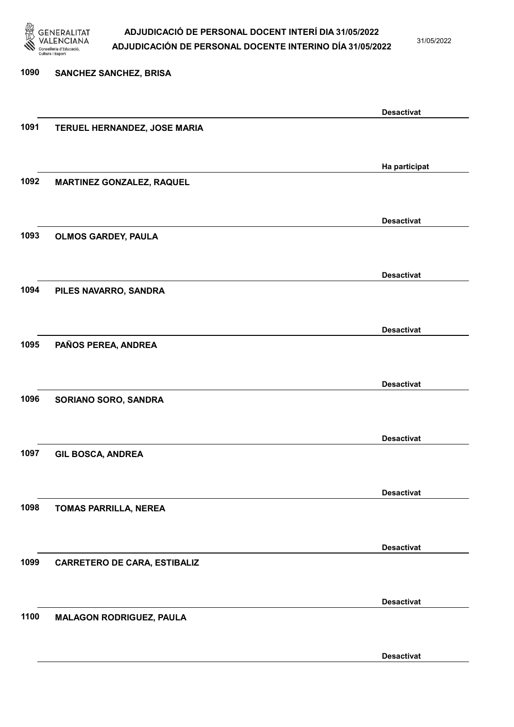

31/05/2022

Desactivat

# 1090 SANCHEZ SANCHEZ, BRISA Desactivat 1091 TERUEL HERNANDEZ, JOSE MARIA Ha participat 1092 MARTINEZ GONZALEZ, RAQUEL Desactivat 1093 OLMOS GARDEY, PAULA Desactivat 1094 PILES NAVARRO, SANDRA Desactivat 1095 PAÑOS PEREA, ANDREA Desactivat 1096 SORIANO SORO, SANDRA Desactivat 1097 GIL BOSCA, ANDREA Desactivat 1098 TOMAS PARRILLA, NEREA Desactivat 1099 CARRETERO DE CARA, ESTIBALIZ Desactivat 1100 MALAGON RODRIGUEZ, PAULA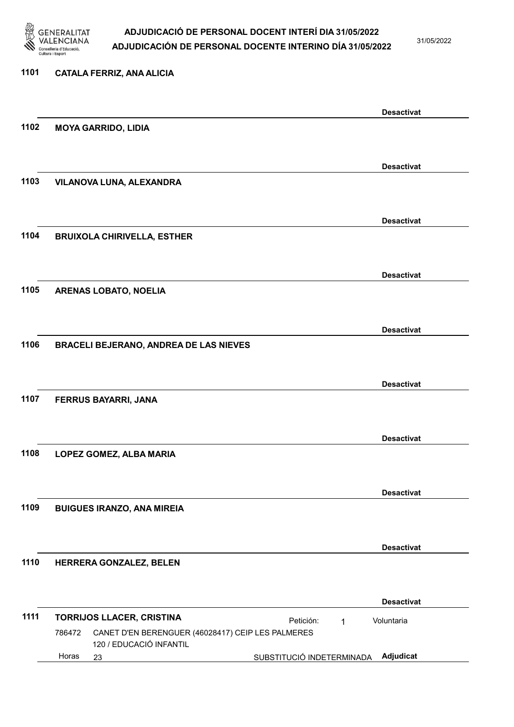

31/05/2022

### 1101 CATALA FERRIZ, ANA ALICIA Desactivat 1102 MOYA GARRIDO, LIDIA Desactivat 1103 VILANOVA LUNA, ALEXANDRA Desactivat 1104 BRUIXOLA CHIRIVELLA, ESTHER Desactivat 1105 ARENAS LOBATO, NOELIA Desactivat 1106 BRACELI BEJERANO, ANDREA DE LAS NIEVES Desactivat 1107 FERRUS BAYARRI, JANA Desactivat 1108 LOPEZ GOMEZ, ALBA MARIA Desactivat 1109 BUIGUES IRANZO, ANA MIREIA Desactivat 1110 HERRERA GONZALEZ, BELEN Desactivat 1111 TORRIJOS LLACER, CRISTINA **Petición:** 1 23 SUBSTITUCIÓ INDETERMINADA Adjudicat CANET D'EN BERENGUER (46028417) CEIP LES PALMERES 120 / EDUCACIÓ INFANTIL Voluntaria 786472 Horas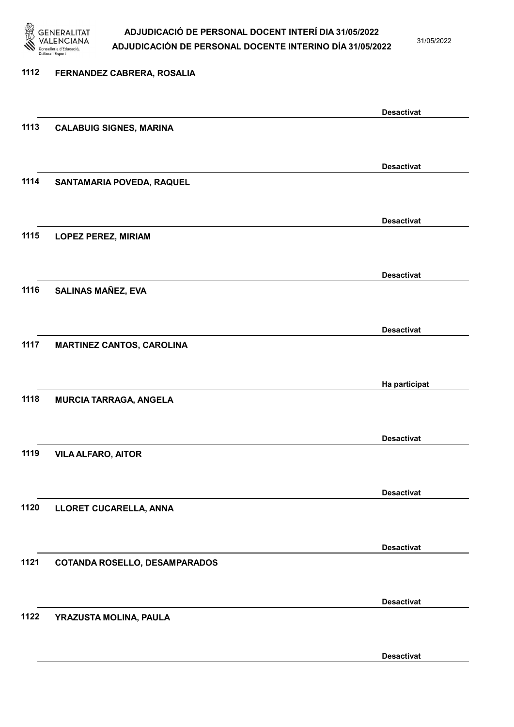

31/05/2022

Desactivat

# 1112 FERNANDEZ CABRERA, ROSALIA Desactivat 1113 CALABUIG SIGNES, MARINA Desactivat 1114 SANTAMARIA POVEDA, RAQUEL Desactivat 1115 LOPEZ PEREZ, MIRIAM Desactivat 1116 SALINAS MAÑEZ, EVA Desactivat 1117 MARTINEZ CANTOS, CAROLINA Ha participat 1118 MURCIA TARRAGA, ANGELA Desactivat 1119 VILA ALFARO, AITOR Desactivat 1120 LLORET CUCARELLA, ANNA Desactivat 1121 COTANDA ROSELLO, DESAMPARADOS Desactivat 1122 YRAZUSTA MOLINA, PAULA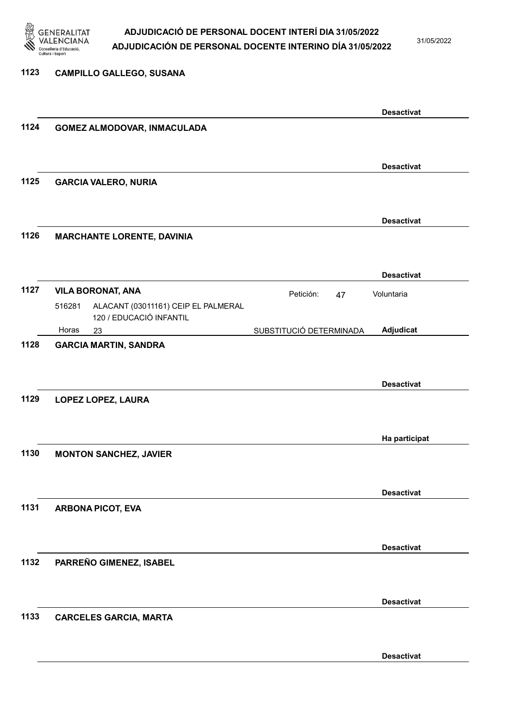

1123 CAMPILLO GALLEGO, SUSANA

#### ADJUDICACIÓ DE PERSONAL DOCENT INTERÍ DIA 31/05/2022 ADJUDICACIÓN DE PERSONAL DOCENTE INTERINO DÍA 31/05/2022

31/05/2022

Desactivat

### Desactivat 1124 GOMEZ ALMODOVAR, INMACULADA Desactivat 1125 GARCIA VALERO, NURIA Desactivat 1126 MARCHANTE LORENTE, DAVINIA Desactivat 1127 VILA BORONAT, ANA **Petición:** 47 23 SUBSTITUCIÓ DETERMINADA ALACANT (03011161) CEIP EL PALMERAL 120 / EDUCACIÓ INFANTIL Adjudicat Voluntaria 516281 Horas 1128 GARCIA MARTIN, SANDRA Desactivat 1129 LOPEZ LOPEZ, LAURA Ha participat 1130 MONTON SANCHEZ, JAVIER Desactivat 1131 ARBONA PICOT, EVA Desactivat 1132 PARREÑO GIMENEZ, ISABEL Desactivat 1133 CARCELES GARCIA, MARTA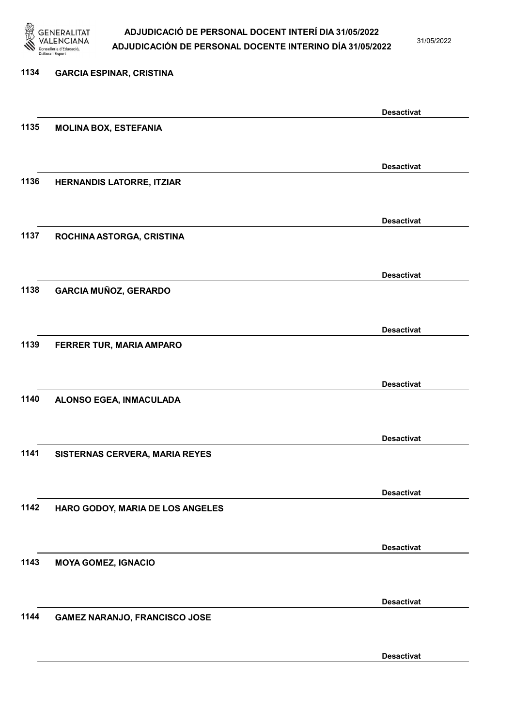

31/05/2022

Desactivat

# 1134 GARCIA ESPINAR, CRISTINA Desactivat 1135 MOLINA BOX, ESTEFANIA Desactivat 1136 HERNANDIS LATORRE, ITZIAR Desactivat 1137 ROCHINA ASTORGA, CRISTINA Desactivat 1138 GARCIA MUÑOZ, GERARDO Desactivat 1139 FERRER TUR, MARIA AMPARO Desactivat 1140 ALONSO EGEA, INMACULADA Desactivat 1141 SISTERNAS CERVERA, MARIA REYES Desactivat 1142 HARO GODOY, MARIA DE LOS ANGELES Desactivat 1143 MOYA GOMEZ, IGNACIO Desactivat 1144 GAMEZ NARANJO, FRANCISCO JOSE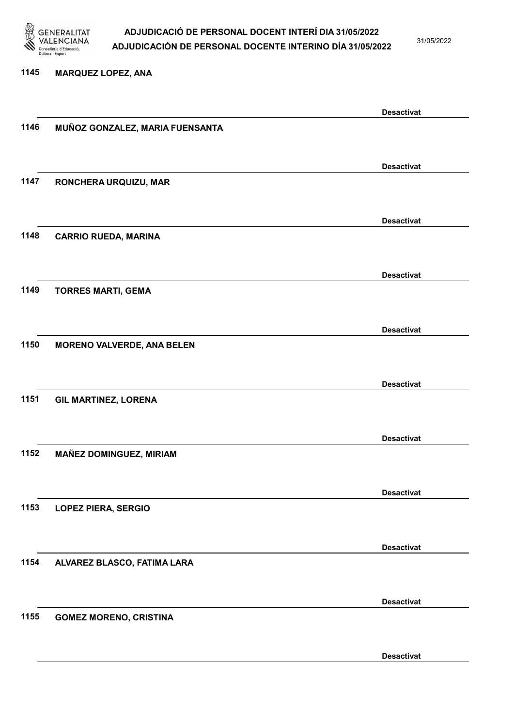

31/05/2022

#### 1145 MARQUEZ LOPEZ, ANA

|      |                                   | <b>Desactivat</b> |
|------|-----------------------------------|-------------------|
| 1146 | MUÑOZ GONZALEZ, MARIA FUENSANTA   |                   |
|      |                                   |                   |
|      |                                   |                   |
|      |                                   | <b>Desactivat</b> |
| 1147 | RONCHERA URQUIZU, MAR             |                   |
|      |                                   |                   |
|      |                                   |                   |
|      |                                   | <b>Desactivat</b> |
| 1148 |                                   |                   |
|      | <b>CARRIO RUEDA, MARINA</b>       |                   |
|      |                                   |                   |
|      |                                   |                   |
|      |                                   | <b>Desactivat</b> |
| 1149 | <b>TORRES MARTI, GEMA</b>         |                   |
|      |                                   |                   |
|      |                                   |                   |
|      |                                   | <b>Desactivat</b> |
| 1150 | <b>MORENO VALVERDE, ANA BELEN</b> |                   |
|      |                                   |                   |
|      |                                   |                   |
|      |                                   | <b>Desactivat</b> |
| 1151 | <b>GIL MARTINEZ, LORENA</b>       |                   |
|      |                                   |                   |
|      |                                   |                   |
|      |                                   | <b>Desactivat</b> |
| 1152 | MAÑEZ DOMINGUEZ, MIRIAM           |                   |
|      |                                   |                   |
|      |                                   |                   |
|      |                                   | <b>Desactivat</b> |
| 1153 | <b>LOPEZ PIERA, SERGIO</b>        |                   |
|      |                                   |                   |
|      |                                   |                   |
|      |                                   | <b>Desactivat</b> |
|      |                                   |                   |
| 1154 | ALVAREZ BLASCO, FATIMA LARA       |                   |
|      |                                   |                   |
|      |                                   |                   |
|      |                                   | <b>Desactivat</b> |
| 1155 | <b>GOMEZ MORENO, CRISTINA</b>     |                   |
|      |                                   |                   |
|      |                                   |                   |
|      |                                   | <b>Desactivat</b> |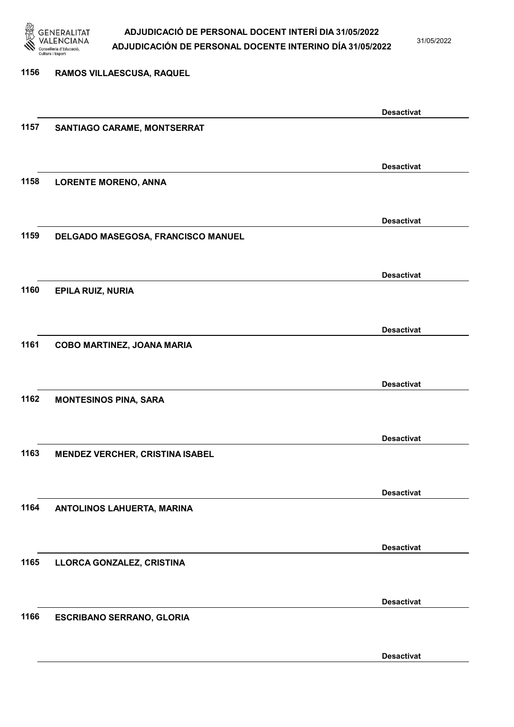

31/05/2022

### 1156 RAMOS VILLAESCUSA, RAQUEL Desactivat 1157 SANTIAGO CARAME, MONTSERRAT Desactivat 1158 LORENTE MORENO, ANNA Desactivat 1159 DELGADO MASEGOSA, FRANCISCO MANUEL Desactivat 1160 EPILA RUIZ, NURIA Desactivat 1161 COBO MARTINEZ, JOANA MARIA Desactivat 1162 MONTESINOS PINA, SARA Desactivat 1163 MENDEZ VERCHER, CRISTINA ISABEL Desactivat 1164 ANTOLINOS LAHUERTA, MARINA Desactivat 1165 LLORCA GONZALEZ, CRISTINA Desactivat 1166 ESCRIBANO SERRANO, GLORIA

Desactivat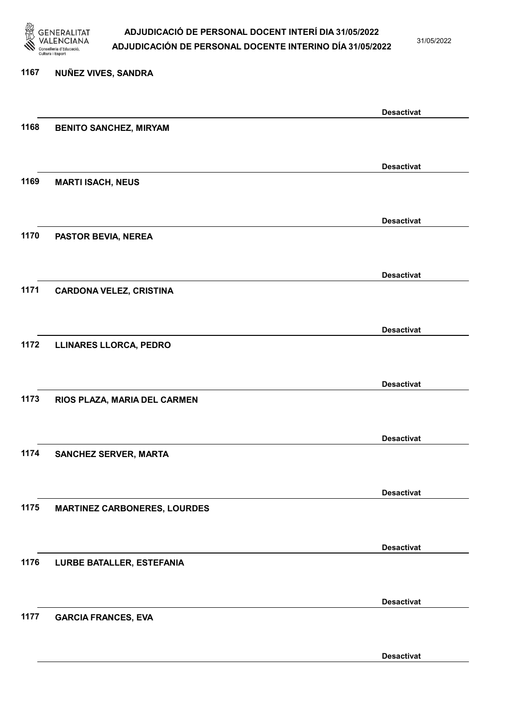

31/05/2022

#### 1167 NUÑEZ VIVES, SANDRA

|      |                                     | <b>Desactivat</b> |
|------|-------------------------------------|-------------------|
| 1168 | <b>BENITO SANCHEZ, MIRYAM</b>       |                   |
|      |                                     |                   |
|      |                                     | <b>Desactivat</b> |
| 1169 | <b>MARTI ISACH, NEUS</b>            |                   |
|      |                                     |                   |
|      |                                     |                   |
|      |                                     | <b>Desactivat</b> |
| 1170 | <b>PASTOR BEVIA, NEREA</b>          |                   |
|      |                                     |                   |
|      |                                     | <b>Desactivat</b> |
| 1171 | <b>CARDONA VELEZ, CRISTINA</b>      |                   |
|      |                                     |                   |
|      |                                     | <b>Desactivat</b> |
| 1172 | LLINARES LLORCA, PEDRO              |                   |
|      |                                     |                   |
|      |                                     |                   |
| 1173 |                                     | <b>Desactivat</b> |
|      | RIOS PLAZA, MARIA DEL CARMEN        |                   |
|      |                                     |                   |
|      |                                     | <b>Desactivat</b> |
| 1174 | <b>SANCHEZ SERVER, MARTA</b>        |                   |
|      |                                     |                   |
|      |                                     | <b>Desactivat</b> |
| 1175 | <b>MARTINEZ CARBONERES, LOURDES</b> |                   |
|      |                                     |                   |
|      |                                     | <b>Desactivat</b> |
| 1176 | <b>LURBE BATALLER, ESTEFANIA</b>    |                   |
|      |                                     |                   |
|      |                                     |                   |
|      |                                     | <b>Desactivat</b> |
| 1177 | <b>GARCIA FRANCES, EVA</b>          |                   |
|      |                                     |                   |
|      |                                     | <b>Desactivat</b> |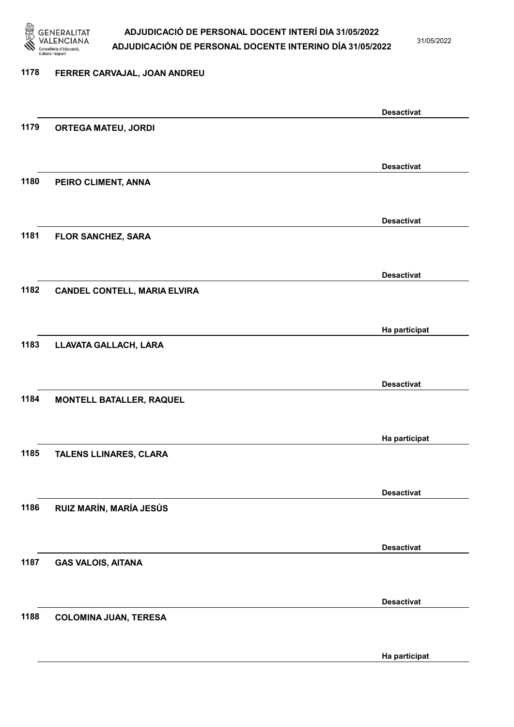

31/05/2022

Ha participat

### 1178 FERRER CARVAJAL, JOAN ANDREU Desactivat 1179 ORTEGA MATEU, JORDI Desactivat 1180 PEIRO CLIMENT, ANNA Desactivat 1181 FLOR SANCHEZ, SARA Desactivat 1182 CANDEL CONTELL, MARIA ELVIRA Ha participat 1183 LLAVATA GALLACH, LARA Desactivat 1184 MONTELL BATALLER, RAQUEL Ha participat 1185 TALENS LLINARES, CLARA Desactivat 1186 RUIZ MARÍN, MARÍA JESÚS Desactivat 1187 GAS VALOIS, AITANA Desactivat 1188 COLOMINA JUAN, TERESA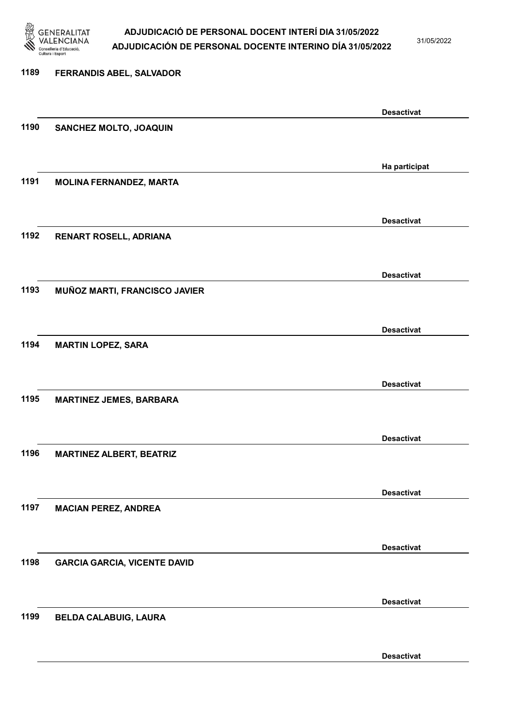

31/05/2022

Desactivat

# 1189 FERRANDIS ABEL, SALVADOR Desactivat 1190 SANCHEZ MOLTO, JOAQUIN Ha participat 1191 MOLINA FERNANDEZ, MARTA Desactivat 1192 RENART ROSELL, ADRIANA Desactivat 1193 MUÑOZ MARTI, FRANCISCO JAVIER Desactivat 1194 MARTIN LOPEZ, SARA Desactivat 1195 MARTINEZ JEMES, BARBARA Desactivat 1196 MARTINEZ ALBERT, BEATRIZ Desactivat 1197 MACIAN PEREZ, ANDREA Desactivat 1198 GARCIA GARCIA, VICENTE DAVID Desactivat 1199 BELDA CALABUIG, LAURA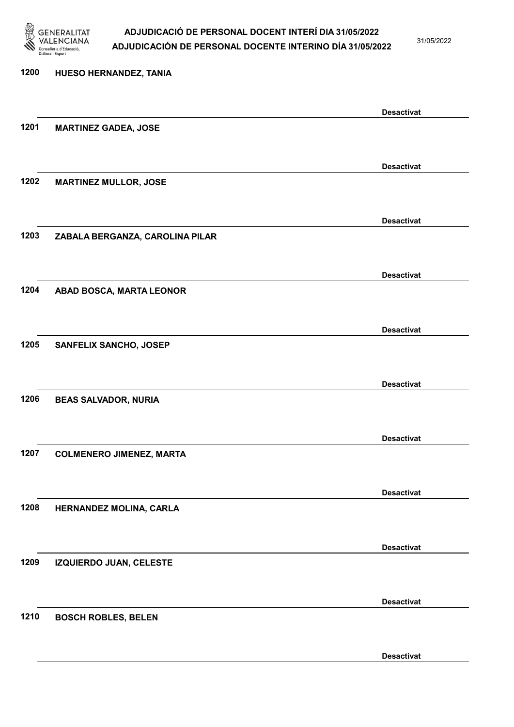

31/05/2022

### 1200 HUESO HERNANDEZ, TANIA Desactivat 1201 MARTINEZ GADEA, JOSE Desactivat 1202 MARTINEZ MULLOR, JOSE Desactivat 1203 ZABALA BERGANZA, CAROLINA PILAR Desactivat 1204 ABAD BOSCA, MARTA LEONOR Desactivat 1205 SANFELIX SANCHO, JOSEP Desactivat 1206 BEAS SALVADOR, NURIA Desactivat 1207 COLMENERO JIMENEZ, MARTA Desactivat 1208 HERNANDEZ MOLINA, CARLA Desactivat 1209 IZQUIERDO JUAN, CELESTE Desactivat 1210 BOSCH ROBLES, BELEN Desactivat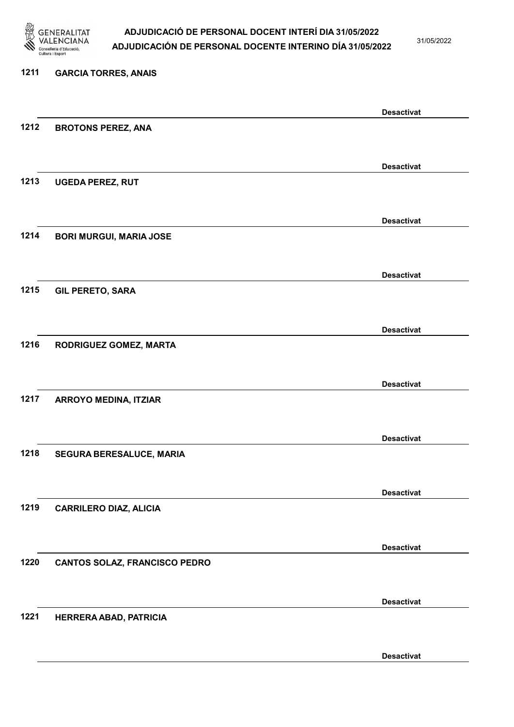

31/05/2022

Desactivat

# 1211 GARCIA TORRES, ANAIS Desactivat 1212 BROTONS PEREZ, ANA Desactivat 1213 UGEDA PEREZ, RUT Desactivat 1214 BORI MURGUI, MARIA JOSE Desactivat 1215 GIL PERETO, SARA Desactivat 1216 RODRIGUEZ GOMEZ, MARTA Desactivat 1217 ARROYO MEDINA, ITZIAR Desactivat 1218 SEGURA BERESALUCE, MARIA Desactivat 1219 CARRILERO DIAZ, ALICIA Desactivat 1220 CANTOS SOLAZ, FRANCISCO PEDRO Desactivat 1221 HERRERA ABAD, PATRICIA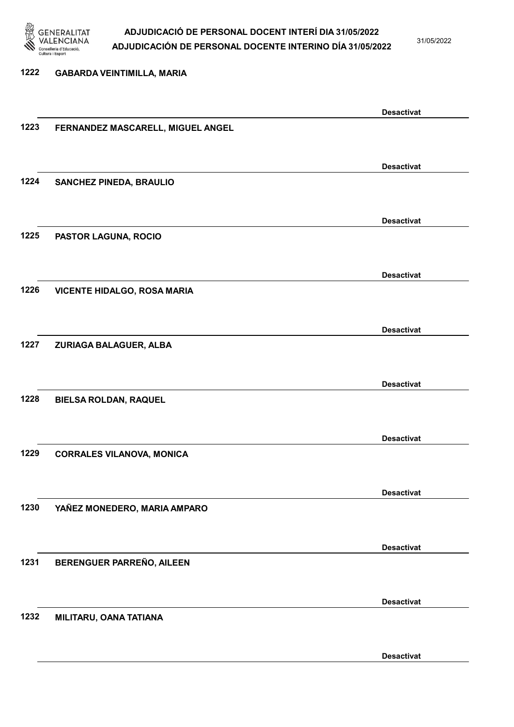

31/05/2022

Desactivat

## 1222 GABARDA VEINTIMILLA, MARIA Desactivat 1223 FERNANDEZ MASCARELL, MIGUEL ANGEL Desactivat 1224 SANCHEZ PINEDA, BRAULIO Desactivat 1225 PASTOR LAGUNA, ROCIO Desactivat 1226 VICENTE HIDALGO, ROSA MARIA Desactivat 1227 ZURIAGA BALAGUER, ALBA Desactivat 1228 BIELSA ROLDAN, RAQUEL Desactivat 1229 CORRALES VILANOVA, MONICA Desactivat 1230 YAÑEZ MONEDERO, MARIA AMPARO Desactivat 1231 BERENGUER PARREÑO, AILEEN Desactivat 1232 MILITARU, OANA TATIANA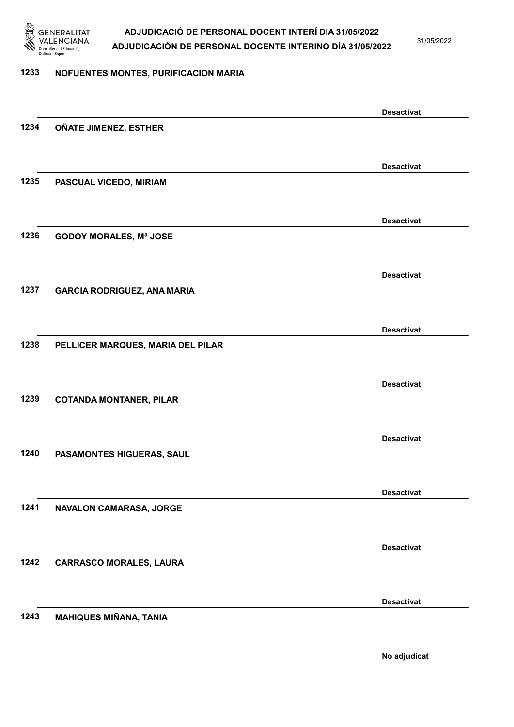

31/05/2022

#### 1233 NOFUENTES MONTES, PURIFICACION MARIA

|      |                                    | <b>Desactivat</b> |
|------|------------------------------------|-------------------|
| 1234 | OÑATE JIMENEZ, ESTHER              |                   |
|      |                                    |                   |
|      |                                    | <b>Desactivat</b> |
| 1235 | PASCUAL VICEDO, MIRIAM             |                   |
|      |                                    |                   |
|      |                                    |                   |
|      |                                    | <b>Desactivat</b> |
| 1236 | <b>GODOY MORALES, Mª JOSE</b>      |                   |
|      |                                    |                   |
|      |                                    | <b>Desactivat</b> |
| 1237 | <b>GARCIA RODRIGUEZ, ANA MARIA</b> |                   |
|      |                                    |                   |
|      |                                    |                   |
|      |                                    | <b>Desactivat</b> |
| 1238 | PELLICER MARQUES, MARIA DEL PILAR  |                   |
|      |                                    |                   |
|      |                                    | <b>Desactivat</b> |
| 1239 | <b>COTANDA MONTANER, PILAR</b>     |                   |
|      |                                    |                   |
|      |                                    | <b>Desactivat</b> |
| 1240 | PASAMONTES HIGUERAS, SAUL          |                   |
|      |                                    |                   |
|      |                                    |                   |
|      |                                    | <b>Desactivat</b> |
| 1241 | NAVALON CAMARASA, JORGE            |                   |
|      |                                    |                   |
|      |                                    | <b>Desactivat</b> |
| 1242 | <b>CARRASCO MORALES, LAURA</b>     |                   |
|      |                                    |                   |
|      |                                    |                   |
| 1243 |                                    | <b>Desactivat</b> |
|      | <b>MAHIQUES MIÑANA, TANIA</b>      |                   |
|      |                                    |                   |
|      |                                    | No adjudicat      |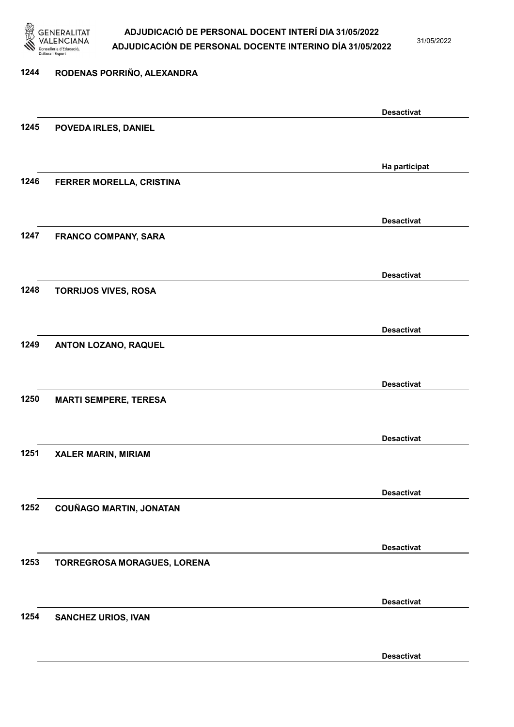

31/05/2022

Desactivat

# 1244 RODENAS PORRIÑO, ALEXANDRA Desactivat 1245 POVEDA IRLES, DANIEL Ha participat 1246 FERRER MORELLA, CRISTINA Desactivat 1247 FRANCO COMPANY, SARA Desactivat 1248 TORRIJOS VIVES, ROSA Desactivat 1249 ANTON LOZANO, RAQUEL Desactivat 1250 MARTI SEMPERE, TERESA Desactivat 1251 XALER MARIN, MIRIAM Desactivat 1252 COUÑAGO MARTIN, JONATAN Desactivat 1253 TORREGROSA MORAGUES, LORENA Desactivat 1254 SANCHEZ URIOS, IVAN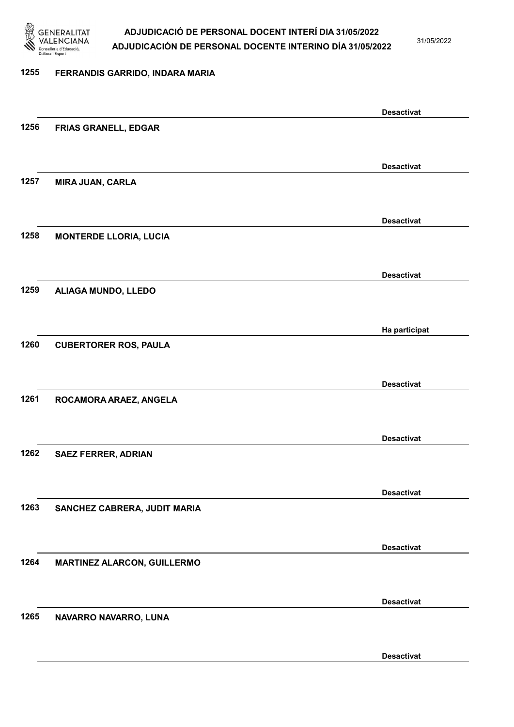

31/05/2022

#### 1255 FERRANDIS GARRIDO, INDARA MARIA

|      |                               | <b>Desactivat</b> |
|------|-------------------------------|-------------------|
| 1256 | FRIAS GRANELL, EDGAR          |                   |
|      |                               |                   |
|      |                               | <b>Desactivat</b> |
| 1257 | <b>MIRA JUAN, CARLA</b>       |                   |
|      |                               |                   |
|      |                               | <b>Desactivat</b> |
| 1258 | <b>MONTERDE LLORIA, LUCIA</b> |                   |
|      |                               |                   |
|      |                               |                   |
| 1259 | ALIAGA MUNDO, LLEDO           | <b>Desactivat</b> |
|      |                               |                   |
|      |                               |                   |
|      |                               | Ha participat     |
| 1260 | <b>CUBERTORER ROS, PAULA</b>  |                   |
|      |                               |                   |
|      |                               | <b>Desactivat</b> |
| 1261 | ROCAMORA ARAEZ, ANGELA        |                   |
|      |                               |                   |
|      |                               | <b>Desactivat</b> |
| 1262 | <b>SAEZ FERRER, ADRIAN</b>    |                   |
|      |                               |                   |
|      |                               | <b>Desactivat</b> |
| 1263 | SANCHEZ CABRERA, JUDIT MARIA  |                   |
|      |                               |                   |
|      |                               | <b>Desactivat</b> |
| 1264 | MARTINEZ ALARCON, GUILLERMO   |                   |
|      |                               |                   |
|      |                               | <b>Desactivat</b> |
| 1265 | NAVARRO NAVARRO, LUNA         |                   |
|      |                               |                   |
|      |                               | <b>Desactivat</b> |
|      |                               |                   |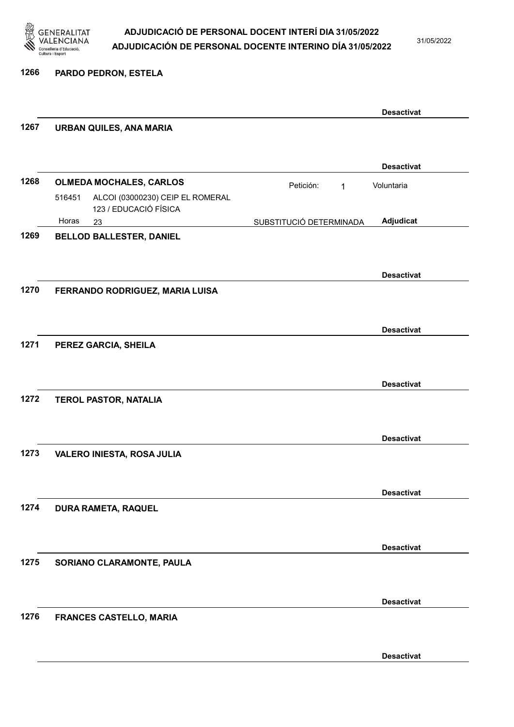

31/05/2022

1266 PARDO PEDRON, ESTELA

|      |                                                                     |                           | <b>Desactivat</b> |
|------|---------------------------------------------------------------------|---------------------------|-------------------|
| 1267 | <b>URBAN QUILES, ANA MARIA</b>                                      |                           |                   |
|      |                                                                     |                           | <b>Desactivat</b> |
| 1268 | <b>OLMEDA MOCHALES, CARLOS</b>                                      | Petición:<br>$\mathbf{1}$ | Voluntaria        |
|      | 516451<br>ALCOI (03000230) CEIP EL ROMERAL<br>123 / EDUCACIÓ FÍSICA |                           |                   |
|      | Horas<br>23                                                         | SUBSTITUCIÓ DETERMINADA   | Adjudicat         |
| 1269 | <b>BELLOD BALLESTER, DANIEL</b>                                     |                           |                   |
|      |                                                                     |                           | <b>Desactivat</b> |
| 1270 | FERRANDO RODRIGUEZ, MARIA LUISA                                     |                           |                   |
|      |                                                                     |                           | <b>Desactivat</b> |
| 1271 | PEREZ GARCIA, SHEILA                                                |                           |                   |
|      |                                                                     |                           |                   |
|      |                                                                     |                           | <b>Desactivat</b> |
| 1272 | <b>TEROL PASTOR, NATALIA</b>                                        |                           |                   |
|      |                                                                     |                           | <b>Desactivat</b> |
| 1273 | VALERO INIESTA, ROSA JULIA                                          |                           |                   |
|      |                                                                     |                           |                   |
| 1274 | DURA RAMETA, RAQUEL                                                 |                           | <b>Desactivat</b> |
|      |                                                                     |                           |                   |
|      |                                                                     |                           | <b>Desactivat</b> |
| 1275 | SORIANO CLARAMONTE, PAULA                                           |                           |                   |
|      |                                                                     |                           | <b>Desactivat</b> |
| 1276 | FRANCES CASTELLO, MARIA                                             |                           |                   |
|      |                                                                     |                           |                   |
|      |                                                                     |                           | <b>Desactivat</b> |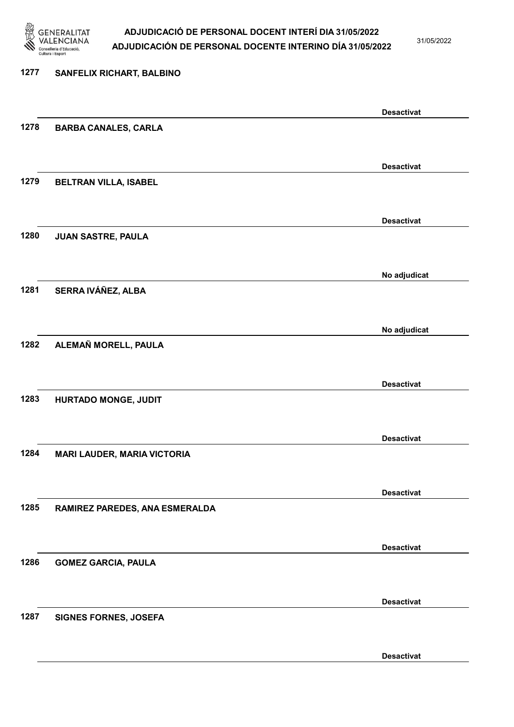

31/05/2022

Desactivat

# 1277 SANFELIX RICHART, BALBINO Desactivat 1278 BARBA CANALES, CARLA Desactivat 1279 BELTRAN VILLA, ISABEL Desactivat 1280 JUAN SASTRE, PAULA No adjudicat 1281 SERRA IVÁÑEZ, ALBA No adjudicat 1282 ALEMAÑ MORELL, PAULA Desactivat 1283 HURTADO MONGE, JUDIT Desactivat 1284 MARI LAUDER, MARIA VICTORIA Desactivat 1285 RAMIREZ PAREDES, ANA ESMERALDA Desactivat 1286 GOMEZ GARCIA, PAULA Desactivat 1287 SIGNES FORNES, JOSEFA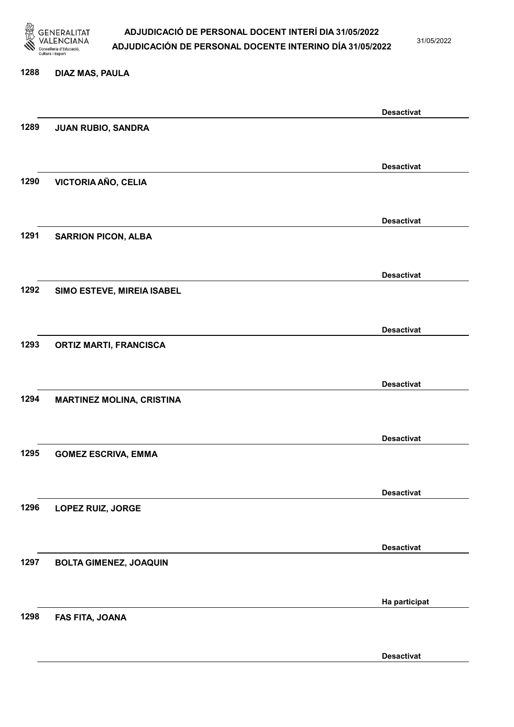

31/05/2022

#### 1288 DIAZ MAS, PAULA

|      |                                  | <b>Desactivat</b> |
|------|----------------------------------|-------------------|
| 1289 | JUAN RUBIO, SANDRA               |                   |
|      |                                  |                   |
|      |                                  | <b>Desactivat</b> |
| 1290 | VICTORIA AÑO, CELIA              |                   |
|      |                                  |                   |
|      |                                  | <b>Desactivat</b> |
| 1291 | <b>SARRION PICON, ALBA</b>       |                   |
|      |                                  |                   |
|      |                                  | <b>Desactivat</b> |
| 1292 | SIMO ESTEVE, MIREIA ISABEL       |                   |
|      |                                  |                   |
|      |                                  |                   |
| 1293 |                                  | <b>Desactivat</b> |
|      | <b>ORTIZ MARTI, FRANCISCA</b>    |                   |
|      |                                  |                   |
|      |                                  | <b>Desactivat</b> |
| 1294 | <b>MARTINEZ MOLINA, CRISTINA</b> |                   |
|      |                                  |                   |
|      |                                  | <b>Desactivat</b> |
| 1295 | <b>GOMEZ ESCRIVA, EMMA</b>       |                   |
|      |                                  |                   |
|      |                                  | <b>Desactivat</b> |
| 1296 | LOPEZ RUIZ, JORGE                |                   |
|      |                                  |                   |
|      |                                  | <b>Desactivat</b> |
| 1297 | <b>BOLTA GIMENEZ, JOAQUIN</b>    |                   |
|      |                                  |                   |
|      |                                  | Ha participat     |
| 1298 | FAS FITA, JOANA                  |                   |
|      |                                  |                   |
|      |                                  | <b>Desactivat</b> |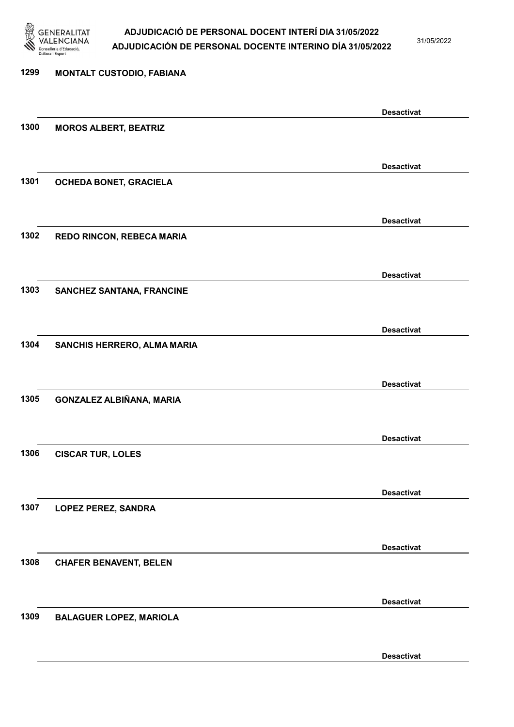

31/05/2022

Desactivat

# 1299 MONTALT CUSTODIO, FABIANA Desactivat 1300 MOROS ALBERT, BEATRIZ Desactivat 1301 OCHEDA BONET, GRACIELA Desactivat 1302 REDO RINCON, REBECA MARIA Desactivat 1303 SANCHEZ SANTANA, FRANCINE Desactivat 1304 SANCHIS HERRERO, ALMA MARIA Desactivat 1305 GONZALEZ ALBIÑANA, MARIA Desactivat 1306 CISCAR TUR, LOLES Desactivat 1307 LOPEZ PEREZ, SANDRA Desactivat 1308 CHAFER BENAVENT, BELEN Desactivat 1309 BALAGUER LOPEZ, MARIOLA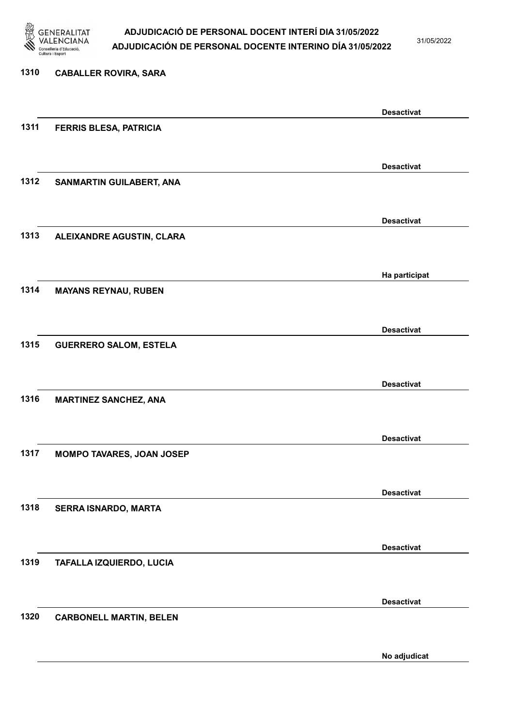

31/05/2022

No adjudicat

# 1310 CABALLER ROVIRA, SARA Desactivat 1311 FERRIS BLESA, PATRICIA Desactivat 1312 SANMARTIN GUILABERT, ANA Desactivat 1313 ALEIXANDRE AGUSTIN, CLARA Ha participat 1314 MAYANS REYNAU, RUBEN Desactivat 1315 GUERRERO SALOM, ESTELA Desactivat 1316 MARTINEZ SANCHEZ, ANA Desactivat 1317 MOMPO TAVARES, JOAN JOSEP Desactivat 1318 SERRA ISNARDO, MARTA Desactivat 1319 TAFALLA IZQUIERDO, LUCIA Desactivat 1320 CARBONELL MARTIN, BELEN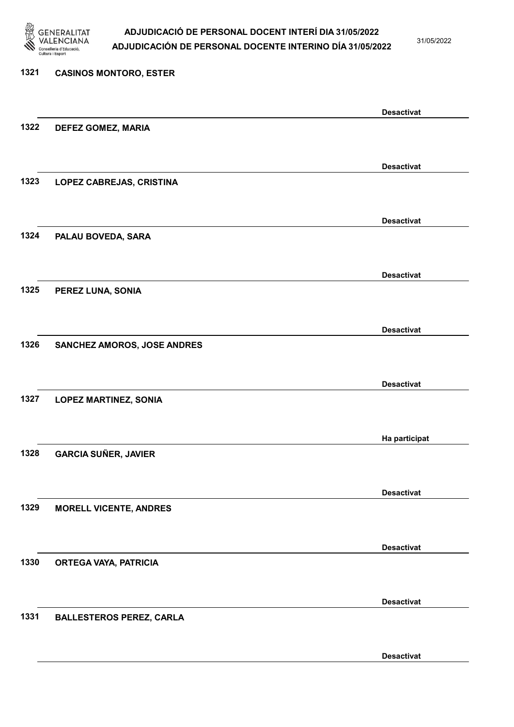

31/05/2022

Desactivat

# 1321 CASINOS MONTORO, ESTER Desactivat 1322 DEFEZ GOMEZ, MARIA Desactivat 1323 LOPEZ CABREJAS, CRISTINA Desactivat 1324 PALAU BOVEDA, SARA Desactivat 1325 PEREZ LUNA, SONIA Desactivat 1326 SANCHEZ AMOROS, JOSE ANDRES Desactivat 1327 LOPEZ MARTINEZ, SONIA Ha participat 1328 GARCIA SUÑER, JAVIER Desactivat 1329 MORELL VICENTE, ANDRES Desactivat 1330 ORTEGA VAYA, PATRICIA Desactivat 1331 BALLESTEROS PEREZ, CARLA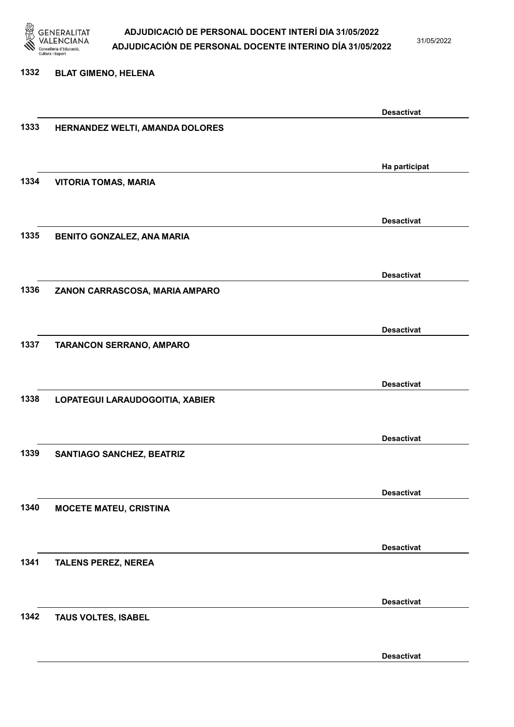

31/05/2022

#### 1332 BLAT GIMENO, HELENA

|      |                                   | <b>Desactivat</b> |
|------|-----------------------------------|-------------------|
| 1333 | HERNANDEZ WELTI, AMANDA DOLORES   |                   |
|      |                                   |                   |
|      |                                   |                   |
|      |                                   | Ha participat     |
| 1334 | <b>VITORIA TOMAS, MARIA</b>       |                   |
|      |                                   |                   |
|      |                                   | <b>Desactivat</b> |
| 1335 | <b>BENITO GONZALEZ, ANA MARIA</b> |                   |
|      |                                   |                   |
|      |                                   |                   |
|      |                                   | <b>Desactivat</b> |
| 1336 | ZANON CARRASCOSA, MARIA AMPARO    |                   |
|      |                                   |                   |
|      |                                   |                   |
|      |                                   | <b>Desactivat</b> |
| 1337 | <b>TARANCON SERRANO, AMPARO</b>   |                   |
|      |                                   |                   |
|      |                                   |                   |
|      |                                   | <b>Desactivat</b> |
| 1338 | LOPATEGUI LARAUDOGOITIA, XABIER   |                   |
|      |                                   |                   |
|      |                                   | <b>Desactivat</b> |
| 1339 |                                   |                   |
|      | <b>SANTIAGO SANCHEZ, BEATRIZ</b>  |                   |
|      |                                   |                   |
|      |                                   | <b>Desactivat</b> |
| 1340 | <b>MOCETE MATEU, CRISTINA</b>     |                   |
|      |                                   |                   |
|      |                                   |                   |
|      |                                   | <b>Desactivat</b> |
| 1341 | <b>TALENS PEREZ, NEREA</b>        |                   |
|      |                                   |                   |
|      |                                   |                   |
|      |                                   | <b>Desactivat</b> |
| 1342 | TAUS VOLTES, ISABEL               |                   |
|      |                                   |                   |
|      |                                   |                   |
|      |                                   | <b>Desactivat</b> |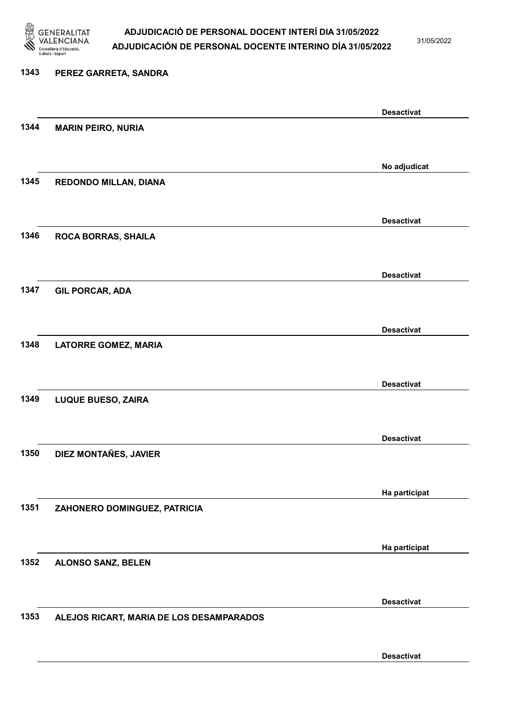

31/05/2022

# 1343 PEREZ GARRETA, SANDRA Desactivat 1344 MARIN PEIRO, NURIA No adjudicat 1345 REDONDO MILLAN, DIANA Desactivat 1346 ROCA BORRAS, SHAILA Desactivat 1347 GIL PORCAR, ADA Desactivat 1348 LATORRE GOMEZ, MARIA Desactivat 1349 LUQUE BUESO, ZAIRA Desactivat 1350 DIEZ MONTAÑES, JAVIER Ha participat 1351 ZAHONERO DOMINGUEZ, PATRICIA Ha participat 1352 ALONSO SANZ, BELEN Desactivat 1353 ALEJOS RICART, MARIA DE LOS DESAMPARADOS

Desactivat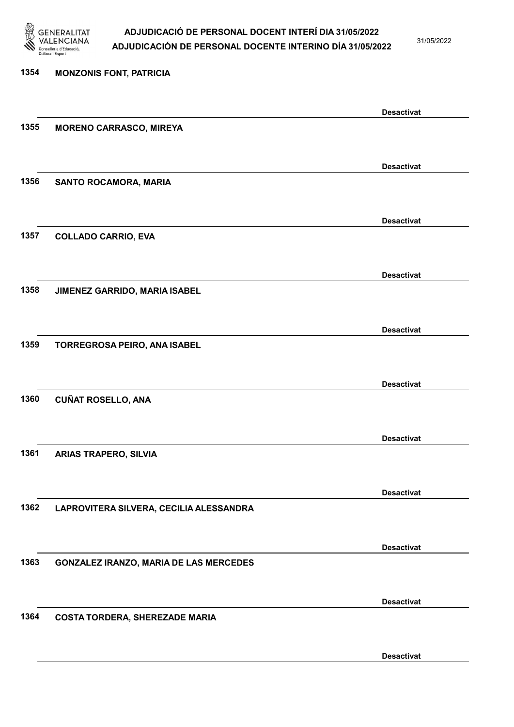

31/05/2022

### 1354 MONZONIS FONT, PATRICIA Desactivat 1355 MORENO CARRASCO, MIREYA Desactivat 1356 SANTO ROCAMORA, MARIA Desactivat 1357 COLLADO CARRIO, EVA Desactivat 1358 JIMENEZ GARRIDO, MARIA ISABEL Desactivat 1359 TORREGROSA PEIRO, ANA ISABEL Desactivat 1360 CUÑAT ROSELLO, ANA Desactivat 1361 ARIAS TRAPERO, SILVIA Desactivat 1362 LAPROVITERA SILVERA, CECILIA ALESSANDRA Desactivat 1363 GONZALEZ IRANZO, MARIA DE LAS MERCEDES Desactivat 1364 COSTA TORDERA, SHEREZADE MARIA Desactivat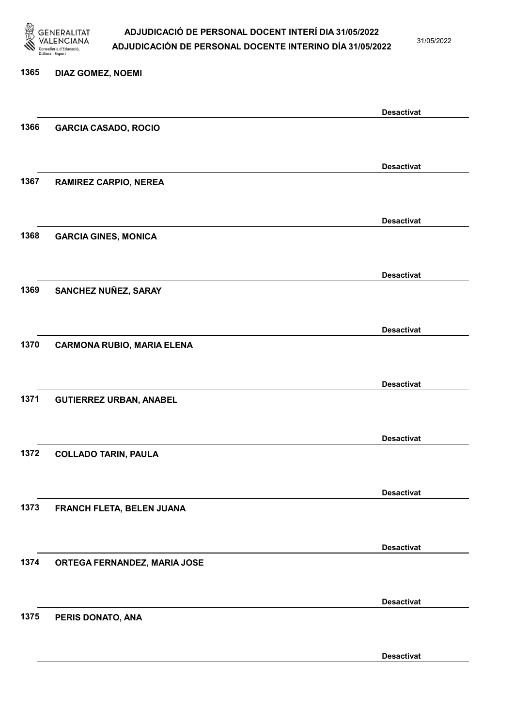

31/05/2022

Desactivat

### 1365 DIAZ GOMEZ, NOEMI Desactivat 1366 GARCIA CASADO, ROCIO Desactivat 1367 RAMIREZ CARPIO, NEREA Desactivat 1368 GARCIA GINES, MONICA Desactivat 1369 SANCHEZ NUÑEZ, SARAY Desactivat 1370 CARMONA RUBIO, MARIA ELENA Desactivat 1371 GUTIERREZ URBAN, ANABEL Desactivat 1372 COLLADO TARIN, PAULA Desactivat 1373 FRANCH FLETA, BELEN JUANA Desactivat 1374 ORTEGA FERNANDEZ, MARIA JOSE Desactivat 1375 PERIS DONATO, ANA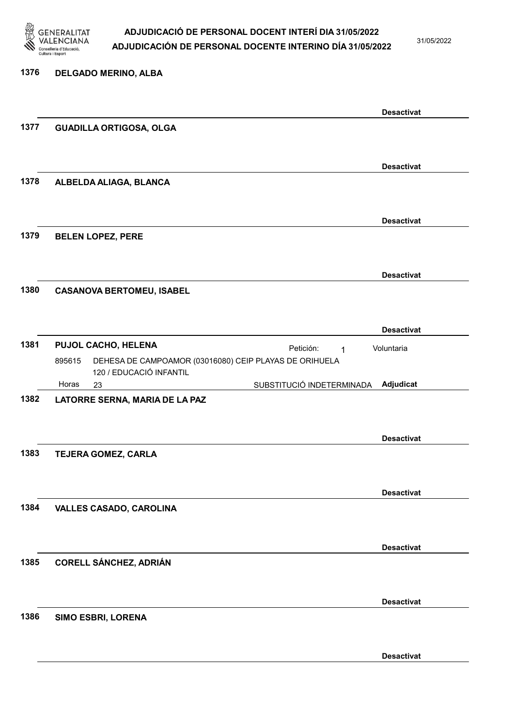

31/05/2022

#### 1376 DELGADO MERINO, ALBA

|      |                                                                  |                           | <b>Desactivat</b> |
|------|------------------------------------------------------------------|---------------------------|-------------------|
| 1377 | <b>GUADILLA ORTIGOSA, OLGA</b>                                   |                           |                   |
|      |                                                                  |                           |                   |
|      |                                                                  |                           |                   |
|      |                                                                  |                           |                   |
|      |                                                                  |                           | <b>Desactivat</b> |
| 1378 | ALBELDA ALIAGA, BLANCA                                           |                           |                   |
|      |                                                                  |                           |                   |
|      |                                                                  |                           |                   |
|      |                                                                  |                           | <b>Desactivat</b> |
|      |                                                                  |                           |                   |
| 1379 | <b>BELEN LOPEZ, PERE</b>                                         |                           |                   |
|      |                                                                  |                           |                   |
|      |                                                                  |                           |                   |
|      |                                                                  |                           | <b>Desactivat</b> |
| 1380 |                                                                  |                           |                   |
|      | <b>CASANOVA BERTOMEU, ISABEL</b>                                 |                           |                   |
|      |                                                                  |                           |                   |
|      |                                                                  |                           |                   |
|      |                                                                  |                           | <b>Desactivat</b> |
| 1381 | PUJOL CACHO, HELENA                                              | Petición:<br>1            | Voluntaria        |
|      | 895615<br>DEHESA DE CAMPOAMOR (03016080) CEIP PLAYAS DE ORIHUELA |                           |                   |
|      | 120 / EDUCACIÓ INFANTIL                                          |                           |                   |
|      | Horas                                                            |                           |                   |
|      | 23                                                               | SUBSTITUCIÓ INDETERMINADA | Adjudicat         |
| 1382 | LATORRE SERNA, MARIA DE LA PAZ                                   |                           |                   |
|      |                                                                  |                           |                   |
|      |                                                                  |                           |                   |
|      |                                                                  |                           | <b>Desactivat</b> |
| 1383 | TEJERA GOMEZ, CARLA                                              |                           |                   |
|      |                                                                  |                           |                   |
|      |                                                                  |                           |                   |
|      |                                                                  |                           |                   |
|      |                                                                  |                           | <b>Desactivat</b> |
| 1384 | <b>VALLES CASADO, CAROLINA</b>                                   |                           |                   |
|      |                                                                  |                           |                   |
|      |                                                                  |                           |                   |
|      |                                                                  |                           | <b>Desactivat</b> |
|      |                                                                  |                           |                   |
| 1385 | <b>CORELL SÁNCHEZ, ADRIÁN</b>                                    |                           |                   |
|      |                                                                  |                           |                   |
|      |                                                                  |                           |                   |
|      |                                                                  |                           | <b>Desactivat</b> |
| 1386 |                                                                  |                           |                   |
|      | SIMO ESBRI, LORENA                                               |                           |                   |
|      |                                                                  |                           |                   |
|      |                                                                  |                           |                   |
|      |                                                                  |                           | <b>Desactivat</b> |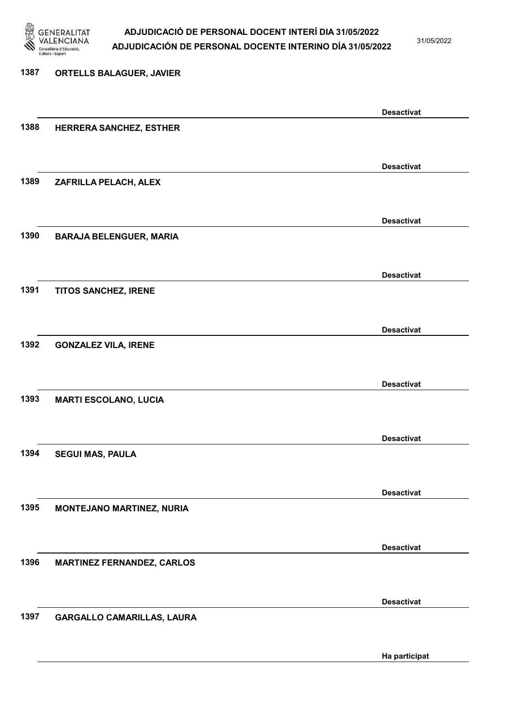

31/05/2022

# 1387 ORTELLS BALAGUER, JAVIER Desactivat 1388 HERRERA SANCHEZ, ESTHER Desactivat 1389 ZAFRILLA PELACH, ALEX Desactivat 1390 BARAJA BELENGUER, MARIA Desactivat 1391 TITOS SANCHEZ, IRENE Desactivat 1392 GONZALEZ VILA, IRENE Desactivat 1393 MARTI ESCOLANO, LUCIA Desactivat 1394 SEGUI MAS, PAULA Desactivat 1395 MONTEJANO MARTINEZ, NURIA Desactivat 1396 MARTINEZ FERNANDEZ, CARLOS Desactivat 1397 GARGALLO CAMARILLAS, LAURA

Ha participat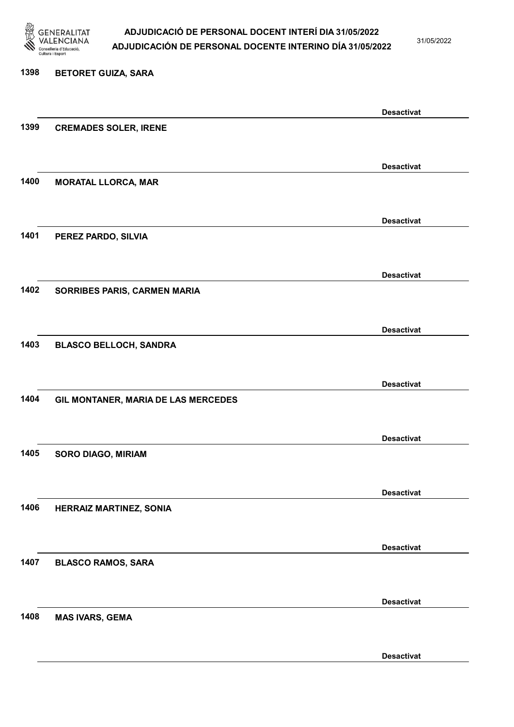

31/05/2022

#### 1398 BETORET GUIZA, SARA

|      |                                     | <b>Desactivat</b> |
|------|-------------------------------------|-------------------|
| 1399 | <b>CREMADES SOLER, IRENE</b>        |                   |
|      |                                     |                   |
|      |                                     | <b>Desactivat</b> |
| 1400 | <b>MORATAL LLORCA, MAR</b>          |                   |
|      |                                     |                   |
|      |                                     | <b>Desactivat</b> |
| 1401 | PEREZ PARDO, SILVIA                 |                   |
|      |                                     |                   |
|      |                                     |                   |
| 1402 | SORRIBES PARIS, CARMEN MARIA        | <b>Desactivat</b> |
|      |                                     |                   |
|      |                                     |                   |
|      |                                     | <b>Desactivat</b> |
| 1403 | <b>BLASCO BELLOCH, SANDRA</b>       |                   |
|      |                                     |                   |
|      |                                     | <b>Desactivat</b> |
| 1404 | GIL MONTANER, MARIA DE LAS MERCEDES |                   |
|      |                                     |                   |
|      |                                     | <b>Desactivat</b> |
| 1405 | <b>SORO DIAGO, MIRIAM</b>           |                   |
|      |                                     |                   |
|      |                                     | <b>Desactivat</b> |
| 1406 | <b>HERRAIZ MARTINEZ, SONIA</b>      |                   |
|      |                                     |                   |
|      |                                     | <b>Desactivat</b> |
| 1407 | <b>BLASCO RAMOS, SARA</b>           |                   |
|      |                                     |                   |
|      |                                     | <b>Desactivat</b> |
| 1408 | <b>MAS IVARS, GEMA</b>              |                   |
|      |                                     |                   |
|      |                                     | <b>Desactivat</b> |
|      |                                     |                   |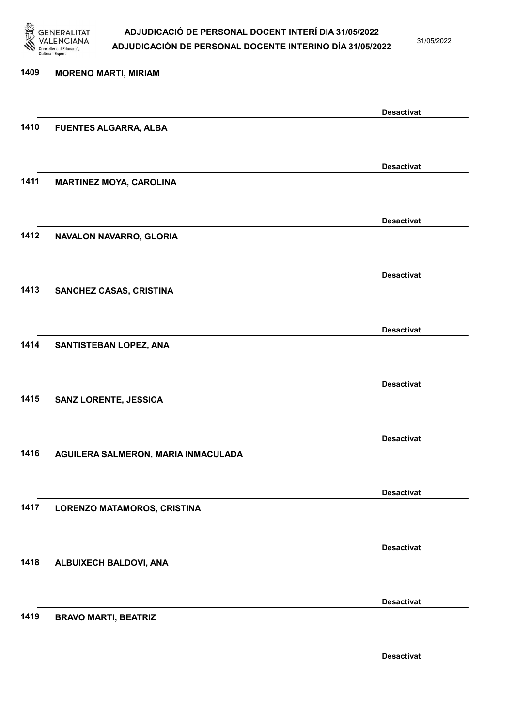

31/05/2022

Desactivat

# 1409 MORENO MARTI, MIRIAM Desactivat 1410 FUENTES ALGARRA, ALBA Desactivat 1411 MARTINEZ MOYA, CAROLINA Desactivat 1412 NAVALON NAVARRO, GLORIA Desactivat 1413 SANCHEZ CASAS, CRISTINA Desactivat 1414 SANTISTEBAN LOPEZ, ANA Desactivat 1415 SANZ LORENTE, JESSICA Desactivat 1416 AGUILERA SALMERON, MARIA INMACULADA Desactivat 1417 LORENZO MATAMOROS, CRISTINA Desactivat 1418 ALBUIXECH BALDOVI, ANA Desactivat 1419 BRAVO MARTI, BEATRIZ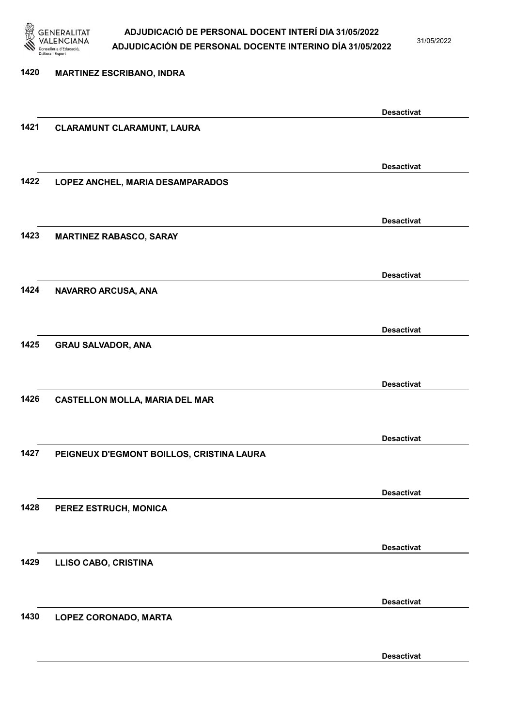

31/05/2022

Desactivat

# 1420 MARTINEZ ESCRIBANO, INDRA Desactivat 1421 CLARAMUNT CLARAMUNT, LAURA Desactivat 1422 LOPEZ ANCHEL, MARIA DESAMPARADOS Desactivat 1423 MARTINEZ RABASCO, SARAY Desactivat 1424 NAVARRO ARCUSA, ANA Desactivat 1425 GRAU SALVADOR, ANA Desactivat 1426 CASTELLON MOLLA, MARIA DEL MAR Desactivat 1427 PEIGNEUX D'EGMONT BOILLOS, CRISTINA LAURA Desactivat 1428 PEREZ ESTRUCH, MONICA Desactivat 1429 LLISO CABO, CRISTINA Desactivat 1430 LOPEZ CORONADO, MARTA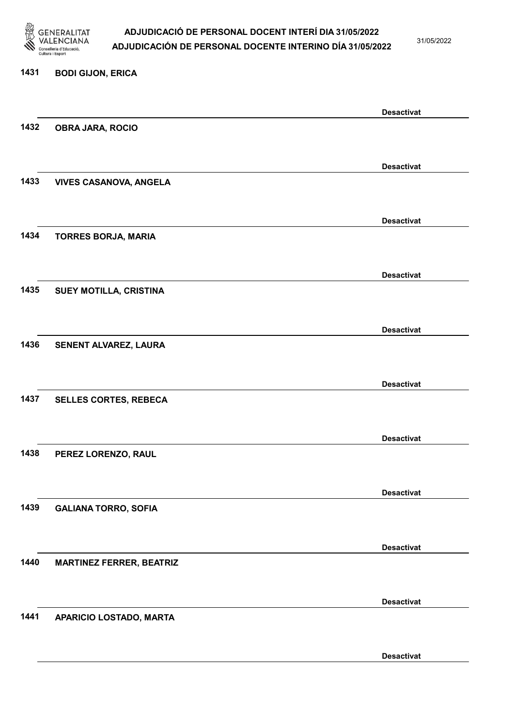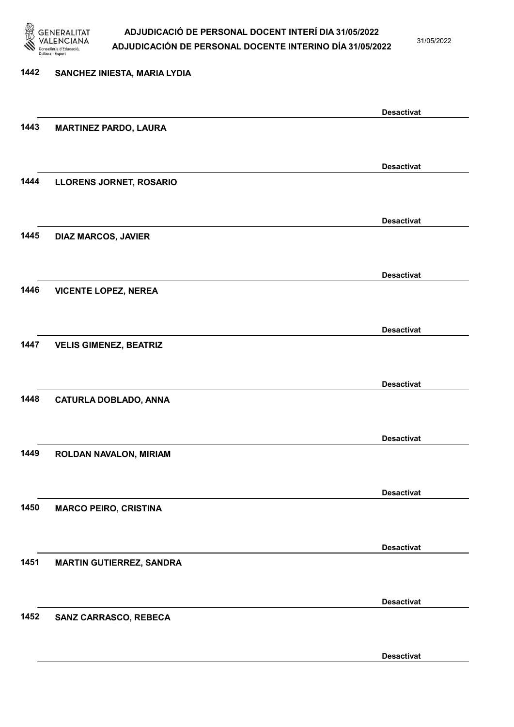

31/05/2022

Desactivat

# 1442 SANCHEZ INIESTA, MARIA LYDIA Desactivat 1443 MARTINEZ PARDO, LAURA Desactivat 1444 LLORENS JORNET, ROSARIO Desactivat 1445 DIAZ MARCOS, JAVIER Desactivat 1446 VICENTE LOPEZ, NEREA Desactivat 1447 VELIS GIMENEZ, BEATRIZ Desactivat 1448 CATURLA DOBLADO, ANNA Desactivat 1449 ROLDAN NAVALON, MIRIAM Desactivat 1450 MARCO PEIRO, CRISTINA Desactivat 1451 MARTIN GUTIERREZ, SANDRA Desactivat 1452 SANZ CARRASCO, REBECA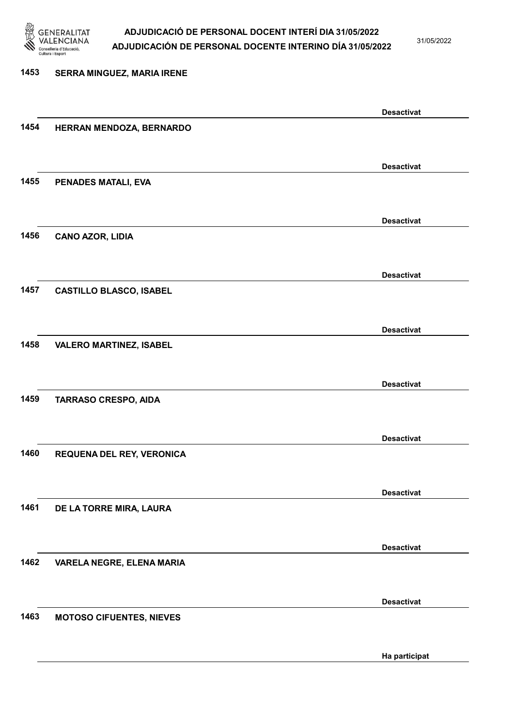

31/05/2022

### 1453 SERRA MINGUEZ, MARIA IRENE Desactivat 1454 HERRAN MENDOZA, BERNARDO Desactivat 1455 PENADES MATALI, EVA Desactivat 1456 CANO AZOR, LIDIA Desactivat 1457 CASTILLO BLASCO, ISABEL Desactivat 1458 VALERO MARTINEZ, ISABEL Desactivat 1459 TARRASO CRESPO, AIDA Desactivat 1460 REQUENA DEL REY, VERONICA Desactivat 1461 DE LA TORRE MIRA, LAURA Desactivat 1462 VARELA NEGRE, ELENA MARIA Desactivat 1463 MOTOSO CIFUENTES, NIEVES Ha participat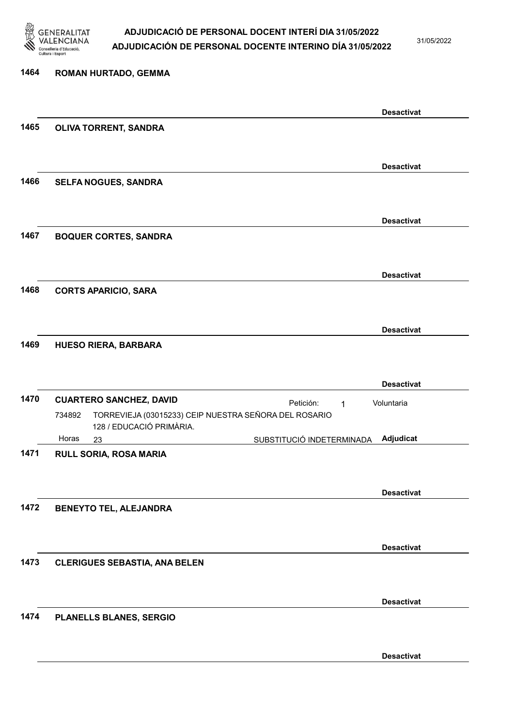

31/05/2022

### 1464 ROMAN HURTADO, GEMMA Desactivat 1465 OLIVA TORRENT, SANDRA Desactivat 1466 SELFA NOGUES, SANDRA Desactivat 1467 BOQUER CORTES, SANDRA Desactivat 1468 CORTS APARICIO, SARA Desactivat 1469 HUESO RIERA, BARBARA Desactivat 1470 CUARTERO SANCHEZ, DAVID 23 SUBSTITUCIÓ INDETERMINADA TORREVIEJA (03015233) CEIP NUESTRA SEÑORA DEL ROSARIO 128 / EDUCACIÓ PRIMÀRIA. Adjudicat Voluntaria 734892 Horas 1471 RULL SORIA, ROSA MARIA Desactivat 1472 BENEYTO TEL, ALEJANDRA Desactivat 1473 CLERIGUES SEBASTIA, ANA BELEN Desactivat 1474 PLANELLS BLANES, SERGIO

Desactivat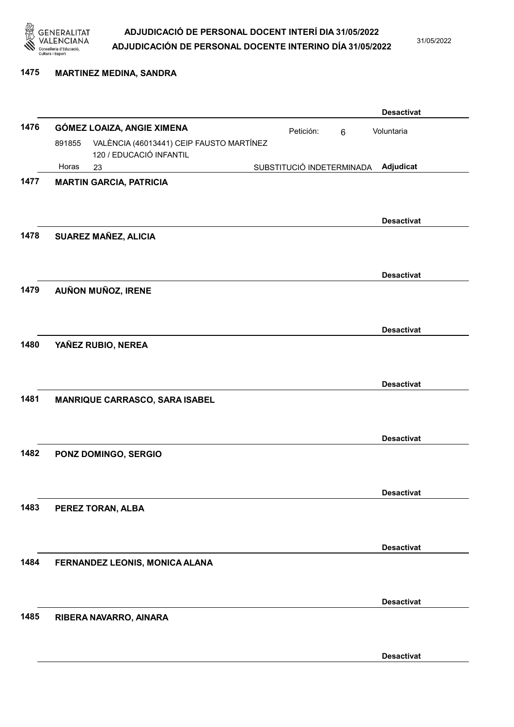

#### 1475 MARTINEZ MEDINA, SANDRA

|      |        |                                                                     |                           |           |   | <b>Desactivat</b> |
|------|--------|---------------------------------------------------------------------|---------------------------|-----------|---|-------------------|
| 1476 |        | GÓMEZ LOAIZA, ANGIE XIMENA                                          |                           | Petición: | 6 | Voluntaria        |
|      | 891855 | VALÈNCIA (46013441) CEIP FAUSTO MARTÍNEZ<br>120 / EDUCACIÓ INFANTIL |                           |           |   |                   |
|      | Horas  | 23                                                                  | SUBSTITUCIÓ INDETERMINADA |           |   | Adjudicat         |
| 1477 |        | <b>MARTIN GARCIA, PATRICIA</b>                                      |                           |           |   |                   |
|      |        |                                                                     |                           |           |   |                   |
|      |        |                                                                     |                           |           |   | <b>Desactivat</b> |
| 1478 |        | SUAREZ MAÑEZ, ALICIA                                                |                           |           |   |                   |
|      |        |                                                                     |                           |           |   | <b>Desactivat</b> |
| 1479 |        | AUÑON MUÑOZ, IRENE                                                  |                           |           |   |                   |
|      |        |                                                                     |                           |           |   |                   |
| 1480 |        | YAÑEZ RUBIO, NEREA                                                  |                           |           |   | <b>Desactivat</b> |
|      |        |                                                                     |                           |           |   |                   |
|      |        |                                                                     |                           |           |   | <b>Desactivat</b> |
| 1481 |        | <b>MANRIQUE CARRASCO, SARA ISABEL</b>                               |                           |           |   |                   |
|      |        |                                                                     |                           |           |   |                   |
|      |        |                                                                     |                           |           |   | <b>Desactivat</b> |
| 1482 |        | PONZ DOMINGO, SERGIO                                                |                           |           |   |                   |
|      |        |                                                                     |                           |           |   |                   |
|      |        |                                                                     |                           |           |   | <b>Desactivat</b> |
| 1483 |        | PEREZ TORAN, ALBA                                                   |                           |           |   |                   |
|      |        |                                                                     |                           |           |   |                   |
| 1484 |        |                                                                     |                           |           |   | <b>Desactivat</b> |
|      |        | FERNANDEZ LEONIS, MONICA ALANA                                      |                           |           |   |                   |
|      |        |                                                                     |                           |           |   |                   |
| 1485 |        | RIBERA NAVARRO, AINARA                                              |                           |           |   | <b>Desactivat</b> |
|      |        |                                                                     |                           |           |   |                   |
|      |        |                                                                     |                           |           |   | <b>Desactivat</b> |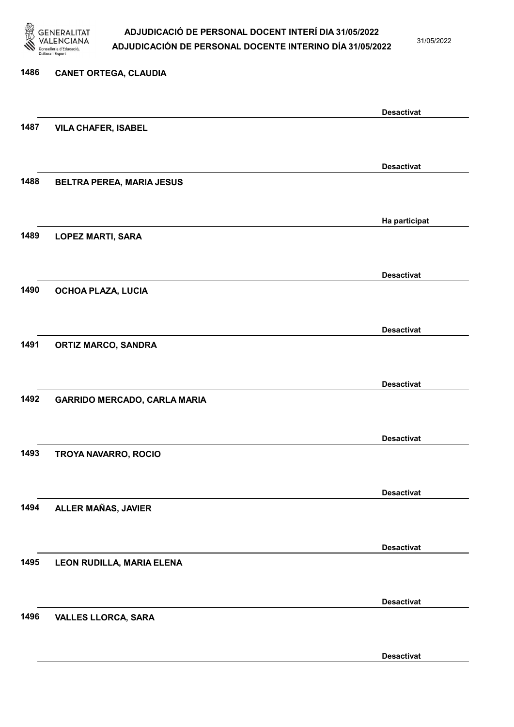

31/05/2022

Desactivat

# 1486 CANET ORTEGA, CLAUDIA Desactivat 1487 VILA CHAFER, ISABEL Desactivat 1488 BELTRA PEREA, MARIA JESUS Ha participat 1489 LOPEZ MARTI, SARA Desactivat 1490 OCHOA PLAZA, LUCIA Desactivat 1491 ORTIZ MARCO, SANDRA Desactivat 1492 GARRIDO MERCADO, CARLA MARIA Desactivat 1493 TROYA NAVARRO, ROCIO Desactivat 1494 ALLER MAÑAS, JAVIER Desactivat 1495 LEON RUDILLA, MARIA ELENA Desactivat 1496 VALLES LLORCA, SARA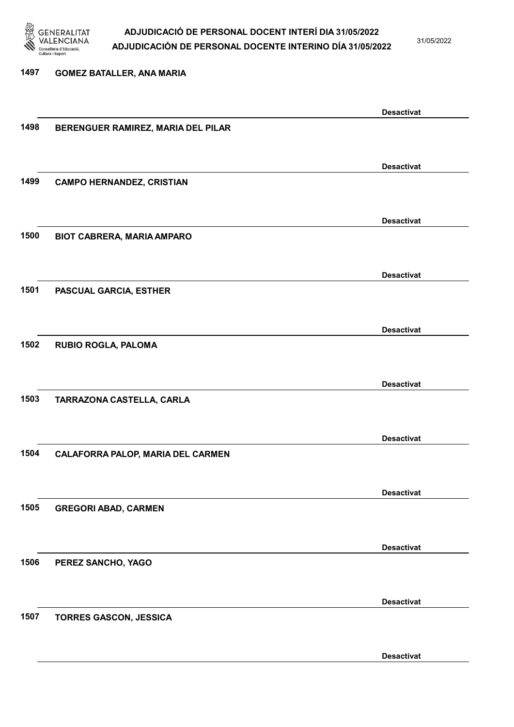

31/05/2022

Desactivat

### 1497 GOMEZ BATALLER, ANA MARIA Desactivat 1498 BERENGUER RAMIREZ, MARIA DEL PILAR Desactivat 1499 CAMPO HERNANDEZ, CRISTIAN Desactivat 1500 BIOT CABRERA, MARIA AMPARO Desactivat 1501 PASCUAL GARCIA, ESTHER Desactivat 1502 RUBIO ROGLA, PALOMA Desactivat 1503 TARRAZONA CASTELLA, CARLA Desactivat 1504 CALAFORRA PALOP, MARIA DEL CARMEN Desactivat 1505 GREGORI ABAD, CARMEN Desactivat 1506 PEREZ SANCHO, YAGO Desactivat 1507 TORRES GASCON, JESSICA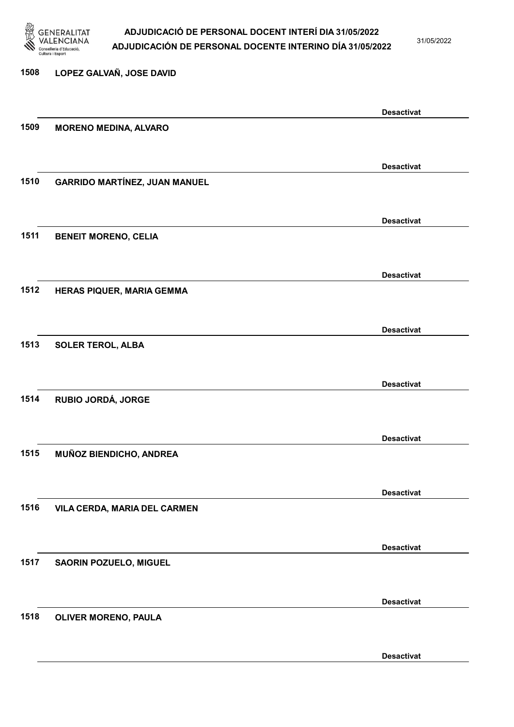

31/05/2022

Desactivat

# 1508 LOPEZ GALVAÑ, JOSE DAVID Desactivat 1509 MORENO MEDINA, ALVARO Desactivat 1510 GARRIDO MARTÍNEZ, JUAN MANUEL Desactivat 1511 BENEIT MORENO, CELIA Desactivat 1512 HERAS PIQUER, MARIA GEMMA Desactivat 1513 SOLER TEROL, ALBA Desactivat 1514 RUBIO JORDÁ, JORGE Desactivat 1515 MUÑOZ BIENDICHO, ANDREA Desactivat 1516 VILA CERDA, MARIA DEL CARMEN Desactivat 1517 SAORIN POZUELO, MIGUEL Desactivat 1518 OLIVER MORENO, PAULA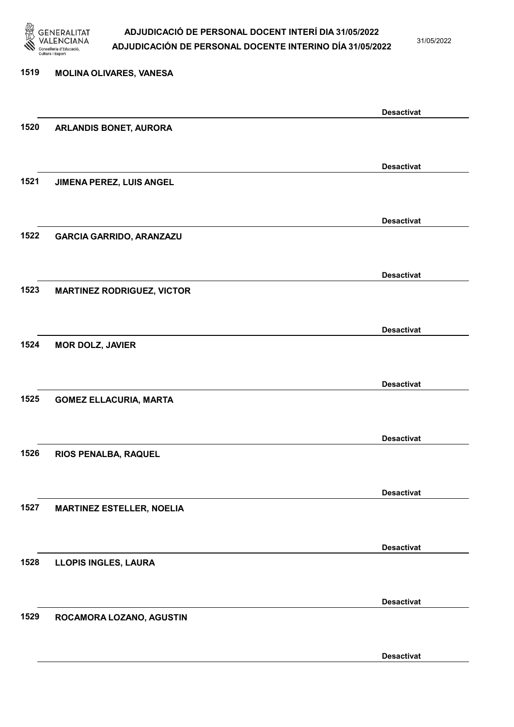

31/05/2022

Desactivat

# 1519 MOLINA OLIVARES, VANESA Desactivat 1520 ARLANDIS BONET, AURORA Desactivat 1521 JIMENA PEREZ, LUIS ANGEL Desactivat 1522 GARCIA GARRIDO, ARANZAZU Desactivat 1523 MARTINEZ RODRIGUEZ, VICTOR Desactivat 1524 MOR DOLZ, JAVIER Desactivat 1525 GOMEZ ELLACURIA, MARTA Desactivat 1526 RIOS PENALBA, RAQUEL Desactivat 1527 MARTINEZ ESTELLER, NOELIA Desactivat 1528 LLOPIS INGLES, LAURA Desactivat 1529 ROCAMORA LOZANO, AGUSTIN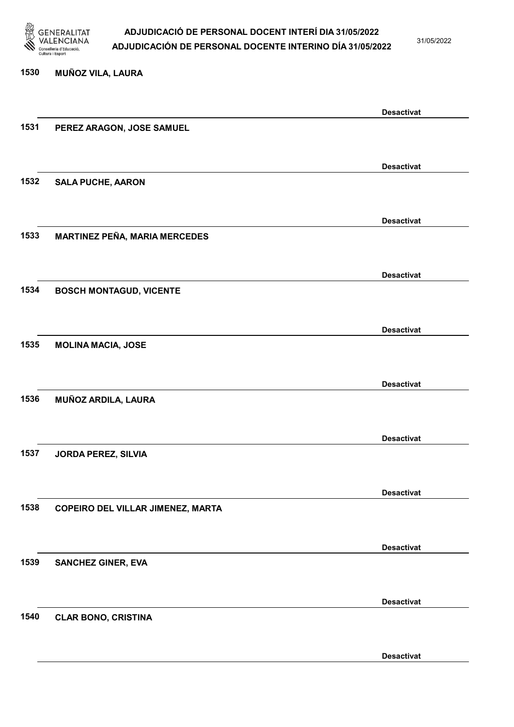

1530 MUÑOZ VILA, LAURA

### ADJUDICACIÓ DE PERSONAL DOCENT INTERÍ DIA 31/05/2022 ADJUDICACIÓN DE PERSONAL DOCENTE INTERINO DÍA 31/05/2022

31/05/2022

# Desactivat 1531 PEREZ ARAGON, JOSE SAMUEL Desactivat 1532 SALA PUCHE, AARON Desactivat 1533 MARTINEZ PEÑA, MARIA MERCEDES Desactivat 1534 BOSCH MONTAGUD, VICENTE Desactivat 1535 MOLINA MACIA, JOSE Desactivat 1536 MUÑOZ ARDILA, LAURA Desactivat 1537 JORDA PEREZ, SILVIA Desactivat 1538 COPEIRO DEL VILLAR JIMENEZ, MARTA Desactivat 1539 SANCHEZ GINER, EVA Desactivat 1540 CLAR BONO, CRISTINA

Desactivat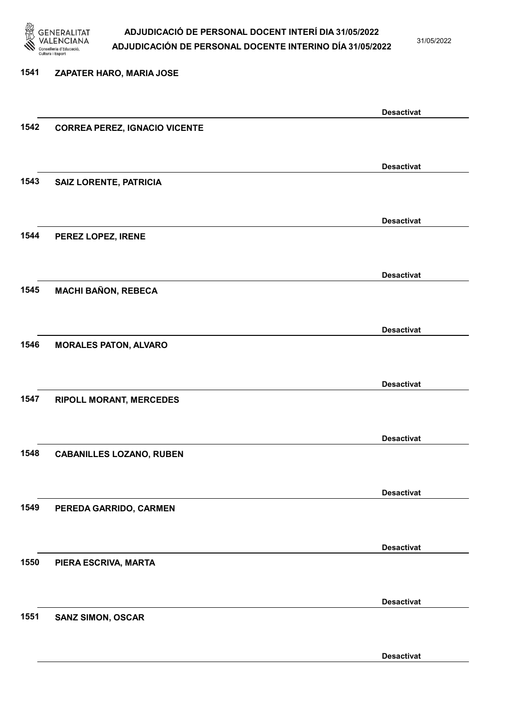

31/05/2022

### 1541 ZAPATER HARO, MARIA JOSE Desactivat 1542 CORREA PEREZ, IGNACIO VICENTE Desactivat 1543 SAIZ LORENTE, PATRICIA Desactivat 1544 PEREZ LOPEZ, IRENE Desactivat 1545 MACHI BAÑON, REBECA Desactivat 1546 MORALES PATON, ALVARO Desactivat 1547 RIPOLL MORANT, MERCEDES Desactivat 1548 CABANILLES LOZANO, RUBEN Desactivat 1549 PEREDA GARRIDO, CARMEN Desactivat 1550 PIERA ESCRIVA, MARTA Desactivat 1551 SANZ SIMON, OSCAR Desactivat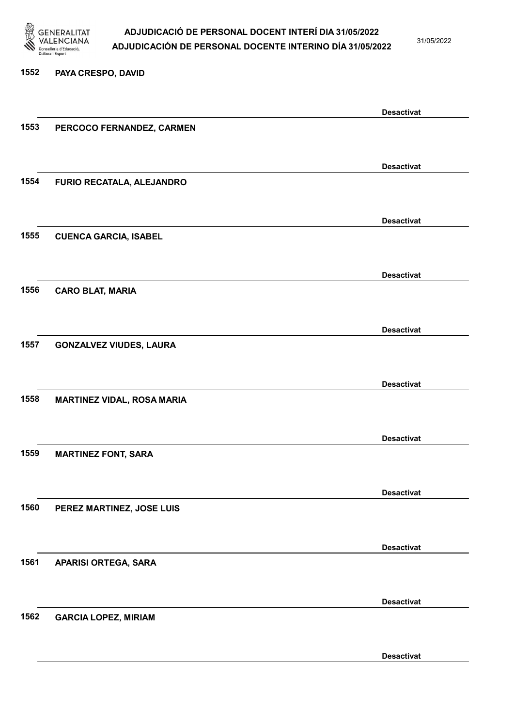

31/05/2022

#### 1552 PAYA CRESPO, DAVID

|      |                                   | <b>Desactivat</b> |
|------|-----------------------------------|-------------------|
| 1553 | PERCOCO FERNANDEZ, CARMEN         |                   |
|      |                                   |                   |
|      |                                   |                   |
|      |                                   | <b>Desactivat</b> |
| 1554 | FURIO RECATALA, ALEJANDRO         |                   |
|      |                                   |                   |
|      |                                   |                   |
|      |                                   | <b>Desactivat</b> |
| 1555 |                                   |                   |
|      | <b>CUENCA GARCIA, ISABEL</b>      |                   |
|      |                                   |                   |
|      |                                   | <b>Desactivat</b> |
|      |                                   |                   |
| 1556 | <b>CARO BLAT, MARIA</b>           |                   |
|      |                                   |                   |
|      |                                   |                   |
|      |                                   | <b>Desactivat</b> |
| 1557 | <b>GONZALVEZ VIUDES, LAURA</b>    |                   |
|      |                                   |                   |
|      |                                   |                   |
|      |                                   | <b>Desactivat</b> |
| 1558 | <b>MARTINEZ VIDAL, ROSA MARIA</b> |                   |
|      |                                   |                   |
|      |                                   |                   |
|      |                                   | <b>Desactivat</b> |
| 1559 | <b>MARTINEZ FONT, SARA</b>        |                   |
|      |                                   |                   |
|      |                                   |                   |
|      |                                   | <b>Desactivat</b> |
| 1560 | PEREZ MARTINEZ, JOSE LUIS         |                   |
|      |                                   |                   |
|      |                                   |                   |
|      |                                   | <b>Desactivat</b> |
| 1561 | APARISI ORTEGA, SARA              |                   |
|      |                                   |                   |
|      |                                   |                   |
|      |                                   | <b>Desactivat</b> |
| 1562 |                                   |                   |
|      | <b>GARCIA LOPEZ, MIRIAM</b>       |                   |
|      |                                   |                   |
|      |                                   |                   |
|      |                                   | <b>Desactivat</b> |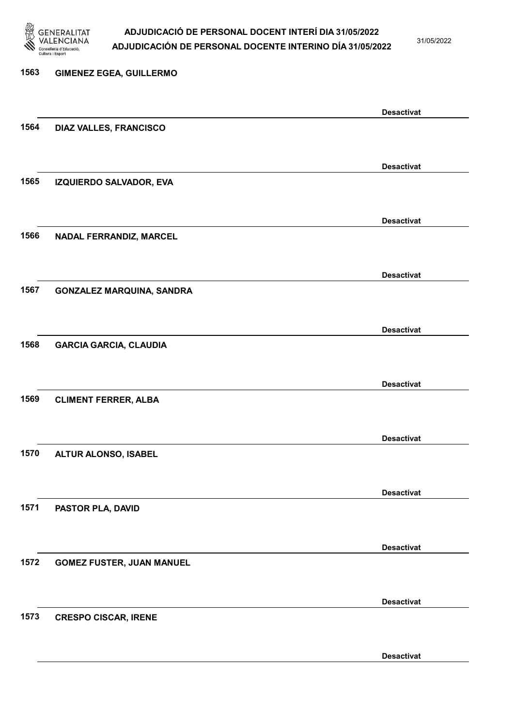

31/05/2022

### 1563 GIMENEZ EGEA, GUILLERMO Desactivat 1564 DIAZ VALLES, FRANCISCO Desactivat 1565 IZQUIERDO SALVADOR, EVA Desactivat 1566 NADAL FERRANDIZ, MARCEL Desactivat 1567 GONZALEZ MARQUINA, SANDRA Desactivat 1568 GARCIA GARCIA, CLAUDIA Desactivat 1569 CLIMENT FERRER, ALBA Desactivat 1570 ALTUR ALONSO, ISABEL Desactivat 1571 PASTOR PLA, DAVID Desactivat 1572 GOMEZ FUSTER, JUAN MANUEL Desactivat 1573 CRESPO CISCAR, IRENE Desactivat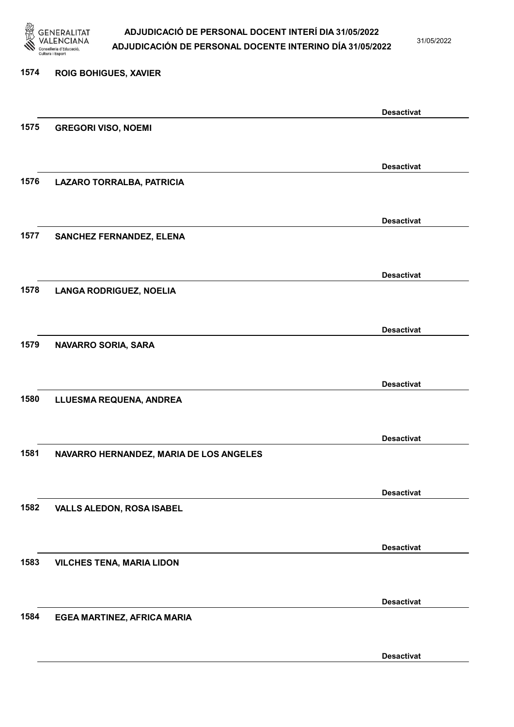

31/05/2022

Desactivat

# 1574 ROIG BOHIGUES, XAVIER Desactivat 1575 GREGORI VISO, NOEMI Desactivat 1576 LAZARO TORRALBA, PATRICIA Desactivat 1577 SANCHEZ FERNANDEZ, ELENA Desactivat 1578 LANGA RODRIGUEZ, NOELIA Desactivat 1579 NAVARRO SORIA, SARA Desactivat 1580 LLUESMA REQUENA, ANDREA Desactivat 1581 NAVARRO HERNANDEZ, MARIA DE LOS ANGELES Desactivat 1582 VALLS ALEDON, ROSA ISABEL Desactivat 1583 VILCHES TENA, MARIA LIDON Desactivat 1584 EGEA MARTINEZ, AFRICA MARIA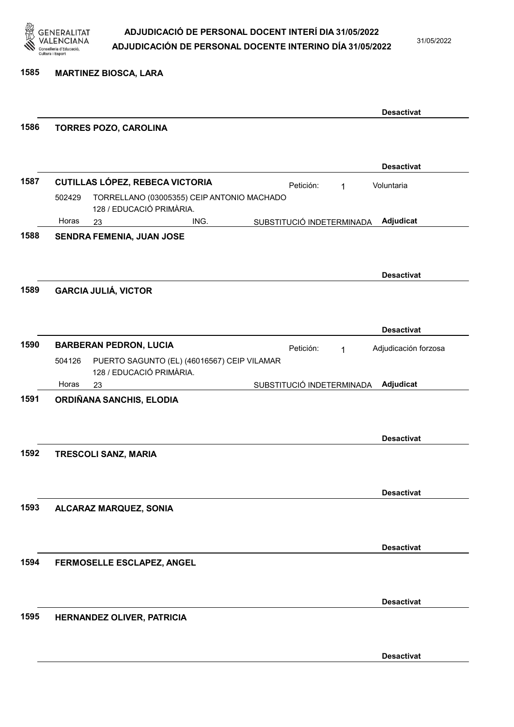

1585 MARTINEZ BIOSCA, LARA

|      |        |                                                                              |      |           |                           | <b>Desactivat</b>    |
|------|--------|------------------------------------------------------------------------------|------|-----------|---------------------------|----------------------|
| 1586 |        | <b>TORRES POZO, CAROLINA</b>                                                 |      |           |                           |                      |
|      |        |                                                                              |      |           |                           |                      |
|      |        |                                                                              |      |           |                           | <b>Desactivat</b>    |
| 1587 |        | <b>CUTILLAS LÓPEZ, REBECA VICTORIA</b>                                       |      | Petición: | 1                         | Voluntaria           |
|      | 502429 | TORRELLANO (03005355) CEIP ANTONIO MACHADO<br>128 / EDUCACIÓ PRIMÀRIA.       |      |           |                           |                      |
|      | Horas  | 23                                                                           | ING. |           | SUBSTITUCIÓ INDETERMINADA | Adjudicat            |
| 1588 |        | SENDRA FEMENIA, JUAN JOSE                                                    |      |           |                           |                      |
|      |        |                                                                              |      |           |                           |                      |
|      |        |                                                                              |      |           |                           | <b>Desactivat</b>    |
| 1589 |        | <b>GARCIA JULIÁ, VICTOR</b>                                                  |      |           |                           |                      |
|      |        |                                                                              |      |           |                           |                      |
|      |        |                                                                              |      |           |                           |                      |
| 1590 |        |                                                                              |      |           |                           | <b>Desactivat</b>    |
|      | 504126 | <b>BARBERAN PEDRON, LUCIA</b><br>PUERTO SAGUNTO (EL) (46016567) CEIP VILAMAR |      | Petición: | $\mathbf{1}$              | Adjudicación forzosa |
|      |        | 128 / EDUCACIÓ PRIMÀRIA.                                                     |      |           |                           |                      |
|      | Horas  | 23                                                                           |      |           | SUBSTITUCIÓ INDETERMINADA | Adjudicat            |
| 1591 |        | ORDIÑANA SANCHIS, ELODIA                                                     |      |           |                           |                      |
|      |        |                                                                              |      |           |                           |                      |
|      |        |                                                                              |      |           |                           | <b>Desactivat</b>    |
| 1592 |        | <b>TRESCOLI SANZ, MARIA</b>                                                  |      |           |                           |                      |
|      |        |                                                                              |      |           |                           |                      |
|      |        |                                                                              |      |           |                           |                      |
|      |        |                                                                              |      |           |                           | <b>Desactivat</b>    |
| 1593 |        | ALCARAZ MARQUEZ, SONIA                                                       |      |           |                           |                      |
|      |        |                                                                              |      |           |                           |                      |
|      |        |                                                                              |      |           |                           | <b>Desactivat</b>    |
| 1594 |        | FERMOSELLE ESCLAPEZ, ANGEL                                                   |      |           |                           |                      |
|      |        |                                                                              |      |           |                           |                      |
|      |        |                                                                              |      |           |                           | <b>Desactivat</b>    |
| 1595 |        | HERNANDEZ OLIVER, PATRICIA                                                   |      |           |                           |                      |
|      |        |                                                                              |      |           |                           |                      |
|      |        |                                                                              |      |           |                           |                      |
|      |        |                                                                              |      |           |                           | <b>Desactivat</b>    |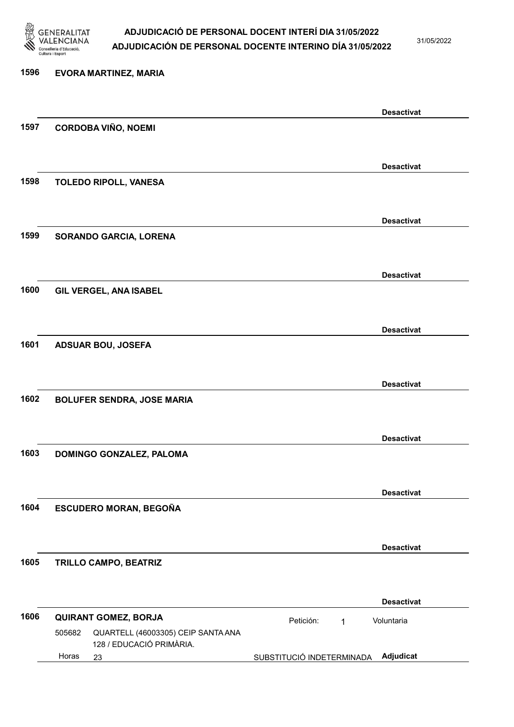

31/05/2022

# 1596 EVORA MARTINEZ, MARIA Desactivat 1597 CORDOBA VIÑO, NOEMI Desactivat 1598 TOLEDO RIPOLL, VANESA Desactivat 1599 SORANDO GARCIA, LORENA Desactivat 1600 GIL VERGEL, ANA ISABEL Desactivat 1601 ADSUAR BOU, JOSEFA Desactivat 1602 BOLUFER SENDRA, JOSE MARIA Desactivat 1603 DOMINGO GONZALEZ, PALOMA Desactivat 1604 ESCUDERO MORAN, BEGOÑA Desactivat 1605 TRILLO CAMPO, BEATRIZ Desactivat 1606 QUIRANT GOMEZ, BORJA Petición: 1 23 SUBSTITUCIÓ INDETERMINADA Adjudicat QUARTELL (46003305) CEIP SANTA ANA 128 / EDUCACIÓ PRIMÀRIA. Voluntaria 505682 Horas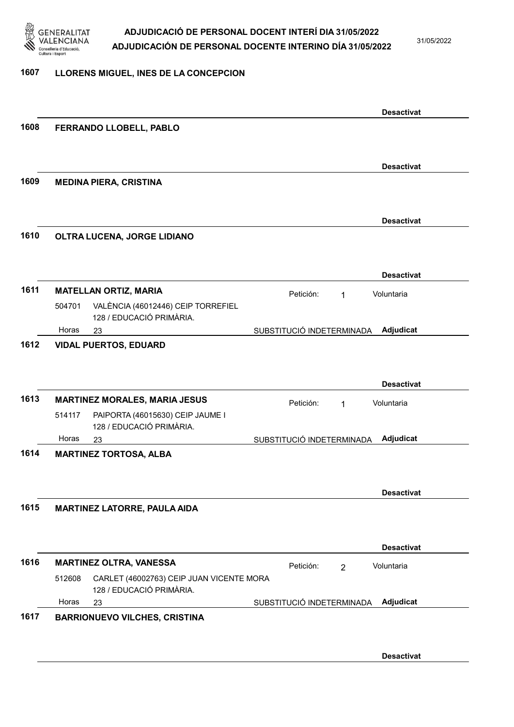

31/05/2022

#### 1607 LLORENS MIGUEL, INES DE LA CONCEPCION

|      |                               |                                                                      |                           |                | <b>Desactivat</b> |
|------|-------------------------------|----------------------------------------------------------------------|---------------------------|----------------|-------------------|
| 1608 |                               | FERRANDO LLOBELL, PABLO                                              |                           |                |                   |
|      |                               |                                                                      |                           |                |                   |
|      |                               |                                                                      |                           |                | <b>Desactivat</b> |
| 1609 | <b>MEDINA PIERA, CRISTINA</b> |                                                                      |                           |                |                   |
|      |                               |                                                                      |                           |                |                   |
|      |                               |                                                                      |                           |                | <b>Desactivat</b> |
| 1610 |                               | OLTRA LUCENA, JORGE LIDIANO                                          |                           |                |                   |
|      |                               |                                                                      |                           |                |                   |
|      |                               |                                                                      |                           |                | <b>Desactivat</b> |
| 1611 | <b>MATELLAN ORTIZ, MARIA</b>  |                                                                      | Petición:                 | 1              | Voluntaria        |
|      | 504701                        | VALÈNCIA (46012446) CEIP TORREFIEL<br>128 / EDUCACIÓ PRIMÀRIA.       |                           |                |                   |
|      | Horas<br>23                   |                                                                      | SUBSTITUCIÓ INDETERMINADA |                | Adjudicat         |
| 1612 | <b>VIDAL PUERTOS, EDUARD</b>  |                                                                      |                           |                |                   |
|      |                               |                                                                      |                           |                |                   |
|      |                               |                                                                      |                           |                | <b>Desactivat</b> |
| 1613 |                               | <b>MARTINEZ MORALES, MARIA JESUS</b>                                 | Petición:                 | 1              | Voluntaria        |
|      | 514117                        | PAIPORTA (46015630) CEIP JAUME I<br>128 / EDUCACIÓ PRIMÀRIA.         |                           |                |                   |
|      | Horas<br>23                   |                                                                      | SUBSTITUCIÓ INDETERMINADA |                | Adjudicat         |
| 1614 | <b>MARTINEZ TORTOSA, ALBA</b> |                                                                      |                           |                |                   |
|      |                               |                                                                      |                           |                | <b>Desactivat</b> |
| 1615 |                               | <b>MARTINEZ LATORRE, PAULA AIDA</b>                                  |                           |                |                   |
|      |                               |                                                                      |                           |                | <b>Desactivat</b> |
| 1616 |                               | <b>MARTINEZ OLTRA, VANESSA</b>                                       | Petición:                 | $\overline{2}$ | Voluntaria        |
|      | 512608                        | CARLET (46002763) CEIP JUAN VICENTE MORA<br>128 / EDUCACIÓ PRIMÀRIA. |                           |                |                   |
|      | Horas<br>23                   |                                                                      | SUBSTITUCIÓ INDETERMINADA |                | Adjudicat         |
| 1617 |                               | <b>BARRIONUEVO VILCHES, CRISTINA</b>                                 |                           |                |                   |
|      |                               |                                                                      |                           |                |                   |
|      |                               |                                                                      |                           |                | <b>Desactivat</b> |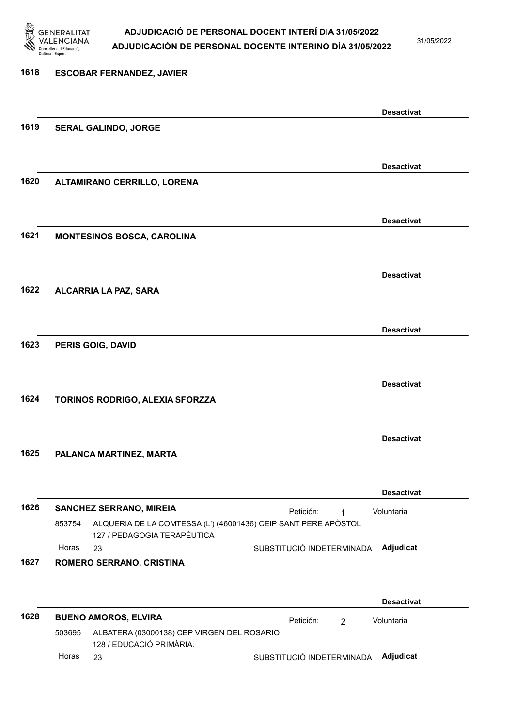

31/05/2022

| 1618 | <b>ESCOBAR FERNANDEZ, JAVIER</b>   |                                                                                               |  |
|------|------------------------------------|-----------------------------------------------------------------------------------------------|--|
|      |                                    |                                                                                               |  |
|      |                                    | <b>Desactivat</b>                                                                             |  |
| 1619 | SERAL GALINDO, JORGE               |                                                                                               |  |
|      |                                    |                                                                                               |  |
|      |                                    | <b>Desactivat</b>                                                                             |  |
| 1620 | <b>ALTAMIRANO CERRILLO, LORENA</b> |                                                                                               |  |
|      |                                    |                                                                                               |  |
|      |                                    | <b>Desactivat</b>                                                                             |  |
| 1621 | MONTESINOS BOSCA, CAROLINA         |                                                                                               |  |
|      |                                    |                                                                                               |  |
|      |                                    | <b>Desactivat</b>                                                                             |  |
| 1622 | ALCARRIA LA PAZ, SARA              |                                                                                               |  |
|      |                                    |                                                                                               |  |
|      |                                    | <b>Desactivat</b>                                                                             |  |
| 1623 | PERIS GOIG, DAVID                  |                                                                                               |  |
|      |                                    |                                                                                               |  |
|      |                                    | <b>Desactivat</b>                                                                             |  |
| 1624 | TORINOS RODRIGO, ALEXIA SFORZZA    |                                                                                               |  |
|      |                                    |                                                                                               |  |
|      |                                    | <b>Desactivat</b>                                                                             |  |
| 1625 | PALANCA MARTINEZ, MARTA            |                                                                                               |  |
|      |                                    |                                                                                               |  |
|      |                                    | <b>Desactivat</b>                                                                             |  |
| 1626 | <b>SANCHEZ SERRANO, MIREIA</b>     | Voluntaria<br>Petición:<br>1                                                                  |  |
|      | 853754                             | ALQUERIA DE LA COMTESSA (L') (46001436) CEIP SANT PERE APÒSTOL<br>127 / PEDAGOGIA TERAPÈUTICA |  |
|      | Horas<br>23                        | SUBSTITUCIÓ INDETERMINADA<br>Adjudicat                                                        |  |
| 1627 | ROMERO SERRANO, CRISTINA           |                                                                                               |  |
|      |                                    |                                                                                               |  |
|      |                                    | <b>Desactivat</b>                                                                             |  |
| 1628 | <b>BUENO AMOROS, ELVIRA</b>        | Petición:<br>Voluntaria<br>$\overline{2}$                                                     |  |
|      | 503695<br>128 / EDUCACIÓ PRIMÀRIA. | ALBATERA (03000138) CEP VIRGEN DEL ROSARIO                                                    |  |
|      | Horas<br>23                        | Adjudicat<br>SUBSTITUCIÓ INDETERMINADA                                                        |  |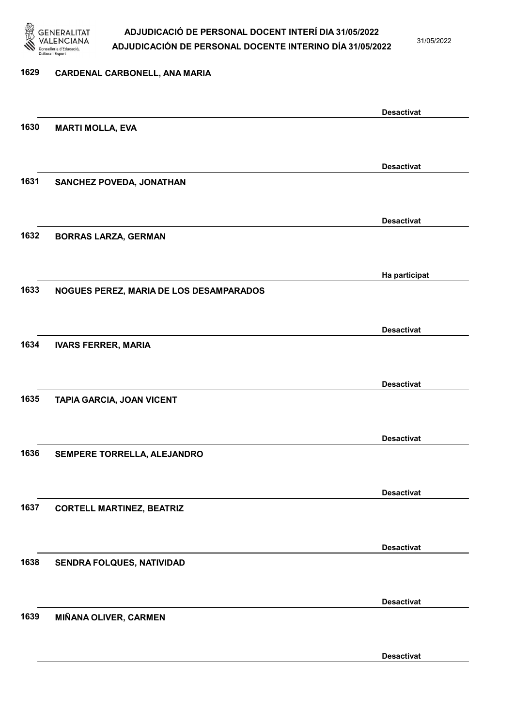

31/05/2022

#### 1629 CARDENAL CARBONELL, ANA MARIA

|      |                                         | <b>Desactivat</b> |
|------|-----------------------------------------|-------------------|
| 1630 | <b>MARTI MOLLA, EVA</b>                 |                   |
|      |                                         |                   |
|      |                                         | <b>Desactivat</b> |
| 1631 | SANCHEZ POVEDA, JONATHAN                |                   |
|      |                                         |                   |
|      |                                         |                   |
|      |                                         | <b>Desactivat</b> |
| 1632 | <b>BORRAS LARZA, GERMAN</b>             |                   |
|      |                                         |                   |
|      |                                         | Ha participat     |
| 1633 | NOGUES PEREZ, MARIA DE LOS DESAMPARADOS |                   |
|      |                                         |                   |
|      |                                         | <b>Desactivat</b> |
| 1634 | <b>IVARS FERRER, MARIA</b>              |                   |
|      |                                         |                   |
|      |                                         |                   |
|      |                                         | <b>Desactivat</b> |
| 1635 | TAPIA GARCIA, JOAN VICENT               |                   |
|      |                                         |                   |
|      |                                         | <b>Desactivat</b> |
| 1636 | SEMPERE TORRELLA, ALEJANDRO             |                   |
|      |                                         |                   |
|      |                                         | <b>Desactivat</b> |
| 1637 | <b>CORTELL MARTINEZ, BEATRIZ</b>        |                   |
|      |                                         |                   |
|      |                                         |                   |
|      |                                         | <b>Desactivat</b> |
| 1638 | <b>SENDRA FOLQUES, NATIVIDAD</b>        |                   |
|      |                                         |                   |
|      |                                         | <b>Desactivat</b> |
| 1639 | <b>MIÑANA OLIVER, CARMEN</b>            |                   |
|      |                                         |                   |
|      |                                         | <b>Desactivat</b> |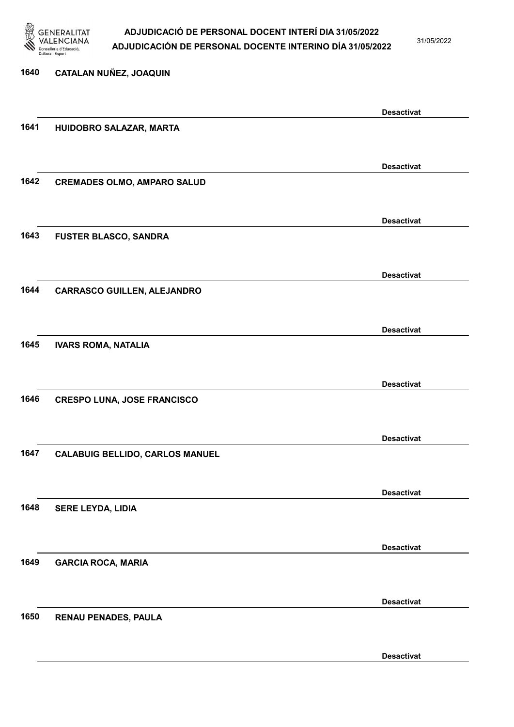

31/05/2022

| 1640 | CATALAN NUÑEZ, JOAQUIN                 |                   |
|------|----------------------------------------|-------------------|
|      |                                        | <b>Desactivat</b> |
| 1641 | HUIDOBRO SALAZAR, MARTA                |                   |
|      |                                        | <b>Desactivat</b> |
| 1642 | <b>CREMADES OLMO, AMPARO SALUD</b>     |                   |
|      |                                        | <b>Desactivat</b> |
| 1643 | FUSTER BLASCO, SANDRA                  |                   |
|      |                                        | <b>Desactivat</b> |
| 1644 | <b>CARRASCO GUILLEN, ALEJANDRO</b>     |                   |
|      |                                        | <b>Desactivat</b> |
| 1645 | <b>IVARS ROMA, NATALIA</b>             |                   |
|      |                                        | <b>Desactivat</b> |
| 1646 | <b>CRESPO LUNA, JOSE FRANCISCO</b>     |                   |
|      |                                        | <b>Desactivat</b> |
| 1647 | <b>CALABUIG BELLIDO, CARLOS MANUEL</b> |                   |
|      |                                        | <b>Desactivat</b> |
| 1648 | <b>SERE LEYDA, LIDIA</b>               |                   |
| 1649 | <b>GARCIA ROCA, MARIA</b>              | <b>Desactivat</b> |
|      |                                        |                   |
| 1650 | <b>RENAU PENADES, PAULA</b>            | <b>Desactivat</b> |
|      |                                        |                   |
|      |                                        | <b>Desactivat</b> |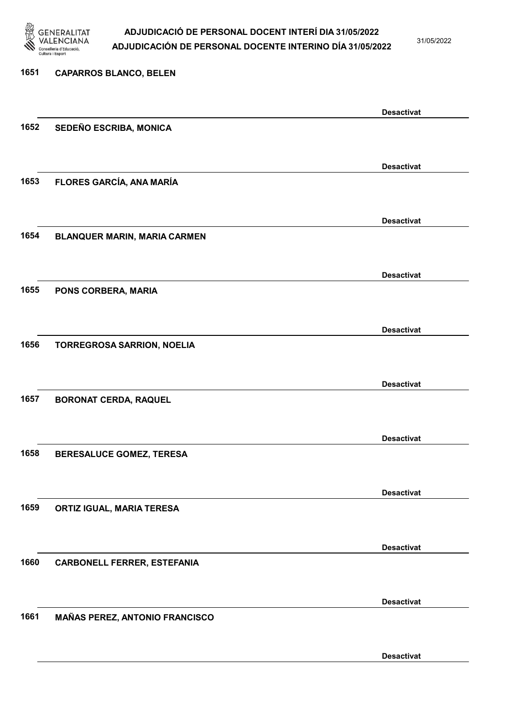

31/05/2022

Desactivat

# 1651 CAPARROS BLANCO, BELEN Desactivat 1652 SEDEÑO ESCRIBA, MONICA Desactivat 1653 FLORES GARCÍA, ANA MARÍA Desactivat 1654 BLANQUER MARIN, MARIA CARMEN Desactivat 1655 PONS CORBERA, MARIA Desactivat 1656 TORREGROSA SARRION, NOELIA Desactivat 1657 BORONAT CERDA, RAQUEL Desactivat 1658 BERESALUCE GOMEZ, TERESA Desactivat 1659 ORTIZ IGUAL, MARIA TERESA Desactivat 1660 CARBONELL FERRER, ESTEFANIA Desactivat 1661 MAÑAS PEREZ, ANTONIO FRANCISCO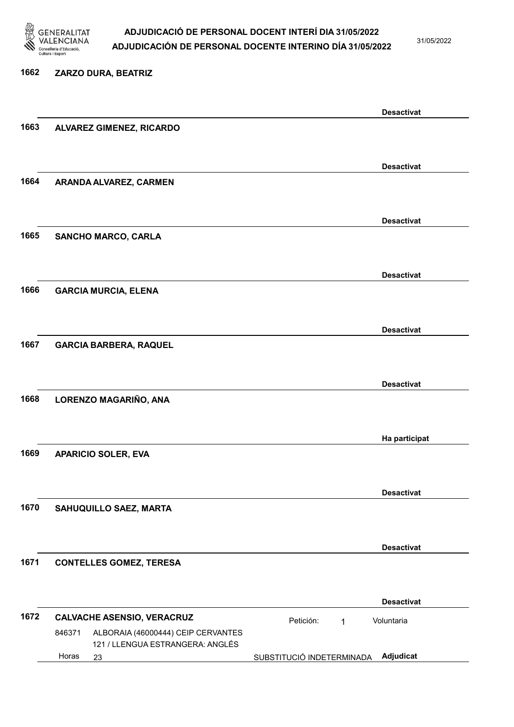

31/05/2022

#### 1662 ZARZO DURA, BEATRIZ

|      |        |                                                                        |                           | <b>Desactivat</b> |
|------|--------|------------------------------------------------------------------------|---------------------------|-------------------|
| 1663 |        | <b>ALVAREZ GIMENEZ, RICARDO</b>                                        |                           |                   |
|      |        |                                                                        |                           |                   |
|      |        |                                                                        |                           | <b>Desactivat</b> |
| 1664 |        | ARANDA ALVAREZ, CARMEN                                                 |                           |                   |
|      |        |                                                                        |                           |                   |
|      |        |                                                                        |                           | <b>Desactivat</b> |
| 1665 |        | <b>SANCHO MARCO, CARLA</b>                                             |                           |                   |
|      |        |                                                                        |                           |                   |
|      |        |                                                                        |                           | <b>Desactivat</b> |
| 1666 |        | <b>GARCIA MURCIA, ELENA</b>                                            |                           |                   |
|      |        |                                                                        |                           |                   |
|      |        |                                                                        |                           | <b>Desactivat</b> |
| 1667 |        | <b>GARCIA BARBERA, RAQUEL</b>                                          |                           |                   |
|      |        |                                                                        |                           |                   |
|      |        |                                                                        |                           | <b>Desactivat</b> |
| 1668 |        | LORENZO MAGARIÑO, ANA                                                  |                           |                   |
|      |        |                                                                        |                           |                   |
|      |        |                                                                        |                           | Ha participat     |
| 1669 |        | <b>APARICIO SOLER, EVA</b>                                             |                           |                   |
|      |        |                                                                        |                           |                   |
|      |        |                                                                        |                           | <b>Desactivat</b> |
| 1670 |        | SAHUQUILLO SAEZ, MARTA                                                 |                           |                   |
|      |        |                                                                        |                           |                   |
|      |        |                                                                        |                           | <b>Desactivat</b> |
| 1671 |        | <b>CONTELLES GOMEZ, TERESA</b>                                         |                           |                   |
|      |        |                                                                        |                           |                   |
|      |        |                                                                        |                           | <b>Desactivat</b> |
| 1672 |        | <b>CALVACHE ASENSIO, VERACRUZ</b>                                      | Petición:<br>1            | Voluntaria        |
|      | 846371 | ALBORAIA (46000444) CEIP CERVANTES<br>121 / LLENGUA ESTRANGERA: ANGLÉS |                           |                   |
|      | Horas  | 23                                                                     | SUBSTITUCIÓ INDETERMINADA | Adjudicat         |
|      |        |                                                                        |                           |                   |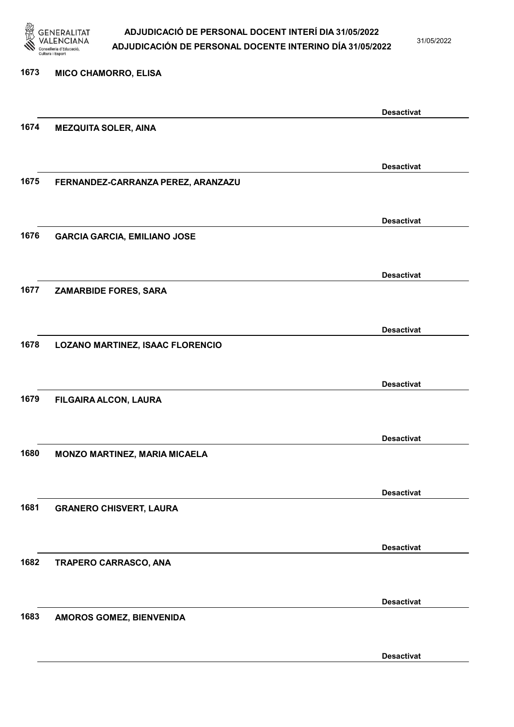

1673 MICO CHAMORRO, ELISA

#### ADJUDICACIÓ DE PERSONAL DOCENT INTERÍ DIA 31/05/2022 ADJUDICACIÓN DE PERSONAL DOCENTE INTERINO DÍA 31/05/2022

31/05/2022

Desactivat

# Desactivat 1674 MEZQUITA SOLER, AINA Desactivat 1675 FERNANDEZ-CARRANZA PEREZ, ARANZAZU Desactivat 1676 GARCIA GARCIA, EMILIANO JOSE Desactivat 1677 ZAMARBIDE FORES, SARA Desactivat 1678 LOZANO MARTINEZ, ISAAC FLORENCIO Desactivat 1679 FILGAIRA ALCON, LAURA Desactivat 1680 MONZO MARTINEZ, MARIA MICAELA Desactivat 1681 GRANERO CHISVERT, LAURA Desactivat 1682 TRAPERO CARRASCO, ANA Desactivat 1683 AMOROS GOMEZ, BIENVENIDA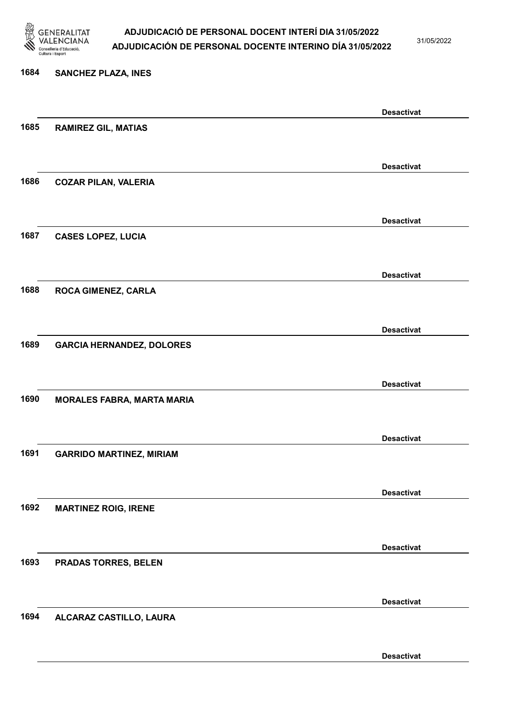

31/05/2022

#### 1684 SANCHEZ PLAZA, INES

|      |                                   | <b>Desactivat</b> |
|------|-----------------------------------|-------------------|
| 1685 | <b>RAMIREZ GIL, MATIAS</b>        |                   |
|      |                                   |                   |
|      |                                   | <b>Desactivat</b> |
| 1686 | <b>COZAR PILAN, VALERIA</b>       |                   |
|      |                                   |                   |
|      |                                   | <b>Desactivat</b> |
| 1687 | <b>CASES LOPEZ, LUCIA</b>         |                   |
|      |                                   |                   |
|      |                                   |                   |
|      |                                   | <b>Desactivat</b> |
| 1688 | <b>ROCA GIMENEZ, CARLA</b>        |                   |
|      |                                   |                   |
|      |                                   | <b>Desactivat</b> |
| 1689 | <b>GARCIA HERNANDEZ, DOLORES</b>  |                   |
|      |                                   |                   |
|      |                                   | <b>Desactivat</b> |
| 1690 | <b>MORALES FABRA, MARTA MARIA</b> |                   |
|      |                                   |                   |
|      |                                   | <b>Desactivat</b> |
| 1691 | <b>GARRIDO MARTINEZ, MIRIAM</b>   |                   |
|      |                                   |                   |
|      |                                   | <b>Desactivat</b> |
| 1692 | <b>MARTINEZ ROIG, IRENE</b>       |                   |
|      |                                   |                   |
|      |                                   |                   |
| 1693 | PRADAS TORRES, BELEN              | <b>Desactivat</b> |
|      |                                   |                   |
|      |                                   |                   |
|      |                                   | <b>Desactivat</b> |
| 1694 | ALCARAZ CASTILLO, LAURA           |                   |
|      |                                   |                   |
|      |                                   | <b>Desactivat</b> |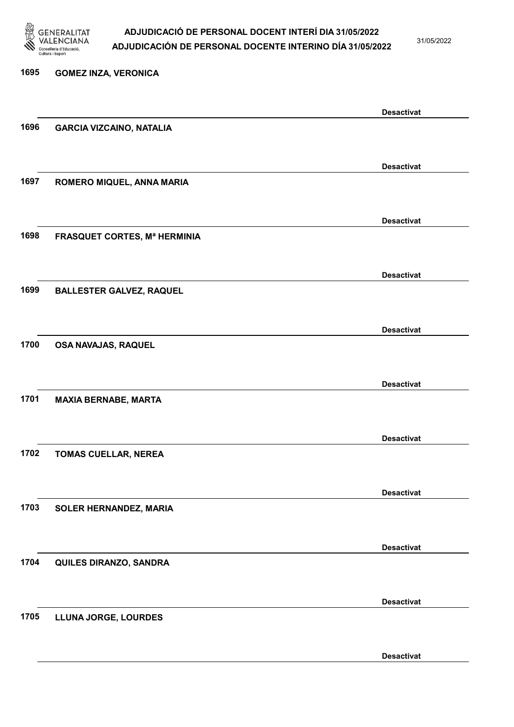

31/05/2022

Desactivat

# 1695 GOMEZ INZA, VERONICA Desactivat 1696 GARCIA VIZCAINO, NATALIA Desactivat 1697 ROMERO MIQUEL, ANNA MARIA Desactivat 1698 FRASQUET CORTES, Mª HERMINIA Desactivat 1699 BALLESTER GALVEZ, RAQUEL Desactivat 1700 OSA NAVAJAS, RAQUEL Desactivat 1701 MAXIA BERNABE, MARTA Desactivat 1702 TOMAS CUELLAR, NEREA Desactivat 1703 SOLER HERNANDEZ, MARIA Desactivat 1704 QUILES DIRANZO, SANDRA Desactivat 1705 LLUNA JORGE, LOURDES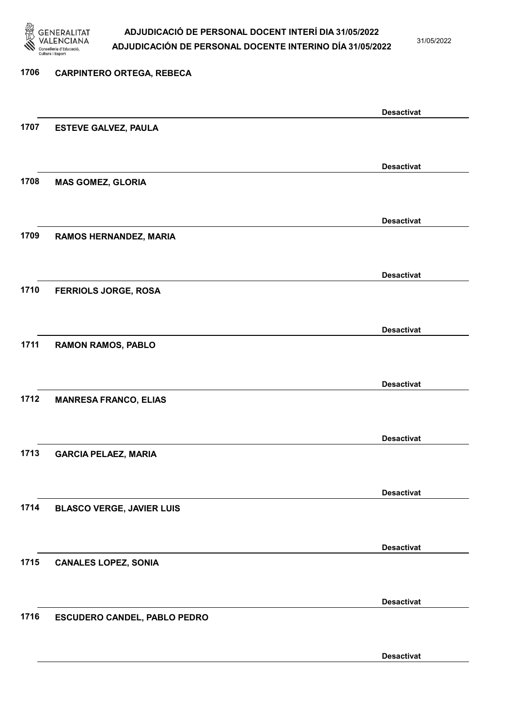

31/05/2022

Desactivat

# 1706 CARPINTERO ORTEGA, REBECA Desactivat 1707 ESTEVE GALVEZ, PAULA Desactivat 1708 MAS GOMEZ, GLORIA Desactivat 1709 RAMOS HERNANDEZ, MARIA Desactivat 1710 FERRIOLS JORGE, ROSA Desactivat 1711 RAMON RAMOS, PABLO Desactivat 1712 MANRESA FRANCO, ELIAS Desactivat 1713 GARCIA PELAEZ, MARIA Desactivat 1714 BLASCO VERGE, JAVIER LUIS Desactivat 1715 CANALES LOPEZ, SONIA Desactivat 1716 ESCUDERO CANDEL, PABLO PEDRO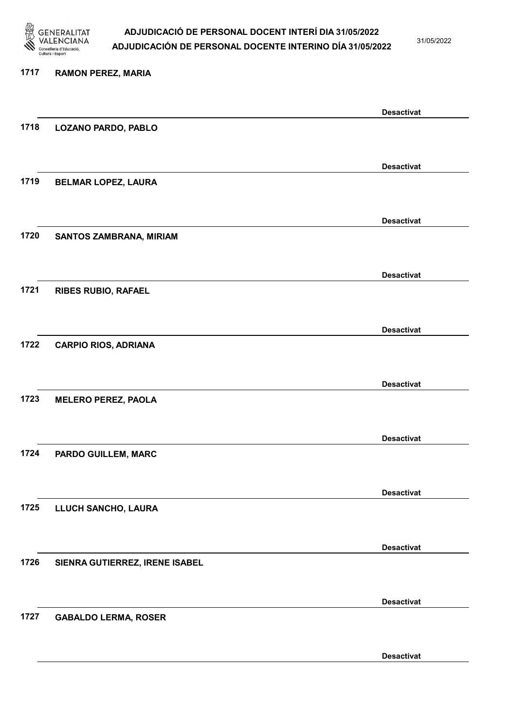

31/05/2022

Desactivat

# 1717 RAMON PEREZ, MARIA Desactivat 1718 LOZANO PARDO, PABLO Desactivat 1719 BELMAR LOPEZ, LAURA Desactivat 1720 SANTOS ZAMBRANA, MIRIAM Desactivat 1721 RIBES RUBIO, RAFAEL Desactivat 1722 CARPIO RIOS, ADRIANA Desactivat 1723 MELERO PEREZ, PAOLA Desactivat 1724 PARDO GUILLEM, MARC Desactivat 1725 LLUCH SANCHO, LAURA Desactivat 1726 SIENRA GUTIERREZ, IRENE ISABEL Desactivat 1727 GABALDO LERMA, ROSER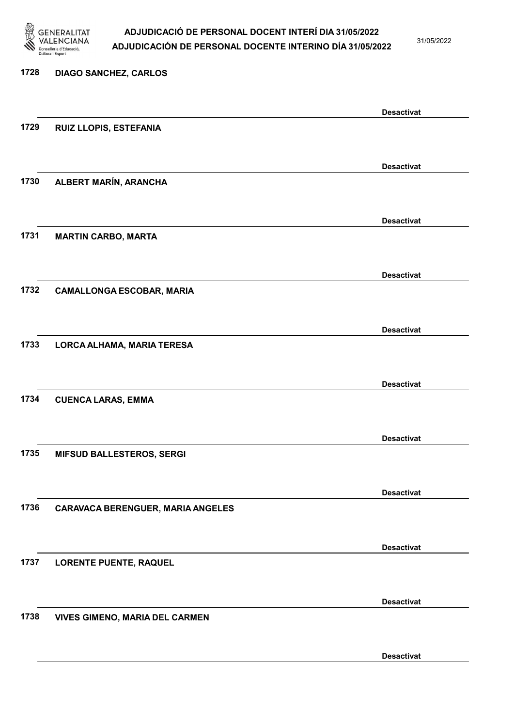

31/05/2022

Desactivat

# 1728 DIAGO SANCHEZ, CARLOS Desactivat 1729 RUIZ LLOPIS, ESTEFANIA Desactivat 1730 ALBERT MARÍN, ARANCHA Desactivat 1731 MARTIN CARBO, MARTA Desactivat 1732 CAMALLONGA ESCOBAR, MARIA Desactivat 1733 LORCA ALHAMA, MARIA TERESA Desactivat 1734 CUENCA LARAS, EMMA Desactivat 1735 MIFSUD BALLESTEROS, SERGI Desactivat 1736 CARAVACA BERENGUER, MARIA ANGELES Desactivat 1737 LORENTE PUENTE, RAQUEL Desactivat 1738 VIVES GIMENO, MARIA DEL CARMEN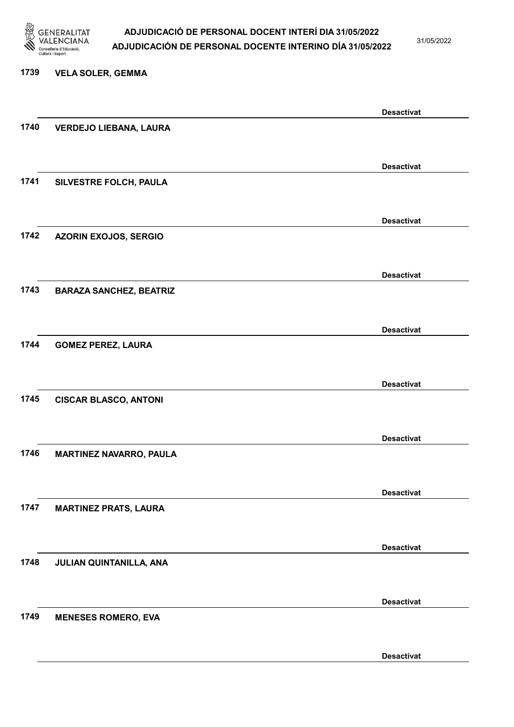

31/05/2022

#### 1739 VELA SOLER, GEMMA

|      |                                | <b>Desactivat</b> |
|------|--------------------------------|-------------------|
| 1740 | <b>VERDEJO LIEBANA, LAURA</b>  |                   |
|      |                                |                   |
|      |                                | <b>Desactivat</b> |
| 1741 | SILVESTRE FOLCH, PAULA         |                   |
|      |                                |                   |
|      |                                |                   |
|      |                                | <b>Desactivat</b> |
| 1742 | <b>AZORIN EXOJOS, SERGIO</b>   |                   |
|      |                                |                   |
|      |                                | <b>Desactivat</b> |
| 1743 | <b>BARAZA SANCHEZ, BEATRIZ</b> |                   |
|      |                                |                   |
|      |                                | <b>Desactivat</b> |
| 1744 | <b>GOMEZ PEREZ, LAURA</b>      |                   |
|      |                                |                   |
|      |                                |                   |
|      |                                | <b>Desactivat</b> |
| 1745 | <b>CISCAR BLASCO, ANTONI</b>   |                   |
|      |                                |                   |
|      |                                | <b>Desactivat</b> |
| 1746 | <b>MARTINEZ NAVARRO, PAULA</b> |                   |
|      |                                |                   |
|      |                                | <b>Desactivat</b> |
| 1747 | <b>MARTINEZ PRATS, LAURA</b>   |                   |
|      |                                |                   |
|      |                                |                   |
|      |                                | <b>Desactivat</b> |
| 1748 | JULIAN QUINTANILLA, ANA        |                   |
|      |                                |                   |
|      |                                | <b>Desactivat</b> |
| 1749 | <b>MENESES ROMERO, EVA</b>     |                   |
|      |                                |                   |
|      |                                | <b>Desactivat</b> |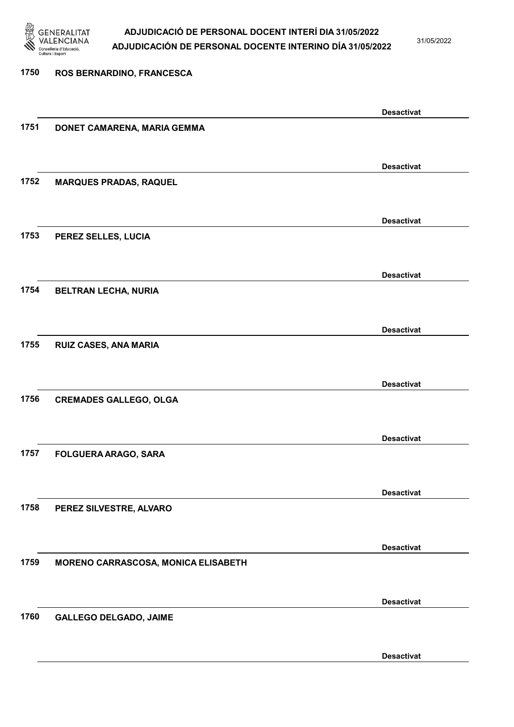

31/05/2022

# 1750 ROS BERNARDINO, FRANCESCA Desactivat 1751 DONET CAMARENA, MARIA GEMMA Desactivat 1752 MARQUES PRADAS, RAQUEL Desactivat 1753 PEREZ SELLES, LUCIA Desactivat 1754 BELTRAN LECHA, NURIA Desactivat 1755 RUIZ CASES, ANA MARIA Desactivat 1756 CREMADES GALLEGO, OLGA Desactivat 1757 FOLGUERA ARAGO, SARA Desactivat 1758 PEREZ SILVESTRE, ALVARO Desactivat 1759 MORENO CARRASCOSA, MONICA ELISABETH Desactivat 1760 GALLEGO DELGADO, JAIME Desactivat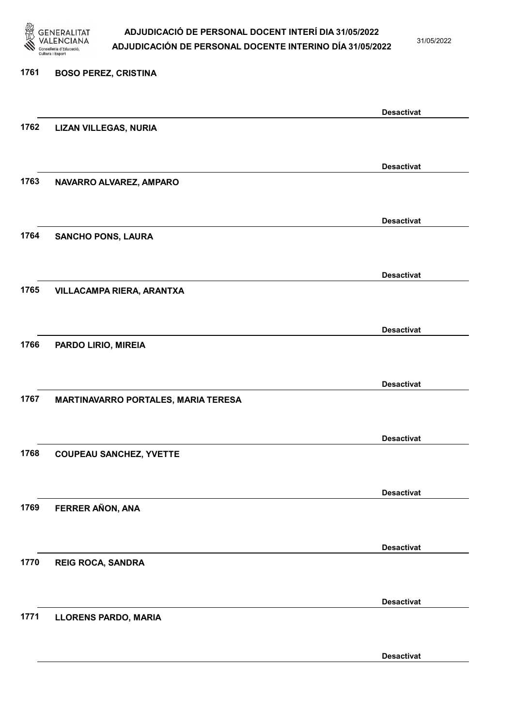

31/05/2022

#### 1761 BOSO PEREZ, CRISTINA

|      |                                     | <b>Desactivat</b> |
|------|-------------------------------------|-------------------|
| 1762 | <b>LIZAN VILLEGAS, NURIA</b>        |                   |
|      |                                     |                   |
|      |                                     | <b>Desactivat</b> |
| 1763 | NAVARRO ALVAREZ, AMPARO             |                   |
|      |                                     |                   |
|      |                                     | <b>Desactivat</b> |
| 1764 | <b>SANCHO PONS, LAURA</b>           |                   |
|      |                                     |                   |
|      |                                     | <b>Desactivat</b> |
| 1765 | VILLACAMPA RIERA, ARANTXA           |                   |
|      |                                     |                   |
|      |                                     | <b>Desactivat</b> |
| 1766 | PARDO LIRIO, MIREIA                 |                   |
|      |                                     |                   |
|      |                                     |                   |
| 1767 | MARTINAVARRO PORTALES, MARIA TERESA | <b>Desactivat</b> |
|      |                                     |                   |
|      |                                     |                   |
|      |                                     | <b>Desactivat</b> |
| 1768 | <b>COUPEAU SANCHEZ, YVETTE</b>      |                   |
|      |                                     |                   |
|      |                                     | <b>Desactivat</b> |
| 1769 | FERRER AÑON, ANA                    |                   |
|      |                                     |                   |
|      |                                     | <b>Desactivat</b> |
| 1770 | <b>REIG ROCA, SANDRA</b>            |                   |
|      |                                     |                   |
|      |                                     | <b>Desactivat</b> |
| 1771 | <b>LLORENS PARDO, MARIA</b>         |                   |
|      |                                     |                   |
|      |                                     | <b>Desactivat</b> |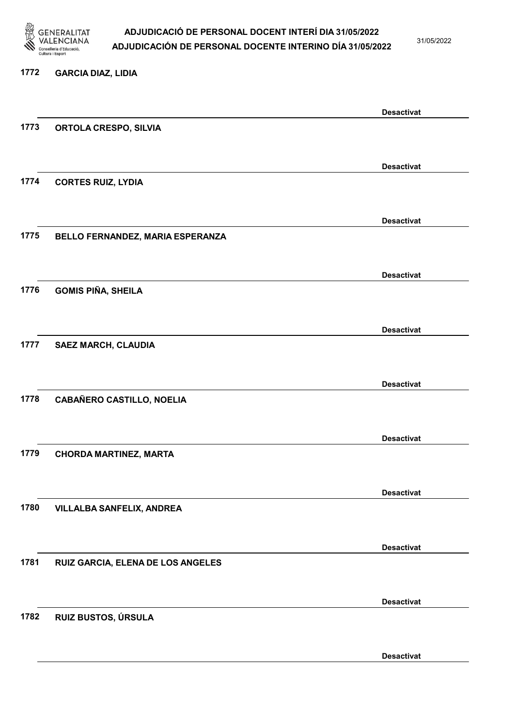

31/05/2022

#### 1772 GARCIA DIAZ, LIDIA

|      |                                   | <b>Desactivat</b> |
|------|-----------------------------------|-------------------|
| 1773 | <b>ORTOLA CRESPO, SILVIA</b>      |                   |
|      |                                   |                   |
|      |                                   | <b>Desactivat</b> |
| 1774 | <b>CORTES RUIZ, LYDIA</b>         |                   |
|      |                                   |                   |
|      |                                   |                   |
|      |                                   | <b>Desactivat</b> |
| 1775 | BELLO FERNANDEZ, MARIA ESPERANZA  |                   |
|      |                                   |                   |
|      |                                   | <b>Desactivat</b> |
| 1776 | <b>GOMIS PIÑA, SHEILA</b>         |                   |
|      |                                   |                   |
|      |                                   |                   |
|      |                                   | <b>Desactivat</b> |
| 1777 | <b>SAEZ MARCH, CLAUDIA</b>        |                   |
|      |                                   |                   |
|      |                                   | <b>Desactivat</b> |
| 1778 | <b>CABAÑERO CASTILLO, NOELIA</b>  |                   |
|      |                                   |                   |
|      |                                   |                   |
| 1779 |                                   | <b>Desactivat</b> |
|      | <b>CHORDA MARTINEZ, MARTA</b>     |                   |
|      |                                   |                   |
|      |                                   | <b>Desactivat</b> |
| 1780 | <b>VILLALBA SANFELIX, ANDREA</b>  |                   |
|      |                                   |                   |
|      |                                   | <b>Desactivat</b> |
| 1781 | RUIZ GARCIA, ELENA DE LOS ANGELES |                   |
|      |                                   |                   |
|      |                                   |                   |
|      |                                   | <b>Desactivat</b> |
| 1782 | RUIZ BUSTOS, ÚRSULA               |                   |
|      |                                   |                   |
|      |                                   | <b>Desactivat</b> |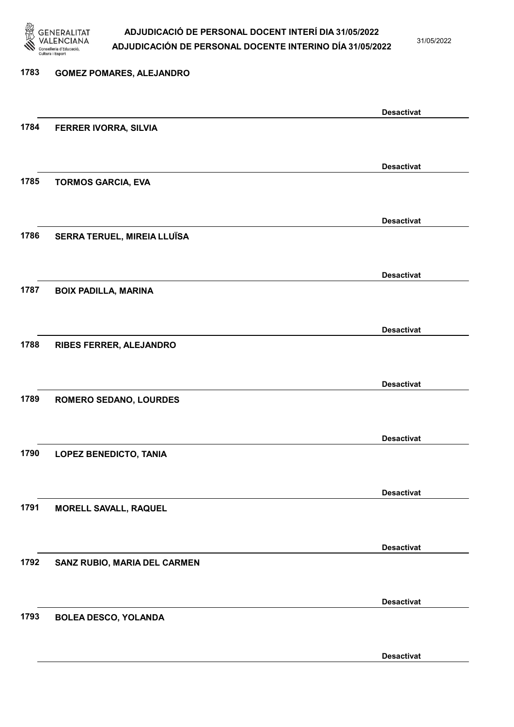

31/05/2022

Desactivat

# 1783 GOMEZ POMARES, ALEJANDRO Desactivat 1784 FERRER IVORRA, SILVIA Desactivat 1785 TORMOS GARCIA, EVA Desactivat 1786 SERRA TERUEL, MIREIA LLUÏSA Desactivat 1787 BOIX PADILLA, MARINA Desactivat 1788 RIBES FERRER, ALEJANDRO Desactivat 1789 ROMERO SEDANO, LOURDES Desactivat 1790 LOPEZ BENEDICTO, TANIA Desactivat 1791 MORELL SAVALL, RAQUEL Desactivat 1792 SANZ RUBIO, MARIA DEL CARMEN Desactivat 1793 BOLEA DESCO, YOLANDA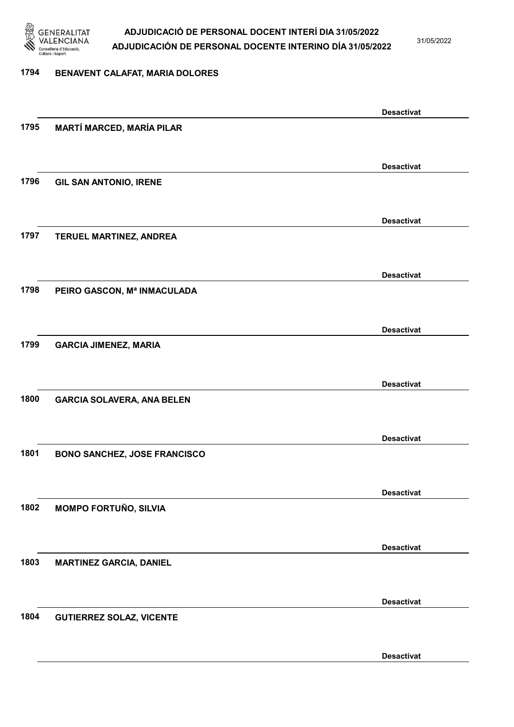

31/05/2022

#### 1794 BENAVENT CALAFAT, MARIA DOLORES

|                                     | <b>Desactivat</b>                                                                                                           |
|-------------------------------------|-----------------------------------------------------------------------------------------------------------------------------|
| <b>MARTÍ MARCED, MARÍA PILAR</b>    |                                                                                                                             |
|                                     |                                                                                                                             |
|                                     | <b>Desactivat</b>                                                                                                           |
| <b>GIL SAN ANTONIO, IRENE</b>       |                                                                                                                             |
|                                     |                                                                                                                             |
|                                     | <b>Desactivat</b>                                                                                                           |
|                                     |                                                                                                                             |
|                                     |                                                                                                                             |
|                                     | <b>Desactivat</b>                                                                                                           |
|                                     |                                                                                                                             |
|                                     |                                                                                                                             |
|                                     |                                                                                                                             |
|                                     | <b>Desactivat</b>                                                                                                           |
|                                     |                                                                                                                             |
|                                     |                                                                                                                             |
|                                     | <b>Desactivat</b>                                                                                                           |
|                                     |                                                                                                                             |
|                                     |                                                                                                                             |
|                                     | <b>Desactivat</b>                                                                                                           |
| <b>BONO SANCHEZ, JOSE FRANCISCO</b> |                                                                                                                             |
|                                     |                                                                                                                             |
|                                     | <b>Desactivat</b>                                                                                                           |
| <b>MOMPO FORTUÑO, SILVIA</b>        |                                                                                                                             |
|                                     |                                                                                                                             |
|                                     | <b>Desactivat</b>                                                                                                           |
| <b>MARTINEZ GARCIA, DANIEL</b>      |                                                                                                                             |
|                                     |                                                                                                                             |
|                                     | <b>Desactivat</b>                                                                                                           |
| <b>GUTIERREZ SOLAZ, VICENTE</b>     |                                                                                                                             |
|                                     |                                                                                                                             |
|                                     | <b>Desactivat</b>                                                                                                           |
|                                     | TERUEL MARTINEZ, ANDREA<br>PEIRO GASCON, Mª INMACULADA<br><b>GARCIA JIMENEZ, MARIA</b><br><b>GARCIA SOLAVERA, ANA BELEN</b> |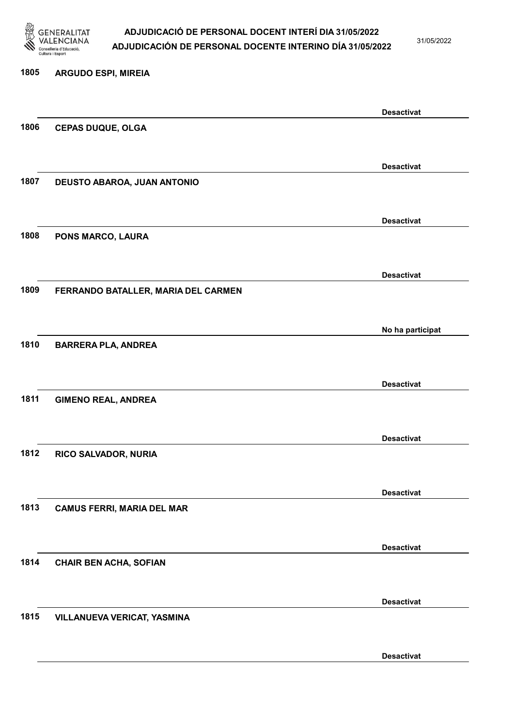

31/05/2022

Desactivat

# 1805 ARGUDO ESPI, MIREIA Desactivat 1806 CEPAS DUQUE, OLGA Desactivat 1807 DEUSTO ABAROA, JUAN ANTONIO Desactivat 1808 PONS MARCO, LAURA Desactivat 1809 FERRANDO BATALLER, MARIA DEL CARMEN No ha participat 1810 BARRERA PLA, ANDREA Desactivat 1811 GIMENO REAL, ANDREA Desactivat 1812 RICO SALVADOR, NURIA Desactivat 1813 CAMUS FERRI, MARIA DEL MAR Desactivat 1814 CHAIR BEN ACHA, SOFIAN Desactivat 1815 VILLANUEVA VERICAT, YASMINA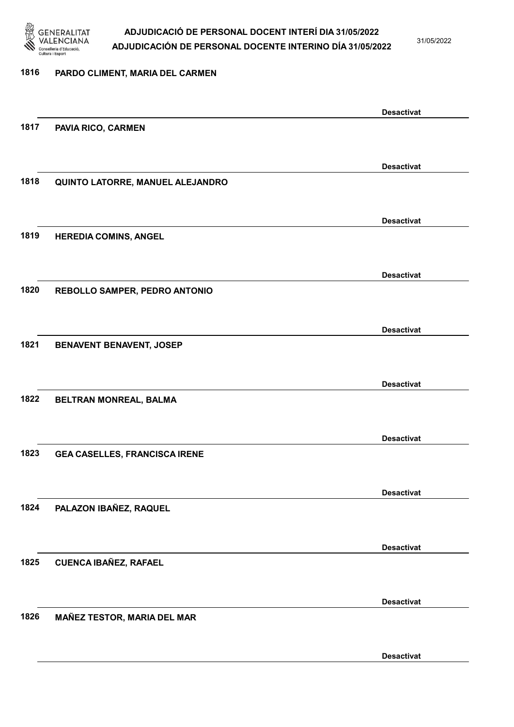

31/05/2022

### 1816 PARDO CLIMENT, MARIA DEL CARMEN

|      |                                      | <b>Desactivat</b> |
|------|--------------------------------------|-------------------|
| 1817 | <b>PAVIA RICO, CARMEN</b>            |                   |
|      |                                      |                   |
|      |                                      | <b>Desactivat</b> |
| 1818 | QUINTO LATORRE, MANUEL ALEJANDRO     |                   |
|      |                                      |                   |
|      |                                      |                   |
|      |                                      | <b>Desactivat</b> |
| 1819 | <b>HEREDIA COMINS, ANGEL</b>         |                   |
|      |                                      |                   |
|      |                                      | <b>Desactivat</b> |
| 1820 | REBOLLO SAMPER, PEDRO ANTONIO        |                   |
|      |                                      |                   |
|      |                                      |                   |
|      |                                      | <b>Desactivat</b> |
| 1821 | BENAVENT BENAVENT, JOSEP             |                   |
|      |                                      |                   |
|      |                                      | <b>Desactivat</b> |
| 1822 | BELTRAN MONREAL, BALMA               |                   |
|      |                                      |                   |
|      |                                      | <b>Desactivat</b> |
| 1823 | <b>GEA CASELLES, FRANCISCA IRENE</b> |                   |
|      |                                      |                   |
|      |                                      |                   |
|      |                                      | <b>Desactivat</b> |
| 1824 | PALAZON IBAÑEZ, RAQUEL               |                   |
|      |                                      |                   |
|      |                                      | <b>Desactivat</b> |
| 1825 | <b>CUENCA IBAÑEZ, RAFAEL</b>         |                   |
|      |                                      |                   |
|      |                                      |                   |
| 1826 |                                      | <b>Desactivat</b> |
|      | <b>MAÑEZ TESTOR, MARIA DEL MAR</b>   |                   |
|      |                                      |                   |
|      |                                      | <b>Desactivat</b> |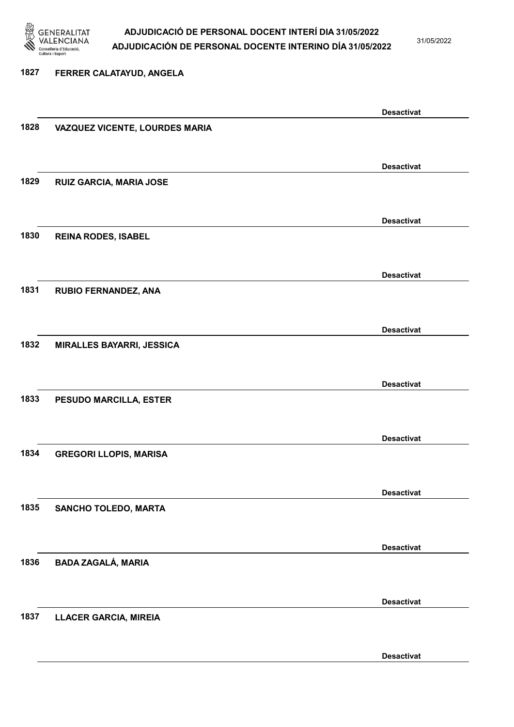

31/05/2022

#### 1827 FERRER CALATAYUD, ANGELA

|      |                                  | <b>Desactivat</b> |
|------|----------------------------------|-------------------|
| 1828 | VAZQUEZ VICENTE, LOURDES MARIA   |                   |
|      |                                  |                   |
|      |                                  |                   |
|      |                                  | <b>Desactivat</b> |
| 1829 | RUIZ GARCIA, MARIA JOSE          |                   |
|      |                                  |                   |
|      |                                  |                   |
|      |                                  | <b>Desactivat</b> |
| 1830 | <b>REINA RODES, ISABEL</b>       |                   |
|      |                                  |                   |
|      |                                  |                   |
|      |                                  | <b>Desactivat</b> |
| 1831 | RUBIO FERNANDEZ, ANA             |                   |
|      |                                  |                   |
|      |                                  |                   |
|      |                                  | <b>Desactivat</b> |
| 1832 | <b>MIRALLES BAYARRI, JESSICA</b> |                   |
|      |                                  |                   |
|      |                                  |                   |
|      |                                  | <b>Desactivat</b> |
| 1833 | PESUDO MARCILLA, ESTER           |                   |
|      |                                  |                   |
|      |                                  |                   |
|      |                                  | <b>Desactivat</b> |
| 1834 | <b>GREGORI LLOPIS, MARISA</b>    |                   |
|      |                                  |                   |
|      |                                  |                   |
|      |                                  | <b>Desactivat</b> |
| 1835 | <b>SANCHO TOLEDO, MARTA</b>      |                   |
|      |                                  |                   |
|      |                                  |                   |
|      |                                  | <b>Desactivat</b> |
| 1836 | <b>BADA ZAGALÁ, MARIA</b>        |                   |
|      |                                  |                   |
|      |                                  |                   |
|      |                                  | <b>Desactivat</b> |
| 1837 | <b>LLACER GARCIA, MIREIA</b>     |                   |
|      |                                  |                   |
|      |                                  |                   |
|      |                                  | <b>Desactivat</b> |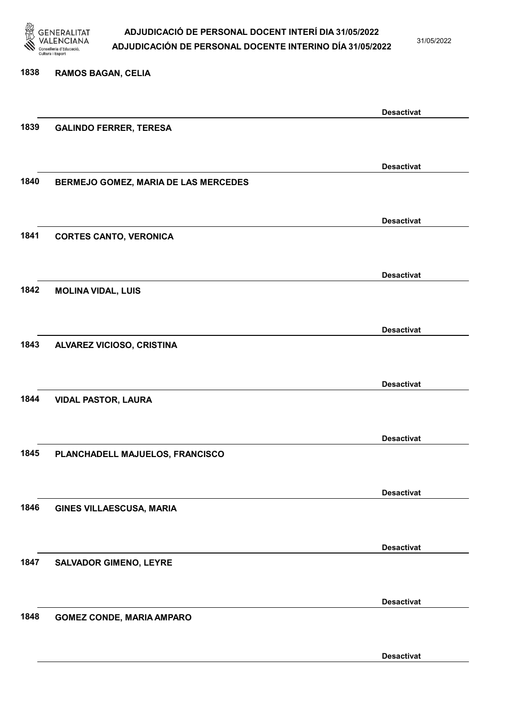

31/05/2022

#### 1838 RAMOS BAGAN, CELIA

|      |                                      | <b>Desactivat</b> |
|------|--------------------------------------|-------------------|
| 1839 | <b>GALINDO FERRER, TERESA</b>        |                   |
|      |                                      |                   |
|      |                                      | <b>Desactivat</b> |
| 1840 |                                      |                   |
|      | BERMEJO GOMEZ, MARIA DE LAS MERCEDES |                   |
|      |                                      |                   |
|      |                                      | <b>Desactivat</b> |
| 1841 | <b>CORTES CANTO, VERONICA</b>        |                   |
|      |                                      |                   |
|      |                                      | <b>Desactivat</b> |
| 1842 | <b>MOLINA VIDAL, LUIS</b>            |                   |
|      |                                      |                   |
|      |                                      |                   |
|      |                                      | <b>Desactivat</b> |
| 1843 | ALVAREZ VICIOSO, CRISTINA            |                   |
|      |                                      |                   |
|      |                                      | <b>Desactivat</b> |
| 1844 | <b>VIDAL PASTOR, LAURA</b>           |                   |
|      |                                      |                   |
|      |                                      |                   |
| 1845 |                                      | <b>Desactivat</b> |
|      | PLANCHADELL MAJUELOS, FRANCISCO      |                   |
|      |                                      |                   |
|      |                                      | <b>Desactivat</b> |
| 1846 | <b>GINES VILLAESCUSA, MARIA</b>      |                   |
|      |                                      |                   |
|      |                                      | <b>Desactivat</b> |
| 1847 | <b>SALVADOR GIMENO, LEYRE</b>        |                   |
|      |                                      |                   |
|      |                                      |                   |
|      |                                      | <b>Desactivat</b> |
| 1848 | <b>GOMEZ CONDE, MARIA AMPARO</b>     |                   |
|      |                                      |                   |
|      |                                      | <b>Desactivat</b> |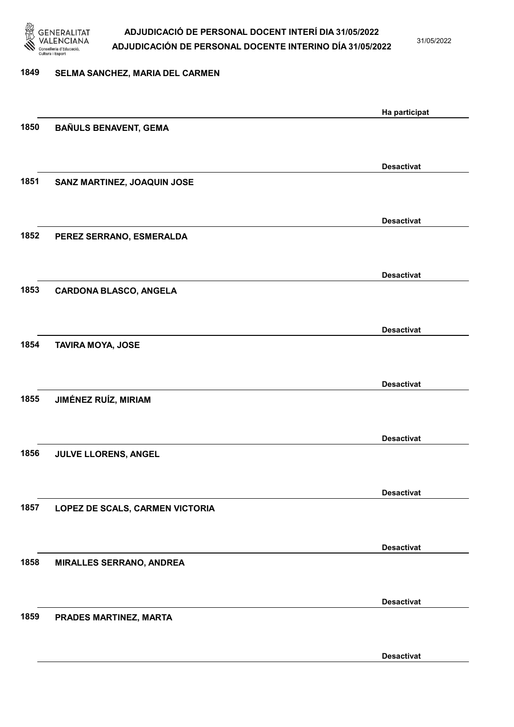

31/05/2022

## 1849 SELMA SANCHEZ, MARIA DEL CARMEN

|      |                                 | Ha participat     |
|------|---------------------------------|-------------------|
| 1850 | <b>BAÑULS BENAVENT, GEMA</b>    |                   |
|      |                                 |                   |
|      |                                 | <b>Desactivat</b> |
| 1851 | SANZ MARTINEZ, JOAQUIN JOSE     |                   |
|      |                                 |                   |
|      |                                 | <b>Desactivat</b> |
| 1852 | PEREZ SERRANO, ESMERALDA        |                   |
|      |                                 |                   |
|      |                                 | <b>Desactivat</b> |
| 1853 | <b>CARDONA BLASCO, ANGELA</b>   |                   |
|      |                                 |                   |
|      |                                 | <b>Desactivat</b> |
| 1854 | <b>TAVIRA MOYA, JOSE</b>        |                   |
|      |                                 |                   |
|      |                                 | <b>Desactivat</b> |
| 1855 | <b>JIMÉNEZ RUÍZ, MIRIAM</b>     |                   |
|      |                                 |                   |
|      |                                 | <b>Desactivat</b> |
| 1856 | JULVE LLORENS, ANGEL            |                   |
|      |                                 |                   |
|      |                                 | <b>Desactivat</b> |
| 1857 | LOPEZ DE SCALS, CARMEN VICTORIA |                   |
|      |                                 |                   |
|      |                                 | <b>Desactivat</b> |
| 1858 | <b>MIRALLES SERRANO, ANDREA</b> |                   |
|      |                                 |                   |
|      |                                 | <b>Desactivat</b> |
| 1859 | PRADES MARTINEZ, MARTA          |                   |
|      |                                 |                   |
|      |                                 | <b>Desactivat</b> |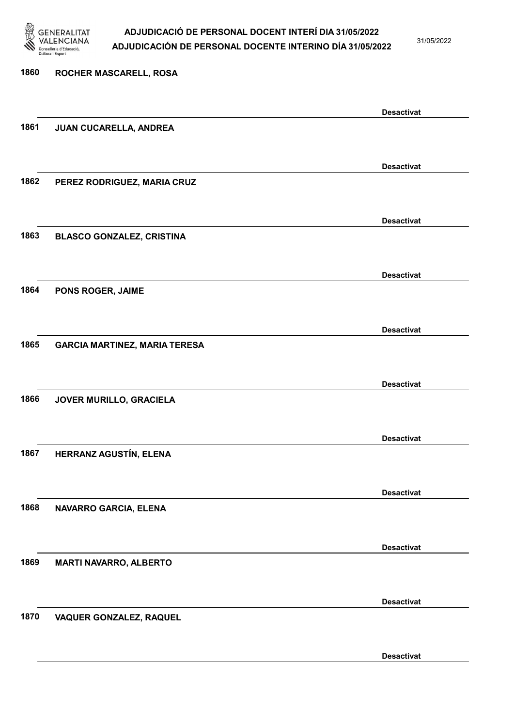

31/05/2022

Desactivat

| 1860 | ROCHER MASCARELL, ROSA               |                   |
|------|--------------------------------------|-------------------|
|      |                                      |                   |
|      |                                      | <b>Desactivat</b> |
| 1861 | JUAN CUCARELLA, ANDREA               |                   |
|      |                                      |                   |
|      |                                      | <b>Desactivat</b> |
| 1862 | PEREZ RODRIGUEZ, MARIA CRUZ          |                   |
|      |                                      |                   |
|      |                                      | <b>Desactivat</b> |
| 1863 | <b>BLASCO GONZALEZ, CRISTINA</b>     |                   |
|      |                                      |                   |
|      |                                      | <b>Desactivat</b> |
| 1864 | PONS ROGER, JAIME                    |                   |
|      |                                      |                   |
| 1865 |                                      | <b>Desactivat</b> |
|      | <b>GARCIA MARTINEZ, MARIA TERESA</b> |                   |
|      |                                      | <b>Desactivat</b> |
| 1866 | JOVER MURILLO, GRACIELA              |                   |
|      |                                      |                   |
|      |                                      | <b>Desactivat</b> |
| 1867 | HERRANZ AGUSTÍN, ELENA               |                   |
|      |                                      |                   |
|      |                                      | <b>Desactivat</b> |
| 1868 | NAVARRO GARCIA, ELENA                |                   |
|      |                                      |                   |
|      |                                      | <b>Desactivat</b> |
| 1869 | <b>MARTI NAVARRO, ALBERTO</b>        |                   |
|      |                                      |                   |
|      |                                      | <b>Desactivat</b> |
| 1870 | VAQUER GONZALEZ, RAQUEL              |                   |
|      |                                      |                   |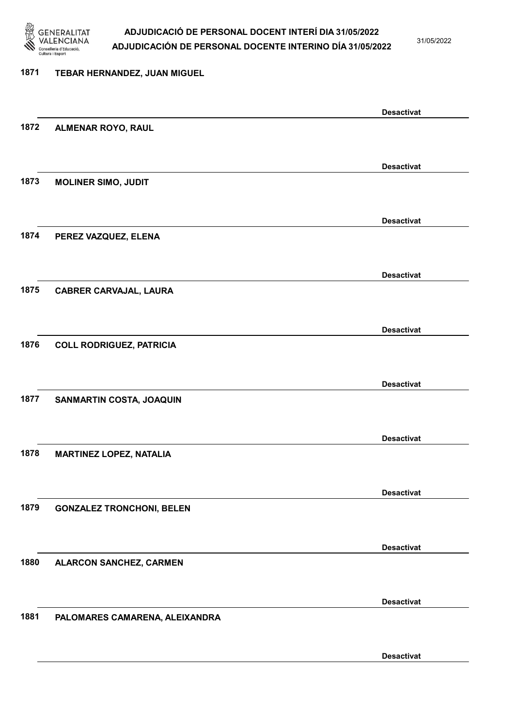

31/05/2022

#### 1871 TEBAR HERNANDEZ, JUAN MIGUEL

|      |                                  | <b>Desactivat</b> |
|------|----------------------------------|-------------------|
| 1872 | ALMENAR ROYO, RAUL               |                   |
|      |                                  |                   |
|      |                                  | <b>Desactivat</b> |
| 1873 | <b>MOLINER SIMO, JUDIT</b>       |                   |
|      |                                  |                   |
|      |                                  | <b>Desactivat</b> |
| 1874 | PEREZ VAZQUEZ, ELENA             |                   |
|      |                                  |                   |
|      |                                  |                   |
|      |                                  | <b>Desactivat</b> |
| 1875 | <b>CABRER CARVAJAL, LAURA</b>    |                   |
|      |                                  |                   |
|      |                                  | <b>Desactivat</b> |
| 1876 | <b>COLL RODRIGUEZ, PATRICIA</b>  |                   |
|      |                                  |                   |
|      |                                  | <b>Desactivat</b> |
| 1877 | SANMARTIN COSTA, JOAQUIN         |                   |
|      |                                  |                   |
|      |                                  | <b>Desactivat</b> |
| 1878 | <b>MARTINEZ LOPEZ, NATALIA</b>   |                   |
|      |                                  |                   |
|      |                                  | <b>Desactivat</b> |
| 1879 | <b>GONZALEZ TRONCHONI, BELEN</b> |                   |
|      |                                  |                   |
|      |                                  |                   |
| 1880 | ALARCON SANCHEZ, CARMEN          | <b>Desactivat</b> |
|      |                                  |                   |
|      |                                  |                   |
|      |                                  | <b>Desactivat</b> |
| 1881 | PALOMARES CAMARENA, ALEIXANDRA   |                   |
|      |                                  |                   |
|      |                                  | <b>Desactivat</b> |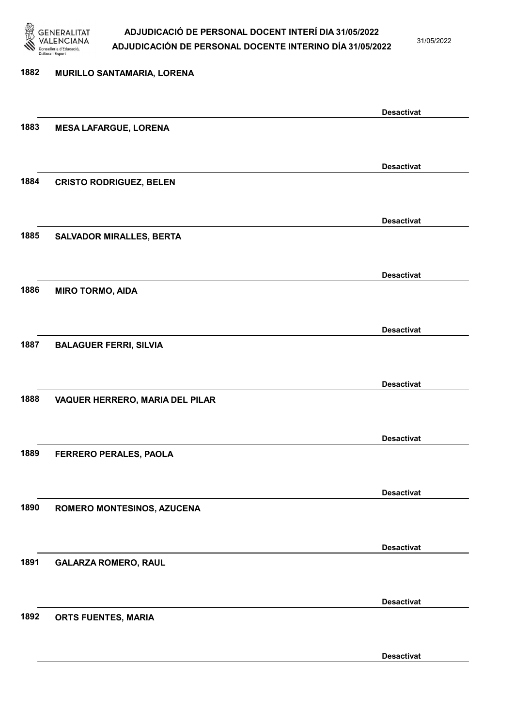

31/05/2022

Desactivat

# 1882 MURILLO SANTAMARIA, LORENA Desactivat 1883 MESA LAFARGUE, LORENA Desactivat 1884 CRISTO RODRIGUEZ, BELEN Desactivat 1885 SALVADOR MIRALLES, BERTA Desactivat 1886 MIRO TORMO, AIDA Desactivat 1887 BALAGUER FERRI, SILVIA Desactivat 1888 VAQUER HERRERO, MARIA DEL PILAR Desactivat 1889 FERRERO PERALES, PAOLA Desactivat 1890 ROMERO MONTESINOS, AZUCENA Desactivat 1891 GALARZA ROMERO, RAUL Desactivat 1892 ORTS FUENTES, MARIA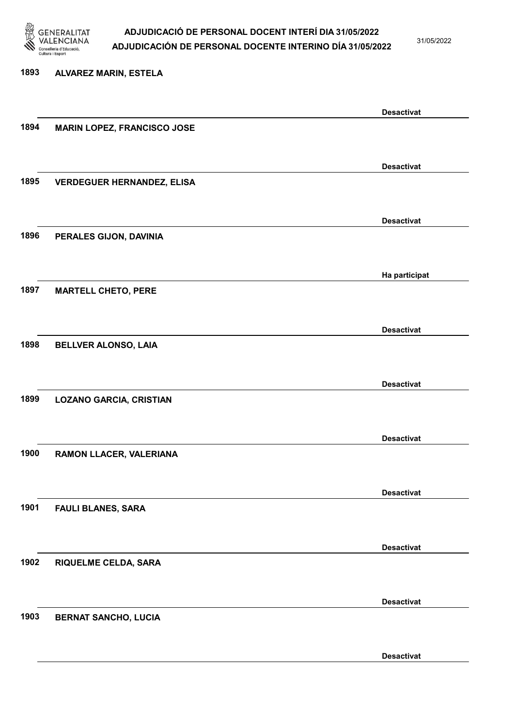

31/05/2022

# 1893 ALVAREZ MARIN, ESTELA Desactivat 1894 MARIN LOPEZ, FRANCISCO JOSE Desactivat 1895 VERDEGUER HERNANDEZ, ELISA Desactivat 1896 PERALES GIJON, DAVINIA Ha participat 1897 MARTELL CHETO, PERE Desactivat 1898 BELLVER ALONSO, LAIA Desactivat 1899 LOZANO GARCIA, CRISTIAN Desactivat 1900 RAMON LLACER, VALERIANA Desactivat 1901 FAULI BLANES, SARA Desactivat 1902 RIQUELME CELDA, SARA Desactivat 1903 BERNAT SANCHO, LUCIA Desactivat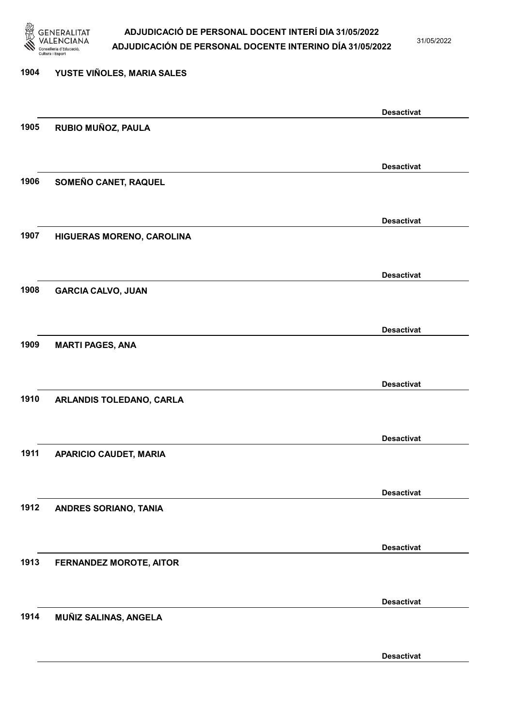

31/05/2022

Desactivat

# 1904 YUSTE VIÑOLES, MARIA SALES Desactivat 1905 RUBIO MUÑOZ, PAULA Desactivat 1906 SOMEÑO CANET, RAQUEL Desactivat 1907 HIGUERAS MORENO, CAROLINA Desactivat 1908 GARCIA CALVO, JUAN Desactivat 1909 MARTI PAGES, ANA Desactivat 1910 ARLANDIS TOLEDANO, CARLA Desactivat 1911 APARICIO CAUDET, MARIA Desactivat 1912 ANDRES SORIANO, TANIA Desactivat 1913 FERNANDEZ MOROTE, AITOR Desactivat 1914 MUÑIZ SALINAS, ANGELA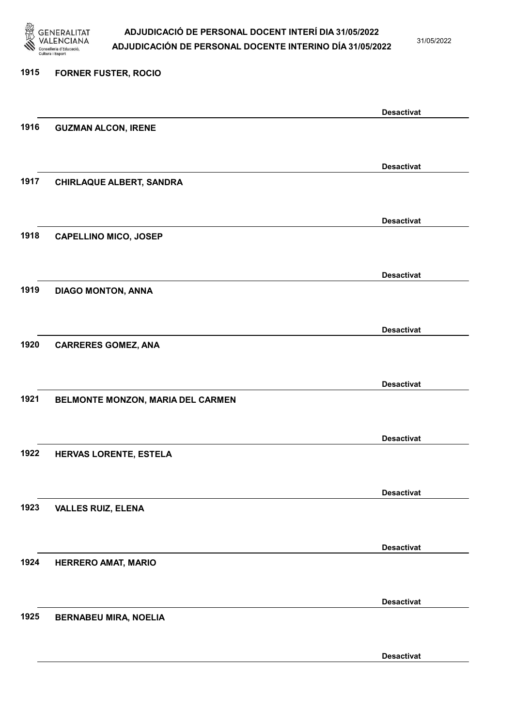

31/05/2022

Desactivat

# 1915 FORNER FUSTER, ROCIO Desactivat 1916 GUZMAN ALCON, IRENE Desactivat 1917 CHIRLAQUE ALBERT, SANDRA Desactivat 1918 CAPELLINO MICO, JOSEP Desactivat 1919 DIAGO MONTON, ANNA Desactivat 1920 CARRERES GOMEZ, ANA Desactivat 1921 BELMONTE MONZON, MARIA DEL CARMEN Desactivat 1922 HERVAS LORENTE, ESTELA Desactivat 1923 VALLES RUIZ, ELENA Desactivat 1924 HERRERO AMAT, MARIO Desactivat 1925 BERNABEU MIRA, NOELIA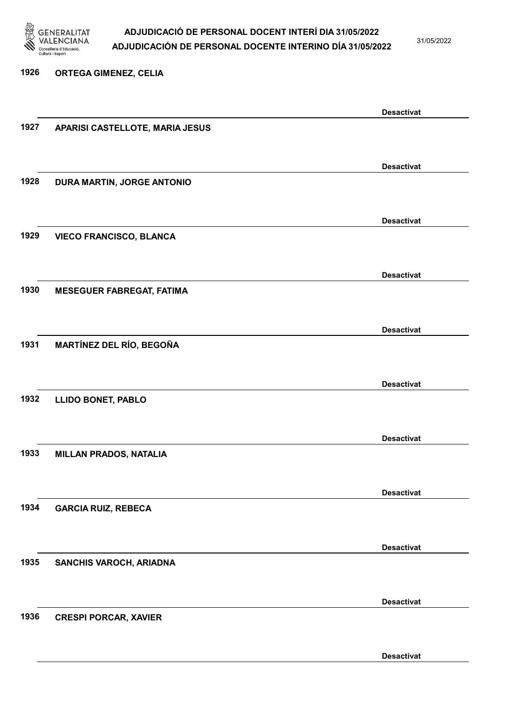

31/05/2022

Desactivat

# 1926 ORTEGA GIMENEZ, CELIA Desactivat 1927 APARISI CASTELLOTE, MARIA JESUS Desactivat 1928 DURA MARTIN, JORGE ANTONIO Desactivat 1929 VIECO FRANCISCO, BLANCA Desactivat 1930 MESEGUER FABREGAT, FATIMA Desactivat 1931 MARTÍNEZ DEL RÍO, BEGOÑA Desactivat 1932 LLIDO BONET, PABLO Desactivat 1933 MILLAN PRADOS, NATALIA Desactivat 1934 GARCIA RUIZ, REBECA Desactivat 1935 SANCHIS VAROCH, ARIADNA Desactivat 1936 CRESPI PORCAR, XAVIER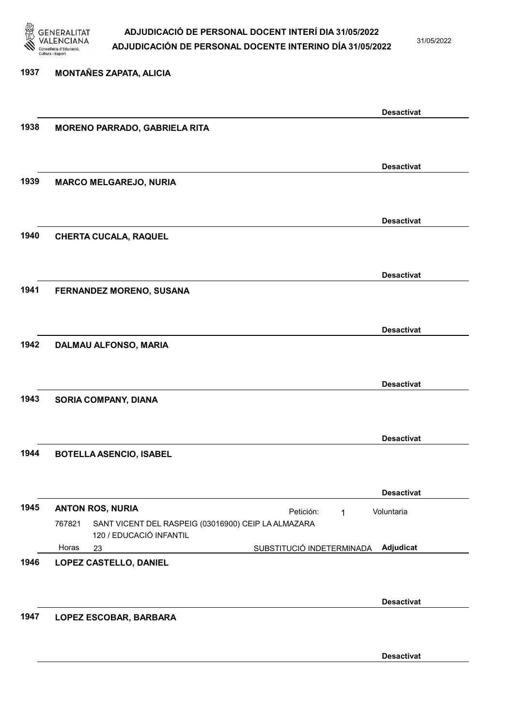

31/05/2022

## 1937 MONTAÑES ZAPATA, ALICIA Desactivat 1938 MORENO PARRADO, GABRIELA RITA Desactivat 1939 MARCO MELGAREJO, NURIA Desactivat 1940 CHERTA CUCALA, RAQUEL Desactivat 1941 FERNANDEZ MORENO, SUSANA Desactivat 1942 DALMAU ALFONSO, MARIA Desactivat 1943 SORIA COMPANY, DIANA Desactivat 1944 BOTELLA ASENCIO, ISABEL Desactivat 1945 ANTON ROS, NURIA **Petición:** 1 23 SUBSTITUCIÓ INDETERMINADA SANT VICENT DEL RASPEIG (03016900) CEIP LA ALMAZARA 120 / EDUCACIÓ INFANTIL Adjudicat Voluntaria 767821 Horas 1946 LOPEZ CASTELLO, DANIEL Desactivat 1947 LOPEZ ESCOBAR, BARBARA

Desactivat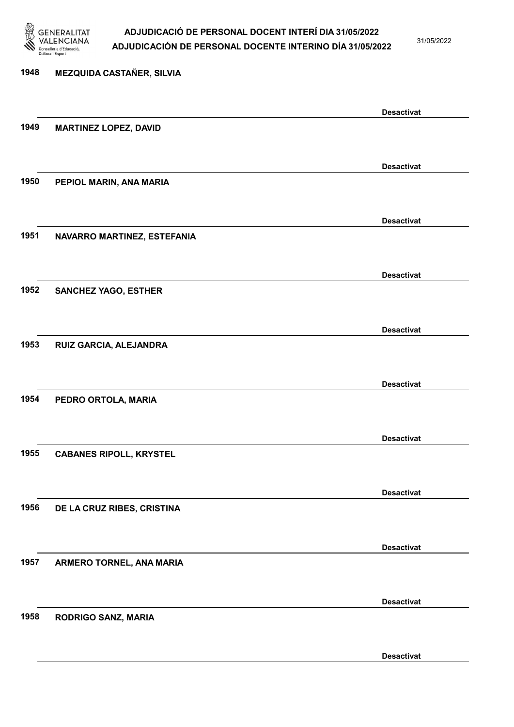

31/05/2022

Desactivat

# 1948 MEZQUIDA CASTAÑER, SILVIA Desactivat 1949 MARTINEZ LOPEZ, DAVID Desactivat 1950 PEPIOL MARIN, ANA MARIA Desactivat 1951 NAVARRO MARTINEZ, ESTEFANIA Desactivat 1952 SANCHEZ YAGO, ESTHER Desactivat 1953 RUIZ GARCIA, ALEJANDRA Desactivat 1954 PEDRO ORTOLA, MARIA Desactivat 1955 CABANES RIPOLL, KRYSTEL Desactivat 1956 DE LA CRUZ RIBES, CRISTINA Desactivat 1957 ARMERO TORNEL, ANA MARIA Desactivat 1958 RODRIGO SANZ, MARIA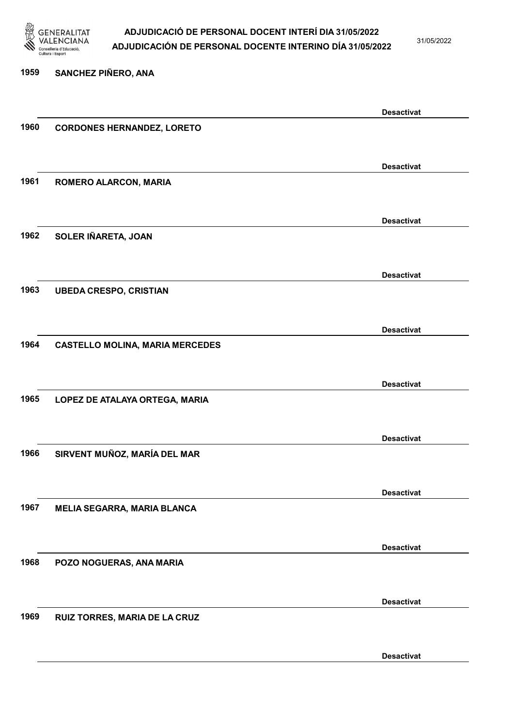

31/05/2022

#### 1959 SANCHEZ PIÑERO, ANA

|      |                                        | <b>Desactivat</b> |
|------|----------------------------------------|-------------------|
| 1960 | <b>CORDONES HERNANDEZ, LORETO</b>      |                   |
|      |                                        |                   |
|      |                                        |                   |
|      |                                        | <b>Desactivat</b> |
|      |                                        |                   |
| 1961 | ROMERO ALARCON, MARIA                  |                   |
|      |                                        |                   |
|      |                                        |                   |
|      |                                        | <b>Desactivat</b> |
| 1962 | SOLER IÑARETA, JOAN                    |                   |
|      |                                        |                   |
|      |                                        |                   |
|      |                                        | <b>Desactivat</b> |
|      |                                        |                   |
| 1963 | <b>UBEDA CRESPO, CRISTIAN</b>          |                   |
|      |                                        |                   |
|      |                                        |                   |
|      |                                        | <b>Desactivat</b> |
| 1964 | <b>CASTELLO MOLINA, MARIA MERCEDES</b> |                   |
|      |                                        |                   |
|      |                                        |                   |
|      |                                        | <b>Desactivat</b> |
|      |                                        |                   |
| 1965 | LOPEZ DE ATALAYA ORTEGA, MARIA         |                   |
|      |                                        |                   |
|      |                                        |                   |
|      |                                        | <b>Desactivat</b> |
| 1966 | SIRVENT MUÑOZ, MARÍA DEL MAR           |                   |
|      |                                        |                   |
|      |                                        |                   |
|      |                                        | <b>Desactivat</b> |
|      |                                        |                   |
| 1967 | <b>MELIA SEGARRA, MARIA BLANCA</b>     |                   |
|      |                                        |                   |
|      |                                        |                   |
|      |                                        | <b>Desactivat</b> |
| 1968 | POZO NOGUERAS, ANA MARIA               |                   |
|      |                                        |                   |
|      |                                        |                   |
|      |                                        | <b>Desactivat</b> |
|      |                                        |                   |
| 1969 | RUIZ TORRES, MARIA DE LA CRUZ          |                   |
|      |                                        |                   |
|      |                                        |                   |
|      |                                        | <b>Desactivat</b> |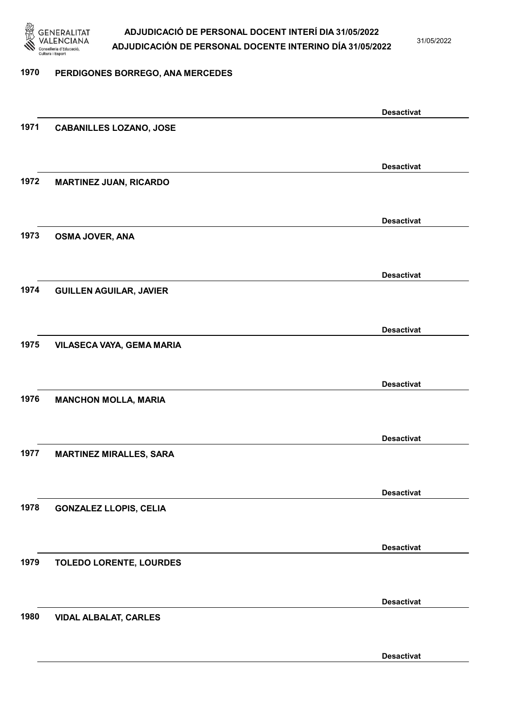

31/05/2022

#### 1970 PERDIGONES BORREGO, ANA MERCEDES

|      |                                | <b>Desactivat</b> |
|------|--------------------------------|-------------------|
| 1971 | <b>CABANILLES LOZANO, JOSE</b> |                   |
|      |                                |                   |
|      |                                | <b>Desactivat</b> |
| 1972 | <b>MARTINEZ JUAN, RICARDO</b>  |                   |
|      |                                |                   |
|      |                                |                   |
|      |                                | <b>Desactivat</b> |
| 1973 | OSMA JOVER, ANA                |                   |
|      |                                |                   |
|      |                                | <b>Desactivat</b> |
| 1974 | <b>GUILLEN AGUILAR, JAVIER</b> |                   |
|      |                                |                   |
|      |                                | <b>Desactivat</b> |
| 1975 | VILASECA VAYA, GEMA MARIA      |                   |
|      |                                |                   |
|      |                                |                   |
|      |                                | <b>Desactivat</b> |
| 1976 | <b>MANCHON MOLLA, MARIA</b>    |                   |
|      |                                |                   |
|      |                                | <b>Desactivat</b> |
| 1977 | <b>MARTINEZ MIRALLES, SARA</b> |                   |
|      |                                |                   |
|      |                                | <b>Desactivat</b> |
| 1978 | <b>GONZALEZ LLOPIS, CELIA</b>  |                   |
|      |                                |                   |
|      |                                |                   |
|      |                                | <b>Desactivat</b> |
| 1979 | <b>TOLEDO LORENTE, LOURDES</b> |                   |
|      |                                |                   |
|      |                                | <b>Desactivat</b> |
| 1980 | <b>VIDAL ALBALAT, CARLES</b>   |                   |
|      |                                |                   |
|      |                                | <b>Desactivat</b> |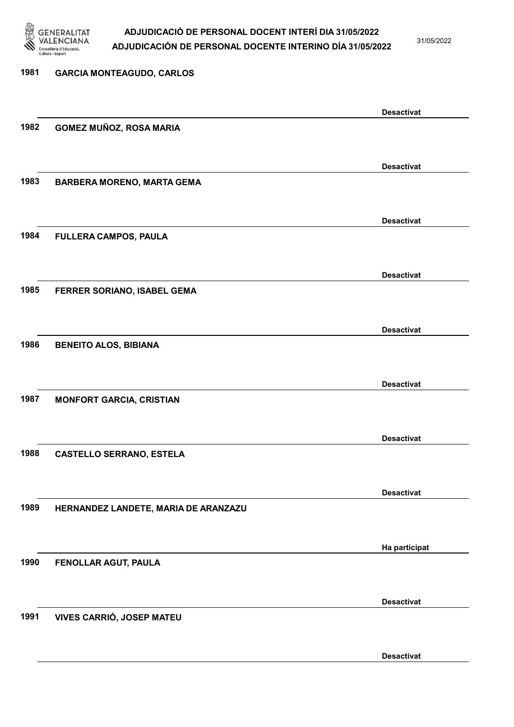

31/05/2022

Desactivat

# 1981 GARCIA MONTEAGUDO, CARLOS Desactivat 1982 GOMEZ MUÑOZ, ROSA MARIA Desactivat 1983 BARBERA MORENO, MARTA GEMA Desactivat 1984 FULLERA CAMPOS, PAULA Desactivat 1985 FERRER SORIANO, ISABEL GEMA Desactivat 1986 BENEITO ALOS, BIBIANA Desactivat 1987 MONFORT GARCIA, CRISTIAN Desactivat 1988 CASTELLO SERRANO, ESTELA Desactivat 1989 HERNANDEZ LANDETE, MARIA DE ARANZAZU Ha participat 1990 FENOLLAR AGUT, PAULA Desactivat 1991 VIVES CARRIÓ, JOSEP MATEU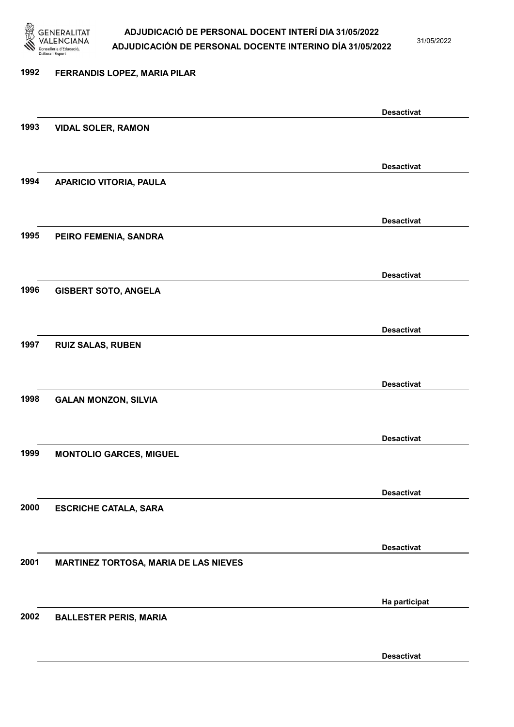

31/05/2022

#### 1992 FERRANDIS LOPEZ, MARIA PILAR

|      |                                       | <b>Desactivat</b> |
|------|---------------------------------------|-------------------|
| 1993 | <b>VIDAL SOLER, RAMON</b>             |                   |
|      |                                       |                   |
|      |                                       | <b>Desactivat</b> |
| 1994 | <b>APARICIO VITORIA, PAULA</b>        |                   |
|      |                                       |                   |
|      |                                       |                   |
|      |                                       | <b>Desactivat</b> |
| 1995 | PEIRO FEMENIA, SANDRA                 |                   |
|      |                                       |                   |
|      |                                       | <b>Desactivat</b> |
| 1996 | <b>GISBERT SOTO, ANGELA</b>           |                   |
|      |                                       |                   |
|      |                                       | <b>Desactivat</b> |
| 1997 | <b>RUIZ SALAS, RUBEN</b>              |                   |
|      |                                       |                   |
|      |                                       |                   |
|      |                                       | <b>Desactivat</b> |
| 1998 | <b>GALAN MONZON, SILVIA</b>           |                   |
|      |                                       |                   |
|      |                                       | <b>Desactivat</b> |
| 1999 | <b>MONTOLIO GARCES, MIGUEL</b>        |                   |
|      |                                       |                   |
|      |                                       | <b>Desactivat</b> |
| 2000 | <b>ESCRICHE CATALA, SARA</b>          |                   |
|      |                                       |                   |
|      |                                       |                   |
|      |                                       | <b>Desactivat</b> |
| 2001 | MARTINEZ TORTOSA, MARIA DE LAS NIEVES |                   |
|      |                                       |                   |
|      |                                       | Ha participat     |
| 2002 | <b>BALLESTER PERIS, MARIA</b>         |                   |
|      |                                       |                   |
|      |                                       | <b>Desactivat</b> |
|      |                                       |                   |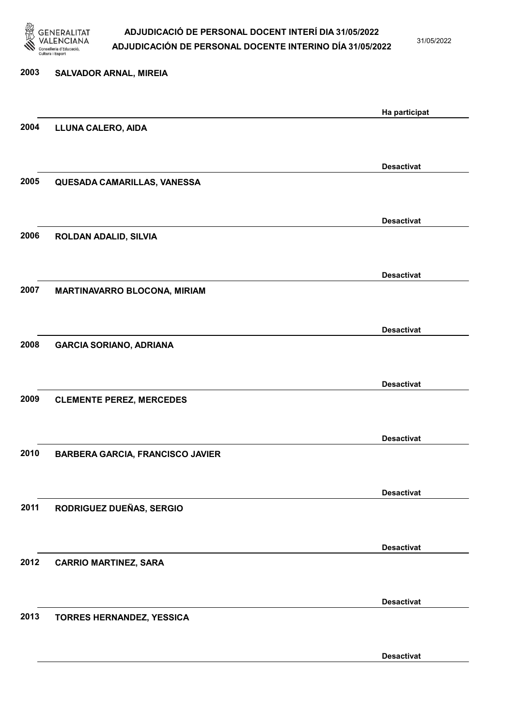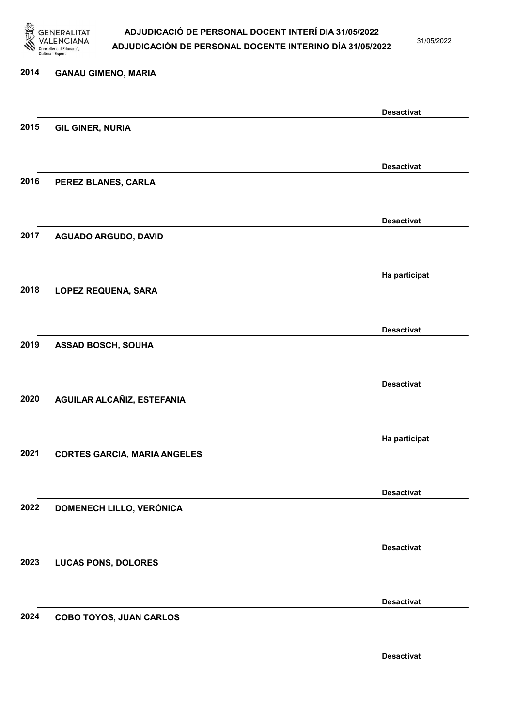

31/05/2022

Desactivat

# 2014 GANAU GIMENO, MARIA Desactivat 2015 GIL GINER, NURIA Desactivat 2016 PEREZ BLANES, CARLA Desactivat 2017 AGUADO ARGUDO, DAVID Ha participat 2018 LOPEZ REQUENA, SARA Desactivat 2019 ASSAD BOSCH, SOUHA Desactivat 2020 AGUILAR ALCAÑIZ, ESTEFANIA Ha participat 2021 CORTES GARCIA, MARIA ANGELES Desactivat 2022 DOMENECH LILLO, VERÓNICA Desactivat 2023 LUCAS PONS, DOLORES Desactivat 2024 COBO TOYOS, JUAN CARLOS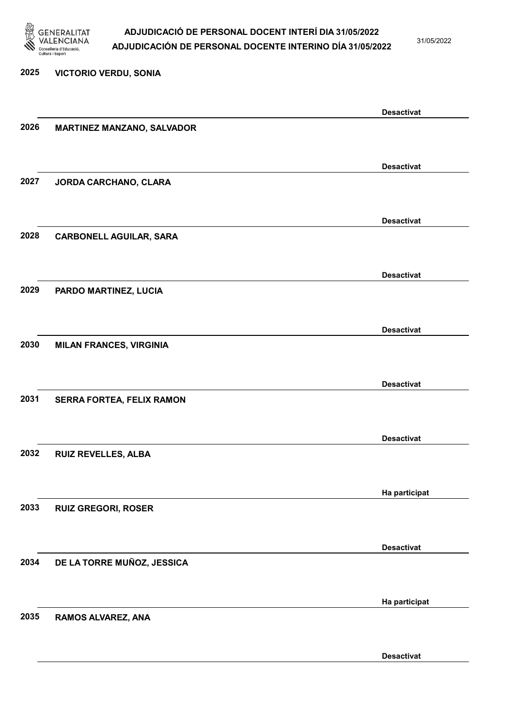

31/05/2022

#### 2025 VICTORIO VERDU, SONIA

|      |                                   | <b>Desactivat</b> |
|------|-----------------------------------|-------------------|
| 2026 | <b>MARTINEZ MANZANO, SALVADOR</b> |                   |
|      |                                   |                   |
|      |                                   | <b>Desactivat</b> |
| 2027 | JORDA CARCHANO, CLARA             |                   |
|      |                                   |                   |
|      |                                   | <b>Desactivat</b> |
| 2028 | <b>CARBONELL AGUILAR, SARA</b>    |                   |
|      |                                   |                   |
|      |                                   |                   |
| 2029 |                                   | <b>Desactivat</b> |
|      | PARDO MARTINEZ, LUCIA             |                   |
|      |                                   |                   |
|      |                                   | <b>Desactivat</b> |
| 2030 | <b>MILAN FRANCES, VIRGINIA</b>    |                   |
|      |                                   |                   |
|      |                                   | <b>Desactivat</b> |
| 2031 | SERRA FORTEA, FELIX RAMON         |                   |
|      |                                   |                   |
|      |                                   | <b>Desactivat</b> |
| 2032 | <b>RUIZ REVELLES, ALBA</b>        |                   |
|      |                                   |                   |
|      |                                   | Ha participat     |
| 2033 | <b>RUIZ GREGORI, ROSER</b>        |                   |
|      |                                   |                   |
|      |                                   | <b>Desactivat</b> |
| 2034 | DE LA TORRE MUÑOZ, JESSICA        |                   |
|      |                                   |                   |
|      |                                   |                   |
| 2035 |                                   | Ha participat     |
|      | RAMOS ALVAREZ, ANA                |                   |
|      |                                   |                   |
|      |                                   | <b>Desactivat</b> |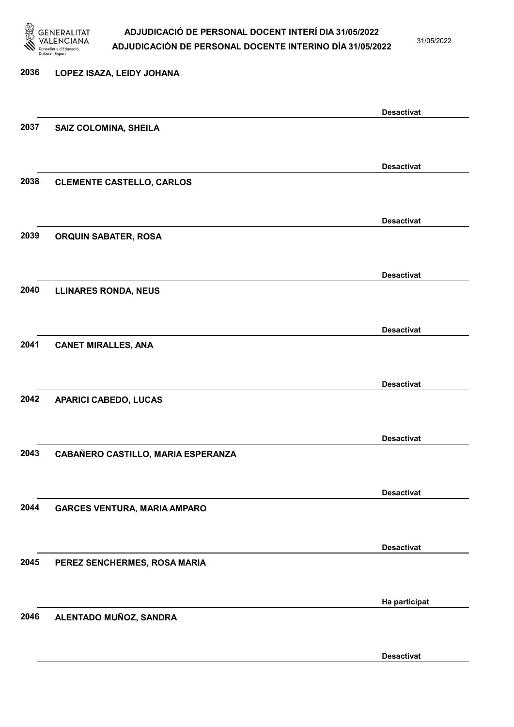

31/05/2022

Desactivat

# 2036 LOPEZ ISAZA, LEIDY JOHANA Desactivat 2037 SAIZ COLOMINA, SHEILA Desactivat 2038 CLEMENTE CASTELLO, CARLOS Desactivat 2039 ORQUIN SABATER, ROSA Desactivat 2040 LLINARES RONDA, NEUS Desactivat 2041 CANET MIRALLES, ANA Desactivat 2042 APARICI CABEDO, LUCAS Desactivat 2043 CABAÑERO CASTILLO, MARIA ESPERANZA Desactivat 2044 GARCES VENTURA, MARIA AMPARO Desactivat 2045 PEREZ SENCHERMES, ROSA MARIA Ha participat 2046 ALENTADO MUÑOZ, SANDRA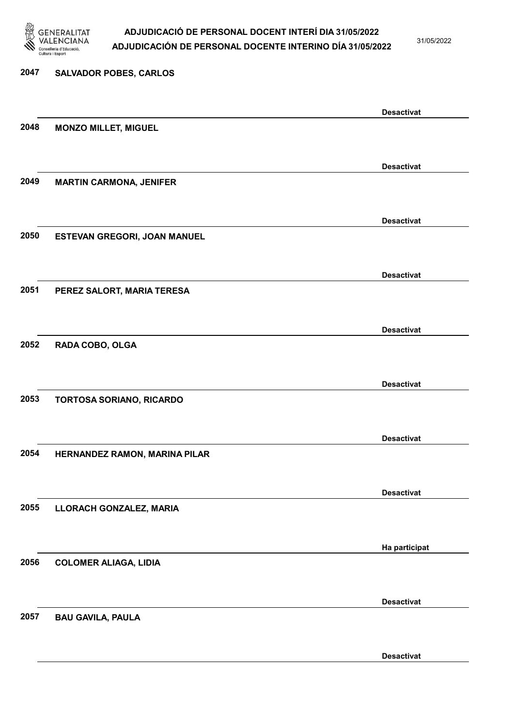

31/05/2022

Desactivat

# 2047 SALVADOR POBES, CARLOS Desactivat 2048 MONZO MILLET, MIGUEL Desactivat 2049 MARTIN CARMONA, JENIFER Desactivat 2050 ESTEVAN GREGORI, JOAN MANUEL Desactivat 2051 PEREZ SALORT, MARIA TERESA Desactivat 2052 RADA COBO, OLGA Desactivat 2053 TORTOSA SORIANO, RICARDO Desactivat 2054 HERNANDEZ RAMON, MARINA PILAR Desactivat 2055 LLORACH GONZALEZ, MARIA Ha participat 2056 COLOMER ALIAGA, LIDIA Desactivat 2057 BAU GAVILA, PAULA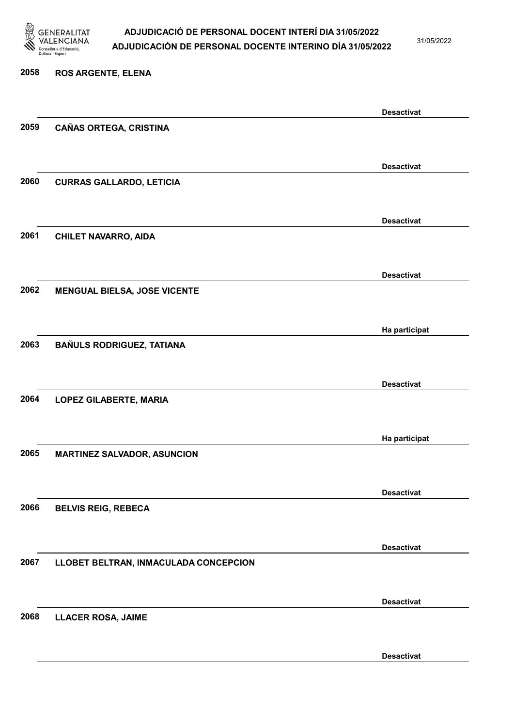

31/05/2022

#### 2058 ROS ARGENTE, ELENA

|      |                                       | <b>Desactivat</b> |
|------|---------------------------------------|-------------------|
| 2059 | <b>CAÑAS ORTEGA, CRISTINA</b>         |                   |
|      |                                       |                   |
|      |                                       | <b>Desactivat</b> |
| 2060 | <b>CURRAS GALLARDO, LETICIA</b>       |                   |
|      |                                       |                   |
|      |                                       |                   |
|      |                                       | <b>Desactivat</b> |
| 2061 | <b>CHILET NAVARRO, AIDA</b>           |                   |
|      |                                       |                   |
|      |                                       | <b>Desactivat</b> |
| 2062 | <b>MENGUAL BIELSA, JOSE VICENTE</b>   |                   |
|      |                                       |                   |
|      |                                       |                   |
|      |                                       | Ha participat     |
| 2063 | <b>BAÑULS RODRIGUEZ, TATIANA</b>      |                   |
|      |                                       |                   |
|      |                                       | <b>Desactivat</b> |
| 2064 | <b>LOPEZ GILABERTE, MARIA</b>         |                   |
|      |                                       |                   |
|      |                                       |                   |
|      |                                       | Ha participat     |
| 2065 | <b>MARTINEZ SALVADOR, ASUNCION</b>    |                   |
|      |                                       |                   |
|      |                                       | <b>Desactivat</b> |
| 2066 | <b>BELVIS REIG, REBECA</b>            |                   |
|      |                                       |                   |
|      |                                       | <b>Desactivat</b> |
| 2067 | LLOBET BELTRAN, INMACULADA CONCEPCION |                   |
|      |                                       |                   |
|      |                                       |                   |
|      |                                       | <b>Desactivat</b> |
| 2068 | <b>LLACER ROSA, JAIME</b>             |                   |
|      |                                       |                   |
|      |                                       | <b>Desactivat</b> |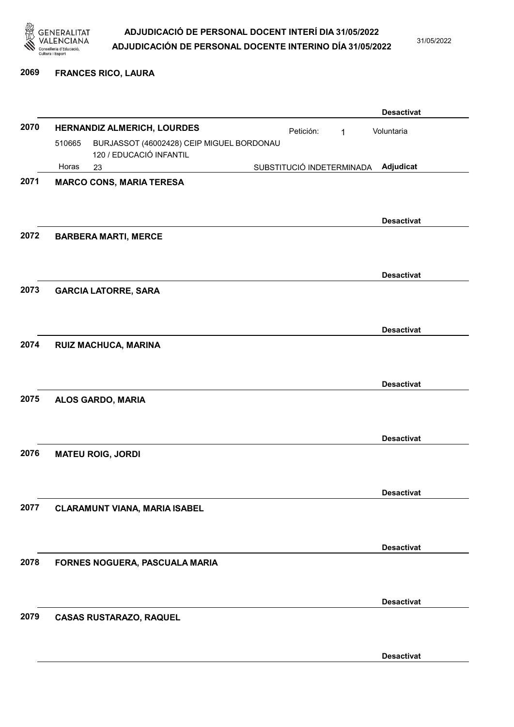

31/05/2022

#### 2069 FRANCES RICO, LAURA

|      |        |                                                                      |                           |   | <b>Desactivat</b> |
|------|--------|----------------------------------------------------------------------|---------------------------|---|-------------------|
| 2070 |        | HERNANDIZ ALMERICH, LOURDES                                          | Petición:                 | 1 | Voluntaria        |
|      | 510665 | BURJASSOT (46002428) CEIP MIGUEL BORDONAU<br>120 / EDUCACIÓ INFANTIL |                           |   |                   |
|      | Horas  | 23                                                                   | SUBSTITUCIÓ INDETERMINADA |   | Adjudicat         |
| 2071 |        | <b>MARCO CONS, MARIA TERESA</b>                                      |                           |   |                   |
|      |        |                                                                      |                           |   |                   |
|      |        |                                                                      |                           |   | <b>Desactivat</b> |
| 2072 |        | <b>BARBERA MARTI, MERCE</b>                                          |                           |   |                   |
|      |        |                                                                      |                           |   |                   |
|      |        |                                                                      |                           |   | <b>Desactivat</b> |
| 2073 |        | <b>GARCIA LATORRE, SARA</b>                                          |                           |   |                   |
|      |        |                                                                      |                           |   |                   |
|      |        |                                                                      |                           |   |                   |
| 2074 |        | RUIZ MACHUCA, MARINA                                                 |                           |   | <b>Desactivat</b> |
|      |        |                                                                      |                           |   |                   |
|      |        |                                                                      |                           |   |                   |
|      |        |                                                                      |                           |   | <b>Desactivat</b> |
| 2075 |        | ALOS GARDO, MARIA                                                    |                           |   |                   |
|      |        |                                                                      |                           |   |                   |
|      |        |                                                                      |                           |   | <b>Desactivat</b> |
| 2076 |        | <b>MATEU ROIG, JORDI</b>                                             |                           |   |                   |
|      |        |                                                                      |                           |   |                   |
|      |        |                                                                      |                           |   | <b>Desactivat</b> |
| 2077 |        | <b>CLARAMUNT VIANA, MARIA ISABEL</b>                                 |                           |   |                   |
|      |        |                                                                      |                           |   |                   |
|      |        |                                                                      |                           |   | <b>Desactivat</b> |
| 2078 |        | FORNES NOGUERA, PASCUALA MARIA                                       |                           |   |                   |
|      |        |                                                                      |                           |   |                   |
|      |        |                                                                      |                           |   | <b>Desactivat</b> |
| 2079 |        | <b>CASAS RUSTARAZO, RAQUEL</b>                                       |                           |   |                   |
|      |        |                                                                      |                           |   |                   |
|      |        |                                                                      |                           |   | <b>Desactivat</b> |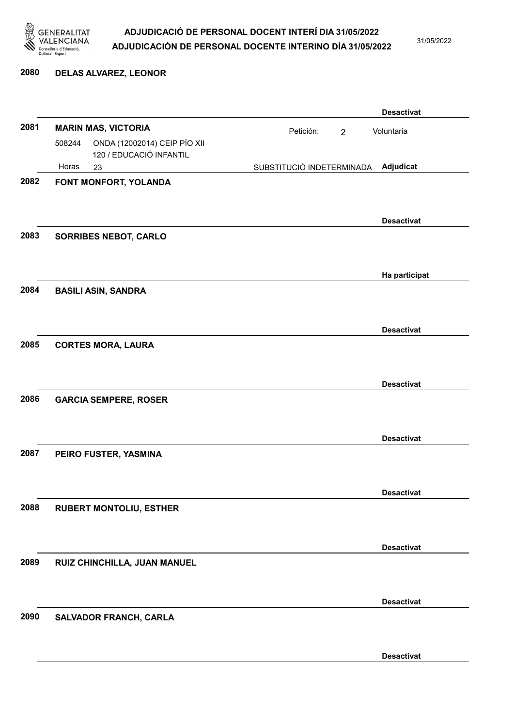

31/05/2022

#### 2080 DELAS ALVAREZ, LEONOR

|      |        |                                                         |                           |                | <b>Desactivat</b> |
|------|--------|---------------------------------------------------------|---------------------------|----------------|-------------------|
| 2081 |        | <b>MARIN MAS, VICTORIA</b>                              | Petición:                 | $\overline{2}$ | Voluntaria        |
|      | 508244 | ONDA (12002014) CEIP PÍO XII<br>120 / EDUCACIÓ INFANTIL |                           |                |                   |
|      | Horas  | 23                                                      | SUBSTITUCIÓ INDETERMINADA |                | Adjudicat         |
| 2082 |        | FONT MONFORT, YOLANDA                                   |                           |                |                   |
|      |        |                                                         |                           |                |                   |
|      |        |                                                         |                           |                |                   |
|      |        |                                                         |                           |                | <b>Desactivat</b> |
| 2083 |        | <b>SORRIBES NEBOT, CARLO</b>                            |                           |                |                   |
|      |        |                                                         |                           |                |                   |
|      |        |                                                         |                           |                | Ha participat     |
| 2084 |        | <b>BASILI ASIN, SANDRA</b>                              |                           |                |                   |
|      |        |                                                         |                           |                |                   |
|      |        |                                                         |                           |                | <b>Desactivat</b> |
| 2085 |        | <b>CORTES MORA, LAURA</b>                               |                           |                |                   |
|      |        |                                                         |                           |                |                   |
|      |        |                                                         |                           |                |                   |
|      |        |                                                         |                           |                | <b>Desactivat</b> |
| 2086 |        | <b>GARCIA SEMPERE, ROSER</b>                            |                           |                |                   |
|      |        |                                                         |                           |                |                   |
|      |        |                                                         |                           |                | <b>Desactivat</b> |
| 2087 |        | PEIRO FUSTER, YASMINA                                   |                           |                |                   |
|      |        |                                                         |                           |                |                   |
|      |        |                                                         |                           |                |                   |
|      |        |                                                         |                           |                | <b>Desactivat</b> |
| 2088 |        | <b>RUBERT MONTOLIU, ESTHER</b>                          |                           |                |                   |
|      |        |                                                         |                           |                |                   |
|      |        |                                                         |                           |                | <b>Desactivat</b> |
| 2089 |        | RUIZ CHINCHILLA, JUAN MANUEL                            |                           |                |                   |
|      |        |                                                         |                           |                |                   |
|      |        |                                                         |                           |                |                   |
| 2090 |        |                                                         |                           |                | <b>Desactivat</b> |
|      |        | SALVADOR FRANCH, CARLA                                  |                           |                |                   |
|      |        |                                                         |                           |                |                   |
|      |        |                                                         |                           |                | <b>Desactivat</b> |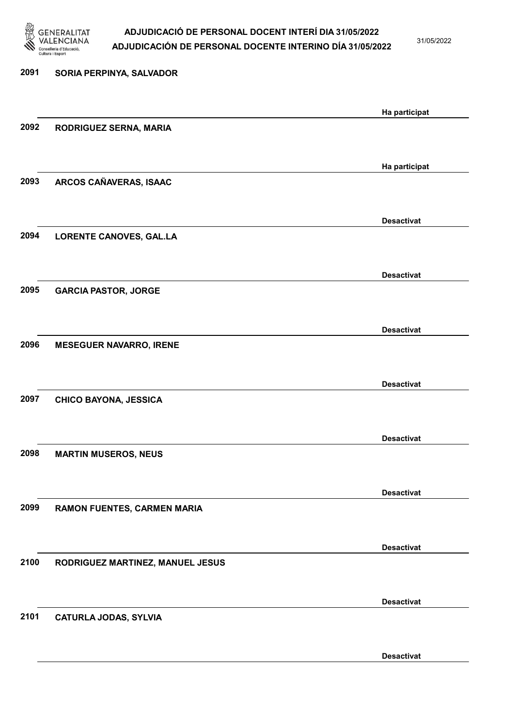

31/05/2022

Desactivat

# 2091 SORIA PERPINYA, SALVADOR Ha participat 2092 RODRIGUEZ SERNA, MARIA Ha participat 2093 ARCOS CAÑAVERAS, ISAAC Desactivat 2094 LORENTE CANOVES, GAL.LA Desactivat 2095 GARCIA PASTOR, JORGE Desactivat 2096 MESEGUER NAVARRO, IRENE Desactivat 2097 CHICO BAYONA, JESSICA Desactivat 2098 MARTIN MUSEROS, NEUS Desactivat 2099 RAMON FUENTES, CARMEN MARIA Desactivat 2100 RODRIGUEZ MARTINEZ, MANUEL JESUS Desactivat 2101 CATURLA JODAS, SYLVIA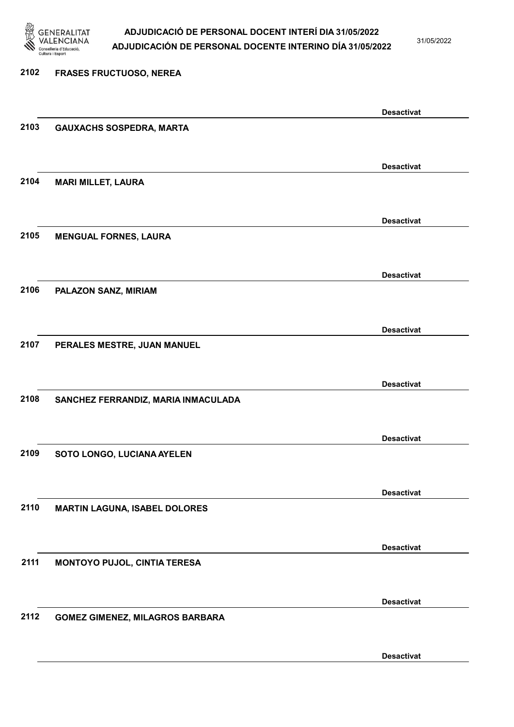

31/05/2022

# 2102 FRASES FRUCTUOSO, NEREA Desactivat 2103 GAUXACHS SOSPEDRA, MARTA Desactivat 2104 MARI MILLET, LAURA Desactivat 2105 MENGUAL FORNES, LAURA Desactivat 2106 PALAZON SANZ, MIRIAM Desactivat 2107 PERALES MESTRE, JUAN MANUEL Desactivat 2108 SANCHEZ FERRANDIZ, MARIA INMACULADA Desactivat 2109 SOTO LONGO, LUCIANA AYELEN Desactivat 2110 MARTIN LAGUNA, ISABEL DOLORES Desactivat 2111 MONTOYO PUJOL, CINTIA TERESA Desactivat 2112 GOMEZ GIMENEZ, MILAGROS BARBARA

Desactivat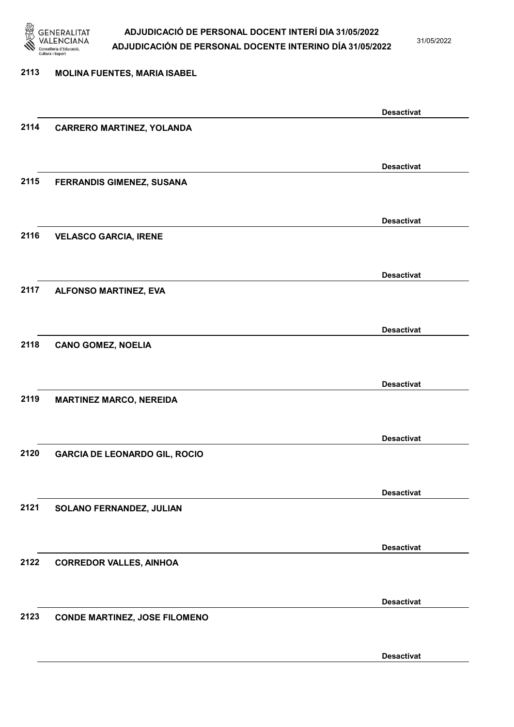

31/05/2022

#### 2113 MOLINA FUENTES, MARIA ISABEL

|      |                                      | <b>Desactivat</b> |
|------|--------------------------------------|-------------------|
| 2114 | <b>CARRERO MARTINEZ, YOLANDA</b>     |                   |
|      |                                      |                   |
|      |                                      | <b>Desactivat</b> |
| 2115 | FERRANDIS GIMENEZ, SUSANA            |                   |
|      |                                      |                   |
|      |                                      |                   |
|      |                                      | <b>Desactivat</b> |
| 2116 | <b>VELASCO GARCIA, IRENE</b>         |                   |
|      |                                      |                   |
|      |                                      | <b>Desactivat</b> |
| 2117 | ALFONSO MARTINEZ, EVA                |                   |
|      |                                      |                   |
|      |                                      | <b>Desactivat</b> |
| 2118 | <b>CANO GOMEZ, NOELIA</b>            |                   |
|      |                                      |                   |
|      |                                      |                   |
|      |                                      | <b>Desactivat</b> |
| 2119 | <b>MARTINEZ MARCO, NEREIDA</b>       |                   |
|      |                                      |                   |
|      |                                      | <b>Desactivat</b> |
| 2120 | <b>GARCIA DE LEONARDO GIL, ROCIO</b> |                   |
|      |                                      |                   |
|      |                                      | <b>Desactivat</b> |
| 2121 | SOLANO FERNANDEZ, JULIAN             |                   |
|      |                                      |                   |
|      |                                      |                   |
|      |                                      | <b>Desactivat</b> |
| 2122 | <b>CORREDOR VALLES, AINHOA</b>       |                   |
|      |                                      |                   |
|      |                                      | <b>Desactivat</b> |
| 2123 | <b>CONDE MARTINEZ, JOSE FILOMENO</b> |                   |
|      |                                      |                   |
|      |                                      | <b>Desactivat</b> |
|      |                                      |                   |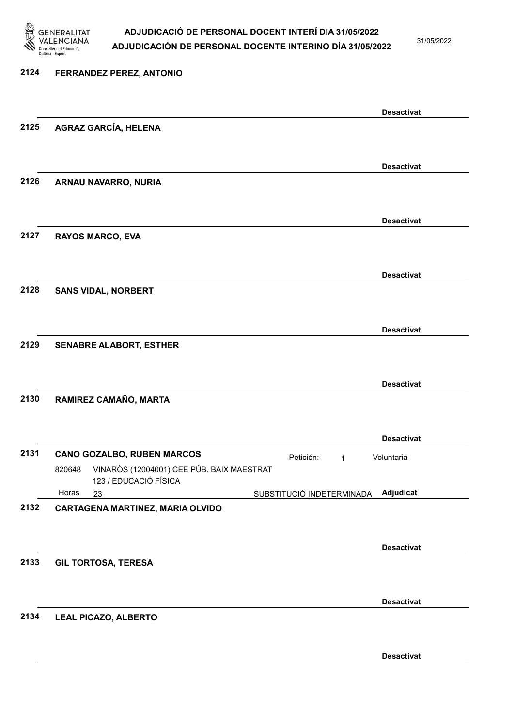

31/05/2022

#### 2124 FERRANDEZ PEREZ, ANTONIO

|      |                                                                              |                           | <b>Desactivat</b> |
|------|------------------------------------------------------------------------------|---------------------------|-------------------|
| 2125 | <b>AGRAZ GARCÍA, HELENA</b>                                                  |                           |                   |
|      |                                                                              |                           |                   |
|      |                                                                              |                           | <b>Desactivat</b> |
| 2126 | ARNAU NAVARRO, NURIA                                                         |                           |                   |
|      |                                                                              |                           |                   |
|      |                                                                              |                           | <b>Desactivat</b> |
| 2127 | <b>RAYOS MARCO, EVA</b>                                                      |                           |                   |
|      |                                                                              |                           |                   |
|      |                                                                              |                           | <b>Desactivat</b> |
| 2128 | <b>SANS VIDAL, NORBERT</b>                                                   |                           |                   |
|      |                                                                              |                           |                   |
|      |                                                                              |                           | <b>Desactivat</b> |
| 2129 | <b>SENABRE ALABORT, ESTHER</b>                                               |                           |                   |
|      |                                                                              |                           |                   |
|      |                                                                              |                           | <b>Desactivat</b> |
| 2130 | RAMIREZ CAMAÑO, MARTA                                                        |                           |                   |
|      |                                                                              |                           |                   |
|      |                                                                              |                           | <b>Desactivat</b> |
| 2131 | <b>CANO GOZALBO, RUBEN MARCOS</b>                                            | Petición:<br>1            | Voluntaria        |
|      | VINARÒS (12004001) CEE PÚB. BAIX MAESTRAT<br>820648<br>123 / EDUCACIÓ FÍSICA |                           |                   |
|      | Horas<br>23                                                                  | SUBSTITUCIÓ INDETERMINADA | <b>Adjudicat</b>  |
| 2132 | CARTAGENA MARTINEZ, MARIA OLVIDO                                             |                           |                   |
|      |                                                                              |                           |                   |
|      |                                                                              |                           | <b>Desactivat</b> |
| 2133 | <b>GIL TORTOSA, TERESA</b>                                                   |                           |                   |
|      |                                                                              |                           |                   |
|      |                                                                              |                           | <b>Desactivat</b> |
| 2134 | <b>LEAL PICAZO, ALBERTO</b>                                                  |                           |                   |
|      |                                                                              |                           |                   |
|      |                                                                              |                           | <b>Desactivat</b> |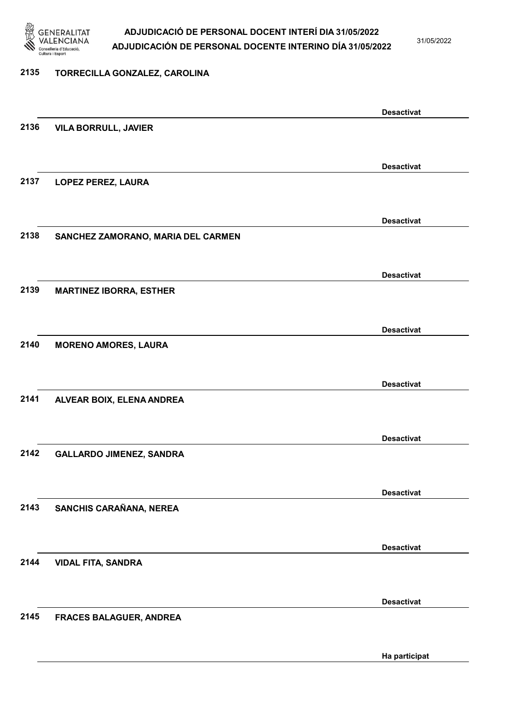

31/05/2022

#### 2135 TORRECILLA GONZALEZ, CAROLINA

|      |                                    | <b>Desactivat</b> |
|------|------------------------------------|-------------------|
| 2136 | <b>VILA BORRULL, JAVIER</b>        |                   |
|      |                                    |                   |
|      |                                    |                   |
|      |                                    | <b>Desactivat</b> |
| 2137 |                                    |                   |
|      | LOPEZ PEREZ, LAURA                 |                   |
|      |                                    |                   |
|      |                                    |                   |
|      |                                    | <b>Desactivat</b> |
| 2138 | SANCHEZ ZAMORANO, MARIA DEL CARMEN |                   |
|      |                                    |                   |
|      |                                    |                   |
|      |                                    | <b>Desactivat</b> |
|      |                                    |                   |
| 2139 | <b>MARTINEZ IBORRA, ESTHER</b>     |                   |
|      |                                    |                   |
|      |                                    |                   |
|      |                                    | <b>Desactivat</b> |
| 2140 | <b>MORENO AMORES, LAURA</b>        |                   |
|      |                                    |                   |
|      |                                    |                   |
|      |                                    | <b>Desactivat</b> |
| 2141 |                                    |                   |
|      | ALVEAR BOIX, ELENA ANDREA          |                   |
|      |                                    |                   |
|      |                                    |                   |
|      |                                    | <b>Desactivat</b> |
| 2142 | <b>GALLARDO JIMENEZ, SANDRA</b>    |                   |
|      |                                    |                   |
|      |                                    |                   |
|      |                                    | <b>Desactivat</b> |
| 2143 |                                    |                   |
|      | SANCHIS CARAÑANA, NEREA            |                   |
|      |                                    |                   |
|      |                                    |                   |
|      |                                    | <b>Desactivat</b> |
| 2144 | <b>VIDAL FITA, SANDRA</b>          |                   |
|      |                                    |                   |
|      |                                    |                   |
|      |                                    | <b>Desactivat</b> |
| 2145 |                                    |                   |
|      | FRACES BALAGUER, ANDREA            |                   |
|      |                                    |                   |
|      |                                    |                   |
|      |                                    | Ha participat     |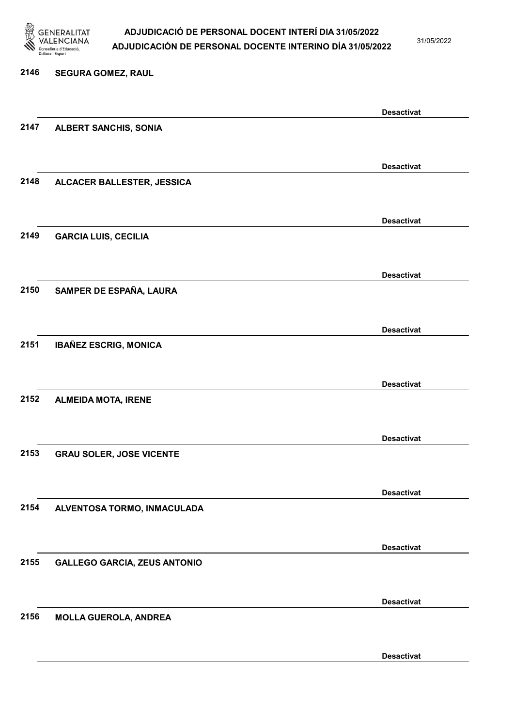

31/05/2022

Desactivat

# 2146 SEGURA GOMEZ, RAUL Desactivat 2147 ALBERT SANCHIS, SONIA Desactivat 2148 ALCACER BALLESTER, JESSICA Desactivat 2149 GARCIA LUIS, CECILIA Desactivat 2150 SAMPER DE ESPAÑA, LAURA Desactivat 2151 IBAÑEZ ESCRIG, MONICA Desactivat 2152 ALMEIDA MOTA, IRENE Desactivat 2153 GRAU SOLER, JOSE VICENTE Desactivat 2154 ALVENTOSA TORMO, INMACULADA Desactivat 2155 GALLEGO GARCIA, ZEUS ANTONIO Desactivat 2156 MOLLA GUEROLA, ANDREA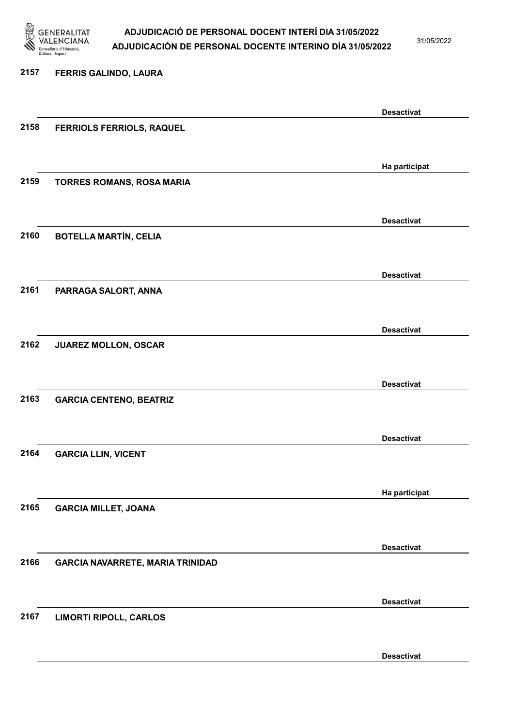

31/05/2022

Desactivat

# 2157 FERRIS GALINDO, LAURA Desactivat 2158 FERRIOLS FERRIOLS, RAQUEL Ha participat 2159 TORRES ROMANS, ROSA MARIA Desactivat 2160 BOTELLA MARTÍN, CELIA Desactivat 2161 PARRAGA SALORT, ANNA Desactivat 2162 JUAREZ MOLLON, OSCAR Desactivat 2163 GARCIA CENTENO, BEATRIZ Desactivat 2164 GARCIA LLIN, VICENT Ha participat 2165 GARCIA MILLET, JOANA Desactivat 2166 GARCIA NAVARRETE, MARIA TRINIDAD Desactivat 2167 LIMORTI RIPOLL, CARLOS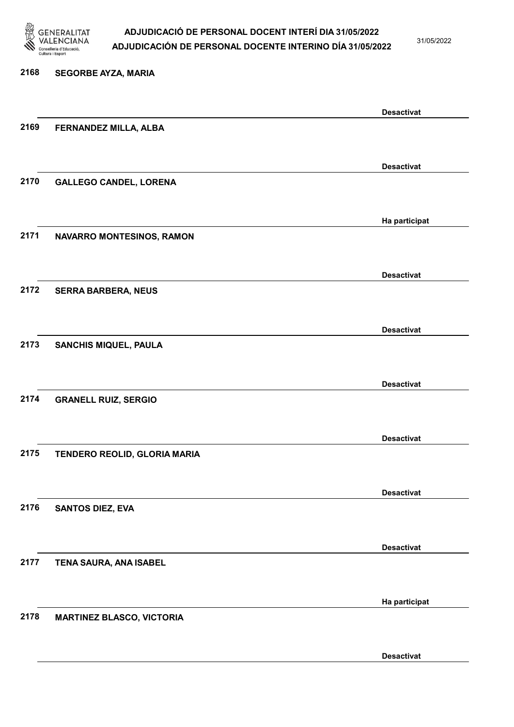

31/05/2022

## 2168 SEGORBE AYZA, MARIA Desactivat 2169 FERNANDEZ MILLA, ALBA Desactivat 2170 GALLEGO CANDEL, LORENA Ha participat 2171 NAVARRO MONTESINOS, RAMON Desactivat 2172 SERRA BARBERA, NEUS Desactivat 2173 SANCHIS MIQUEL, PAULA Desactivat 2174 GRANELL RUIZ, SERGIO Desactivat 2175 TENDERO REOLID, GLORIA MARIA Desactivat 2176 SANTOS DIEZ, EVA Desactivat 2177 TENA SAURA, ANA ISABEL Ha participat 2178 MARTINEZ BLASCO, VICTORIA Desactivat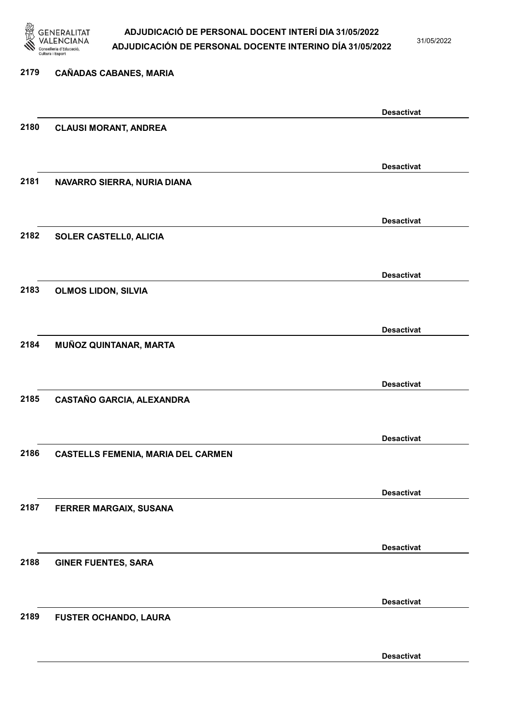

31/05/2022

Desactivat

# 2179 CAÑADAS CABANES, MARIA Desactivat 2180 CLAUSI MORANT, ANDREA Desactivat 2181 NAVARRO SIERRA, NURIA DIANA Desactivat 2182 SOLER CASTELL0, ALICIA Desactivat 2183 OLMOS LIDON, SILVIA Desactivat 2184 MUÑOZ QUINTANAR, MARTA Desactivat 2185 CASTAÑO GARCIA, ALEXANDRA Desactivat 2186 CASTELLS FEMENIA, MARIA DEL CARMEN Desactivat 2187 FERRER MARGAIX, SUSANA Desactivat 2188 GINER FUENTES, SARA Desactivat 2189 FUSTER OCHANDO, LAURA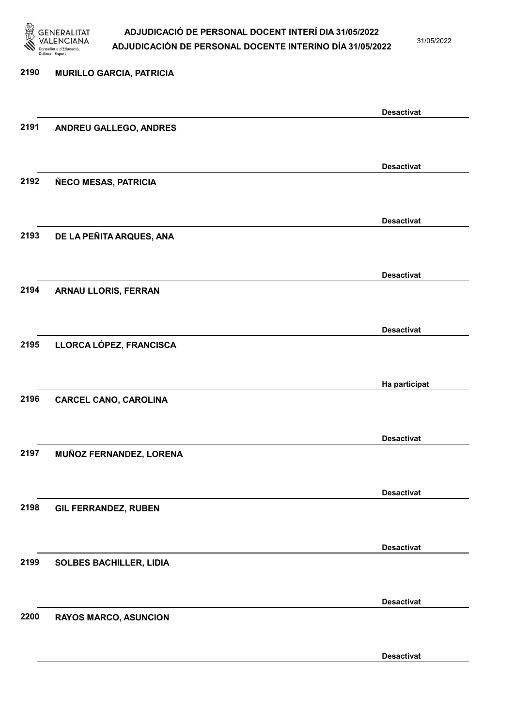

31/05/2022

Desactivat

# 2190 MURILLO GARCIA, PATRICIA Desactivat 2191 ANDREU GALLEGO, ANDRES Desactivat 2192 ÑECO MESAS, PATRICIA Desactivat 2193 DE LA PEÑITA ARQUES, ANA Desactivat 2194 ARNAU LLORIS, FERRAN Desactivat 2195 LLORCA LÓPEZ, FRANCISCA Ha participat 2196 CARCEL CANO, CAROLINA Desactivat 2197 MUÑOZ FERNANDEZ, LORENA Desactivat 2198 GIL FERRANDEZ, RUBEN Desactivat 2199 SOLBES BACHILLER, LIDIA Desactivat 2200 RAYOS MARCO, ASUNCION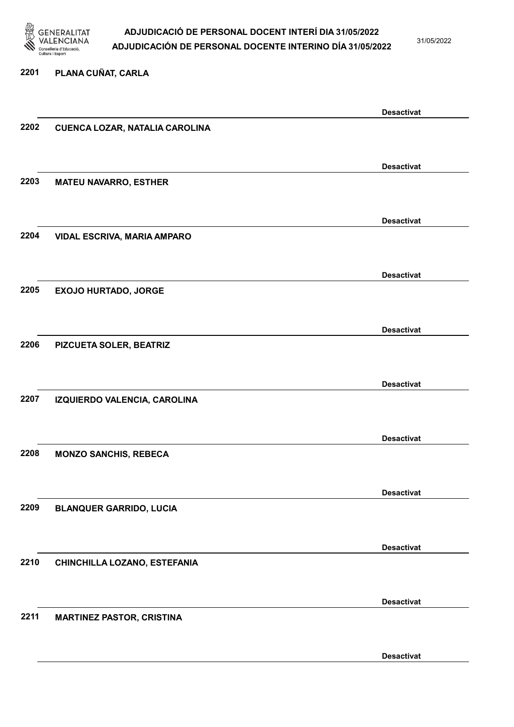

31/05/2022

### 2201 PLANA CUÑAT, CARLA

|      |                                  | <b>Desactivat</b> |
|------|----------------------------------|-------------------|
| 2202 | CUENCA LOZAR, NATALIA CAROLINA   |                   |
|      |                                  |                   |
|      |                                  |                   |
|      |                                  | <b>Desactivat</b> |
| 2203 | <b>MATEU NAVARRO, ESTHER</b>     |                   |
|      |                                  |                   |
|      |                                  |                   |
|      |                                  | <b>Desactivat</b> |
| 2204 | VIDAL ESCRIVA, MARIA AMPARO      |                   |
|      |                                  |                   |
|      |                                  |                   |
|      |                                  | <b>Desactivat</b> |
| 2205 | <b>EXOJO HURTADO, JORGE</b>      |                   |
|      |                                  |                   |
|      |                                  | <b>Desactivat</b> |
| 2206 | PIZCUETA SOLER, BEATRIZ          |                   |
|      |                                  |                   |
|      |                                  |                   |
|      |                                  | <b>Desactivat</b> |
| 2207 | IZQUIERDO VALENCIA, CAROLINA     |                   |
|      |                                  |                   |
|      |                                  |                   |
|      |                                  | <b>Desactivat</b> |
| 2208 | <b>MONZO SANCHIS, REBECA</b>     |                   |
|      |                                  |                   |
|      |                                  |                   |
|      |                                  | <b>Desactivat</b> |
| 2209 | <b>BLANQUER GARRIDO, LUCIA</b>   |                   |
|      |                                  |                   |
|      |                                  |                   |
|      |                                  | <b>Desactivat</b> |
| 2210 | CHINCHILLA LOZANO, ESTEFANIA     |                   |
|      |                                  |                   |
|      |                                  | <b>Desactivat</b> |
| 2211 | <b>MARTINEZ PASTOR, CRISTINA</b> |                   |
|      |                                  |                   |
|      |                                  |                   |
|      |                                  | <b>Desactivat</b> |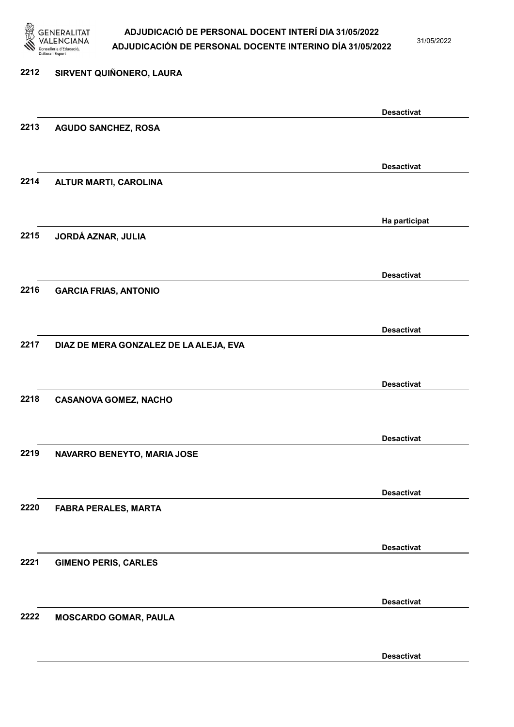

31/05/2022

Desactivat

# 2212 SIRVENT QUIÑONERO, LAURA Desactivat 2213 AGUDO SANCHEZ, ROSA Desactivat 2214 ALTUR MARTI, CAROLINA Ha participat 2215 JORDÁ AZNAR, JULIA Desactivat 2216 GARCIA FRIAS, ANTONIO Desactivat 2217 DIAZ DE MERA GONZALEZ DE LA ALEJA, EVA Desactivat 2218 CASANOVA GOMEZ, NACHO Desactivat 2219 NAVARRO BENEYTO, MARIA JOSE Desactivat 2220 FABRA PERALES, MARTA Desactivat 2221 GIMENO PERIS, CARLES Desactivat 2222 MOSCARDO GOMAR, PAULA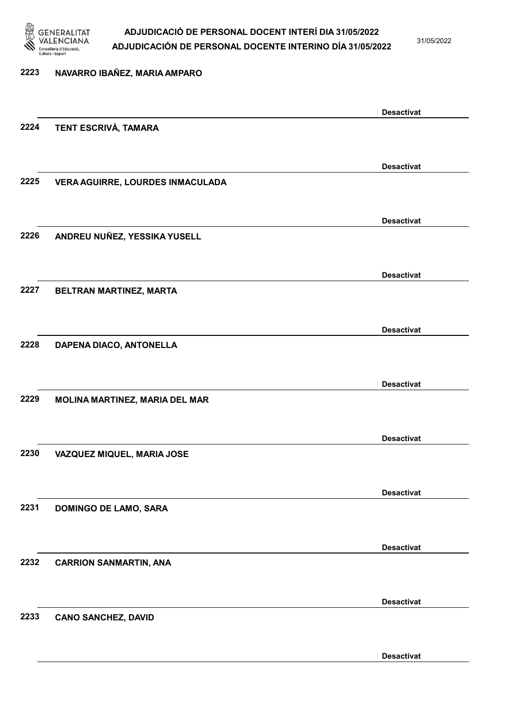

2223 NAVARRO IBAÑEZ, MARIA AMPARO

### ADJUDICACIÓ DE PERSONAL DOCENT INTERÍ DIA 31/05/2022 ADJUDICACIÓN DE PERSONAL DOCENTE INTERINO DÍA 31/05/2022

31/05/2022

# Desactivat 2224 TENT ESCRIVÀ, TAMARA Desactivat 2225 VERA AGUIRRE, LOURDES INMACULADA Desactivat 2226 ANDREU NUÑEZ, YESSIKA YUSELL Desactivat 2227 BELTRAN MARTINEZ, MARTA Desactivat 2228 DAPENA DIACO, ANTONELLA Desactivat 2229 MOLINA MARTINEZ, MARIA DEL MAR Desactivat 2230 VAZQUEZ MIQUEL, MARIA JOSE Desactivat 2231 DOMINGO DE LAMO, SARA Desactivat 2232 CARRION SANMARTIN, ANA Desactivat 2233 CANO SANCHEZ, DAVID

Desactivat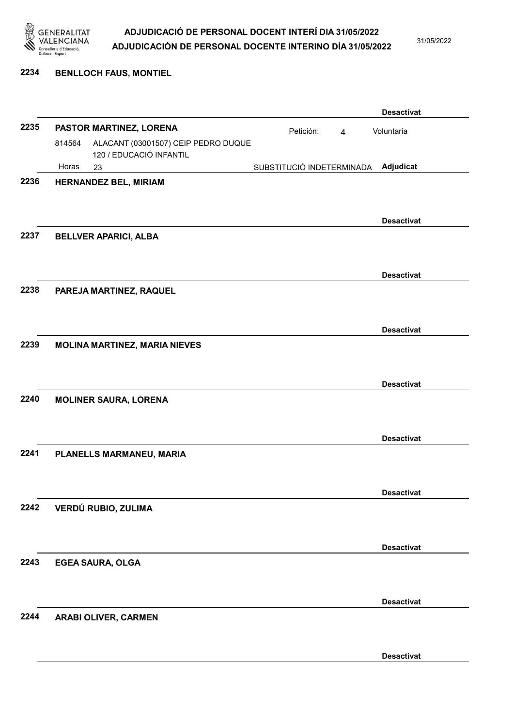

31/05/2022

#### 2234 BENLLOCH FAUS, MONTIEL

|      |        |                                      |                           |                | <b>Desactivat</b> |
|------|--------|--------------------------------------|---------------------------|----------------|-------------------|
| 2235 |        | PASTOR MARTINEZ, LORENA              | Petición:                 | $\overline{4}$ | Voluntaria        |
|      | 814564 | ALACANT (03001507) CEIP PEDRO DUQUE  |                           |                |                   |
|      |        | 120 / EDUCACIÓ INFANTIL              |                           |                |                   |
| 2236 | Horas  | 23                                   | SUBSTITUCIÓ INDETERMINADA |                | Adjudicat         |
|      |        | HERNANDEZ BEL, MIRIAM                |                           |                |                   |
|      |        |                                      |                           |                |                   |
|      |        |                                      |                           |                | <b>Desactivat</b> |
| 2237 |        | <b>BELLVER APARICI, ALBA</b>         |                           |                |                   |
|      |        |                                      |                           |                |                   |
|      |        |                                      |                           |                | <b>Desactivat</b> |
| 2238 |        | PAREJA MARTINEZ, RAQUEL              |                           |                |                   |
|      |        |                                      |                           |                |                   |
|      |        |                                      |                           |                |                   |
|      |        |                                      |                           |                | <b>Desactivat</b> |
| 2239 |        | <b>MOLINA MARTINEZ, MARIA NIEVES</b> |                           |                |                   |
|      |        |                                      |                           |                |                   |
|      |        |                                      |                           |                | <b>Desactivat</b> |
| 2240 |        | <b>MOLINER SAURA, LORENA</b>         |                           |                |                   |
|      |        |                                      |                           |                |                   |
|      |        |                                      |                           |                |                   |
|      |        |                                      |                           |                | <b>Desactivat</b> |
| 2241 |        | PLANELLS MARMANEU, MARIA             |                           |                |                   |
|      |        |                                      |                           |                |                   |
|      |        |                                      |                           |                | <b>Desactivat</b> |
| 2242 |        | VERDÚ RUBIO, ZULIMA                  |                           |                |                   |
|      |        |                                      |                           |                |                   |
|      |        |                                      |                           |                |                   |
|      |        |                                      |                           |                | <b>Desactivat</b> |
| 2243 |        | <b>EGEA SAURA, OLGA</b>              |                           |                |                   |
|      |        |                                      |                           |                |                   |
|      |        |                                      |                           |                | <b>Desactivat</b> |
| 2244 |        | ARABI OLIVER, CARMEN                 |                           |                |                   |
|      |        |                                      |                           |                |                   |
|      |        |                                      |                           |                |                   |
|      |        |                                      |                           |                | <b>Desactivat</b> |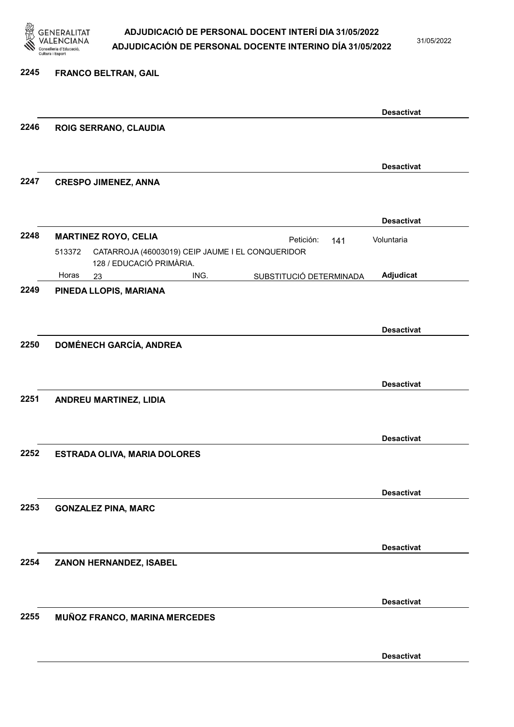

31/05/2022

#### 2245 FRANCO BELTRAN, GAIL

|      |                                                                                        | <b>Desactivat</b>                    |
|------|----------------------------------------------------------------------------------------|--------------------------------------|
| 2246 | ROIG SERRANO, CLAUDIA                                                                  |                                      |
|      |                                                                                        |                                      |
|      |                                                                                        | <b>Desactivat</b>                    |
| 2247 | <b>CRESPO JIMENEZ, ANNA</b>                                                            |                                      |
|      |                                                                                        |                                      |
|      |                                                                                        | <b>Desactivat</b>                    |
| 2248 | <b>MARTINEZ ROYO, CELIA</b>                                                            | Voluntaria<br>Petición:<br>141       |
|      | CATARROJA (46003019) CEIP JAUME I EL CONQUERIDOR<br>513372<br>128 / EDUCACIÓ PRIMÀRIA. |                                      |
|      | Horas<br>ING.<br>23                                                                    | Adjudicat<br>SUBSTITUCIÓ DETERMINADA |
| 2249 | PINEDA LLOPIS, MARIANA                                                                 |                                      |
|      |                                                                                        |                                      |
|      |                                                                                        | <b>Desactivat</b>                    |
| 2250 | <b>DOMÉNECH GARCÍA, ANDREA</b>                                                         |                                      |
|      |                                                                                        |                                      |
|      |                                                                                        | <b>Desactivat</b>                    |
| 2251 | ANDREU MARTINEZ, LIDIA                                                                 |                                      |
|      |                                                                                        |                                      |
|      |                                                                                        | <b>Desactivat</b>                    |
| 2252 | <b>ESTRADA OLIVA, MARIA DOLORES</b>                                                    |                                      |
|      |                                                                                        |                                      |
|      |                                                                                        | <b>Desactivat</b>                    |
| 2253 | <b>GONZALEZ PINA, MARC</b>                                                             |                                      |
|      |                                                                                        |                                      |
|      |                                                                                        | <b>Desactivat</b>                    |
| 2254 | ZANON HERNANDEZ, ISABEL                                                                |                                      |
|      |                                                                                        |                                      |
|      |                                                                                        |                                      |
| 2255 | <b>MUÑOZ FRANCO, MARINA MERCEDES</b>                                                   | <b>Desactivat</b>                    |
|      |                                                                                        |                                      |
|      |                                                                                        |                                      |
|      |                                                                                        | <b>Desactivat</b>                    |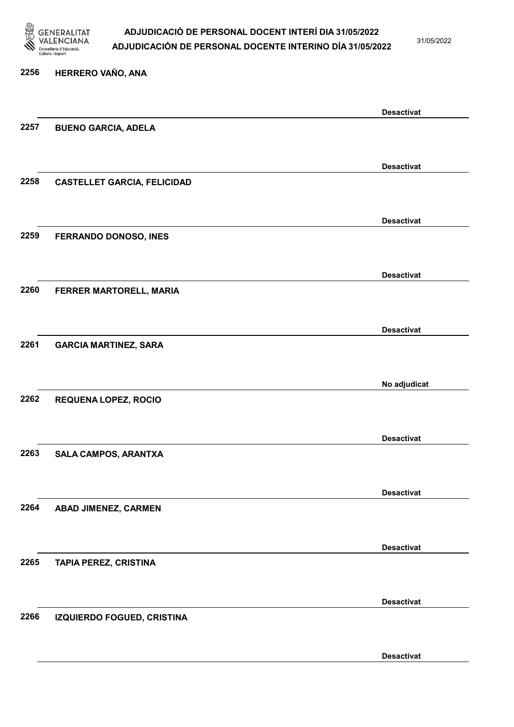

31/05/2022

## 2256 HERRERO VAÑO, ANA Desactivat 2257 BUENO GARCIA, ADELA Desactivat 2258 CASTELLET GARCIA, FELICIDAD Desactivat 2259 FERRANDO DONOSO, INES Desactivat 2260 FERRER MARTORELL, MARIA Desactivat 2261 GARCIA MARTINEZ, SARA No adjudicat 2262 REQUENA LOPEZ, ROCIO Desactivat 2263 SALA CAMPOS, ARANTXA Desactivat 2264 ABAD JIMENEZ, CARMEN Desactivat 2265 TAPIA PEREZ, CRISTINA Desactivat 2266 IZQUIERDO FOGUED, CRISTINA Desactivat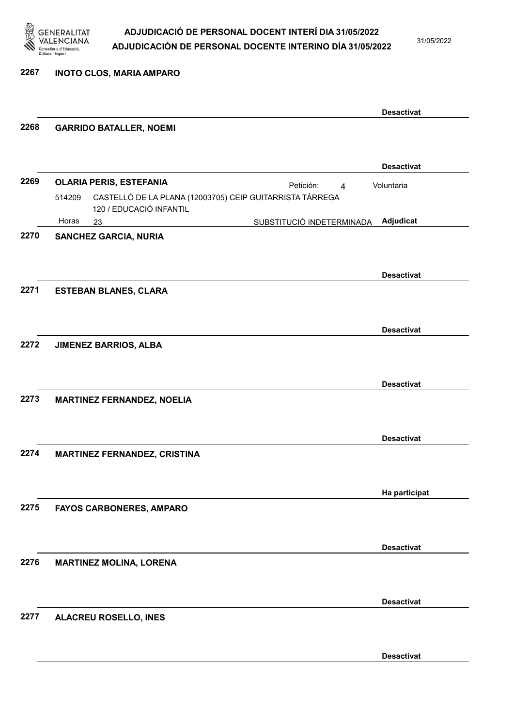

31/05/2022

2267 INOTO CLOS, MARIA AMPARO

|      |                                                                                               | <b>Desactivat</b> |
|------|-----------------------------------------------------------------------------------------------|-------------------|
| 2268 | <b>GARRIDO BATALLER, NOEMI</b>                                                                |                   |
|      |                                                                                               | <b>Desactivat</b> |
| 2269 | <b>OLARIA PERIS, ESTEFANIA</b><br>Petición:<br>$\overline{4}$                                 | Voluntaria        |
|      | CASTELLÓ DE LA PLANA (12003705) CEIP GUITARRISTA TÁRREGA<br>514209<br>120 / EDUCACIÓ INFANTIL |                   |
|      | Horas<br>SUBSTITUCIÓ INDETERMINADA<br>23                                                      | Adjudicat         |
| 2270 | <b>SANCHEZ GARCIA, NURIA</b>                                                                  |                   |
|      |                                                                                               | <b>Desactivat</b> |
| 2271 | <b>ESTEBAN BLANES, CLARA</b>                                                                  |                   |
|      |                                                                                               | <b>Desactivat</b> |
| 2272 | <b>JIMENEZ BARRIOS, ALBA</b>                                                                  |                   |
|      |                                                                                               | <b>Desactivat</b> |
| 2273 | <b>MARTINEZ FERNANDEZ, NOELIA</b>                                                             |                   |
|      |                                                                                               | <b>Desactivat</b> |
| 2274 | <b>MARTINEZ FERNANDEZ, CRISTINA</b>                                                           |                   |
|      |                                                                                               | Ha participat     |
| 2275 | FAYOS CARBONERES, AMPARO                                                                      |                   |
|      |                                                                                               | <b>Desactivat</b> |
| 2276 | <b>MARTINEZ MOLINA, LORENA</b>                                                                |                   |
|      |                                                                                               | <b>Desactivat</b> |
| 2277 | <b>ALACREU ROSELLO, INES</b>                                                                  |                   |
|      |                                                                                               |                   |
|      |                                                                                               | <b>Desactivat</b> |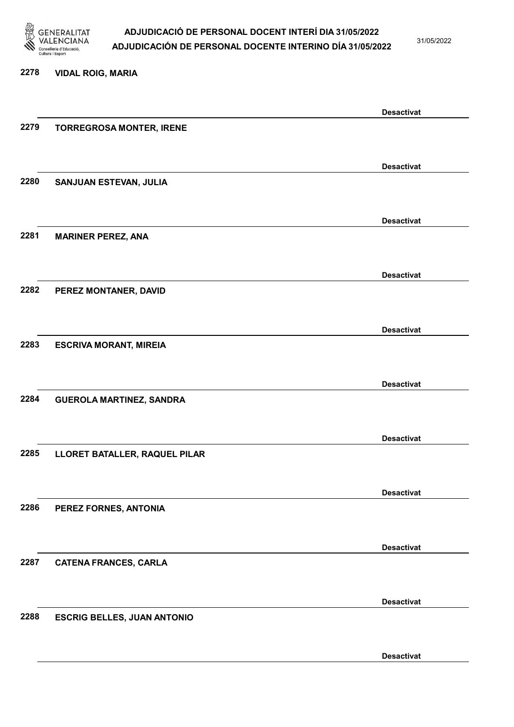

31/05/2022

#### 2278 VIDAL ROIG, MARIA

|      |                                    | <b>Desactivat</b> |
|------|------------------------------------|-------------------|
| 2279 | <b>TORREGROSA MONTER, IRENE</b>    |                   |
|      |                                    |                   |
|      |                                    | <b>Desactivat</b> |
| 2280 | SANJUAN ESTEVAN, JULIA             |                   |
|      |                                    |                   |
|      |                                    |                   |
|      |                                    | <b>Desactivat</b> |
| 2281 | <b>MARINER PEREZ, ANA</b>          |                   |
|      |                                    |                   |
|      |                                    | <b>Desactivat</b> |
| 2282 | PEREZ MONTANER, DAVID              |                   |
|      |                                    |                   |
|      |                                    | <b>Desactivat</b> |
| 2283 | <b>ESCRIVA MORANT, MIREIA</b>      |                   |
|      |                                    |                   |
|      |                                    |                   |
| 2284 |                                    | <b>Desactivat</b> |
|      | <b>GUEROLA MARTINEZ, SANDRA</b>    |                   |
|      |                                    |                   |
|      |                                    | <b>Desactivat</b> |
| 2285 | LLORET BATALLER, RAQUEL PILAR      |                   |
|      |                                    |                   |
|      |                                    | <b>Desactivat</b> |
| 2286 | PEREZ FORNES, ANTONIA              |                   |
|      |                                    |                   |
|      |                                    | <b>Desactivat</b> |
| 2287 | <b>CATENA FRANCES, CARLA</b>       |                   |
|      |                                    |                   |
|      |                                    |                   |
|      |                                    | <b>Desactivat</b> |
| 2288 | <b>ESCRIG BELLES, JUAN ANTONIO</b> |                   |
|      |                                    |                   |
|      |                                    | <b>Desactivat</b> |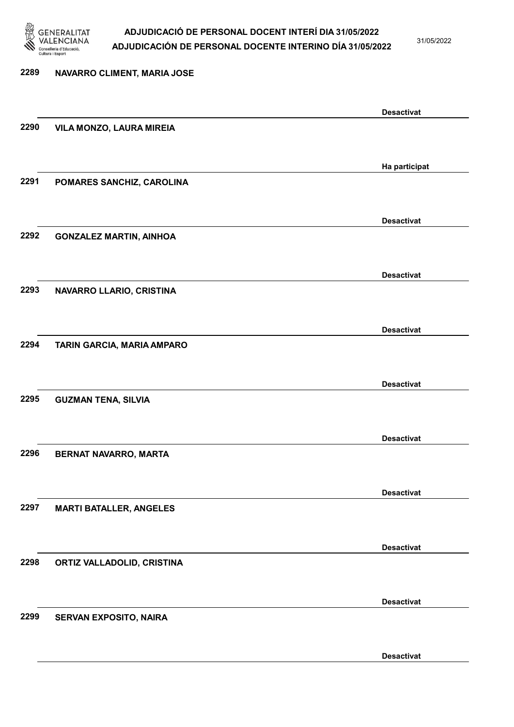

31/05/2022

Desactivat

# 2289 NAVARRO CLIMENT, MARIA JOSE Desactivat 2290 VILA MONZO, LAURA MIREIA Ha participat 2291 POMARES SANCHIZ, CAROLINA Desactivat 2292 GONZALEZ MARTIN, AINHOA Desactivat 2293 NAVARRO LLARIO, CRISTINA Desactivat 2294 TARIN GARCIA, MARIA AMPARO Desactivat 2295 GUZMAN TENA, SILVIA Desactivat 2296 BERNAT NAVARRO, MARTA Desactivat 2297 MARTI BATALLER, ANGELES Desactivat 2298 ORTIZ VALLADOLID, CRISTINA Desactivat 2299 SERVAN EXPOSITO, NAIRA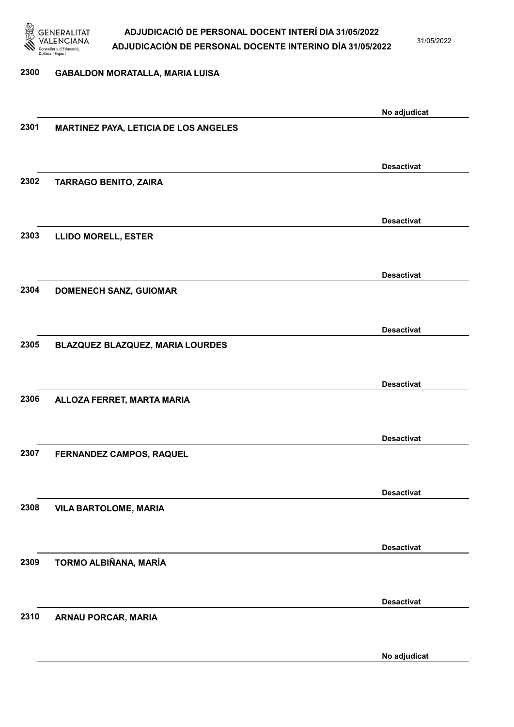

31/05/2022

#### 2300 GABALDON MORATALLA, MARIA LUISA

|      |                                       | No adjudicat      |
|------|---------------------------------------|-------------------|
| 2301 | MARTINEZ PAYA, LETICIA DE LOS ANGELES |                   |
|      |                                       |                   |
|      |                                       | <b>Desactivat</b> |
| 2302 | <b>TARRAGO BENITO, ZAIRA</b>          |                   |
|      |                                       |                   |
|      |                                       |                   |
| 2303 |                                       | <b>Desactivat</b> |
|      | <b>LLIDO MORELL, ESTER</b>            |                   |
|      |                                       |                   |
|      |                                       | <b>Desactivat</b> |
| 2304 | <b>DOMENECH SANZ, GUIOMAR</b>         |                   |
|      |                                       |                   |
|      |                                       | <b>Desactivat</b> |
| 2305 | BLAZQUEZ BLAZQUEZ, MARIA LOURDES      |                   |
|      |                                       |                   |
|      |                                       | <b>Desactivat</b> |
| 2306 | ALLOZA FERRET, MARTA MARIA            |                   |
|      |                                       |                   |
|      |                                       |                   |
|      |                                       | <b>Desactivat</b> |
| 2307 | FERNANDEZ CAMPOS, RAQUEL              |                   |
|      |                                       |                   |
|      |                                       | <b>Desactivat</b> |
| 2308 | <b>VILA BARTOLOME, MARIA</b>          |                   |
|      |                                       |                   |
|      |                                       | <b>Desactivat</b> |
| 2309 | TORMO ALBIÑANA, MARÍA                 |                   |
|      |                                       |                   |
|      |                                       |                   |
| 2310 | ARNAU PORCAR, MARIA                   | <b>Desactivat</b> |
|      |                                       |                   |
|      |                                       |                   |
|      |                                       | No adjudicat      |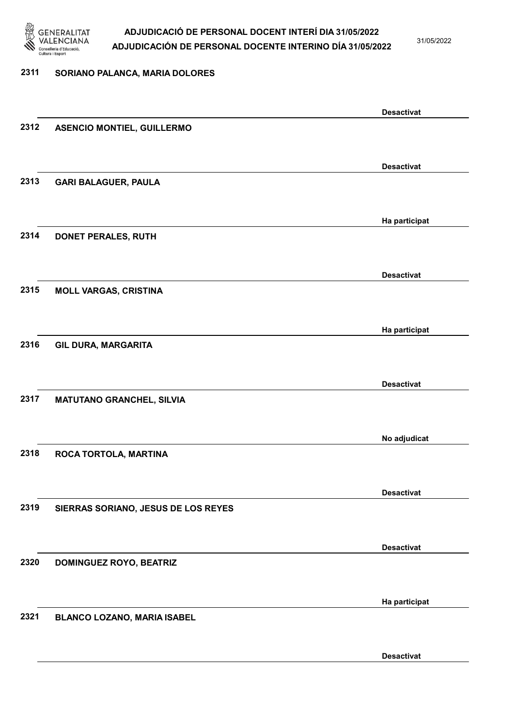

31/05/2022

#### 2311 SORIANO PALANCA, MARIA DOLORES

|      |                                     | <b>Desactivat</b> |
|------|-------------------------------------|-------------------|
| 2312 | <b>ASENCIO MONTIEL, GUILLERMO</b>   |                   |
|      |                                     |                   |
|      |                                     | <b>Desactivat</b> |
| 2313 | <b>GARI BALAGUER, PAULA</b>         |                   |
|      |                                     |                   |
|      |                                     |                   |
|      |                                     | Ha participat     |
| 2314 | DONET PERALES, RUTH                 |                   |
|      |                                     |                   |
|      |                                     | <b>Desactivat</b> |
| 2315 | <b>MOLL VARGAS, CRISTINA</b>        |                   |
|      |                                     |                   |
|      |                                     | Ha participat     |
| 2316 | <b>GIL DURA, MARGARITA</b>          |                   |
|      |                                     |                   |
|      |                                     | <b>Desactivat</b> |
| 2317 | <b>MATUTANO GRANCHEL, SILVIA</b>    |                   |
|      |                                     |                   |
|      |                                     |                   |
|      |                                     | No adjudicat      |
| 2318 | ROCA TORTOLA, MARTINA               |                   |
|      |                                     |                   |
|      |                                     | <b>Desactivat</b> |
| 2319 | SIERRAS SORIANO, JESUS DE LOS REYES |                   |
|      |                                     |                   |
|      |                                     | <b>Desactivat</b> |
| 2320 | <b>DOMINGUEZ ROYO, BEATRIZ</b>      |                   |
|      |                                     |                   |
|      |                                     |                   |
|      |                                     | Ha participat     |
| 2321 | <b>BLANCO LOZANO, MARIA ISABEL</b>  |                   |
|      |                                     |                   |
|      |                                     | <b>Desactivat</b> |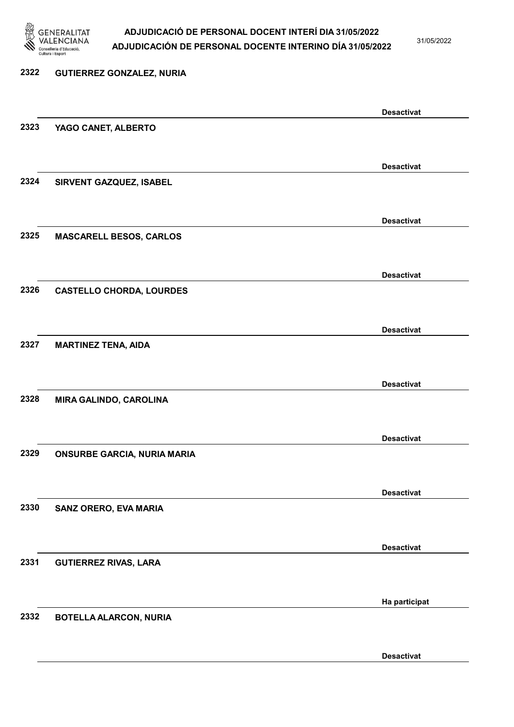

31/05/2022

Desactivat

# 2322 GUTIERREZ GONZALEZ, NURIA Desactivat 2323 YAGO CANET, ALBERTO Desactivat 2324 SIRVENT GAZQUEZ, ISABEL Desactivat 2325 MASCARELL BESOS, CARLOS Desactivat 2326 CASTELLO CHORDA, LOURDES Desactivat 2327 MARTINEZ TENA, AIDA Desactivat 2328 MIRA GALINDO, CAROLINA Desactivat 2329 ONSURBE GARCIA, NURIA MARIA Desactivat 2330 SANZ ORERO, EVA MARIA Desactivat 2331 GUTIERREZ RIVAS, LARA Ha participat 2332 BOTELLA ALARCON, NURIA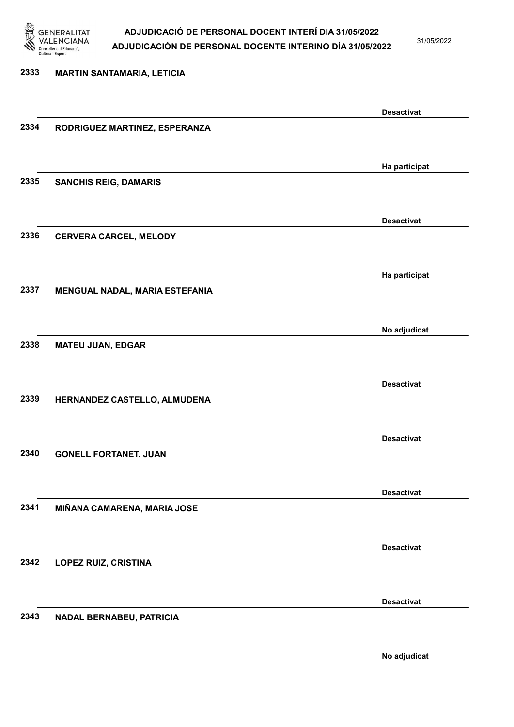

31/05/2022

# 2333 MARTIN SANTAMARIA, LETICIA Desactivat 2334 RODRIGUEZ MARTINEZ, ESPERANZA Ha participat 2335 SANCHIS REIG, DAMARIS Desactivat 2336 CERVERA CARCEL, MELODY Ha participat 2337 MENGUAL NADAL, MARIA ESTEFANIA No adjudicat 2338 MATEU JUAN, EDGAR Desactivat 2339 HERNANDEZ CASTELLO, ALMUDENA Desactivat 2340 GONELL FORTANET, JUAN Desactivat 2341 MIÑANA CAMARENA, MARIA JOSE Desactivat 2342 LOPEZ RUIZ, CRISTINA Desactivat 2343 NADAL BERNABEU, PATRICIA

No adjudicat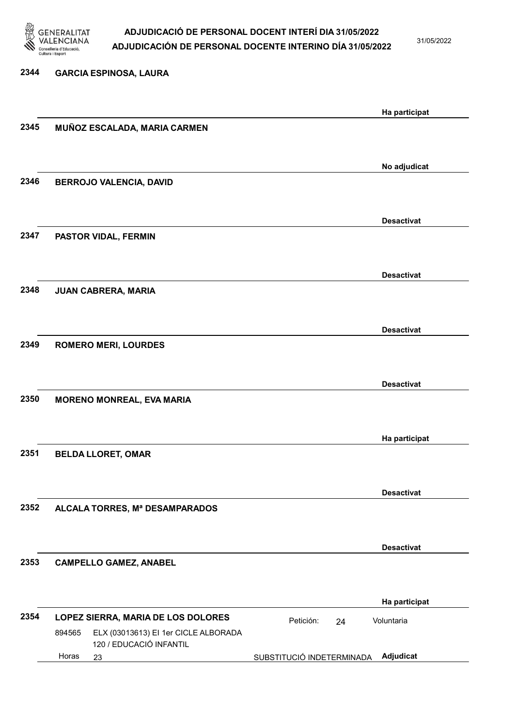

31/05/2022

| 2344 | <b>GARCIA ESPINOSA, LAURA</b>                  |                           |                   |
|------|------------------------------------------------|---------------------------|-------------------|
|      |                                                |                           |                   |
|      |                                                |                           | Ha participat     |
| 2345 | MUÑOZ ESCALADA, MARIA CARMEN                   |                           |                   |
|      |                                                |                           |                   |
|      |                                                |                           | No adjudicat      |
| 2346 | <b>BERROJO VALENCIA, DAVID</b>                 |                           |                   |
|      |                                                |                           |                   |
|      |                                                |                           | <b>Desactivat</b> |
| 2347 | PASTOR VIDAL, FERMIN                           |                           |                   |
|      |                                                |                           |                   |
|      |                                                |                           | <b>Desactivat</b> |
| 2348 | JUAN CABRERA, MARIA                            |                           |                   |
|      |                                                |                           |                   |
|      |                                                |                           |                   |
| 2349 | <b>ROMERO MERI, LOURDES</b>                    |                           | <b>Desactivat</b> |
|      |                                                |                           |                   |
|      |                                                |                           |                   |
|      |                                                |                           | <b>Desactivat</b> |
| 2350 | <b>MORENO MONREAL, EVA MARIA</b>               |                           |                   |
|      |                                                |                           |                   |
|      |                                                |                           | Ha participat     |
| 2351 | <b>BELDA LLORET, OMAR</b>                      |                           |                   |
|      |                                                |                           |                   |
|      |                                                |                           | <b>Desactivat</b> |
| 2352 | ALCALA TORRES, Mª DESAMPARADOS                 |                           |                   |
|      |                                                |                           |                   |
|      |                                                |                           | <b>Desactivat</b> |
| 2353 | <b>CAMPELLO GAMEZ, ANABEL</b>                  |                           |                   |
|      |                                                |                           |                   |
|      |                                                |                           | Ha participat     |
| 2354 | LOPEZ SIERRA, MARIA DE LOS DOLORES             | Petición:<br>24           | Voluntaria        |
|      | ELX (03013613) EI 1er CICLE ALBORADA<br>894565 |                           |                   |
|      | 120 / EDUCACIÓ INFANTIL<br>Horas<br>23         | SUBSTITUCIÓ INDETERMINADA | Adjudicat         |
|      |                                                |                           |                   |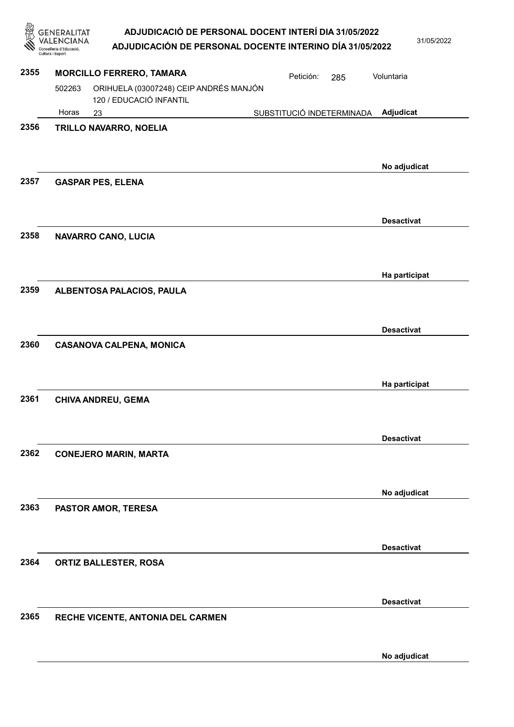**GENERALITAT** ADJUDICACIÓ DE PERSONAL DOCENT INTERÍ DIA 31/05/2022 **VALENCIANA** 31/05/2022 ADJUDICACIÓN DE PERSONAL DOCENTE INTERINO DÍA 31/05/2022 Conselleria d'Educació, 2355 MORCILLO FERRERO, TAMARA Petición: 285 Voluntaria 502263 ORIHUELA (03007248) CEIP ANDRÉS MANJÓN 120 / EDUCACIÓ INFANTIL Horas 23 SUBSTITUCIÓ INDETERMINADA Adjudicat 2356 TRILLO NAVARRO, NOELIA No adjudicat 2357 GASPAR PES, ELENA Desactivat 2358 NAVARRO CANO, LUCIA Ha participat 2359 ALBENTOSA PALACIOS, PAULA Desactivat 2360 CASANOVA CALPENA, MONICA Ha participat 2361 CHIVA ANDREU, GEMA Desactivat 2362 CONEJERO MARIN, MARTA No adjudicat 2363 PASTOR AMOR, TERESA Desactivat 2364 ORTIZ BALLESTER, ROSA Desactivat 2365 RECHE VICENTE, ANTONIA DEL CARMEN

No adjudicat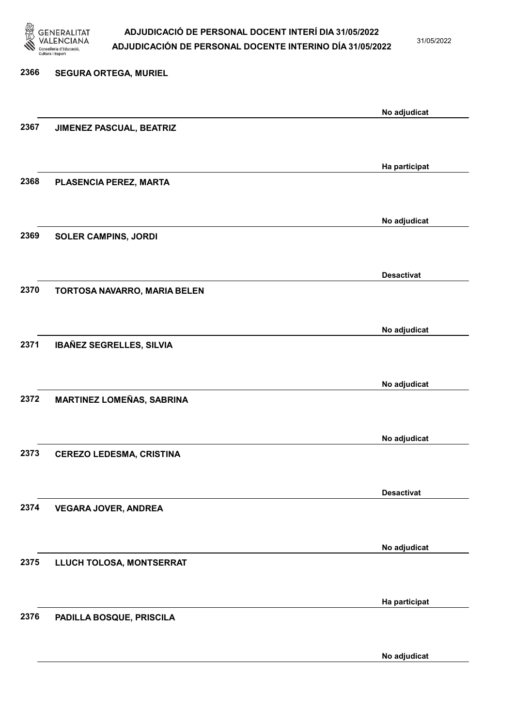

31/05/2022

# 2366 SEGURA ORTEGA, MURIEL No adjudicat 2367 JIMENEZ PASCUAL, BEATRIZ Ha participat 2368 PLASENCIA PEREZ, MARTA No adjudicat 2369 SOLER CAMPINS, JORDI Desactivat 2370 TORTOSA NAVARRO, MARIA BELEN No adjudicat 2371 IBAÑEZ SEGRELLES, SILVIA No adjudicat 2372 MARTINEZ LOMEÑAS, SABRINA No adjudicat 2373 CEREZO LEDESMA, CRISTINA Desactivat 2374 VEGARA JOVER, ANDREA No adjudicat 2375 LLUCH TOLOSA, MONTSERRAT Ha participat 2376 PADILLA BOSQUE, PRISCILA

No adjudicat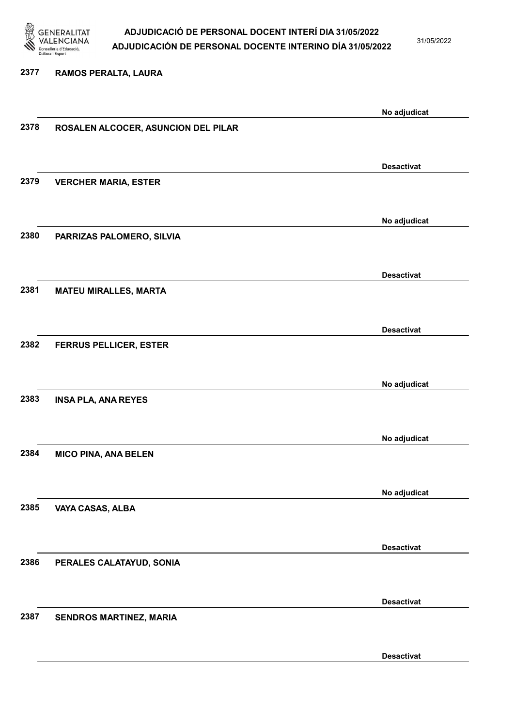

31/05/2022

#### 2377 RAMOS PERALTA, LAURA

|      |                                     | No adjudicat      |
|------|-------------------------------------|-------------------|
| 2378 | ROSALEN ALCOCER, ASUNCION DEL PILAR |                   |
|      |                                     |                   |
|      |                                     |                   |
|      |                                     | <b>Desactivat</b> |
| 2379 | <b>VERCHER MARIA, ESTER</b>         |                   |
|      |                                     |                   |
|      |                                     |                   |
|      |                                     | No adjudicat      |
| 2380 | PARRIZAS PALOMERO, SILVIA           |                   |
|      |                                     |                   |
|      |                                     |                   |
|      |                                     | <b>Desactivat</b> |
| 2381 | <b>MATEU MIRALLES, MARTA</b>        |                   |
|      |                                     |                   |
|      |                                     |                   |
|      |                                     | <b>Desactivat</b> |
| 2382 | <b>FERRUS PELLICER, ESTER</b>       |                   |
|      |                                     |                   |
|      |                                     |                   |
|      |                                     | No adjudicat      |
| 2383 | <b>INSA PLA, ANA REYES</b>          |                   |
|      |                                     |                   |
|      |                                     |                   |
|      |                                     | No adjudicat      |
| 2384 | <b>MICO PINA, ANA BELEN</b>         |                   |
|      |                                     |                   |
|      |                                     |                   |
|      |                                     | No adjudicat      |
| 2385 | VAYA CASAS, ALBA                    |                   |
|      |                                     |                   |
|      |                                     |                   |
|      |                                     | <b>Desactivat</b> |
| 2386 | PERALES CALATAYUD, SONIA            |                   |
|      |                                     |                   |
|      |                                     |                   |
|      |                                     | <b>Desactivat</b> |
| 2387 | SENDROS MARTINEZ, MARIA             |                   |
|      |                                     |                   |
|      |                                     |                   |
|      |                                     | <b>Desactivat</b> |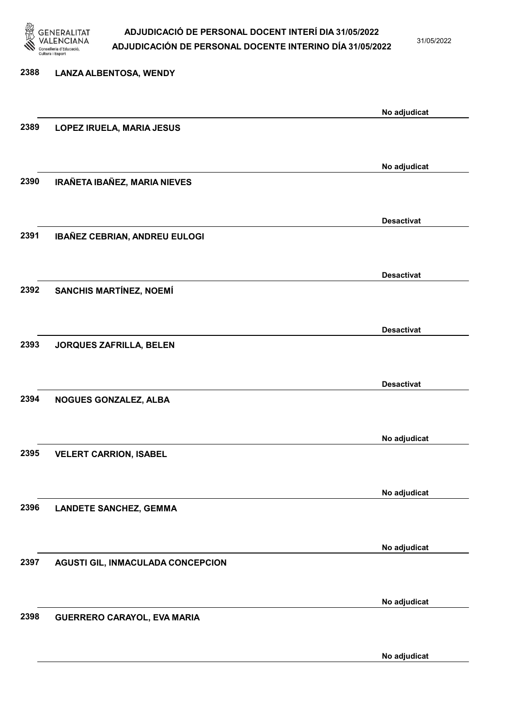

31/05/2022

### 2388 LANZA ALBENTOSA, WENDY No adjudicat 2389 LOPEZ IRUELA, MARIA JESUS No adjudicat 2390 IRAÑETA IBAÑEZ, MARIA NIEVES Desactivat 2391 IBAÑEZ CEBRIAN, ANDREU EULOGI Desactivat 2392 SANCHIS MARTÍNEZ, NOEMÍ Desactivat 2393 JORQUES ZAFRILLA, BELEN Desactivat 2394 NOGUES GONZALEZ, ALBA No adjudicat 2395 VELERT CARRION, ISABEL No adjudicat 2396 LANDETE SANCHEZ, GEMMA No adjudicat 2397 AGUSTI GIL, INMACULADA CONCEPCION No adjudicat 2398 GUERRERO CARAYOL, EVA MARIA No adjudicat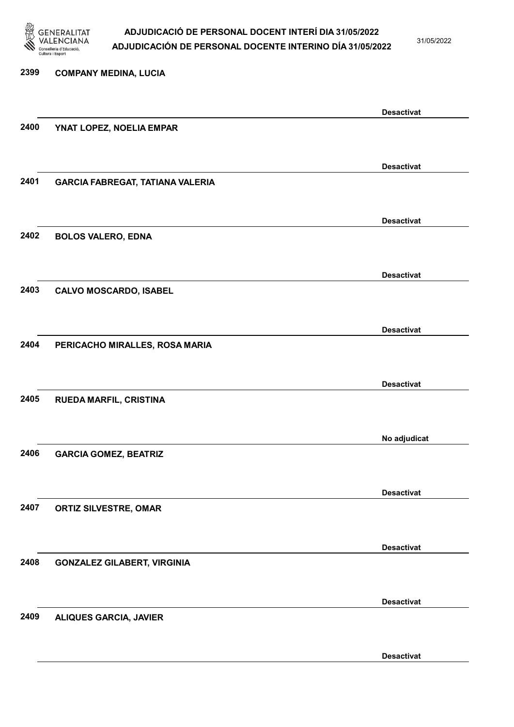

31/05/2022

### 2399 COMPANY MEDINA, LUCIA Desactivat 2400 YNAT LOPEZ, NOELIA EMPAR Desactivat 2401 GARCIA FABREGAT, TATIANA VALERIA Desactivat 2402 BOLOS VALERO, EDNA Desactivat 2403 CALVO MOSCARDO, ISABEL Desactivat 2404 PERICACHO MIRALLES, ROSA MARIA Desactivat 2405 RUEDA MARFIL, CRISTINA No adjudicat 2406 GARCIA GOMEZ, BEATRIZ Desactivat 2407 ORTIZ SILVESTRE, OMAR Desactivat 2408 GONZALEZ GILABERT, VIRGINIA Desactivat 2409 ALIQUES GARCIA, JAVIER Desactivat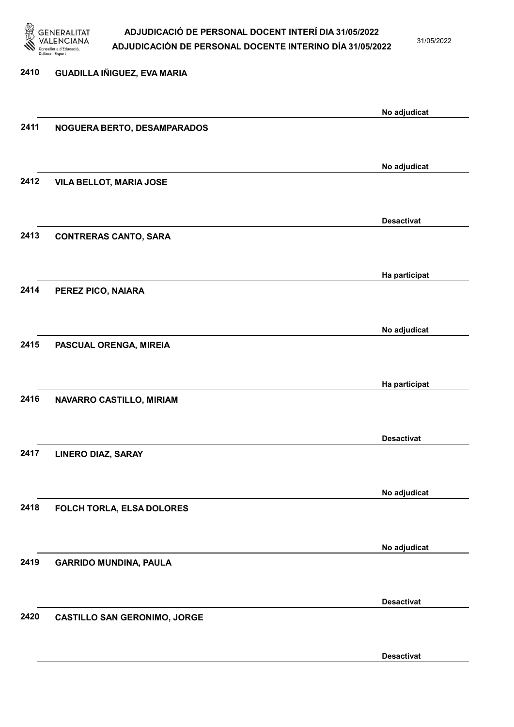

31/05/2022

Desactivat

# 2410 GUADILLA IÑIGUEZ, EVA MARIA No adjudicat 2411 NOGUERA BERTO, DESAMPARADOS No adjudicat 2412 VILA BELLOT, MARIA JOSE Desactivat 2413 CONTRERAS CANTO, SARA Ha participat 2414 PEREZ PICO, NAIARA No adjudicat 2415 PASCUAL ORENGA, MIREIA Ha participat 2416 NAVARRO CASTILLO, MIRIAM Desactivat 2417 LINERO DIAZ, SARAY No adjudicat 2418 FOLCH TORLA, ELSA DOLORES No adjudicat 2419 GARRIDO MUNDINA, PAULA Desactivat 2420 CASTILLO SAN GERONIMO, JORGE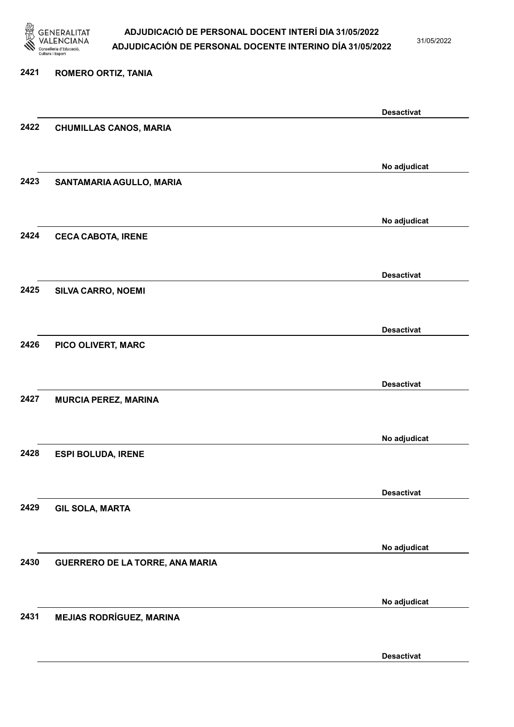

31/05/2022

#### 2421 ROMERO ORTIZ, TANIA

|      |                                 | <b>Desactivat</b> |
|------|---------------------------------|-------------------|
| 2422 | <b>CHUMILLAS CANOS, MARIA</b>   |                   |
|      |                                 |                   |
|      |                                 | No adjudicat      |
| 2423 | SANTAMARIA AGULLO, MARIA        |                   |
|      |                                 |                   |
|      |                                 | No adjudicat      |
| 2424 | <b>CECA CABOTA, IRENE</b>       |                   |
|      |                                 |                   |
|      |                                 | <b>Desactivat</b> |
| 2425 | SILVA CARRO, NOEMI              |                   |
|      |                                 |                   |
|      |                                 | <b>Desactivat</b> |
| 2426 | PICO OLIVERT, MARC              |                   |
|      |                                 |                   |
|      |                                 | <b>Desactivat</b> |
| 2427 | <b>MURCIA PEREZ, MARINA</b>     |                   |
|      |                                 |                   |
|      |                                 | No adjudicat      |
| 2428 | <b>ESPI BOLUDA, IRENE</b>       |                   |
|      |                                 |                   |
|      |                                 | <b>Desactivat</b> |
| 2429 | <b>GIL SOLA, MARTA</b>          |                   |
|      |                                 |                   |
|      |                                 | No adjudicat      |
| 2430 | GUERRERO DE LA TORRE, ANA MARIA |                   |
|      |                                 |                   |
|      |                                 | No adjudicat      |
| 2431 | <b>MEJIAS RODRÍGUEZ, MARINA</b> |                   |
|      |                                 |                   |
|      |                                 | <b>Desactivat</b> |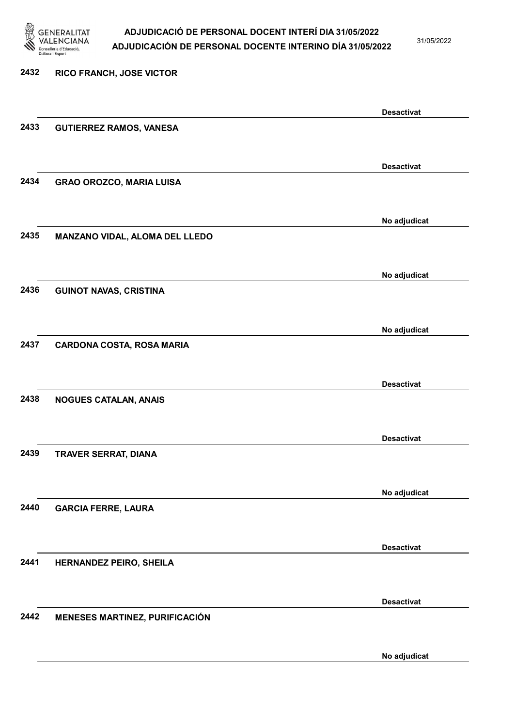

31/05/2022

### 2432 RICO FRANCH, JOSE VICTOR Desactivat 2433 GUTIERREZ RAMOS, VANESA Desactivat 2434 GRAO OROZCO, MARIA LUISA No adjudicat 2435 MANZANO VIDAL, ALOMA DEL LLEDO No adjudicat 2436 GUINOT NAVAS, CRISTINA No adjudicat 2437 CARDONA COSTA, ROSA MARIA Desactivat 2438 NOGUES CATALAN, ANAIS Desactivat 2439 TRAVER SERRAT, DIANA No adjudicat 2440 GARCIA FERRE, LAURA Desactivat 2441 HERNANDEZ PEIRO, SHEILA Desactivat 2442 MENESES MARTINEZ, PURIFICACIÓN No adjudicat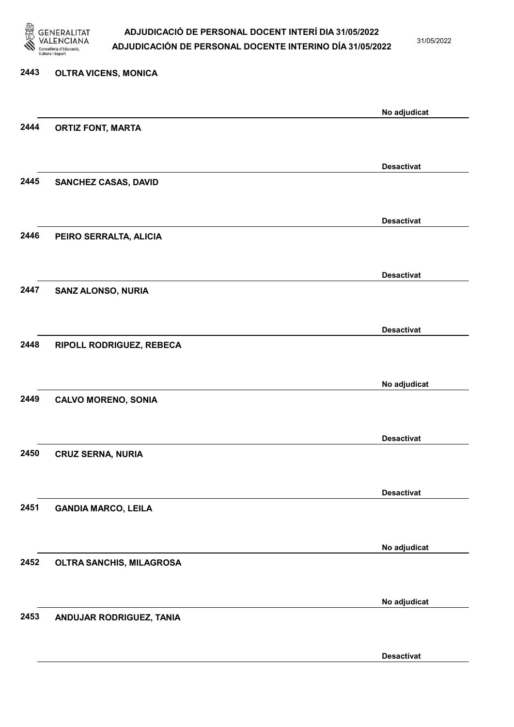

31/05/2022

# 2443 OLTRA VICENS, MONICA No adjudicat 2444 ORTIZ FONT, MARTA Desactivat 2445 SANCHEZ CASAS, DAVID Desactivat 2446 PEIRO SERRALTA, ALICIA Desactivat 2447 SANZ ALONSO, NURIA Desactivat 2448 RIPOLL RODRIGUEZ, REBECA No adjudicat 2449 CALVO MORENO, SONIA Desactivat 2450 CRUZ SERNA, NURIA Desactivat 2451 GANDIA MARCO, LEILA No adjudicat 2452 OLTRA SANCHIS, MILAGROSA No adjudicat 2453 ANDUJAR RODRIGUEZ, TANIA

Desactivat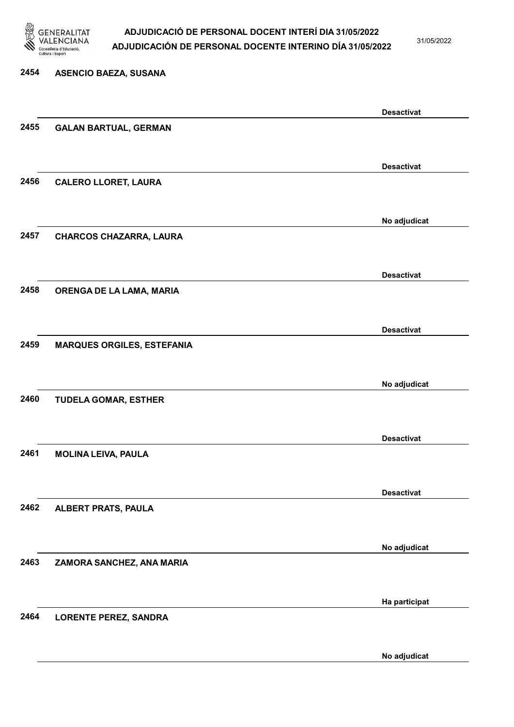

2454 ASENCIO BAEZA, SUSANA

### ADJUDICACIÓ DE PERSONAL DOCENT INTERÍ DIA 31/05/2022 ADJUDICACIÓN DE PERSONAL DOCENTE INTERINO DÍA 31/05/2022

31/05/2022

No adjudicat

# Desactivat 2455 GALAN BARTUAL, GERMAN Desactivat 2456 CALERO LLORET, LAURA No adjudicat 2457 CHARCOS CHAZARRA, LAURA Desactivat 2458 ORENGA DE LA LAMA, MARIA Desactivat 2459 MARQUES ORGILES, ESTEFANIA No adjudicat 2460 TUDELA GOMAR, ESTHER Desactivat 2461 MOLINA LEIVA, PAULA Desactivat 2462 ALBERT PRATS, PAULA No adjudicat 2463 ZAMORA SANCHEZ, ANA MARIA Ha participat 2464 LORENTE PEREZ, SANDRA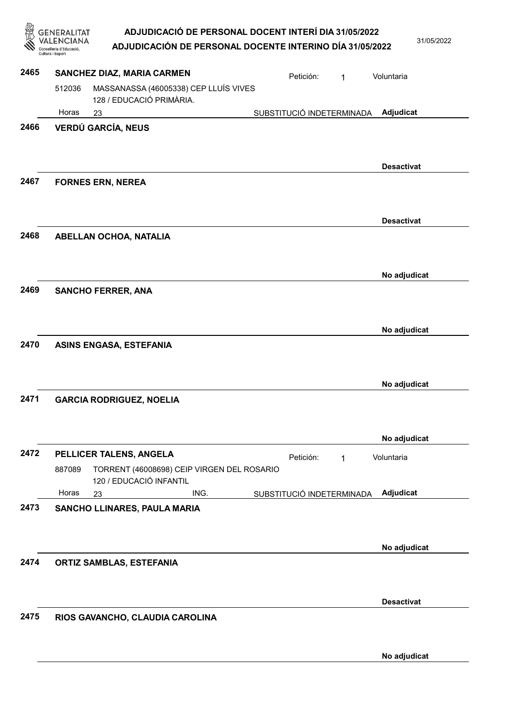31/05/2022

No adjudicat

No adjudicat

No adjudicat

No adjudicat

Adjudicat

No adjudicat

Desactivat

Voluntaria

|      | GENERALITAT<br>Cultura i Esport | ADJUDICACIÓ DE PERSONAL DOCENT INTERÍ DIA 31/05/2022<br>ADJUDICACIÓN DE PERSONAL DOCENTE INTERINO DÍA 31/05/2022 |                           |           |                   | 31/ |
|------|---------------------------------|------------------------------------------------------------------------------------------------------------------|---------------------------|-----------|-------------------|-----|
| 2465 |                                 | SANCHEZ DIAZ, MARIA CARMEN                                                                                       |                           | Petición: | Voluntaria        |     |
|      | 512036                          | MASSANASSA (46005338) CEP LLUÍS VIVES<br>128 / EDUCACIÓ PRIMÀRIA.                                                |                           |           |                   |     |
|      | Horas                           | 23                                                                                                               | SUBSTITUCIÓ INDETERMINADA |           | Adjudicat         |     |
| 2466 |                                 | <b>VERDÚ GARCÍA, NEUS</b>                                                                                        |                           |           |                   |     |
|      |                                 |                                                                                                                  |                           |           | <b>Desactivat</b> |     |
| 2467 |                                 | <b>FORNES ERN, NEREA</b>                                                                                         |                           |           |                   |     |
|      |                                 |                                                                                                                  |                           |           | <b>Desactivat</b> |     |
| 2468 |                                 | <b>ABELLAN OCHOA, NATALIA</b>                                                                                    |                           |           |                   |     |

2475 RIOS GAVANCHO, CLAUDIA CAROLINA

2466

2467

2469 SANCHO FERRER, ANA

2470 ASINS ENGASA, ESTEFANIA

2471 GARCIA RODRIGUEZ, NOELIA

2473 SANCHO LLINARES, PAULA MARIA

2474 ORTIZ SAMBLAS, ESTEFANIA

887089

Horas

2472 PELLICER TALENS, ANGELA Petición: 1

120 / EDUCACIÓ INFANTIL

TORRENT (46008698) CEIP VIRGEN DEL ROSARIO

23 ING. SUBSTITUCIÓ INDETERMINADA

No adjudicat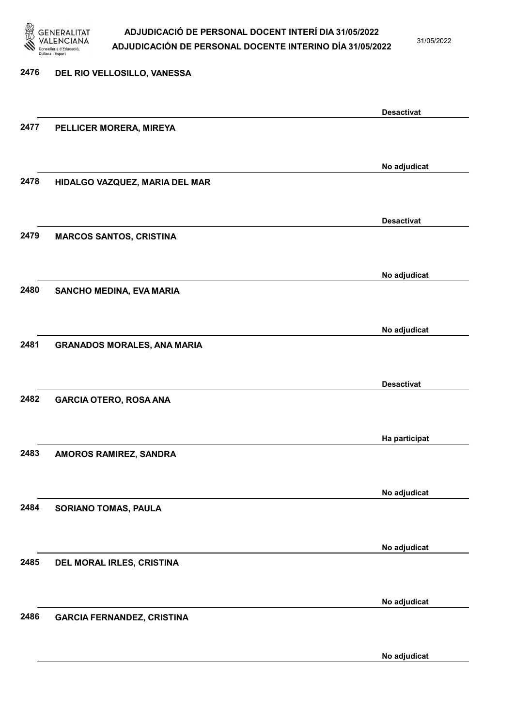

31/05/2022

No adjudicat

### 2476 DEL RIO VELLOSILLO, VANESSA Desactivat 2477 PELLICER MORERA, MIREYA No adjudicat 2478 HIDALGO VAZQUEZ, MARIA DEL MAR Desactivat 2479 MARCOS SANTOS, CRISTINA No adjudicat 2480 SANCHO MEDINA, EVA MARIA No adjudicat 2481 GRANADOS MORALES, ANA MARIA Desactivat 2482 GARCIA OTERO, ROSA ANA Ha participat 2483 AMOROS RAMIREZ, SANDRA No adjudicat 2484 SORIANO TOMAS, PAULA No adjudicat 2485 DEL MORAL IRLES, CRISTINA No adjudicat 2486 GARCIA FERNANDEZ, CRISTINA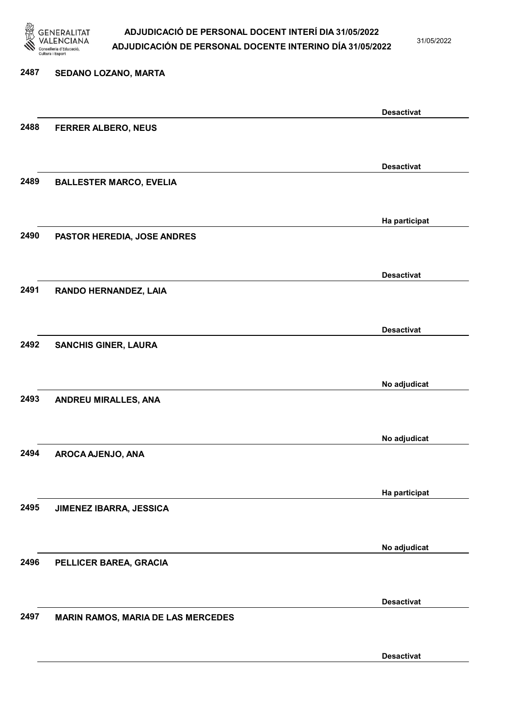

31/05/2022

### 2487 SEDANO LOZANO, MARTA Desactivat 2488 FERRER ALBERO, NEUS Desactivat 2489 BALLESTER MARCO, EVELIA Ha participat 2490 PASTOR HEREDIA, JOSE ANDRES Desactivat 2491 RANDO HERNANDEZ, LAIA Desactivat 2492 SANCHIS GINER, LAURA No adjudicat 2493 ANDREU MIRALLES, ANA No adjudicat 2494 AROCA AJENJO, ANA Ha participat 2495 JIMENEZ IBARRA, JESSICA No adjudicat 2496 PELLICER BAREA, GRACIA Desactivat 2497 MARIN RAMOS, MARIA DE LAS MERCEDES Desactivat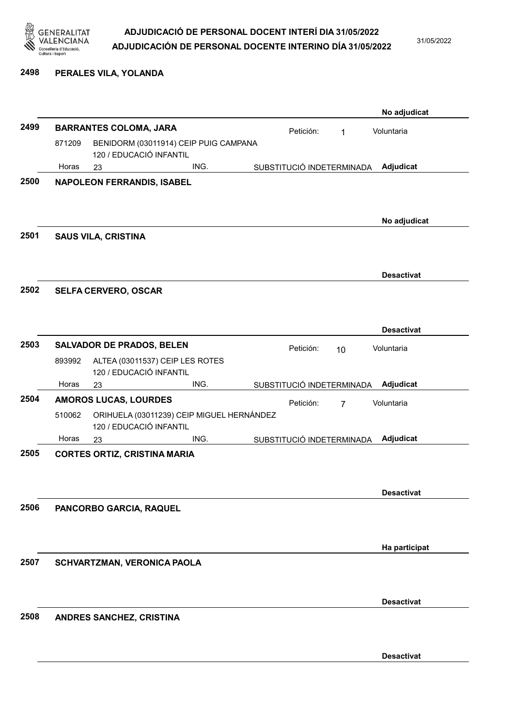

31/05/2022

#### 2498 PERALES VILA, YOLANDA

|      |        |                                     |                                           |                           |                | No adjudicat      |
|------|--------|-------------------------------------|-------------------------------------------|---------------------------|----------------|-------------------|
| 2499 |        | <b>BARRANTES COLOMA, JARA</b>       |                                           | Petición:                 | 1              | Voluntaria        |
|      | 871209 | 120 / EDUCACIÓ INFANTIL             | BENIDORM (03011914) CEIP PUIG CAMPANA     |                           |                |                   |
|      | Horas  | 23                                  | ING.                                      | SUBSTITUCIÓ INDETERMINADA |                | Adjudicat         |
| 2500 |        | <b>NAPOLEON FERRANDIS, ISABEL</b>   |                                           |                           |                |                   |
|      |        |                                     |                                           |                           |                | No adjudicat      |
| 2501 |        | <b>SAUS VILA, CRISTINA</b>          |                                           |                           |                |                   |
|      |        |                                     |                                           |                           |                | <b>Desactivat</b> |
| 2502 |        | <b>SELFA CERVERO, OSCAR</b>         |                                           |                           |                |                   |
|      |        |                                     |                                           |                           |                | <b>Desactivat</b> |
| 2503 |        | <b>SALVADOR DE PRADOS, BELEN</b>    |                                           | Petición:                 | 10             | Voluntaria        |
|      | 893992 | 120 / EDUCACIÓ INFANTIL             | ALTEA (03011537) CEIP LES ROTES           |                           |                |                   |
|      | Horas  | 23                                  | ING.                                      | SUBSTITUCIÓ INDETERMINADA |                | Adjudicat         |
| 2504 |        | <b>AMOROS LUCAS, LOURDES</b>        |                                           | Petición:                 | $\overline{7}$ | Voluntaria        |
|      | 510062 | 120 / EDUCACIÓ INFANTIL             | ORIHUELA (03011239) CEIP MIGUEL HERNÁNDEZ |                           |                |                   |
|      | Horas  | 23                                  | ING.                                      | SUBSTITUCIÓ INDETERMINADA |                | Adjudicat         |
| 2505 |        | <b>CORTES ORTIZ, CRISTINA MARIA</b> |                                           |                           |                |                   |
|      |        |                                     |                                           |                           |                | <b>Desactivat</b> |
| 2506 |        | PANCORBO GARCIA, RAQUEL             |                                           |                           |                |                   |
|      |        |                                     |                                           |                           |                | Ha participat     |
| 2507 |        | SCHVARTZMAN, VERONICA PAOLA         |                                           |                           |                |                   |
|      |        |                                     |                                           |                           |                | <b>Desactivat</b> |
| 2508 |        | ANDRES SANCHEZ, CRISTINA            |                                           |                           |                |                   |
|      |        |                                     |                                           |                           |                | <b>Desactivat</b> |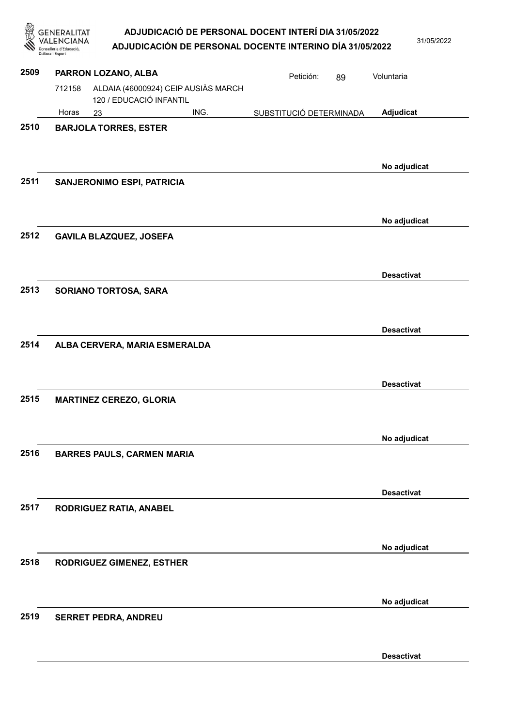|      | ENERALITAT<br>nselleria d'Educació<br>Cultura i Esport | ADJUDICACIÓ DE PERSONAL DOCENT INTERÍ DIA 31/05/2022<br>ADJUDICACIÓN DE PERSONAL DOCENTE INTERINO DÍA 31/05/2022 |                         |    |                   | 31/05/2022 |
|------|--------------------------------------------------------|------------------------------------------------------------------------------------------------------------------|-------------------------|----|-------------------|------------|
| 2509 | PARRON LOZANO, ALBA                                    |                                                                                                                  | Petición:               | 89 | Voluntaria        |            |
|      | 712158                                                 | ALDAIA (46000924) CEIP AUSIÀS MARCH<br>120 / EDUCACIÓ INFANTIL                                                   |                         |    |                   |            |
|      | Horas<br>23                                            | ING.                                                                                                             | SUBSTITUCIÓ DETERMINADA |    | Adjudicat         |            |
| 2510 | <b>BARJOLA TORRES, ESTER</b>                           |                                                                                                                  |                         |    | No adjudicat      |            |
| 2511 | <b>SANJERONIMO ESPI, PATRICIA</b>                      |                                                                                                                  |                         |    |                   |            |
| 2512 | GAVILA BLAZQUEZ, JOSEFA                                |                                                                                                                  |                         |    | No adjudicat      |            |
| 2513 | SORIANO TORTOSA, SARA                                  |                                                                                                                  |                         |    | <b>Desactivat</b> |            |
| 2514 |                                                        | ALBA CERVERA, MARIA ESMERALDA                                                                                    |                         |    | <b>Desactivat</b> |            |
| 2515 | <b>MARTINEZ CEREZO, GLORIA</b>                         |                                                                                                                  |                         |    | <b>Desactivat</b> |            |
| 2516 | <b>BARRES PAULS, CARMEN MARIA</b>                      |                                                                                                                  |                         |    | No adjudicat      |            |
|      |                                                        |                                                                                                                  |                         |    | <b>Desactivat</b> |            |
| 2517 | RODRIGUEZ RATIA, ANABEL                                |                                                                                                                  |                         |    |                   |            |
| 2518 | RODRIGUEZ GIMENEZ, ESTHER                              |                                                                                                                  |                         |    | No adjudicat      |            |
| 2519 | <b>SERRET PEDRA, ANDREU</b>                            |                                                                                                                  |                         |    | No adjudicat      |            |
|      |                                                        |                                                                                                                  |                         |    |                   |            |

Desactivat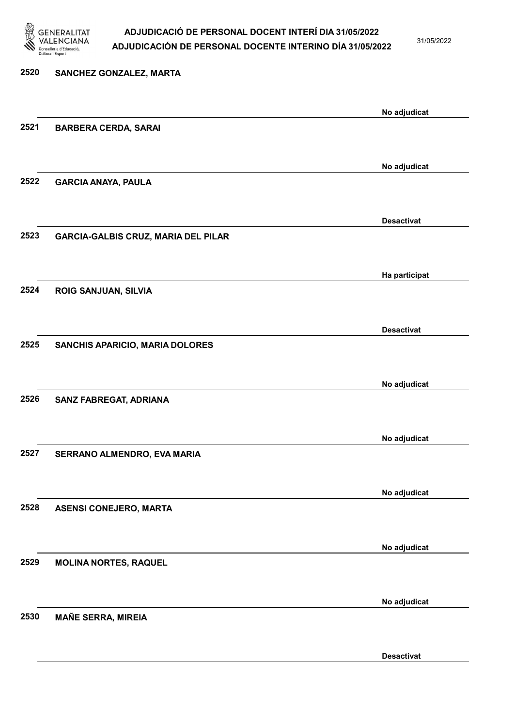

31/05/2022

Desactivat

# 2520 SANCHEZ GONZALEZ, MARTA No adjudicat 2521 BARBERA CERDA, SARAI No adjudicat 2522 GARCIA ANAYA, PAULA Desactivat 2523 GARCIA-GALBIS CRUZ, MARIA DEL PILAR Ha participat 2524 ROIG SANJUAN, SILVIA Desactivat 2525 SANCHIS APARICIO, MARIA DOLORES No adjudicat 2526 SANZ FABREGAT, ADRIANA No adjudicat 2527 SERRANO ALMENDRO, EVA MARIA No adjudicat 2528 ASENSI CONEJERO, MARTA No adjudicat 2529 MOLINA NORTES, RAQUEL No adjudicat 2530 MAÑE SERRA, MIREIA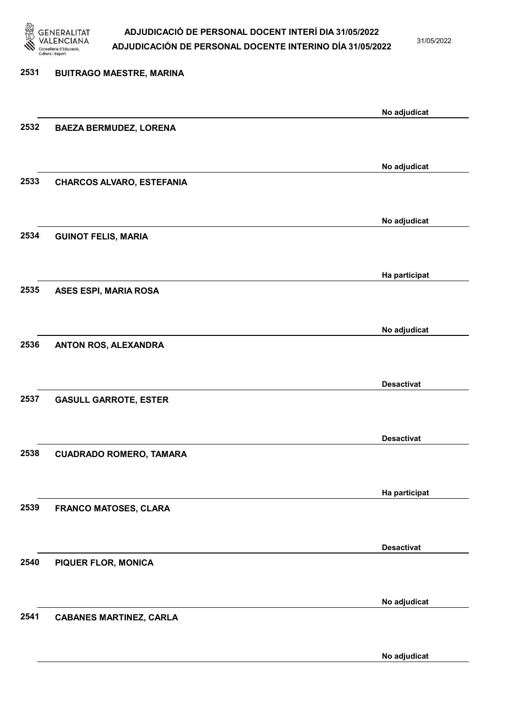

31/05/2022

# 2531 BUITRAGO MAESTRE, MARINA No adjudicat 2532 BAEZA BERMUDEZ, LORENA No adjudicat 2533 CHARCOS ALVARO, ESTEFANIA No adjudicat 2534 GUINOT FELIS, MARIA Ha participat 2535 ASES ESPI, MARIA ROSA No adjudicat 2536 ANTON ROS, ALEXANDRA Desactivat 2537 GASULL GARROTE, ESTER Desactivat 2538 CUADRADO ROMERO, TAMARA Ha participat 2539 FRANCO MATOSES, CLARA Desactivat 2540 PIQUER FLOR, MONICA No adjudicat 2541 CABANES MARTINEZ, CARLA

No adjudicat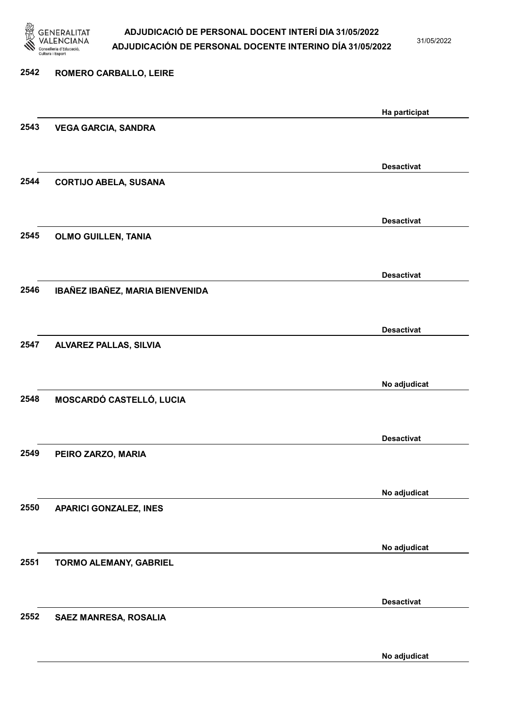

31/05/2022

No adjudicat

| 2542 | ROMERO CARBALLO, LEIRE          |                   |
|------|---------------------------------|-------------------|
|      |                                 | Ha participat     |
| 2543 | <b>VEGA GARCIA, SANDRA</b>      |                   |
|      |                                 | <b>Desactivat</b> |
| 2544 | <b>CORTIJO ABELA, SUSANA</b>    |                   |
|      |                                 | <b>Desactivat</b> |
| 2545 | <b>OLMO GUILLEN, TANIA</b>      |                   |
|      |                                 | <b>Desactivat</b> |
| 2546 | IBAÑEZ IBAÑEZ, MARIA BIENVENIDA |                   |
|      |                                 | <b>Desactivat</b> |
| 2547 | <b>ALVAREZ PALLAS, SILVIA</b>   |                   |
|      |                                 | No adjudicat      |
| 2548 | MOSCARDÓ CASTELLÓ, LUCIA        |                   |
|      |                                 | <b>Desactivat</b> |
| 2549 | PEIRO ZARZO, MARIA              |                   |
|      |                                 | No adjudicat      |
| 2550 | <b>APARICI GONZALEZ, INES</b>   |                   |
|      |                                 | No adjudicat      |
| 2551 | TORMO ALEMANY, GABRIEL          |                   |
|      |                                 | <b>Desactivat</b> |
| 2552 | SAEZ MANRESA, ROSALIA           |                   |
|      |                                 |                   |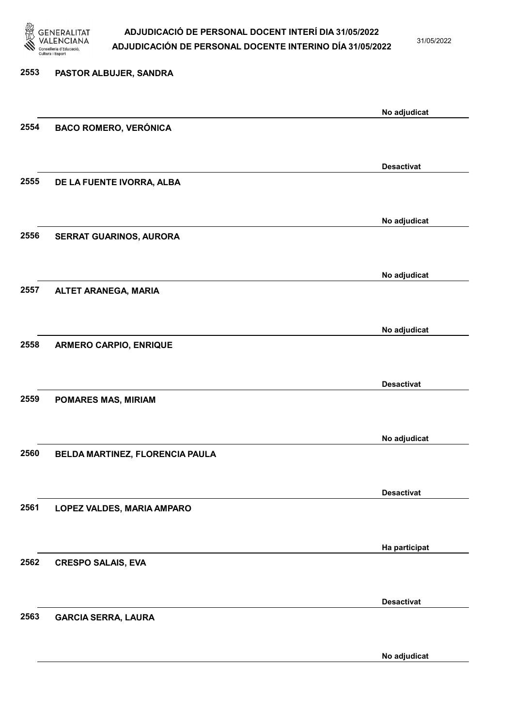

31/05/2022

No adjudicat

# 2553 PASTOR ALBUJER, SANDRA No adjudicat 2554 BACO ROMERO, VERÓNICA Desactivat 2555 DE LA FUENTE IVORRA, ALBA No adjudicat 2556 SERRAT GUARINOS, AURORA No adjudicat 2557 ALTET ARANEGA, MARIA No adjudicat 2558 ARMERO CARPIO, ENRIQUE Desactivat 2559 POMARES MAS, MIRIAM No adjudicat 2560 BELDA MARTINEZ, FLORENCIA PAULA Desactivat 2561 LOPEZ VALDES, MARIA AMPARO Ha participat 2562 CRESPO SALAIS, EVA Desactivat 2563 GARCIA SERRA, LAURA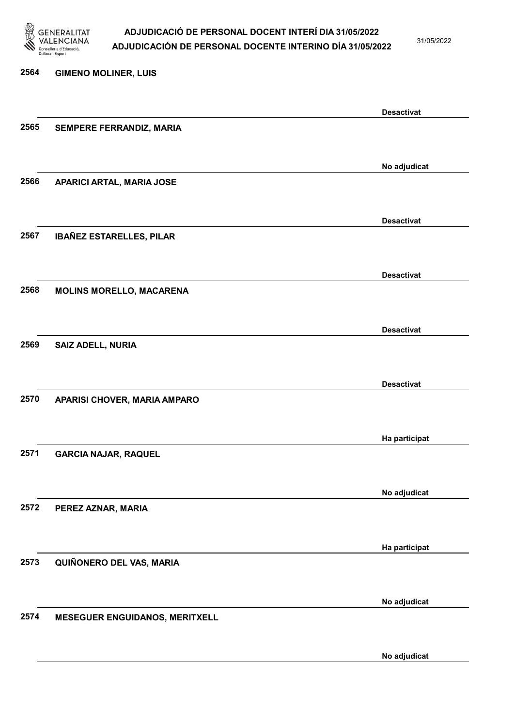

31/05/2022

No adjudicat

# 2564 GIMENO MOLINER, LUIS Desactivat 2565 SEMPERE FERRANDIZ, MARIA No adjudicat 2566 APARICI ARTAL, MARIA JOSE Desactivat 2567 IBAÑEZ ESTARELLES, PILAR Desactivat 2568 MOLINS MORELLO, MACARENA Desactivat 2569 SAIZ ADELL, NURIA Desactivat 2570 APARISI CHOVER, MARIA AMPARO Ha participat 2571 GARCIA NAJAR, RAQUEL No adjudicat 2572 PEREZ AZNAR, MARIA Ha participat 2573 QUIÑONERO DEL VAS, MARIA No adjudicat 2574 MESEGUER ENGUIDANOS, MERITXELL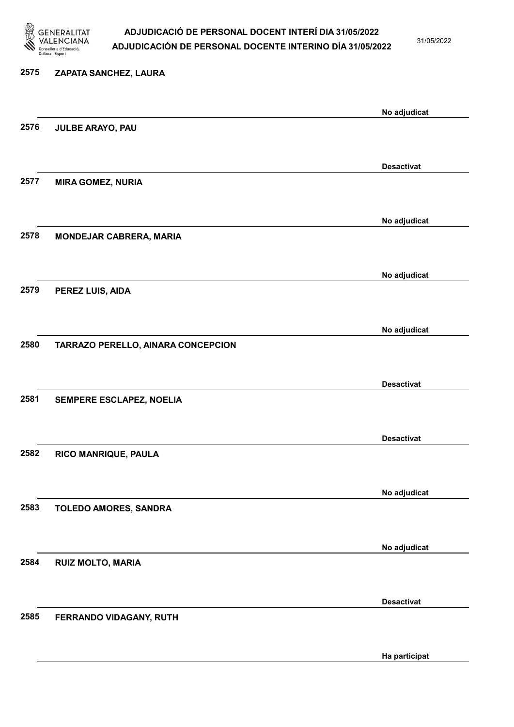

31/05/2022

Ha participat

# 2575 ZAPATA SANCHEZ, LAURA No adjudicat 2576 JULBE ARAYO, PAU Desactivat 2577 MIRA GOMEZ, NURIA No adjudicat 2578 MONDEJAR CABRERA, MARIA No adjudicat 2579 PEREZ LUIS, AIDA No adjudicat 2580 TARRAZO PERELLO, AINARA CONCEPCION Desactivat 2581 SEMPERE ESCLAPEZ, NOELIA Desactivat 2582 RICO MANRIQUE, PAULA No adjudicat 2583 TOLEDO AMORES, SANDRA No adjudicat 2584 RUIZ MOLTO, MARIA Desactivat 2585 FERRANDO VIDAGANY, RUTH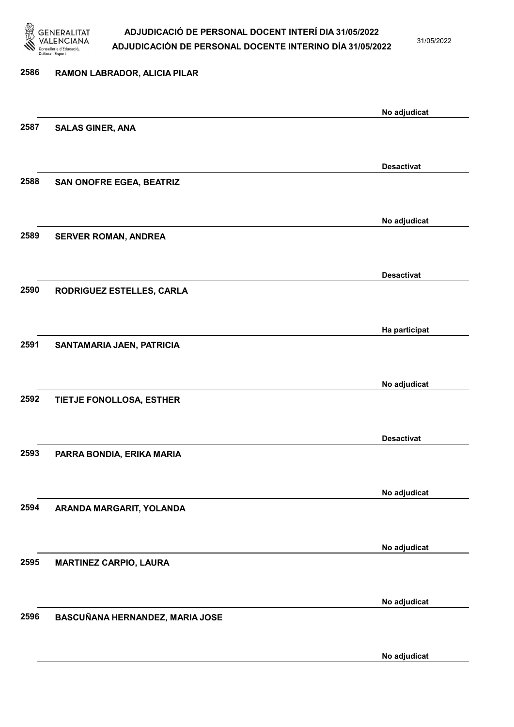

31/05/2022

#### 2586 RAMON LABRADOR, ALICIA PILAR

No adjudicat 2587 SALAS GINER, ANA Desactivat 2588 SAN ONOFRE EGEA, BEATRIZ No adjudicat 2589 SERVER ROMAN, ANDREA Desactivat 2590 RODRIGUEZ ESTELLES, CARLA Ha participat 2591 SANTAMARIA JAEN, PATRICIA No adjudicat 2592 TIETJE FONOLLOSA, ESTHER Desactivat 2593 PARRA BONDIA, ERIKA MARIA No adjudicat 2594 ARANDA MARGARIT, YOLANDA No adjudicat 2595 MARTINEZ CARPIO, LAURA No adjudicat 2596 BASCUÑANA HERNANDEZ, MARIA JOSE No adjudicat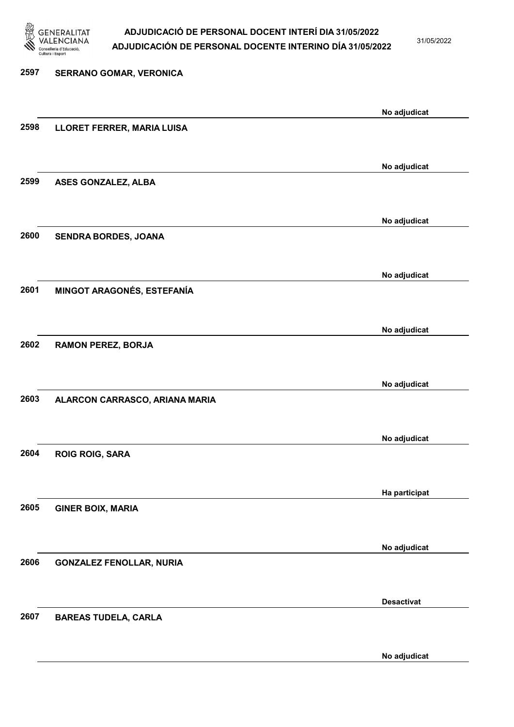

31/05/2022

No adjudicat

# 2597 SERRANO GOMAR, VERONICA No adjudicat 2598 LLORET FERRER, MARIA LUISA No adjudicat 2599 ASES GONZALEZ, ALBA No adjudicat 2600 SENDRA BORDES, JOANA No adjudicat 2601 MINGOT ARAGONÉS, ESTEFANÍA No adjudicat 2602 RAMON PEREZ, BORJA No adjudicat 2603 ALARCON CARRASCO, ARIANA MARIA No adjudicat 2604 ROIG ROIG, SARA Ha participat 2605 GINER BOIX, MARIA No adjudicat 2606 GONZALEZ FENOLLAR, NURIA Desactivat 2607 BAREAS TUDELA, CARLA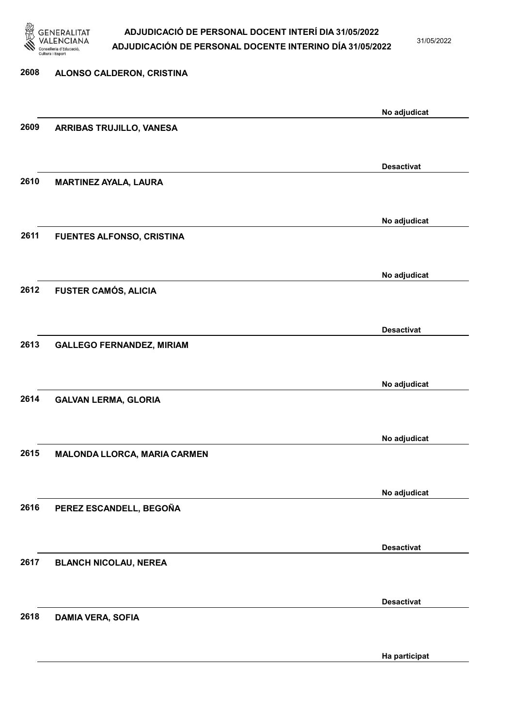

31/05/2022

| 2608 | ALONSO CALDERON, CRISTINA        |                   |
|------|----------------------------------|-------------------|
|      |                                  | No adjudicat      |
| 2609 | ARRIBAS TRUJILLO, VANESA         |                   |
|      |                                  | <b>Desactivat</b> |
| 2610 | <b>MARTINEZ AYALA, LAURA</b>     |                   |
|      |                                  | No adjudicat      |
| 2611 | FUENTES ALFONSO, CRISTINA        |                   |
|      |                                  | No adjudicat      |
| 2612 | <b>FUSTER CAMÓS, ALICIA</b>      |                   |
|      |                                  | <b>Desactivat</b> |
| 2613 | <b>GALLEGO FERNANDEZ, MIRIAM</b> |                   |
|      |                                  | No adjudicat      |
| 2614 | <b>GALVAN LERMA, GLORIA</b>      |                   |
|      |                                  | No adjudicat      |
| 2615 | MALONDA LLORCA, MARIA CARMEN     |                   |
|      |                                  | No adjudicat      |
| 2616 | PEREZ ESCANDELL, BEGOÑA          |                   |
|      |                                  | <b>Desactivat</b> |
| 2617 | <b>BLANCH NICOLAU, NEREA</b>     |                   |
| 2618 |                                  | <b>Desactivat</b> |
|      | <b>DAMIA VERA, SOFIA</b>         |                   |

Ha participat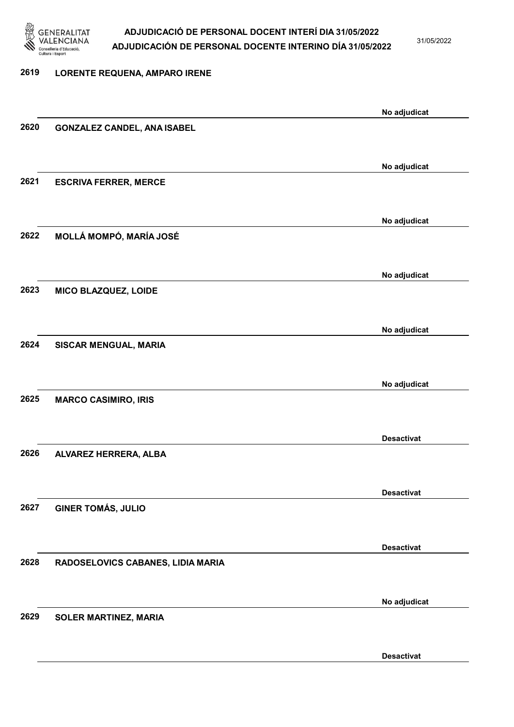

31/05/2022

#### 2619 LORENTE REQUENA, AMPARO IRENE

|      |                                    | No adjudicat      |
|------|------------------------------------|-------------------|
| 2620 | <b>GONZALEZ CANDEL, ANA ISABEL</b> |                   |
|      |                                    |                   |
|      |                                    | No adjudicat      |
| 2621 | <b>ESCRIVA FERRER, MERCE</b>       |                   |
|      |                                    |                   |
|      |                                    |                   |
|      |                                    | No adjudicat      |
| 2622 | MOLLÁ MOMPÓ, MARÍA JOSÉ            |                   |
|      |                                    |                   |
|      |                                    | No adjudicat      |
| 2623 | MICO BLAZQUEZ, LOIDE               |                   |
|      |                                    |                   |
|      |                                    | No adjudicat      |
| 2624 | SISCAR MENGUAL, MARIA              |                   |
|      |                                    |                   |
|      |                                    | No adjudicat      |
| 2625 | <b>MARCO CASIMIRO, IRIS</b>        |                   |
|      |                                    |                   |
|      |                                    |                   |
|      |                                    | <b>Desactivat</b> |
| 2626 | ALVAREZ HERRERA, ALBA              |                   |
|      |                                    |                   |
|      |                                    | <b>Desactivat</b> |
| 2627 | <b>GINER TOMÁS, JULIO</b>          |                   |
|      |                                    |                   |
|      |                                    | <b>Desactivat</b> |
| 2628 | RADOSELOVICS CABANES, LIDIA MARIA  |                   |
|      |                                    |                   |
|      |                                    |                   |
| 2629 | SOLER MARTINEZ, MARIA              | No adjudicat      |
|      |                                    |                   |
|      |                                    |                   |
|      |                                    | <b>Desactivat</b> |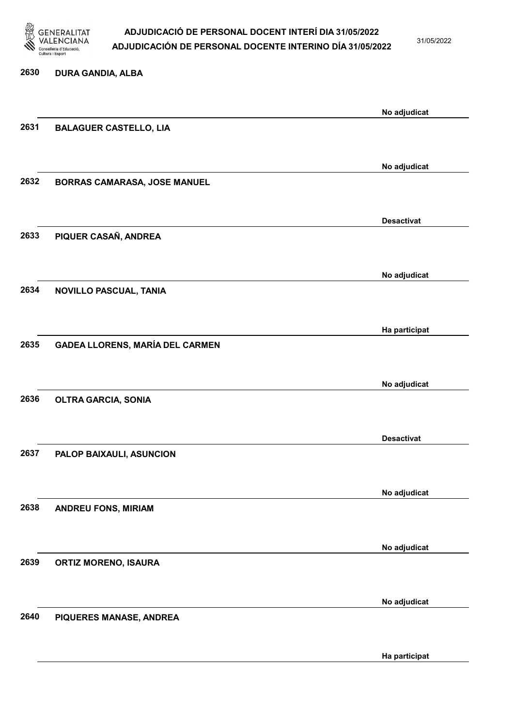

31/05/2022

Ha participat

# 2630 DURA GANDIA, ALBA No adjudicat 2631 BALAGUER CASTELLO, LIA No adjudicat 2632 BORRAS CAMARASA, JOSE MANUEL Desactivat 2633 PIQUER CASAÑ, ANDREA No adjudicat 2634 NOVILLO PASCUAL, TANIA Ha participat 2635 GADEA LLORENS, MARÍA DEL CARMEN No adjudicat 2636 OLTRA GARCIA, SONIA Desactivat 2637 PALOP BAIXAULI, ASUNCION No adjudicat 2638 ANDREU FONS, MIRIAM No adjudicat 2639 ORTIZ MORENO, ISAURA No adjudicat 2640 PIQUERES MANASE, ANDREA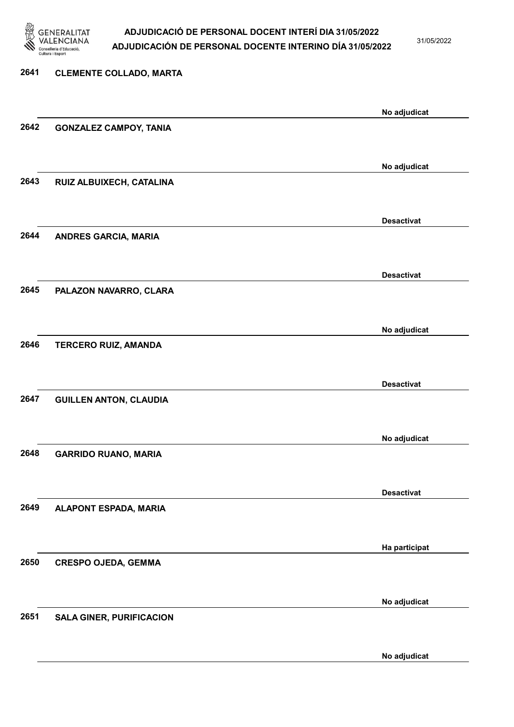

31/05/2022

No adjudicat

# 2641 CLEMENTE COLLADO, MARTA No adjudicat 2642 GONZALEZ CAMPOY, TANIA No adjudicat 2643 RUIZ ALBUIXECH, CATALINA Desactivat 2644 ANDRES GARCIA, MARIA Desactivat 2645 PALAZON NAVARRO, CLARA No adjudicat 2646 TERCERO RUIZ, AMANDA Desactivat 2647 GUILLEN ANTON, CLAUDIA No adjudicat 2648 GARRIDO RUANO, MARIA Desactivat 2649 ALAPONT ESPADA, MARIA Ha participat 2650 CRESPO OJEDA, GEMMA No adjudicat 2651 SALA GINER, PURIFICACION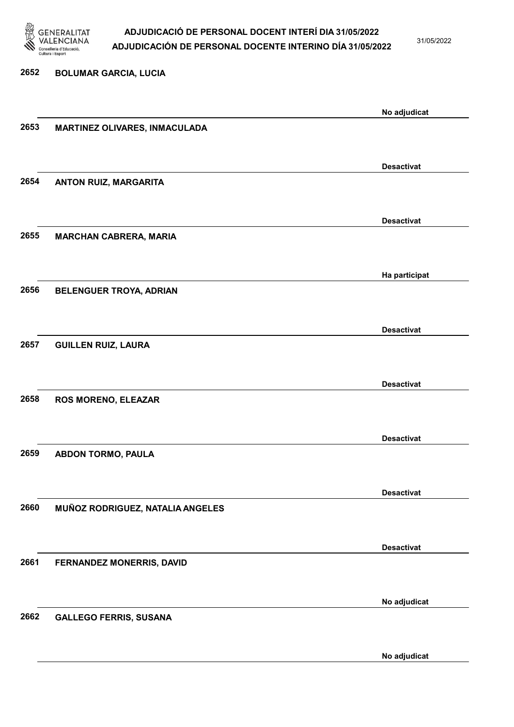

31/05/2022

No adjudicat

# 2652 BOLUMAR GARCIA, LUCIA No adjudicat 2653 MARTINEZ OLIVARES, INMACULADA Desactivat 2654 ANTON RUIZ, MARGARITA Desactivat 2655 MARCHAN CABRERA, MARIA Ha participat 2656 BELENGUER TROYA, ADRIAN Desactivat 2657 GUILLEN RUIZ, LAURA Desactivat 2658 ROS MORENO, ELEAZAR Desactivat 2659 ABDON TORMO, PAULA Desactivat 2660 MUÑOZ RODRIGUEZ, NATALIA ANGELES Desactivat 2661 FERNANDEZ MONERRIS, DAVID No adjudicat 2662 GALLEGO FERRIS, SUSANA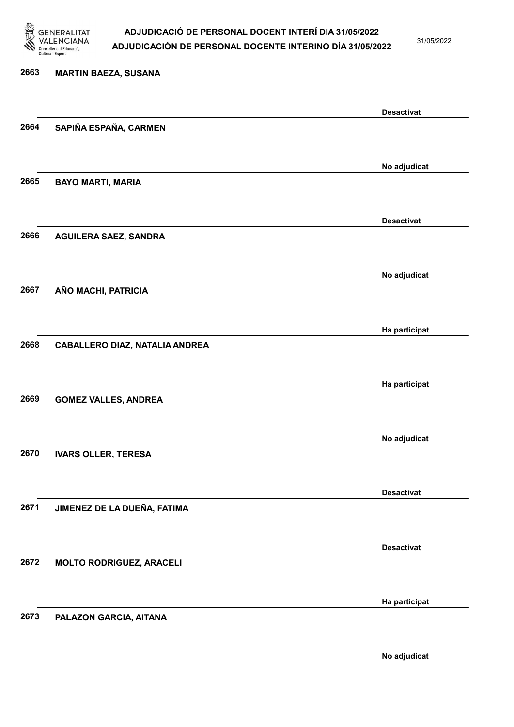

31/05/2022

#### 2663 MARTIN BAEZA, SUSANA

|      |                                       | <b>Desactivat</b> |
|------|---------------------------------------|-------------------|
| 2664 | SAPIÑA ESPAÑA, CARMEN                 |                   |
|      |                                       |                   |
|      |                                       | No adjudicat      |
| 2665 | <b>BAYO MARTI, MARIA</b>              |                   |
|      |                                       |                   |
| 2666 |                                       | <b>Desactivat</b> |
|      | <b>AGUILERA SAEZ, SANDRA</b>          |                   |
|      |                                       | No adjudicat      |
| 2667 | AÑO MACHI, PATRICIA                   |                   |
|      |                                       |                   |
|      |                                       | Ha participat     |
| 2668 | <b>CABALLERO DIAZ, NATALIA ANDREA</b> |                   |
|      |                                       |                   |
|      |                                       | Ha participat     |
| 2669 | <b>GOMEZ VALLES, ANDREA</b>           |                   |
|      |                                       |                   |
| 2670 | <b>IVARS OLLER, TERESA</b>            | No adjudicat      |
|      |                                       |                   |
|      |                                       | <b>Desactivat</b> |
| 2671 | JIMENEZ DE LA DUEÑA, FATIMA           |                   |
|      |                                       |                   |
|      |                                       | <b>Desactivat</b> |
| 2672 | <b>MOLTO RODRIGUEZ, ARACELI</b>       |                   |
|      |                                       |                   |
| 2673 |                                       | Ha participat     |
|      | PALAZON GARCIA, AITANA                |                   |
|      |                                       | No adjudicat      |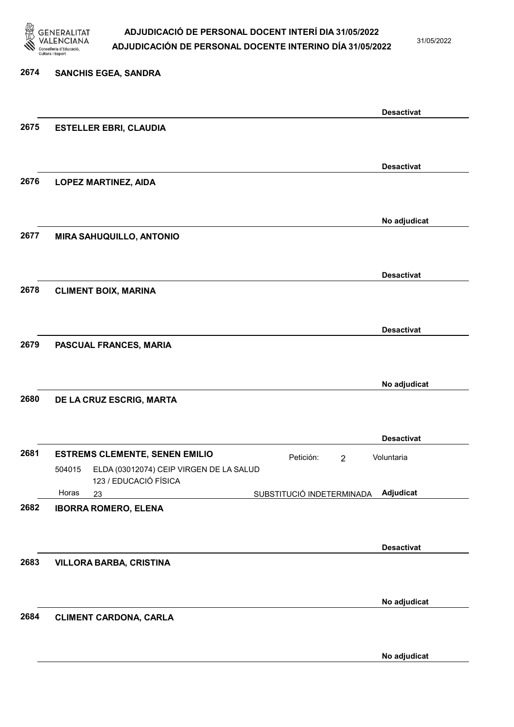

31/05/2022

### 2674 SANCHIS EGEA, SANDRA Desactivat 2675 ESTELLER EBRI, CLAUDIA Desactivat 2676 LOPEZ MARTINEZ, AIDA No adjudicat 2677 MIRA SAHUQUILLO, ANTONIO Desactivat 2678 CLIMENT BOIX, MARINA Desactivat 2679 PASCUAL FRANCES, MARIA No adjudicat 2680 DE LA CRUZ ESCRIG, MARTA Desactivat 2681 ESTREMS CLEMENTE, SENEN EMILIO<br>
2681 ESTREMS CLEMENTE, SENEN EMILIO 23 SUBSTITUCIÓ INDETERMINADA ELDA (03012074) CEIP VIRGEN DE LA SALUD 123 / EDUCACIÓ FÍSICA Adjudicat Voluntaria 504015 Horas 2682 IBORRA ROMERO, ELENA Desactivat 2683 VILLORA BARBA, CRISTINA No adjudicat 2684 CLIMENT CARDONA, CARLA No adjudicat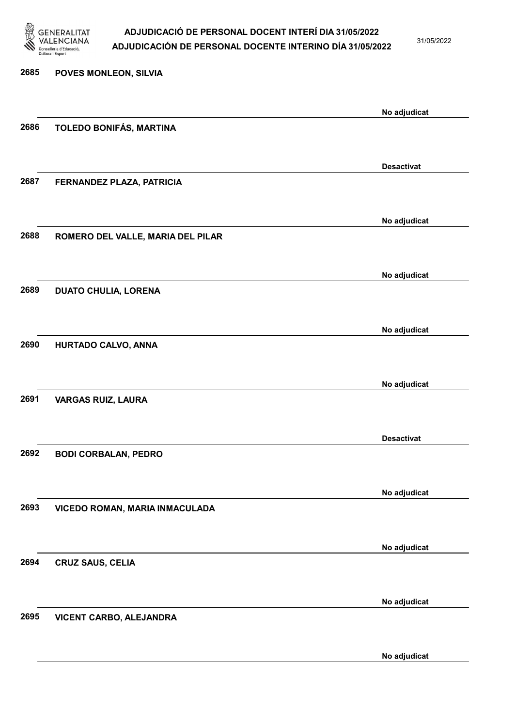

31/05/2022

No adjudicat

# 2685 POVES MONLEON, SILVIA No adjudicat 2686 TOLEDO BONIFÁS, MARTINA Desactivat 2687 FERNANDEZ PLAZA, PATRICIA No adjudicat 2688 ROMERO DEL VALLE, MARIA DEL PILAR No adjudicat 2689 DUATO CHULIA, LORENA No adjudicat 2690 HURTADO CALVO, ANNA No adjudicat 2691 VARGAS RUIZ, LAURA Desactivat 2692 BODI CORBALAN, PEDRO No adjudicat 2693 VICEDO ROMAN, MARIA INMACULADA No adjudicat 2694 CRUZ SAUS, CELIA No adjudicat 2695 VICENT CARBO, ALEJANDRA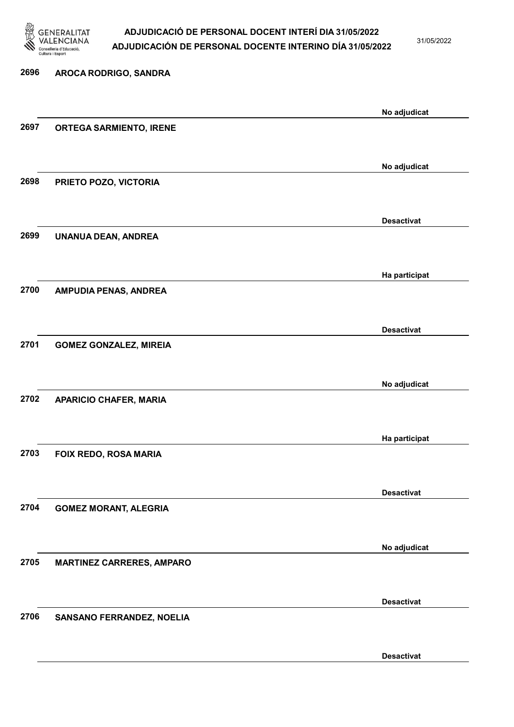

31/05/2022

Desactivat

# 2696 AROCA RODRIGO, SANDRA No adjudicat 2697 ORTEGA SARMIENTO, IRENE No adjudicat 2698 PRIETO POZO, VICTORIA Desactivat 2699 UNANUA DEAN, ANDREA Ha participat 2700 AMPUDIA PENAS, ANDREA Desactivat 2701 GOMEZ GONZALEZ, MIREIA No adjudicat 2702 APARICIO CHAFER, MARIA Ha participat 2703 FOIX REDO, ROSA MARIA Desactivat 2704 GOMEZ MORANT, ALEGRIA No adjudicat 2705 MARTINEZ CARRERES, AMPARO Desactivat 2706 SANSANO FERRANDEZ, NOELIA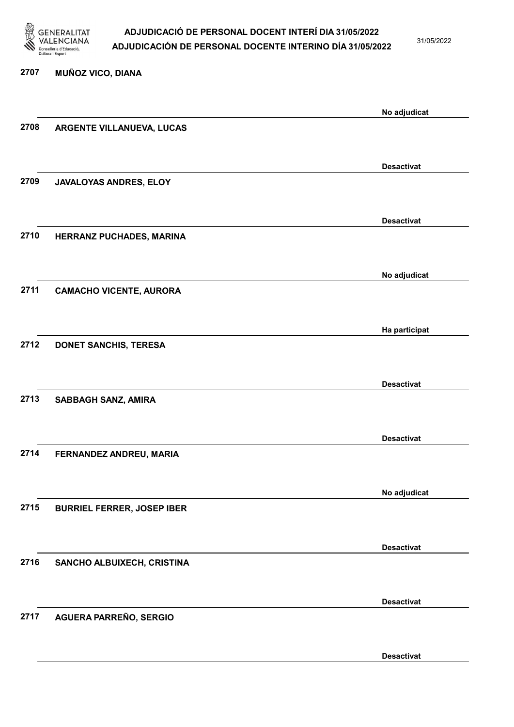

31/05/2022

# 2707 MUÑOZ VICO, DIANA No adjudicat 2708 ARGENTE VILLANUEVA, LUCAS Desactivat 2709 JAVALOYAS ANDRES, ELOY Desactivat 2710 HERRANZ PUCHADES, MARINA No adjudicat 2711 CAMACHO VICENTE, AURORA Ha participat 2712 DONET SANCHIS, TERESA Desactivat 2713 SABBAGH SANZ, AMIRA Desactivat 2714 FERNANDEZ ANDREU, MARIA No adjudicat 2715 BURRIEL FERRER, JOSEP IBER Desactivat 2716 SANCHO ALBUIXECH, CRISTINA Desactivat 2717 AGUERA PARREÑO, SERGIO

Desactivat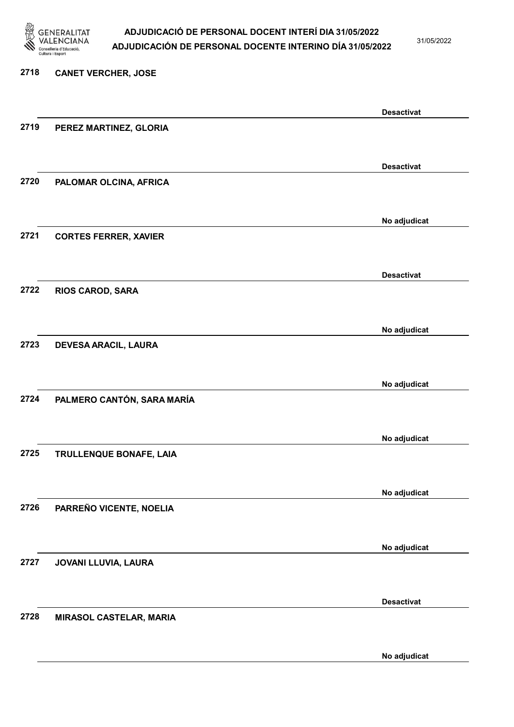

31/05/2022

#### 2718 CANET VERCHER, JOSE

|      |                              | <b>Desactivat</b> |
|------|------------------------------|-------------------|
| 2719 | PEREZ MARTINEZ, GLORIA       |                   |
|      |                              |                   |
|      |                              | <b>Desactivat</b> |
| 2720 | PALOMAR OLCINA, AFRICA       |                   |
|      |                              |                   |
|      |                              |                   |
|      |                              | No adjudicat      |
| 2721 | <b>CORTES FERRER, XAVIER</b> |                   |
|      |                              |                   |
|      |                              | <b>Desactivat</b> |
| 2722 | <b>RIOS CAROD, SARA</b>      |                   |
|      |                              |                   |
|      |                              |                   |
| 2723 |                              | No adjudicat      |
|      | DEVESA ARACIL, LAURA         |                   |
|      |                              |                   |
|      |                              | No adjudicat      |
| 2724 | PALMERO CANTÓN, SARA MARÍA   |                   |
|      |                              |                   |
|      |                              | No adjudicat      |
| 2725 | TRULLENQUE BONAFE, LAIA      |                   |
|      |                              |                   |
|      |                              |                   |
|      |                              | No adjudicat      |
| 2726 | PARREÑO VICENTE, NOELIA      |                   |
|      |                              |                   |
|      |                              | No adjudicat      |
| 2727 | JOVANI LLUVIA, LAURA         |                   |
|      |                              |                   |
|      |                              | <b>Desactivat</b> |
| 2728 | MIRASOL CASTELAR, MARIA      |                   |
|      |                              |                   |
|      |                              |                   |
|      |                              | No adjudicat      |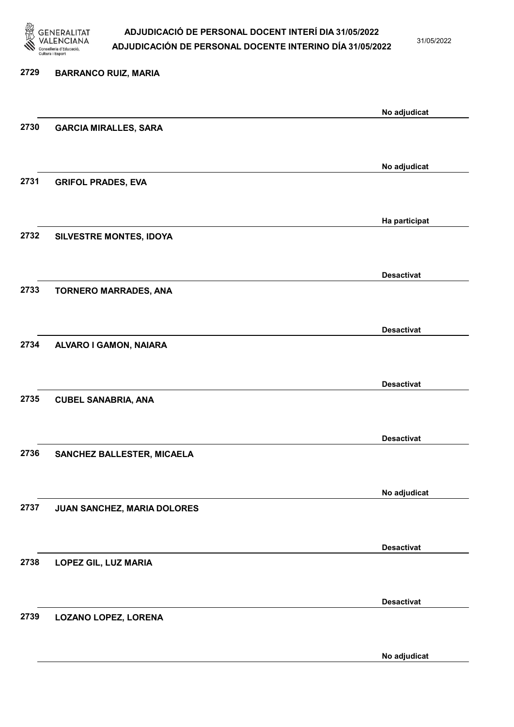

31/05/2022

# 2729 BARRANCO RUIZ, MARIA No adjudicat 2730 GARCIA MIRALLES, SARA No adjudicat 2731 GRIFOL PRADES, EVA Ha participat 2732 SILVESTRE MONTES, IDOYA Desactivat 2733 TORNERO MARRADES, ANA Desactivat 2734 ALVARO I GAMON, NAIARA Desactivat 2735 CUBEL SANABRIA, ANA Desactivat 2736 SANCHEZ BALLESTER, MICAELA No adjudicat 2737 JUAN SANCHEZ, MARIA DOLORES Desactivat 2738 LOPEZ GIL, LUZ MARIA Desactivat 2739 LOZANO LOPEZ, LORENA

No adjudicat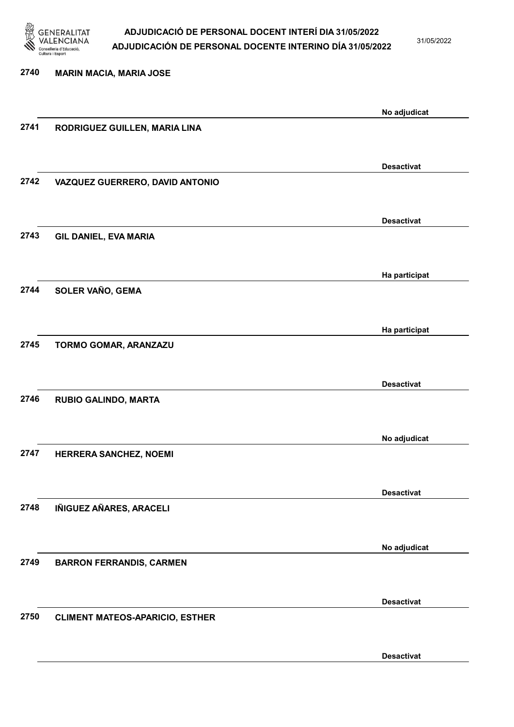

31/05/2022

Desactivat

2740 MARIN MACIA, MARIA JOSE No adjudicat 2741 RODRIGUEZ GUILLEN, MARIA LINA Desactivat 2742 VAZQUEZ GUERRERO, DAVID ANTONIO Desactivat 2743 GIL DANIEL, EVA MARIA Ha participat 2744 SOLER VAÑO, GEMA Ha participat 2745 TORMO GOMAR, ARANZAZU Desactivat 2746 RUBIO GALINDO, MARTA No adjudicat 2747 HERRERA SANCHEZ, NOEMI Desactivat 2748 IÑIGUEZ AÑARES, ARACELI No adjudicat 2749 BARRON FERRANDIS, CARMEN Desactivat 2750 CLIMENT MATEOS-APARICIO, ESTHER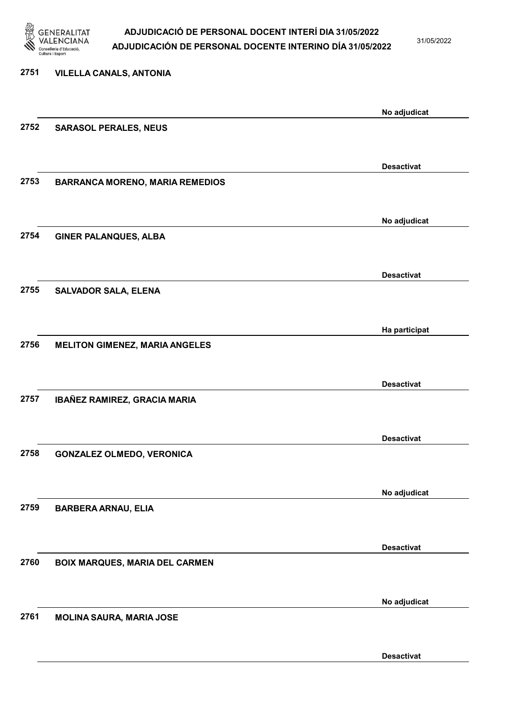

31/05/2022

# 2751 VILELLA CANALS, ANTONIA No adjudicat 2752 SARASOL PERALES, NEUS Desactivat 2753 BARRANCA MORENO, MARIA REMEDIOS No adjudicat 2754 GINER PALANQUES, ALBA Desactivat 2755 SALVADOR SALA, ELENA Ha participat 2756 MELITON GIMENEZ, MARIA ANGELES Desactivat 2757 IBAÑEZ RAMIREZ, GRACIA MARIA Desactivat 2758 GONZALEZ OLMEDO, VERONICA No adjudicat 2759 BARBERA ARNAU, ELIA Desactivat 2760 BOIX MARQUES, MARIA DEL CARMEN No adjudicat 2761 MOLINA SAURA, MARIA JOSE

Desactivat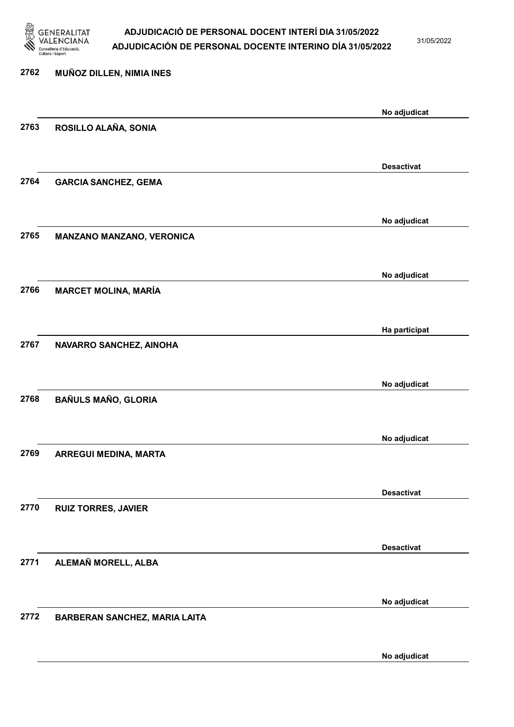

31/05/2022

No adjudicat

| 2762 | MUÑOZ DILLEN, NIMIA INES             |                   |
|------|--------------------------------------|-------------------|
|      |                                      | No adjudicat      |
| 2763 | ROSILLO ALAÑA, SONIA                 |                   |
|      |                                      |                   |
|      |                                      | <b>Desactivat</b> |
| 2764 | <b>GARCIA SANCHEZ, GEMA</b>          |                   |
|      |                                      | No adjudicat      |
| 2765 | <b>MANZANO MANZANO, VERONICA</b>     |                   |
|      |                                      | No adjudicat      |
| 2766 | <b>MARCET MOLINA, MARÍA</b>          |                   |
|      |                                      |                   |
|      |                                      |                   |
| 2767 | NAVARRO SANCHEZ, AINOHA              | Ha participat     |
|      |                                      |                   |
|      |                                      |                   |
| 2768 | <b>BAÑULS MAÑO, GLORIA</b>           | No adjudicat      |
|      |                                      |                   |
|      |                                      |                   |
| 2769 |                                      | No adjudicat      |
|      | ARREGUI MEDINA, MARTA                |                   |
|      |                                      |                   |
|      |                                      | <b>Desactivat</b> |
| 2770 | <b>RUIZ TORRES, JAVIER</b>           |                   |
|      |                                      |                   |
|      |                                      | <b>Desactivat</b> |
| 2771 | ALEMAÑ MORELL, ALBA                  |                   |
|      |                                      |                   |
|      |                                      | No adjudicat      |
| 2772 | <b>BARBERAN SANCHEZ, MARIA LAITA</b> |                   |
|      |                                      |                   |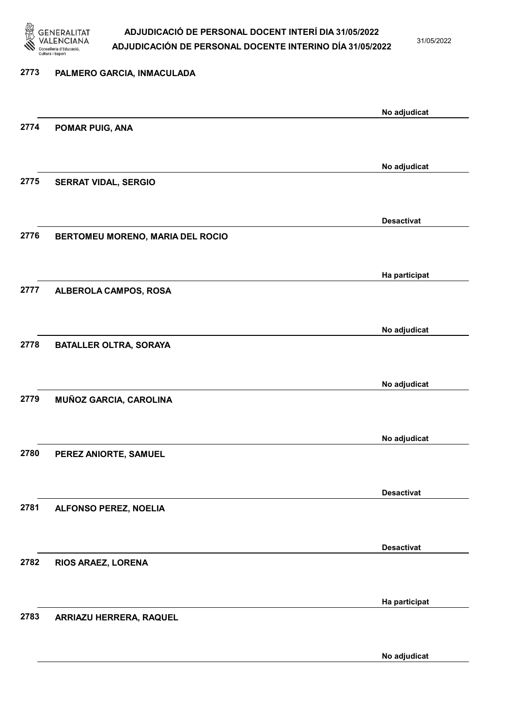

31/05/2022

No adjudicat

# 2773 PALMERO GARCIA, INMACULADA No adjudicat 2774 POMAR PUIG, ANA No adjudicat 2775 SERRAT VIDAL, SERGIO Desactivat 2776 BERTOMEU MORENO, MARIA DEL ROCIO Ha participat 2777 ALBEROLA CAMPOS, ROSA No adjudicat 2778 BATALLER OLTRA, SORAYA No adjudicat 2779 MUÑOZ GARCIA, CAROLINA No adjudicat 2780 PEREZ ANIORTE, SAMUEL Desactivat 2781 ALFONSO PEREZ, NOELIA Desactivat 2782 RIOS ARAEZ, LORENA Ha participat 2783 ARRIAZU HERRERA, RAQUEL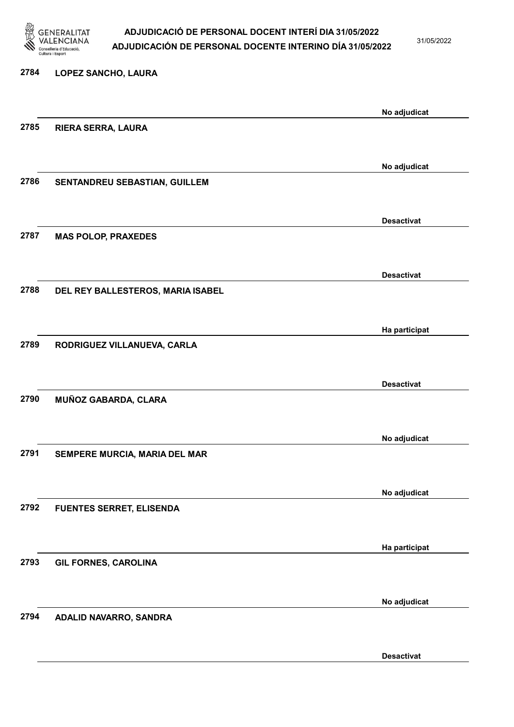

31/05/2022

### 2784 LOPEZ SANCHO, LAURA No adjudicat 2785 RIERA SERRA, LAURA No adjudicat 2786 SENTANDREU SEBASTIAN, GUILLEM Desactivat 2787 MAS POLOP, PRAXEDES Desactivat 2788 DEL REY BALLESTEROS, MARIA ISABEL Ha participat 2789 RODRIGUEZ VILLANUEVA, CARLA Desactivat 2790 MUÑOZ GABARDA, CLARA No adjudicat 2791 SEMPERE MURCIA, MARIA DEL MAR No adjudicat 2792 FUENTES SERRET, ELISENDA Ha participat 2793 GIL FORNES, CAROLINA

2794 ADALID NAVARRO, SANDRA

Desactivat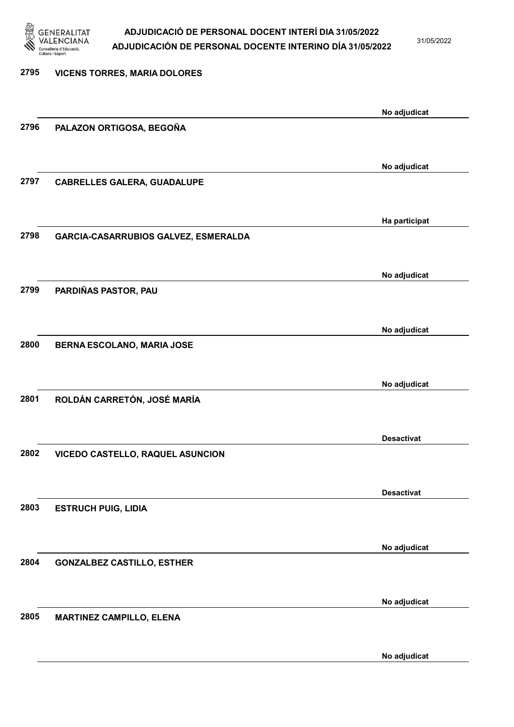

31/05/2022

| 2795 | <b>VICENS TORRES, MARIA DOLORES</b>  |                   |
|------|--------------------------------------|-------------------|
|      |                                      | No adjudicat      |
| 2796 | PALAZON ORTIGOSA, BEGOÑA             |                   |
|      |                                      |                   |
| 2797 | <b>CABRELLES GALERA, GUADALUPE</b>   | No adjudicat      |
|      |                                      |                   |
|      |                                      | Ha participat     |
| 2798 | GARCIA-CASARRUBIOS GALVEZ, ESMERALDA |                   |
|      |                                      | No adjudicat      |
| 2799 | PARDIÑAS PASTOR, PAU                 |                   |
|      |                                      |                   |
| 2800 |                                      | No adjudicat      |
|      | BERNA ESCOLANO, MARIA JOSE           |                   |
|      |                                      | No adjudicat      |
| 2801 | ROLDÁN CARRETÓN, JOSÉ MARÍA          |                   |
|      |                                      |                   |
| 2802 | VICEDO CASTELLO, RAQUEL ASUNCION     | <b>Desactivat</b> |
|      |                                      |                   |
|      |                                      | <b>Desactivat</b> |
| 2803 | <b>ESTRUCH PUIG, LIDIA</b>           |                   |
|      |                                      | No adjudicat      |
| 2804 | <b>GONZALBEZ CASTILLO, ESTHER</b>    |                   |
|      |                                      |                   |
| 2805 |                                      | No adjudicat      |
|      | <b>MARTINEZ CAMPILLO, ELENA</b>      |                   |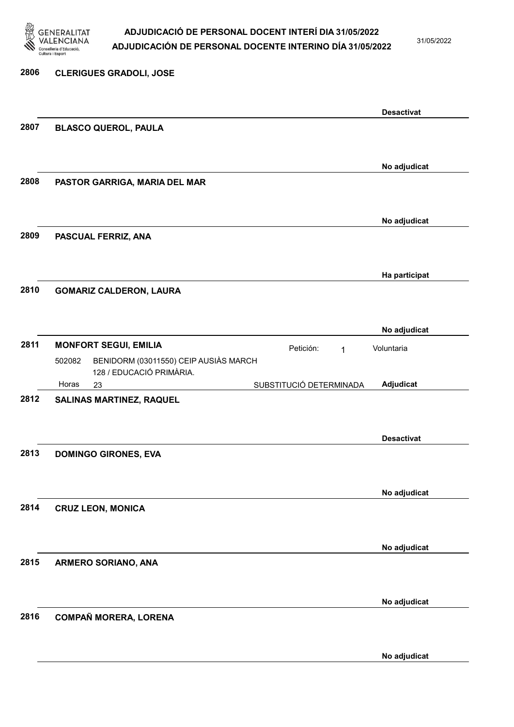

31/05/2022

No adjudicat

### 2806 CLERIGUES GRADOLI, JOSE Desactivat 2807 BLASCO QUEROL, PAULA No adjudicat 2808 PASTOR GARRIGA, MARIA DEL MAR No adjudicat 2809 PASCUAL FERRIZ, ANA Ha participat 2810 GOMARIZ CALDERON, LAURA No adjudicat 2811 MONFORT SEGUI, EMILIA **El proportante de la proportante de la proportante de la proportante de la proporta** 23 SUBSTITUCIÓ DETERMINADA BENIDORM (03011550) CEIP AUSIÀS MARCH 128 / EDUCACIÓ PRIMÀRIA. Adjudicat Voluntaria 502082 Horas 2812 SALINAS MARTINEZ, RAQUEL Desactivat 2813 DOMINGO GIRONES, EVA No adjudicat 2814 CRUZ LEON, MONICA No adjudicat 2815 ARMERO SORIANO, ANA No adjudicat 2816 COMPAÑ MORERA, LORENA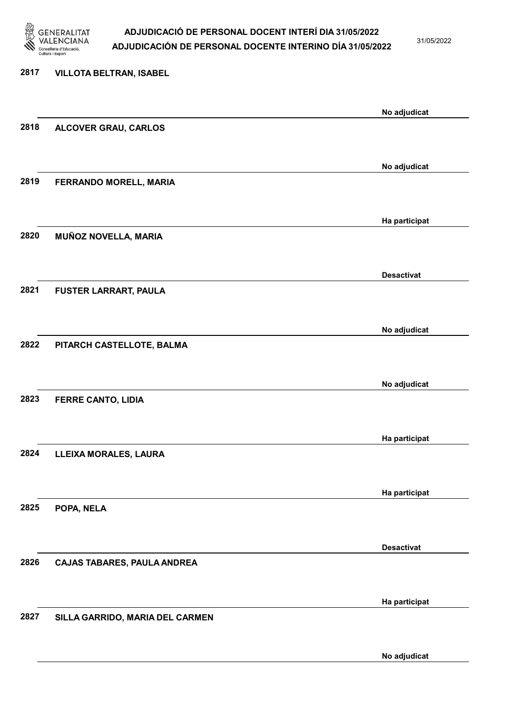

31/05/2022

### 2817 VILLOTA BELTRAN, ISABEL No adjudicat 2818 ALCOVER GRAU, CARLOS No adjudicat 2819 FERRANDO MORELL, MARIA Ha participat 2820 MUÑOZ NOVELLA, MARIA Desactivat 2821 FUSTER LARRART, PAULA No adjudicat 2822 PITARCH CASTELLOTE, BALMA No adjudicat 2823 FERRE CANTO, LIDIA Ha participat 2824 LLEIXA MORALES, LAURA Ha participat 2825 POPA, NELA Desactivat 2826 CAJAS TABARES, PAULA ANDREA Ha participat 2827 SILLA GARRIDO, MARIA DEL CARMEN No adjudicat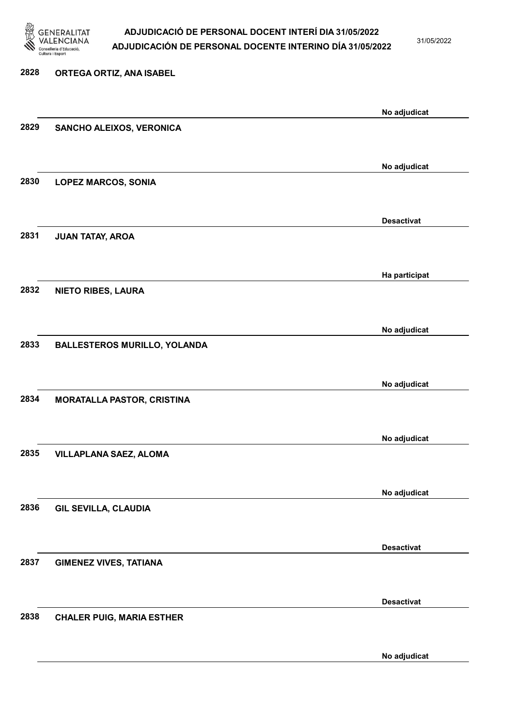

31/05/2022

| 2828 | ORTEGA ORTIZ, ANA ISABEL            |                   |
|------|-------------------------------------|-------------------|
|      |                                     | No adjudicat      |
| 2829 | SANCHO ALEIXOS, VERONICA            |                   |
|      |                                     | No adjudicat      |
| 2830 | <b>LOPEZ MARCOS, SONIA</b>          |                   |
|      |                                     | <b>Desactivat</b> |
| 2831 | JUAN TATAY, AROA                    |                   |
|      |                                     | Ha participat     |
| 2832 | <b>NIETO RIBES, LAURA</b>           |                   |
|      |                                     | No adjudicat      |
| 2833 | <b>BALLESTEROS MURILLO, YOLANDA</b> |                   |
|      |                                     | No adjudicat      |
| 2834 | <b>MORATALLA PASTOR, CRISTINA</b>   |                   |
|      |                                     |                   |
| 2835 | <b>VILLAPLANA SAEZ, ALOMA</b>       | No adjudicat      |
|      |                                     |                   |
| 2836 | <b>GIL SEVILLA, CLAUDIA</b>         | No adjudicat      |
|      |                                     |                   |
|      |                                     | <b>Desactivat</b> |
| 2837 | <b>GIMENEZ VIVES, TATIANA</b>       |                   |
|      |                                     | <b>Desactivat</b> |
| 2838 | <b>CHALER PUIG, MARIA ESTHER</b>    |                   |
|      |                                     |                   |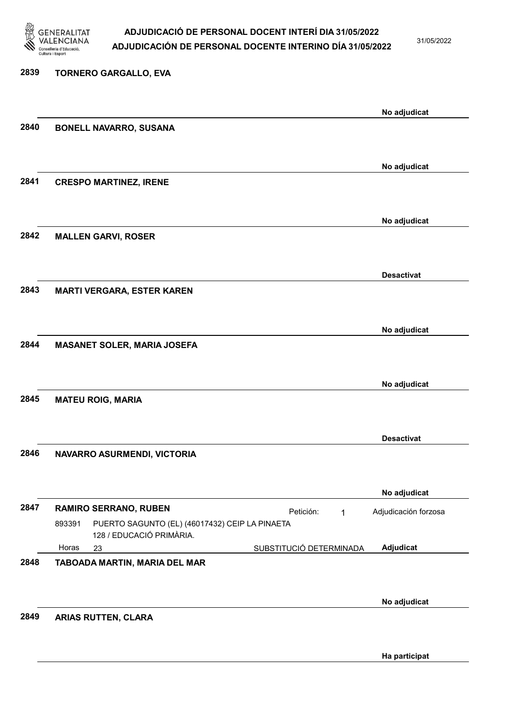

31/05/2022

Ha participat

### 2839 TORNERO GARGALLO, EVA No adjudicat 2840 BONELL NAVARRO, SUSANA No adjudicat 2841 CRESPO MARTINEZ, IRENE No adjudicat 2842 MALLEN GARVI, ROSER Desactivat 2843 MARTI VERGARA, ESTER KAREN No adjudicat 2844 MASANET SOLER, MARIA JOSEFA No adjudicat 2845 MATEU ROIG, MARIA Desactivat 2846 NAVARRO ASURMENDI, VICTORIA No adjudicat 2847 RAMIRO SERRANO, RUBEN Petición: 1 23 SUBSTITUCIÓ DETERMINADA PUERTO SAGUNTO (EL) (46017432) CEIP LA PINAETA 128 / EDUCACIÓ PRIMÀRIA. Adjudicat Adjudicación forzosa 893391 Horas 2848 TABOADA MARTIN, MARIA DEL MAR No adjudicat 2849 ARIAS RUTTEN, CLARA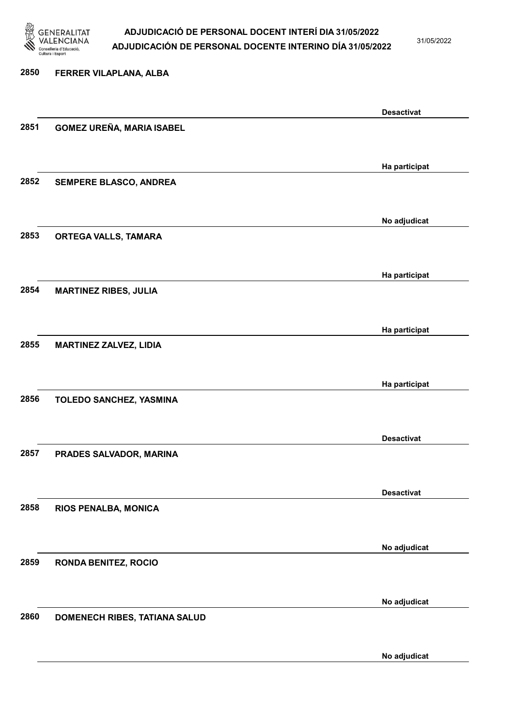

31/05/2022

### 2850 FERRER VILAPLANA, ALBA

|      |                                  | <b>Desactivat</b> |
|------|----------------------------------|-------------------|
| 2851 | <b>GOMEZ UREÑA, MARIA ISABEL</b> |                   |
|      |                                  |                   |
|      |                                  | Ha participat     |
| 2852 | SEMPERE BLASCO, ANDREA           |                   |
|      |                                  |                   |
|      |                                  | No adjudicat      |
| 2853 | ORTEGA VALLS, TAMARA             |                   |
|      |                                  |                   |
|      |                                  | Ha participat     |
| 2854 | <b>MARTINEZ RIBES, JULIA</b>     |                   |
|      |                                  |                   |
|      |                                  |                   |
| 2855 | <b>MARTINEZ ZALVEZ, LIDIA</b>    | Ha participat     |
|      |                                  |                   |
|      |                                  |                   |
| 2856 |                                  | Ha participat     |
|      | TOLEDO SANCHEZ, YASMINA          |                   |
|      |                                  |                   |
|      |                                  | <b>Desactivat</b> |
| 2857 | PRADES SALVADOR, MARINA          |                   |
|      |                                  |                   |
|      |                                  | <b>Desactivat</b> |
| 2858 | RIOS PENALBA, MONICA             |                   |
|      |                                  |                   |
|      |                                  | No adjudicat      |
| 2859 | <b>RONDA BENITEZ, ROCIO</b>      |                   |
|      |                                  |                   |
|      |                                  | No adjudicat      |
| 2860 | DOMENECH RIBES, TATIANA SALUD    |                   |
|      |                                  |                   |
|      |                                  | No adjudicat      |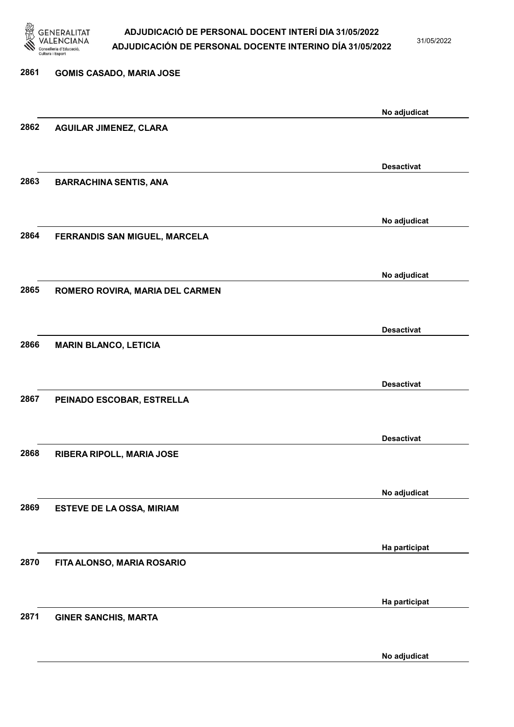

31/05/2022

| 2861 | <b>GOMIS CASADO, MARIA JOSE</b> |                   |
|------|---------------------------------|-------------------|
|      |                                 | No adjudicat      |
| 2862 | <b>AGUILAR JIMENEZ, CLARA</b>   |                   |
|      |                                 |                   |
|      |                                 | <b>Desactivat</b> |
| 2863 | <b>BARRACHINA SENTIS, ANA</b>   |                   |
|      |                                 | No adjudicat      |
| 2864 | FERRANDIS SAN MIGUEL, MARCELA   |                   |
|      |                                 |                   |
|      |                                 | No adjudicat      |
| 2865 | ROMERO ROVIRA, MARIA DEL CARMEN |                   |
|      |                                 |                   |
| 2866 | <b>MARIN BLANCO, LETICIA</b>    | <b>Desactivat</b> |
|      |                                 |                   |
|      |                                 | <b>Desactivat</b> |
| 2867 | PEINADO ESCOBAR, ESTRELLA       |                   |
|      |                                 |                   |
| 2868 | RIBERA RIPOLL, MARIA JOSE       | <b>Desactivat</b> |
|      |                                 |                   |
|      |                                 | No adjudicat      |
| 2869 | ESTEVE DE LA OSSA, MIRIAM       |                   |
|      |                                 |                   |
|      |                                 | Ha participat     |
| 2870 | FITA ALONSO, MARIA ROSARIO      |                   |
|      |                                 | Ha participat     |
| 2871 | <b>GINER SANCHIS, MARTA</b>     |                   |
|      |                                 |                   |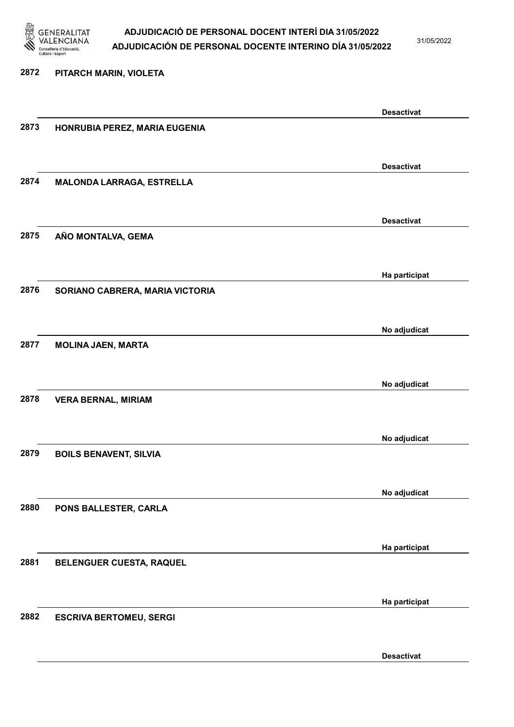

31/05/2022

Desactivat

# 2872 PITARCH MARIN, VIOLETA Desactivat 2873 HONRUBIA PEREZ, MARIA EUGENIA Desactivat 2874 MALONDA LARRAGA, ESTRELLA Desactivat 2875 AÑO MONTALVA, GEMA Ha participat 2876 SORIANO CABRERA, MARIA VICTORIA No adjudicat 2877 MOLINA JAEN, MARTA No adjudicat 2878 VERA BERNAL, MIRIAM No adjudicat 2879 BOILS BENAVENT, SILVIA No adjudicat 2880 PONS BALLESTER, CARLA Ha participat 2881 BELENGUER CUESTA, RAQUEL Ha participat 2882 ESCRIVA BERTOMEU, SERGI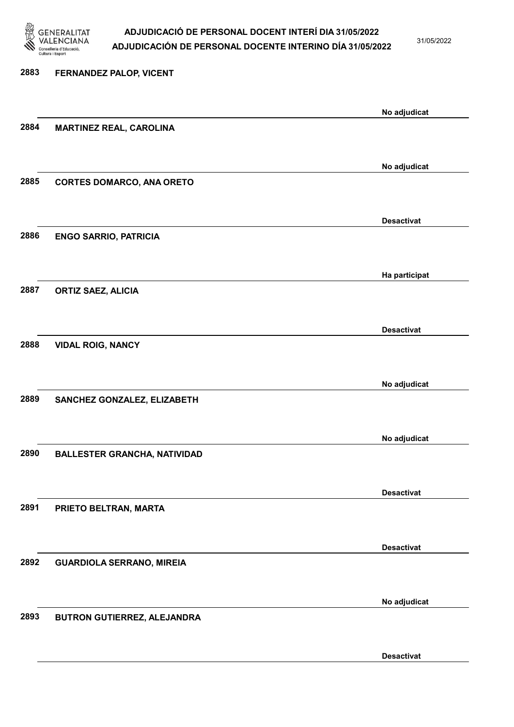

31/05/2022

Desactivat

# 2883 FERNANDEZ PALOP, VICENT No adjudicat 2884 MARTINEZ REAL, CAROLINA No adjudicat 2885 CORTES DOMARCO, ANA ORETO Desactivat 2886 ENGO SARRIO, PATRICIA Ha participat 2887 ORTIZ SAEZ, ALICIA Desactivat 2888 VIDAL ROIG, NANCY No adjudicat 2889 SANCHEZ GONZALEZ, ELIZABETH No adjudicat 2890 BALLESTER GRANCHA, NATIVIDAD Desactivat 2891 PRIETO BELTRAN, MARTA Desactivat 2892 GUARDIOLA SERRANO, MIREIA No adjudicat 2893 BUTRON GUTIERREZ, ALEJANDRA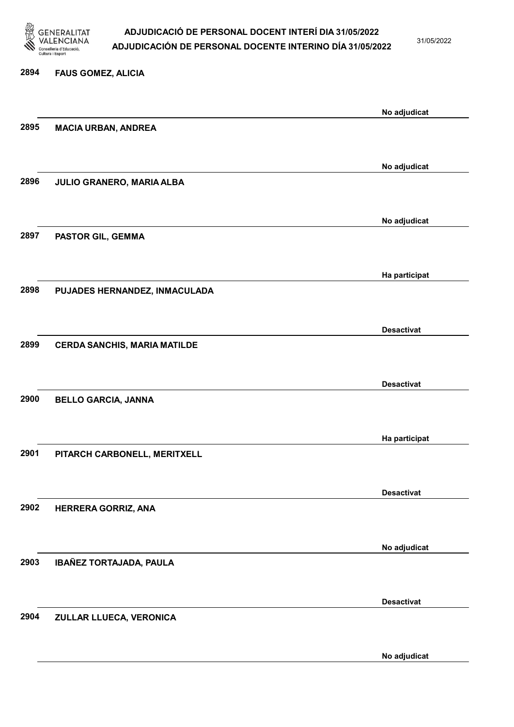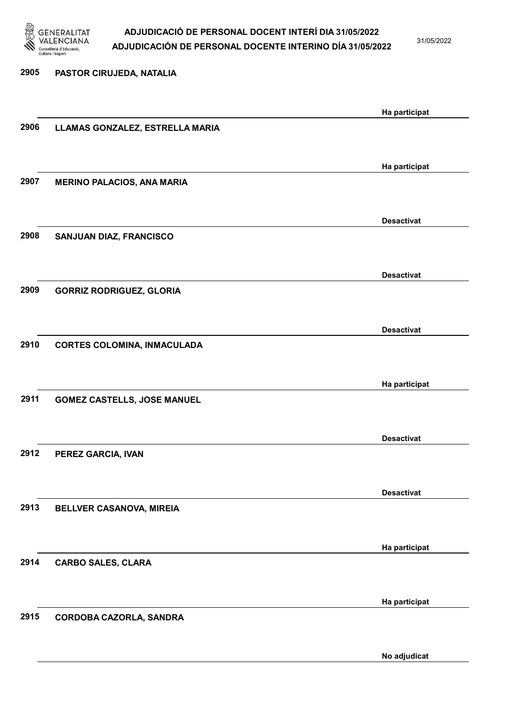

31/05/2022

| 2905 | PASTOR CIRUJEDA, NATALIA           |                   |
|------|------------------------------------|-------------------|
|      |                                    |                   |
|      |                                    | Ha participat     |
| 2906 | LLAMAS GONZALEZ, ESTRELLA MARIA    |                   |
|      |                                    |                   |
|      |                                    | Ha participat     |
| 2907 | <b>MERINO PALACIOS, ANA MARIA</b>  |                   |
|      |                                    |                   |
|      |                                    | <b>Desactivat</b> |
| 2908 | SANJUAN DIAZ, FRANCISCO            |                   |
|      |                                    |                   |
|      |                                    | <b>Desactivat</b> |
| 2909 | <b>GORRIZ RODRIGUEZ, GLORIA</b>    |                   |
|      |                                    |                   |
|      |                                    | <b>Desactivat</b> |
| 2910 | <b>CORTES COLOMINA, INMACULADA</b> |                   |
|      |                                    |                   |
|      |                                    | Ha participat     |
| 2911 | <b>GOMEZ CASTELLS, JOSE MANUEL</b> |                   |
|      |                                    |                   |
|      |                                    |                   |
| 2912 | PEREZ GARCIA, IVAN                 | <b>Desactivat</b> |
|      |                                    |                   |
|      |                                    |                   |
| 2913 | BELLVER CASANOVA, MIREIA           | <b>Desactivat</b> |
|      |                                    |                   |
|      |                                    |                   |
|      |                                    | Ha participat     |
| 2914 | <b>CARBO SALES, CLARA</b>          |                   |
|      |                                    |                   |
|      |                                    | Ha participat     |
| 2915 | CORDOBA CAZORLA, SANDRA            |                   |
|      |                                    |                   |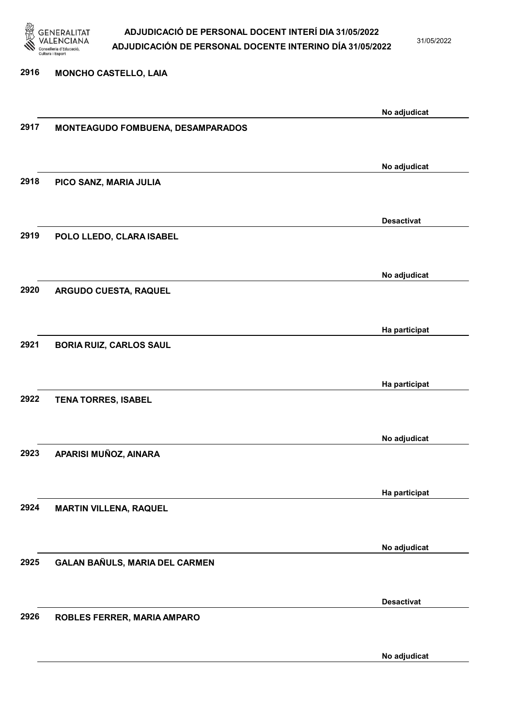

31/05/2022

#### 2916 MONCHO CASTELLO, LAIA

|      |                                          | No adjudicat      |
|------|------------------------------------------|-------------------|
| 2917 | <b>MONTEAGUDO FOMBUENA, DESAMPARADOS</b> |                   |
|      |                                          |                   |
|      |                                          |                   |
|      |                                          | No adjudicat      |
| 2918 | PICO SANZ, MARIA JULIA                   |                   |
|      |                                          |                   |
|      |                                          |                   |
|      |                                          | <b>Desactivat</b> |
| 2919 |                                          |                   |
|      | POLO LLEDO, CLARA ISABEL                 |                   |
|      |                                          |                   |
|      |                                          |                   |
|      |                                          | No adjudicat      |
| 2920 | ARGUDO CUESTA, RAQUEL                    |                   |
|      |                                          |                   |
|      |                                          |                   |
|      |                                          | Ha participat     |
| 2921 | <b>BORIA RUIZ, CARLOS SAUL</b>           |                   |
|      |                                          |                   |
|      |                                          |                   |
|      |                                          | Ha participat     |
| 2922 | <b>TENA TORRES, ISABEL</b>               |                   |
|      |                                          |                   |
|      |                                          |                   |
|      |                                          | No adjudicat      |
| 2923 | APARISI MUÑOZ, AINARA                    |                   |
|      |                                          |                   |
|      |                                          |                   |
|      |                                          | Ha participat     |
| 2924 | <b>MARTIN VILLENA, RAQUEL</b>            |                   |
|      |                                          |                   |
|      |                                          |                   |
|      |                                          | No adjudicat      |
| 2925 | GALAN BAÑULS, MARIA DEL CARMEN           |                   |
|      |                                          |                   |
|      |                                          |                   |
|      |                                          | <b>Desactivat</b> |
| 2926 |                                          |                   |
|      | ROBLES FERRER, MARIA AMPARO              |                   |
|      |                                          |                   |
|      |                                          |                   |
|      |                                          | No adjudicat      |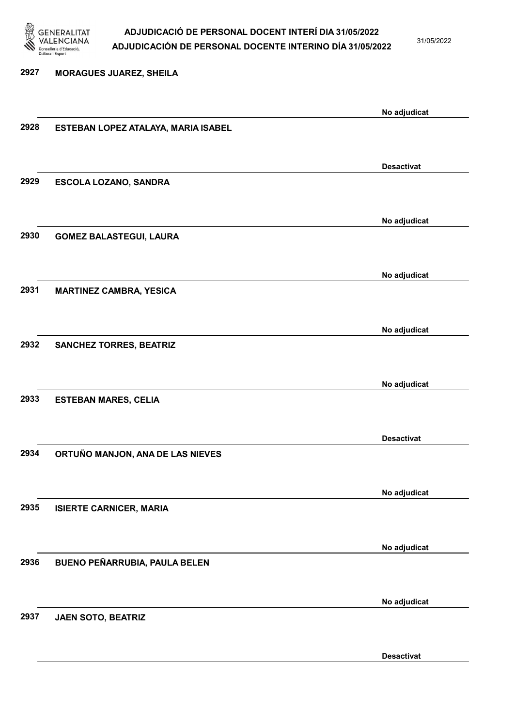

31/05/2022

Desactivat

2927 MORAGUES JUAREZ, SHEILA No adjudicat 2928 ESTEBAN LOPEZ ATALAYA, MARIA ISABEL Desactivat 2929 ESCOLA LOZANO, SANDRA No adjudicat 2930 GOMEZ BALASTEGUI, LAURA No adjudicat 2931 MARTINEZ CAMBRA, YESICA No adjudicat 2932 SANCHEZ TORRES, BEATRIZ No adjudicat 2933 ESTEBAN MARES, CELIA Desactivat 2934 ORTUÑO MANJON, ANA DE LAS NIEVES No adjudicat 2935 ISIERTE CARNICER, MARIA No adjudicat 2936 BUENO PEÑARRUBIA, PAULA BELEN No adjudicat 2937 JAEN SOTO, BEATRIZ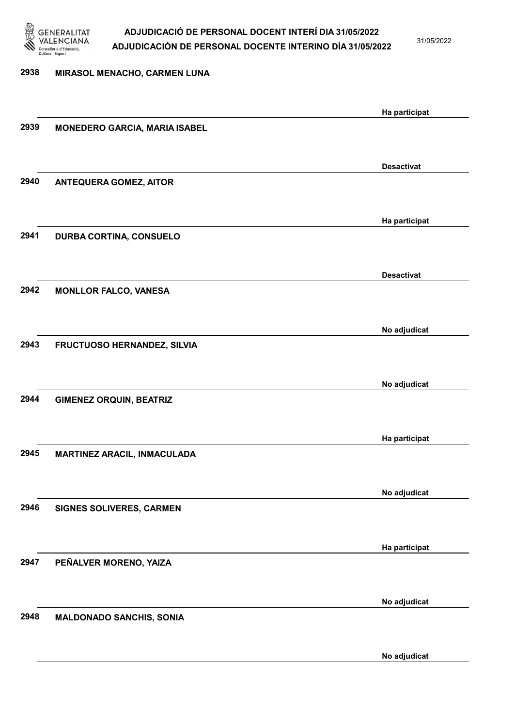

31/05/2022

# 2938 MIRASOL MENACHO, CARMEN LUNA Ha participat 2939 MONEDERO GARCIA, MARIA ISABEL Desactivat 2940 ANTEQUERA GOMEZ, AITOR Ha participat 2941 DURBA CORTINA, CONSUELO Desactivat 2942 MONLLOR FALCO, VANESA No adjudicat 2943 FRUCTUOSO HERNANDEZ, SILVIA No adjudicat 2944 GIMENEZ ORQUIN, BEATRIZ Ha participat 2945 MARTINEZ ARACIL, INMACULADA No adjudicat 2946 SIGNES SOLIVERES, CARMEN Ha participat 2947 PEÑALVER MORENO, YAIZA No adjudicat 2948 MALDONADO SANCHIS, SONIA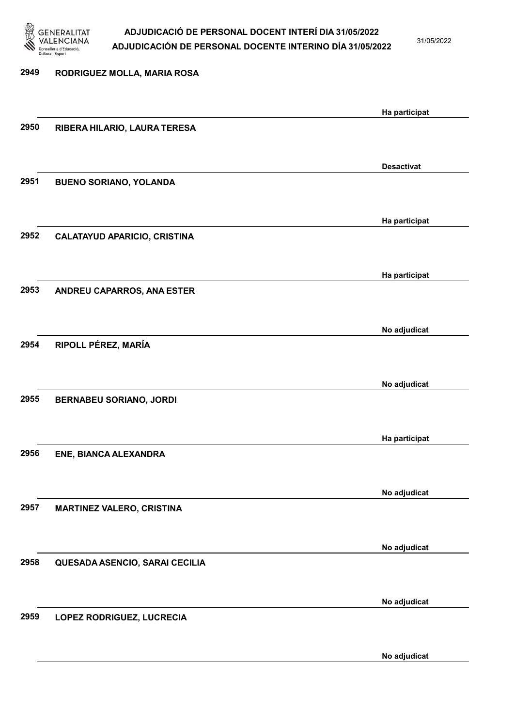

31/05/2022

### 2949 RODRIGUEZ MOLLA, MARIA ROSA Ha participat 2950 RIBERA HILARIO, LAURA TERESA Desactivat 2951 BUENO SORIANO, YOLANDA Ha participat 2952 CALATAYUD APARICIO, CRISTINA Ha participat 2953 ANDREU CAPARROS, ANA ESTER No adjudicat 2954 RIPOLL PÉREZ, MARÍA No adjudicat 2955 BERNABEU SORIANO, JORDI Ha participat 2956 ENE, BIANCA ALEXANDRA No adjudicat 2957 MARTINEZ VALERO, CRISTINA No adjudicat 2958 QUESADA ASENCIO, SARAI CECILIA No adjudicat 2959 LOPEZ RODRIGUEZ, LUCRECIA No adjudicat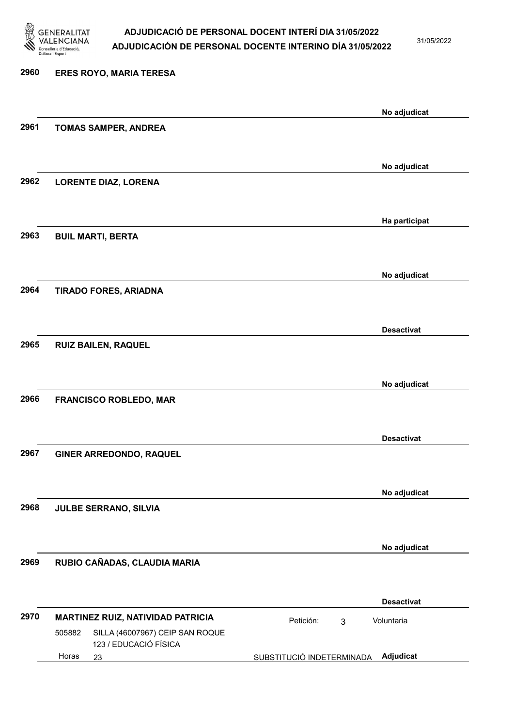

31/05/2022

### 2960 ERES ROYO, MARIA TERESA No adjudicat 2961 TOMAS SAMPER, ANDREA No adjudicat 2962 LORENTE DIAZ, LORENA Ha participat 2963 BUIL MARTI, BERTA No adjudicat 2964 TIRADO FORES, ARIADNA Desactivat 2965 RUIZ BAILEN, RAQUEL No adjudicat 2966 FRANCISCO ROBLEDO, MAR Desactivat 2967 GINER ARREDONDO, RAQUEL No adjudicat 2968 JULBE SERRANO, SILVIA No adjudicat 2969 RUBIO CAÑADAS, CLAUDIA MARIA Desactivat 2970 MARTINEZ RUIZ, NATIVIDAD PATRICIA **Petición:** 3 23 SUBSTITUCIÓ INDETERMINADA SILLA (46007967) CEIP SAN ROQUE 123 / EDUCACIÓ FÍSICA Adjudicat Voluntaria 505882 Horas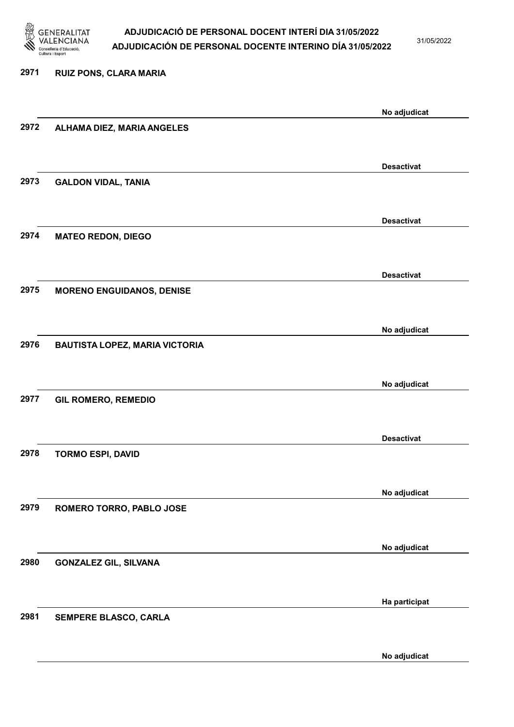

31/05/2022

| 2971 | <b>RUIZ PONS, CLARA MARIA</b>         |                   |
|------|---------------------------------------|-------------------|
|      |                                       | No adjudicat      |
| 2972 | ALHAMA DIEZ, MARIA ANGELES            |                   |
|      |                                       | <b>Desactivat</b> |
| 2973 | <b>GALDON VIDAL, TANIA</b>            |                   |
|      |                                       | <b>Desactivat</b> |
| 2974 | <b>MATEO REDON, DIEGO</b>             |                   |
|      |                                       | <b>Desactivat</b> |
| 2975 | <b>MORENO ENGUIDANOS, DENISE</b>      |                   |
|      |                                       | No adjudicat      |
| 2976 | <b>BAUTISTA LOPEZ, MARIA VICTORIA</b> |                   |
|      |                                       | No adjudicat      |
| 2977 | <b>GIL ROMERO, REMEDIO</b>            |                   |
|      |                                       | <b>Desactivat</b> |
| 2978 | <b>TORMO ESPI, DAVID</b>              |                   |
|      |                                       | No adjudicat      |
| 2979 | ROMERO TORRO, PABLO JOSE              |                   |
|      |                                       | No adjudicat      |
| 2980 | <b>GONZALEZ GIL, SILVANA</b>          |                   |
|      |                                       | Ha participat     |
| 2981 | SEMPERE BLASCO, CARLA                 |                   |
|      |                                       |                   |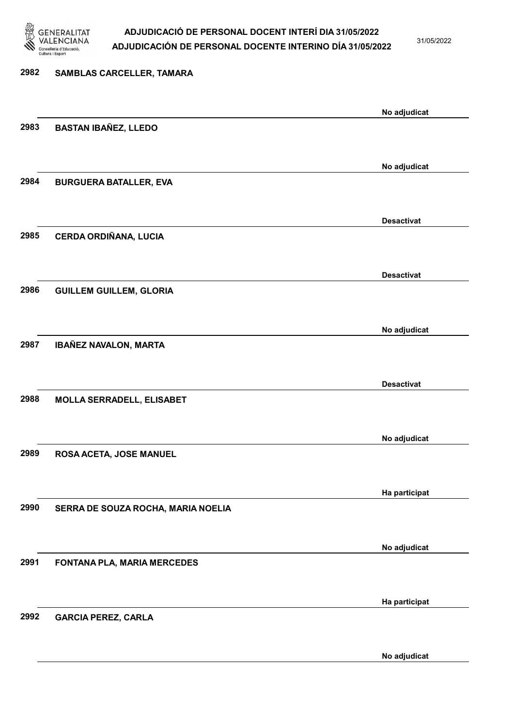

31/05/2022

No adjudicat

# 2982 SAMBLAS CARCELLER, TAMARA No adjudicat 2983 BASTAN IBAÑEZ, LLEDO No adjudicat 2984 BURGUERA BATALLER, EVA Desactivat 2985 CERDA ORDIÑANA, LUCIA Desactivat 2986 GUILLEM GUILLEM, GLORIA No adjudicat 2987 IBAÑEZ NAVALON, MARTA Desactivat 2988 MOLLA SERRADELL, ELISABET No adjudicat 2989 ROSA ACETA, JOSE MANUEL Ha participat 2990 SERRA DE SOUZA ROCHA, MARIA NOELIA No adjudicat 2991 FONTANA PLA, MARIA MERCEDES Ha participat 2992 GARCIA PEREZ, CARLA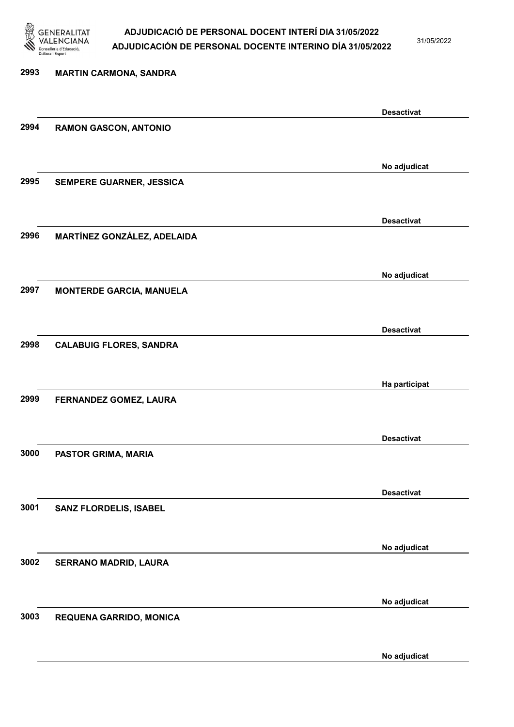

31/05/2022

No adjudicat

# 2993 MARTIN CARMONA, SANDRA Desactivat 2994 RAMON GASCON, ANTONIO No adjudicat 2995 SEMPERE GUARNER, JESSICA Desactivat 2996 MARTÍNEZ GONZÁLEZ, ADELAIDA No adjudicat 2997 MONTERDE GARCIA, MANUELA Desactivat 2998 CALABUIG FLORES, SANDRA Ha participat 2999 FERNANDEZ GOMEZ, LAURA Desactivat 3000 PASTOR GRIMA, MARIA Desactivat 3001 SANZ FLORDELIS, ISABEL No adjudicat 3002 SERRANO MADRID, LAURA No adjudicat 3003 REQUENA GARRIDO, MONICA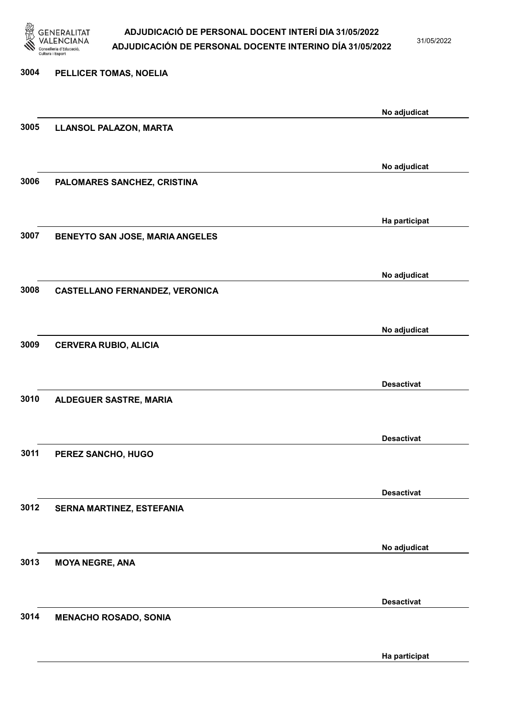

31/05/2022

Ha participat

# 3004 PELLICER TOMAS, NOELIA No adjudicat 3005 LLANSOL PALAZON, MARTA No adjudicat 3006 PALOMARES SANCHEZ, CRISTINA Ha participat 3007 BENEYTO SAN JOSE, MARIA ANGELES No adjudicat 3008 CASTELLANO FERNANDEZ, VERONICA No adjudicat 3009 CERVERA RUBIO, ALICIA Desactivat 3010 ALDEGUER SASTRE, MARIA Desactivat 3011 PEREZ SANCHO, HUGO Desactivat 3012 SERNA MARTINEZ, ESTEFANIA No adjudicat 3013 MOYA NEGRE, ANA Desactivat 3014 MENACHO ROSADO, SONIA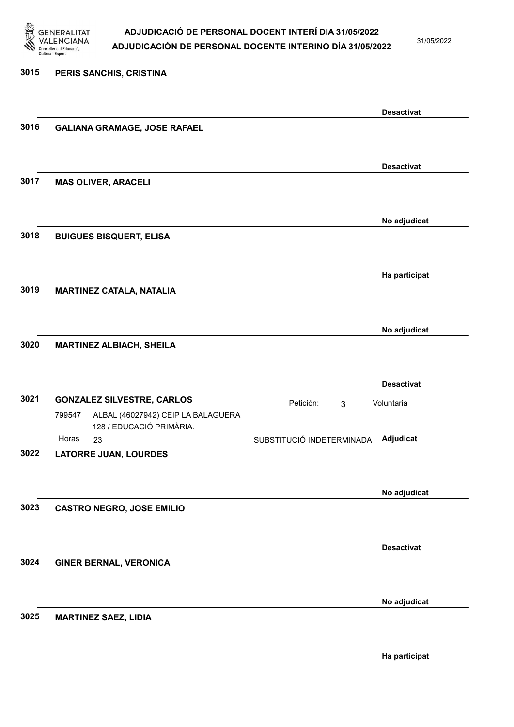

31/05/2022

Ha participat

### 3015 PERIS SANCHIS, CRISTINA Desactivat 3016 GALIANA GRAMAGE, JOSE RAFAEL Desactivat 3017 MAS OLIVER, ARACELI No adjudicat 3018 BUIGUES BISQUERT, ELISA Ha participat 3019 MARTINEZ CATALA, NATALIA No adjudicat 3020 MARTINEZ ALBIACH, SHEILA Desactivat 3021 GONZALEZ SILVESTRE, CARLOS **El proporta en Estabalde de Petición:** 3 23 SUBSTITUCIÓ INDETERMINADA ALBAL (46027942) CEIP LA BALAGUERA 128 / EDUCACIÓ PRIMÀRIA. Adjudicat Voluntaria 799547 Horas 3022 LATORRE JUAN, LOURDES No adjudicat 3023 CASTRO NEGRO, JOSE EMILIO Desactivat 3024 GINER BERNAL, VERONICA No adjudicat 3025 MARTINEZ SAEZ, LIDIA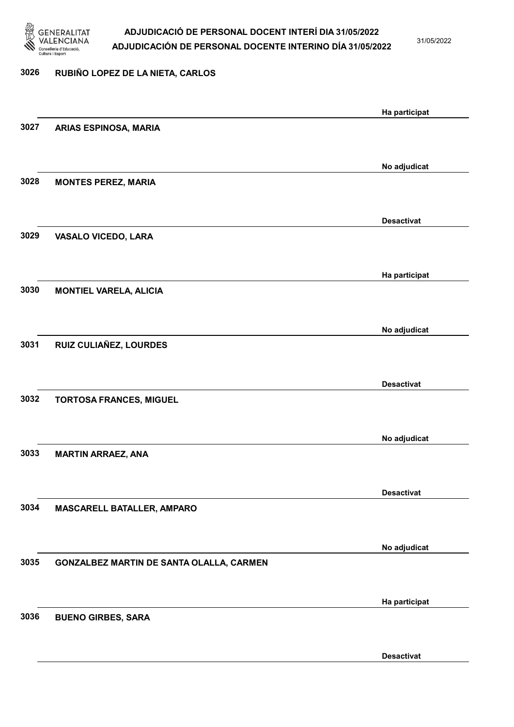

31/05/2022

### 3026 RUBIÑO LOPEZ DE LA NIETA, CARLOS

|      |                                          | Ha participat     |
|------|------------------------------------------|-------------------|
| 3027 | ARIAS ESPINOSA, MARIA                    |                   |
|      |                                          |                   |
|      |                                          | No adjudicat      |
| 3028 | <b>MONTES PEREZ, MARIA</b>               |                   |
|      |                                          |                   |
|      |                                          | <b>Desactivat</b> |
| 3029 | <b>VASALO VICEDO, LARA</b>               |                   |
|      |                                          |                   |
|      |                                          |                   |
|      |                                          | Ha participat     |
| 3030 | <b>MONTIEL VARELA, ALICIA</b>            |                   |
|      |                                          |                   |
|      |                                          | No adjudicat      |
| 3031 | RUIZ CULIAÑEZ, LOURDES                   |                   |
|      |                                          |                   |
|      |                                          | <b>Desactivat</b> |
| 3032 | <b>TORTOSA FRANCES, MIGUEL</b>           |                   |
|      |                                          |                   |
|      |                                          | No adjudicat      |
| 3033 | <b>MARTIN ARRAEZ, ANA</b>                |                   |
|      |                                          |                   |
|      |                                          | <b>Desactivat</b> |
| 3034 | MASCARELL BATALLER, AMPARO               |                   |
|      |                                          |                   |
|      |                                          |                   |
| 3035 | GONZALBEZ MARTIN DE SANTA OLALLA, CARMEN | No adjudicat      |
|      |                                          |                   |
|      |                                          |                   |
|      |                                          | Ha participat     |
| 3036 | <b>BUENO GIRBES, SARA</b>                |                   |
|      |                                          |                   |
|      |                                          | <b>Desactivat</b> |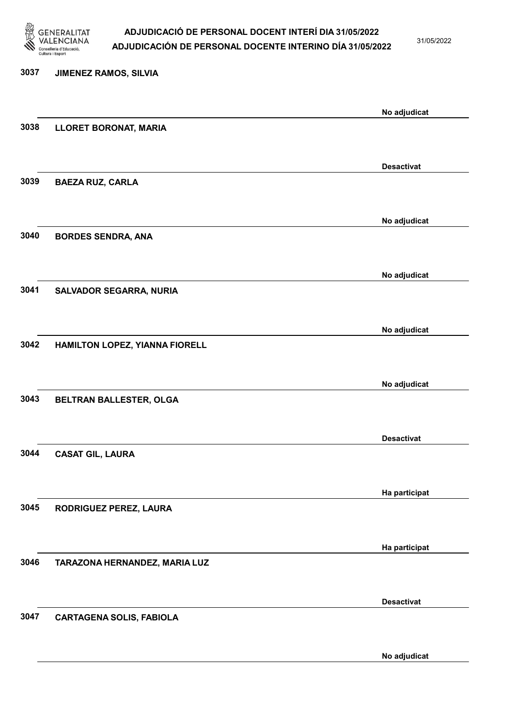

31/05/2022

No adjudicat

# 3037 JIMENEZ RAMOS, SILVIA No adjudicat 3038 LLORET BORONAT, MARIA Desactivat 3039 BAEZA RUZ, CARLA No adjudicat 3040 BORDES SENDRA, ANA No adjudicat 3041 SALVADOR SEGARRA, NURIA No adjudicat 3042 HAMILTON LOPEZ, YIANNA FIORELL No adjudicat 3043 BELTRAN BALLESTER, OLGA Desactivat 3044 CASAT GIL, LAURA Ha participat 3045 RODRIGUEZ PEREZ, LAURA Ha participat 3046 TARAZONA HERNANDEZ, MARIA LUZ Desactivat 3047 CARTAGENA SOLIS, FABIOLA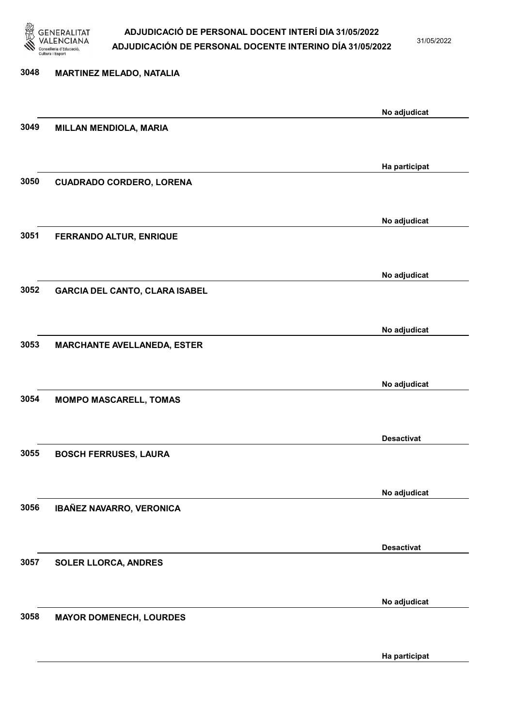

31/05/2022

# 3048 MARTINEZ MELADO, NATALIA No adjudicat 3049 MILLAN MENDIOLA, MARIA Ha participat 3050 CUADRADO CORDERO, LORENA No adjudicat 3051 FERRANDO ALTUR, ENRIQUE No adjudicat 3052 GARCIA DEL CANTO, CLARA ISABEL No adjudicat 3053 MARCHANTE AVELLANEDA, ESTER No adjudicat 3054 MOMPO MASCARELL, TOMAS Desactivat 3055 BOSCH FERRUSES, LAURA No adjudicat 3056 IBAÑEZ NAVARRO, VERONICA Desactivat 3057 SOLER LLORCA, ANDRES No adjudicat 3058 MAYOR DOMENECH, LOURDES

Ha participat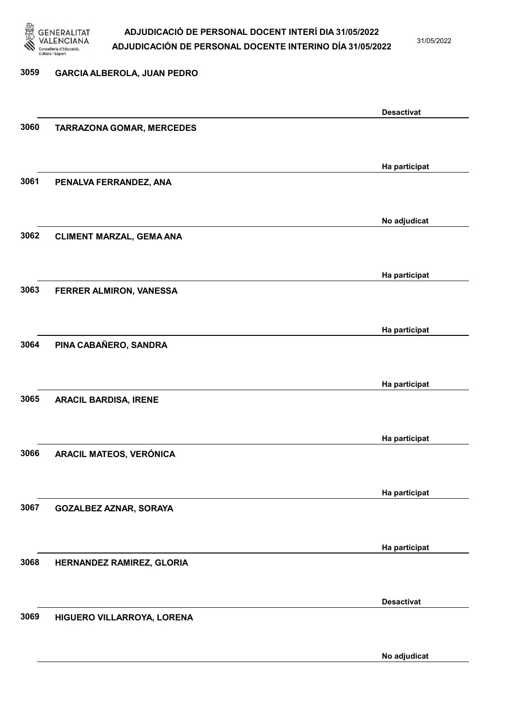

31/05/2022

#### 3059 GARCIA ALBEROLA, JUAN PEDRO

|      |                                  | <b>Desactivat</b> |
|------|----------------------------------|-------------------|
| 3060 | <b>TARRAZONA GOMAR, MERCEDES</b> |                   |
|      |                                  |                   |
|      |                                  |                   |
|      |                                  | Ha participat     |
| 3061 | PENALVA FERRANDEZ, ANA           |                   |
|      |                                  |                   |
|      |                                  |                   |
|      |                                  | No adjudicat      |
| 3062 | <b>CLIMENT MARZAL, GEMA ANA</b>  |                   |
|      |                                  |                   |
|      |                                  |                   |
|      |                                  | Ha participat     |
| 3063 |                                  |                   |
|      | FERRER ALMIRON, VANESSA          |                   |
|      |                                  |                   |
|      |                                  | Ha participat     |
|      |                                  |                   |
| 3064 | PINA CABAÑERO, SANDRA            |                   |
|      |                                  |                   |
|      |                                  |                   |
|      |                                  | Ha participat     |
| 3065 | <b>ARACIL BARDISA, IRENE</b>     |                   |
|      |                                  |                   |
|      |                                  |                   |
|      |                                  | Ha participat     |
| 3066 | ARACIL MATEOS, VERÓNICA          |                   |
|      |                                  |                   |
|      |                                  |                   |
|      |                                  | Ha participat     |
| 3067 | <b>GOZALBEZ AZNAR, SORAYA</b>    |                   |
|      |                                  |                   |
|      |                                  |                   |
|      |                                  | Ha participat     |
| 3068 | HERNANDEZ RAMIREZ, GLORIA        |                   |
|      |                                  |                   |
|      |                                  |                   |
|      |                                  | <b>Desactivat</b> |
| 3069 | HIGUERO VILLARROYA, LORENA       |                   |
|      |                                  |                   |
|      |                                  |                   |
|      |                                  | No adjudicat      |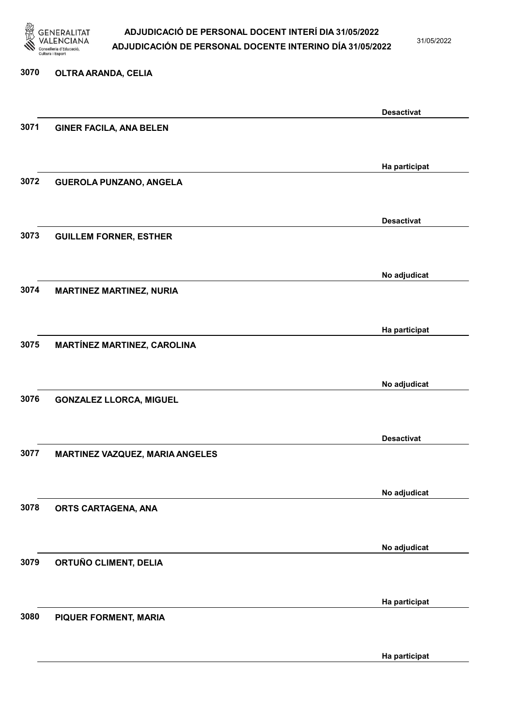

31/05/2022

#### 3070 OLTRA ARANDA, CELIA

|      |                                    | <b>Desactivat</b> |
|------|------------------------------------|-------------------|
| 3071 | <b>GINER FACILA, ANA BELEN</b>     |                   |
|      |                                    |                   |
|      |                                    |                   |
|      |                                    | Ha participat     |
| 3072 | <b>GUEROLA PUNZANO, ANGELA</b>     |                   |
|      |                                    |                   |
|      |                                    |                   |
|      |                                    | <b>Desactivat</b> |
|      |                                    |                   |
| 3073 | <b>GUILLEM FORNER, ESTHER</b>      |                   |
|      |                                    |                   |
|      |                                    |                   |
|      |                                    | No adjudicat      |
| 3074 | <b>MARTINEZ MARTINEZ, NURIA</b>    |                   |
|      |                                    |                   |
|      |                                    |                   |
|      |                                    | Ha participat     |
| 3075 | <b>MARTÍNEZ MARTINEZ, CAROLINA</b> |                   |
|      |                                    |                   |
|      |                                    |                   |
|      |                                    | No adjudicat      |
| 3076 | <b>GONZALEZ LLORCA, MIGUEL</b>     |                   |
|      |                                    |                   |
|      |                                    |                   |
|      |                                    | <b>Desactivat</b> |
| 3077 | MARTINEZ VAZQUEZ, MARIA ANGELES    |                   |
|      |                                    |                   |
|      |                                    |                   |
|      |                                    | No adjudicat      |
|      |                                    |                   |
| 3078 | ORTS CARTAGENA, ANA                |                   |
|      |                                    |                   |
|      |                                    |                   |
|      |                                    | No adjudicat      |
| 3079 | ORTUÑO CLIMENT, DELIA              |                   |
|      |                                    |                   |
|      |                                    |                   |
|      |                                    | Ha participat     |
| 3080 | PIQUER FORMENT, MARIA              |                   |
|      |                                    |                   |
|      |                                    |                   |
|      |                                    | Ha participat     |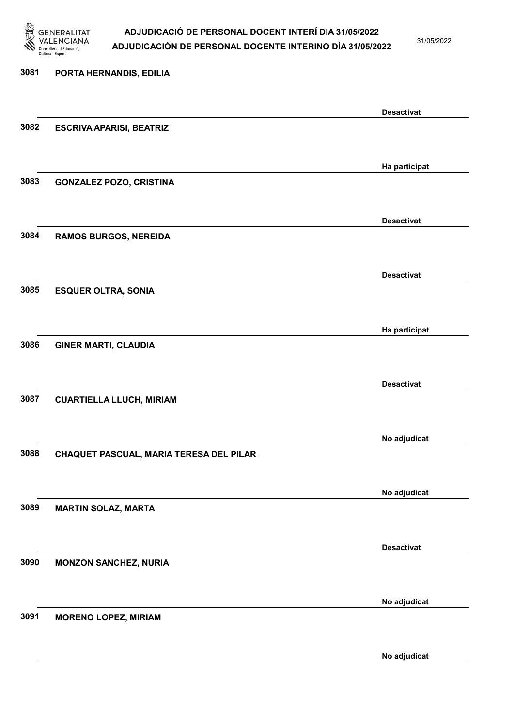

31/05/2022

No adjudicat

# 3081 PORTA HERNANDIS, EDILIA Desactivat 3082 ESCRIVA APARISI, BEATRIZ Ha participat 3083 GONZALEZ POZO, CRISTINA Desactivat 3084 RAMOS BURGOS, NEREIDA Desactivat 3085 ESQUER OLTRA, SONIA Ha participat 3086 GINER MARTI, CLAUDIA Desactivat 3087 CUARTIELLA LLUCH, MIRIAM No adjudicat 3088 CHAQUET PASCUAL, MARIA TERESA DEL PILAR No adjudicat 3089 MARTIN SOLAZ, MARTA Desactivat 3090 MONZON SANCHEZ, NURIA No adjudicat 3091 MORENO LOPEZ, MIRIAM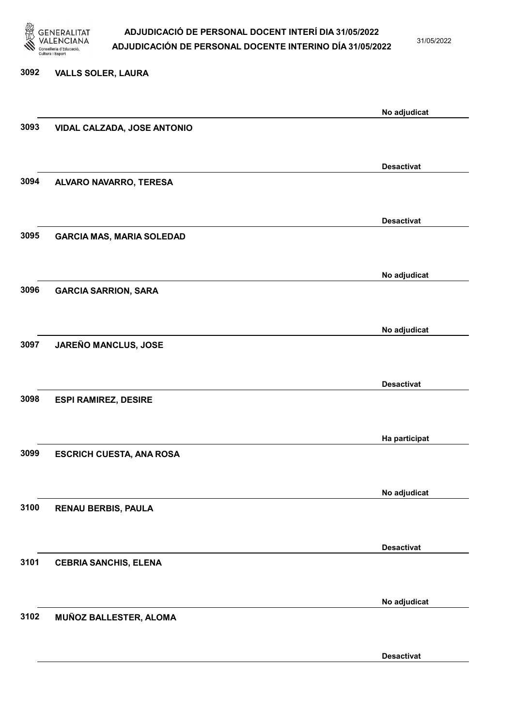

31/05/2022

Desactivat

# 3092 VALLS SOLER, LAURA No adjudicat 3093 VIDAL CALZADA, JOSE ANTONIO Desactivat 3094 ALVARO NAVARRO, TERESA Desactivat 3095 GARCIA MAS, MARIA SOLEDAD No adjudicat 3096 GARCIA SARRION, SARA No adjudicat 3097 JAREÑO MANCLUS, JOSE Desactivat 3098 ESPI RAMIREZ, DESIRE Ha participat 3099 ESCRICH CUESTA, ANA ROSA No adjudicat 3100 RENAU BERBIS, PAULA Desactivat 3101 CEBRIA SANCHIS, ELENA No adjudicat 3102 MUÑOZ BALLESTER, ALOMA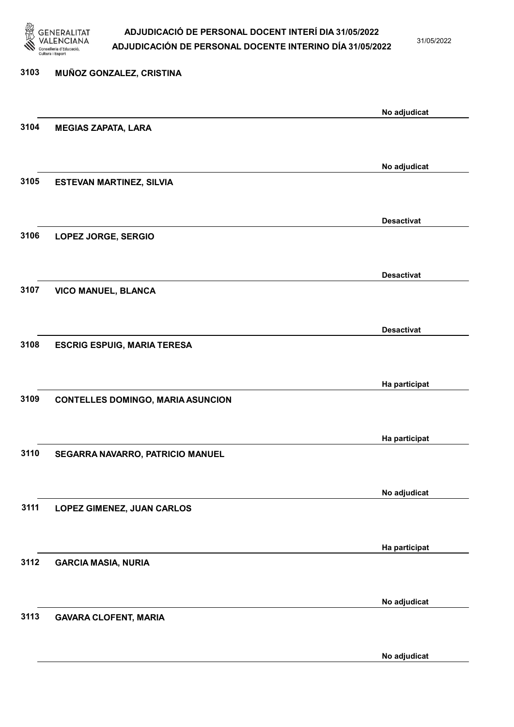

31/05/2022

# 3103 MUÑOZ GONZALEZ, CRISTINA No adjudicat 3104 MEGIAS ZAPATA, LARA No adjudicat 3105 ESTEVAN MARTINEZ, SILVIA Desactivat 3106 LOPEZ JORGE, SERGIO Desactivat 3107 VICO MANUEL, BLANCA Desactivat 3108 ESCRIG ESPUIG, MARIA TERESA Ha participat 3109 CONTELLES DOMINGO, MARIA ASUNCION Ha participat 3110 SEGARRA NAVARRO, PATRICIO MANUEL No adjudicat 3111 LOPEZ GIMENEZ, JUAN CARLOS Ha participat 3112 GARCIA MASIA, NURIA No adjudicat 3113 GAVARA CLOFENT, MARIA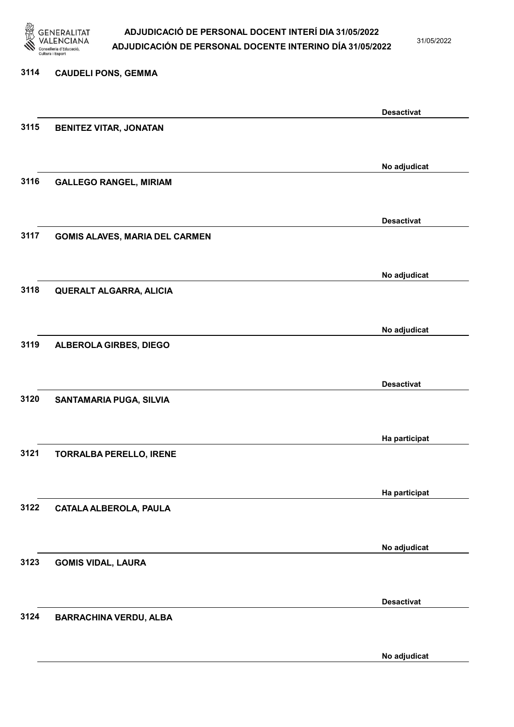

31/05/2022

No adjudicat

# 3114 CAUDELI PONS, GEMMA Desactivat 3115 BENITEZ VITAR, JONATAN No adjudicat 3116 GALLEGO RANGEL, MIRIAM Desactivat 3117 GOMIS ALAVES, MARIA DEL CARMEN No adjudicat 3118 QUERALT ALGARRA, ALICIA No adjudicat 3119 ALBEROLA GIRBES, DIEGO Desactivat 3120 SANTAMARIA PUGA, SILVIA Ha participat 3121 TORRALBA PERELLO, IRENE Ha participat 3122 CATALA ALBEROLA, PAULA No adjudicat 3123 GOMIS VIDAL, LAURA Desactivat 3124 BARRACHINA VERDU, ALBA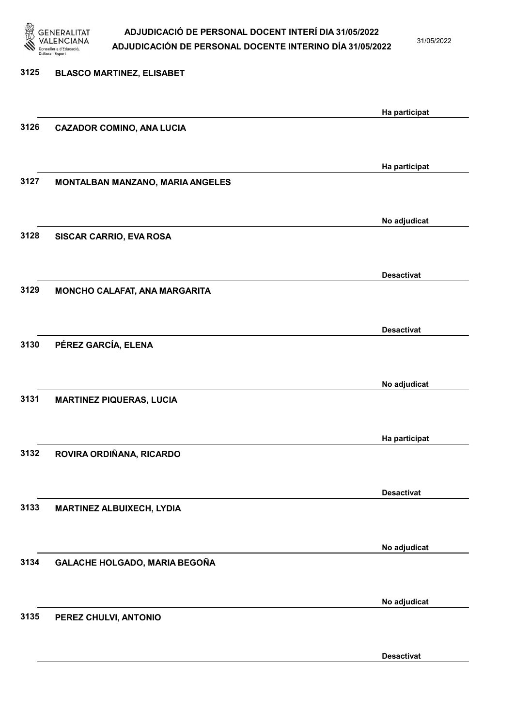

31/05/2022

# 3125 BLASCO MARTINEZ, ELISABET Ha participat 3126 CAZADOR COMINO, ANA LUCIA Ha participat 3127 MONTALBAN MANZANO, MARIA ANGELES No adjudicat 3128 SISCAR CARRIO, EVA ROSA Desactivat 3129 MONCHO CALAFAT, ANA MARGARITA Desactivat 3130 PÉREZ GARCÍA, ELENA No adjudicat 3131 MARTINEZ PIQUERAS, LUCIA Ha participat 3132 ROVIRA ORDIÑANA, RICARDO Desactivat 3133 MARTINEZ ALBUIXECH, LYDIA No adjudicat 3134 GALACHE HOLGADO, MARIA BEGOÑA No adjudicat 3135 PEREZ CHULVI, ANTONIO

Desactivat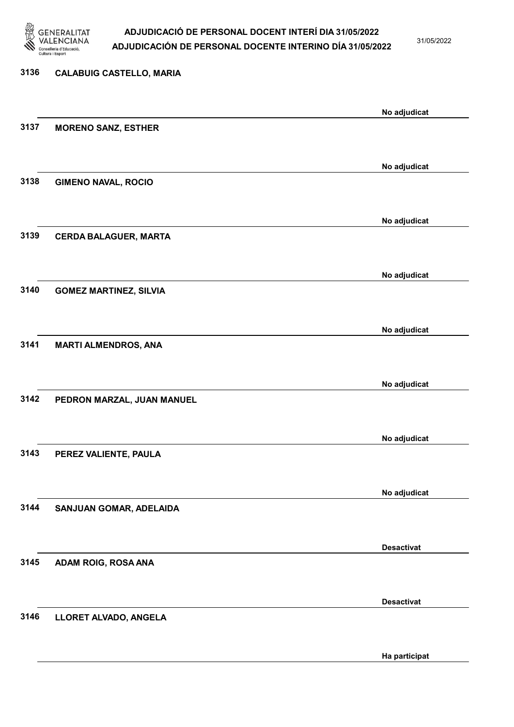

31/05/2022

# 3136 CALABUIG CASTELLO, MARIA No adjudicat 3137 MORENO SANZ, ESTHER No adjudicat 3138 GIMENO NAVAL, ROCIO No adjudicat 3139 CERDA BALAGUER, MARTA No adjudicat 3140 GOMEZ MARTINEZ, SILVIA No adjudicat 3141 MARTI ALMENDROS, ANA No adjudicat 3142 PEDRON MARZAL, JUAN MANUEL No adjudicat 3143 PEREZ VALIENTE, PAULA No adjudicat 3144 SANJUAN GOMAR, ADELAIDA Desactivat 3145 ADAM ROIG, ROSA ANA Desactivat 3146 LLORET ALVADO, ANGELA

Ha participat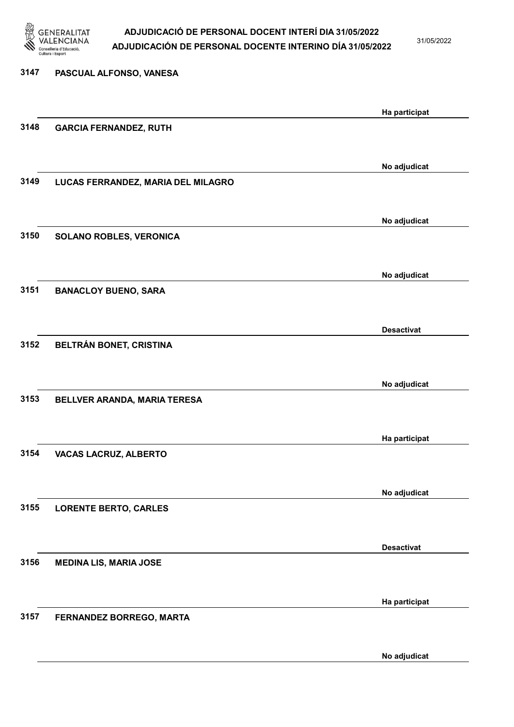

31/05/2022

3147 PASCUAL ALFONSO, VANESA Ha participat 3148 GARCIA FERNANDEZ, RUTH No adjudicat 3149 LUCAS FERRANDEZ, MARIA DEL MILAGRO No adjudicat 3150 SOLANO ROBLES, VERONICA No adjudicat 3151 BANACLOY BUENO, SARA Desactivat 3152 BELTRÁN BONET, CRISTINA No adjudicat 3153 BELLVER ARANDA, MARIA TERESA Ha participat 3154 VACAS LACRUZ, ALBERTO No adjudicat 3155 LORENTE BERTO, CARLES Desactivat 3156 MEDINA LIS, MARIA JOSE Ha participat 3157 FERNANDEZ BORREGO, MARTA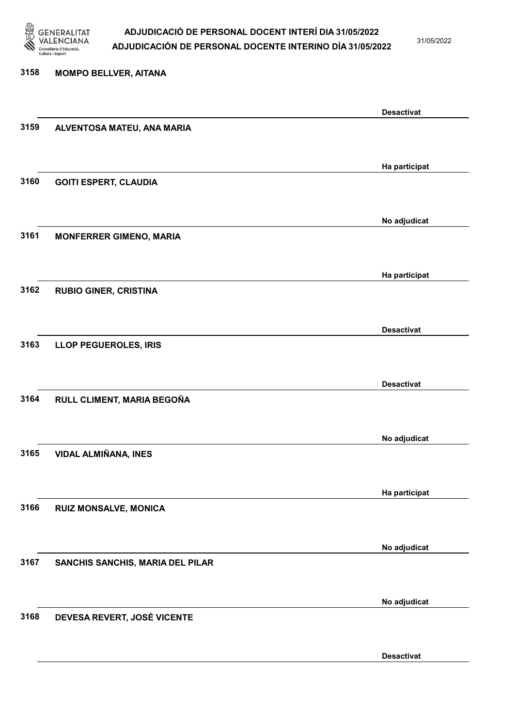

31/05/2022

#### 3158 MOMPO BELLVER, AITANA

|      |                                  | <b>Desactivat</b> |
|------|----------------------------------|-------------------|
| 3159 | ALVENTOSA MATEU, ANA MARIA       |                   |
|      |                                  |                   |
|      |                                  | Ha participat     |
| 3160 | <b>GOITI ESPERT, CLAUDIA</b>     |                   |
|      |                                  |                   |
|      |                                  |                   |
|      |                                  | No adjudicat      |
| 3161 | <b>MONFERRER GIMENO, MARIA</b>   |                   |
|      |                                  |                   |
|      |                                  | Ha participat     |
| 3162 | <b>RUBIO GINER, CRISTINA</b>     |                   |
|      |                                  |                   |
|      |                                  | <b>Desactivat</b> |
| 3163 | LLOP PEGUEROLES, IRIS            |                   |
|      |                                  |                   |
|      |                                  | <b>Desactivat</b> |
| 3164 | RULL CLIMENT, MARIA BEGOÑA       |                   |
|      |                                  |                   |
|      |                                  |                   |
|      |                                  | No adjudicat      |
| 3165 | <b>VIDAL ALMIÑANA, INES</b>      |                   |
|      |                                  |                   |
|      |                                  | Ha participat     |
| 3166 | <b>RUIZ MONSALVE, MONICA</b>     |                   |
|      |                                  |                   |
|      |                                  | No adjudicat      |
| 3167 | SANCHIS SANCHIS, MARIA DEL PILAR |                   |
|      |                                  |                   |
|      |                                  |                   |
| 3168 | DEVESA REVERT, JOSÉ VICENTE      | No adjudicat      |
|      |                                  |                   |
|      |                                  |                   |
|      |                                  | <b>Desactivat</b> |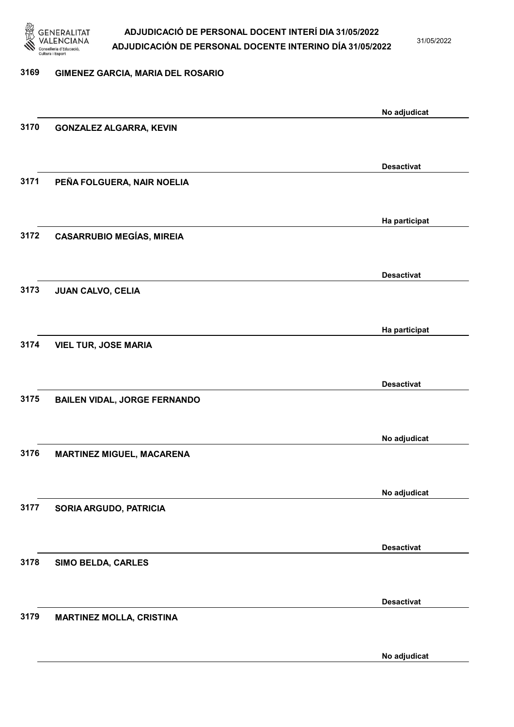

31/05/2022

### 3169 GIMENEZ GARCIA, MARIA DEL ROSARIO

|      |                                     | No adjudicat      |
|------|-------------------------------------|-------------------|
| 3170 | <b>GONZALEZ ALGARRA, KEVIN</b>      |                   |
|      |                                     |                   |
|      |                                     | <b>Desactivat</b> |
| 3171 | PEÑA FOLGUERA, NAIR NOELIA          |                   |
|      |                                     |                   |
|      |                                     |                   |
| 3172 | <b>CASARRUBIO MEGÍAS, MIREIA</b>    | Ha participat     |
|      |                                     |                   |
|      |                                     |                   |
|      |                                     | <b>Desactivat</b> |
| 3173 | <b>JUAN CALVO, CELIA</b>            |                   |
|      |                                     |                   |
|      |                                     | Ha participat     |
| 3174 | <b>VIEL TUR, JOSE MARIA</b>         |                   |
|      |                                     |                   |
|      |                                     | <b>Desactivat</b> |
| 3175 | <b>BAILEN VIDAL, JORGE FERNANDO</b> |                   |
|      |                                     |                   |
|      |                                     | No adjudicat      |
| 3176 | <b>MARTINEZ MIGUEL, MACARENA</b>    |                   |
|      |                                     |                   |
|      |                                     | No adjudicat      |
| 3177 | SORIA ARGUDO, PATRICIA              |                   |
|      |                                     |                   |
|      |                                     |                   |
|      |                                     | <b>Desactivat</b> |
| 3178 | SIMO BELDA, CARLES                  |                   |
|      |                                     |                   |
|      |                                     | <b>Desactivat</b> |
| 3179 | <b>MARTINEZ MOLLA, CRISTINA</b>     |                   |
|      |                                     |                   |
|      |                                     | No adjudicat      |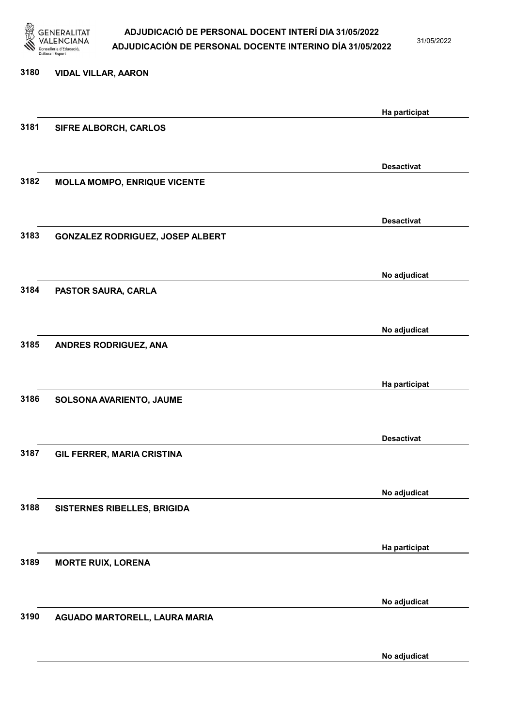

31/05/2022

No adjudicat

| 3180 | <b>VIDAL VILLAR, AARON</b>          |                   |
|------|-------------------------------------|-------------------|
|      |                                     | Ha participat     |
| 3181 | SIFRE ALBORCH, CARLOS               |                   |
|      |                                     | <b>Desactivat</b> |
| 3182 | <b>MOLLA MOMPO, ENRIQUE VICENTE</b> |                   |
|      |                                     | <b>Desactivat</b> |
| 3183 | GONZALEZ RODRIGUEZ, JOSEP ALBERT    |                   |
|      |                                     | No adjudicat      |
| 3184 | PASTOR SAURA, CARLA                 |                   |
|      |                                     | No adjudicat      |
| 3185 | ANDRES RODRIGUEZ, ANA               |                   |
|      |                                     | Ha participat     |
| 3186 | SOLSONA AVARIENTO, JAUME            |                   |
|      |                                     | <b>Desactivat</b> |
| 3187 | GIL FERRER, MARIA CRISTINA          |                   |
|      |                                     | No adjudicat      |
| 3188 | SISTERNES RIBELLES, BRIGIDA         |                   |
|      |                                     | Ha participat     |
| 3189 | <b>MORTE RUIX, LORENA</b>           |                   |
|      |                                     | No adjudicat      |
| 3190 | AGUADO MARTORELL, LAURA MARIA       |                   |
|      |                                     |                   |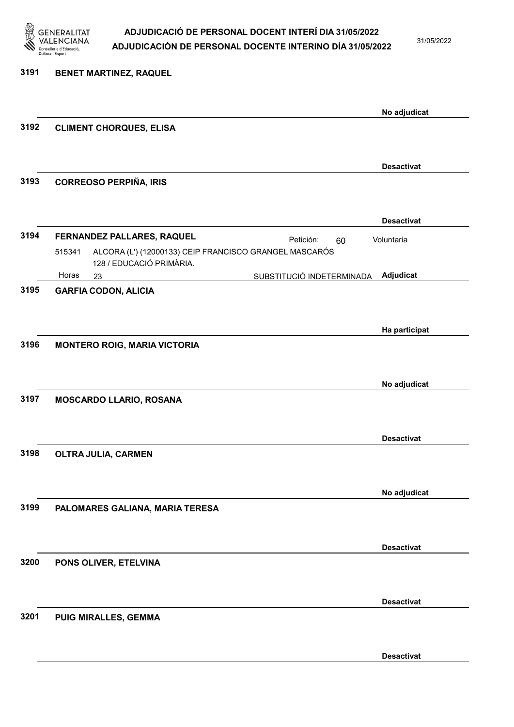

31/05/2022

| 3191 | BENET MARTINEZ, RAQUEL                                                                                                                        |                   |
|------|-----------------------------------------------------------------------------------------------------------------------------------------------|-------------------|
|      |                                                                                                                                               | No adjudicat      |
| 3192 | <b>CLIMENT CHORQUES, ELISA</b>                                                                                                                |                   |
|      |                                                                                                                                               | <b>Desactivat</b> |
| 3193 | <b>CORREOSO PERPIÑA, IRIS</b>                                                                                                                 |                   |
|      |                                                                                                                                               | <b>Desactivat</b> |
| 3194 | FERNANDEZ PALLARES, RAQUEL<br>Petición:<br>60<br>ALCORA (L') (12000133) CEIP FRANCISCO GRANGEL MASCARÓS<br>515341<br>128 / EDUCACIÓ PRIMÀRIA. | Voluntaria        |
|      | Horas<br>SUBSTITUCIÓ INDETERMINADA<br>23                                                                                                      | Adjudicat         |
| 3195 | <b>GARFIA CODON, ALICIA</b>                                                                                                                   |                   |
|      |                                                                                                                                               | Ha participat     |
| 3196 | <b>MONTERO ROIG, MARIA VICTORIA</b>                                                                                                           |                   |
| 3197 |                                                                                                                                               | No adjudicat      |
|      | MOSCARDO LLARIO, ROSANA                                                                                                                       |                   |
| 3198 | <b>OLTRA JULIA, CARMEN</b>                                                                                                                    | <b>Desactivat</b> |
|      |                                                                                                                                               |                   |
|      |                                                                                                                                               | No adjudicat      |
| 3199 | PALOMARES GALIANA, MARIA TERESA                                                                                                               |                   |
|      |                                                                                                                                               | <b>Desactivat</b> |
| 3200 | PONS OLIVER, ETELVINA                                                                                                                         |                   |
|      |                                                                                                                                               | <b>Desactivat</b> |
| 3201 | PUIG MIRALLES, GEMMA                                                                                                                          |                   |
|      |                                                                                                                                               | <b>Desactivat</b> |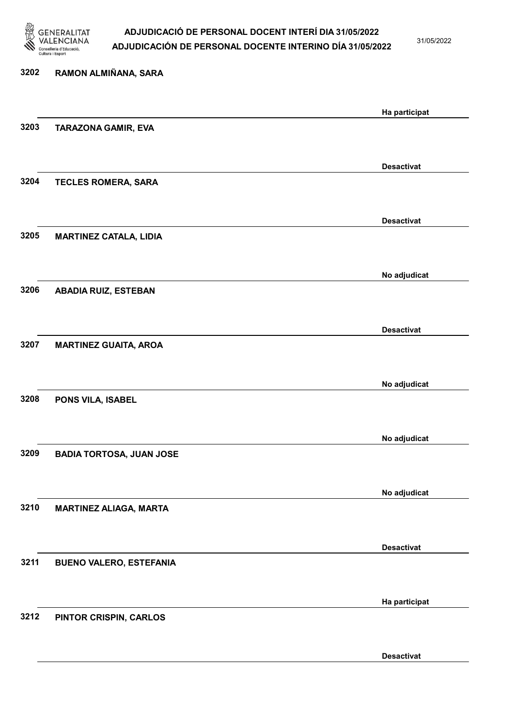

31/05/2022

Desactivat

# 3202 RAMON ALMIÑANA, SARA Ha participat 3203 TARAZONA GAMIR, EVA Desactivat 3204 TECLES ROMERA, SARA Desactivat 3205 MARTINEZ CATALA, LIDIA No adjudicat 3206 ABADIA RUIZ, ESTEBAN Desactivat 3207 MARTINEZ GUAITA, AROA No adjudicat 3208 PONS VILA, ISABEL No adjudicat 3209 BADIA TORTOSA, JUAN JOSE No adjudicat 3210 MARTINEZ ALIAGA, MARTA Desactivat 3211 BUENO VALERO, ESTEFANIA Ha participat 3212 PINTOR CRISPIN, CARLOS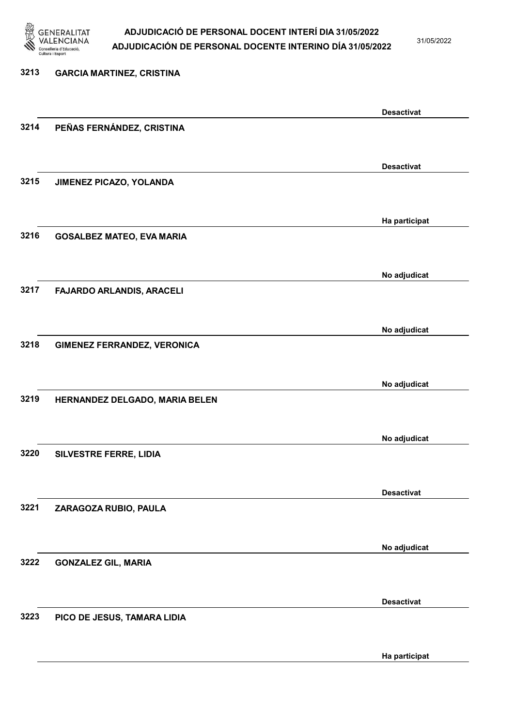

31/05/2022

Ha participat

### 3213 GARCIA MARTINEZ, CRISTINA Desactivat 3214 PEÑAS FERNÁNDEZ, CRISTINA Desactivat 3215 JIMENEZ PICAZO, YOLANDA Ha participat 3216 GOSALBEZ MATEO, EVA MARIA No adjudicat 3217 FAJARDO ARLANDIS, ARACELI No adjudicat 3218 GIMENEZ FERRANDEZ, VERONICA No adjudicat 3219 HERNANDEZ DELGADO, MARIA BELEN No adjudicat 3220 SILVESTRE FERRE, LIDIA Desactivat 3221 ZARAGOZA RUBIO, PAULA No adjudicat 3222 GONZALEZ GIL, MARIA Desactivat 3223 PICO DE JESUS, TAMARA LIDIA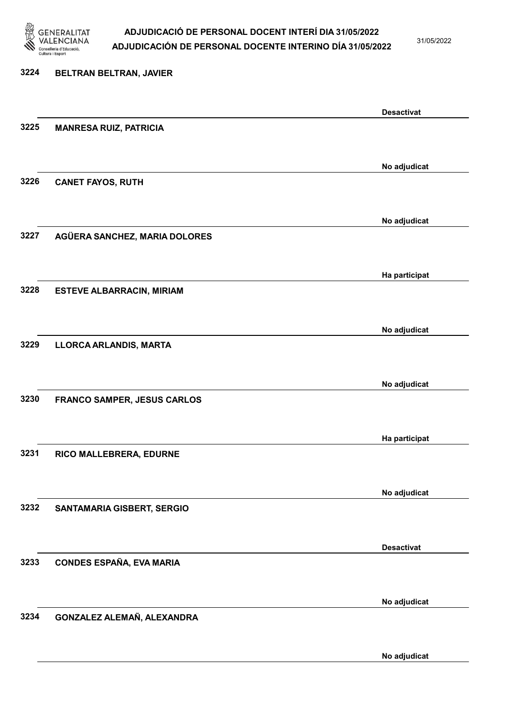

31/05/2022

# 3224 BELTRAN BELTRAN, JAVIER Desactivat 3225 MANRESA RUIZ, PATRICIA No adjudicat 3226 CANET FAYOS, RUTH No adjudicat 3227 AGÜERA SANCHEZ, MARIA DOLORES Ha participat 3228 ESTEVE ALBARRACIN, MIRIAM No adjudicat 3229 LLORCA ARLANDIS, MARTA No adjudicat 3230 FRANCO SAMPER, JESUS CARLOS Ha participat 3231 RICO MALLEBRERA, EDURNE No adjudicat 3232 SANTAMARIA GISBERT, SERGIO Desactivat 3233 CONDES ESPAÑA, EVA MARIA No adjudicat 3234 GONZALEZ ALEMAÑ, ALEXANDRA

No adjudicat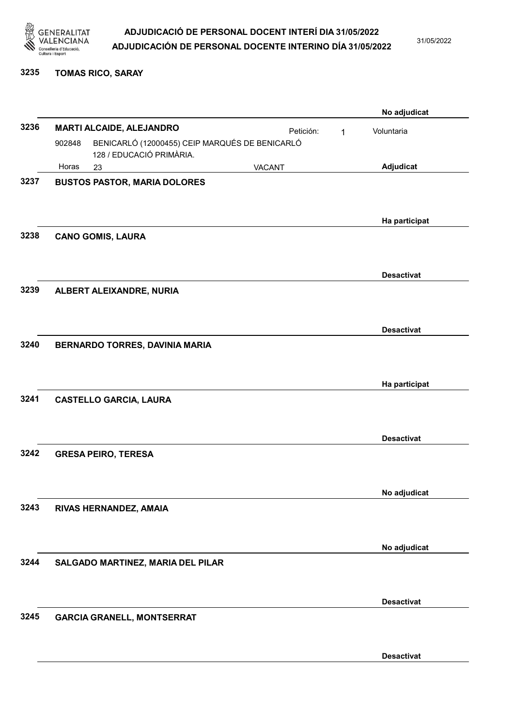

31/05/2022

3235 TOMAS RICO, SARAY

|      |        |                                                                            |           |   | No adjudicat      |
|------|--------|----------------------------------------------------------------------------|-----------|---|-------------------|
| 3236 |        | <b>MARTI ALCAIDE, ALEJANDRO</b>                                            | Petición: | 1 | Voluntaria        |
|      | 902848 | BENICARLÓ (12000455) CEIP MARQUÉS DE BENICARLÓ<br>128 / EDUCACIÓ PRIMÀRIA. |           |   |                   |
|      | Horas  | 23                                                                         | VACANT    |   | Adjudicat         |
| 3237 |        | <b>BUSTOS PASTOR, MARIA DOLORES</b>                                        |           |   |                   |
|      |        |                                                                            |           |   |                   |
|      |        |                                                                            |           |   | Ha participat     |
| 3238 |        | <b>CANO GOMIS, LAURA</b>                                                   |           |   |                   |
|      |        |                                                                            |           |   | <b>Desactivat</b> |
| 3239 |        | ALBERT ALEIXANDRE, NURIA                                                   |           |   |                   |
|      |        |                                                                            |           |   |                   |
|      |        |                                                                            |           |   | <b>Desactivat</b> |
| 3240 |        | <b>BERNARDO TORRES, DAVINIA MARIA</b>                                      |           |   |                   |
|      |        |                                                                            |           |   |                   |
|      |        |                                                                            |           |   | Ha participat     |
| 3241 |        | <b>CASTELLO GARCIA, LAURA</b>                                              |           |   |                   |
|      |        |                                                                            |           |   |                   |
|      |        |                                                                            |           |   | <b>Desactivat</b> |
| 3242 |        | <b>GRESA PEIRO, TERESA</b>                                                 |           |   |                   |
|      |        |                                                                            |           |   |                   |
|      |        |                                                                            |           |   | No adjudicat      |
| 3243 |        | RIVAS HERNANDEZ, AMAIA                                                     |           |   |                   |
|      |        |                                                                            |           |   |                   |
|      |        |                                                                            |           |   | No adjudicat      |
| 3244 |        | SALGADO MARTINEZ, MARIA DEL PILAR                                          |           |   |                   |
|      |        |                                                                            |           |   |                   |
|      |        |                                                                            |           |   | <b>Desactivat</b> |
| 3245 |        | <b>GARCIA GRANELL, MONTSERRAT</b>                                          |           |   |                   |
|      |        |                                                                            |           |   |                   |
|      |        |                                                                            |           |   | <b>Desactivat</b> |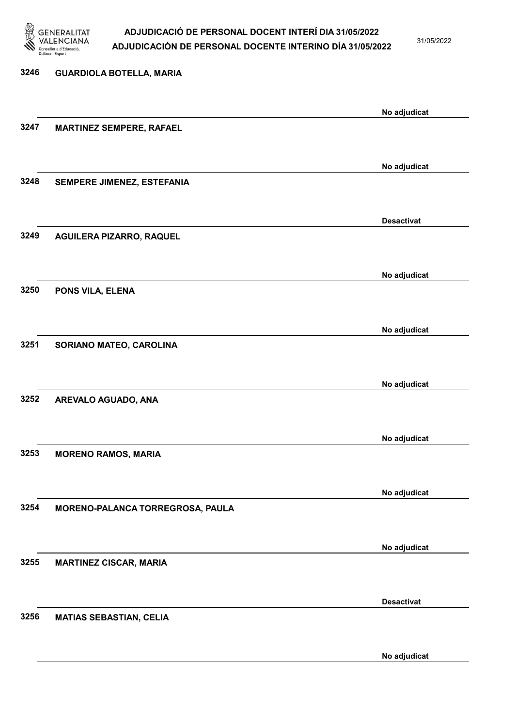

31/05/2022

### 3246 GUARDIOLA BOTELLA, MARIA No adjudicat 3247 MARTINEZ SEMPERE, RAFAEL No adjudicat 3248 SEMPERE JIMENEZ, ESTEFANIA Desactivat 3249 AGUILERA PIZARRO, RAQUEL No adjudicat 3250 PONS VILA, ELENA No adjudicat 3251 SORIANO MATEO, CAROLINA No adjudicat 3252 AREVALO AGUADO, ANA No adjudicat 3253 MORENO RAMOS, MARIA No adjudicat 3254 MORENO-PALANCA TORREGROSA, PAULA No adjudicat 3255 MARTINEZ CISCAR, MARIA Desactivat 3256 MATIAS SEBASTIAN, CELIA No adjudicat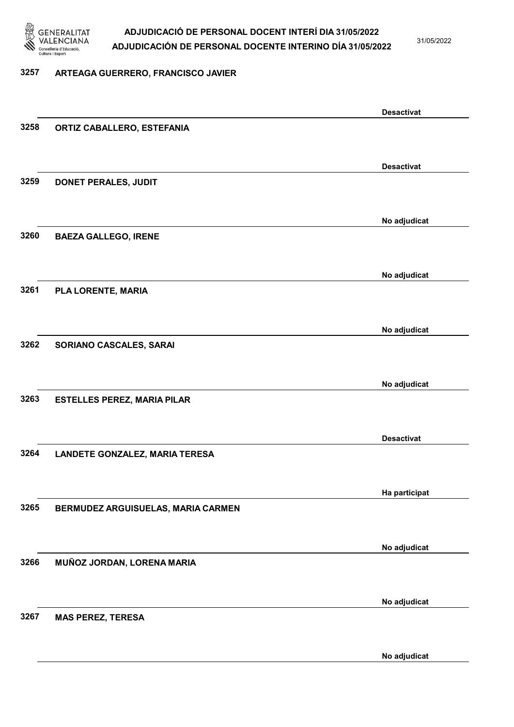

31/05/2022

#### 3257 ARTEAGA GUERRERO, FRANCISCO JAVIER

|      |                                    | <b>Desactivat</b> |
|------|------------------------------------|-------------------|
| 3258 | ORTIZ CABALLERO, ESTEFANIA         |                   |
|      |                                    |                   |
|      |                                    |                   |
| 3259 |                                    | <b>Desactivat</b> |
|      | DONET PERALES, JUDIT               |                   |
|      |                                    |                   |
|      |                                    | No adjudicat      |
| 3260 | <b>BAEZA GALLEGO, IRENE</b>        |                   |
|      |                                    |                   |
|      |                                    | No adjudicat      |
| 3261 | PLA LORENTE, MARIA                 |                   |
|      |                                    |                   |
|      |                                    |                   |
|      |                                    | No adjudicat      |
| 3262 | SORIANO CASCALES, SARAI            |                   |
|      |                                    |                   |
|      |                                    | No adjudicat      |
| 3263 | <b>ESTELLES PEREZ, MARIA PILAR</b> |                   |
|      |                                    |                   |
|      |                                    |                   |
|      |                                    | <b>Desactivat</b> |
| 3264 | LANDETE GONZALEZ, MARIA TERESA     |                   |
|      |                                    |                   |
|      |                                    | Ha participat     |
| 3265 | BERMUDEZ ARGUISUELAS, MARIA CARMEN |                   |
|      |                                    |                   |
|      |                                    |                   |
|      |                                    | No adjudicat      |
| 3266 | MUÑOZ JORDAN, LORENA MARIA         |                   |
|      |                                    |                   |
|      |                                    | No adjudicat      |
| 3267 | <b>MAS PEREZ, TERESA</b>           |                   |
|      |                                    |                   |
|      |                                    | No adjudicat      |
|      |                                    |                   |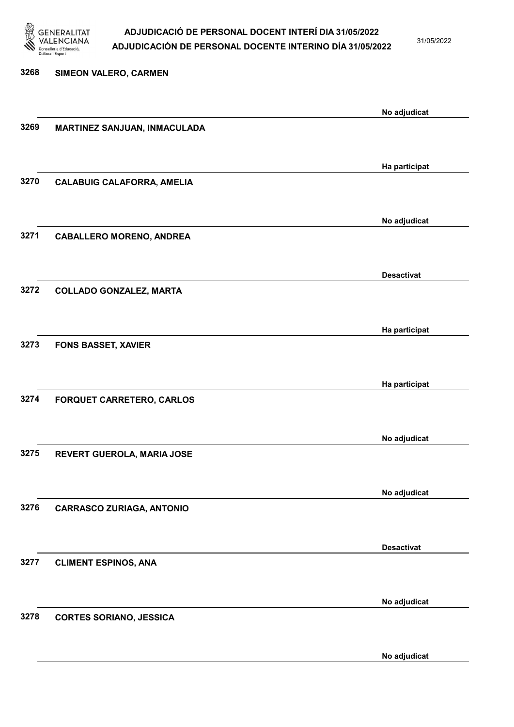

31/05/2022

# 3268 SIMEON VALERO, CARMEN No adjudicat 3269 MARTINEZ SANJUAN, INMACULADA Ha participat 3270 CALABUIG CALAFORRA, AMELIA No adjudicat 3271 CABALLERO MORENO, ANDREA Desactivat 3272 COLLADO GONZALEZ, MARTA Ha participat 3273 FONS BASSET, XAVIER Ha participat 3274 FORQUET CARRETERO, CARLOS No adjudicat 3275 REVERT GUEROLA, MARIA JOSE No adjudicat 3276 CARRASCO ZURIAGA, ANTONIO Desactivat 3277 CLIMENT ESPINOS, ANA No adjudicat 3278 CORTES SORIANO, JESSICA

No adjudicat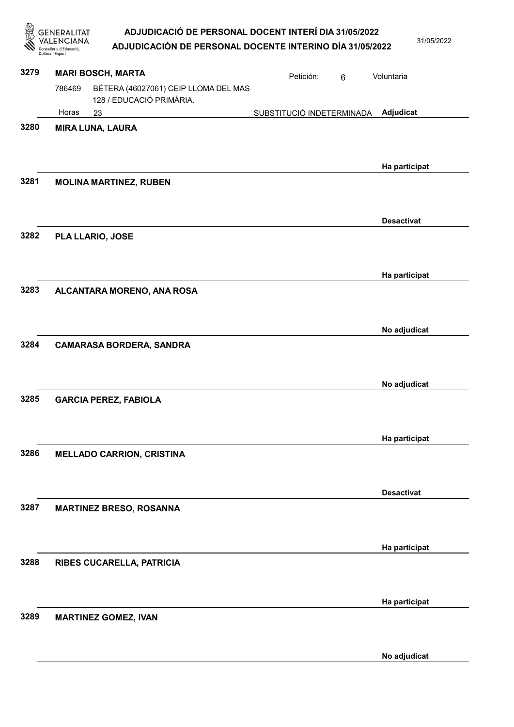| GENERALITAT       | ADJUDICACIÓ DE PERSONAL DOCENT INTERÍ DIA 31/05/2022      |  |
|-------------------|-----------------------------------------------------------|--|
| <b>VALENCIANA</b> | AD UIDICACIÓN DE RERSONAL DOCENTE INTERINO DÍA 24/05/2022 |  |

|      | GENERALITAT<br><b>NCIANA</b><br>Conselleria d'Educació<br>Cultura i Esport | ADJUDICACIÓ DE PERSONAL DOCENT INTERÍ DIA 31/05/2022<br>ADJUDICACIÓN DE PERSONAL DOCENTE INTERINO DÍA 31/05/2022 |                           |                | 31/05/2022        |
|------|----------------------------------------------------------------------------|------------------------------------------------------------------------------------------------------------------|---------------------------|----------------|-------------------|
| 3279 | <b>MARI BOSCH, MARTA</b>                                                   |                                                                                                                  | Petición:                 | $6\phantom{1}$ | Voluntaria        |
|      | 786469                                                                     | BÉTERA (46027061) CEIP LLOMA DEL MAS<br>128 / EDUCACIÓ PRIMÀRIA.                                                 |                           |                |                   |
|      | Horas<br>23                                                                |                                                                                                                  | SUBSTITUCIÓ INDETERMINADA |                | Adjudicat         |
| 3280 | <b>MIRA LUNA, LAURA</b>                                                    |                                                                                                                  |                           |                | Ha participat     |
| 3281 |                                                                            | <b>MOLINA MARTINEZ, RUBEN</b>                                                                                    |                           |                |                   |
| 3282 | PLA LLARIO, JOSE                                                           |                                                                                                                  |                           |                | <b>Desactivat</b> |
| 3283 |                                                                            | ALCANTARA MORENO, ANA ROSA                                                                                       |                           |                | Ha participat     |
| 3284 |                                                                            | <b>CAMARASA BORDERA, SANDRA</b>                                                                                  |                           |                | No adjudicat      |
| 3285 |                                                                            | <b>GARCIA PEREZ, FABIOLA</b>                                                                                     |                           |                | No adjudicat      |
| 3286 |                                                                            | <b>MELLADO CARRION, CRISTINA</b>                                                                                 |                           |                | Ha participat     |
| 3287 |                                                                            | <b>MARTINEZ BRESO, ROSANNA</b>                                                                                   |                           |                | <b>Desactivat</b> |
| 3288 |                                                                            | RIBES CUCARELLA, PATRICIA                                                                                        |                           |                | Ha participat     |
| 3289 |                                                                            | <b>MARTINEZ GOMEZ, IVAN</b>                                                                                      |                           |                | Ha participat     |
|      |                                                                            |                                                                                                                  |                           |                | No adjudicat      |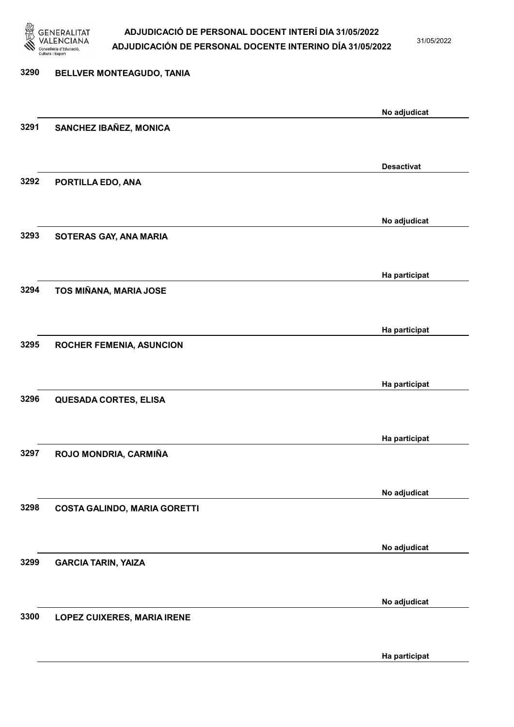

31/05/2022

Ha participat

# 3290 BELLVER MONTEAGUDO, TANIA No adjudicat 3291 SANCHEZ IBAÑEZ, MONICA Desactivat 3292 PORTILLA EDO, ANA No adjudicat 3293 SOTERAS GAY, ANA MARIA Ha participat 3294 TOS MIÑANA, MARIA JOSE Ha participat 3295 ROCHER FEMENIA, ASUNCION Ha participat 3296 QUESADA CORTES, ELISA Ha participat 3297 ROJO MONDRIA, CARMIÑA No adjudicat 3298 COSTA GALINDO, MARIA GORETTI No adjudicat 3299 GARCIA TARIN, YAIZA No adjudicat 3300 LOPEZ CUIXERES, MARIA IRENE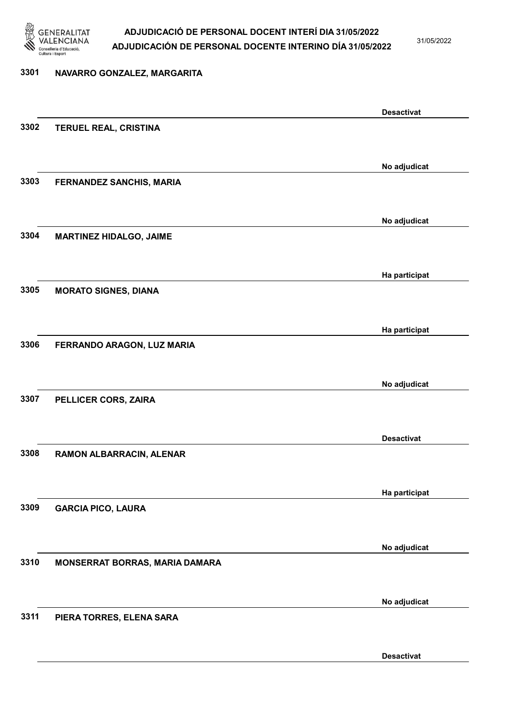

31/05/2022

#### 3301 NAVARRO GONZALEZ, MARGARITA

Desactivat 3302 TERUEL REAL, CRISTINA No adjudicat 3303 FERNANDEZ SANCHIS, MARIA No adjudicat 3304 MARTINEZ HIDALGO, JAIME Ha participat 3305 MORATO SIGNES, DIANA Ha participat 3306 FERRANDO ARAGON, LUZ MARIA No adjudicat 3307 PELLICER CORS, ZAIRA Desactivat 3308 RAMON ALBARRACIN, ALENAR Ha participat 3309 GARCIA PICO, LAURA No adjudicat 3310 MONSERRAT BORRAS, MARIA DAMARA No adjudicat 3311 PIERA TORRES, ELENA SARA Desactivat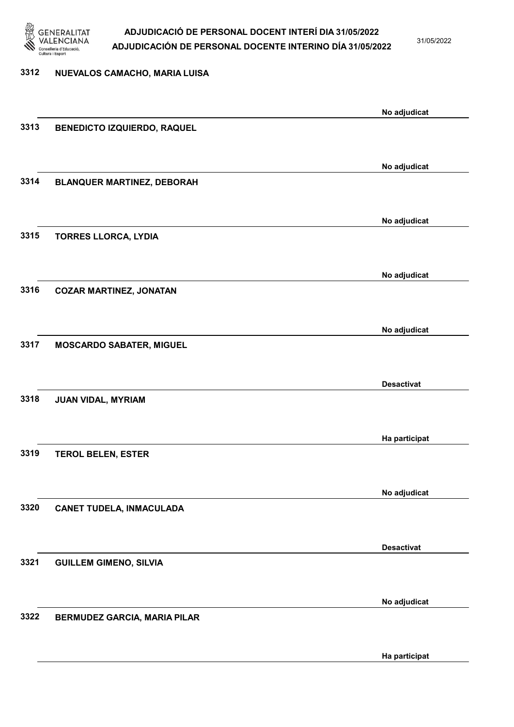

3312 NUEVALOS CAMACHO, MARIA LUISA

### ADJUDICACIÓ DE PERSONAL DOCENT INTERÍ DIA 31/05/2022 ADJUDICACIÓN DE PERSONAL DOCENTE INTERINO DÍA 31/05/2022

31/05/2022

# No adjudicat 3313 BENEDICTO IZQUIERDO, RAQUEL No adjudicat 3314 BLANQUER MARTINEZ, DEBORAH No adjudicat 3315 TORRES LLORCA, LYDIA No adjudicat 3316 COZAR MARTINEZ, JONATAN No adjudicat 3317 MOSCARDO SABATER, MIGUEL Desactivat 3318 JUAN VIDAL, MYRIAM Ha participat 3319 TEROL BELEN, ESTER No adjudicat 3320 CANET TUDELA, INMACULADA Desactivat 3321 GUILLEM GIMENO, SILVIA No adjudicat 3322 BERMUDEZ GARCIA, MARIA PILAR

Ha participat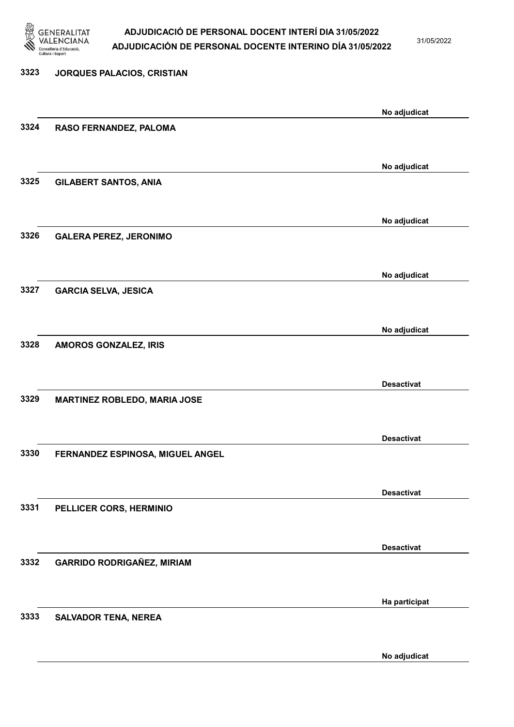

31/05/2022

### 3323 JORQUES PALACIOS, CRISTIAN No adjudicat 3324 RASO FERNANDEZ, PALOMA No adjudicat 3325 GILABERT SANTOS, ANIA No adjudicat 3326 GALERA PEREZ, JERONIMO No adjudicat 3327 GARCIA SELVA, JESICA No adjudicat 3328 AMOROS GONZALEZ, IRIS Desactivat 3329 MARTINEZ ROBLEDO, MARIA JOSE Desactivat 3330 FERNANDEZ ESPINOSA, MIGUEL ANGEL Desactivat 3331 PELLICER CORS, HERMINIO Desactivat 3332 GARRIDO RODRIGAÑEZ, MIRIAM Ha participat 3333 SALVADOR TENA, NEREA

No adjudicat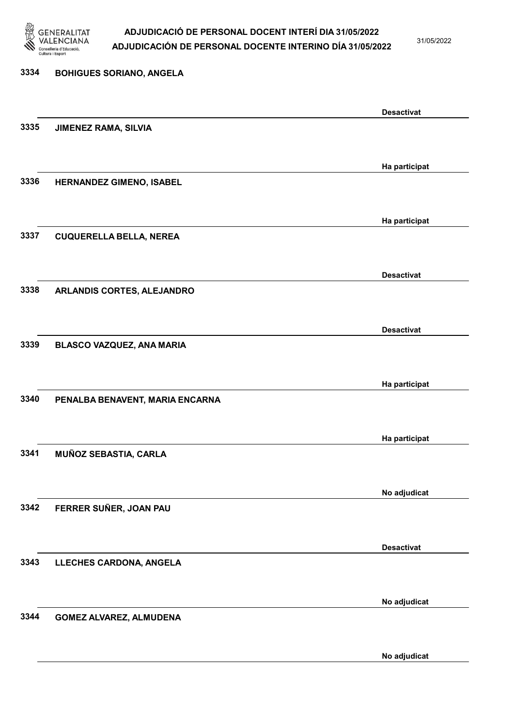

31/05/2022

#### 3334 BOHIGUES SORIANO, ANGELA

|      |                                  | <b>Desactivat</b> |
|------|----------------------------------|-------------------|
| 3335 | <b>JIMENEZ RAMA, SILVIA</b>      |                   |
|      |                                  |                   |
|      |                                  |                   |
|      |                                  | Ha participat     |
| 3336 | HERNANDEZ GIMENO, ISABEL         |                   |
|      |                                  |                   |
|      |                                  |                   |
|      |                                  | Ha participat     |
| 3337 | <b>CUQUERELLA BELLA, NEREA</b>   |                   |
|      |                                  |                   |
|      |                                  |                   |
|      |                                  | <b>Desactivat</b> |
|      |                                  |                   |
| 3338 | ARLANDIS CORTES, ALEJANDRO       |                   |
|      |                                  |                   |
|      |                                  |                   |
|      |                                  | <b>Desactivat</b> |
| 3339 | <b>BLASCO VAZQUEZ, ANA MARIA</b> |                   |
|      |                                  |                   |
|      |                                  |                   |
|      |                                  | Ha participat     |
| 3340 | PENALBA BENAVENT, MARIA ENCARNA  |                   |
|      |                                  |                   |
|      |                                  |                   |
|      |                                  | Ha participat     |
| 3341 | MUÑOZ SEBASTIA, CARLA            |                   |
|      |                                  |                   |
|      |                                  |                   |
|      |                                  | No adjudicat      |
| 3342 | FERRER SUÑER, JOAN PAU           |                   |
|      |                                  |                   |
|      |                                  |                   |
|      |                                  | <b>Desactivat</b> |
| 3343 | LLECHES CARDONA, ANGELA          |                   |
|      |                                  |                   |
|      |                                  |                   |
|      |                                  | No adjudicat      |
| 3344 |                                  |                   |
|      | <b>GOMEZ ALVAREZ, ALMUDENA</b>   |                   |
|      |                                  |                   |
|      |                                  |                   |
|      |                                  | No adjudicat      |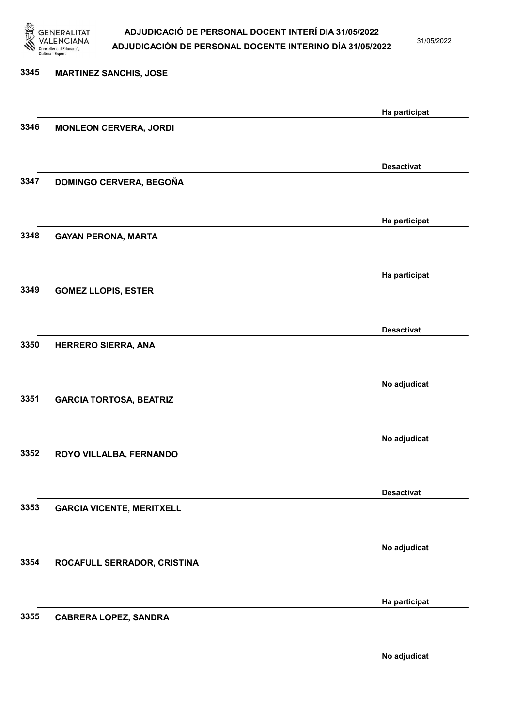

31/05/2022

| 3345 | <b>MARTINEZ SANCHIS, JOSE</b>    |                   |
|------|----------------------------------|-------------------|
|      |                                  |                   |
| 3346 | <b>MONLEON CERVERA, JORDI</b>    | Ha participat     |
|      |                                  |                   |
|      |                                  | <b>Desactivat</b> |
| 3347 | DOMINGO CERVERA, BEGOÑA          |                   |
|      |                                  | Ha participat     |
| 3348 | <b>GAYAN PERONA, MARTA</b>       |                   |
|      |                                  |                   |
|      |                                  | Ha participat     |
| 3349 | <b>GOMEZ LLOPIS, ESTER</b>       |                   |
|      |                                  |                   |
|      |                                  | <b>Desactivat</b> |
| 3350 | <b>HERRERO SIERRA, ANA</b>       |                   |
|      |                                  |                   |
|      |                                  | No adjudicat      |
| 3351 | <b>GARCIA TORTOSA, BEATRIZ</b>   |                   |
|      |                                  |                   |
|      |                                  | No adjudicat      |
| 3352 | ROYO VILLALBA, FERNANDO          |                   |
|      |                                  |                   |
| 3353 | <b>GARCIA VICENTE, MERITXELL</b> | <b>Desactivat</b> |
|      |                                  |                   |
|      |                                  | No adjudicat      |
| 3354 | ROCAFULL SERRADOR, CRISTINA      |                   |
|      |                                  |                   |
|      |                                  | Ha participat     |
| 3355 | <b>CABRERA LOPEZ, SANDRA</b>     |                   |
|      |                                  |                   |
|      |                                  |                   |

No adjudicat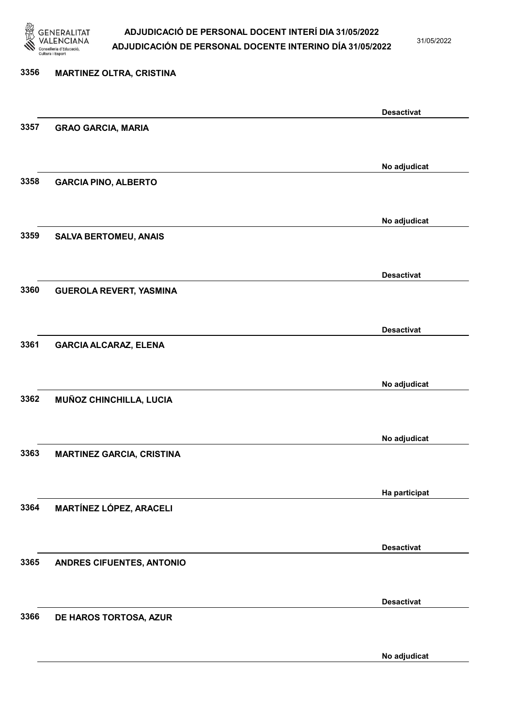

31/05/2022

### 3356 MARTINEZ OLTRA, CRISTINA Desactivat 3357 GRAO GARCIA, MARIA No adjudicat 3358 GARCIA PINO, ALBERTO No adjudicat 3359 SALVA BERTOMEU, ANAIS Desactivat 3360 GUEROLA REVERT, YASMINA Desactivat 3361 GARCIA ALCARAZ, ELENA No adjudicat 3362 MUÑOZ CHINCHILLA, LUCIA No adjudicat 3363 MARTINEZ GARCIA, CRISTINA Ha participat 3364 MARTÍNEZ LÓPEZ, ARACELI Desactivat 3365 ANDRES CIFUENTES, ANTONIO Desactivat 3366 DE HAROS TORTOSA, AZUR

No adjudicat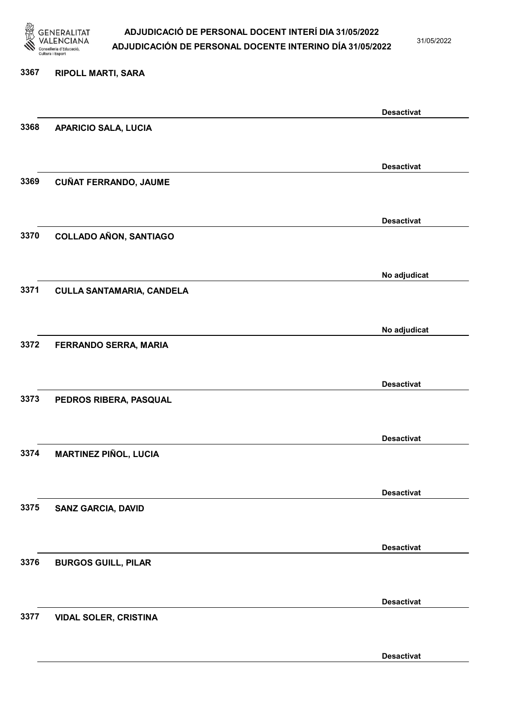

31/05/2022

Desactivat

# 3367 RIPOLL MARTI, SARA Desactivat 3368 APARICIO SALA, LUCIA Desactivat 3369 CUÑAT FERRANDO, JAUME Desactivat 3370 COLLADO AÑON, SANTIAGO No adjudicat 3371 CULLA SANTAMARIA, CANDELA No adjudicat 3372 FERRANDO SERRA, MARIA Desactivat 3373 PEDROS RIBERA, PASQUAL Desactivat 3374 MARTINEZ PIÑOL, LUCIA Desactivat 3375 SANZ GARCIA, DAVID Desactivat 3376 BURGOS GUILL, PILAR Desactivat 3377 VIDAL SOLER, CRISTINA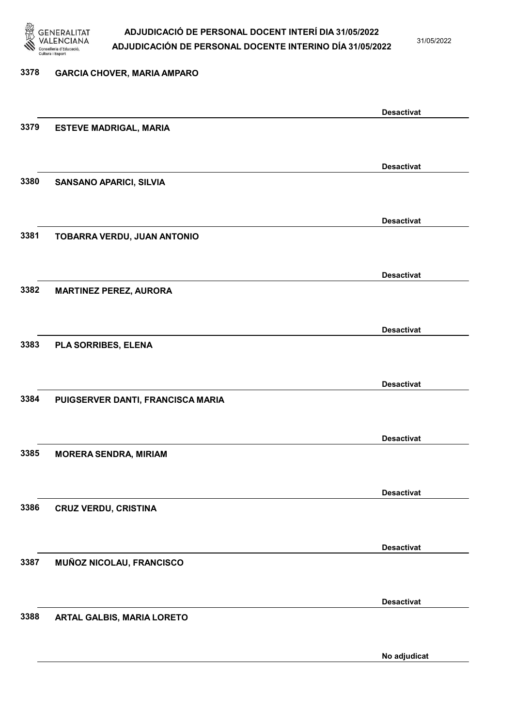

31/05/2022

No adjudicat

# 3378 GARCIA CHOVER, MARIA AMPARO Desactivat 3379 ESTEVE MADRIGAL, MARIA Desactivat 3380 SANSANO APARICI, SILVIA Desactivat 3381 TOBARRA VERDU, JUAN ANTONIO Desactivat 3382 MARTINEZ PEREZ, AURORA Desactivat 3383 PLA SORRIBES, ELENA Desactivat 3384 PUIGSERVER DANTI, FRANCISCA MARIA Desactivat 3385 MORERA SENDRA, MIRIAM Desactivat 3386 CRUZ VERDU, CRISTINA Desactivat 3387 MUÑOZ NICOLAU, FRANCISCO Desactivat 3388 ARTAL GALBIS, MARIA LORETO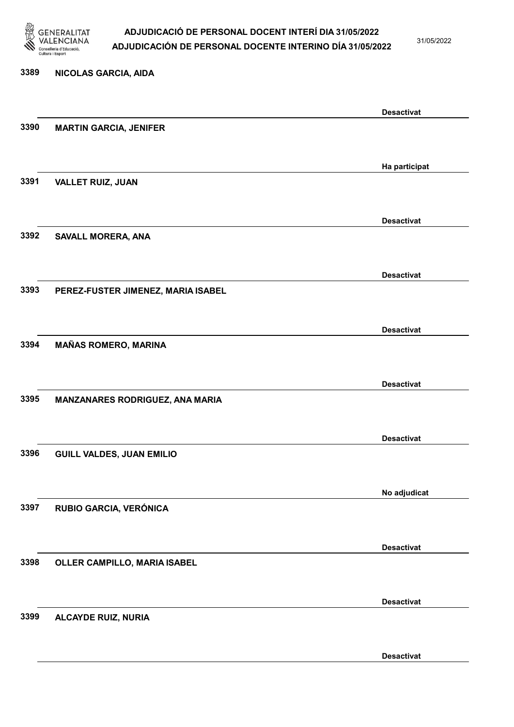

31/05/2022

Desactivat

# 3389 NICOLAS GARCIA, AIDA Desactivat 3390 MARTIN GARCIA, JENIFER Ha participat 3391 VALLET RUIZ, JUAN Desactivat 3392 SAVALL MORERA, ANA Desactivat 3393 PEREZ-FUSTER JIMENEZ, MARIA ISABEL Desactivat 3394 MAÑAS ROMERO, MARINA Desactivat 3395 MANZANARES RODRIGUEZ, ANA MARIA Desactivat 3396 GUILL VALDES, JUAN EMILIO No adjudicat 3397 RUBIO GARCIA, VERÓNICA Desactivat 3398 OLLER CAMPILLO, MARIA ISABEL Desactivat 3399 ALCAYDE RUIZ, NURIA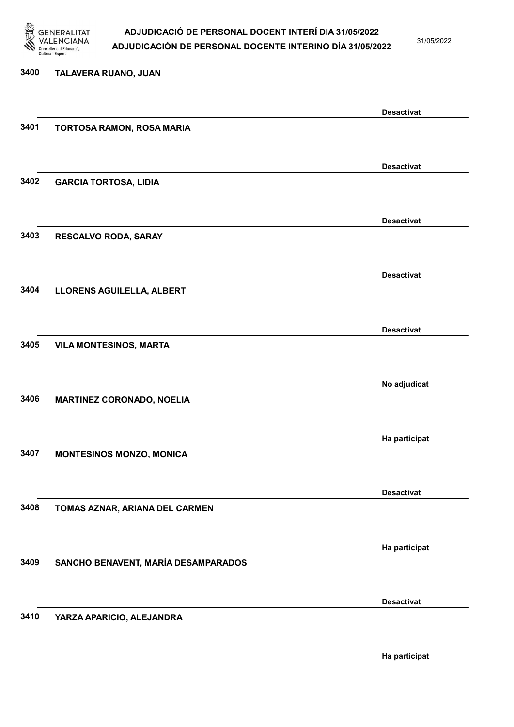

31/05/2022

#### 3400 TALAVERA RUANO, JUAN

|      |                                     | <b>Desactivat</b> |
|------|-------------------------------------|-------------------|
| 3401 | TORTOSA RAMON, ROSA MARIA           |                   |
|      |                                     |                   |
|      |                                     |                   |
|      |                                     | <b>Desactivat</b> |
| 3402 | <b>GARCIA TORTOSA, LIDIA</b>        |                   |
|      |                                     |                   |
|      |                                     |                   |
|      |                                     | <b>Desactivat</b> |
| 3403 | RESCALVO RODA, SARAY                |                   |
|      |                                     |                   |
|      |                                     |                   |
|      |                                     | <b>Desactivat</b> |
| 3404 | LLORENS AGUILELLA, ALBERT           |                   |
|      |                                     |                   |
|      |                                     |                   |
|      |                                     | <b>Desactivat</b> |
| 3405 | <b>VILA MONTESINOS, MARTA</b>       |                   |
|      |                                     |                   |
|      |                                     |                   |
|      |                                     | No adjudicat      |
| 3406 | <b>MARTINEZ CORONADO, NOELIA</b>    |                   |
|      |                                     |                   |
|      |                                     |                   |
|      |                                     | Ha participat     |
| 3407 | <b>MONTESINOS MONZO, MONICA</b>     |                   |
|      |                                     |                   |
|      |                                     |                   |
|      |                                     | <b>Desactivat</b> |
| 3408 | TOMAS AZNAR, ARIANA DEL CARMEN      |                   |
|      |                                     |                   |
|      |                                     |                   |
|      |                                     | Ha participat     |
| 3409 | SANCHO BENAVENT, MARÍA DESAMPARADOS |                   |
|      |                                     |                   |
|      |                                     |                   |
|      |                                     | <b>Desactivat</b> |
| 3410 | YARZA APARICIO, ALEJANDRA           |                   |
|      |                                     |                   |
|      |                                     |                   |
|      |                                     | Ha participat     |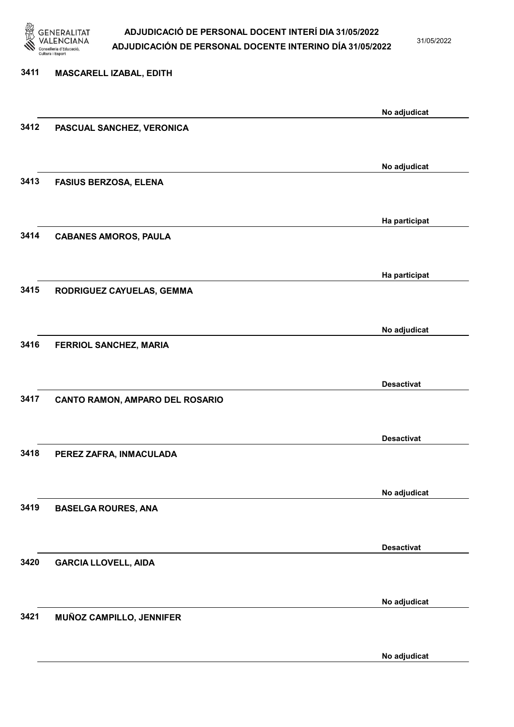

31/05/2022

No adjudicat

# 3411 MASCARELL IZABAL, EDITH No adjudicat 3412 PASCUAL SANCHEZ, VERONICA No adjudicat 3413 FASIUS BERZOSA, ELENA Ha participat 3414 CABANES AMOROS, PAULA Ha participat 3415 RODRIGUEZ CAYUELAS, GEMMA No adjudicat 3416 FERRIOL SANCHEZ, MARIA Desactivat 3417 CANTO RAMON, AMPARO DEL ROSARIO Desactivat 3418 PEREZ ZAFRA, INMACULADA No adjudicat 3419 BASELGA ROURES, ANA Desactivat 3420 GARCIA LLOVELL, AIDA No adjudicat 3421 MUÑOZ CAMPILLO, JENNIFER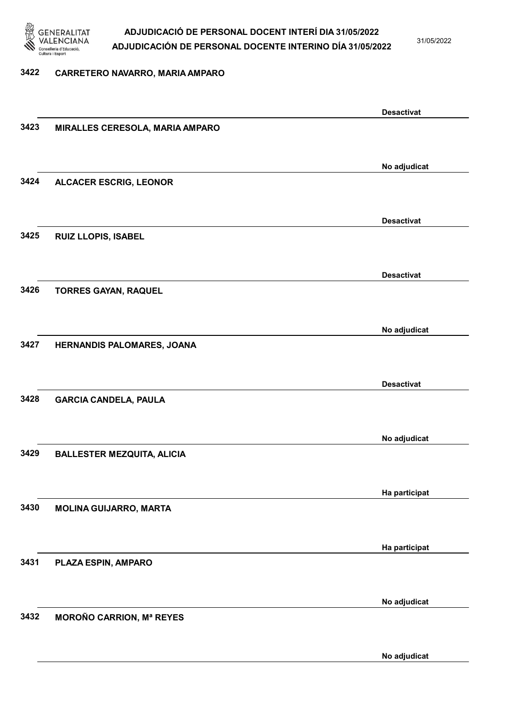

31/05/2022

#### 3422 CARRETERO NAVARRO, MARIA AMPARO

|      |                                   | <b>Desactivat</b> |
|------|-----------------------------------|-------------------|
| 3423 | MIRALLES CERESOLA, MARIA AMPARO   |                   |
|      |                                   |                   |
|      |                                   |                   |
|      |                                   | No adjudicat      |
| 3424 | <b>ALCACER ESCRIG, LEONOR</b>     |                   |
|      |                                   |                   |
|      |                                   |                   |
|      |                                   | <b>Desactivat</b> |
| 3425 | RUIZ LLOPIS, ISABEL               |                   |
|      |                                   |                   |
|      |                                   |                   |
|      |                                   | <b>Desactivat</b> |
| 3426 |                                   |                   |
|      | <b>TORRES GAYAN, RAQUEL</b>       |                   |
|      |                                   |                   |
|      |                                   |                   |
|      |                                   | No adjudicat      |
| 3427 | HERNANDIS PALOMARES, JOANA        |                   |
|      |                                   |                   |
|      |                                   |                   |
|      |                                   | <b>Desactivat</b> |
| 3428 | <b>GARCIA CANDELA, PAULA</b>      |                   |
|      |                                   |                   |
|      |                                   |                   |
|      |                                   | No adjudicat      |
| 3429 | <b>BALLESTER MEZQUITA, ALICIA</b> |                   |
|      |                                   |                   |
|      |                                   |                   |
|      |                                   | Ha participat     |
| 3430 | <b>MOLINA GUIJARRO, MARTA</b>     |                   |
|      |                                   |                   |
|      |                                   |                   |
|      |                                   | Ha participat     |
|      |                                   |                   |
| 3431 | PLAZA ESPIN, AMPARO               |                   |
|      |                                   |                   |
|      |                                   |                   |
|      |                                   | No adjudicat      |
| 3432 | <b>MOROÑO CARRION, Mª REYES</b>   |                   |
|      |                                   |                   |
|      |                                   |                   |
|      |                                   | No adjudicat      |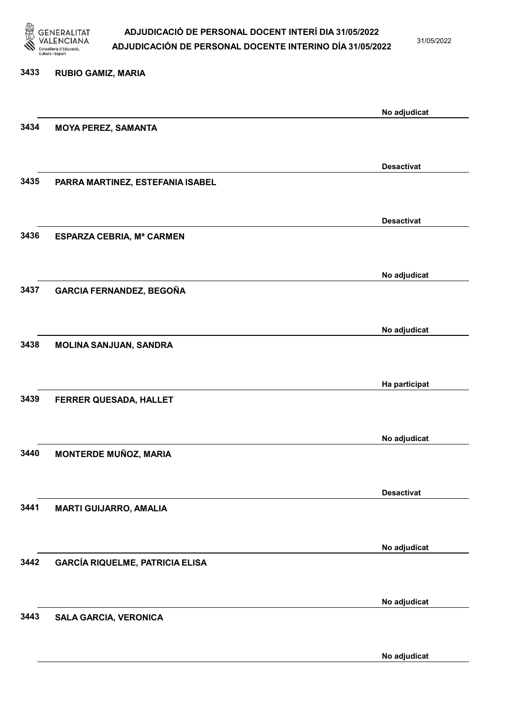

31/05/2022

| 3433 | <b>RUBIO GAMIZ, MARIA</b>              |                   |
|------|----------------------------------------|-------------------|
|      |                                        | No adjudicat      |
| 3434 | <b>MOYA PEREZ, SAMANTA</b>             |                   |
|      |                                        | <b>Desactivat</b> |
| 3435 | PARRA MARTINEZ, ESTEFANIA ISABEL       |                   |
|      |                                        | <b>Desactivat</b> |
| 3436 | ESPARZA CEBRIA, Mª CARMEN              |                   |
|      |                                        | No adjudicat      |
| 3437 | <b>GARCIA FERNANDEZ, BEGOÑA</b>        |                   |
|      |                                        | No adjudicat      |
| 3438 | MOLINA SANJUAN, SANDRA                 |                   |
|      |                                        | Ha participat     |
| 3439 | FERRER QUESADA, HALLET                 |                   |
|      |                                        | No adjudicat      |
| 3440 | <b>MONTERDE MUÑOZ, MARIA</b>           |                   |
|      |                                        | <b>Desactivat</b> |
| 3441 | <b>MARTI GUIJARRO, AMALIA</b>          |                   |
|      |                                        |                   |
| 3442 | <b>GARCÍA RIQUELME, PATRICIA ELISA</b> | No adjudicat      |
|      |                                        |                   |
| 3443 | <b>SALA GARCIA, VERONICA</b>           | No adjudicat      |
|      |                                        |                   |

No adjudicat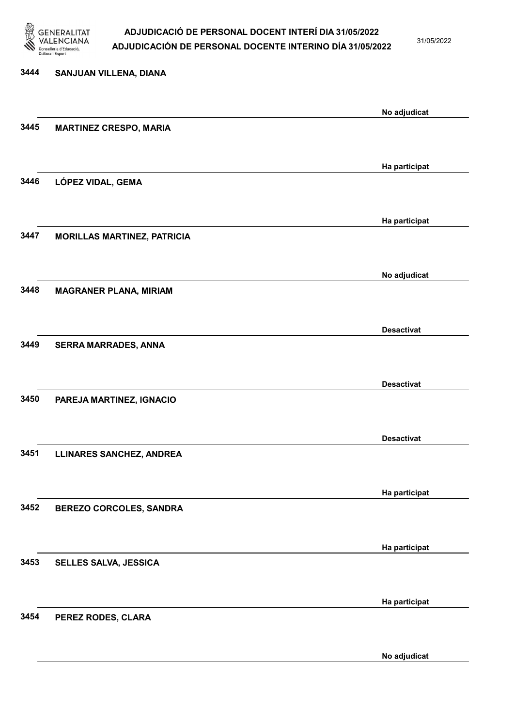

31/05/2022

No adjudicat

# 3444 SANJUAN VILLENA, DIANA No adjudicat 3445 MARTINEZ CRESPO, MARIA Ha participat 3446 LÓPEZ VIDAL, GEMA Ha participat 3447 MORILLAS MARTINEZ, PATRICIA No adjudicat 3448 MAGRANER PLANA, MIRIAM Desactivat 3449 SERRA MARRADES, ANNA Desactivat 3450 PAREJA MARTINEZ, IGNACIO Desactivat 3451 LLINARES SANCHEZ, ANDREA Ha participat 3452 BEREZO CORCOLES, SANDRA Ha participat 3453 SELLES SALVA, JESSICA Ha participat 3454 PEREZ RODES, CLARA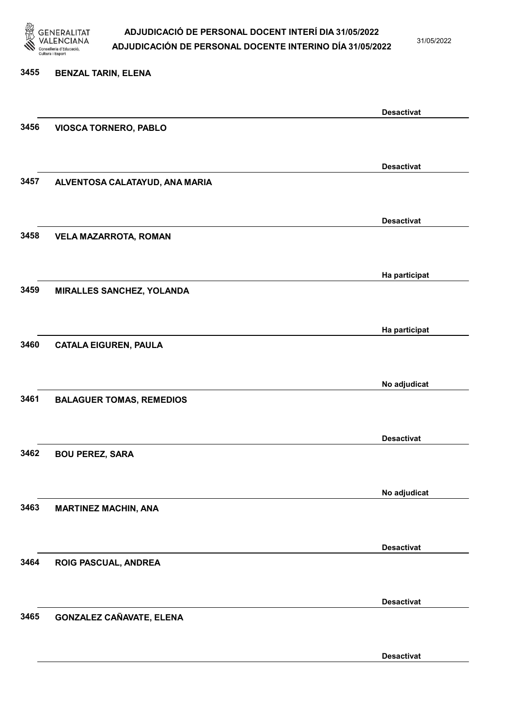

31/05/2022

# 3455 BENZAL TARIN, ELENA Desactivat 3456 VIOSCA TORNERO, PABLO Desactivat 3457 ALVENTOSA CALATAYUD, ANA MARIA Desactivat 3458 VELA MAZARROTA, ROMAN Ha participat 3459 MIRALLES SANCHEZ, YOLANDA Ha participat 3460 CATALA EIGUREN, PAULA No adjudicat 3461 BALAGUER TOMAS, REMEDIOS Desactivat 3462 BOU PEREZ, SARA No adjudicat 3463 MARTINEZ MACHIN, ANA Desactivat 3464 ROIG PASCUAL, ANDREA Desactivat 3465 GONZALEZ CAÑAVATE, ELENA

Desactivat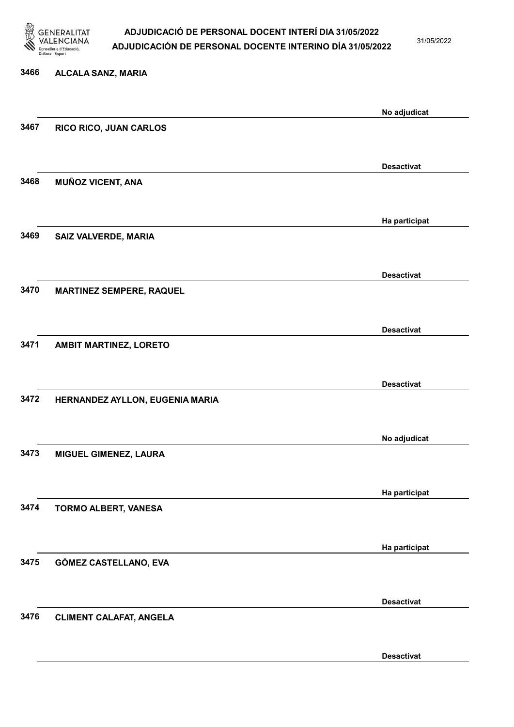

31/05/2022

Desactivat

# 3466 ALCALA SANZ, MARIA No adjudicat 3467 RICO RICO, JUAN CARLOS Desactivat 3468 MUÑOZ VICENT, ANA Ha participat 3469 SAIZ VALVERDE, MARIA Desactivat 3470 MARTINEZ SEMPERE, RAQUEL Desactivat 3471 AMBIT MARTINEZ, LORETO Desactivat 3472 HERNANDEZ AYLLON, EUGENIA MARIA No adjudicat 3473 MIGUEL GIMENEZ, LAURA Ha participat 3474 TORMO ALBERT, VANESA Ha participat 3475 GÓMEZ CASTELLANO, EVA Desactivat 3476 CLIMENT CALAFAT, ANGELA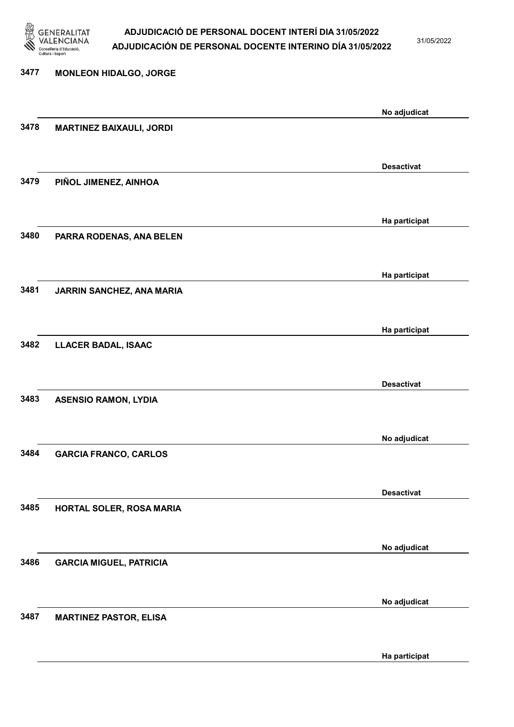

31/05/2022

Ha participat

| 3477 | <b>MONLEON HIDALGO, JORGE</b>   |                   |
|------|---------------------------------|-------------------|
|      |                                 | No adjudicat      |
| 3478 | <b>MARTINEZ BAIXAULI, JORDI</b> |                   |
|      |                                 |                   |
|      |                                 | <b>Desactivat</b> |
| 3479 | PIÑOL JIMENEZ, AINHOA           |                   |
|      |                                 | Ha participat     |
| 3480 | PARRA RODENAS, ANA BELEN        |                   |
|      |                                 |                   |
|      |                                 | Ha participat     |
| 3481 | JARRIN SANCHEZ, ANA MARIA       |                   |
|      |                                 |                   |
|      |                                 | Ha participat     |
| 3482 | <b>LLACER BADAL, ISAAC</b>      |                   |
|      |                                 |                   |
|      |                                 | <b>Desactivat</b> |
| 3483 | <b>ASENSIO RAMON, LYDIA</b>     |                   |
|      |                                 |                   |
|      |                                 | No adjudicat      |
| 3484 | <b>GARCIA FRANCO, CARLOS</b>    |                   |
|      |                                 | <b>Desactivat</b> |
| 3485 | HORTAL SOLER, ROSA MARIA        |                   |
|      |                                 |                   |
|      |                                 | No adjudicat      |
| 3486 | <b>GARCIA MIGUEL, PATRICIA</b>  |                   |
|      |                                 |                   |
|      |                                 | No adjudicat      |
| 3487 | <b>MARTINEZ PASTOR, ELISA</b>   |                   |
|      |                                 |                   |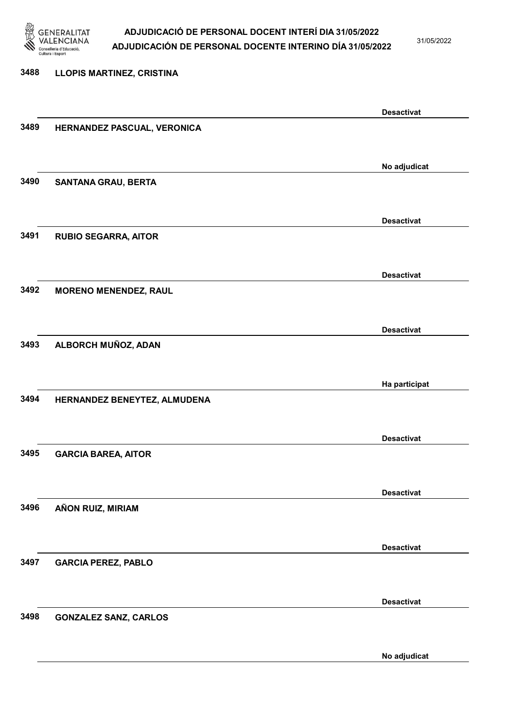

31/05/2022

No adjudicat

# 3488 LLOPIS MARTINEZ, CRISTINA Desactivat 3489 HERNANDEZ PASCUAL, VERONICA No adjudicat 3490 SANTANA GRAU, BERTA Desactivat 3491 RUBIO SEGARRA, AITOR Desactivat 3492 MORENO MENENDEZ, RAUL Desactivat 3493 ALBORCH MUÑOZ, ADAN Ha participat 3494 HERNANDEZ BENEYTEZ, ALMUDENA Desactivat 3495 GARCIA BAREA, AITOR Desactivat 3496 AÑON RUIZ, MIRIAM Desactivat 3497 GARCIA PEREZ, PABLO Desactivat 3498 GONZALEZ SANZ, CARLOS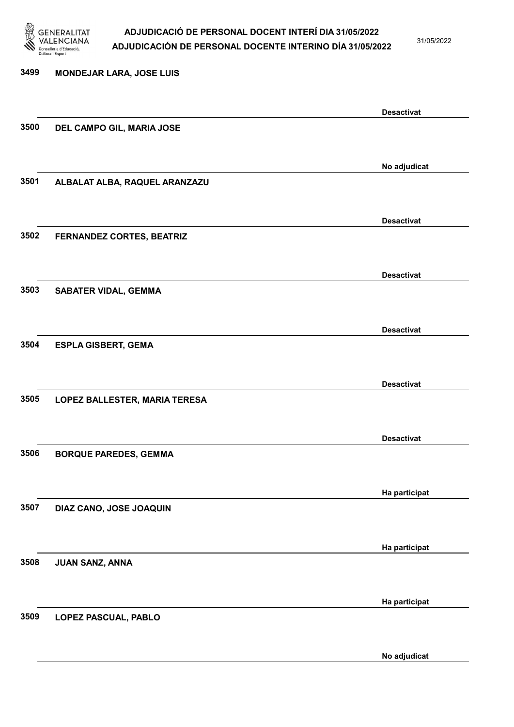

31/05/2022

No adjudicat

# 3499 MONDEJAR LARA, JOSE LUIS Desactivat 3500 DEL CAMPO GIL, MARIA JOSE No adjudicat 3501 ALBALAT ALBA, RAQUEL ARANZAZU Desactivat 3502 FERNANDEZ CORTES, BEATRIZ Desactivat 3503 SABATER VIDAL, GEMMA Desactivat 3504 ESPLA GISBERT, GEMA Desactivat 3505 LOPEZ BALLESTER, MARIA TERESA Desactivat 3506 BORQUE PAREDES, GEMMA Ha participat 3507 DIAZ CANO, JOSE JOAQUIN Ha participat 3508 JUAN SANZ, ANNA Ha participat 3509 LOPEZ PASCUAL, PABLO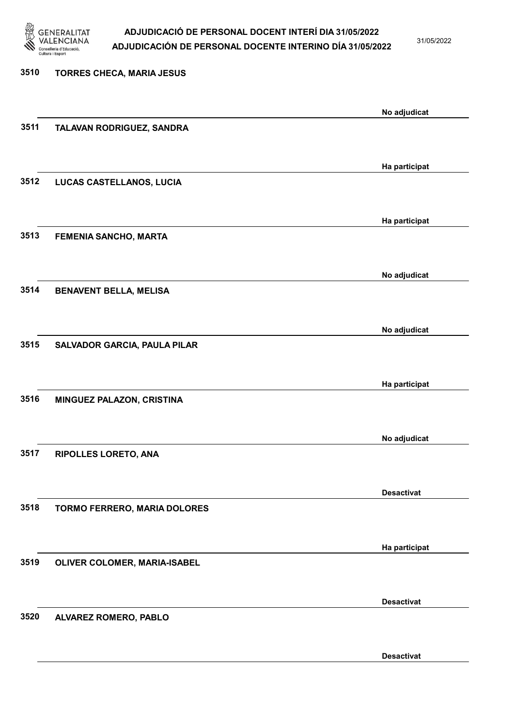

31/05/2022

| 3510 | <b>TORRES CHECA, MARIA JESUS</b>    |                   |
|------|-------------------------------------|-------------------|
|      |                                     | No adjudicat      |
| 3511 | TALAVAN RODRIGUEZ, SANDRA           |                   |
|      |                                     | Ha participat     |
| 3512 | LUCAS CASTELLANOS, LUCIA            |                   |
|      |                                     | Ha participat     |
| 3513 | <b>FEMENIA SANCHO, MARTA</b>        |                   |
|      |                                     | No adjudicat      |
| 3514 | <b>BENAVENT BELLA, MELISA</b>       |                   |
|      |                                     | No adjudicat      |
| 3515 | <b>SALVADOR GARCIA, PAULA PILAR</b> |                   |
|      |                                     | Ha participat     |
| 3516 | MINGUEZ PALAZON, CRISTINA           |                   |
|      |                                     | No adjudicat      |
| 3517 | RIPOLLES LORETO, ANA                |                   |
|      |                                     | <b>Desactivat</b> |
| 3518 | TORMO FERRERO, MARIA DOLORES        |                   |
|      |                                     | Ha participat     |
| 3519 | OLIVER COLOMER, MARIA-ISABEL        |                   |
|      |                                     | <b>Desactivat</b> |
| 3520 | ALVAREZ ROMERO, PABLO               |                   |

Desactivat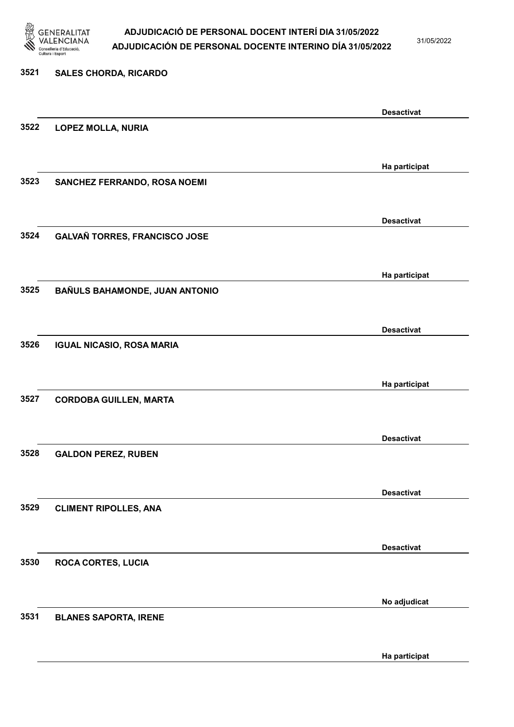

31/05/2022

Ha participat

# 3521 SALES CHORDA, RICARDO Desactivat 3522 LOPEZ MOLLA, NURIA Ha participat 3523 SANCHEZ FERRANDO, ROSA NOEMI Desactivat 3524 GALVAÑ TORRES, FRANCISCO JOSE Ha participat 3525 BAÑULS BAHAMONDE, JUAN ANTONIO Desactivat 3526 IGUAL NICASIO, ROSA MARIA Ha participat 3527 CORDOBA GUILLEN, MARTA Desactivat 3528 GALDON PEREZ, RUBEN Desactivat 3529 CLIMENT RIPOLLES, ANA Desactivat 3530 ROCA CORTES, LUCIA No adjudicat 3531 BLANES SAPORTA, IRENE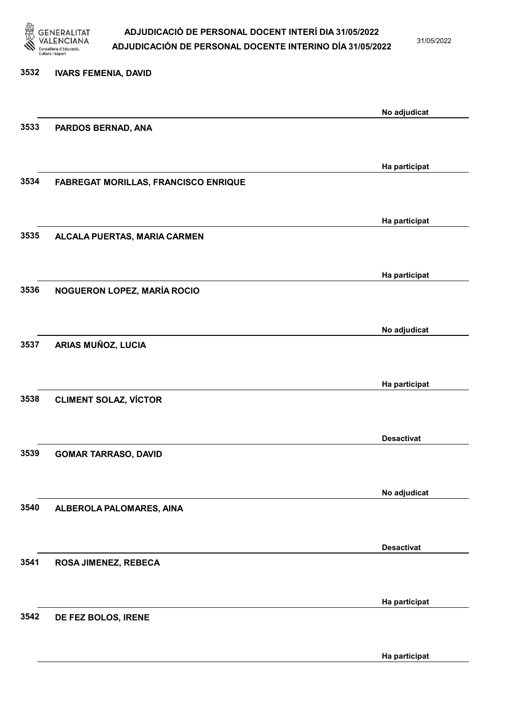

31/05/2022

Ha participat

# 3532 IVARS FEMENIA, DAVID No adjudicat 3533 PARDOS BERNAD, ANA Ha participat 3534 FABREGAT MORILLAS, FRANCISCO ENRIQUE Ha participat 3535 ALCALA PUERTAS, MARIA CARMEN Ha participat 3536 NOGUERON LOPEZ, MARÍA ROCIO No adjudicat 3537 ARIAS MUÑOZ, LUCIA Ha participat 3538 CLIMENT SOLAZ, VÍCTOR Desactivat 3539 GOMAR TARRASO, DAVID No adjudicat 3540 ALBEROLA PALOMARES, AINA Desactivat 3541 ROSA JIMENEZ, REBECA Ha participat 3542 DE FEZ BOLOS, IRENE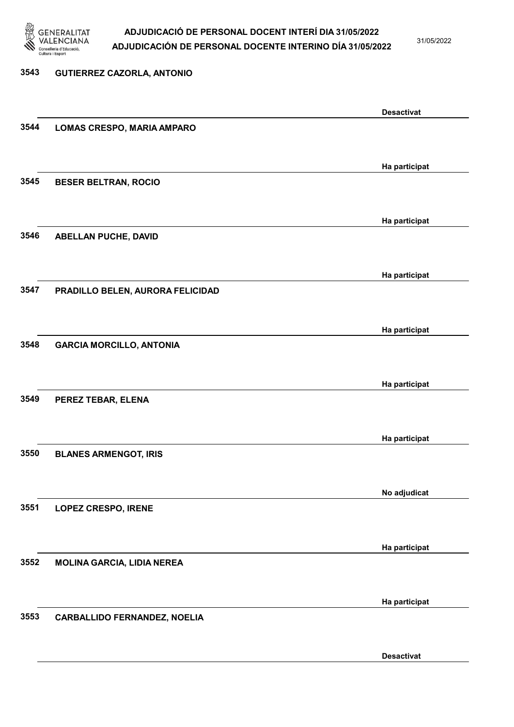

31/05/2022

Desactivat

# 3543 GUTIERREZ CAZORLA, ANTONIO Desactivat 3544 LOMAS CRESPO, MARIA AMPARO Ha participat 3545 BESER BELTRAN, ROCIO Ha participat 3546 ABELLAN PUCHE, DAVID Ha participat 3547 PRADILLO BELEN, AURORA FELICIDAD Ha participat 3548 GARCIA MORCILLO, ANTONIA Ha participat 3549 PEREZ TEBAR, ELENA Ha participat 3550 BLANES ARMENGOT, IRIS No adjudicat 3551 LOPEZ CRESPO, IRENE Ha participat 3552 MOLINA GARCIA, LIDIA NEREA Ha participat 3553 CARBALLIDO FERNANDEZ, NOELIA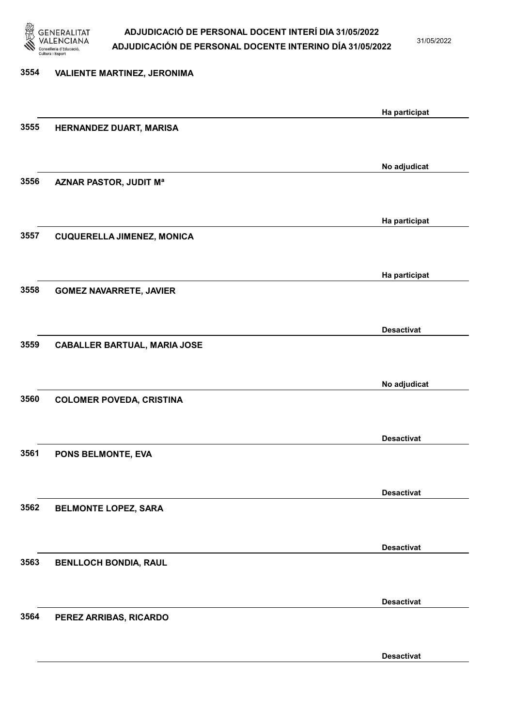

31/05/2022

Desactivat

# 3554 VALIENTE MARTINEZ, JERONIMA Ha participat 3555 HERNANDEZ DUART, MARISA No adjudicat 3556 AZNAR PASTOR, JUDIT Mª Ha participat 3557 CUQUERELLA JIMENEZ, MONICA Ha participat 3558 GOMEZ NAVARRETE, JAVIER Desactivat 3559 CABALLER BARTUAL, MARIA JOSE No adjudicat 3560 COLOMER POVEDA, CRISTINA Desactivat 3561 PONS BELMONTE, EVA Desactivat 3562 BELMONTE LOPEZ, SARA Desactivat 3563 BENLLOCH BONDIA, RAUL Desactivat 3564 PEREZ ARRIBAS, RICARDO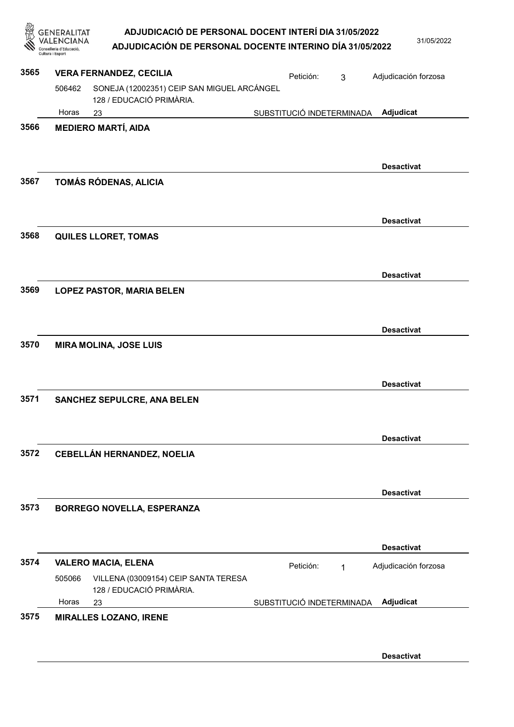| 忽    | ADJUDICACIÓ DE PERSONAL DOCENT INTERÍ DIA 31/05/2022<br>GENERALITAT<br>ADJUDICACIÓN DE PERSONAL DOCENTE INTERINO DÍA 31/05/2022<br>Cultura i Esport | 31/05/2022           |
|------|-----------------------------------------------------------------------------------------------------------------------------------------------------|----------------------|
| 3565 | <b>VERA FERNANDEZ, CECILIA</b><br>Petición:<br>3                                                                                                    | Adjudicación forzosa |
|      | SONEJA (12002351) CEIP SAN MIGUEL ARCÁNGEL<br>506462<br>128 / EDUCACIÓ PRIMÀRIA.                                                                    |                      |
|      | Horas<br>SUBSTITUCIÓ INDETERMINADA<br>23                                                                                                            | Adjudicat            |
| 3566 | <b>MEDIERO MARTÍ, AIDA</b>                                                                                                                          |                      |
| 3567 | TOMÁS RÓDENAS, ALICIA                                                                                                                               | <b>Desactivat</b>    |
| 3568 | <b>QUILES LLORET, TOMAS</b>                                                                                                                         | <b>Desactivat</b>    |
| 3569 | <b>LOPEZ PASTOR, MARIA BELEN</b>                                                                                                                    | <b>Desactivat</b>    |
| 3570 | <b>MIRA MOLINA, JOSE LUIS</b>                                                                                                                       | <b>Desactivat</b>    |
| 3571 | SANCHEZ SEPULCRE, ANA BELEN                                                                                                                         | <b>Desactivat</b>    |
| 3572 | <b>CEBELLÁN HERNANDEZ, NOELIA</b>                                                                                                                   | <b>Desactivat</b>    |
| 3573 | <b>BORREGO NOVELLA, ESPERANZA</b>                                                                                                                   | <b>Desactivat</b>    |
|      |                                                                                                                                                     | <b>Desactivat</b>    |
| 3574 | <b>VALERO MACIA, ELENA</b><br>Petición:<br>$\mathbf 1$<br>VILLENA (03009154) CEIP SANTA TERESA<br>505066<br>128 / EDUCACIÓ PRIMÀRIA.                | Adjudicación forzosa |
|      | Horas<br>SUBSTITUCIÓ INDETERMINADA<br>23                                                                                                            | Adjudicat            |
| 3575 | <b>MIRALLES LOZANO, IRENE</b>                                                                                                                       | <b>Desactivat</b>    |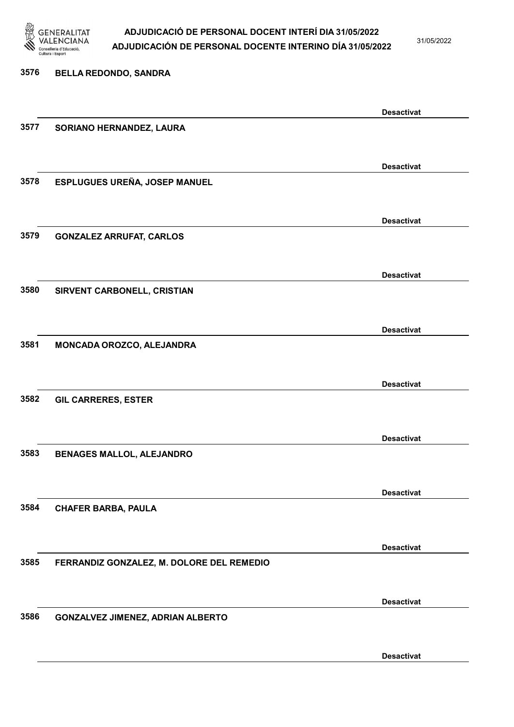

31/05/2022

# 3576 BELLA REDONDO, SANDRA Desactivat 3577 SORIANO HERNANDEZ, LAURA Desactivat 3578 ESPLUGUES UREÑA, JOSEP MANUEL Desactivat 3579 GONZALEZ ARRUFAT, CARLOS Desactivat 3580 SIRVENT CARBONELL, CRISTIAN Desactivat 3581 MONCADA OROZCO, ALEJANDRA Desactivat 3582 GIL CARRERES, ESTER Desactivat 3583 BENAGES MALLOL, ALEJANDRO Desactivat 3584 CHAFER BARBA, PAULA Desactivat 3585 FERRANDIZ GONZALEZ, M. DOLORE DEL REMEDIO Desactivat 3586 GONZALVEZ JIMENEZ, ADRIAN ALBERTO

Desactivat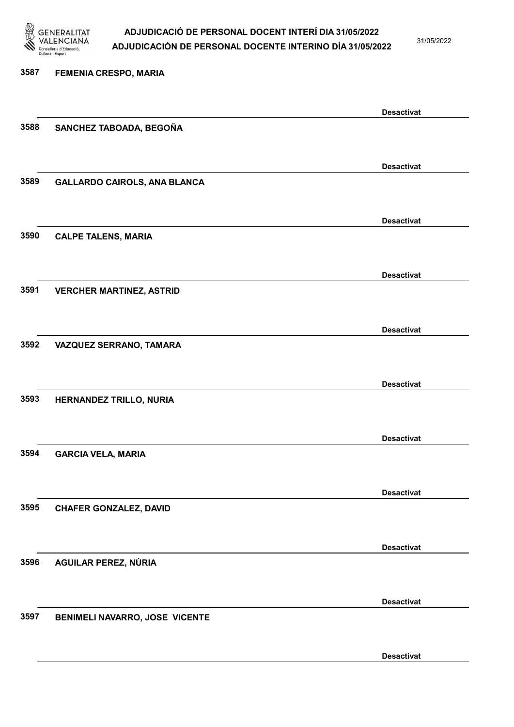

31/05/2022

# 3587 FEMENIA CRESPO, MARIA Desactivat 3588 SANCHEZ TABOADA, BEGOÑA Desactivat 3589 GALLARDO CAIROLS, ANA BLANCA Desactivat 3590 CALPE TALENS, MARIA Desactivat 3591 VERCHER MARTINEZ, ASTRID Desactivat 3592 VAZQUEZ SERRANO, TAMARA Desactivat 3593 HERNANDEZ TRILLO, NURIA Desactivat 3594 GARCIA VELA, MARIA Desactivat 3595 CHAFER GONZALEZ, DAVID Desactivat 3596 AGUILAR PEREZ, NÚRIA Desactivat 3597 BENIMELI NAVARRO, JOSE VICENTE Desactivat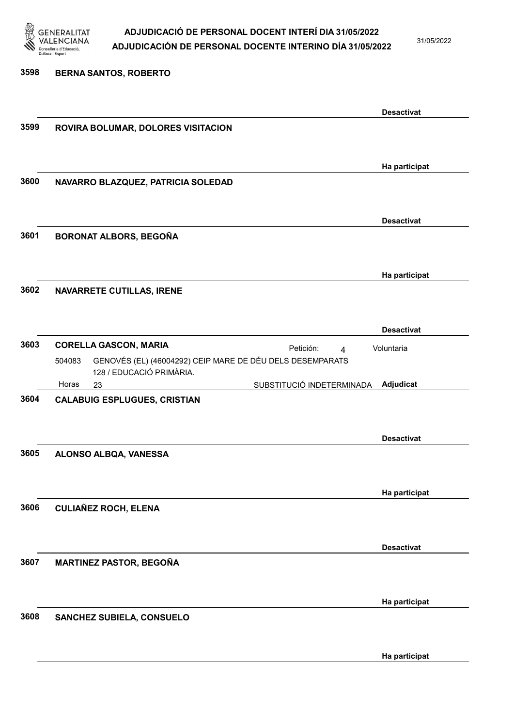

3598 BERNA SANTOS, ROBERTO

# ADJUDICACIÓ DE PERSONAL DOCENT INTERÍ DIA 31/05/2022 ADJUDICACIÓN DE PERSONAL DOCENTE INTERINO DÍA 31/05/2022

31/05/2022

# Desactivat 3599 ROVIRA BOLUMAR, DOLORES VISITACION Ha participat 3600 NAVARRO BLAZQUEZ, PATRICIA SOLEDAD Desactivat 3601 BORONAT ALBORS, BEGOÑA Ha participat 3602 NAVARRETE CUTILLAS, IRENE Desactivat 3603 CORELLA GASCON, MARIA **Actuar El Petición:** 4 23 SUBSTITUCIÓ INDETERMINADA GENOVÉS (EL) (46004292) CEIP MARE DE DÉU DELS DESEMPARATS 128 / EDUCACIÓ PRIMÀRIA. Adjudicat Voluntaria 504083 Horas 3604 CALABUIG ESPLUGUES, CRISTIAN Desactivat 3605 ALONSO ALBQA, VANESSA Ha participat 3606 CULIAÑEZ ROCH, ELENA Desactivat 3607 MARTINEZ PASTOR, BEGOÑA Ha participat 3608 SANCHEZ SUBIELA, CONSUELO Ha participat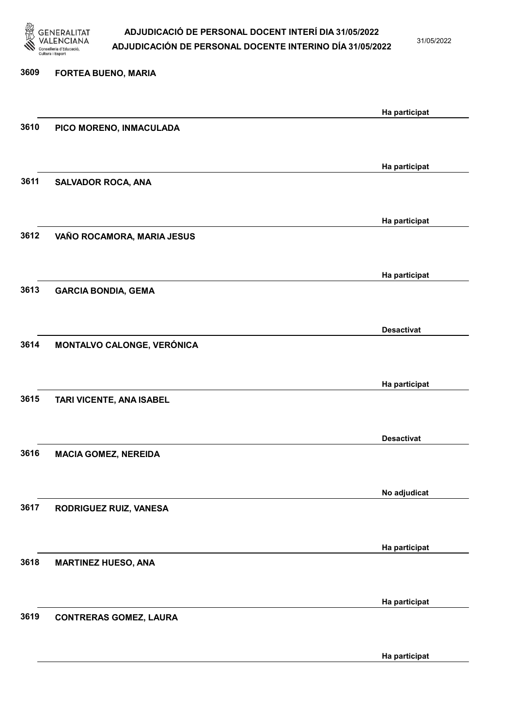

31/05/2022

Ha participat

# 3609 FORTEA BUENO, MARIA Ha participat 3610 PICO MORENO, INMACULADA Ha participat 3611 SALVADOR ROCA, ANA Ha participat 3612 VAÑO ROCAMORA, MARIA JESUS Ha participat 3613 GARCIA BONDIA, GEMA Desactivat 3614 MONTALVO CALONGE, VERÓNICA Ha participat 3615 TARI VICENTE, ANA ISABEL Desactivat 3616 MACIA GOMEZ, NEREIDA No adjudicat 3617 RODRIGUEZ RUIZ, VANESA Ha participat 3618 MARTINEZ HUESO, ANA Ha participat 3619 CONTRERAS GOMEZ, LAURA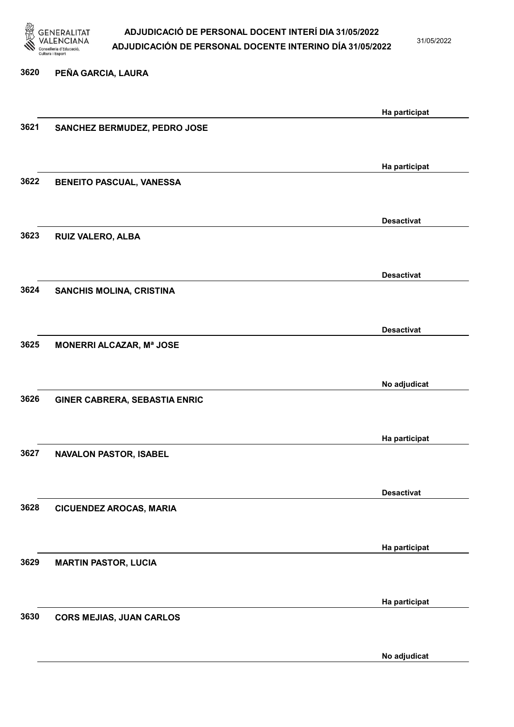

31/05/2022

No adjudicat

# 3620 PEÑA GARCIA, LAURA Ha participat 3621 SANCHEZ BERMUDEZ, PEDRO JOSE Ha participat 3622 BENEITO PASCUAL, VANESSA Desactivat 3623 RUIZ VALERO, ALBA Desactivat 3624 SANCHIS MOLINA, CRISTINA Desactivat 3625 MONERRI ALCAZAR, Mª JOSE No adjudicat 3626 GINER CABRERA, SEBASTIA ENRIC Ha participat 3627 NAVALON PASTOR, ISABEL Desactivat 3628 CICUENDEZ AROCAS, MARIA Ha participat 3629 MARTIN PASTOR, LUCIA Ha participat 3630 CORS MEJIAS, JUAN CARLOS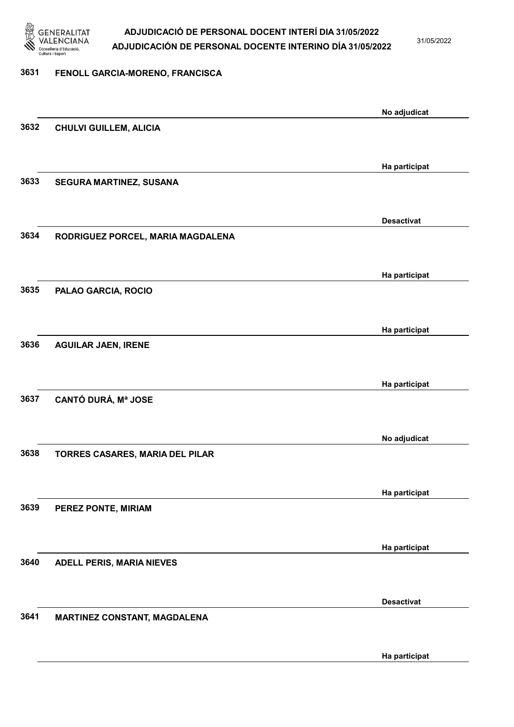

31/05/2022

### 3631 FENOLL GARCIA-MORENO, FRANCISCA

|      |                                     | No adjudicat      |
|------|-------------------------------------|-------------------|
| 3632 | <b>CHULVI GUILLEM, ALICIA</b>       |                   |
|      |                                     |                   |
|      |                                     | Ha participat     |
| 3633 | SEGURA MARTINEZ, SUSANA             |                   |
|      |                                     |                   |
|      |                                     | <b>Desactivat</b> |
| 3634 | RODRIGUEZ PORCEL, MARIA MAGDALENA   |                   |
|      |                                     |                   |
|      |                                     | Ha participat     |
| 3635 | PALAO GARCIA, ROCIO                 |                   |
|      |                                     |                   |
|      |                                     | Ha participat     |
| 3636 | <b>AGUILAR JAEN, IRENE</b>          |                   |
|      |                                     |                   |
|      |                                     | Ha participat     |
| 3637 | <b>CANTÓ DURÁ, Mª JOSE</b>          |                   |
|      |                                     |                   |
| 3638 | TORRES CASARES, MARIA DEL PILAR     | No adjudicat      |
|      |                                     |                   |
|      |                                     | Ha participat     |
| 3639 | PEREZ PONTE, MIRIAM                 |                   |
|      |                                     |                   |
|      |                                     | Ha participat     |
| 3640 | <b>ADELL PERIS, MARIA NIEVES</b>    |                   |
|      |                                     |                   |
|      |                                     | <b>Desactivat</b> |
| 3641 | <b>MARTINEZ CONSTANT, MAGDALENA</b> |                   |
|      |                                     |                   |
|      |                                     | Ha participat     |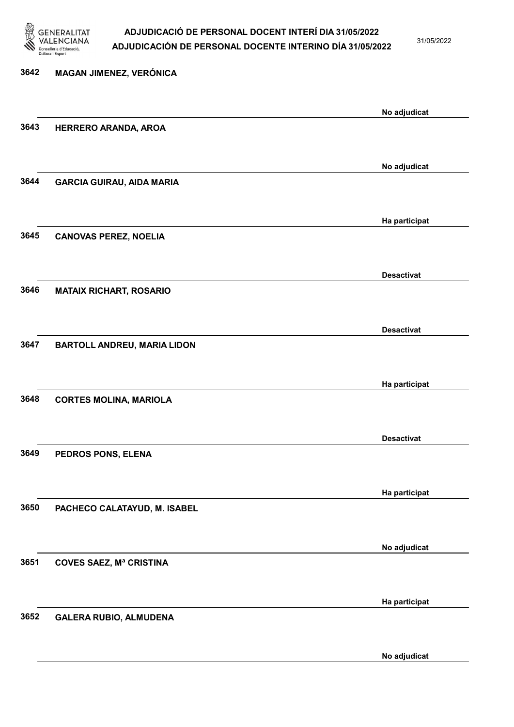

31/05/2022

| 3642 | MAGAN JIMENEZ, VERÓNICA            |                   |
|------|------------------------------------|-------------------|
|      |                                    | No adjudicat      |
| 3643 | HERRERO ARANDA, AROA               |                   |
|      |                                    | No adjudicat      |
| 3644 | <b>GARCIA GUIRAU, AIDA MARIA</b>   |                   |
|      |                                    | Ha participat     |
| 3645 | <b>CANOVAS PEREZ, NOELIA</b>       |                   |
|      |                                    | <b>Desactivat</b> |
| 3646 | <b>MATAIX RICHART, ROSARIO</b>     |                   |
|      |                                    | <b>Desactivat</b> |
| 3647 | <b>BARTOLL ANDREU, MARIA LIDON</b> |                   |
|      |                                    | Ha participat     |
| 3648 | <b>CORTES MOLINA, MARIOLA</b>      |                   |
|      |                                    | <b>Desactivat</b> |
| 3649 | PEDROS PONS, ELENA                 |                   |
|      |                                    | Ha participat     |
| 3650 | PACHECO CALATAYUD, M. ISABEL       |                   |
|      |                                    | No adjudicat      |
| 3651 | <b>COVES SAEZ, Mª CRISTINA</b>     |                   |
|      |                                    | Ha participat     |
| 3652 | <b>GALERA RUBIO, ALMUDENA</b>      |                   |

No adjudicat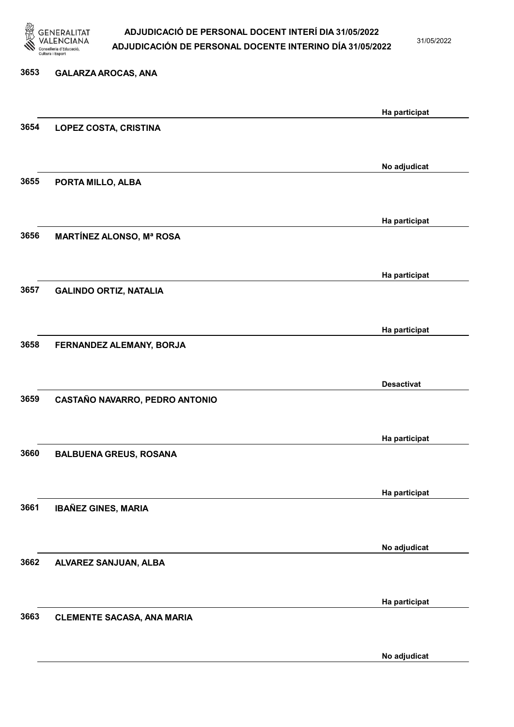

31/05/2022

# 3653 GALARZA AROCAS, ANA Ha participat 3654 LOPEZ COSTA, CRISTINA No adjudicat 3655 PORTA MILLO, ALBA Ha participat 3656 MARTÍNEZ ALONSO, Mª ROSA Ha participat 3657 GALINDO ORTIZ, NATALIA Ha participat 3658 FERNANDEZ ALEMANY, BORJA Desactivat 3659 CASTAÑO NAVARRO, PEDRO ANTONIO Ha participat 3660 BALBUENA GREUS, ROSANA Ha participat 3661 IBAÑEZ GINES, MARIA No adjudicat 3662 ALVAREZ SANJUAN, ALBA Ha participat 3663 CLEMENTE SACASA, ANA MARIA

No adjudicat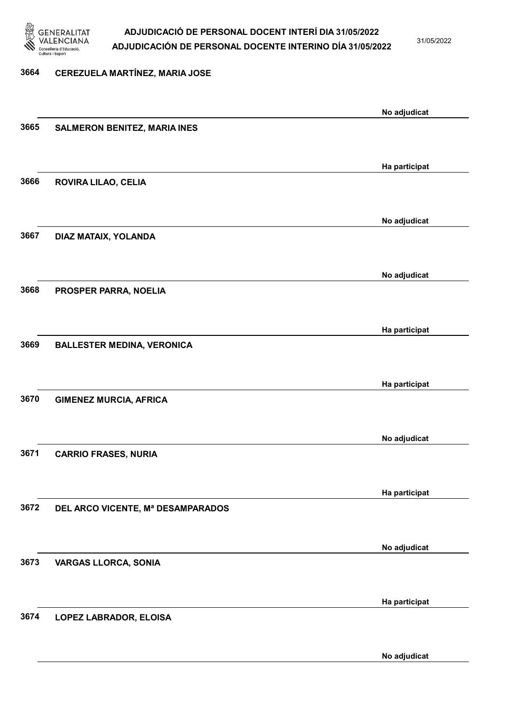

31/05/2022

#### 3664 CEREZUELA MARTÍNEZ, MARIA JOSE

|      |                                     | No adjudicat  |
|------|-------------------------------------|---------------|
| 3665 | <b>SALMERON BENITEZ, MARIA INES</b> |               |
|      |                                     |               |
|      |                                     |               |
|      |                                     | Ha participat |
| 3666 | ROVIRA LILAO, CELIA                 |               |
|      |                                     |               |
|      |                                     | No adjudicat  |
| 3667 | DIAZ MATAIX, YOLANDA                |               |
|      |                                     |               |
|      |                                     |               |
|      |                                     | No adjudicat  |
| 3668 | PROSPER PARRA, NOELIA               |               |
|      |                                     |               |
|      |                                     | Ha participat |
| 3669 | <b>BALLESTER MEDINA, VERONICA</b>   |               |
|      |                                     |               |
|      |                                     |               |
|      |                                     | Ha participat |
| 3670 | <b>GIMENEZ MURCIA, AFRICA</b>       |               |
|      |                                     |               |
|      |                                     | No adjudicat  |
| 3671 | <b>CARRIO FRASES, NURIA</b>         |               |
|      |                                     |               |
|      |                                     |               |
|      |                                     | Ha participat |
| 3672 | DEL ARCO VICENTE, Mª DESAMPARADOS   |               |
|      |                                     |               |
|      |                                     |               |
| 3673 |                                     | No adjudicat  |
|      | <b>VARGAS LLORCA, SONIA</b>         |               |
|      |                                     |               |
|      |                                     | Ha participat |
| 3674 | LOPEZ LABRADOR, ELOISA              |               |
|      |                                     |               |
|      |                                     |               |
|      |                                     | No adjudicat  |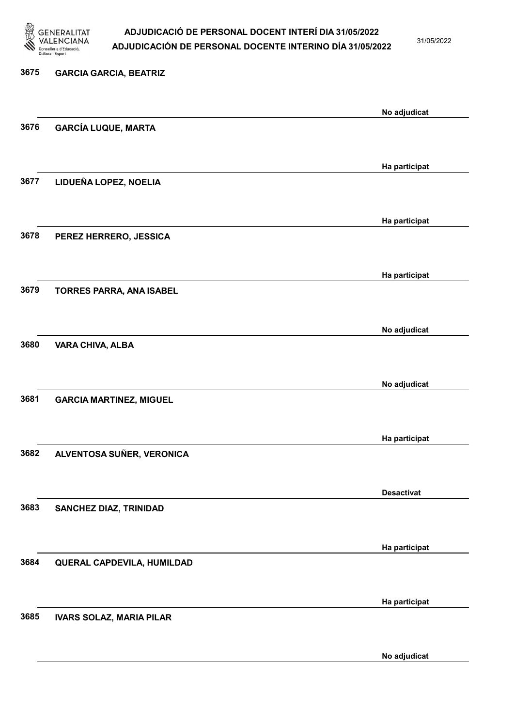

31/05/2022

No adjudicat

# 3675 GARCIA GARCIA, BEATRIZ No adjudicat 3676 GARCÍA LUQUE, MARTA Ha participat 3677 LIDUEÑA LOPEZ, NOELIA Ha participat 3678 PEREZ HERRERO, JESSICA Ha participat 3679 TORRES PARRA, ANA ISABEL No adjudicat 3680 VARA CHIVA, ALBA No adjudicat 3681 GARCIA MARTINEZ, MIGUEL Ha participat 3682 ALVENTOSA SUÑER, VERONICA Desactivat 3683 SANCHEZ DIAZ, TRINIDAD Ha participat 3684 QUERAL CAPDEVILA, HUMILDAD Ha participat 3685 IVARS SOLAZ, MARIA PILAR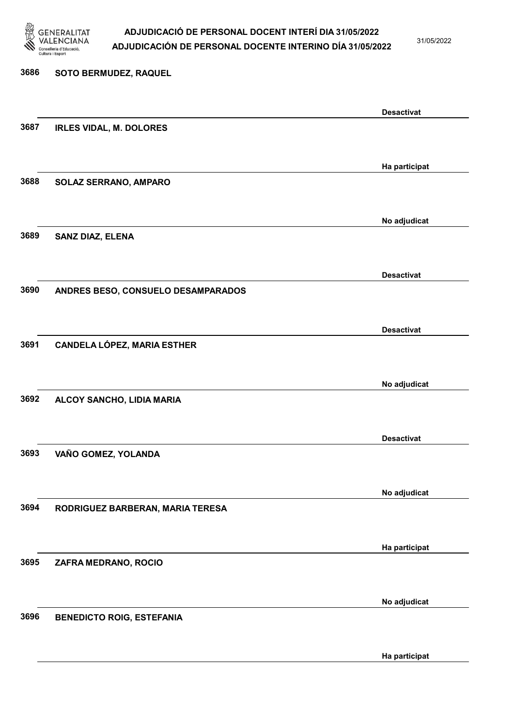

31/05/2022

Ha participat

# 3686 SOTO BERMUDEZ, RAQUEL Desactivat 3687 IRLES VIDAL, M. DOLORES Ha participat 3688 SOLAZ SERRANO, AMPARO No adjudicat 3689 SANZ DIAZ, ELENA Desactivat 3690 ANDRES BESO, CONSUELO DESAMPARADOS Desactivat 3691 CANDELA LÓPEZ, MARIA ESTHER No adjudicat 3692 ALCOY SANCHO, LIDIA MARIA Desactivat 3693 VAÑO GOMEZ, YOLANDA No adjudicat 3694 RODRIGUEZ BARBERAN, MARIA TERESA Ha participat 3695 ZAFRA MEDRANO, ROCIO No adjudicat 3696 BENEDICTO ROIG, ESTEFANIA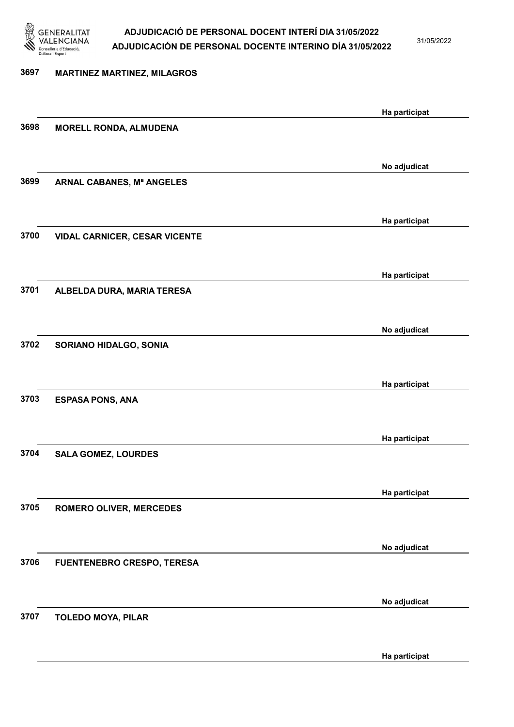

31/05/2022

# 3697 MARTINEZ MARTINEZ, MILAGROS Ha participat 3698 MORELL RONDA, ALMUDENA No adjudicat 3699 ARNAL CABANES, Mª ANGELES Ha participat 3700 VIDAL CARNICER, CESAR VICENTE Ha participat 3701 ALBELDA DURA, MARIA TERESA No adjudicat 3702 SORIANO HIDALGO, SONIA Ha participat 3703 ESPASA PONS, ANA Ha participat 3704 SALA GOMEZ, LOURDES Ha participat 3705 ROMERO OLIVER, MERCEDES No adjudicat 3706 FUENTENEBRO CRESPO, TERESA No adjudicat 3707 TOLEDO MOYA, PILAR Ha participat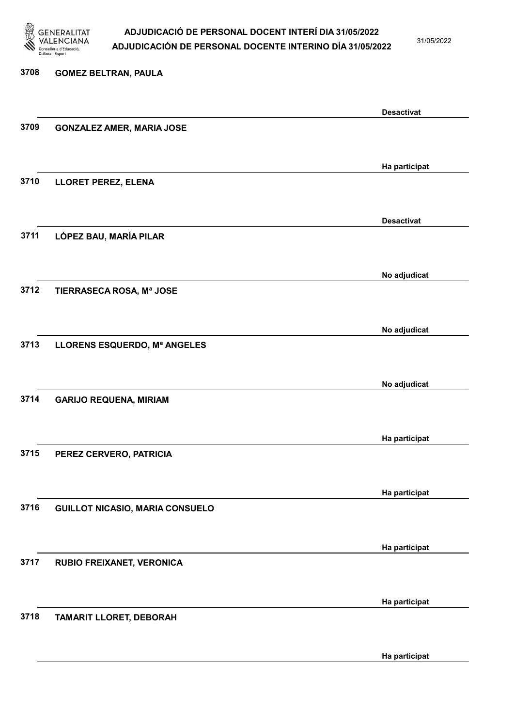

31/05/2022

Ha participat

# 3708 GOMEZ BELTRAN, PAULA Desactivat 3709 GONZALEZ AMER, MARIA JOSE Ha participat 3710 LLORET PEREZ, ELENA Desactivat 3711 LÓPEZ BAU, MARÍA PILAR No adjudicat 3712 TIERRASECA ROSA, Mª JOSE No adjudicat 3713 LLORENS ESQUERDO, Mª ANGELES No adjudicat 3714 GARIJO REQUENA, MIRIAM Ha participat 3715 PEREZ CERVERO, PATRICIA Ha participat 3716 GUILLOT NICASIO, MARIA CONSUELO Ha participat 3717 RUBIO FREIXANET, VERONICA Ha participat 3718 TAMARIT LLORET, DEBORAH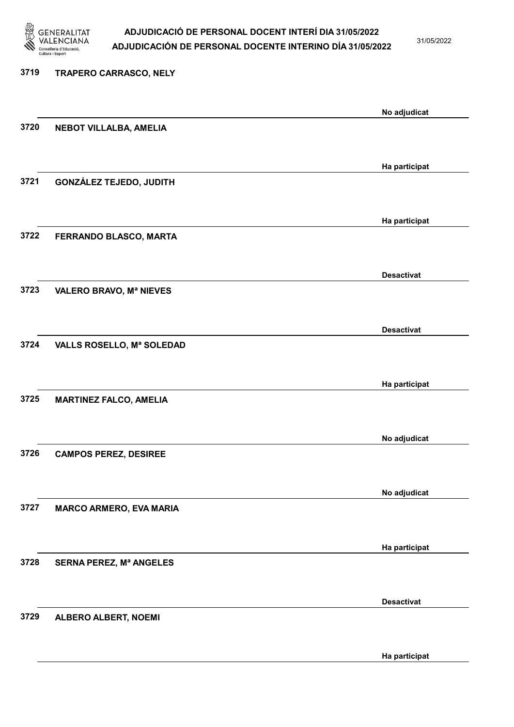

31/05/2022

Ha participat

# 3719 TRAPERO CARRASCO, NELY No adjudicat 3720 NEBOT VILLALBA, AMELIA Ha participat 3721 GONZÁLEZ TEJEDO, JUDITH Ha participat 3722 FERRANDO BLASCO, MARTA Desactivat 3723 VALERO BRAVO, Mª NIEVES Desactivat 3724 VALLS ROSELLO, Mª SOLEDAD Ha participat 3725 MARTINEZ FALCO, AMELIA No adjudicat 3726 CAMPOS PEREZ, DESIREE No adjudicat 3727 MARCO ARMERO, EVA MARIA Ha participat 3728 SERNA PEREZ, Mª ANGELES Desactivat 3729 ALBERO ALBERT, NOEMI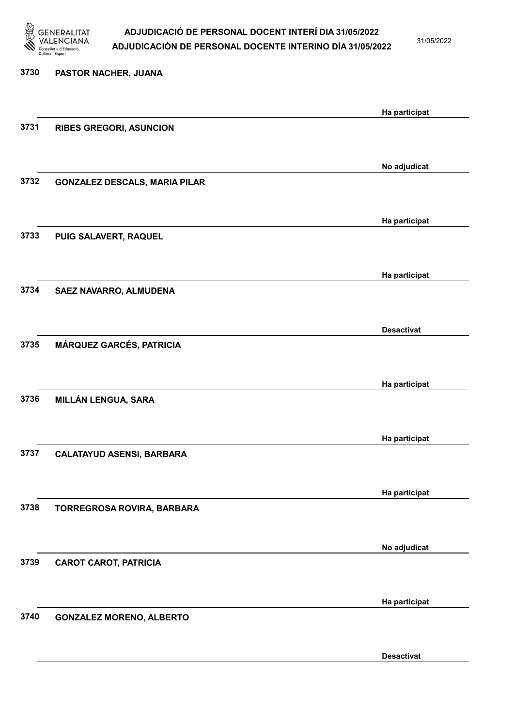

31/05/2022

Desactivat

| 3730 | PASTOR NACHER, JUANA                 |                   |
|------|--------------------------------------|-------------------|
|      |                                      | Ha participat     |
| 3731 | <b>RIBES GREGORI, ASUNCION</b>       |                   |
|      |                                      |                   |
| 3732 | <b>GONZALEZ DESCALS, MARIA PILAR</b> | No adjudicat      |
|      |                                      |                   |
|      |                                      | Ha participat     |
| 3733 | PUIG SALAVERT, RAQUEL                |                   |
|      |                                      | Ha participat     |
| 3734 | SAEZ NAVARRO, ALMUDENA               |                   |
|      |                                      | <b>Desactivat</b> |
| 3735 | MÁRQUEZ GARCÉS, PATRICIA             |                   |
|      |                                      |                   |
|      |                                      | Ha participat     |
| 3736 | MILLÁN LENGUA, SARA                  |                   |
|      |                                      | Ha participat     |
| 3737 | <b>CALATAYUD ASENSI, BARBARA</b>     |                   |
|      |                                      |                   |
| 3738 |                                      | Ha participat     |
|      | TORREGROSA ROVIRA, BARBARA           |                   |
|      |                                      | No adjudicat      |
| 3739 | <b>CAROT CAROT, PATRICIA</b>         |                   |
|      |                                      |                   |
| 3740 | <b>GONZALEZ MORENO, ALBERTO</b>      | Ha participat     |
|      |                                      |                   |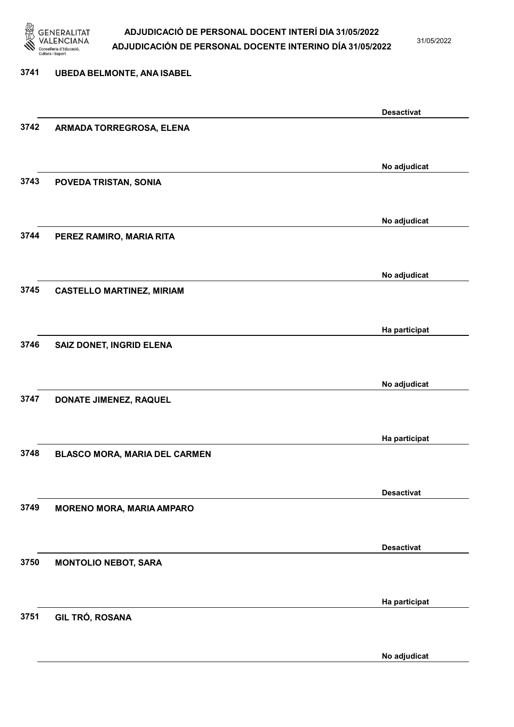

31/05/2022

#### 3741 UBEDA BELMONTE, ANA ISABEL

|      |                                  | <b>Desactivat</b> |
|------|----------------------------------|-------------------|
| 3742 | ARMADA TORREGROSA, ELENA         |                   |
|      |                                  |                   |
|      |                                  |                   |
|      |                                  | No adjudicat      |
| 3743 | POVEDA TRISTAN, SONIA            |                   |
|      |                                  |                   |
|      |                                  | No adjudicat      |
| 3744 | PEREZ RAMIRO, MARIA RITA         |                   |
|      |                                  |                   |
|      |                                  |                   |
|      |                                  | No adjudicat      |
| 3745 | <b>CASTELLO MARTINEZ, MIRIAM</b> |                   |
|      |                                  |                   |
|      |                                  |                   |
|      |                                  | Ha participat     |
| 3746 | SAIZ DONET, INGRID ELENA         |                   |
|      |                                  |                   |
|      |                                  | No adjudicat      |
| 3747 | DONATE JIMENEZ, RAQUEL           |                   |
|      |                                  |                   |
|      |                                  |                   |
|      |                                  | Ha participat     |
| 3748 | BLASCO MORA, MARIA DEL CARMEN    |                   |
|      |                                  |                   |
|      |                                  |                   |
|      |                                  | <b>Desactivat</b> |
| 3749 | <b>MORENO MORA, MARIA AMPARO</b> |                   |
|      |                                  |                   |
|      |                                  | <b>Desactivat</b> |
| 3750 | <b>MONTOLIO NEBOT, SARA</b>      |                   |
|      |                                  |                   |
|      |                                  |                   |
|      |                                  | Ha participat     |
| 3751 | <b>GIL TRÓ, ROSANA</b>           |                   |
|      |                                  |                   |
|      |                                  |                   |
|      |                                  | No adjudicat      |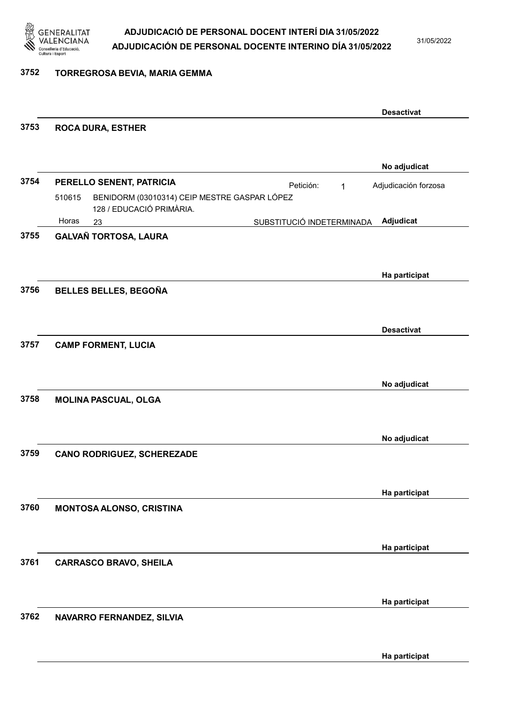

31/05/2022

### 3752 TORREGROSA BEVIA, MARIA GEMMA

|      |                                                                                    |                           |              | <b>Desactivat</b>    |
|------|------------------------------------------------------------------------------------|---------------------------|--------------|----------------------|
| 3753 | <b>ROCA DURA, ESTHER</b>                                                           |                           |              |                      |
|      |                                                                                    |                           |              |                      |
|      |                                                                                    |                           |              | No adjudicat         |
| 3754 | PERELLO SENENT, PATRICIA                                                           | Petición:                 | $\mathbf{1}$ | Adjudicación forzosa |
|      | BENIDORM (03010314) CEIP MESTRE GASPAR LÓPEZ<br>510615<br>128 / EDUCACIÓ PRIMÀRIA. |                           |              |                      |
|      | Horas<br>23                                                                        | SUBSTITUCIÓ INDETERMINADA |              | Adjudicat            |
| 3755 | GALVAÑ TORTOSA, LAURA                                                              |                           |              |                      |
|      |                                                                                    |                           |              | Ha participat        |
| 3756 | BELLES BELLES, BEGOÑA                                                              |                           |              |                      |
|      |                                                                                    |                           |              |                      |
|      |                                                                                    |                           |              | <b>Desactivat</b>    |
| 3757 | <b>CAMP FORMENT, LUCIA</b>                                                         |                           |              |                      |
|      |                                                                                    |                           |              |                      |
|      |                                                                                    |                           |              | No adjudicat         |
| 3758 | <b>MOLINA PASCUAL, OLGA</b>                                                        |                           |              |                      |
|      |                                                                                    |                           |              |                      |
|      |                                                                                    |                           |              | No adjudicat         |
| 3759 | <b>CANO RODRIGUEZ, SCHEREZADE</b>                                                  |                           |              |                      |
|      |                                                                                    |                           |              |                      |
|      |                                                                                    |                           |              | Ha participat        |
| 3760 | MONTOSA ALONSO, CRISTINA                                                           |                           |              |                      |
|      |                                                                                    |                           |              |                      |
|      |                                                                                    |                           |              | Ha participat        |
| 3761 | <b>CARRASCO BRAVO, SHEILA</b>                                                      |                           |              |                      |
|      |                                                                                    |                           |              |                      |
|      |                                                                                    |                           |              | Ha participat        |
| 3762 | NAVARRO FERNANDEZ, SILVIA                                                          |                           |              |                      |
|      |                                                                                    |                           |              |                      |
|      |                                                                                    |                           |              | Ha participat        |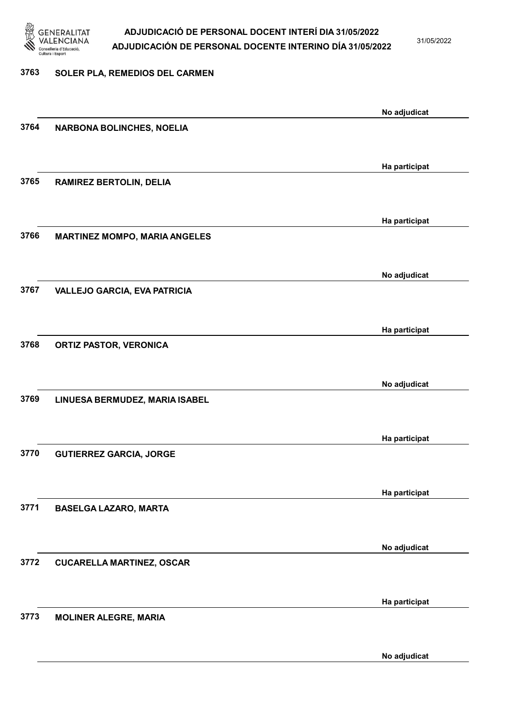

31/05/2022

### 3763 SOLER PLA, REMEDIOS DEL CARMEN

| 3764 |                                      | No adjudicat  |
|------|--------------------------------------|---------------|
|      | <b>NARBONA BOLINCHES, NOELIA</b>     |               |
|      |                                      |               |
|      |                                      | Ha participat |
| 3765 | <b>RAMIREZ BERTOLIN, DELIA</b>       |               |
|      |                                      |               |
|      |                                      |               |
|      |                                      | Ha participat |
| 3766 | <b>MARTINEZ MOMPO, MARIA ANGELES</b> |               |
|      |                                      |               |
|      |                                      |               |
|      |                                      | No adjudicat  |
| 3767 | <b>VALLEJO GARCIA, EVA PATRICIA</b>  |               |
|      |                                      |               |
|      |                                      | Ha participat |
| 3768 | <b>ORTIZ PASTOR, VERONICA</b>        |               |
|      |                                      |               |
|      |                                      |               |
|      |                                      | No adjudicat  |
| 3769 | LINUESA BERMUDEZ, MARIA ISABEL       |               |
|      |                                      |               |
|      |                                      |               |
|      |                                      | Ha participat |
| 3770 | <b>GUTIERREZ GARCIA, JORGE</b>       |               |
|      |                                      |               |
|      |                                      | Ha participat |
| 3771 | <b>BASELGA LAZARO, MARTA</b>         |               |
|      |                                      |               |
|      |                                      |               |
|      |                                      | No adjudicat  |
| 3772 | <b>CUCARELLA MARTINEZ, OSCAR</b>     |               |
|      |                                      |               |
|      |                                      |               |
|      |                                      | Ha participat |
| 3773 | <b>MOLINER ALEGRE, MARIA</b>         |               |
|      |                                      |               |
|      |                                      | No adjudicat  |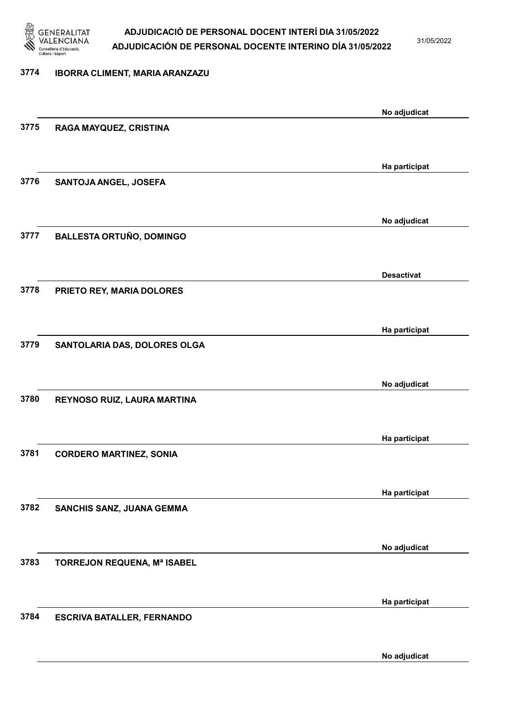

31/05/2022

#### 3774 IBORRA CLIMENT, MARIA ARANZAZU

|      |                                   | No adjudicat      |
|------|-----------------------------------|-------------------|
| 3775 | RAGA MAYQUEZ, CRISTINA            |                   |
|      |                                   |                   |
|      |                                   |                   |
|      |                                   | Ha participat     |
| 3776 | SANTOJA ANGEL, JOSEFA             |                   |
|      |                                   |                   |
|      |                                   | No adjudicat      |
| 3777 | <b>BALLESTA ORTUÑO, DOMINGO</b>   |                   |
|      |                                   |                   |
|      |                                   |                   |
|      |                                   | <b>Desactivat</b> |
| 3778 | PRIETO REY, MARIA DOLORES         |                   |
|      |                                   |                   |
|      |                                   | Ha participat     |
| 3779 | SANTOLARIA DAS, DOLORES OLGA      |                   |
|      |                                   |                   |
|      |                                   |                   |
| 3780 |                                   | No adjudicat      |
|      | REYNOSO RUIZ, LAURA MARTINA       |                   |
|      |                                   |                   |
|      |                                   | Ha participat     |
| 3781 | <b>CORDERO MARTINEZ, SONIA</b>    |                   |
|      |                                   |                   |
|      |                                   | Ha participat     |
| 3782 | SANCHIS SANZ, JUANA GEMMA         |                   |
|      |                                   |                   |
|      |                                   |                   |
|      |                                   | No adjudicat      |
| 3783 | TORREJON REQUENA, Mª ISABEL       |                   |
|      |                                   |                   |
|      |                                   | Ha participat     |
| 3784 | <b>ESCRIVA BATALLER, FERNANDO</b> |                   |
|      |                                   |                   |
|      |                                   |                   |
|      |                                   | No adjudicat      |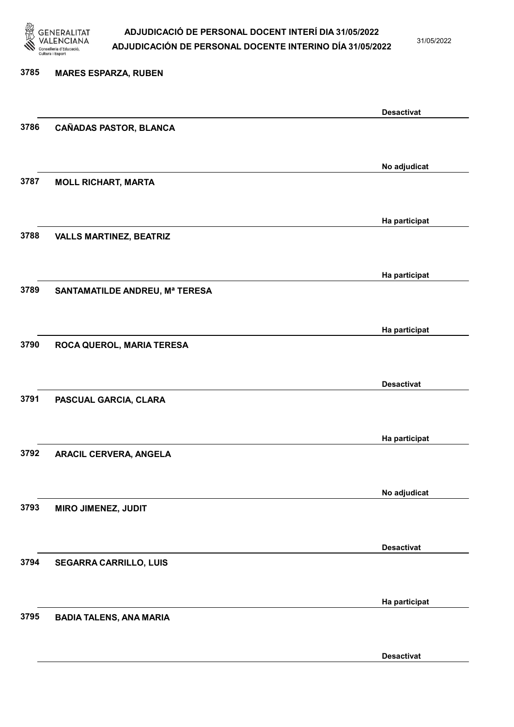

31/05/2022

Desactivat

# 3785 MARES ESPARZA, RUBEN Desactivat 3786 CAÑADAS PASTOR, BLANCA No adjudicat 3787 MOLL RICHART, MARTA Ha participat 3788 VALLS MARTINEZ, BEATRIZ Ha participat 3789 SANTAMATILDE ANDREU, Mª TERESA Ha participat 3790 ROCA QUEROL, MARIA TERESA Desactivat 3791 PASCUAL GARCIA, CLARA Ha participat 3792 ARACIL CERVERA, ANGELA No adjudicat 3793 MIRO JIMENEZ, JUDIT Desactivat 3794 SEGARRA CARRILLO, LUIS Ha participat 3795 BADIA TALENS, ANA MARIA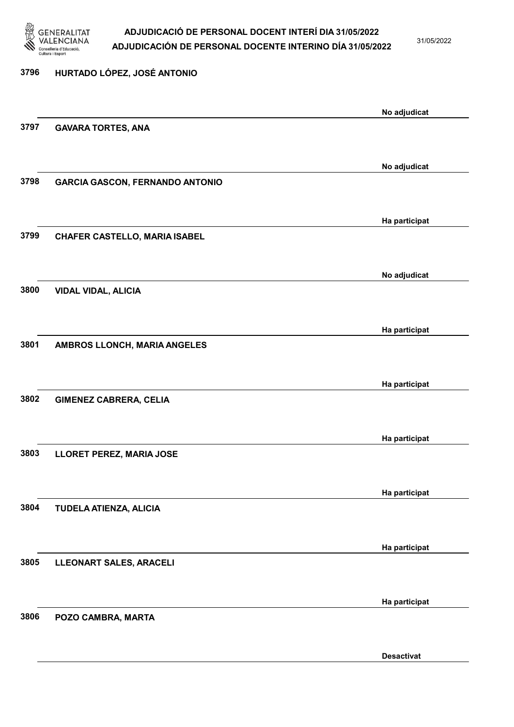

31/05/2022

Desactivat

# 3796 HURTADO LÓPEZ, JOSÉ ANTONIO No adjudicat 3797 GAVARA TORTES, ANA No adjudicat 3798 GARCIA GASCON, FERNANDO ANTONIO Ha participat 3799 CHAFER CASTELLO, MARIA ISABEL No adjudicat 3800 VIDAL VIDAL, ALICIA Ha participat 3801 AMBROS LLONCH, MARIA ANGELES Ha participat 3802 GIMENEZ CABRERA, CELIA Ha participat 3803 LLORET PEREZ, MARIA JOSE Ha participat 3804 TUDELA ATIENZA, ALICIA Ha participat 3805 LLEONART SALES, ARACELI Ha participat 3806 POZO CAMBRA, MARTA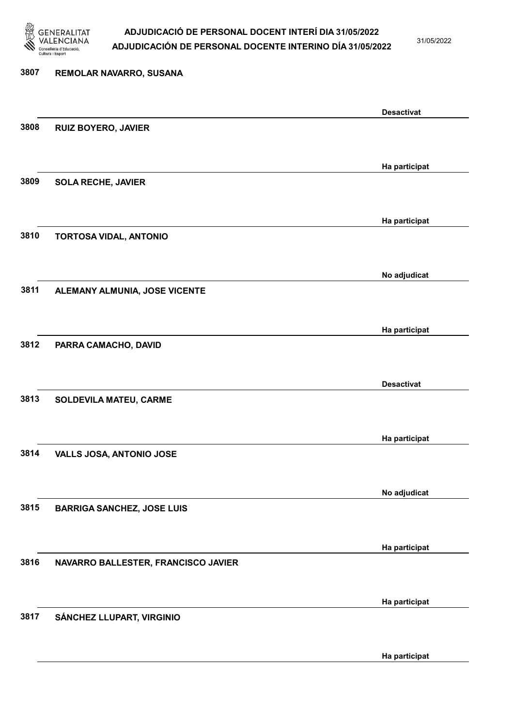

31/05/2022

Ha participat

# 3807 REMOLAR NAVARRO, SUSANA Desactivat 3808 RUIZ BOYERO, JAVIER Ha participat 3809 SOLA RECHE, JAVIER Ha participat 3810 TORTOSA VIDAL, ANTONIO No adjudicat 3811 ALEMANY ALMUNIA, JOSE VICENTE Ha participat 3812 PARRA CAMACHO, DAVID Desactivat 3813 SOLDEVILA MATEU, CARME Ha participat 3814 VALLS JOSA, ANTONIO JOSE No adjudicat 3815 BARRIGA SANCHEZ, JOSE LUIS Ha participat 3816 NAVARRO BALLESTER, FRANCISCO JAVIER Ha participat 3817 SÁNCHEZ LLUPART, VIRGINIO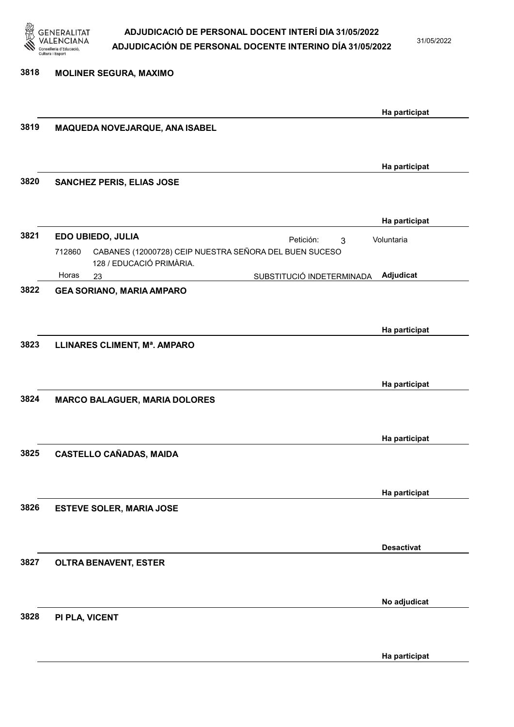

31/05/2022

Ha participat

| 3818 | <b>MOLINER SEGURA, MAXIMO</b>                                                                |                   |
|------|----------------------------------------------------------------------------------------------|-------------------|
|      |                                                                                              |                   |
|      |                                                                                              | Ha participat     |
| 3819 | MAQUEDA NOVEJARQUE, ANA ISABEL                                                               |                   |
|      |                                                                                              |                   |
|      |                                                                                              | Ha participat     |
| 3820 | <b>SANCHEZ PERIS, ELIAS JOSE</b>                                                             |                   |
|      |                                                                                              |                   |
|      |                                                                                              | Ha participat     |
| 3821 | EDO UBIEDO, JULIA<br>Petición:<br>3                                                          | Voluntaria        |
|      | CABANES (12000728) CEIP NUESTRA SEÑORA DEL BUEN SUCESO<br>712860<br>128 / EDUCACIÓ PRIMÀRIA. |                   |
|      | Horas<br>SUBSTITUCIÓ INDETERMINADA<br>23                                                     | Adjudicat         |
| 3822 | <b>GEA SORIANO, MARIA AMPARO</b>                                                             |                   |
|      |                                                                                              |                   |
|      |                                                                                              | Ha participat     |
| 3823 | LLINARES CLIMENT, Mª. AMPARO                                                                 |                   |
|      |                                                                                              |                   |
|      |                                                                                              | Ha participat     |
| 3824 | <b>MARCO BALAGUER, MARIA DOLORES</b>                                                         |                   |
|      |                                                                                              |                   |
|      |                                                                                              | Ha participat     |
| 3825 | <b>CASTELLO CAÑADAS, MAIDA</b>                                                               |                   |
|      |                                                                                              |                   |
|      |                                                                                              | Ha participat     |
| 3826 | <b>ESTEVE SOLER, MARIA JOSE</b>                                                              |                   |
|      |                                                                                              |                   |
|      |                                                                                              | <b>Desactivat</b> |
| 3827 | <b>OLTRA BENAVENT, ESTER</b>                                                                 |                   |
|      |                                                                                              |                   |
|      |                                                                                              | No adjudicat      |
| 3828 | PI PLA, VICENT                                                                               |                   |
|      |                                                                                              |                   |
|      |                                                                                              |                   |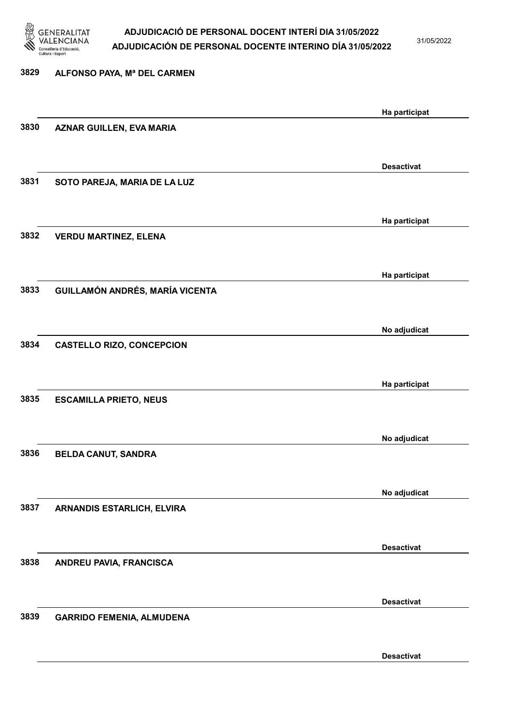

31/05/2022

| 3829 | ALFONSO PAYA, Mª DEL CARMEN      |                   |
|------|----------------------------------|-------------------|
|      |                                  | Ha participat     |
| 3830 | <b>AZNAR GUILLEN, EVA MARIA</b>  |                   |
|      |                                  | <b>Desactivat</b> |
| 3831 | SOTO PAREJA, MARIA DE LA LUZ     |                   |
|      |                                  | Ha participat     |
| 3832 | <b>VERDU MARTINEZ, ELENA</b>     |                   |
| 3833 |                                  | Ha participat     |
|      | GUILLAMÓN ANDRÉS, MARÍA VICENTA  |                   |
| 3834 | <b>CASTELLO RIZO, CONCEPCION</b> | No adjudicat      |
|      |                                  |                   |
| 3835 | <b>ESCAMILLA PRIETO, NEUS</b>    | Ha participat     |
|      |                                  |                   |
| 3836 | <b>BELDA CANUT, SANDRA</b>       | No adjudicat      |
|      |                                  | No adjudicat      |
| 3837 | ARNANDIS ESTARLICH, ELVIRA       |                   |
|      |                                  | <b>Desactivat</b> |
| 3838 | ANDREU PAVIA, FRANCISCA          |                   |
|      |                                  | <b>Desactivat</b> |
| 3839 | <b>GARRIDO FEMENIA, ALMUDENA</b> |                   |
|      |                                  | <b>Desactivat</b> |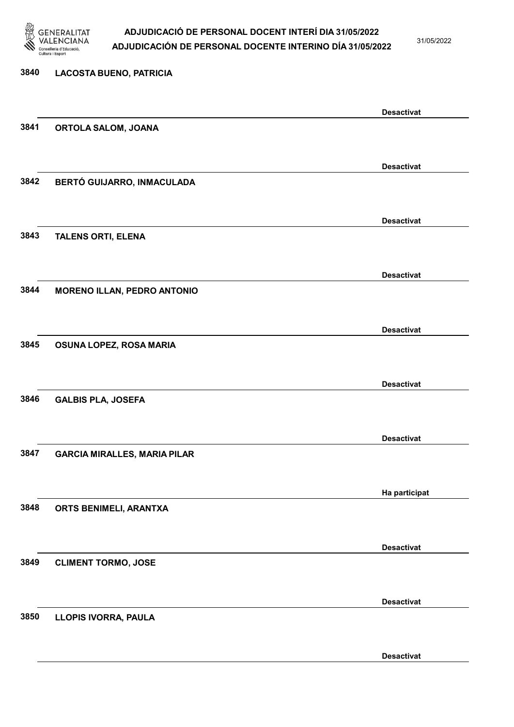

31/05/2022

| 3840 | <b>LACOSTA BUENO, PATRICIA</b>      |                   |
|------|-------------------------------------|-------------------|
|      |                                     | <b>Desactivat</b> |
| 3841 | ORTOLA SALOM, JOANA                 |                   |
|      |                                     |                   |
|      |                                     | <b>Desactivat</b> |
| 3842 | BERTÓ GUIJARRO, INMACULADA          |                   |
|      |                                     | <b>Desactivat</b> |
| 3843 | <b>TALENS ORTI, ELENA</b>           |                   |
|      |                                     |                   |
|      |                                     | <b>Desactivat</b> |
| 3844 | <b>MORENO ILLAN, PEDRO ANTONIO</b>  |                   |
|      |                                     |                   |
|      |                                     | <b>Desactivat</b> |
| 3845 | OSUNA LOPEZ, ROSA MARIA             |                   |
|      |                                     |                   |
| 3846 |                                     | <b>Desactivat</b> |
|      | <b>GALBIS PLA, JOSEFA</b>           |                   |
|      |                                     |                   |
| 3847 | <b>GARCIA MIRALLES, MARIA PILAR</b> | <b>Desactivat</b> |
|      |                                     |                   |
|      |                                     | Ha participat     |
| 3848 | ORTS BENIMELI, ARANTXA              |                   |
|      |                                     |                   |
|      |                                     | <b>Desactivat</b> |
| 3849 | <b>CLIMENT TORMO, JOSE</b>          |                   |
|      |                                     |                   |
|      |                                     | <b>Desactivat</b> |
| 3850 | LLOPIS IVORRA, PAULA                |                   |
|      |                                     |                   |

Desactivat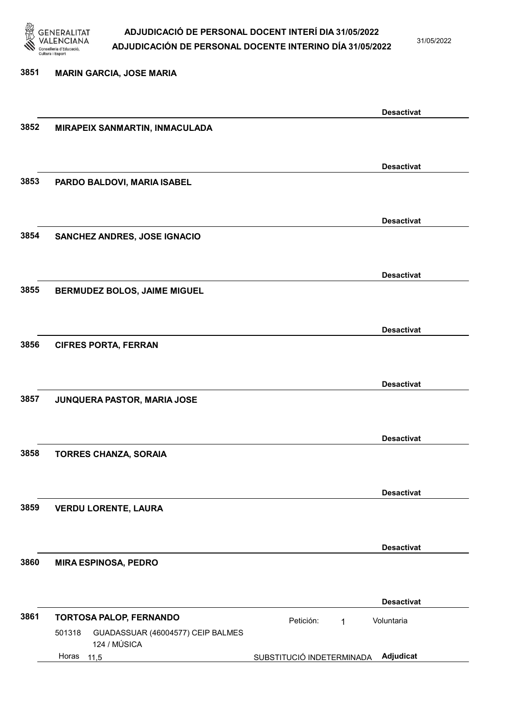

31/05/2022

3851 MARIN GARCIA, JOSE MARIA Desactivat 3852 MIRAPEIX SANMARTIN, INMACULADA Desactivat 3853 PARDO BALDOVI, MARIA ISABEL Desactivat 3854 SANCHEZ ANDRES, JOSE IGNACIO Desactivat 3855 BERMUDEZ BOLOS, JAIME MIGUEL Desactivat 3856 CIFRES PORTA, FERRAN Desactivat 3857 JUNQUERA PASTOR, MARIA JOSE Desactivat 3858 TORRES CHANZA, SORAIA Desactivat 3859 VERDU LORENTE, LAURA Desactivat 3860 MIRA ESPINOSA, PEDRO Desactivat 3861 TORTOSA PALOP, FERNANDO Petición: 1 11,5 SUBSTITUCIÓ INDETERMINADA Adjudicat GUADASSUAR (46004577) CEIP BALMES 124 / MÚSICA Voluntaria 501318 Horas 11,5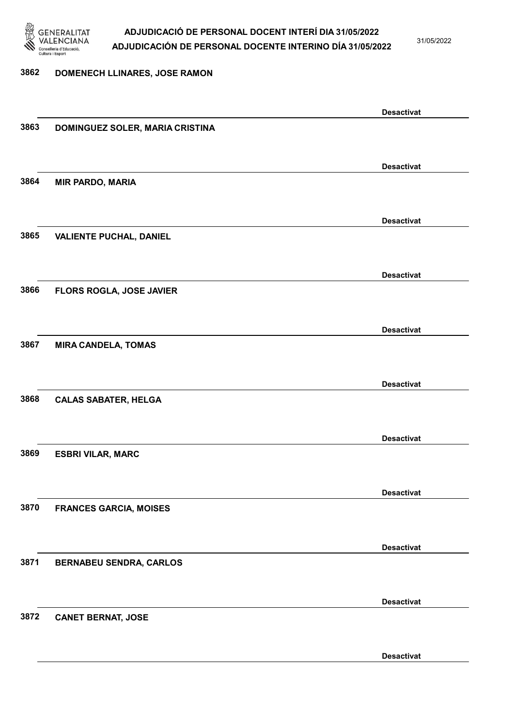

31/05/2022

### 3862 DOMENECH LLINARES, JOSE RAMON

|      |                                 | <b>Desactivat</b> |
|------|---------------------------------|-------------------|
| 3863 |                                 |                   |
|      | DOMINGUEZ SOLER, MARIA CRISTINA |                   |
|      |                                 |                   |
|      |                                 |                   |
|      |                                 | <b>Desactivat</b> |
| 3864 | <b>MIR PARDO, MARIA</b>         |                   |
|      |                                 |                   |
|      |                                 |                   |
|      |                                 |                   |
|      |                                 | <b>Desactivat</b> |
| 3865 | <b>VALIENTE PUCHAL, DANIEL</b>  |                   |
|      |                                 |                   |
|      |                                 |                   |
|      |                                 |                   |
|      |                                 | <b>Desactivat</b> |
| 3866 | FLORS ROGLA, JOSE JAVIER        |                   |
|      |                                 |                   |
|      |                                 |                   |
|      |                                 |                   |
|      |                                 | <b>Desactivat</b> |
| 3867 | <b>MIRA CANDELA, TOMAS</b>      |                   |
|      |                                 |                   |
|      |                                 |                   |
|      |                                 |                   |
|      |                                 | <b>Desactivat</b> |
| 3868 | <b>CALAS SABATER, HELGA</b>     |                   |
|      |                                 |                   |
|      |                                 |                   |
|      |                                 |                   |
|      |                                 | <b>Desactivat</b> |
| 3869 | <b>ESBRI VILAR, MARC</b>        |                   |
|      |                                 |                   |
|      |                                 |                   |
|      |                                 |                   |
|      |                                 | <b>Desactivat</b> |
| 3870 | <b>FRANCES GARCIA, MOISES</b>   |                   |
|      |                                 |                   |
|      |                                 |                   |
|      |                                 |                   |
|      |                                 | <b>Desactivat</b> |
| 3871 | <b>BERNABEU SENDRA, CARLOS</b>  |                   |
|      |                                 |                   |
|      |                                 |                   |
|      |                                 | <b>Desactivat</b> |
|      |                                 |                   |
| 3872 | <b>CANET BERNAT, JOSE</b>       |                   |
|      |                                 |                   |
|      |                                 |                   |
|      |                                 | <b>Desactivat</b> |
|      |                                 |                   |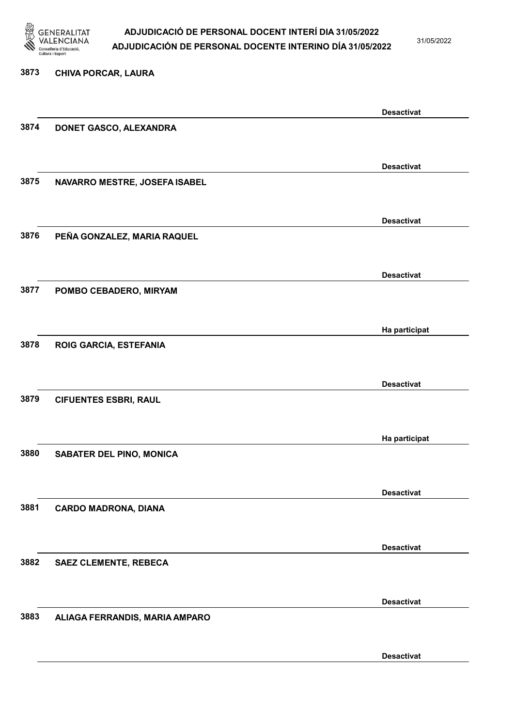

31/05/2022

Desactivat

# 3873 CHIVA PORCAR, LAURA Desactivat 3874 DONET GASCO, ALEXANDRA Desactivat 3875 NAVARRO MESTRE, JOSEFA ISABEL Desactivat 3876 PEÑA GONZALEZ, MARIA RAQUEL Desactivat 3877 POMBO CEBADERO, MIRYAM Ha participat 3878 ROIG GARCIA, ESTEFANIA Desactivat 3879 CIFUENTES ESBRI, RAUL Ha participat 3880 SABATER DEL PINO, MONICA Desactivat 3881 CARDO MADRONA, DIANA Desactivat 3882 SAEZ CLEMENTE, REBECA Desactivat 3883 ALIAGA FERRANDIS, MARIA AMPARO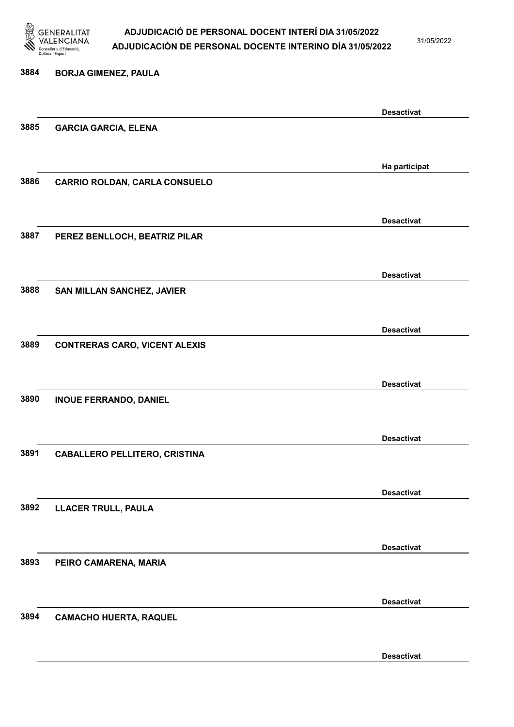

31/05/2022

Desactivat

# 3884 BORJA GIMENEZ, PAULA Desactivat 3885 GARCIA GARCIA, ELENA Ha participat 3886 CARRIO ROLDAN, CARLA CONSUELO Desactivat 3887 PEREZ BENLLOCH, BEATRIZ PILAR Desactivat 3888 SAN MILLAN SANCHEZ, JAVIER Desactivat 3889 CONTRERAS CARO, VICENT ALEXIS Desactivat 3890 INOUE FERRANDO, DANIEL Desactivat 3891 CABALLERO PELLITERO, CRISTINA Desactivat 3892 LLACER TRULL, PAULA Desactivat 3893 PEIRO CAMARENA, MARIA Desactivat 3894 CAMACHO HUERTA, RAQUEL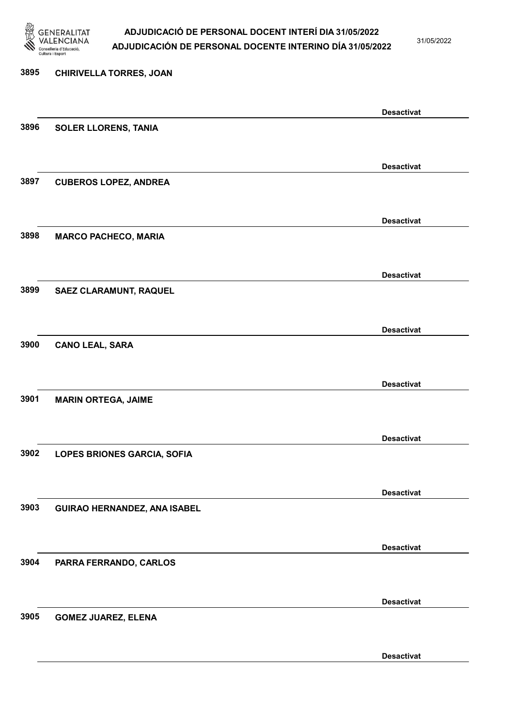

31/05/2022

Desactivat

# 3895 CHIRIVELLA TORRES, JOAN Desactivat 3896 SOLER LLORENS, TANIA Desactivat 3897 CUBEROS LOPEZ, ANDREA Desactivat 3898 MARCO PACHECO, MARIA Desactivat 3899 SAEZ CLARAMUNT, RAQUEL Desactivat 3900 CANO LEAL, SARA Desactivat 3901 MARIN ORTEGA, JAIME Desactivat 3902 LOPES BRIONES GARCIA, SOFIA Desactivat 3903 GUIRAO HERNANDEZ, ANA ISABEL Desactivat 3904 PARRA FERRANDO, CARLOS Desactivat 3905 GOMEZ JUAREZ, ELENA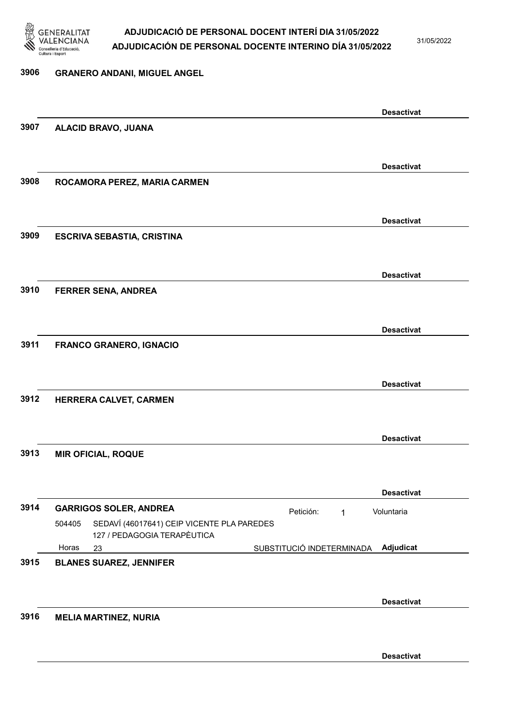

31/05/2022

# 3906 GRANERO ANDANI, MIGUEL ANGEL Desactivat 3907 ALACID BRAVO, JUANA Desactivat 3908 ROCAMORA PEREZ, MARIA CARMEN Desactivat 3909 ESCRIVA SEBASTIA, CRISTINA Desactivat 3910 FERRER SENA, ANDREA Desactivat 3911 FRANCO GRANERO, IGNACIO Desactivat 3912 HERRERA CALVET, CARMEN Desactivat 3913 MIR OFICIAL, ROQUE Desactivat 3914 GARRIGOS SOLER, ANDREA Petición: 1 23 SUBSTITUCIÓ INDETERMINADA SEDAVÍ (46017641) CEIP VICENTE PLA PAREDES 127 / PEDAGOGIA TERAPÈUTICA Adjudicat Voluntaria 504405 Horas 3915 BLANES SUAREZ, JENNIFER Desactivat 3916 MELIA MARTINEZ, NURIA

Desactivat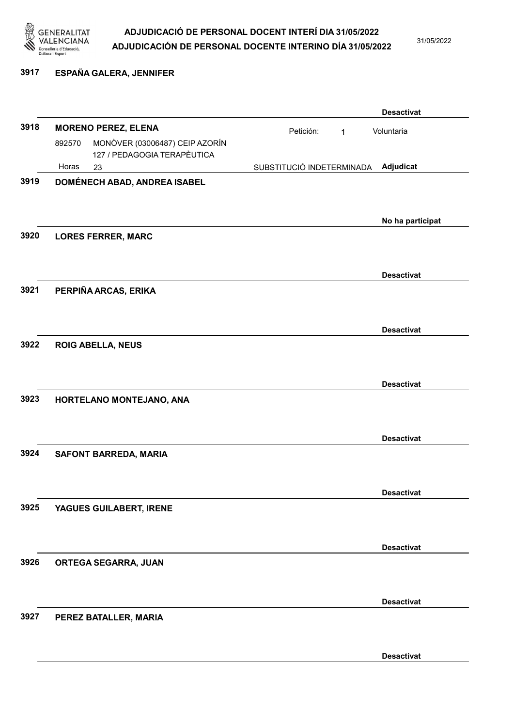

31/05/2022

# 3917 ESPAÑA GALERA, JENNIFER

|      |        |                                                               |                           |   | <b>Desactivat</b> |
|------|--------|---------------------------------------------------------------|---------------------------|---|-------------------|
| 3918 |        | <b>MORENO PEREZ, ELENA</b>                                    | Petición:                 | 1 | Voluntaria        |
|      | 892570 | MONÒVER (03006487) CEIP AZORÍN<br>127 / PEDAGOGIA TERAPÈUTICA |                           |   |                   |
|      | Horas  | 23                                                            | SUBSTITUCIÓ INDETERMINADA |   | Adjudicat         |
| 3919 |        | DOMÉNECH ABAD, ANDREA ISABEL                                  |                           |   |                   |
|      |        |                                                               |                           |   |                   |
|      |        |                                                               |                           |   |                   |
| 3920 |        |                                                               |                           |   | No ha participat  |
|      |        | <b>LORES FERRER, MARC</b>                                     |                           |   |                   |
|      |        |                                                               |                           |   |                   |
|      |        |                                                               |                           |   | <b>Desactivat</b> |
| 3921 |        | PERPIÑA ARCAS, ERIKA                                          |                           |   |                   |
|      |        |                                                               |                           |   |                   |
|      |        |                                                               |                           |   | <b>Desactivat</b> |
| 3922 |        | <b>ROIG ABELLA, NEUS</b>                                      |                           |   |                   |
|      |        |                                                               |                           |   |                   |
|      |        |                                                               |                           |   |                   |
|      |        |                                                               |                           |   | <b>Desactivat</b> |
| 3923 |        | HORTELANO MONTEJANO, ANA                                      |                           |   |                   |
|      |        |                                                               |                           |   |                   |
|      |        |                                                               |                           |   | <b>Desactivat</b> |
| 3924 |        | SAFONT BARREDA, MARIA                                         |                           |   |                   |
|      |        |                                                               |                           |   |                   |
|      |        |                                                               |                           |   |                   |
|      |        |                                                               |                           |   | <b>Desactivat</b> |
| 3925 |        | YAGUES GUILABERT, IRENE                                       |                           |   |                   |
|      |        |                                                               |                           |   |                   |
|      |        |                                                               |                           |   | <b>Desactivat</b> |
| 3926 |        | ORTEGA SEGARRA, JUAN                                          |                           |   |                   |
|      |        |                                                               |                           |   |                   |
|      |        |                                                               |                           |   | <b>Desactivat</b> |
| 3927 |        | PEREZ BATALLER, MARIA                                         |                           |   |                   |
|      |        |                                                               |                           |   |                   |
|      |        |                                                               |                           |   |                   |
|      |        |                                                               |                           |   | <b>Desactivat</b> |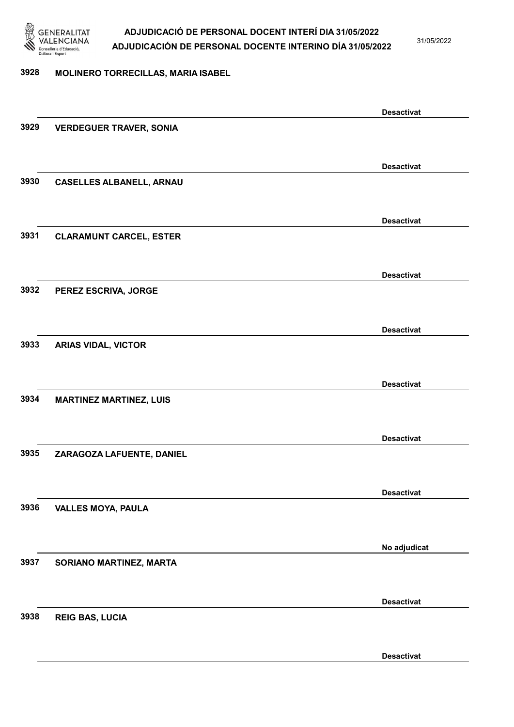

31/05/2022

#### 3928 MOLINERO TORRECILLAS, MARIA ISABEL

|      |                                 | <b>Desactivat</b> |
|------|---------------------------------|-------------------|
| 3929 | <b>VERDEGUER TRAVER, SONIA</b>  |                   |
|      |                                 |                   |
|      |                                 | <b>Desactivat</b> |
| 3930 | <b>CASELLES ALBANELL, ARNAU</b> |                   |
|      |                                 |                   |
|      |                                 |                   |
|      |                                 | <b>Desactivat</b> |
| 3931 | <b>CLARAMUNT CARCEL, ESTER</b>  |                   |
|      |                                 |                   |
|      |                                 | <b>Desactivat</b> |
| 3932 | PEREZ ESCRIVA, JORGE            |                   |
|      |                                 |                   |
|      |                                 | <b>Desactivat</b> |
| 3933 | <b>ARIAS VIDAL, VICTOR</b>      |                   |
|      |                                 |                   |
|      |                                 |                   |
| 3934 |                                 | <b>Desactivat</b> |
|      | <b>MARTINEZ MARTINEZ, LUIS</b>  |                   |
|      |                                 |                   |
|      |                                 | <b>Desactivat</b> |
| 3935 | ZARAGOZA LAFUENTE, DANIEL       |                   |
|      |                                 |                   |
|      |                                 | <b>Desactivat</b> |
| 3936 | <b>VALLES MOYA, PAULA</b>       |                   |
|      |                                 |                   |
|      |                                 | No adjudicat      |
| 3937 | SORIANO MARTINEZ, MARTA         |                   |
|      |                                 |                   |
|      |                                 | <b>Desactivat</b> |
| 3938 | <b>REIG BAS, LUCIA</b>          |                   |
|      |                                 |                   |
|      |                                 |                   |
|      |                                 | <b>Desactivat</b> |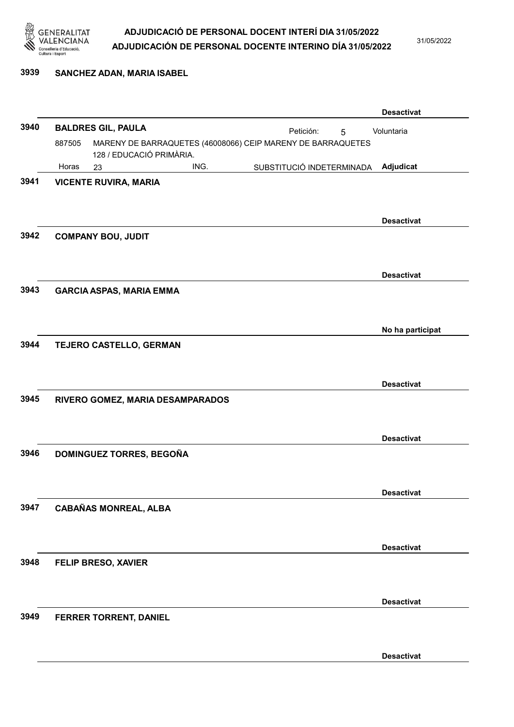

#### 3939 SANCHEZ ADAN, MARIA ISABEL

|      |                                                                                                   |                                  |  |      |  |           |                           | <b>Desactivat</b> |
|------|---------------------------------------------------------------------------------------------------|----------------------------------|--|------|--|-----------|---------------------------|-------------------|
| 3940 |                                                                                                   | <b>BALDRES GIL, PAULA</b>        |  |      |  | Petición: | 5                         | Voluntaria        |
|      | 887505<br>MARENY DE BARRAQUETES (46008066) CEIP MARENY DE BARRAQUETES<br>128 / EDUCACIÓ PRIMÀRIA. |                                  |  |      |  |           |                           |                   |
|      | Horas                                                                                             | 23                               |  | ING. |  |           | SUBSTITUCIÓ INDETERMINADA | Adjudicat         |
| 3941 |                                                                                                   | <b>VICENTE RUVIRA, MARIA</b>     |  |      |  |           |                           |                   |
| 3942 |                                                                                                   | <b>COMPANY BOU, JUDIT</b>        |  |      |  |           |                           | <b>Desactivat</b> |
|      |                                                                                                   |                                  |  |      |  |           |                           | <b>Desactivat</b> |
| 3943 |                                                                                                   | <b>GARCIA ASPAS, MARIA EMMA</b>  |  |      |  |           |                           |                   |
|      |                                                                                                   |                                  |  |      |  |           |                           | No ha participat  |
| 3944 |                                                                                                   | TEJERO CASTELLO, GERMAN          |  |      |  |           |                           |                   |
| 3945 |                                                                                                   |                                  |  |      |  |           |                           | <b>Desactivat</b> |
|      |                                                                                                   | RIVERO GOMEZ, MARIA DESAMPARADOS |  |      |  |           |                           |                   |
|      |                                                                                                   |                                  |  |      |  |           |                           | <b>Desactivat</b> |
| 3946 |                                                                                                   | DOMINGUEZ TORRES, BEGOÑA         |  |      |  |           |                           |                   |
|      |                                                                                                   |                                  |  |      |  |           |                           | <b>Desactivat</b> |
| 3947 |                                                                                                   | <b>CABAÑAS MONREAL, ALBA</b>     |  |      |  |           |                           |                   |
|      |                                                                                                   |                                  |  |      |  |           |                           | <b>Desactivat</b> |
| 3948 |                                                                                                   | FELIP BRESO, XAVIER              |  |      |  |           |                           |                   |
|      |                                                                                                   |                                  |  |      |  |           |                           | <b>Desactivat</b> |
| 3949 |                                                                                                   | FERRER TORRENT, DANIEL           |  |      |  |           |                           |                   |
|      |                                                                                                   |                                  |  |      |  |           |                           | <b>Desactivat</b> |